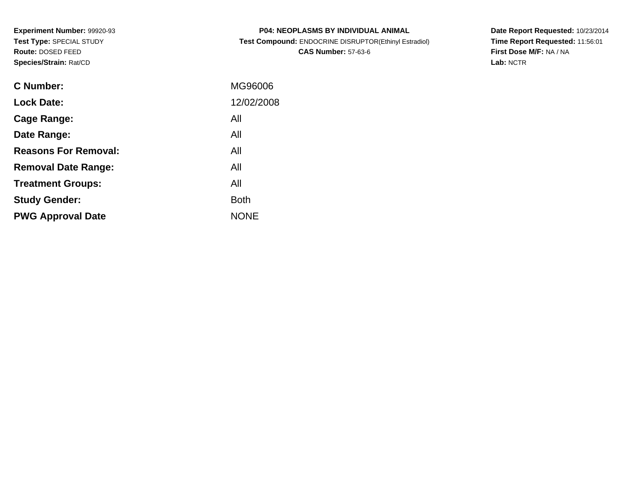**Experiment Number:** 99920-93**Test Type:** SPECIAL STUDY**Route:** DOSED FEED**Species/Strain:** Rat/CD

| <b>P04: NEOPLASMS BY INDIVIDUAL ANIMAL</b>            |
|-------------------------------------------------------|
| Test Compound: ENDOCRINE DISRUPTOR(Ethinyl Estradiol) |
| <b>CAS Number: 57-63-6</b>                            |

**Date Report Requested:** 10/23/2014 **Time Report Requested:** 11:56:01**First Dose M/F:** NA / NA**Lab:** NCTR

| C Number:                   | MG96006     |
|-----------------------------|-------------|
| <b>Lock Date:</b>           | 12/02/2008  |
| Cage Range:                 | All         |
| Date Range:                 | All         |
| <b>Reasons For Removal:</b> | All         |
| <b>Removal Date Range:</b>  | All         |
| <b>Treatment Groups:</b>    | All         |
| <b>Study Gender:</b>        | <b>Both</b> |
| <b>PWG Approval Date</b>    | <b>NONE</b> |
|                             |             |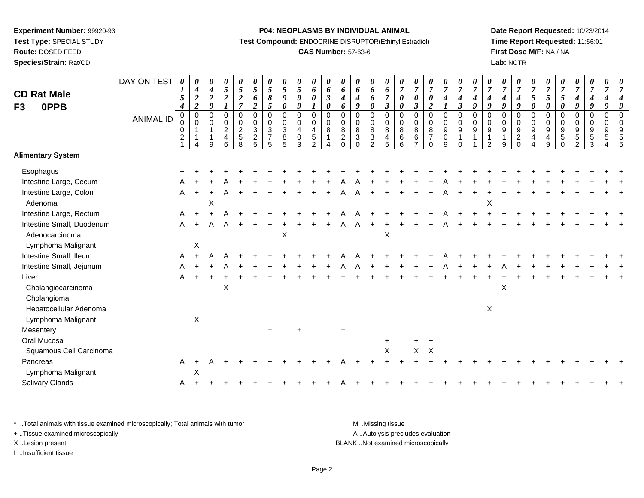**Route:** DOSED FEED

**Species/Strain:** Rat/CD

#### **P04: NEOPLASMS BY INDIVIDUAL ANIMAL**

**Test Compound:** ENDOCRINE DISRUPTOR(Ethinyl Estradiol)

# **CAS Number:** 57-63-6

**Date Report Requested:** 10/23/2014**Time Report Requested:** 11:56:01**First Dose M/F:** NA / NA**Lab:** NCTR

| <b>CD Rat Male</b><br><b>OPPB</b><br>F <sub>3</sub> | DAY ON TEST<br><b>ANIMAL ID</b> | 0<br>1<br>5<br>$\boldsymbol{4}$<br>0<br>$\pmb{0}$<br>$\pmb{0}$ | 0<br>$\boldsymbol{4}$<br>$\boldsymbol{2}$<br>$\overline{2}$<br>$\pmb{0}$<br>$\mathbf 0$<br>$\mathbf 1$ | $\boldsymbol{\theta}$<br>$\boldsymbol{4}$<br>$\boldsymbol{2}$<br>9<br>$\overline{0}$<br>$\overline{0}$<br>$\mathbf{1}$ | $\frac{\theta}{5}$<br>$\boldsymbol{2}$<br>0<br>$\mathbf 0$<br>$\overline{c}$ | $\frac{\theta}{5}$<br>$\frac{2}{7}$<br>0<br>$\boldsymbol{0}$<br>$\frac{2}{5}$ | $\frac{\theta}{5}$<br>6<br>$\overline{2}$<br>$\mathbf 0$<br>$\pmb{0}$<br>$\ensuremath{\mathsf{3}}$ | 0<br>$\sqrt{5}$<br>$\pmb{8}$<br>5<br>$\mathbf 0$<br>$\mathsf 0$<br>$\ensuremath{\mathsf{3}}$ | $\frac{\theta}{5}$<br>$\boldsymbol{g}$<br>$\pmb{\theta}$<br>$\pmb{0}$<br>$\pmb{0}$<br>$\sqrt{3}$ | $\frac{\theta}{5}$<br>$\boldsymbol{g}$<br>$\boldsymbol{g}$<br>$\pmb{0}$<br>$\mathbf 0$<br>$\overline{\mathbf{4}}$ | 0<br>6<br>$\pmb{\theta}$<br>$\boldsymbol{l}$<br>$\overline{0}$<br>$\mathbf 0$<br>4 | 0<br>$\boldsymbol{\delta}$<br>$\boldsymbol{\beta}$<br>$\boldsymbol{\theta}$<br>$\mathbf 0$<br>$\pmb{0}$<br>$\bf 8$ | 0<br>6<br>$\boldsymbol{4}$<br>6<br>$\mathbf 0$<br>$\mathbf 0$<br>$\bf 8$ | 0<br>6<br>4<br>9<br>$\Omega$<br>$\mathbf 0$<br>$\bf 8$ | $\boldsymbol{\theta}$<br>$\pmb{6}$<br>6<br>$\boldsymbol{\theta}$<br>0<br>$\mathsf{O}\xspace$<br>$\,8\,$ | 0<br>$\boldsymbol{6}$<br>$\overline{7}$<br>$\mathfrak{z}$<br>$\mathbf 0$<br>$\pmb{0}$<br>8 | $\boldsymbol{\theta}$<br>$\overline{7}$<br>$\boldsymbol{\theta}$<br>$\boldsymbol{\theta}$<br>$\overline{0}$<br>$\mathbf 0$<br>8 | 0<br>$\boldsymbol{7}$<br>0<br>$\mathfrak{z}$<br>0<br>$\mathbf 0$<br>8 | $\frac{\boldsymbol{\theta}}{\boldsymbol{7}}$<br>0<br>$\overline{2}$<br>$\mathbf 0$<br>$\mathbf 0$<br>8 | $\frac{\boldsymbol{\theta}}{\boldsymbol{7}}$<br>$\boldsymbol{4}$<br>$\mathbf{I}$<br>0<br>$\mathsf{O}\xspace$<br>9 | $\frac{\boldsymbol{\theta}}{\boldsymbol{7}}$<br>$\boldsymbol{4}$<br>$\mathfrak{z}$<br>$\pmb{0}$<br>$\pmb{0}$<br>$\boldsymbol{9}$ | $\frac{\boldsymbol{\theta}}{\boldsymbol{7}}$<br>$\boldsymbol{4}$<br>$\boldsymbol{g}$<br>$\mathbf 0$<br>$\mathsf{O}\xspace$<br>$\boldsymbol{9}$ | $\boldsymbol{\theta}$<br>$\overline{7}$<br>$\boldsymbol{4}$<br>$\boldsymbol{g}$<br>$\mathbf 0$<br>$\mathbf 0$<br>$\boldsymbol{9}$ | $\frac{\theta}{7}$<br>4<br>9<br>0<br>$\mathbf 0$<br>9 | $\frac{\boldsymbol{\theta}}{\boldsymbol{7}}$<br>$\boldsymbol{4}$<br>$\boldsymbol{g}$<br>$\mathbf 0$<br>$\pmb{0}$<br>$\boldsymbol{9}$ | $\frac{\boldsymbol{\theta}}{\boldsymbol{7}}$<br>5<br>$\boldsymbol{\theta}$<br>$\mathbf 0$<br>$\mathbf 0$<br>9 | 0<br>$\boldsymbol{7}$<br>$\mathfrak{s}$<br>0<br>0<br>$\mathbf 0$<br>9 | $\frac{\boldsymbol{0}}{7}$<br>$\mathfrak{s}$<br>$\pmb{\theta}$<br>0<br>$\mathsf{O}\xspace$<br>$\boldsymbol{9}$ | $\frac{\boldsymbol{\theta}}{\boldsymbol{7}}$<br>$\boldsymbol{4}$<br>$\boldsymbol{g}$<br>0<br>$\mathsf{O}$<br>9 | 0<br>$\overline{7}$<br>$\boldsymbol{4}$<br>$\boldsymbol{g}$<br>$\pmb{0}$<br>$\mathbf 0$<br>9 | 0<br>$\boldsymbol{7}$<br>4<br>9<br>0<br>$\mathbf 0$<br>9 | 0<br>$\overline{7}$<br>q<br>$\Omega$<br>$\mathbf 0$<br>9 |
|-----------------------------------------------------|---------------------------------|----------------------------------------------------------------|--------------------------------------------------------------------------------------------------------|------------------------------------------------------------------------------------------------------------------------|------------------------------------------------------------------------------|-------------------------------------------------------------------------------|----------------------------------------------------------------------------------------------------|----------------------------------------------------------------------------------------------|--------------------------------------------------------------------------------------------------|-------------------------------------------------------------------------------------------------------------------|------------------------------------------------------------------------------------|--------------------------------------------------------------------------------------------------------------------|--------------------------------------------------------------------------|--------------------------------------------------------|---------------------------------------------------------------------------------------------------------|--------------------------------------------------------------------------------------------|---------------------------------------------------------------------------------------------------------------------------------|-----------------------------------------------------------------------|--------------------------------------------------------------------------------------------------------|-------------------------------------------------------------------------------------------------------------------|----------------------------------------------------------------------------------------------------------------------------------|------------------------------------------------------------------------------------------------------------------------------------------------|-----------------------------------------------------------------------------------------------------------------------------------|-------------------------------------------------------|--------------------------------------------------------------------------------------------------------------------------------------|---------------------------------------------------------------------------------------------------------------|-----------------------------------------------------------------------|----------------------------------------------------------------------------------------------------------------|----------------------------------------------------------------------------------------------------------------|----------------------------------------------------------------------------------------------|----------------------------------------------------------|----------------------------------------------------------|
|                                                     |                                 | $\sqrt{2}$                                                     |                                                                                                        | $\mathbf 1$<br>$\mathsf{Q}$                                                                                            | $\overline{\mathbf{4}}$<br>6                                                 | 8                                                                             | $\frac{2}{5}$                                                                                      | $\overline{7}$<br>5                                                                          | $\frac{8}{5}$                                                                                    | $\pmb{0}$<br>3                                                                                                    | $\mathbf 5$<br>$\mathfrak{p}$                                                      | 4                                                                                                                  | $\sqrt{2}$<br>$\Omega$                                                   | $\sqrt{3}$<br>$\Omega$                                 | $\ensuremath{\mathsf{3}}$<br>$\overline{2}$                                                             | $\frac{4}{5}$                                                                              | $\,6\,$<br>6                                                                                                                    | $\,6$<br>$\overline{ }$                                               | $\overline{7}$<br>$\Omega$                                                                             | $_{9}^{\rm 0}$                                                                                                    | 1<br>$\Omega$                                                                                                                    | $\overline{\mathbf{1}}$                                                                                                                        | $\mathbf{1}$<br>$\mathcal{P}$                                                                                                     | 9                                                     | $\overline{a}$<br>$\Omega$                                                                                                           | $\overline{4}$<br>4                                                                                           | $\begin{array}{c} 4 \\ 9 \end{array}$                                 | $\,$ 5 $\,$<br>$\Omega$                                                                                        | $\mathbf 5$<br>$\mathfrak{p}$                                                                                  | 5<br>3                                                                                       | 5                                                        |                                                          |
| <b>Alimentary System</b>                            |                                 |                                                                |                                                                                                        |                                                                                                                        |                                                                              |                                                                               |                                                                                                    |                                                                                              |                                                                                                  |                                                                                                                   |                                                                                    |                                                                                                                    |                                                                          |                                                        |                                                                                                         |                                                                                            |                                                                                                                                 |                                                                       |                                                                                                        |                                                                                                                   |                                                                                                                                  |                                                                                                                                                |                                                                                                                                   |                                                       |                                                                                                                                      |                                                                                                               |                                                                       |                                                                                                                |                                                                                                                |                                                                                              |                                                          |                                                          |
| Esophagus                                           |                                 |                                                                |                                                                                                        |                                                                                                                        |                                                                              |                                                                               |                                                                                                    |                                                                                              |                                                                                                  |                                                                                                                   |                                                                                    |                                                                                                                    |                                                                          |                                                        |                                                                                                         |                                                                                            |                                                                                                                                 |                                                                       |                                                                                                        |                                                                                                                   |                                                                                                                                  |                                                                                                                                                |                                                                                                                                   |                                                       |                                                                                                                                      |                                                                                                               |                                                                       |                                                                                                                |                                                                                                                |                                                                                              |                                                          |                                                          |
| Intestine Large, Cecum                              |                                 |                                                                |                                                                                                        |                                                                                                                        |                                                                              |                                                                               |                                                                                                    |                                                                                              |                                                                                                  |                                                                                                                   |                                                                                    |                                                                                                                    |                                                                          |                                                        |                                                                                                         |                                                                                            |                                                                                                                                 |                                                                       |                                                                                                        |                                                                                                                   |                                                                                                                                  |                                                                                                                                                |                                                                                                                                   |                                                       |                                                                                                                                      |                                                                                                               |                                                                       |                                                                                                                |                                                                                                                |                                                                                              |                                                          |                                                          |
| Intestine Large, Colon                              |                                 | A                                                              |                                                                                                        |                                                                                                                        |                                                                              |                                                                               |                                                                                                    |                                                                                              |                                                                                                  |                                                                                                                   |                                                                                    |                                                                                                                    |                                                                          |                                                        |                                                                                                         |                                                                                            |                                                                                                                                 |                                                                       |                                                                                                        |                                                                                                                   |                                                                                                                                  |                                                                                                                                                |                                                                                                                                   |                                                       |                                                                                                                                      |                                                                                                               |                                                                       |                                                                                                                |                                                                                                                |                                                                                              |                                                          |                                                          |
| Adenoma                                             |                                 |                                                                |                                                                                                        | Х                                                                                                                      |                                                                              |                                                                               |                                                                                                    |                                                                                              |                                                                                                  |                                                                                                                   |                                                                                    |                                                                                                                    |                                                                          |                                                        |                                                                                                         |                                                                                            |                                                                                                                                 |                                                                       |                                                                                                        |                                                                                                                   |                                                                                                                                  |                                                                                                                                                | X                                                                                                                                 |                                                       |                                                                                                                                      |                                                                                                               |                                                                       |                                                                                                                |                                                                                                                |                                                                                              |                                                          |                                                          |
| Intestine Large, Rectum                             |                                 | A                                                              |                                                                                                        |                                                                                                                        |                                                                              |                                                                               |                                                                                                    |                                                                                              |                                                                                                  |                                                                                                                   |                                                                                    |                                                                                                                    |                                                                          |                                                        |                                                                                                         |                                                                                            |                                                                                                                                 |                                                                       |                                                                                                        |                                                                                                                   |                                                                                                                                  |                                                                                                                                                |                                                                                                                                   |                                                       |                                                                                                                                      |                                                                                                               |                                                                       |                                                                                                                |                                                                                                                |                                                                                              |                                                          |                                                          |
| Intestine Small, Duodenum                           |                                 | Α                                                              |                                                                                                        | А                                                                                                                      |                                                                              |                                                                               |                                                                                                    |                                                                                              |                                                                                                  |                                                                                                                   |                                                                                    |                                                                                                                    |                                                                          |                                                        |                                                                                                         |                                                                                            |                                                                                                                                 |                                                                       |                                                                                                        |                                                                                                                   |                                                                                                                                  |                                                                                                                                                |                                                                                                                                   |                                                       |                                                                                                                                      |                                                                                                               |                                                                       |                                                                                                                |                                                                                                                |                                                                                              |                                                          |                                                          |
| Adenocarcinoma                                      |                                 |                                                                |                                                                                                        |                                                                                                                        |                                                                              |                                                                               |                                                                                                    |                                                                                              | $\boldsymbol{\mathsf{X}}$                                                                        |                                                                                                                   |                                                                                    |                                                                                                                    |                                                                          |                                                        |                                                                                                         | X                                                                                          |                                                                                                                                 |                                                                       |                                                                                                        |                                                                                                                   |                                                                                                                                  |                                                                                                                                                |                                                                                                                                   |                                                       |                                                                                                                                      |                                                                                                               |                                                                       |                                                                                                                |                                                                                                                |                                                                                              |                                                          |                                                          |
| Lymphoma Malignant                                  |                                 |                                                                | X                                                                                                      |                                                                                                                        |                                                                              |                                                                               |                                                                                                    |                                                                                              |                                                                                                  |                                                                                                                   |                                                                                    |                                                                                                                    |                                                                          |                                                        |                                                                                                         |                                                                                            |                                                                                                                                 |                                                                       |                                                                                                        |                                                                                                                   |                                                                                                                                  |                                                                                                                                                |                                                                                                                                   |                                                       |                                                                                                                                      |                                                                                                               |                                                                       |                                                                                                                |                                                                                                                |                                                                                              |                                                          |                                                          |
| Intestine Small, Ileum                              |                                 | A                                                              |                                                                                                        |                                                                                                                        |                                                                              |                                                                               |                                                                                                    |                                                                                              |                                                                                                  |                                                                                                                   |                                                                                    |                                                                                                                    |                                                                          |                                                        |                                                                                                         |                                                                                            |                                                                                                                                 |                                                                       |                                                                                                        |                                                                                                                   |                                                                                                                                  |                                                                                                                                                |                                                                                                                                   |                                                       |                                                                                                                                      |                                                                                                               |                                                                       |                                                                                                                |                                                                                                                |                                                                                              |                                                          |                                                          |
| Intestine Small, Jejunum                            |                                 |                                                                |                                                                                                        |                                                                                                                        |                                                                              |                                                                               |                                                                                                    |                                                                                              |                                                                                                  |                                                                                                                   |                                                                                    |                                                                                                                    |                                                                          |                                                        |                                                                                                         |                                                                                            |                                                                                                                                 |                                                                       |                                                                                                        |                                                                                                                   |                                                                                                                                  |                                                                                                                                                |                                                                                                                                   |                                                       |                                                                                                                                      |                                                                                                               |                                                                       |                                                                                                                |                                                                                                                |                                                                                              |                                                          |                                                          |
| Liver                                               |                                 | A                                                              |                                                                                                        |                                                                                                                        |                                                                              |                                                                               |                                                                                                    |                                                                                              |                                                                                                  |                                                                                                                   |                                                                                    |                                                                                                                    |                                                                          |                                                        |                                                                                                         |                                                                                            |                                                                                                                                 |                                                                       |                                                                                                        |                                                                                                                   |                                                                                                                                  |                                                                                                                                                |                                                                                                                                   |                                                       |                                                                                                                                      |                                                                                                               |                                                                       |                                                                                                                |                                                                                                                |                                                                                              |                                                          |                                                          |
| Cholangiocarcinoma                                  |                                 |                                                                |                                                                                                        |                                                                                                                        | X                                                                            |                                                                               |                                                                                                    |                                                                                              |                                                                                                  |                                                                                                                   |                                                                                    |                                                                                                                    |                                                                          |                                                        |                                                                                                         |                                                                                            |                                                                                                                                 |                                                                       |                                                                                                        |                                                                                                                   |                                                                                                                                  |                                                                                                                                                |                                                                                                                                   | X                                                     |                                                                                                                                      |                                                                                                               |                                                                       |                                                                                                                |                                                                                                                |                                                                                              |                                                          |                                                          |
| Cholangioma                                         |                                 |                                                                |                                                                                                        |                                                                                                                        |                                                                              |                                                                               |                                                                                                    |                                                                                              |                                                                                                  |                                                                                                                   |                                                                                    |                                                                                                                    |                                                                          |                                                        |                                                                                                         |                                                                                            |                                                                                                                                 |                                                                       |                                                                                                        |                                                                                                                   |                                                                                                                                  |                                                                                                                                                |                                                                                                                                   |                                                       |                                                                                                                                      |                                                                                                               |                                                                       |                                                                                                                |                                                                                                                |                                                                                              |                                                          |                                                          |
| Hepatocellular Adenoma                              |                                 |                                                                |                                                                                                        |                                                                                                                        |                                                                              |                                                                               |                                                                                                    |                                                                                              |                                                                                                  |                                                                                                                   |                                                                                    |                                                                                                                    |                                                                          |                                                        |                                                                                                         |                                                                                            |                                                                                                                                 |                                                                       |                                                                                                        |                                                                                                                   |                                                                                                                                  |                                                                                                                                                | $\mathsf X$                                                                                                                       |                                                       |                                                                                                                                      |                                                                                                               |                                                                       |                                                                                                                |                                                                                                                |                                                                                              |                                                          |                                                          |
| Lymphoma Malignant                                  |                                 |                                                                | X                                                                                                      |                                                                                                                        |                                                                              |                                                                               |                                                                                                    |                                                                                              |                                                                                                  |                                                                                                                   |                                                                                    |                                                                                                                    |                                                                          |                                                        |                                                                                                         |                                                                                            |                                                                                                                                 |                                                                       |                                                                                                        |                                                                                                                   |                                                                                                                                  |                                                                                                                                                |                                                                                                                                   |                                                       |                                                                                                                                      |                                                                                                               |                                                                       |                                                                                                                |                                                                                                                |                                                                                              |                                                          |                                                          |
| Mesentery                                           |                                 |                                                                |                                                                                                        |                                                                                                                        |                                                                              |                                                                               |                                                                                                    | $\ddot{}$                                                                                    |                                                                                                  |                                                                                                                   |                                                                                    |                                                                                                                    | $\ddot{}$                                                                |                                                        |                                                                                                         |                                                                                            |                                                                                                                                 |                                                                       |                                                                                                        |                                                                                                                   |                                                                                                                                  |                                                                                                                                                |                                                                                                                                   |                                                       |                                                                                                                                      |                                                                                                               |                                                                       |                                                                                                                |                                                                                                                |                                                                                              |                                                          |                                                          |
| Oral Mucosa                                         |                                 |                                                                |                                                                                                        |                                                                                                                        |                                                                              |                                                                               |                                                                                                    |                                                                                              |                                                                                                  |                                                                                                                   |                                                                                    |                                                                                                                    |                                                                          |                                                        |                                                                                                         | $\ddot{}$                                                                                  |                                                                                                                                 |                                                                       | $\ddot{}$                                                                                              |                                                                                                                   |                                                                                                                                  |                                                                                                                                                |                                                                                                                                   |                                                       |                                                                                                                                      |                                                                                                               |                                                                       |                                                                                                                |                                                                                                                |                                                                                              |                                                          |                                                          |
| Squamous Cell Carcinoma                             |                                 |                                                                |                                                                                                        |                                                                                                                        |                                                                              |                                                                               |                                                                                                    |                                                                                              |                                                                                                  |                                                                                                                   |                                                                                    |                                                                                                                    |                                                                          |                                                        |                                                                                                         | X                                                                                          |                                                                                                                                 | X                                                                     | X                                                                                                      |                                                                                                                   |                                                                                                                                  |                                                                                                                                                |                                                                                                                                   |                                                       |                                                                                                                                      |                                                                                                               |                                                                       |                                                                                                                |                                                                                                                |                                                                                              |                                                          |                                                          |
| Pancreas                                            |                                 | A                                                              | $\ddot{}$                                                                                              |                                                                                                                        |                                                                              |                                                                               |                                                                                                    |                                                                                              |                                                                                                  |                                                                                                                   |                                                                                    |                                                                                                                    |                                                                          |                                                        |                                                                                                         |                                                                                            |                                                                                                                                 |                                                                       |                                                                                                        |                                                                                                                   |                                                                                                                                  |                                                                                                                                                |                                                                                                                                   |                                                       |                                                                                                                                      |                                                                                                               |                                                                       |                                                                                                                |                                                                                                                |                                                                                              |                                                          |                                                          |
| Lymphoma Malignant                                  |                                 |                                                                | X                                                                                                      |                                                                                                                        |                                                                              |                                                                               |                                                                                                    |                                                                                              |                                                                                                  |                                                                                                                   |                                                                                    |                                                                                                                    |                                                                          |                                                        |                                                                                                         |                                                                                            |                                                                                                                                 |                                                                       |                                                                                                        |                                                                                                                   |                                                                                                                                  |                                                                                                                                                |                                                                                                                                   |                                                       |                                                                                                                                      |                                                                                                               |                                                                       |                                                                                                                |                                                                                                                |                                                                                              |                                                          |                                                          |
| Salivary Glands                                     |                                 | Α                                                              |                                                                                                        |                                                                                                                        |                                                                              |                                                                               |                                                                                                    |                                                                                              |                                                                                                  |                                                                                                                   |                                                                                    |                                                                                                                    |                                                                          |                                                        |                                                                                                         |                                                                                            |                                                                                                                                 |                                                                       |                                                                                                        |                                                                                                                   |                                                                                                                                  |                                                                                                                                                |                                                                                                                                   |                                                       |                                                                                                                                      |                                                                                                               |                                                                       |                                                                                                                |                                                                                                                |                                                                                              |                                                          |                                                          |

\* ..Total animals with tissue examined microscopically; Total animals with tumor **M** . Missing tissue M ..Missing tissue + ..Tissue examined microscopically

I ..Insufficient tissue

A ..Autolysis precludes evaluation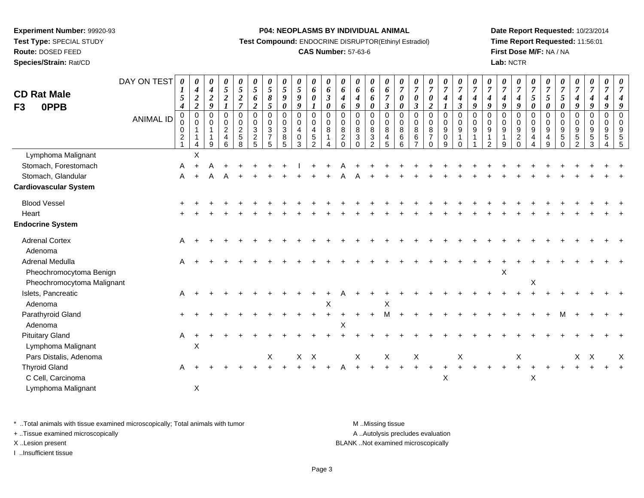**Test Type:** SPECIAL STUDY

**Route:** DOSED FEED

**Species/Strain:** Rat/CD

#### **P04: NEOPLASMS BY INDIVIDUAL ANIMAL**

**Test Compound:** ENDOCRINE DISRUPTOR(Ethinyl Estradiol)

# **CAS Number:** 57-63-6

**Date Report Requested:** 10/23/2014**Time Report Requested:** 11:56:01**First Dose M/F:** NA / NA**Lab:** NCTR

| <b>CD Rat Male</b>                                                       | DAY ON TEST      | 0<br>5                                                                              | $\boldsymbol{\theta}$<br>$\boldsymbol{4}$<br>$\boldsymbol{2}$ | 0<br>$\boldsymbol{4}$<br>$\boldsymbol{2}$ | $\boldsymbol{\theta}$<br>$\sqrt{5}$<br>$\boldsymbol{2}$          | $\frac{\theta}{5}$<br>$\frac{2}{7}$                               | 0<br>$\overline{5}$<br>6                                         | 0<br>$\overline{5}$<br>8                                | 0<br>5<br>9                                     | 0<br>$\mathfrak{s}$<br>9                       | $\boldsymbol{\theta}$<br>$\boldsymbol{6}$<br>$\boldsymbol{\theta}$                      | 0<br>6<br>$\mathfrak{z}$     | $\boldsymbol{\theta}$<br>6<br>$\boldsymbol{4}$                  | 0<br>6<br>$\boldsymbol{4}$                    | 0<br>6<br>6                                                   | $\boldsymbol{\theta}$<br>6<br>$\overline{7}$                                 | $\boldsymbol{\theta}$<br>$\overline{7}$<br>$\boldsymbol{\theta}$ | $\boldsymbol{\theta}$<br>$\overline{7}$<br>$\boldsymbol{\theta}$                         | $\boldsymbol{\theta}$<br>$\boldsymbol{7}$<br>$\boldsymbol{\theta}$ | $\boldsymbol{\theta}$<br>$\boldsymbol{7}$<br>$\boldsymbol{4}$                     | $\frac{\boldsymbol{\theta}}{\boldsymbol{7}}$<br>$\boldsymbol{4}$ | $\overline{7}$<br>$\boldsymbol{4}$                       | $\overline{7}$<br>4                                      | 0<br>$\overline{7}$<br>$\boldsymbol{4}$ | $\boldsymbol{\theta}$<br>$\overline{7}$<br>$\boldsymbol{4}$     | $\boldsymbol{\theta}$<br>$\overline{7}$<br>5                               | $\overline{7}$<br>5                                   | $\boldsymbol{\theta}$<br>$\overline{7}$<br>5            | 0<br>$\boldsymbol{7}$<br>$\boldsymbol{4}$                                            | 0<br>$\overline{7}$<br>$\boldsymbol{4}$                            | 0<br>$\overline{7}$<br>$\boldsymbol{4}$       | 0<br>$\overline{7}$                          |
|--------------------------------------------------------------------------|------------------|-------------------------------------------------------------------------------------|---------------------------------------------------------------|-------------------------------------------|------------------------------------------------------------------|-------------------------------------------------------------------|------------------------------------------------------------------|---------------------------------------------------------|-------------------------------------------------|------------------------------------------------|-----------------------------------------------------------------------------------------|------------------------------|-----------------------------------------------------------------|-----------------------------------------------|---------------------------------------------------------------|------------------------------------------------------------------------------|------------------------------------------------------------------|------------------------------------------------------------------------------------------|--------------------------------------------------------------------|-----------------------------------------------------------------------------------|------------------------------------------------------------------|----------------------------------------------------------|----------------------------------------------------------|-----------------------------------------|-----------------------------------------------------------------|----------------------------------------------------------------------------|-------------------------------------------------------|---------------------------------------------------------|--------------------------------------------------------------------------------------|--------------------------------------------------------------------|-----------------------------------------------|----------------------------------------------|
| 0PPB<br>F <sub>3</sub>                                                   | <b>ANIMAL ID</b> | $\boldsymbol{4}$<br>$\mathbf 0$<br>$\pmb{0}$<br>0<br>$\overline{c}$<br>$\mathbf{1}$ | $\boldsymbol{2}$<br>$\Omega$<br>0<br>$\overline{4}$           | 9<br>$\mathbf 0$<br>$\pmb{0}$<br>9        | $\boldsymbol{l}$<br>$\mathbf 0$<br>0<br>$\overline{c}$<br>4<br>6 | $\mathbf 0$<br>$\pmb{0}$<br>$\overline{c}$<br>$\overline{5}$<br>8 | $\boldsymbol{2}$<br>$\Omega$<br>0<br>$\mathbf{3}$<br>$rac{2}{5}$ | 5<br>$\mathbf 0$<br>$\pmb{0}$<br>$\mathbf{3}$<br>7<br>5 | 0<br>$\mathbf 0$<br>0<br>$\mathbf{3}$<br>8<br>5 | 9<br>$\Omega$<br>0<br>$\overline{4}$<br>0<br>3 | $\boldsymbol{\mathit{1}}$<br>$\Omega$<br>$\pmb{0}$<br>4<br>$\sqrt{5}$<br>$\overline{2}$ | 0<br>$\Omega$<br>0<br>8<br>4 | 6<br>$\Omega$<br>$\mathbf 0$<br>8<br>$\overline{c}$<br>$\Omega$ | 9<br>$\Omega$<br>0<br>$\bf8$<br>3<br>$\Omega$ | 0<br>$\Omega$<br>0<br>$\,8\,$<br>$\sqrt{3}$<br>$\mathfrak{p}$ | $\boldsymbol{\beta}$<br>$\mathbf 0$<br>$\pmb{0}$<br>8<br>$\overline{4}$<br>5 | 0<br>$\Omega$<br>0<br>8<br>$\,6\,$<br>6                          | $\boldsymbol{\beta}$<br>$\mathbf 0$<br>$\mathbf 0$<br>$\,8\,$<br>$\,6$<br>$\overline{ }$ | $\overline{a}$<br>0<br>0<br>$\bf8$<br>$\overline{7}$<br>$\Omega$   | $\boldsymbol{l}$<br>$\Omega$<br>$\pmb{0}$<br>$\boldsymbol{9}$<br>$\mathbf 0$<br>9 | $\mathbf{3}$<br>$\Omega$<br>0<br>$\boldsymbol{9}$<br>$\Omega$    | 9<br>$\Omega$<br>0<br>$\boldsymbol{9}$<br>$\overline{1}$ | 9<br>$\Omega$<br>0<br>$\boldsymbol{9}$<br>$\mathfrak{p}$ | 9<br>$\Omega$<br>0<br>9<br>9            | 9<br>$\Omega$<br>$\mathbf 0$<br>$9\,$<br>$\sqrt{2}$<br>$\Omega$ | $\boldsymbol{\theta}$<br>$\Omega$<br>0<br>9<br>4<br>$\boldsymbol{\Lambda}$ | $\boldsymbol{\theta}$<br>$\Omega$<br>0<br>9<br>4<br>9 | 0<br>$\Omega$<br>0<br>$\boldsymbol{9}$<br>5<br>$\Omega$ | 9<br>$\mathbf 0$<br>$\mathbf 0$<br>$\boldsymbol{9}$<br>$\,$ 5 $\,$<br>$\overline{2}$ | 9<br>$\Omega$<br>$\pmb{0}$<br>$\boldsymbol{9}$<br>$\,$ 5 $\,$<br>3 | 9<br>$\mathbf 0$<br>0<br>9<br>$\sqrt{5}$<br>4 | 9<br>$\Omega$<br>$\mathbf 0$<br>9<br>5<br>-5 |
| Lymphoma Malignant                                                       |                  |                                                                                     | $\sf X$                                                       |                                           |                                                                  |                                                                   |                                                                  |                                                         |                                                 |                                                |                                                                                         |                              |                                                                 |                                               |                                                               |                                                                              |                                                                  |                                                                                          |                                                                    |                                                                                   |                                                                  |                                                          |                                                          |                                         |                                                                 |                                                                            |                                                       |                                                         |                                                                                      |                                                                    |                                               |                                              |
| Stomach, Forestomach                                                     |                  | A                                                                                   |                                                               |                                           |                                                                  |                                                                   |                                                                  |                                                         |                                                 |                                                |                                                                                         |                              |                                                                 |                                               |                                                               |                                                                              |                                                                  |                                                                                          |                                                                    |                                                                                   |                                                                  |                                                          |                                                          |                                         |                                                                 |                                                                            |                                                       |                                                         |                                                                                      |                                                                    |                                               |                                              |
| Stomach, Glandular                                                       |                  | A                                                                                   | $+$                                                           | A                                         | A                                                                |                                                                   |                                                                  |                                                         |                                                 |                                                |                                                                                         |                              |                                                                 |                                               |                                                               |                                                                              |                                                                  |                                                                                          |                                                                    |                                                                                   |                                                                  |                                                          |                                                          |                                         |                                                                 |                                                                            |                                                       |                                                         |                                                                                      |                                                                    |                                               |                                              |
| <b>Cardiovascular System</b>                                             |                  |                                                                                     |                                                               |                                           |                                                                  |                                                                   |                                                                  |                                                         |                                                 |                                                |                                                                                         |                              |                                                                 |                                               |                                                               |                                                                              |                                                                  |                                                                                          |                                                                    |                                                                                   |                                                                  |                                                          |                                                          |                                         |                                                                 |                                                                            |                                                       |                                                         |                                                                                      |                                                                    |                                               |                                              |
| <b>Blood Vessel</b>                                                      |                  |                                                                                     |                                                               |                                           |                                                                  |                                                                   |                                                                  |                                                         |                                                 |                                                |                                                                                         |                              |                                                                 |                                               |                                                               |                                                                              |                                                                  |                                                                                          |                                                                    |                                                                                   |                                                                  |                                                          |                                                          |                                         |                                                                 |                                                                            |                                                       |                                                         |                                                                                      |                                                                    |                                               |                                              |
| Heart                                                                    |                  |                                                                                     |                                                               |                                           |                                                                  |                                                                   |                                                                  |                                                         |                                                 |                                                |                                                                                         |                              |                                                                 |                                               |                                                               |                                                                              |                                                                  |                                                                                          |                                                                    |                                                                                   |                                                                  |                                                          |                                                          |                                         |                                                                 |                                                                            |                                                       |                                                         |                                                                                      |                                                                    |                                               |                                              |
| <b>Endocrine System</b>                                                  |                  |                                                                                     |                                                               |                                           |                                                                  |                                                                   |                                                                  |                                                         |                                                 |                                                |                                                                                         |                              |                                                                 |                                               |                                                               |                                                                              |                                                                  |                                                                                          |                                                                    |                                                                                   |                                                                  |                                                          |                                                          |                                         |                                                                 |                                                                            |                                                       |                                                         |                                                                                      |                                                                    |                                               |                                              |
| <b>Adrenal Cortex</b><br>Adenoma                                         |                  | A                                                                                   |                                                               |                                           |                                                                  |                                                                   |                                                                  |                                                         |                                                 |                                                |                                                                                         |                              |                                                                 |                                               |                                                               |                                                                              |                                                                  |                                                                                          |                                                                    |                                                                                   |                                                                  |                                                          |                                                          |                                         |                                                                 |                                                                            |                                                       |                                                         |                                                                                      |                                                                    |                                               |                                              |
| Adrenal Medulla<br>Pheochromocytoma Benign<br>Pheochromocytoma Malignant |                  | Α                                                                                   |                                                               |                                           |                                                                  |                                                                   |                                                                  |                                                         |                                                 |                                                |                                                                                         |                              |                                                                 |                                               |                                                               |                                                                              |                                                                  |                                                                                          |                                                                    |                                                                                   |                                                                  |                                                          |                                                          | $\mathsf{X}$                            |                                                                 | X                                                                          |                                                       |                                                         |                                                                                      |                                                                    |                                               |                                              |
| Islets, Pancreatic                                                       |                  | A                                                                                   |                                                               |                                           |                                                                  |                                                                   |                                                                  |                                                         |                                                 |                                                |                                                                                         |                              |                                                                 |                                               |                                                               |                                                                              |                                                                  |                                                                                          |                                                                    |                                                                                   |                                                                  |                                                          |                                                          |                                         |                                                                 |                                                                            |                                                       |                                                         |                                                                                      |                                                                    |                                               |                                              |
| Adenoma                                                                  |                  |                                                                                     |                                                               |                                           |                                                                  |                                                                   |                                                                  |                                                         |                                                 |                                                |                                                                                         | $\mathsf X$                  |                                                                 |                                               |                                                               | $\pmb{\times}$                                                               |                                                                  |                                                                                          |                                                                    |                                                                                   |                                                                  |                                                          |                                                          |                                         |                                                                 |                                                                            |                                                       |                                                         |                                                                                      |                                                                    |                                               |                                              |
| Parathyroid Gland                                                        |                  |                                                                                     |                                                               |                                           |                                                                  |                                                                   |                                                                  |                                                         |                                                 |                                                |                                                                                         |                              |                                                                 |                                               |                                                               | м                                                                            |                                                                  |                                                                                          |                                                                    |                                                                                   |                                                                  |                                                          |                                                          |                                         |                                                                 |                                                                            |                                                       |                                                         |                                                                                      |                                                                    |                                               |                                              |
| Adenoma                                                                  |                  |                                                                                     |                                                               |                                           |                                                                  |                                                                   |                                                                  |                                                         |                                                 |                                                |                                                                                         |                              | X                                                               |                                               |                                                               |                                                                              |                                                                  |                                                                                          |                                                                    |                                                                                   |                                                                  |                                                          |                                                          |                                         |                                                                 |                                                                            |                                                       |                                                         |                                                                                      |                                                                    |                                               |                                              |
| <b>Pituitary Gland</b>                                                   |                  | A                                                                                   |                                                               |                                           |                                                                  |                                                                   |                                                                  |                                                         |                                                 |                                                |                                                                                         |                              |                                                                 |                                               |                                                               |                                                                              |                                                                  |                                                                                          |                                                                    |                                                                                   |                                                                  |                                                          |                                                          |                                         |                                                                 |                                                                            |                                                       |                                                         |                                                                                      |                                                                    |                                               |                                              |
| Lymphoma Malignant                                                       |                  |                                                                                     | $\pmb{\times}$                                                |                                           |                                                                  |                                                                   |                                                                  |                                                         |                                                 |                                                |                                                                                         |                              |                                                                 |                                               |                                                               |                                                                              |                                                                  |                                                                                          |                                                                    |                                                                                   |                                                                  |                                                          |                                                          |                                         |                                                                 |                                                                            |                                                       |                                                         |                                                                                      |                                                                    |                                               |                                              |
| Pars Distalis, Adenoma                                                   |                  |                                                                                     |                                                               |                                           |                                                                  |                                                                   |                                                                  | X                                                       |                                                 |                                                | $X$ $X$                                                                                 |                              |                                                                 | $\boldsymbol{X}$                              |                                                               | $\sf X$                                                                      |                                                                  | X                                                                                        |                                                                    |                                                                                   | $\mathsf X$                                                      |                                                          |                                                          |                                         | X                                                               |                                                                            |                                                       |                                                         |                                                                                      | $X$ $X$                                                            |                                               | X                                            |
| <b>Thyroid Gland</b>                                                     |                  | A                                                                                   |                                                               |                                           |                                                                  |                                                                   |                                                                  |                                                         |                                                 |                                                |                                                                                         |                              |                                                                 |                                               |                                                               |                                                                              |                                                                  |                                                                                          | $\overline{+}$                                                     |                                                                                   |                                                                  |                                                          |                                                          |                                         |                                                                 |                                                                            |                                                       |                                                         |                                                                                      |                                                                    |                                               |                                              |
| C Cell, Carcinoma                                                        |                  |                                                                                     |                                                               |                                           |                                                                  |                                                                   |                                                                  |                                                         |                                                 |                                                |                                                                                         |                              |                                                                 |                                               |                                                               |                                                                              |                                                                  |                                                                                          |                                                                    | X                                                                                 |                                                                  |                                                          |                                                          |                                         |                                                                 | X                                                                          |                                                       |                                                         |                                                                                      |                                                                    |                                               |                                              |
| Lymphoma Malignant                                                       |                  |                                                                                     | X                                                             |                                           |                                                                  |                                                                   |                                                                  |                                                         |                                                 |                                                |                                                                                         |                              |                                                                 |                                               |                                                               |                                                                              |                                                                  |                                                                                          |                                                                    |                                                                                   |                                                                  |                                                          |                                                          |                                         |                                                                 |                                                                            |                                                       |                                                         |                                                                                      |                                                                    |                                               |                                              |

\* ..Total animals with tissue examined microscopically; Total animals with tumor **M** . Missing tissue M ..Missing tissue

+ ..Tissue examined microscopically

I ..Insufficient tissue

A ..Autolysis precludes evaluation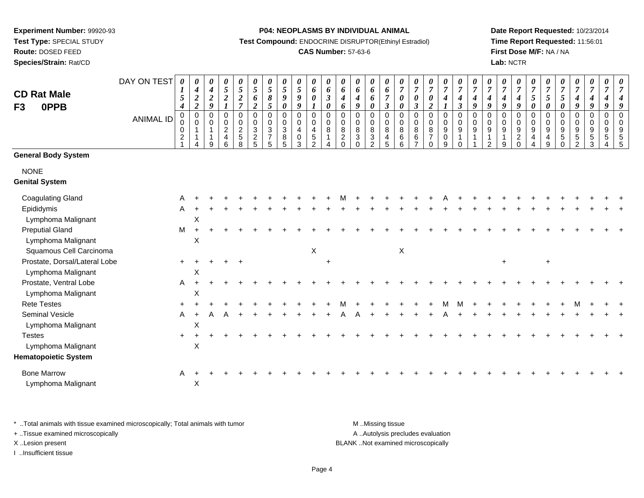**Route:** DOSED FEED

**Species/Strain:** Rat/CD

#### **P04: NEOPLASMS BY INDIVIDUAL ANIMAL**

**Test Compound:** ENDOCRINE DISRUPTOR(Ethinyl Estradiol)

# **CAS Number:** 57-63-6

**Date Report Requested:** 10/23/2014**Time Report Requested:** 11:56:01**First Dose M/F:** NA / NA**Lab:** NCTR

| <b>CD Rat Male</b><br>0PPB<br>F <sub>3</sub>                       | DAY ON TEST<br><b>ANIMAL ID</b> | $\boldsymbol{\theta}$<br>$\boldsymbol{l}$<br>5<br>$\boldsymbol{4}$<br>$\pmb{0}$ | 0<br>$\boldsymbol{4}$<br>$\overline{\mathbf{c}}$<br>$\boldsymbol{2}$<br>$\mathbf 0$ | 0<br>$\boldsymbol{4}$<br>$\boldsymbol{2}$<br>$\boldsymbol{g}$<br>$\mathbf 0$ | 0<br>5<br>$\boldsymbol{2}$<br>$\mathbf 0$ | 0<br>$\sqrt{5}$<br>$\boldsymbol{2}$<br>$\overline{7}$<br>$\pmb{0}$ | 0<br>5<br>6<br>$\boldsymbol{2}$<br>$\pmb{0}$ | 0<br>5<br>8<br>$\mathfrak{s}$<br>$\mathbf 0$            | $\boldsymbol{\theta}$<br>5<br>9<br>$\boldsymbol{\theta}$<br>$\mathbf 0$ | $\boldsymbol{\theta}$<br>5<br>9<br>9<br>$\pmb{0}$ | $\boldsymbol{\theta}$<br>6<br>$\boldsymbol{\theta}$<br>$\boldsymbol{l}$<br>$\mathbf 0$ | 0<br>6<br>$\mathfrak{z}$<br>$\pmb{\theta}$<br>$\mathbf 0$ | 0<br>6<br>$\boldsymbol{4}$<br>6<br>$\mathbf 0$ | $\boldsymbol{\theta}$<br>6<br>$\boldsymbol{4}$<br>$\boldsymbol{q}$<br>$\Omega$ | 0<br>6<br>6<br>0<br>$\Omega$                   | 0<br>6<br>$\overline{7}$<br>$\mathfrak{z}$<br>$\mathbf 0$ | 0<br>$\overline{7}$<br>0<br>0<br>$\Omega$ | $\boldsymbol{\theta}$<br>$\overline{7}$<br>$\boldsymbol{\theta}$<br>$\boldsymbol{\beta}$<br>$\mathbf 0$ | 0<br>$\overline{7}$<br>0<br>$\boldsymbol{2}$<br>$\mathbf 0$ | 0<br>$\overline{7}$<br>$\boldsymbol{4}$<br>$\boldsymbol{l}$<br>$\pmb{0}$ | 0<br>$\overline{7}$<br>$\boldsymbol{4}$<br>$\boldsymbol{\beta}$<br>$\mathbf 0$ | $\boldsymbol{\theta}$<br>$\boldsymbol{7}$<br>$\boldsymbol{4}$<br>9<br>$\mathbf 0$ | $\boldsymbol{\theta}$<br>$\overline{7}$<br>$\boldsymbol{4}$<br>9<br>$\mathbf 0$ | 0<br>$\overline{7}$<br>$\boldsymbol{4}$<br>9<br>$\Omega$ | 0<br>$\overline{7}$<br>$\boldsymbol{4}$<br>9<br>$\Omega$ | $\boldsymbol{\theta}$<br>$\overline{7}$<br>5<br>$\boldsymbol{\theta}$<br>$\mathbf 0$ | $\overline{7}$<br>5<br>0<br>$\mathbf 0$ | $\boldsymbol{\theta}$<br>$\overline{7}$<br>5<br>$\pmb{\theta}$<br>$\Omega$ | 0<br>$\overline{7}$<br>$\boldsymbol{4}$<br>9<br>$\mathbf 0$ | 0<br>$\overline{7}$<br>$\boldsymbol{4}$<br>9<br>$\mathbf 0$ | 0<br>$\overline{7}$<br>4<br>9<br>$\mathbf 0$ | 0<br>$\overline{7}$<br>q<br>$\Omega$             |
|--------------------------------------------------------------------|---------------------------------|---------------------------------------------------------------------------------|-------------------------------------------------------------------------------------|------------------------------------------------------------------------------|-------------------------------------------|--------------------------------------------------------------------|----------------------------------------------|---------------------------------------------------------|-------------------------------------------------------------------------|---------------------------------------------------|----------------------------------------------------------------------------------------|-----------------------------------------------------------|------------------------------------------------|--------------------------------------------------------------------------------|------------------------------------------------|-----------------------------------------------------------|-------------------------------------------|---------------------------------------------------------------------------------------------------------|-------------------------------------------------------------|--------------------------------------------------------------------------|--------------------------------------------------------------------------------|-----------------------------------------------------------------------------------|---------------------------------------------------------------------------------|----------------------------------------------------------|----------------------------------------------------------|--------------------------------------------------------------------------------------|-----------------------------------------|----------------------------------------------------------------------------|-------------------------------------------------------------|-------------------------------------------------------------|----------------------------------------------|--------------------------------------------------|
|                                                                    |                                 | $\pmb{0}$<br>$\pmb{0}$<br>$\overline{c}$<br>$\overline{1}$                      | 0<br>4                                                                              | 0<br>1<br>$\mathbf{1}$<br>9                                                  | 0<br>$\overline{c}$<br>4<br>6             | 0<br>$\overline{2}$<br>$\sqrt{5}$<br>8                             | $\pmb{0}$<br>$\overline{3}$<br>$\frac{2}{5}$ | 0<br>$\overline{3}$<br>$\overline{7}$<br>$\overline{5}$ | 0<br>$\overline{3}$<br>$\bf 8$<br>5                                     | 0<br>$\overline{4}$<br>$\pmb{0}$<br>3             | 0<br>4<br>$\sqrt{5}$<br>$\overline{2}$                                                 | 0<br>8<br>$\overline{\mathbf{4}}$                         | 0<br>$\,8\,$<br>$\overline{c}$<br>$\Omega$     | 0<br>$\overline{8}$<br>$\sqrt{3}$<br>$\Omega$                                  | 0<br>$\bf 8$<br>$\mathbf{3}$<br>$\overline{2}$ | $\mathbf 0$<br>$\bf 8$<br>$\overline{4}$<br>5             | 0<br>$\bf 8$<br>$\,6\,$<br>$6\phantom{a}$ | 0<br>8<br>$\,6\,$<br>$\overline{7}$                                                                     | 0<br>$\bf 8$<br>$\overline{7}$<br>$\Omega$                  | $\mathbf 0$<br>$\overline{9}$<br>$\mathbf 0$<br>9                        | 0<br>$\boldsymbol{9}$<br>$\mathbf{1}$<br>$\Omega$                              | 0<br>$\boldsymbol{9}$<br>$\mathbf{1}$                                             | 0<br>$\boldsymbol{9}$<br>$\mathbf{1}$<br>$\mathfrak{D}$                         | 0<br>$\boldsymbol{9}$<br>$\overline{1}$<br>9             | 0<br>$\boldsymbol{9}$<br>$\sqrt{2}$<br>$\Omega$          | 0<br>$\boldsymbol{9}$<br>$\overline{4}$<br>$\overline{4}$                            | 0<br>$\boldsymbol{9}$<br>4<br>9         | 0<br>$\boldsymbol{9}$<br>$\sqrt{5}$<br>$\Omega$                            | 0<br>$\boldsymbol{9}$<br>$5\,$<br>$\overline{2}$            | 0<br>$\boldsymbol{9}$<br>$\sqrt{5}$<br>$\mathfrak{S}$       | $\mathbf 0$<br>9<br>$5\phantom{.0}$<br>4     | $\mathbf 0$<br>$\boldsymbol{9}$<br>$\frac{5}{5}$ |
| <b>General Body System</b>                                         |                                 |                                                                                 |                                                                                     |                                                                              |                                           |                                                                    |                                              |                                                         |                                                                         |                                                   |                                                                                        |                                                           |                                                |                                                                                |                                                |                                                           |                                           |                                                                                                         |                                                             |                                                                          |                                                                                |                                                                                   |                                                                                 |                                                          |                                                          |                                                                                      |                                         |                                                                            |                                                             |                                                             |                                              |                                                  |
| <b>NONE</b><br><b>Genital System</b>                               |                                 |                                                                                 |                                                                                     |                                                                              |                                           |                                                                    |                                              |                                                         |                                                                         |                                                   |                                                                                        |                                                           |                                                |                                                                                |                                                |                                                           |                                           |                                                                                                         |                                                             |                                                                          |                                                                                |                                                                                   |                                                                                 |                                                          |                                                          |                                                                                      |                                         |                                                                            |                                                             |                                                             |                                              |                                                  |
| <b>Coagulating Gland</b>                                           |                                 | A                                                                               |                                                                                     |                                                                              |                                           |                                                                    |                                              |                                                         |                                                                         |                                                   |                                                                                        |                                                           |                                                |                                                                                |                                                |                                                           |                                           |                                                                                                         |                                                             |                                                                          |                                                                                |                                                                                   |                                                                                 |                                                          |                                                          |                                                                                      |                                         |                                                                            |                                                             |                                                             |                                              |                                                  |
| Epididymis<br>Lymphoma Malignant                                   |                                 | A                                                                               | X                                                                                   |                                                                              |                                           |                                                                    |                                              |                                                         |                                                                         |                                                   |                                                                                        |                                                           |                                                |                                                                                |                                                |                                                           |                                           |                                                                                                         |                                                             |                                                                          |                                                                                |                                                                                   |                                                                                 |                                                          |                                                          |                                                                                      |                                         |                                                                            |                                                             |                                                             |                                              |                                                  |
| <b>Preputial Gland</b><br>Lymphoma Malignant                       |                                 | M                                                                               | $\ddot{}$<br>X                                                                      |                                                                              |                                           |                                                                    |                                              |                                                         |                                                                         |                                                   |                                                                                        |                                                           |                                                |                                                                                |                                                |                                                           |                                           |                                                                                                         |                                                             |                                                                          |                                                                                |                                                                                   |                                                                                 |                                                          |                                                          |                                                                                      |                                         |                                                                            |                                                             |                                                             |                                              |                                                  |
| Squamous Cell Carcinoma                                            |                                 |                                                                                 |                                                                                     |                                                                              |                                           |                                                                    |                                              |                                                         |                                                                         |                                                   | $\boldsymbol{\mathsf{X}}$                                                              |                                                           |                                                |                                                                                |                                                |                                                           | $\sf X$                                   |                                                                                                         |                                                             |                                                                          |                                                                                |                                                                                   |                                                                                 |                                                          |                                                          |                                                                                      |                                         |                                                                            |                                                             |                                                             |                                              |                                                  |
| Prostate, Dorsal/Lateral Lobe<br>Lymphoma Malignant                |                                 | $+$                                                                             | X                                                                                   |                                                                              |                                           |                                                                    |                                              |                                                         |                                                                         |                                                   |                                                                                        | $\ddot{}$                                                 |                                                |                                                                                |                                                |                                                           |                                           |                                                                                                         |                                                             |                                                                          |                                                                                |                                                                                   |                                                                                 |                                                          |                                                          |                                                                                      | $\ddot{}$                               |                                                                            |                                                             |                                                             |                                              |                                                  |
| Prostate, Ventral Lobe<br>Lymphoma Malignant                       |                                 | A                                                                               | $\ddot{}$<br>X                                                                      |                                                                              |                                           |                                                                    |                                              |                                                         |                                                                         |                                                   |                                                                                        |                                                           |                                                |                                                                                |                                                |                                                           |                                           |                                                                                                         |                                                             |                                                                          |                                                                                |                                                                                   |                                                                                 |                                                          |                                                          |                                                                                      |                                         |                                                                            |                                                             |                                                             |                                              |                                                  |
| <b>Rete Testes</b>                                                 |                                 |                                                                                 |                                                                                     |                                                                              |                                           |                                                                    |                                              |                                                         |                                                                         |                                                   |                                                                                        |                                                           |                                                |                                                                                |                                                |                                                           |                                           |                                                                                                         |                                                             |                                                                          |                                                                                |                                                                                   |                                                                                 |                                                          |                                                          |                                                                                      |                                         |                                                                            |                                                             |                                                             |                                              |                                                  |
| Seminal Vesicle<br>Lymphoma Malignant                              |                                 | A                                                                               | $\ddot{}$<br>X                                                                      |                                                                              |                                           |                                                                    |                                              |                                                         |                                                                         |                                                   |                                                                                        |                                                           |                                                |                                                                                |                                                |                                                           |                                           |                                                                                                         |                                                             |                                                                          |                                                                                |                                                                                   |                                                                                 |                                                          |                                                          |                                                                                      |                                         |                                                                            |                                                             |                                                             |                                              |                                                  |
| <b>Testes</b><br>Lymphoma Malignant<br><b>Hematopoietic System</b> |                                 |                                                                                 | X                                                                                   |                                                                              |                                           |                                                                    |                                              |                                                         |                                                                         |                                                   |                                                                                        |                                                           |                                                |                                                                                |                                                |                                                           |                                           |                                                                                                         |                                                             |                                                                          |                                                                                |                                                                                   |                                                                                 |                                                          |                                                          |                                                                                      |                                         |                                                                            |                                                             |                                                             |                                              |                                                  |
| <b>Bone Marrow</b><br>Lymphoma Malignant                           |                                 | A                                                                               | X                                                                                   |                                                                              |                                           |                                                                    |                                              |                                                         |                                                                         |                                                   |                                                                                        |                                                           |                                                |                                                                                |                                                |                                                           |                                           |                                                                                                         |                                                             |                                                                          |                                                                                |                                                                                   |                                                                                 |                                                          |                                                          |                                                                                      |                                         |                                                                            |                                                             |                                                             |                                              |                                                  |

\* ..Total animals with tissue examined microscopically; Total animals with tumor **M** . Missing tissue M ..Missing tissue

+ ..Tissue examined microscopically

I ..Insufficient tissue

A ..Autolysis precludes evaluation X ..Lesion present BLANK ..Not examined microscopically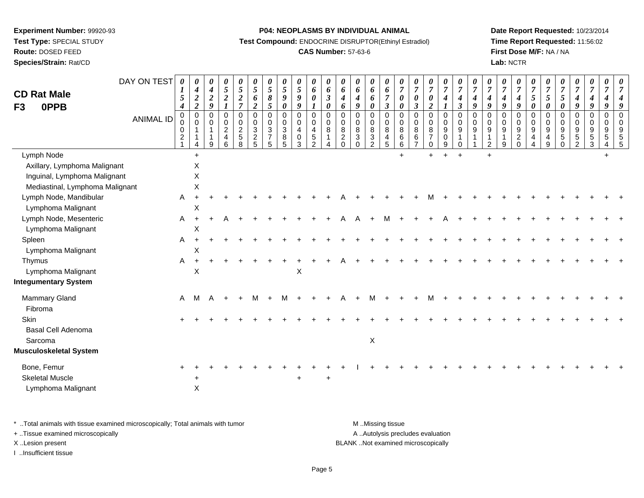**Route:** DOSED FEED

**Species/Strain:** Rat/CD

#### **P04: NEOPLASMS BY INDIVIDUAL ANIMAL**

**Test Compound:** ENDOCRINE DISRUPTOR(Ethinyl Estradiol)

# **CAS Number:** 57-63-6

**Date Report Requested:** 10/23/2014**Time Report Requested:** 11:56:02**First Dose M/F:** NA / NA**Lab:** NCTR

| <b>CD Rat Male</b><br>0PPB<br>F <sub>3</sub> | DAY ON TEST<br><b>ANIMAL ID</b> | $\boldsymbol{\theta}$<br>5<br>$\boldsymbol{4}$<br>0 | $\boldsymbol{\theta}$<br>$\boldsymbol{4}$<br>$\boldsymbol{2}$<br>$\boldsymbol{2}$<br>$\mathbf 0$<br>$\Omega$ | $\boldsymbol{\theta}$<br>$\boldsymbol{4}$<br>$\boldsymbol{2}$<br>$\boldsymbol{g}$<br>$\mathbf 0$ | 0<br>$\sqrt{5}$<br>$\boldsymbol{2}$<br>0  | $\boldsymbol{\theta}$<br>$\mathfrak{s}$<br>$\frac{2}{7}$<br>$\mathbf 0$ | 0<br>5<br>6<br>$\overline{c}$<br>$\mathbf 0$ | 0<br>$\sqrt{5}$<br>$\pmb{8}$<br>5<br>$\mathsf 0$ | 0<br>5<br>9<br>$\boldsymbol{\theta}$<br>$\mathsf 0$ | 0<br>$\sqrt{5}$<br>$\boldsymbol{9}$<br>$\boldsymbol{g}$<br>0 | 0<br>6<br>$\boldsymbol{\theta}$<br>$\pmb{0}$                           | $\boldsymbol{\theta}$<br>6<br>$\boldsymbol{\beta}$<br>$\boldsymbol{\theta}$<br>$\mathbf 0$ | $\boldsymbol{\theta}$<br>6<br>$\boldsymbol{4}$<br>6<br>$\mathbf 0$ | $\boldsymbol{\theta}$<br>6<br>4<br>9<br>0                          | 0<br>6<br>6<br>0<br>$\mathbf 0$                                       | 0<br>6<br>$\boldsymbol{7}$<br>$\boldsymbol{\beta}$<br>$\pmb{0}$ | 0<br>$\overline{7}$<br>0<br>0<br>$\mathbf 0$ | 0<br>$\overline{7}$<br>0<br>$\mathbf{3}$<br>$\mathbf 0$ | 0<br>$\overline{7}$<br>$\boldsymbol{\theta}$<br>$\boldsymbol{2}$<br>0 | $\boldsymbol{\theta}$<br>$\overline{7}$<br>$\boldsymbol{4}$<br>$\boldsymbol{l}$<br>$\pmb{0}$ | 0<br>$\overline{7}$<br>4<br>$\boldsymbol{\beta}$<br>$\mathbf 0$ | 0<br>$\overline{7}$<br>4<br>9<br>$\mathbf 0$ | 0<br>$\overline{7}$<br>4<br>9<br>$\mathbf 0$ | 0<br>$\boldsymbol{7}$<br>$\boldsymbol{4}$<br>9<br>0 | 0<br>$\boldsymbol{7}$<br>$\boldsymbol{4}$<br>9<br>$\pmb{0}$ | 0<br>7<br>$\mathfrak{s}$<br>0<br>$\mathbf 0$ | $\boldsymbol{\theta}$<br>$\overline{7}$<br>$\mathfrak{s}$<br>$\boldsymbol{\theta}$<br>$\pmb{0}$ | $\boldsymbol{\theta}$<br>$\boldsymbol{7}$<br>$\sqrt{5}$<br>$\boldsymbol{\theta}$<br>0 | 0<br>$\overline{7}$<br>$\boldsymbol{4}$<br>9<br>$\mathbf 0$      | $\boldsymbol{\theta}$<br>$\overline{7}$<br>4<br>9<br>$\mathbf 0$ | 0<br>$\overline{7}$<br>4<br>9<br>$\pmb{0}$ | 0<br>$\overline{7}$<br>4<br>9<br>$\mathbf 0$ |
|----------------------------------------------|---------------------------------|-----------------------------------------------------|--------------------------------------------------------------------------------------------------------------|--------------------------------------------------------------------------------------------------|-------------------------------------------|-------------------------------------------------------------------------|----------------------------------------------|--------------------------------------------------|-----------------------------------------------------|--------------------------------------------------------------|------------------------------------------------------------------------|--------------------------------------------------------------------------------------------|--------------------------------------------------------------------|--------------------------------------------------------------------|-----------------------------------------------------------------------|-----------------------------------------------------------------|----------------------------------------------|---------------------------------------------------------|-----------------------------------------------------------------------|----------------------------------------------------------------------------------------------|-----------------------------------------------------------------|----------------------------------------------|----------------------------------------------|-----------------------------------------------------|-------------------------------------------------------------|----------------------------------------------|-------------------------------------------------------------------------------------------------|---------------------------------------------------------------------------------------|------------------------------------------------------------------|------------------------------------------------------------------|--------------------------------------------|----------------------------------------------|
|                                              |                                 | $\mathbf 0$<br>0<br>$\overline{c}$                  | 4                                                                                                            | $\Omega$<br>-1<br>$\mathsf{Q}$                                                                   | $\mathbf 0$<br>$\boldsymbol{2}$<br>4<br>6 | $\mathbf 0$<br>$\overline{2}$<br>$\sqrt{5}$<br>8                        | $\mathbf 0$<br>3<br>$\overline{a}$<br>5      | $\mathbf 0$<br>$\sqrt{3}$<br>$\overline{7}$<br>5 | 0<br>$\mathbf{3}$<br>8<br>5                         | 0<br>$\overline{4}$<br>$\pmb{0}$<br>$\mathbf{3}$             | $\mathsf{O}\xspace$<br>$\overline{4}$<br>$\,$ 5 $\,$<br>$\overline{2}$ | $\mathbf 0$<br>8<br>-1                                                                     | $\mathbf 0$<br>$\bf 8$<br>$\sqrt{2}$<br>$\Omega$                   | $\mathbf 0$<br>$\bf 8$<br>$\ensuremath{\mathsf{3}}$<br>$\mathbf 0$ | $\mathbf 0$<br>$\bf 8$<br>$\ensuremath{\mathsf{3}}$<br>$\overline{2}$ | $\mathbf 0$<br>8<br>4<br>5                                      | $\mathbf 0$<br>8<br>6<br>6                   | $\mathbf 0$<br>$\bf 8$<br>$\,6\,$                       | $\mathbf 0$<br>8<br>$\overline{7}$<br>$\mathbf 0$                     | $\mathsf{O}\xspace$<br>$\boldsymbol{9}$<br>0<br>9                                            | $\Omega$<br>9<br>1<br>0                                         | $\Omega$<br>9                                | $\Omega$<br>9<br>$\overline{2}$              | 0<br>$\boldsymbol{9}$<br>9                          | 0<br>$\boldsymbol{9}$<br>$\overline{c}$<br>$\mathbf 0$      | $\mathbf 0$<br>9<br>4                        | $\mathbf 0$<br>$\boldsymbol{9}$<br>$\overline{4}$<br>9                                          | $\mathbf 0$<br>$\boldsymbol{9}$<br>$\sqrt{5}$<br>$\mathbf 0$                          | $\mathbf 0$<br>$\boldsymbol{9}$<br>$\,$ 5 $\,$<br>$\overline{2}$ | $\mathbf 0$<br>9<br>5<br>3                                       | $\mathbf 0$<br>$\boldsymbol{9}$<br>5<br>4  | $\mathbf 0$<br>9<br>5<br>5                   |
| Lymph Node                                   |                                 |                                                     | $+$                                                                                                          |                                                                                                  |                                           |                                                                         |                                              |                                                  |                                                     |                                                              |                                                                        |                                                                                            |                                                                    |                                                                    |                                                                       |                                                                 | $+$                                          |                                                         | ÷.                                                                    |                                                                                              | $+$                                                             |                                              | $\ddot{}$                                    |                                                     |                                                             |                                              |                                                                                                 |                                                                                       |                                                                  |                                                                  | $\ddot{}$                                  |                                              |
| Axillary, Lymphoma Malignant                 |                                 |                                                     | X                                                                                                            |                                                                                                  |                                           |                                                                         |                                              |                                                  |                                                     |                                                              |                                                                        |                                                                                            |                                                                    |                                                                    |                                                                       |                                                                 |                                              |                                                         |                                                                       |                                                                                              |                                                                 |                                              |                                              |                                                     |                                                             |                                              |                                                                                                 |                                                                                       |                                                                  |                                                                  |                                            |                                              |
| Inguinal, Lymphoma Malignant                 |                                 |                                                     | $\mathsf X$                                                                                                  |                                                                                                  |                                           |                                                                         |                                              |                                                  |                                                     |                                                              |                                                                        |                                                                                            |                                                                    |                                                                    |                                                                       |                                                                 |                                              |                                                         |                                                                       |                                                                                              |                                                                 |                                              |                                              |                                                     |                                                             |                                              |                                                                                                 |                                                                                       |                                                                  |                                                                  |                                            |                                              |
| Mediastinal, Lymphoma Malignant              |                                 |                                                     | $\mathsf X$                                                                                                  |                                                                                                  |                                           |                                                                         |                                              |                                                  |                                                     |                                                              |                                                                        |                                                                                            |                                                                    |                                                                    |                                                                       |                                                                 |                                              |                                                         |                                                                       |                                                                                              |                                                                 |                                              |                                              |                                                     |                                                             |                                              |                                                                                                 |                                                                                       |                                                                  |                                                                  |                                            |                                              |
| Lymph Node, Mandibular                       |                                 | A                                                   | $\ddot{}$                                                                                                    |                                                                                                  |                                           |                                                                         |                                              |                                                  |                                                     |                                                              |                                                                        |                                                                                            |                                                                    |                                                                    |                                                                       |                                                                 |                                              |                                                         |                                                                       |                                                                                              |                                                                 |                                              |                                              |                                                     |                                                             |                                              |                                                                                                 |                                                                                       |                                                                  |                                                                  |                                            |                                              |
| Lymphoma Malignant                           |                                 |                                                     | X                                                                                                            |                                                                                                  |                                           |                                                                         |                                              |                                                  |                                                     |                                                              |                                                                        |                                                                                            |                                                                    |                                                                    |                                                                       |                                                                 |                                              |                                                         |                                                                       |                                                                                              |                                                                 |                                              |                                              |                                                     |                                                             |                                              |                                                                                                 |                                                                                       |                                                                  |                                                                  |                                            |                                              |
| Lymph Node, Mesenteric                       |                                 | A                                                   | $+$                                                                                                          | $\ddot{}$                                                                                        | A                                         |                                                                         |                                              |                                                  |                                                     |                                                              |                                                                        |                                                                                            |                                                                    |                                                                    |                                                                       | м                                                               |                                              |                                                         |                                                                       | A                                                                                            |                                                                 |                                              |                                              |                                                     |                                                             |                                              |                                                                                                 |                                                                                       |                                                                  |                                                                  |                                            |                                              |
| Lymphoma Malignant                           |                                 |                                                     | X                                                                                                            |                                                                                                  |                                           |                                                                         |                                              |                                                  |                                                     |                                                              |                                                                        |                                                                                            |                                                                    |                                                                    |                                                                       |                                                                 |                                              |                                                         |                                                                       |                                                                                              |                                                                 |                                              |                                              |                                                     |                                                             |                                              |                                                                                                 |                                                                                       |                                                                  |                                                                  |                                            |                                              |
| Spleen                                       |                                 | A                                                   |                                                                                                              |                                                                                                  |                                           |                                                                         |                                              |                                                  |                                                     |                                                              |                                                                        |                                                                                            |                                                                    |                                                                    |                                                                       |                                                                 |                                              |                                                         |                                                                       |                                                                                              |                                                                 |                                              |                                              |                                                     |                                                             |                                              |                                                                                                 |                                                                                       |                                                                  |                                                                  |                                            |                                              |
| Lymphoma Malignant                           |                                 |                                                     | X                                                                                                            |                                                                                                  |                                           |                                                                         |                                              |                                                  |                                                     |                                                              |                                                                        |                                                                                            |                                                                    |                                                                    |                                                                       |                                                                 |                                              |                                                         |                                                                       |                                                                                              |                                                                 |                                              |                                              |                                                     |                                                             |                                              |                                                                                                 |                                                                                       |                                                                  |                                                                  |                                            |                                              |
| Thymus                                       |                                 | A                                                   |                                                                                                              |                                                                                                  |                                           |                                                                         |                                              |                                                  |                                                     |                                                              |                                                                        |                                                                                            |                                                                    |                                                                    |                                                                       |                                                                 |                                              |                                                         |                                                                       |                                                                                              |                                                                 |                                              |                                              |                                                     |                                                             |                                              |                                                                                                 |                                                                                       |                                                                  |                                                                  |                                            |                                              |
| Lymphoma Malignant                           |                                 |                                                     | X                                                                                                            |                                                                                                  |                                           |                                                                         |                                              |                                                  |                                                     | $\pmb{\times}$                                               |                                                                        |                                                                                            |                                                                    |                                                                    |                                                                       |                                                                 |                                              |                                                         |                                                                       |                                                                                              |                                                                 |                                              |                                              |                                                     |                                                             |                                              |                                                                                                 |                                                                                       |                                                                  |                                                                  |                                            |                                              |
| <b>Integumentary System</b>                  |                                 |                                                     |                                                                                                              |                                                                                                  |                                           |                                                                         |                                              |                                                  |                                                     |                                                              |                                                                        |                                                                                            |                                                                    |                                                                    |                                                                       |                                                                 |                                              |                                                         |                                                                       |                                                                                              |                                                                 |                                              |                                              |                                                     |                                                             |                                              |                                                                                                 |                                                                                       |                                                                  |                                                                  |                                            |                                              |
| Mammary Gland                                |                                 | A                                                   | M                                                                                                            | A                                                                                                | $\div$                                    |                                                                         | м                                            |                                                  | м                                                   |                                                              |                                                                        |                                                                                            |                                                                    |                                                                    |                                                                       |                                                                 |                                              |                                                         |                                                                       |                                                                                              |                                                                 |                                              |                                              |                                                     |                                                             |                                              |                                                                                                 |                                                                                       |                                                                  |                                                                  |                                            |                                              |
| Fibroma                                      |                                 |                                                     |                                                                                                              |                                                                                                  |                                           |                                                                         |                                              |                                                  |                                                     |                                                              |                                                                        |                                                                                            |                                                                    |                                                                    |                                                                       |                                                                 |                                              |                                                         |                                                                       |                                                                                              |                                                                 |                                              |                                              |                                                     |                                                             |                                              |                                                                                                 |                                                                                       |                                                                  |                                                                  |                                            |                                              |
| <b>Skin</b><br><b>Basal Cell Adenoma</b>     |                                 |                                                     |                                                                                                              |                                                                                                  |                                           |                                                                         |                                              |                                                  |                                                     |                                                              |                                                                        |                                                                                            |                                                                    |                                                                    |                                                                       |                                                                 |                                              |                                                         |                                                                       |                                                                                              |                                                                 |                                              |                                              |                                                     |                                                             |                                              |                                                                                                 |                                                                                       |                                                                  |                                                                  |                                            |                                              |
| Sarcoma                                      |                                 |                                                     |                                                                                                              |                                                                                                  |                                           |                                                                         |                                              |                                                  |                                                     |                                                              |                                                                        |                                                                                            |                                                                    |                                                                    | X                                                                     |                                                                 |                                              |                                                         |                                                                       |                                                                                              |                                                                 |                                              |                                              |                                                     |                                                             |                                              |                                                                                                 |                                                                                       |                                                                  |                                                                  |                                            |                                              |
| <b>Musculoskeletal System</b>                |                                 |                                                     |                                                                                                              |                                                                                                  |                                           |                                                                         |                                              |                                                  |                                                     |                                                              |                                                                        |                                                                                            |                                                                    |                                                                    |                                                                       |                                                                 |                                              |                                                         |                                                                       |                                                                                              |                                                                 |                                              |                                              |                                                     |                                                             |                                              |                                                                                                 |                                                                                       |                                                                  |                                                                  |                                            |                                              |
| Bone, Femur                                  |                                 |                                                     |                                                                                                              |                                                                                                  |                                           |                                                                         |                                              |                                                  |                                                     |                                                              |                                                                        |                                                                                            |                                                                    |                                                                    |                                                                       |                                                                 |                                              |                                                         |                                                                       |                                                                                              |                                                                 |                                              |                                              |                                                     |                                                             |                                              |                                                                                                 |                                                                                       |                                                                  |                                                                  |                                            |                                              |
| <b>Skeletal Muscle</b>                       |                                 |                                                     |                                                                                                              |                                                                                                  |                                           |                                                                         |                                              |                                                  |                                                     |                                                              |                                                                        |                                                                                            |                                                                    |                                                                    |                                                                       |                                                                 |                                              |                                                         |                                                                       |                                                                                              |                                                                 |                                              |                                              |                                                     |                                                             |                                              |                                                                                                 |                                                                                       |                                                                  |                                                                  |                                            |                                              |
| Lymphoma Malignant                           |                                 |                                                     | X                                                                                                            |                                                                                                  |                                           |                                                                         |                                              |                                                  |                                                     |                                                              |                                                                        |                                                                                            |                                                                    |                                                                    |                                                                       |                                                                 |                                              |                                                         |                                                                       |                                                                                              |                                                                 |                                              |                                              |                                                     |                                                             |                                              |                                                                                                 |                                                                                       |                                                                  |                                                                  |                                            |                                              |

\* ..Total animals with tissue examined microscopically; Total animals with tumor **M** . Missing tissue M ..Missing tissue

+ ..Tissue examined microscopically

I ..Insufficient tissue

A ..Autolysis precludes evaluation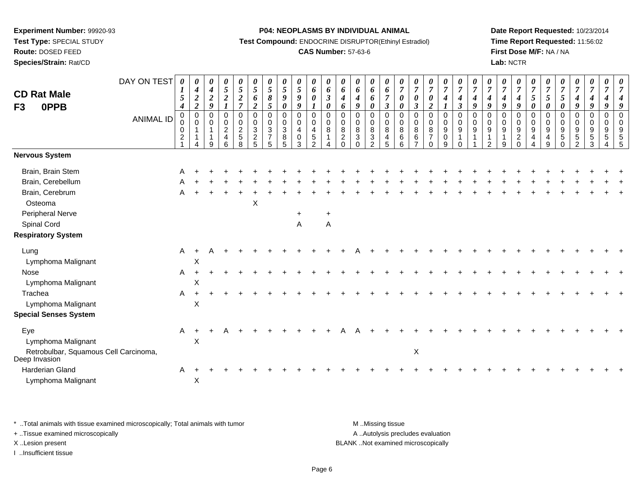**Route:** DOSED FEED

**Species/Strain:** Rat/CD

#### **P04: NEOPLASMS BY INDIVIDUAL ANIMAL**

**Test Compound:** ENDOCRINE DISRUPTOR(Ethinyl Estradiol)

# **CAS Number:** 57-63-6

**Date Report Requested:** 10/23/2014**Time Report Requested:** 11:56:02**First Dose M/F:** NA / NA**Lab:** NCTR

| <b>CD Rat Male</b>                                                                  | DAY ON TEST      | 0<br>$\boldsymbol{I}$<br>$\mathfrak{s}$ | 0<br>$\boldsymbol{4}$<br>$\boldsymbol{2}$                   | $\boldsymbol{\theta}$<br>$\boldsymbol{4}$<br>$\boldsymbol{2}$  | $\boldsymbol{\theta}$<br>$\mathfrak{s}$<br>$\overline{2}$                 | 0<br>$\mathfrak{I}$<br>$\boldsymbol{2}$                       | 0<br>$\mathfrak{H}$<br>6                                                            | $\frac{\theta}{5}$<br>8                 | $\boldsymbol{\theta}$<br>$\sqrt{5}$<br>9      | $\boldsymbol{\theta}$<br>5<br>9    | $\boldsymbol{\theta}$<br>6<br>$\boldsymbol{\theta}$   | $\boldsymbol{\theta}$<br>6<br>$\boldsymbol{\beta}$                         | 0<br>6<br>$\boldsymbol{4}$                             | $\boldsymbol{\mathit{U}}$<br>6<br>4                   | 0<br>6<br>6                          | 0<br>6<br>$\overline{7}$                                                 | $\frac{\theta}{7}$<br>$\pmb{\theta}$                          | U<br>$\boldsymbol{7}$<br>$\boldsymbol{\theta}$                           | $\boldsymbol{\theta}$<br>$\overline{7}$<br>$\boldsymbol{\theta}$                    | $\boldsymbol{\theta}$<br>$\overline{7}$<br>$\boldsymbol{4}$ | $\boldsymbol{\theta}$<br>$\overline{7}$<br>$\boldsymbol{4}$                                | U<br>$\overline{7}$<br>4                  | $\boldsymbol{\theta}$<br>$\overline{7}$<br>$\boldsymbol{4}$ | $\boldsymbol{\theta}$<br>$\overline{7}$<br>4              | $\frac{\boldsymbol{0}}{7}$<br>4                    | $\boldsymbol{\theta}$<br>$\boldsymbol{7}$<br>$\mathfrak{I}$                         | $\boldsymbol{\theta}$<br>$\overline{7}$<br>$\mathfrak{s}$ | $\overline{7}$<br>$\mathfrak{s}$                             | $\frac{\theta}{7}$<br>$\boldsymbol{4}$ | $\frac{\boldsymbol{0}}{7}$<br>$\boldsymbol{4}$                         | 0<br>$\overline{7}$<br>$\boldsymbol{4}$ | $\boldsymbol{\theta}$ |
|-------------------------------------------------------------------------------------|------------------|-----------------------------------------|-------------------------------------------------------------|----------------------------------------------------------------|---------------------------------------------------------------------------|---------------------------------------------------------------|-------------------------------------------------------------------------------------|-----------------------------------------|-----------------------------------------------|------------------------------------|-------------------------------------------------------|----------------------------------------------------------------------------|--------------------------------------------------------|-------------------------------------------------------|--------------------------------------|--------------------------------------------------------------------------|---------------------------------------------------------------|--------------------------------------------------------------------------|-------------------------------------------------------------------------------------|-------------------------------------------------------------|--------------------------------------------------------------------------------------------|-------------------------------------------|-------------------------------------------------------------|-----------------------------------------------------------|----------------------------------------------------|-------------------------------------------------------------------------------------|-----------------------------------------------------------|--------------------------------------------------------------|----------------------------------------|------------------------------------------------------------------------|-----------------------------------------|-----------------------|
| <b>OPPB</b><br>F <sub>3</sub>                                                       | <b>ANIMAL ID</b> | 4<br>0<br>0<br>0<br>$\overline{c}$      | $\boldsymbol{2}$<br>$\mathbf 0$<br>$\pmb{0}$<br>1<br>1<br>4 | 9<br>$\mathbf 0$<br>0<br>$\overline{1}$<br>$\overline{1}$<br>9 | $\mathbf{I}$<br>$\mathbf 0$<br>0<br>$\overline{2}$<br>$\overline{a}$<br>6 | $\overline{7}$<br>0<br>0<br>$\overline{c}$<br>$\sqrt{5}$<br>8 | $\overline{2}$<br>$\mathbf 0$<br>$\mathbf 0$<br>$\mathbf{3}$<br>$\overline{c}$<br>5 | 5<br>0<br>0<br>3<br>$\overline{7}$<br>5 | 0<br>$\mathbf 0$<br>0<br>$\sqrt{3}$<br>8<br>5 | 9<br>$\pmb{0}$<br>0<br>4<br>0<br>3 | 0<br>$\mathbf 0$<br>$\overline{4}$<br>$\sqrt{5}$<br>2 | $\pmb{\theta}$<br>$\pmb{0}$<br>$\mathbf 0$<br>$\,8\,$<br>$\mathbf{1}$<br>Δ | 6<br>$\pmb{0}$<br>0<br>8<br>$\overline{2}$<br>$\Omega$ | 9<br>$\mathbf 0$<br>$\mathbf 0$<br>8<br>3<br>$\Omega$ | 0<br>$\mathbf 0$<br>0<br>8<br>3<br>C | $\boldsymbol{\beta}$<br>$\pmb{0}$<br>0<br>$\bf 8$<br>$\overline{4}$<br>5 | $\pmb{\theta}$<br>$\mathbf 0$<br>$\,0\,$<br>$\bf 8$<br>6<br>6 | $\boldsymbol{\beta}$<br>$\mathbf 0$<br>0<br>8<br>$\,6$<br>$\overline{ }$ | $\overline{2}$<br>$\pmb{0}$<br>$\mathbf 0$<br>$\bf 8$<br>$\overline{7}$<br>$\Omega$ | 0<br>0<br>$\boldsymbol{9}$<br>0<br>9                        | $\mathfrak{z}$<br>$\pmb{0}$<br>$\mathbf 0$<br>$\boldsymbol{9}$<br>$\mathbf{1}$<br>$\Omega$ | 9<br>$\mathbf 0$<br>$\mathbf 0$<br>9<br>1 | 9<br>$\Omega$<br>0<br>9<br>1<br>$\mathcal{P}$               | 9<br>$\mathbf 0$<br>$\mathbf 0$<br>9<br>1<br><sub>9</sub> | 9<br>0<br>0<br>$9\,$<br>$\overline{a}$<br>$\Omega$ | $\boldsymbol{\theta}$<br>$\mathbf 0$<br>$\mathbf 0$<br>$9\,$<br>$\overline{4}$<br>4 | $\boldsymbol{\theta}$<br>$\mathbf 0$<br>0<br>9<br>4<br>9  | 0<br>$\pmb{0}$<br>$\mathbf 0$<br>9<br>$\sqrt{5}$<br>$\Omega$ | 9<br>0<br>0<br>9<br>5<br>2             | 9<br>$\pmb{0}$<br>$\pmb{0}$<br>$\boldsymbol{9}$<br>$\overline{5}$<br>3 | 9<br>0<br>0<br>9<br>5                   | 5<br>5                |
| <b>Nervous System</b>                                                               |                  |                                         |                                                             |                                                                |                                                                           |                                                               |                                                                                     |                                         |                                               |                                    |                                                       |                                                                            |                                                        |                                                       |                                      |                                                                          |                                                               |                                                                          |                                                                                     |                                                             |                                                                                            |                                           |                                                             |                                                           |                                                    |                                                                                     |                                                           |                                                              |                                        |                                                                        |                                         |                       |
| Brain, Brain Stem<br>Brain, Cerebellum<br>Brain, Cerebrum<br>Osteoma                |                  |                                         |                                                             |                                                                |                                                                           |                                                               | X                                                                                   |                                         |                                               |                                    |                                                       |                                                                            |                                                        |                                                       |                                      |                                                                          |                                                               |                                                                          |                                                                                     |                                                             |                                                                                            |                                           |                                                             |                                                           |                                                    |                                                                                     |                                                           |                                                              |                                        |                                                                        |                                         |                       |
| Peripheral Nerve<br>Spinal Cord<br><b>Respiratory System</b>                        |                  |                                         |                                                             |                                                                |                                                                           |                                                               |                                                                                     |                                         |                                               | $\ddot{}$<br>$\mathsf A$           |                                                       | $\ddot{}$<br>$\overline{A}$                                                |                                                        |                                                       |                                      |                                                                          |                                                               |                                                                          |                                                                                     |                                                             |                                                                                            |                                           |                                                             |                                                           |                                                    |                                                                                     |                                                           |                                                              |                                        |                                                                        |                                         |                       |
| Lung<br>Lymphoma Malignant                                                          |                  | A                                       | X                                                           |                                                                |                                                                           |                                                               |                                                                                     |                                         |                                               |                                    |                                                       |                                                                            |                                                        |                                                       |                                      |                                                                          |                                                               |                                                                          |                                                                                     |                                                             |                                                                                            |                                           |                                                             |                                                           |                                                    |                                                                                     |                                                           |                                                              |                                        |                                                                        |                                         |                       |
| Nose<br>Lymphoma Malignant                                                          |                  | A                                       | X                                                           |                                                                |                                                                           |                                                               |                                                                                     |                                         |                                               |                                    |                                                       |                                                                            |                                                        |                                                       |                                      |                                                                          |                                                               |                                                                          |                                                                                     |                                                             |                                                                                            |                                           |                                                             |                                                           |                                                    |                                                                                     |                                                           |                                                              |                                        |                                                                        |                                         |                       |
| Trachea<br>Lymphoma Malignant                                                       |                  | A                                       | $\ddot{}$<br>$\mathsf X$                                    |                                                                |                                                                           |                                                               |                                                                                     |                                         |                                               |                                    |                                                       |                                                                            |                                                        |                                                       |                                      |                                                                          |                                                               |                                                                          |                                                                                     |                                                             |                                                                                            |                                           |                                                             |                                                           |                                                    |                                                                                     |                                                           |                                                              |                                        |                                                                        |                                         |                       |
| <b>Special Senses System</b>                                                        |                  |                                         |                                                             |                                                                |                                                                           |                                                               |                                                                                     |                                         |                                               |                                    |                                                       |                                                                            |                                                        |                                                       |                                      |                                                                          |                                                               |                                                                          |                                                                                     |                                                             |                                                                                            |                                           |                                                             |                                                           |                                                    |                                                                                     |                                                           |                                                              |                                        |                                                                        |                                         |                       |
| Eye<br>Lymphoma Malignant<br>Retrobulbar, Squamous Cell Carcinoma,<br>Deep Invasion |                  | Α                                       | X                                                           |                                                                |                                                                           |                                                               |                                                                                     |                                         |                                               |                                    |                                                       |                                                                            |                                                        |                                                       |                                      |                                                                          |                                                               | $\mathsf X$                                                              |                                                                                     |                                                             |                                                                                            |                                           |                                                             |                                                           |                                                    |                                                                                     |                                                           |                                                              |                                        |                                                                        |                                         |                       |
| <b>Harderian Gland</b><br>Lymphoma Malignant                                        |                  | A                                       | X                                                           |                                                                |                                                                           |                                                               |                                                                                     |                                         |                                               |                                    |                                                       |                                                                            |                                                        |                                                       |                                      |                                                                          |                                                               |                                                                          |                                                                                     |                                                             |                                                                                            |                                           |                                                             |                                                           |                                                    |                                                                                     |                                                           |                                                              |                                        |                                                                        |                                         |                       |

\* ..Total animals with tissue examined microscopically; Total animals with tumor **M** . Missing tissue M ..Missing tissue

+ ..Tissue examined microscopically

I ..Insufficient tissue

A ..Autolysis precludes evaluation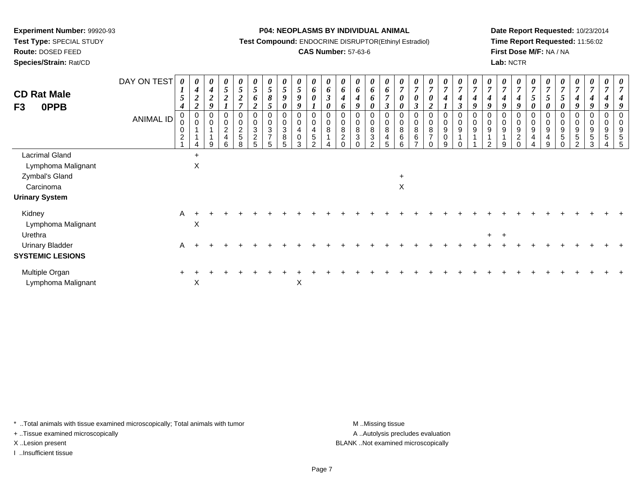**Test Type:** SPECIAL STUDY

**Route:** DOSED FEED

**Species/Strain:** Rat/CD

#### **P04: NEOPLASMS BY INDIVIDUAL ANIMAL**

**Test Compound:** ENDOCRINE DISRUPTOR(Ethinyl Estradiol)

# **CAS Number:** 57-63-6

**Date Report Requested:** 10/23/2014**Time Report Requested:** 11:56:02**First Dose M/F:** NA / NA**Lab:** NCTR

| <b>CD Rat Male</b><br>0PPB<br>F3                                                                    | DAY ON TEST<br>ANIMAL ID | 0<br>$\mathbf{I}$<br>$\overline{5}$<br>$\boldsymbol{4}$<br>0<br>0<br>0<br>$\overline{2}$ | 0<br>$\boldsymbol{4}$<br>$\boldsymbol{2}$<br>$\overline{2}$<br>$\boldsymbol{0}$<br>$\pmb{0}$<br>4 | $\boldsymbol{\theta}$<br>$\boldsymbol{4}$<br>$\overline{2}$<br>9<br>$\mathbf 0$<br>9 | 0<br>$5\overline{)}$<br>$\overline{c}$<br>0<br>$\overline{c}$<br>4<br>6 | 0<br>$\sqrt{5}$<br>$\boldsymbol{2}$<br>$\overline{ }$<br>0<br>0<br>$\frac{2}{5}$<br>8 | $\boldsymbol{\theta}$<br>$\mathfrak{H}$<br>6<br>$\boldsymbol{2}$<br>0<br>$\pmb{0}$<br>$\mathbf{3}$<br>$\boldsymbol{2}$<br>5 | $\mathfrak{s}$<br>8<br>5<br>0<br>$\sqrt{3}$<br>$\overline{ }$<br>5 | 0<br>$\sqrt{5}$<br>$\boldsymbol{g}$<br>$\boldsymbol{\theta}$<br>$\boldsymbol{0}$<br>$\pmb{0}$<br>$\sqrt{3}$<br>$\bf 8$<br>5 | $\boldsymbol{\theta}$<br>$\sqrt{5}$<br>$\boldsymbol{g}$<br>9<br>$\mathbf 0$<br>$\pmb{0}$<br>4<br>$\pmb{0}$<br>3 | 0<br>6<br>$\boldsymbol{\theta}$<br>$\pmb{0}$<br>$\pmb{0}$<br>$\overline{4}$<br>5<br>$\Omega$ | $\boldsymbol{\theta}$<br>$\boldsymbol{6}$<br>$\boldsymbol{\beta}$<br>$\boldsymbol{\theta}$<br>0<br>$\pmb{0}$<br>8 | U<br>6<br>$\boldsymbol{4}$<br>o<br>0<br>8<br>$\overline{c}$ | 0<br>6<br>9<br>0<br>8<br>3 | 0<br>6<br>$\pmb{0}$<br>$\bf8$<br>$\ensuremath{\mathsf{3}}$<br>$\Omega$ | $\theta$<br>6<br>$\overline{ }$<br>3<br>0<br>$\pmb{0}$<br>$\bf 8$<br>4<br>5 | 0<br>0<br>0<br>8<br>6<br>6 | 0<br>$\overline{7}$<br>$\boldsymbol{\theta}$<br>$\boldsymbol{\beta}$<br>0<br>$\pmb{0}$<br>$\,8\,$<br>$\,6\,$<br>$\overline{ }$ | $\boldsymbol{\theta}$<br>$\overline{7}$<br>$\boldsymbol{\theta}$<br>$\overline{2}$<br>0<br>$\pmb{0}$<br>$\bf 8$<br>$\overline{7}$<br>$\Omega$ | $\boldsymbol{\theta}$<br>$\overline{7}$<br>$\boldsymbol{4}$<br>$\pmb{0}$<br>$\pmb{0}$<br>$\boldsymbol{9}$<br>$\pmb{0}$<br>9 | $\boldsymbol{\theta}$<br>$\overline{7}$<br>4<br>$\boldsymbol{\beta}$<br>0<br>$\pmb{0}$<br>9<br>$\Omega$ | U<br>$\overline{7}$<br>4<br>9<br>$\mathbf 0$<br>9 | 0<br>$\overline{7}$<br>4<br>Q<br>0<br>9 | 0<br>$\overline{7}$<br>O<br>$\,0\,$<br>9 | $\boldsymbol{\theta}$<br>$\overline{7}$<br>$\boldsymbol{q}$<br>$\pmb{0}$<br>$\boldsymbol{9}$<br>$\overline{2}$<br>$\Omega$ | $\overline{7}$<br>5<br>0<br>0<br>9<br>4 | $\boldsymbol{\theta}$<br>$\overline{7}$<br>$\overline{5}$<br>$\boldsymbol{\theta}$<br>$\mathbf 0$<br>$\pmb{0}$<br>$\boldsymbol{9}$<br>4<br>9 | $\boldsymbol{\theta}$<br>$\overline{7}$<br>$\mathfrak{I}$<br>0<br>0<br>0<br>9<br>$\,$ 5 $\,$<br>$\Omega$ | $\frac{\theta}{7}$<br>$\boldsymbol{4}$<br>9<br>$\pmb{0}$<br>$\pmb{0}$<br>$\boldsymbol{9}$<br>$\sqrt{5}$<br>$\overline{2}$ | 0<br>$\overline{7}$<br>4<br>9<br>0<br>0<br>9<br>5<br>3 | 0<br>$\overline{7}$<br>4<br>$\boldsymbol{q}$<br>0<br>9<br>5 | 0<br>$\overline{7}$<br>4<br>9<br>0<br>9<br>5<br>5 |
|-----------------------------------------------------------------------------------------------------|--------------------------|------------------------------------------------------------------------------------------|---------------------------------------------------------------------------------------------------|--------------------------------------------------------------------------------------|-------------------------------------------------------------------------|---------------------------------------------------------------------------------------|-----------------------------------------------------------------------------------------------------------------------------|--------------------------------------------------------------------|-----------------------------------------------------------------------------------------------------------------------------|-----------------------------------------------------------------------------------------------------------------|----------------------------------------------------------------------------------------------|-------------------------------------------------------------------------------------------------------------------|-------------------------------------------------------------|----------------------------|------------------------------------------------------------------------|-----------------------------------------------------------------------------|----------------------------|--------------------------------------------------------------------------------------------------------------------------------|-----------------------------------------------------------------------------------------------------------------------------------------------|-----------------------------------------------------------------------------------------------------------------------------|---------------------------------------------------------------------------------------------------------|---------------------------------------------------|-----------------------------------------|------------------------------------------|----------------------------------------------------------------------------------------------------------------------------|-----------------------------------------|----------------------------------------------------------------------------------------------------------------------------------------------|----------------------------------------------------------------------------------------------------------|---------------------------------------------------------------------------------------------------------------------------|--------------------------------------------------------|-------------------------------------------------------------|---------------------------------------------------|
| <b>Lacrimal Gland</b><br>Lymphoma Malignant<br>Zymbal's Gland<br>Carcinoma<br><b>Urinary System</b> |                          |                                                                                          | $\ddot{}$<br>X                                                                                    |                                                                                      |                                                                         |                                                                                       |                                                                                                                             |                                                                    |                                                                                                                             |                                                                                                                 |                                                                                              |                                                                                                                   |                                                             |                            |                                                                        |                                                                             | $\ddot{}$<br>$\mathsf X$   |                                                                                                                                |                                                                                                                                               |                                                                                                                             |                                                                                                         |                                                   |                                         |                                          |                                                                                                                            |                                         |                                                                                                                                              |                                                                                                          |                                                                                                                           |                                                        |                                                             |                                                   |
| Kidney<br>Lymphoma Malignant<br>Urethra<br><b>Urinary Bladder</b><br><b>SYSTEMIC LESIONS</b>        |                          | $\mathsf{A}$<br>$\mathsf{A}$                                                             | $\times$                                                                                          |                                                                                      |                                                                         |                                                                                       |                                                                                                                             |                                                                    |                                                                                                                             |                                                                                                                 |                                                                                              |                                                                                                                   |                                                             |                            |                                                                        |                                                                             |                            |                                                                                                                                |                                                                                                                                               |                                                                                                                             |                                                                                                         |                                                   | $+$                                     | $+$                                      |                                                                                                                            |                                         |                                                                                                                                              |                                                                                                          |                                                                                                                           |                                                        |                                                             |                                                   |
| Multiple Organ<br>Lymphoma Malignant                                                                |                          |                                                                                          | $\boldsymbol{\mathsf{X}}$                                                                         |                                                                                      |                                                                         |                                                                                       |                                                                                                                             |                                                                    |                                                                                                                             | X                                                                                                               |                                                                                              |                                                                                                                   |                                                             |                            |                                                                        |                                                                             |                            |                                                                                                                                |                                                                                                                                               |                                                                                                                             |                                                                                                         |                                                   |                                         |                                          |                                                                                                                            |                                         |                                                                                                                                              |                                                                                                          |                                                                                                                           |                                                        |                                                             |                                                   |

\* ..Total animals with tissue examined microscopically; Total animals with tumor **M** . Missing tissue M ..Missing tissue

+ ..Tissue examined microscopically

I ..Insufficient tissue

A ..Autolysis precludes evaluation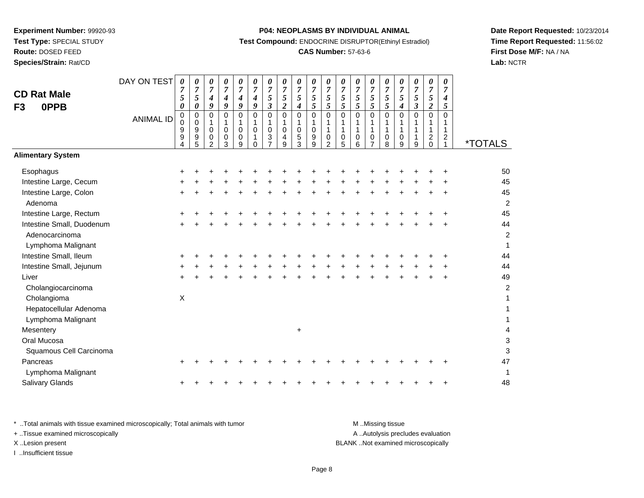**Route:** DOSED FEED

**Species/Strain:** Rat/CD

#### **P04: NEOPLASMS BY INDIVIDUAL ANIMAL**

**Test Compound:** ENDOCRINE DISRUPTOR(Ethinyl Estradiol)

# **CAS Number:** 57-63-6

**Date Report Requested:** 10/23/2014**Time Report Requested:** 11:56:02**First Dose M/F:** NA / NA**Lab:** NCTR

| <b>CD Rat Male</b><br>0PPB<br>F <sub>3</sub> | DAY ON TEST<br><b>ANIMAL ID</b> | $\boldsymbol{\theta}$<br>$\overline{7}$<br>5<br>$\boldsymbol{\theta}$<br>$\mathbf 0$<br>0<br>9<br>9<br>4 | 0<br>$\overline{7}$<br>5<br>$\pmb{\theta}$<br>$\mathbf 0$<br>0<br>$\boldsymbol{9}$<br>9<br>5 | 0<br>$\overline{7}$<br>4<br>9<br>0<br>1<br>0<br>$\boldsymbol{0}$<br>$\overline{2}$ | 0<br>$\boldsymbol{7}$<br>$\boldsymbol{4}$<br>$\boldsymbol{g}$<br>$\mathbf 0$<br>1<br>$\mathbf 0$<br>$\pmb{0}$<br>3 | 0<br>$\boldsymbol{7}$<br>$\boldsymbol{4}$<br>$\boldsymbol{g}$<br>$\mathbf 0$<br>1<br>$\mathbf 0$<br>0<br>9 | 0<br>$\boldsymbol{7}$<br>4<br>9<br>$\mathbf 0$<br>1<br>$\mathbf 0$<br>$\Omega$ | 0<br>$\overline{7}$<br>$\overline{5}$<br>$\mathbf{3}$<br>0<br>1<br>$\mathbf 0$<br>3<br>$\overline{7}$ | 0<br>$\overline{7}$<br>$\sqrt{5}$<br>$\boldsymbol{2}$<br>$\mathbf 0$<br>1<br>0<br>4<br>9 | 0<br>$\overline{7}$<br>5<br>$\boldsymbol{4}$<br>$\mathbf 0$<br>1<br>$\mathsf 0$<br>5<br>3 | 0<br>$\overline{7}$<br>5<br>$\mathfrak{s}$<br>$\mathbf 0$<br>$\mathbf{1}$<br>$\pmb{0}$<br>9<br>9 | 0<br>$\boldsymbol{7}$<br>5<br>5<br>$\mathbf 0$<br>1<br>1<br>0<br>$\overline{2}$ | 0<br>$\overline{7}$<br>$\mathfrak{s}$<br>$\sqrt{5}$<br>0<br>1<br>1<br>0<br>5 | 0<br>$\boldsymbol{7}$<br>$\mathfrak{s}$<br>5<br>$\mathbf 0$<br>1<br>1<br>$\,0\,$<br>6 | 0<br>$\overline{7}$<br>5<br>5<br>$\mathbf 0$<br>1<br>1<br>$\pmb{0}$<br>$\overline{7}$ | 0<br>$\overline{7}$<br>5<br>5<br>0<br>1<br>$\mathbf{1}$<br>$\pmb{0}$<br>8 | 0<br>$\boldsymbol{7}$<br>5<br>$\boldsymbol{4}$<br>$\mathbf 0$<br>1<br>$\mathbf{1}$<br>$\pmb{0}$<br>9 | 0<br>$\overline{7}$<br>5<br>$\mathfrak{z}$<br>0<br>1<br>9 | 0<br>$\overline{7}$<br>$\mathfrak{s}$<br>$\boldsymbol{2}$<br>$\mathbf 0$<br>$\mathbf{1}$<br>$\mathbf{1}$<br>$^2_0$ | 0<br>$\overline{7}$<br>$\boldsymbol{4}$<br>5<br>$\Omega$<br>1<br>$\mathbf{1}$<br>$\frac{2}{1}$ | <i><b>*TOTALS</b></i> |
|----------------------------------------------|---------------------------------|----------------------------------------------------------------------------------------------------------|----------------------------------------------------------------------------------------------|------------------------------------------------------------------------------------|--------------------------------------------------------------------------------------------------------------------|------------------------------------------------------------------------------------------------------------|--------------------------------------------------------------------------------|-------------------------------------------------------------------------------------------------------|------------------------------------------------------------------------------------------|-------------------------------------------------------------------------------------------|--------------------------------------------------------------------------------------------------|---------------------------------------------------------------------------------|------------------------------------------------------------------------------|---------------------------------------------------------------------------------------|---------------------------------------------------------------------------------------|---------------------------------------------------------------------------|------------------------------------------------------------------------------------------------------|-----------------------------------------------------------|--------------------------------------------------------------------------------------------------------------------|------------------------------------------------------------------------------------------------|-----------------------|
| <b>Alimentary System</b>                     |                                 |                                                                                                          |                                                                                              |                                                                                    |                                                                                                                    |                                                                                                            |                                                                                |                                                                                                       |                                                                                          |                                                                                           |                                                                                                  |                                                                                 |                                                                              |                                                                                       |                                                                                       |                                                                           |                                                                                                      |                                                           |                                                                                                                    |                                                                                                |                       |
| Esophagus                                    |                                 |                                                                                                          |                                                                                              |                                                                                    |                                                                                                                    |                                                                                                            |                                                                                |                                                                                                       |                                                                                          |                                                                                           |                                                                                                  |                                                                                 |                                                                              |                                                                                       |                                                                                       |                                                                           |                                                                                                      |                                                           |                                                                                                                    |                                                                                                | 50                    |
| Intestine Large, Cecum                       |                                 |                                                                                                          |                                                                                              |                                                                                    |                                                                                                                    |                                                                                                            |                                                                                |                                                                                                       |                                                                                          |                                                                                           |                                                                                                  |                                                                                 |                                                                              |                                                                                       |                                                                                       |                                                                           |                                                                                                      |                                                           |                                                                                                                    |                                                                                                | 45                    |
| Intestine Large, Colon                       |                                 | $\div$                                                                                                   |                                                                                              |                                                                                    |                                                                                                                    |                                                                                                            |                                                                                |                                                                                                       |                                                                                          |                                                                                           |                                                                                                  |                                                                                 |                                                                              |                                                                                       |                                                                                       |                                                                           |                                                                                                      |                                                           |                                                                                                                    |                                                                                                | 45                    |
| Adenoma                                      |                                 |                                                                                                          |                                                                                              |                                                                                    |                                                                                                                    |                                                                                                            |                                                                                |                                                                                                       |                                                                                          |                                                                                           |                                                                                                  |                                                                                 |                                                                              |                                                                                       |                                                                                       |                                                                           |                                                                                                      |                                                           |                                                                                                                    |                                                                                                | $\overline{2}$        |
| Intestine Large, Rectum                      |                                 |                                                                                                          |                                                                                              |                                                                                    |                                                                                                                    |                                                                                                            |                                                                                |                                                                                                       |                                                                                          |                                                                                           |                                                                                                  |                                                                                 |                                                                              |                                                                                       |                                                                                       |                                                                           |                                                                                                      |                                                           |                                                                                                                    |                                                                                                | 45                    |
| Intestine Small, Duodenum                    |                                 |                                                                                                          |                                                                                              |                                                                                    |                                                                                                                    |                                                                                                            |                                                                                |                                                                                                       |                                                                                          |                                                                                           |                                                                                                  |                                                                                 |                                                                              |                                                                                       |                                                                                       |                                                                           |                                                                                                      |                                                           |                                                                                                                    |                                                                                                | 44                    |
| Adenocarcinoma                               |                                 |                                                                                                          |                                                                                              |                                                                                    |                                                                                                                    |                                                                                                            |                                                                                |                                                                                                       |                                                                                          |                                                                                           |                                                                                                  |                                                                                 |                                                                              |                                                                                       |                                                                                       |                                                                           |                                                                                                      |                                                           |                                                                                                                    |                                                                                                | $\overline{c}$        |
| Lymphoma Malignant                           |                                 |                                                                                                          |                                                                                              |                                                                                    |                                                                                                                    |                                                                                                            |                                                                                |                                                                                                       |                                                                                          |                                                                                           |                                                                                                  |                                                                                 |                                                                              |                                                                                       |                                                                                       |                                                                           |                                                                                                      |                                                           |                                                                                                                    |                                                                                                | $\mathbf{1}$          |
| Intestine Small, Ileum                       |                                 |                                                                                                          |                                                                                              |                                                                                    |                                                                                                                    |                                                                                                            |                                                                                |                                                                                                       |                                                                                          |                                                                                           |                                                                                                  |                                                                                 |                                                                              |                                                                                       |                                                                                       |                                                                           |                                                                                                      |                                                           |                                                                                                                    |                                                                                                | 44                    |
| Intestine Small, Jejunum                     |                                 |                                                                                                          |                                                                                              |                                                                                    |                                                                                                                    |                                                                                                            |                                                                                |                                                                                                       |                                                                                          |                                                                                           |                                                                                                  |                                                                                 |                                                                              |                                                                                       |                                                                                       |                                                                           |                                                                                                      |                                                           |                                                                                                                    |                                                                                                | 44                    |
| Liver                                        |                                 |                                                                                                          |                                                                                              |                                                                                    |                                                                                                                    |                                                                                                            |                                                                                |                                                                                                       |                                                                                          |                                                                                           |                                                                                                  |                                                                                 |                                                                              |                                                                                       |                                                                                       |                                                                           |                                                                                                      |                                                           |                                                                                                                    |                                                                                                | 49                    |
| Cholangiocarcinoma                           |                                 |                                                                                                          |                                                                                              |                                                                                    |                                                                                                                    |                                                                                                            |                                                                                |                                                                                                       |                                                                                          |                                                                                           |                                                                                                  |                                                                                 |                                                                              |                                                                                       |                                                                                       |                                                                           |                                                                                                      |                                                           |                                                                                                                    |                                                                                                | $\overline{c}$        |
| Cholangioma                                  |                                 | $\mathsf{X}$                                                                                             |                                                                                              |                                                                                    |                                                                                                                    |                                                                                                            |                                                                                |                                                                                                       |                                                                                          |                                                                                           |                                                                                                  |                                                                                 |                                                                              |                                                                                       |                                                                                       |                                                                           |                                                                                                      |                                                           |                                                                                                                    |                                                                                                | 1                     |
| Hepatocellular Adenoma                       |                                 |                                                                                                          |                                                                                              |                                                                                    |                                                                                                                    |                                                                                                            |                                                                                |                                                                                                       |                                                                                          |                                                                                           |                                                                                                  |                                                                                 |                                                                              |                                                                                       |                                                                                       |                                                                           |                                                                                                      |                                                           |                                                                                                                    |                                                                                                | 1                     |
| Lymphoma Malignant                           |                                 |                                                                                                          |                                                                                              |                                                                                    |                                                                                                                    |                                                                                                            |                                                                                |                                                                                                       |                                                                                          |                                                                                           |                                                                                                  |                                                                                 |                                                                              |                                                                                       |                                                                                       |                                                                           |                                                                                                      |                                                           |                                                                                                                    |                                                                                                | 1                     |
| Mesentery                                    |                                 |                                                                                                          |                                                                                              |                                                                                    |                                                                                                                    |                                                                                                            |                                                                                |                                                                                                       |                                                                                          | $\ddot{}$                                                                                 |                                                                                                  |                                                                                 |                                                                              |                                                                                       |                                                                                       |                                                                           |                                                                                                      |                                                           |                                                                                                                    |                                                                                                | 4                     |
| Oral Mucosa                                  |                                 |                                                                                                          |                                                                                              |                                                                                    |                                                                                                                    |                                                                                                            |                                                                                |                                                                                                       |                                                                                          |                                                                                           |                                                                                                  |                                                                                 |                                                                              |                                                                                       |                                                                                       |                                                                           |                                                                                                      |                                                           |                                                                                                                    |                                                                                                | 3                     |
| Squamous Cell Carcinoma                      |                                 |                                                                                                          |                                                                                              |                                                                                    |                                                                                                                    |                                                                                                            |                                                                                |                                                                                                       |                                                                                          |                                                                                           |                                                                                                  |                                                                                 |                                                                              |                                                                                       |                                                                                       |                                                                           |                                                                                                      |                                                           |                                                                                                                    |                                                                                                | 3                     |
| Pancreas                                     |                                 |                                                                                                          |                                                                                              |                                                                                    |                                                                                                                    |                                                                                                            |                                                                                |                                                                                                       |                                                                                          |                                                                                           |                                                                                                  |                                                                                 |                                                                              |                                                                                       |                                                                                       |                                                                           |                                                                                                      |                                                           |                                                                                                                    |                                                                                                | 47                    |
| Lymphoma Malignant                           |                                 |                                                                                                          |                                                                                              |                                                                                    |                                                                                                                    |                                                                                                            |                                                                                |                                                                                                       |                                                                                          |                                                                                           |                                                                                                  |                                                                                 |                                                                              |                                                                                       |                                                                                       |                                                                           |                                                                                                      |                                                           |                                                                                                                    |                                                                                                | $\mathbf{1}$          |
| Salivary Glands                              |                                 |                                                                                                          |                                                                                              |                                                                                    |                                                                                                                    |                                                                                                            |                                                                                |                                                                                                       |                                                                                          |                                                                                           |                                                                                                  |                                                                                 |                                                                              |                                                                                       |                                                                                       |                                                                           |                                                                                                      |                                                           |                                                                                                                    |                                                                                                | 48                    |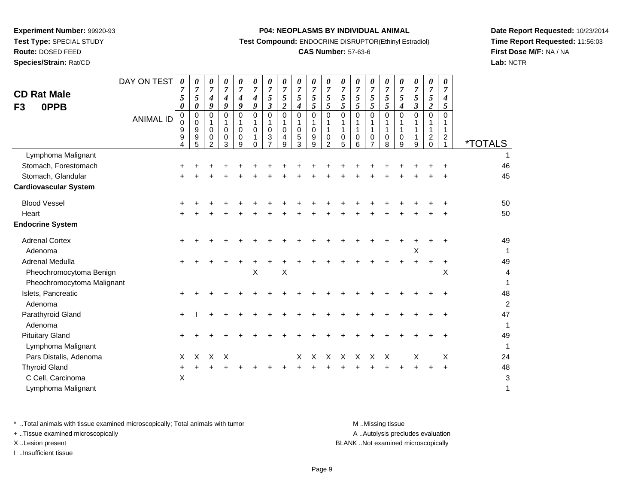**Route:** DOSED FEED

**Species/Strain:** Rat/CD

#### **P04: NEOPLASMS BY INDIVIDUAL ANIMAL**

**Test Compound:** ENDOCRINE DISRUPTOR(Ethinyl Estradiol)

# **CAS Number:** 57-63-6

**Date Report Requested:** 10/23/2014**Time Report Requested:** 11:56:03**First Dose M/F:** NA / NA**Lab:** NCTR

| <b>CD Rat Male</b><br>F3<br>0PPB                   | DAY ON TEST<br><b>ANIMAL ID</b> | $\boldsymbol{\theta}$<br>$\overline{7}$<br>5<br>0<br>0<br>$\mathbf 0$<br>9<br>9 | 0<br>$\overline{7}$<br>5<br>0<br>$\mathbf 0$<br>0<br>9<br>9 | $\boldsymbol{\theta}$<br>$\overline{7}$<br>$\boldsymbol{4}$<br>9<br>$\Omega$<br>$\mathbf 0$<br>0 | 0<br>$\overline{7}$<br>4<br>9<br>$\Omega$<br>$\mathbf 0$<br>0 | 0<br>$\overline{7}$<br>$\boldsymbol{4}$<br>9<br>$\Omega$<br>$\mathbf 0$<br>0 | 0<br>7<br>4<br>9<br>$\mathbf 0$<br>$\Omega$ | $\boldsymbol{\theta}$<br>$\overline{7}$<br>5<br>$\boldsymbol{\beta}$<br>$\Omega$<br>$\mathbf 0$<br>3 | 0<br>$\overline{7}$<br>5<br>2<br>$\Omega$<br>$\mathbf 0$<br>4 | 0<br>$\overline{7}$<br>5<br>4<br>0<br>$\mathbf 0$<br>5 | 0<br>$\overline{7}$<br>5<br>5<br>$\Omega$<br>0<br>9 | 0<br>7<br>5<br>5<br>$\Omega$<br>1<br>0 | 0<br>$\overline{7}$<br>5<br>5<br>$\mathbf 0$<br>1<br>$\mathbf{1}$<br>0 | 0<br>$\overline{7}$<br>5<br>5<br>$\Omega$<br>1<br>0 | 0<br>$\overline{7}$<br>5<br>5<br>$\mathbf 0$<br>1<br>$\mathbf 0$ | 0<br>$\overline{7}$<br>5<br>5<br>$\mathbf 0$<br>1<br>$\mathbf 0$ | 0<br>7<br>5<br>4<br>$\Omega$<br>1<br>0 | 0<br>$\overline{7}$<br>5<br>3<br>$\mathbf 0$<br>1<br>1 | 0<br>$\overline{7}$<br>5<br>$\boldsymbol{2}$<br>$\Omega$<br>$\mathbf{1}$<br>$\overline{c}$ | 0<br>$\overline{7}$<br>$\boldsymbol{4}$<br>5<br>$\Omega$<br>$\mathbf{1}$<br>$\overline{2}$ |                       |
|----------------------------------------------------|---------------------------------|---------------------------------------------------------------------------------|-------------------------------------------------------------|--------------------------------------------------------------------------------------------------|---------------------------------------------------------------|------------------------------------------------------------------------------|---------------------------------------------|------------------------------------------------------------------------------------------------------|---------------------------------------------------------------|--------------------------------------------------------|-----------------------------------------------------|----------------------------------------|------------------------------------------------------------------------|-----------------------------------------------------|------------------------------------------------------------------|------------------------------------------------------------------|----------------------------------------|--------------------------------------------------------|--------------------------------------------------------------------------------------------|--------------------------------------------------------------------------------------------|-----------------------|
|                                                    |                                 | 4                                                                               | 5                                                           | $\overline{2}$                                                                                   | 3                                                             | 9                                                                            | $\Omega$                                    |                                                                                                      | 9                                                             | 3                                                      | 9                                                   | $\mathcal{P}$                          | 5                                                                      | 6                                                   | 7                                                                | 8                                                                | 9                                      | 9                                                      | $\Omega$                                                                                   |                                                                                            | <i><b>*TOTALS</b></i> |
| Lymphoma Malignant                                 |                                 |                                                                                 |                                                             |                                                                                                  |                                                               |                                                                              |                                             |                                                                                                      |                                                               |                                                        |                                                     |                                        |                                                                        |                                                     |                                                                  |                                                                  |                                        |                                                        |                                                                                            |                                                                                            |                       |
| Stomach, Forestomach                               |                                 |                                                                                 |                                                             |                                                                                                  |                                                               |                                                                              |                                             |                                                                                                      |                                                               |                                                        |                                                     |                                        |                                                                        |                                                     |                                                                  |                                                                  |                                        |                                                        |                                                                                            |                                                                                            | 46                    |
| Stomach, Glandular<br><b>Cardiovascular System</b> |                                 |                                                                                 |                                                             |                                                                                                  |                                                               |                                                                              |                                             |                                                                                                      |                                                               |                                                        |                                                     |                                        |                                                                        |                                                     |                                                                  |                                                                  |                                        |                                                        |                                                                                            |                                                                                            | 45                    |
| <b>Blood Vessel</b>                                |                                 |                                                                                 |                                                             |                                                                                                  |                                                               |                                                                              |                                             |                                                                                                      |                                                               |                                                        |                                                     |                                        |                                                                        |                                                     |                                                                  |                                                                  |                                        |                                                        |                                                                                            |                                                                                            | 50                    |
| Heart                                              |                                 |                                                                                 |                                                             |                                                                                                  |                                                               |                                                                              |                                             |                                                                                                      |                                                               |                                                        |                                                     |                                        |                                                                        |                                                     |                                                                  |                                                                  |                                        |                                                        |                                                                                            |                                                                                            | 50                    |
| <b>Endocrine System</b>                            |                                 |                                                                                 |                                                             |                                                                                                  |                                                               |                                                                              |                                             |                                                                                                      |                                                               |                                                        |                                                     |                                        |                                                                        |                                                     |                                                                  |                                                                  |                                        |                                                        |                                                                                            |                                                                                            |                       |
| <b>Adrenal Cortex</b>                              |                                 |                                                                                 |                                                             |                                                                                                  |                                                               |                                                                              |                                             |                                                                                                      |                                                               |                                                        |                                                     |                                        |                                                                        |                                                     |                                                                  |                                                                  |                                        |                                                        |                                                                                            |                                                                                            | 49                    |
| Adenoma                                            |                                 |                                                                                 |                                                             |                                                                                                  |                                                               |                                                                              |                                             |                                                                                                      |                                                               |                                                        |                                                     |                                        |                                                                        |                                                     |                                                                  |                                                                  |                                        | X                                                      |                                                                                            |                                                                                            | 1                     |
| Adrenal Medulla                                    |                                 |                                                                                 |                                                             |                                                                                                  |                                                               |                                                                              |                                             |                                                                                                      |                                                               |                                                        |                                                     |                                        |                                                                        |                                                     |                                                                  |                                                                  |                                        |                                                        |                                                                                            | $\ddot{}$                                                                                  | 49                    |
| Pheochromocytoma Benign                            |                                 |                                                                                 |                                                             |                                                                                                  |                                                               |                                                                              | $\times$                                    |                                                                                                      | X                                                             |                                                        |                                                     |                                        |                                                                        |                                                     |                                                                  |                                                                  |                                        |                                                        |                                                                                            | X                                                                                          | 4                     |
| Pheochromocytoma Malignant                         |                                 |                                                                                 |                                                             |                                                                                                  |                                                               |                                                                              |                                             |                                                                                                      |                                                               |                                                        |                                                     |                                        |                                                                        |                                                     |                                                                  |                                                                  |                                        |                                                        |                                                                                            |                                                                                            | $\mathbf{1}$          |
| Islets, Pancreatic<br>Adenoma                      |                                 |                                                                                 |                                                             |                                                                                                  |                                                               |                                                                              |                                             |                                                                                                      |                                                               |                                                        |                                                     |                                        |                                                                        |                                                     |                                                                  |                                                                  |                                        |                                                        |                                                                                            |                                                                                            | 48<br>$\overline{c}$  |
| Parathyroid Gland                                  |                                 | $\ddot{}$                                                                       |                                                             |                                                                                                  |                                                               |                                                                              |                                             |                                                                                                      |                                                               |                                                        |                                                     |                                        |                                                                        |                                                     |                                                                  |                                                                  |                                        |                                                        |                                                                                            |                                                                                            | 47                    |
| Adenoma                                            |                                 |                                                                                 |                                                             |                                                                                                  |                                                               |                                                                              |                                             |                                                                                                      |                                                               |                                                        |                                                     |                                        |                                                                        |                                                     |                                                                  |                                                                  |                                        |                                                        |                                                                                            |                                                                                            | $\mathbf{1}$          |
| <b>Pituitary Gland</b>                             |                                 |                                                                                 |                                                             |                                                                                                  |                                                               |                                                                              |                                             |                                                                                                      |                                                               |                                                        |                                                     |                                        |                                                                        |                                                     |                                                                  |                                                                  |                                        |                                                        |                                                                                            |                                                                                            | 49                    |
| Lymphoma Malignant                                 |                                 |                                                                                 |                                                             |                                                                                                  |                                                               |                                                                              |                                             |                                                                                                      |                                                               |                                                        |                                                     |                                        |                                                                        |                                                     |                                                                  |                                                                  |                                        |                                                        |                                                                                            |                                                                                            | 1                     |
| Pars Distalis, Adenoma                             |                                 | X                                                                               | X                                                           | X                                                                                                | $\mathsf{X}$                                                  |                                                                              |                                             |                                                                                                      |                                                               | X                                                      | X                                                   | $\boldsymbol{\mathsf{X}}$              | X                                                                      | $\times$                                            | X                                                                | $\boldsymbol{\mathsf{X}}$                                        |                                        | X                                                      |                                                                                            | X                                                                                          | 24                    |
| <b>Thyroid Gland</b>                               |                                 |                                                                                 |                                                             |                                                                                                  |                                                               |                                                                              |                                             |                                                                                                      |                                                               |                                                        |                                                     |                                        |                                                                        |                                                     |                                                                  |                                                                  |                                        |                                                        |                                                                                            | $\ddot{}$                                                                                  | 48                    |
| C Cell, Carcinoma                                  |                                 | X                                                                               |                                                             |                                                                                                  |                                                               |                                                                              |                                             |                                                                                                      |                                                               |                                                        |                                                     |                                        |                                                                        |                                                     |                                                                  |                                                                  |                                        |                                                        |                                                                                            |                                                                                            | 3                     |
| Lymphoma Malignant                                 |                                 |                                                                                 |                                                             |                                                                                                  |                                                               |                                                                              |                                             |                                                                                                      |                                                               |                                                        |                                                     |                                        |                                                                        |                                                     |                                                                  |                                                                  |                                        |                                                        |                                                                                            |                                                                                            | $\mathbf{1}$          |

\* ..Total animals with tissue examined microscopically; Total animals with tumor **M** . Missing tissue M ..Missing tissue

+ ..Tissue examined microscopically

I ..Insufficient tissue

A ..Autolysis precludes evaluation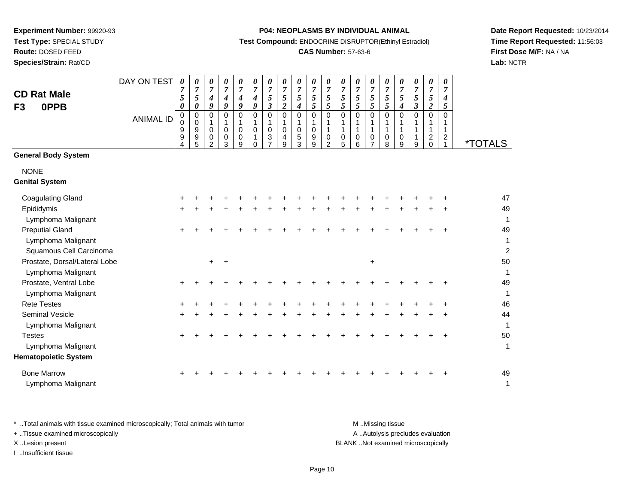**Route:** DOSED FEED

**Species/Strain:** Rat/CD

#### **P04: NEOPLASMS BY INDIVIDUAL ANIMAL**

**Test Compound:** ENDOCRINE DISRUPTOR(Ethinyl Estradiol)

# **CAS Number:** 57-63-6

**Date Report Requested:** 10/23/2014**Time Report Requested:** 11:56:03**First Dose M/F:** NA / NA**Lab:** NCTR

| <b>CD Rat Male</b><br>0PPB<br>F <sub>3</sub> | DAY ON TEST      | 0<br>$\overline{7}$<br>$\sqrt{5}$<br>0 | 0<br>$\overline{7}$<br>5<br>0   | 0<br>$\overline{7}$<br>4<br>9      | 0<br>$\boldsymbol{7}$<br>4<br>9            | 0<br>$\overline{7}$<br>4<br>$\boldsymbol{g}$ | 0<br>$\overline{7}$<br>4<br>9 | 0<br>$\boldsymbol{7}$<br>$\mathfrak{s}$<br>$\boldsymbol{\beta}$ | 0<br>$\overline{7}$<br>5<br>$\overline{c}$ | 0<br>$\boldsymbol{7}$<br>$\overline{5}$<br>$\boldsymbol{4}$ | 0<br>$\overline{7}$<br>5<br>5   | 0<br>$\overline{7}$<br>5<br>5 | 0<br>$\overline{7}$<br>5<br>5 | 0<br>$\boldsymbol{7}$<br>5<br>5 | 0<br>$\overline{7}$<br>5<br>5    | 0<br>$\overline{7}$<br>5<br>5         | 0<br>$\overline{7}$<br>5<br>$\boldsymbol{4}$ | 0<br>$\boldsymbol{7}$<br>5<br>$\boldsymbol{\beta}$ | 0<br>$\overline{7}$<br>5<br>$\overline{c}$                       | 0<br>$\overline{7}$<br>4<br>5                        |                       |
|----------------------------------------------|------------------|----------------------------------------|---------------------------------|------------------------------------|--------------------------------------------|----------------------------------------------|-------------------------------|-----------------------------------------------------------------|--------------------------------------------|-------------------------------------------------------------|---------------------------------|-------------------------------|-------------------------------|---------------------------------|----------------------------------|---------------------------------------|----------------------------------------------|----------------------------------------------------|------------------------------------------------------------------|------------------------------------------------------|-----------------------|
|                                              | <b>ANIMAL ID</b> | 0<br>0<br>9<br>9<br>4                  | 0<br>$\mathbf 0$<br>9<br>9<br>5 | 0<br>1<br>0<br>0<br>$\overline{2}$ | 0<br>$\mathbf{1}$<br>$\mathbf 0$<br>0<br>3 | $\mathbf 0$<br>1<br>$\mathbf 0$<br>0<br>9    | $\mathbf 0$<br>0<br>$\Omega$  | 0<br>$\mathbf 0$<br>3                                           | $\mathbf 0$<br>1<br>0<br>4<br>9            | 0<br>$\mathbf{1}$<br>$\pmb{0}$<br>$\sqrt{5}$<br>3           | $\mathbf 0$<br>1<br>0<br>9<br>9 | 0<br>$\mathbf{1}$<br>0<br>2   | 0<br>1<br>0<br>5              | 0<br>$\mathbf{1}$<br>0<br>6     | $\mathbf 0$<br>$\mathbf{1}$<br>0 | $\mathbf 0$<br>$\mathbf{1}$<br>0<br>8 | $\mathbf 0$<br>1<br>0<br>9                   | 0<br>1<br>1<br>9                                   | $\mathbf 0$<br>1<br>$\mathbf 1$<br>$\overline{a}$<br>$\mathbf 0$ | $\Omega$<br>1<br>$\mathbf{1}$<br>$\overline{2}$<br>1 | <i><b>*TOTALS</b></i> |
| <b>General Body System</b>                   |                  |                                        |                                 |                                    |                                            |                                              |                               |                                                                 |                                            |                                                             |                                 |                               |                               |                                 |                                  |                                       |                                              |                                                    |                                                                  |                                                      |                       |
| <b>NONE</b><br><b>Genital System</b>         |                  |                                        |                                 |                                    |                                            |                                              |                               |                                                                 |                                            |                                                             |                                 |                               |                               |                                 |                                  |                                       |                                              |                                                    |                                                                  |                                                      |                       |
| <b>Coagulating Gland</b>                     |                  |                                        |                                 |                                    |                                            |                                              |                               |                                                                 |                                            |                                                             |                                 |                               |                               |                                 |                                  |                                       |                                              |                                                    |                                                                  |                                                      | 47                    |
| Epididymis                                   |                  |                                        |                                 |                                    |                                            |                                              |                               |                                                                 |                                            |                                                             |                                 |                               |                               |                                 |                                  |                                       |                                              |                                                    |                                                                  |                                                      | 49                    |
| Lymphoma Malignant                           |                  |                                        |                                 |                                    |                                            |                                              |                               |                                                                 |                                            |                                                             |                                 |                               |                               |                                 |                                  |                                       |                                              |                                                    |                                                                  |                                                      | 1                     |
| <b>Preputial Gland</b>                       |                  |                                        |                                 |                                    |                                            |                                              |                               |                                                                 |                                            |                                                             |                                 |                               |                               |                                 |                                  |                                       |                                              |                                                    |                                                                  |                                                      | 49                    |
| Lymphoma Malignant                           |                  |                                        |                                 |                                    |                                            |                                              |                               |                                                                 |                                            |                                                             |                                 |                               |                               |                                 |                                  |                                       |                                              |                                                    |                                                                  |                                                      | 1                     |
| Squamous Cell Carcinoma                      |                  |                                        |                                 |                                    |                                            |                                              |                               |                                                                 |                                            |                                                             |                                 |                               |                               |                                 |                                  |                                       |                                              |                                                    |                                                                  |                                                      | $\overline{2}$        |
| Prostate, Dorsal/Lateral Lobe                |                  |                                        |                                 | $\ddot{}$                          | $\overline{+}$                             |                                              |                               |                                                                 |                                            |                                                             |                                 |                               |                               |                                 | $\ddot{}$                        |                                       |                                              |                                                    |                                                                  |                                                      | 50                    |
| Lymphoma Malignant                           |                  |                                        |                                 |                                    |                                            |                                              |                               |                                                                 |                                            |                                                             |                                 |                               |                               |                                 |                                  |                                       |                                              |                                                    |                                                                  |                                                      | 1                     |
| Prostate, Ventral Lobe                       |                  | ÷                                      |                                 |                                    |                                            |                                              |                               |                                                                 |                                            |                                                             |                                 |                               |                               |                                 |                                  |                                       |                                              |                                                    |                                                                  |                                                      | 49                    |
| Lymphoma Malignant                           |                  |                                        |                                 |                                    |                                            |                                              |                               |                                                                 |                                            |                                                             |                                 |                               |                               |                                 |                                  |                                       |                                              |                                                    |                                                                  |                                                      | 1                     |
| <b>Rete Testes</b>                           |                  |                                        |                                 |                                    |                                            |                                              |                               |                                                                 |                                            |                                                             |                                 |                               |                               |                                 |                                  |                                       |                                              |                                                    |                                                                  |                                                      | 46                    |
| <b>Seminal Vesicle</b>                       |                  | +                                      |                                 |                                    |                                            |                                              |                               |                                                                 |                                            |                                                             |                                 |                               |                               |                                 |                                  |                                       |                                              |                                                    |                                                                  |                                                      | 44                    |
| Lymphoma Malignant                           |                  |                                        |                                 |                                    |                                            |                                              |                               |                                                                 |                                            |                                                             |                                 |                               |                               |                                 |                                  |                                       |                                              |                                                    |                                                                  |                                                      | 1                     |
| <b>Testes</b>                                |                  |                                        |                                 |                                    |                                            |                                              |                               |                                                                 |                                            |                                                             |                                 |                               |                               |                                 |                                  |                                       |                                              |                                                    |                                                                  |                                                      | 50                    |
| Lymphoma Malignant                           |                  |                                        |                                 |                                    |                                            |                                              |                               |                                                                 |                                            |                                                             |                                 |                               |                               |                                 |                                  |                                       |                                              |                                                    |                                                                  |                                                      | 1                     |
| <b>Hematopoietic System</b>                  |                  |                                        |                                 |                                    |                                            |                                              |                               |                                                                 |                                            |                                                             |                                 |                               |                               |                                 |                                  |                                       |                                              |                                                    |                                                                  |                                                      |                       |
| <b>Bone Marrow</b>                           |                  |                                        |                                 |                                    |                                            |                                              |                               |                                                                 |                                            |                                                             |                                 |                               |                               |                                 |                                  |                                       |                                              |                                                    |                                                                  |                                                      | 49                    |
| Lymphoma Malignant                           |                  |                                        |                                 |                                    |                                            |                                              |                               |                                                                 |                                            |                                                             |                                 |                               |                               |                                 |                                  |                                       |                                              |                                                    |                                                                  |                                                      | 1                     |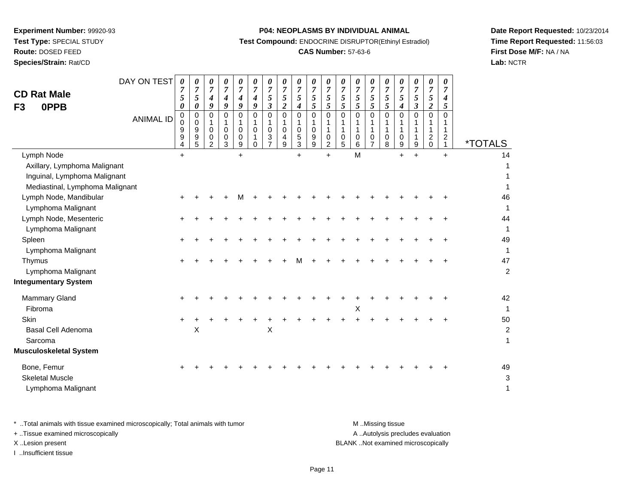**Route:** DOSED FEED

**Species/Strain:** Rat/CD

#### **P04: NEOPLASMS BY INDIVIDUAL ANIMAL**

**Test Compound:** ENDOCRINE DISRUPTOR(Ethinyl Estradiol)

# **CAS Number:** 57-63-6

**Date Report Requested:** 10/23/2014**Time Report Requested:** 11:56:03**First Dose M/F:** NA / NA**Lab:** NCTR

| DAY ON TEST<br><b>CD Rat Male</b><br>0PPB<br>F <sub>3</sub>                                                   |                  | 0<br>7<br>$\sqrt{5}$<br>0                         | 0<br>5<br>$\boldsymbol{\theta}$                | 0<br>$\overline{7}$<br>$\boldsymbol{4}$<br>9      | 0<br>$\overline{7}$<br>4<br>9   | 0<br>$\overline{7}$<br>4<br>9 | 0<br>$\overline{7}$<br>$\boldsymbol{4}$<br>9 | 0<br>$\overline{7}$<br>5<br>$\mathfrak{z}$          | 0<br>$\overline{7}$<br>$\sqrt{5}$<br>$\overline{2}$  | 0<br>$\boldsymbol{7}$<br>5<br>4 | 0<br>$\boldsymbol{7}$<br>$\mathfrak{s}$<br>5 | 0<br>$\overline{7}$<br>$\mathfrak{s}$<br>5                         | 0<br>$\overline{7}$<br>$rac{5}{5}$ | 0<br>$\overline{7}$<br>$\mathfrak{s}$<br>5 | 0<br>$\overline{7}$<br>$\mathfrak{s}$<br>5 | 0<br>$\overline{7}$<br>$\sqrt{5}$<br>$5\overline{)}$ | 0<br>$\boldsymbol{7}$<br>5<br>$\boldsymbol{4}$ | 0<br>$\overline{7}$<br>$\mathfrak{s}$<br>$\boldsymbol{\beta}$ | 0<br>$\overline{7}$<br>5<br>$\boldsymbol{2}$         | 0<br>7<br>$\boldsymbol{4}$<br>5                 |                           |
|---------------------------------------------------------------------------------------------------------------|------------------|---------------------------------------------------|------------------------------------------------|---------------------------------------------------|---------------------------------|-------------------------------|----------------------------------------------|-----------------------------------------------------|------------------------------------------------------|---------------------------------|----------------------------------------------|--------------------------------------------------------------------|------------------------------------|--------------------------------------------|--------------------------------------------|------------------------------------------------------|------------------------------------------------|---------------------------------------------------------------|------------------------------------------------------|-------------------------------------------------|---------------------------|
|                                                                                                               | <b>ANIMAL ID</b> | 0<br>0<br>$\boldsymbol{9}$<br>9<br>$\overline{4}$ | $\mathbf 0$<br>0<br>$\boldsymbol{9}$<br>9<br>5 | $\Omega$<br>$\mathbf{1}$<br>$\mathbf 0$<br>0<br>2 | 0<br>$\mathbf 1$<br>0<br>0<br>3 | 0<br>0<br>0<br>9              | 0<br>$\mathbf{1}$<br>$\mathbf 0$<br>$\Omega$ | $\Omega$<br>1<br>$\mathbf 0$<br>3<br>$\overline{7}$ | $\mathbf 0$<br>$\mathbf{1}$<br>$\mathbf 0$<br>4<br>9 | 0<br>1<br>0<br>5<br>3           | $\mathbf 0$<br>1<br>$\mathbf 0$<br>9<br>9    | 0<br>$\mathbf{1}$<br>$\mathbf{1}$<br>$\mathbf 0$<br>$\overline{2}$ | $\Omega$<br>1<br>1<br>0<br>5       | $\Omega$<br>1<br>0<br>6                    | $\mathbf 0$<br>1<br>1<br>0<br>7            | $\Omega$<br>1<br>0<br>8                              | $\Omega$<br>$\mathbf 1$<br>0<br>9              | $\Omega$<br>9                                                 | $\Omega$<br>1<br>$\overline{\mathbf{c}}$<br>$\Omega$ | $\Omega$<br>$\mathbf{1}$<br>$\overline{c}$<br>1 | <i><b>*TOTALS</b></i>     |
| Lymph Node<br>Axillary, Lymphoma Malignant<br>Inguinal, Lymphoma Malignant<br>Mediastinal, Lymphoma Malignant |                  | $+$                                               |                                                |                                                   |                                 | $+$                           |                                              |                                                     |                                                      | $+$                             |                                              | $+$                                                                |                                    | M                                          |                                            |                                                      | $\ddot{}$                                      | $\ddot{}$                                                     |                                                      | $+$                                             | 14                        |
| Lymph Node, Mandibular<br>Lymphoma Malignant                                                                  |                  |                                                   |                                                |                                                   |                                 | м                             |                                              |                                                     |                                                      |                                 |                                              |                                                                    |                                    |                                            |                                            |                                                      |                                                |                                                               |                                                      |                                                 | 46<br>1                   |
| Lymph Node, Mesenteric<br>Lymphoma Malignant<br>Spleen                                                        |                  |                                                   |                                                |                                                   |                                 |                               |                                              |                                                     |                                                      |                                 |                                              |                                                                    |                                    |                                            |                                            |                                                      |                                                |                                                               |                                                      |                                                 | 44<br>49                  |
| Lymphoma Malignant<br>Thymus                                                                                  |                  |                                                   |                                                |                                                   |                                 |                               |                                              |                                                     |                                                      |                                 |                                              |                                                                    |                                    |                                            |                                            |                                                      |                                                |                                                               |                                                      |                                                 | $\mathbf 1$<br>47         |
| Lymphoma Malignant<br><b>Integumentary System</b>                                                             |                  |                                                   |                                                |                                                   |                                 |                               |                                              |                                                     |                                                      |                                 |                                              |                                                                    |                                    |                                            |                                            |                                                      |                                                |                                                               |                                                      |                                                 | $\overline{2}$            |
| Mammary Gland<br>Fibroma                                                                                      |                  |                                                   |                                                |                                                   |                                 |                               |                                              |                                                     |                                                      |                                 |                                              |                                                                    |                                    | X                                          |                                            |                                                      |                                                |                                                               |                                                      |                                                 | 42<br>$\mathbf{1}$        |
| Skin<br>Basal Cell Adenoma<br>Sarcoma                                                                         |                  |                                                   | X                                              |                                                   |                                 |                               |                                              | Χ                                                   |                                                      |                                 |                                              |                                                                    |                                    |                                            |                                            |                                                      |                                                |                                                               |                                                      |                                                 | 50<br>$\overline{c}$<br>1 |
| <b>Musculoskeletal System</b><br>Bone, Femur                                                                  |                  |                                                   |                                                |                                                   |                                 |                               |                                              |                                                     |                                                      |                                 |                                              |                                                                    |                                    |                                            |                                            |                                                      |                                                |                                                               |                                                      |                                                 | 49                        |
| <b>Skeletal Muscle</b><br>Lymphoma Malignant                                                                  |                  |                                                   |                                                |                                                   |                                 |                               |                                              |                                                     |                                                      |                                 |                                              |                                                                    |                                    |                                            |                                            |                                                      |                                                |                                                               |                                                      |                                                 | 3<br>1                    |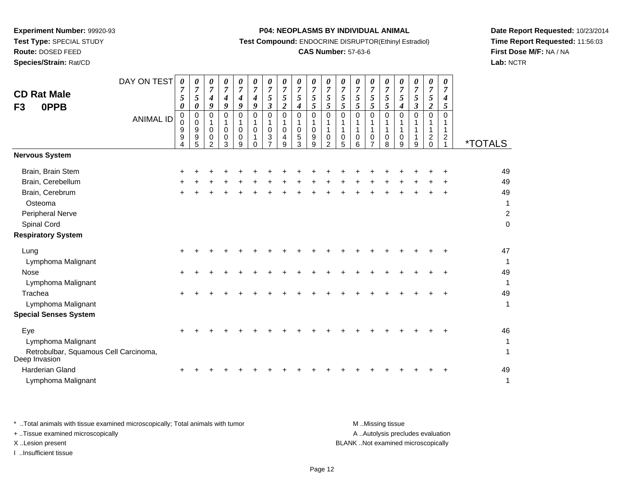**Route:** DOSED FEED

**Species/Strain:** Rat/CD

#### **P04: NEOPLASMS BY INDIVIDUAL ANIMAL**

**Test Compound:** ENDOCRINE DISRUPTOR(Ethinyl Estradiol)

# **CAS Number:** 57-63-6

**Date Report Requested:** 10/23/2014**Time Report Requested:** 11:56:03**First Dose M/F:** NA / NA**Lab:** NCTR

| <b>CD Rat Male</b><br><b>OPPB</b><br>F <sub>3</sub>    | DAY ON TEST      | 0<br>7<br>$5\overline{)}$<br>0 | 0<br>$\overline{7}$<br>5<br>0 | 0<br>$\overline{7}$<br>4<br>9                       | 0<br>$\boldsymbol{7}$<br>$\boldsymbol{4}$<br>9 | 0<br>$\overline{7}$<br>4<br>9     | 0<br>$\boldsymbol{7}$<br>4<br>9 | 0<br>$\overline{7}$<br>5<br>$\boldsymbol{\beta}$                  | 0<br>$\overline{7}$<br>5<br>$\boldsymbol{2}$ | 0<br>$\overline{7}$<br>$5\overline{)}$<br>$\boldsymbol{4}$ | $\boldsymbol{\theta}$<br>$\boldsymbol{7}$<br>$\mathfrak{s}$<br>5 | 0<br>$\overline{7}$<br>$\mathfrak{s}$<br>$\mathfrak{I}$ | 0<br>$\overline{7}$<br>5<br>5 | 0<br>$\overline{7}$<br>5<br>5 | 0<br>$\overline{7}$<br>5<br>5                   | 0<br>$\overline{7}$<br>5<br>5            | 0<br>$\overline{7}$<br>5<br>$\boldsymbol{4}$ | 0<br>$\overline{7}$<br>5<br>$\boldsymbol{\beta}$ | 0<br>$\overline{7}$<br>5<br>$\boldsymbol{2}$                    | 0<br>$\overline{7}$<br>4<br>5                                  |                       |
|--------------------------------------------------------|------------------|--------------------------------|-------------------------------|-----------------------------------------------------|------------------------------------------------|-----------------------------------|---------------------------------|-------------------------------------------------------------------|----------------------------------------------|------------------------------------------------------------|------------------------------------------------------------------|---------------------------------------------------------|-------------------------------|-------------------------------|-------------------------------------------------|------------------------------------------|----------------------------------------------|--------------------------------------------------|-----------------------------------------------------------------|----------------------------------------------------------------|-----------------------|
|                                                        | <b>ANIMAL ID</b> | $\pmb{0}$<br>0<br>9<br>9<br>4  | 0<br>0<br>9<br>9<br>5         | $\Omega$<br>1<br>$\mathbf 0$<br>0<br>$\overline{2}$ | $\Omega$<br>1<br>0<br>0<br>3                   | $\Omega$<br>$\mathbf 0$<br>0<br>9 | $\Omega$<br>0<br>$\Omega$       | $\mathbf 0$<br>$\mathbf{1}$<br>$\mathbf 0$<br>3<br>$\overline{7}$ | $\mathbf 0$<br>1<br>$\mathbf 0$<br>4<br>9    | $\mathbf 0$<br>1<br>$\mathbf 0$<br>5<br>3                  | $\mathbf 0$<br>1<br>$\pmb{0}$<br>$\boldsymbol{9}$<br>9           | $\mathbf 0$<br>1<br>$\mathbf{1}$<br>0<br>$\overline{2}$ | $\mathbf 0$<br>1<br>0<br>5    | 0<br>1<br>1<br>0<br>6         | $\Omega$<br>$\mathbf{1}$<br>0<br>$\overline{7}$ | 0<br>1<br>$\mathbf{1}$<br>$\pmb{0}$<br>8 | $\Omega$<br>1<br>0<br>9                      | $\Omega$<br>1<br>9                               | $\mathbf 0$<br>1<br>1<br>$\overline{\mathbf{c}}$<br>$\mathbf 0$ | $\Omega$<br>1<br>$\mathbf{1}$<br>$\overline{c}$<br>$\mathbf 1$ | <i><b>*TOTALS</b></i> |
| <b>Nervous System</b>                                  |                  |                                |                               |                                                     |                                                |                                   |                                 |                                                                   |                                              |                                                            |                                                                  |                                                         |                               |                               |                                                 |                                          |                                              |                                                  |                                                                 |                                                                |                       |
| Brain, Brain Stem                                      |                  | ٠                              |                               |                                                     |                                                |                                   |                                 |                                                                   |                                              |                                                            |                                                                  |                                                         |                               |                               |                                                 |                                          |                                              |                                                  |                                                                 |                                                                | 49                    |
| Brain, Cerebellum                                      |                  |                                |                               |                                                     |                                                |                                   |                                 |                                                                   |                                              |                                                            |                                                                  |                                                         |                               |                               |                                                 |                                          |                                              |                                                  |                                                                 |                                                                | 49                    |
| Brain, Cerebrum                                        |                  |                                |                               |                                                     |                                                |                                   |                                 |                                                                   |                                              |                                                            |                                                                  |                                                         |                               |                               |                                                 |                                          |                                              |                                                  |                                                                 |                                                                | 49                    |
| Osteoma                                                |                  |                                |                               |                                                     |                                                |                                   |                                 |                                                                   |                                              |                                                            |                                                                  |                                                         |                               |                               |                                                 |                                          |                                              |                                                  |                                                                 |                                                                | 1                     |
| Peripheral Nerve                                       |                  |                                |                               |                                                     |                                                |                                   |                                 |                                                                   |                                              |                                                            |                                                                  |                                                         |                               |                               |                                                 |                                          |                                              |                                                  |                                                                 |                                                                | $\overline{c}$        |
| Spinal Cord                                            |                  |                                |                               |                                                     |                                                |                                   |                                 |                                                                   |                                              |                                                            |                                                                  |                                                         |                               |                               |                                                 |                                          |                                              |                                                  |                                                                 |                                                                | $\mathsf 0$           |
| <b>Respiratory System</b>                              |                  |                                |                               |                                                     |                                                |                                   |                                 |                                                                   |                                              |                                                            |                                                                  |                                                         |                               |                               |                                                 |                                          |                                              |                                                  |                                                                 |                                                                |                       |
| Lung                                                   |                  | ÷                              |                               |                                                     |                                                |                                   |                                 |                                                                   |                                              |                                                            |                                                                  |                                                         |                               |                               |                                                 |                                          |                                              |                                                  |                                                                 |                                                                | 47                    |
| Lymphoma Malignant                                     |                  |                                |                               |                                                     |                                                |                                   |                                 |                                                                   |                                              |                                                            |                                                                  |                                                         |                               |                               |                                                 |                                          |                                              |                                                  |                                                                 |                                                                | 1                     |
| Nose                                                   |                  | $\ddot{}$                      |                               |                                                     |                                                |                                   |                                 |                                                                   |                                              |                                                            |                                                                  |                                                         |                               |                               |                                                 |                                          |                                              |                                                  |                                                                 |                                                                | 49                    |
| Lymphoma Malignant                                     |                  |                                |                               |                                                     |                                                |                                   |                                 |                                                                   |                                              |                                                            |                                                                  |                                                         |                               |                               |                                                 |                                          |                                              |                                                  |                                                                 |                                                                | $\mathbf{1}$          |
| Trachea                                                |                  |                                |                               |                                                     |                                                |                                   |                                 |                                                                   |                                              |                                                            |                                                                  |                                                         |                               |                               |                                                 |                                          |                                              |                                                  |                                                                 |                                                                | 49                    |
| Lymphoma Malignant                                     |                  |                                |                               |                                                     |                                                |                                   |                                 |                                                                   |                                              |                                                            |                                                                  |                                                         |                               |                               |                                                 |                                          |                                              |                                                  |                                                                 |                                                                | $\mathbf{1}$          |
| <b>Special Senses System</b>                           |                  |                                |                               |                                                     |                                                |                                   |                                 |                                                                   |                                              |                                                            |                                                                  |                                                         |                               |                               |                                                 |                                          |                                              |                                                  |                                                                 |                                                                |                       |
| Eye                                                    |                  |                                |                               |                                                     |                                                |                                   |                                 |                                                                   |                                              |                                                            |                                                                  |                                                         |                               |                               |                                                 |                                          |                                              |                                                  |                                                                 |                                                                | 46                    |
| Lymphoma Malignant                                     |                  |                                |                               |                                                     |                                                |                                   |                                 |                                                                   |                                              |                                                            |                                                                  |                                                         |                               |                               |                                                 |                                          |                                              |                                                  |                                                                 |                                                                | 1                     |
| Retrobulbar, Squamous Cell Carcinoma,<br>Deep Invasion |                  |                                |                               |                                                     |                                                |                                   |                                 |                                                                   |                                              |                                                            |                                                                  |                                                         |                               |                               |                                                 |                                          |                                              |                                                  |                                                                 |                                                                | 1                     |
| Harderian Gland                                        |                  |                                |                               |                                                     |                                                |                                   |                                 |                                                                   |                                              |                                                            |                                                                  |                                                         |                               |                               |                                                 |                                          |                                              |                                                  |                                                                 |                                                                | 49                    |
| Lymphoma Malignant                                     |                  |                                |                               |                                                     |                                                |                                   |                                 |                                                                   |                                              |                                                            |                                                                  |                                                         |                               |                               |                                                 |                                          |                                              |                                                  |                                                                 |                                                                | $\mathbf{1}$          |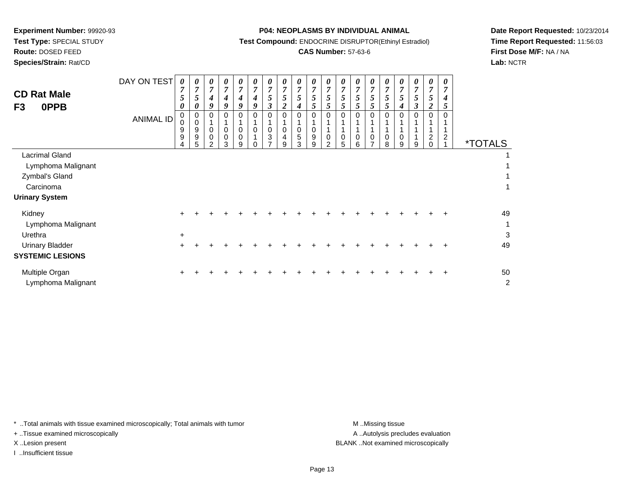**Route:** DOSED FEED

**Species/Strain:** Rat/CD

#### **P04: NEOPLASMS BY INDIVIDUAL ANIMAL**

**Test Compound:** ENDOCRINE DISRUPTOR(Ethinyl Estradiol)

# **CAS Number:** 57-63-6

**Date Report Requested:** 10/23/2014**Time Report Requested:** 11:56:03**First Dose M/F:** NA / NA**Lab:** NCTR

| <b>CD Rat Male</b><br>0PPB<br>F <sub>3</sub> | DAY ON TEST<br><b>ANIMAL ID</b> | 0<br>$\overline{7}$<br>5<br>0<br>$\mathbf 0$<br>0<br>9<br>9 | 0<br>$\overline{7}$<br>5<br>0<br>0<br>0<br>$\boldsymbol{9}$<br>$\boldsymbol{9}$ | 0<br>$\overline{7}$<br>4<br>9<br>0<br>0<br>$\pmb{0}$ | 0<br>$\overline{7}$<br>4<br>9<br>0 | 0<br>$\boldsymbol{7}$<br>$\boldsymbol{4}$<br>9<br>$\Omega$<br>$\mathsf 0$<br>$\pmb{0}$ | 0<br>$\overline{7}$<br>$\boldsymbol{4}$<br>9<br>$\Omega$<br>$\mathbf 0$ | 0<br>$\boldsymbol{7}$<br>5<br>$\boldsymbol{\beta}$<br>$\Omega$<br>$\mathbf 0$<br>$\ensuremath{\mathsf{3}}$ | 0<br>$\overline{7}$<br>5<br>2<br>$\Omega$<br>0<br>4 | $\boldsymbol{\theta}$<br>$\overline{7}$<br>5<br>4<br>0<br>5 | 0<br>$\boldsymbol{7}$<br>5<br>$5\overline{)}$<br>0<br>$\mathbf 0$<br>$\boldsymbol{9}$ | 0<br>$\overline{7}$<br>5<br>5<br>$\mathbf{0}$<br>1<br>$\mathbf 0$ | U<br>$\boldsymbol{7}$<br>5<br>5<br>0 | $\boldsymbol{\theta}$<br>$\overline{7}$<br>5<br>5<br>0<br>0 | 0<br>$\overline{7}$<br>5<br>5<br>0 | 0<br>$\boldsymbol{7}$<br>$\sqrt{5}$<br>5<br>0<br>1<br>$\pmb{0}$ | 0<br>$\overline{7}$<br>5<br>4<br>0 | 0<br>$\overline{7}$<br>5<br>$\boldsymbol{\beta}$ | 0<br>$\overline{7}$<br>5<br>2<br>$\Omega$<br>$\overline{c}$ | 0<br>$\overline{7}$<br>4<br>5<br>$\overline{c}$ |                       |
|----------------------------------------------|---------------------------------|-------------------------------------------------------------|---------------------------------------------------------------------------------|------------------------------------------------------|------------------------------------|----------------------------------------------------------------------------------------|-------------------------------------------------------------------------|------------------------------------------------------------------------------------------------------------|-----------------------------------------------------|-------------------------------------------------------------|---------------------------------------------------------------------------------------|-------------------------------------------------------------------|--------------------------------------|-------------------------------------------------------------|------------------------------------|-----------------------------------------------------------------|------------------------------------|--------------------------------------------------|-------------------------------------------------------------|-------------------------------------------------|-----------------------|
|                                              |                                 | 4                                                           | 5                                                                               | 2                                                    | 3                                  | 9                                                                                      | $\Omega$                                                                | $\rightarrow$                                                                                              | 9                                                   | 3                                                           | 9                                                                                     | $\overline{2}$                                                    | 5                                    | 6                                                           | $\overline{ }$                     | 8                                                               | 9                                  | 9                                                | $\Omega$                                                    |                                                 | <i><b>*TOTALS</b></i> |
| <b>Lacrimal Gland</b>                        |                                 |                                                             |                                                                                 |                                                      |                                    |                                                                                        |                                                                         |                                                                                                            |                                                     |                                                             |                                                                                       |                                                                   |                                      |                                                             |                                    |                                                                 |                                    |                                                  |                                                             |                                                 |                       |
| Lymphoma Malignant                           |                                 |                                                             |                                                                                 |                                                      |                                    |                                                                                        |                                                                         |                                                                                                            |                                                     |                                                             |                                                                                       |                                                                   |                                      |                                                             |                                    |                                                                 |                                    |                                                  |                                                             |                                                 |                       |
| Zymbal's Gland                               |                                 |                                                             |                                                                                 |                                                      |                                    |                                                                                        |                                                                         |                                                                                                            |                                                     |                                                             |                                                                                       |                                                                   |                                      |                                                             |                                    |                                                                 |                                    |                                                  |                                                             |                                                 |                       |
| Carcinoma                                    |                                 |                                                             |                                                                                 |                                                      |                                    |                                                                                        |                                                                         |                                                                                                            |                                                     |                                                             |                                                                                       |                                                                   |                                      |                                                             |                                    |                                                                 |                                    |                                                  |                                                             |                                                 | 1                     |
| <b>Urinary System</b>                        |                                 |                                                             |                                                                                 |                                                      |                                    |                                                                                        |                                                                         |                                                                                                            |                                                     |                                                             |                                                                                       |                                                                   |                                      |                                                             |                                    |                                                                 |                                    |                                                  |                                                             |                                                 |                       |
| Kidney                                       |                                 |                                                             |                                                                                 |                                                      |                                    |                                                                                        |                                                                         |                                                                                                            |                                                     |                                                             |                                                                                       |                                                                   |                                      |                                                             |                                    |                                                                 |                                    |                                                  |                                                             |                                                 | 49                    |
| Lymphoma Malignant                           |                                 |                                                             |                                                                                 |                                                      |                                    |                                                                                        |                                                                         |                                                                                                            |                                                     |                                                             |                                                                                       |                                                                   |                                      |                                                             |                                    |                                                                 |                                    |                                                  |                                                             |                                                 | $\mathbf{1}$          |
| Urethra                                      |                                 | $\ddot{}$                                                   |                                                                                 |                                                      |                                    |                                                                                        |                                                                         |                                                                                                            |                                                     |                                                             |                                                                                       |                                                                   |                                      |                                                             |                                    |                                                                 |                                    |                                                  |                                                             |                                                 | 3                     |
| <b>Urinary Bladder</b>                       |                                 | +                                                           |                                                                                 |                                                      |                                    |                                                                                        |                                                                         |                                                                                                            |                                                     |                                                             |                                                                                       |                                                                   |                                      |                                                             |                                    |                                                                 |                                    |                                                  |                                                             |                                                 | 49                    |
| <b>SYSTEMIC LESIONS</b>                      |                                 |                                                             |                                                                                 |                                                      |                                    |                                                                                        |                                                                         |                                                                                                            |                                                     |                                                             |                                                                                       |                                                                   |                                      |                                                             |                                    |                                                                 |                                    |                                                  |                                                             |                                                 |                       |
| Multiple Organ<br>Lymphoma Malignant         |                                 |                                                             |                                                                                 |                                                      |                                    |                                                                                        |                                                                         |                                                                                                            |                                                     |                                                             |                                                                                       |                                                                   |                                      |                                                             |                                    |                                                                 |                                    |                                                  |                                                             |                                                 | 50<br>$\overline{2}$  |

\* ..Total animals with tissue examined microscopically; Total animals with tumor **M** . Missing tissue M ..Missing tissue

+ ..Tissue examined microscopically

I ..Insufficient tissue

A ..Autolysis precludes evaluation X ..Lesion present BLANK ..Not examined microscopically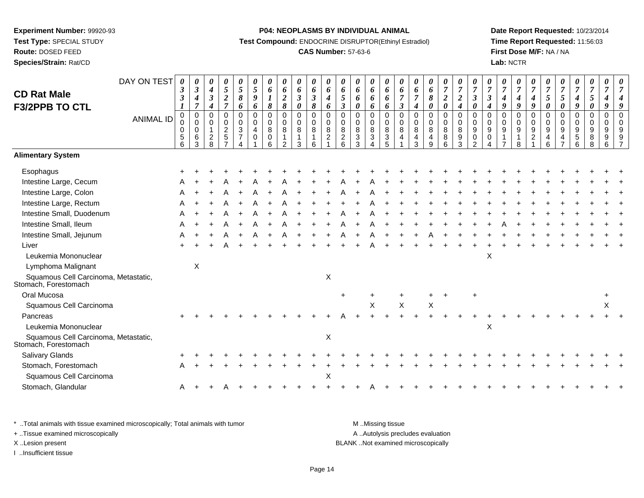**Route:** DOSED FEED

**Species/Strain:** Rat/CD

#### **P04: NEOPLASMS BY INDIVIDUAL ANIMAL**

**Test Compound:** ENDOCRINE DISRUPTOR(Ethinyl Estradiol)

# **CAS Number:** 57-63-6

**Date Report Requested:** 10/23/2014**Time Report Requested:** 11:56:03**First Dose M/F:** NA / NA**Lab:** NCTR

| <b>CD Rat Male</b>                                           | DAY ON TEST      | 0<br>$\boldsymbol{\beta}$<br>$\mathfrak{z}$              | 0<br>$\boldsymbol{\beta}$<br>4<br>$\overline{7}$                 | 0<br>$\boldsymbol{4}$<br>$\boldsymbol{\beta}$                                   | 0<br>$\sqrt{5}$<br>$\boldsymbol{2}$<br>$\overline{7}$                         | 0<br>$\mathfrak{z}$<br>$\pmb{8}$                                      | 0<br>5<br>9                                       | 0<br>6<br>$\boldsymbol{l}$           | 0<br>6<br>$\boldsymbol{2}$                                     | 0<br>6<br>$\mathfrak{z}$                            | 0<br>6<br>$\boldsymbol{\beta}$                 | 0<br>6<br>$\boldsymbol{4}$                                     | $\boldsymbol{\theta}$<br>$\pmb{6}$<br>$\sqrt{5}$                           | 0<br>6<br>6                                          | 0<br>6<br>6                               | 0<br>6<br>6                                                      | 0<br>6<br>$\overline{7}$                                | 0<br>6<br>$\overline{7}$                         | $\boldsymbol{\theta}$<br>6<br>8                                          | 0<br>$\boldsymbol{7}$<br>$\boldsymbol{2}$ | $\boldsymbol{\theta}$<br>$\overline{7}$<br>$\boldsymbol{2}$                                  | 0<br>$\overline{7}$<br>$\overline{\mathbf{3}}$           | 0<br>$\boldsymbol{7}$<br>$\boldsymbol{\mathfrak{z}}$ | 0<br>$\overline{7}$<br>4<br>$\boldsymbol{q}$ | 0<br>$\boldsymbol{7}$<br>4                  | 0<br>$\boldsymbol{7}$<br>$\boldsymbol{4}$<br>$\boldsymbol{q}$ | $\boldsymbol{\theta}$<br>$\overline{7}$<br>$\sqrt{5}$                   | $\boldsymbol{\theta}$<br>$\overline{7}$<br>$\sqrt{5}$                                        | 0<br>$\boldsymbol{7}$<br>$\boldsymbol{4}$ | $\pmb{\theta}$<br>$\boldsymbol{7}$<br>5                                     | 0<br>$\overline{7}$<br>$\boldsymbol{4}$ | 0<br>$\overline{7}$                              |
|--------------------------------------------------------------|------------------|----------------------------------------------------------|------------------------------------------------------------------|---------------------------------------------------------------------------------|-------------------------------------------------------------------------------|-----------------------------------------------------------------------|---------------------------------------------------|--------------------------------------|----------------------------------------------------------------|-----------------------------------------------------|------------------------------------------------|----------------------------------------------------------------|----------------------------------------------------------------------------|------------------------------------------------------|-------------------------------------------|------------------------------------------------------------------|---------------------------------------------------------|--------------------------------------------------|--------------------------------------------------------------------------|-------------------------------------------|----------------------------------------------------------------------------------------------|----------------------------------------------------------|------------------------------------------------------|----------------------------------------------|---------------------------------------------|---------------------------------------------------------------|-------------------------------------------------------------------------|----------------------------------------------------------------------------------------------|-------------------------------------------|-----------------------------------------------------------------------------|-----------------------------------------|--------------------------------------------------|
| <b>F3/2PPB TO CTL</b>                                        | <b>ANIMAL ID</b> | 1<br>$\Omega$<br>0<br>0<br>$\mathbf 5$<br>$6\phantom{1}$ | $\mathbf 0$<br>$\pmb{0}$<br>$\pmb{0}$<br>$\,6\,$<br>$\mathbf{3}$ | $\boldsymbol{4}$<br>$\mathbf 0$<br>$\mathbf 0$<br>$\mathbf{1}$<br>$\frac{2}{8}$ | $\mathbf 0$<br>$\mathbf 0$<br>$\overline{c}$<br>$\,$ 5 $\,$<br>$\overline{z}$ | 6<br>$\Omega$<br>0<br>3<br>$\boldsymbol{7}$<br>$\boldsymbol{\Lambda}$ | 6<br>0<br>$\mathbf 0$<br>$\overline{4}$<br>0<br>1 | 8<br>$\mathbf 0$<br>0<br>8<br>0<br>6 | $\pmb{8}$<br>$\mathbf 0$<br>$\pmb{0}$<br>8<br>$\mathbf 1$<br>2 | $\boldsymbol{\theta}$<br>$\mathbf 0$<br>0<br>8<br>3 | 8<br>$\mathbf 0$<br>$\mathbf 0$<br>$\bf8$<br>6 | 6<br>$\mathbf 0$<br>$\mathbf 0$<br>$\bf 8$<br>$\boldsymbol{2}$ | $\mathfrak{z}$<br>$\mathbf 0$<br>$\mathbf 0$<br>8<br>$\boldsymbol{2}$<br>6 | 0<br>$\Omega$<br>$\mathbf 0$<br>8<br>$\sqrt{3}$<br>3 | 6<br>$\Omega$<br>0<br>8<br>3<br>$\Lambda$ | 6<br>$\mathbf 0$<br>$\boldsymbol{0}$<br>$\bf 8$<br>$\frac{3}{5}$ | $\mathfrak{z}$<br>$\mathbf 0$<br>$\,0\,$<br>$\bf8$<br>4 | $\boldsymbol{4}$<br>$\Omega$<br>0<br>8<br>4<br>3 | $\boldsymbol{\theta}$<br>$\mathbf 0$<br>$\mathbf 0$<br>$\bf 8$<br>4<br>9 | $\pmb{\theta}$<br>0<br>0<br>8<br>8<br>6   | $\boldsymbol{4}$<br>$\mathbf 0$<br>$\mathbf 0$<br>$\, 8$<br>$\boldsymbol{9}$<br>$\mathbf{3}$ | 0<br>$\Omega$<br>$\mathbf 0$<br>9<br>0<br>$\overline{2}$ | $\boldsymbol{4}$<br>$\Omega$<br>0<br>9<br>0          | $\Omega$<br>0<br>$\boldsymbol{9}$            | 9<br>$\Omega$<br>0<br>$\boldsymbol{9}$<br>8 | $\Omega$<br>$\pmb{0}$<br>$\boldsymbol{9}$<br>$\overline{c}$   | $\boldsymbol{\theta}$<br>$\mathbf 0$<br>0<br>$\boldsymbol{9}$<br>4<br>6 | $\boldsymbol{\theta}$<br>$\mathbf 0$<br>$\mathbf 0$<br>9<br>$\overline{4}$<br>$\overline{7}$ | 9<br>$\mathbf 0$<br>0<br>9<br>5<br>6      | $\boldsymbol{\theta}$<br>0<br>$\pmb{0}$<br>$\boldsymbol{9}$<br>$\bf 8$<br>8 | 9<br>$\mathbf 0$<br>0<br>9<br>9<br>6    | 9<br>$\Omega$<br>$\Omega$<br>9<br>$\overline{z}$ |
| <b>Alimentary System</b>                                     |                  |                                                          |                                                                  |                                                                                 |                                                                               |                                                                       |                                                   |                                      |                                                                |                                                     |                                                |                                                                |                                                                            |                                                      |                                           |                                                                  |                                                         |                                                  |                                                                          |                                           |                                                                                              |                                                          |                                                      |                                              |                                             |                                                               |                                                                         |                                                                                              |                                           |                                                                             |                                         |                                                  |
| Esophagus                                                    |                  |                                                          |                                                                  |                                                                                 |                                                                               |                                                                       |                                                   |                                      |                                                                |                                                     |                                                |                                                                |                                                                            |                                                      |                                           |                                                                  |                                                         |                                                  |                                                                          |                                           |                                                                                              |                                                          |                                                      |                                              |                                             |                                                               |                                                                         |                                                                                              |                                           |                                                                             |                                         |                                                  |
| Intestine Large, Cecum                                       |                  |                                                          |                                                                  |                                                                                 |                                                                               |                                                                       |                                                   |                                      |                                                                |                                                     |                                                |                                                                |                                                                            |                                                      |                                           |                                                                  |                                                         |                                                  |                                                                          |                                           |                                                                                              |                                                          |                                                      |                                              |                                             |                                                               |                                                                         |                                                                                              |                                           |                                                                             |                                         |                                                  |
| Intestine Large, Colon                                       |                  |                                                          |                                                                  |                                                                                 |                                                                               |                                                                       |                                                   |                                      |                                                                |                                                     |                                                |                                                                |                                                                            |                                                      |                                           |                                                                  |                                                         |                                                  |                                                                          |                                           |                                                                                              |                                                          |                                                      |                                              |                                             |                                                               |                                                                         |                                                                                              |                                           |                                                                             |                                         |                                                  |
| Intestine Large, Rectum                                      |                  |                                                          |                                                                  |                                                                                 |                                                                               |                                                                       |                                                   |                                      |                                                                |                                                     |                                                |                                                                |                                                                            |                                                      |                                           |                                                                  |                                                         |                                                  |                                                                          |                                           |                                                                                              |                                                          |                                                      |                                              |                                             |                                                               |                                                                         |                                                                                              |                                           |                                                                             |                                         |                                                  |
| Intestine Small, Duodenum                                    |                  |                                                          |                                                                  |                                                                                 |                                                                               |                                                                       |                                                   |                                      |                                                                |                                                     |                                                |                                                                |                                                                            |                                                      |                                           |                                                                  |                                                         |                                                  |                                                                          |                                           |                                                                                              |                                                          |                                                      |                                              |                                             |                                                               |                                                                         |                                                                                              |                                           |                                                                             |                                         |                                                  |
| Intestine Small, Ileum                                       |                  |                                                          |                                                                  |                                                                                 |                                                                               |                                                                       |                                                   |                                      |                                                                |                                                     |                                                |                                                                |                                                                            |                                                      |                                           |                                                                  |                                                         |                                                  |                                                                          |                                           |                                                                                              |                                                          |                                                      |                                              |                                             |                                                               |                                                                         |                                                                                              |                                           |                                                                             |                                         |                                                  |
| Intestine Small, Jejunum                                     |                  |                                                          |                                                                  |                                                                                 |                                                                               |                                                                       |                                                   |                                      |                                                                |                                                     |                                                |                                                                |                                                                            |                                                      |                                           |                                                                  |                                                         |                                                  |                                                                          |                                           |                                                                                              |                                                          |                                                      |                                              |                                             |                                                               |                                                                         |                                                                                              |                                           |                                                                             |                                         |                                                  |
| Liver                                                        |                  |                                                          |                                                                  |                                                                                 |                                                                               |                                                                       |                                                   |                                      |                                                                |                                                     |                                                |                                                                |                                                                            |                                                      |                                           |                                                                  |                                                         |                                                  |                                                                          |                                           |                                                                                              |                                                          |                                                      |                                              |                                             |                                                               |                                                                         |                                                                                              |                                           |                                                                             |                                         |                                                  |
| Leukemia Mononuclear                                         |                  |                                                          |                                                                  |                                                                                 |                                                                               |                                                                       |                                                   |                                      |                                                                |                                                     |                                                |                                                                |                                                                            |                                                      |                                           |                                                                  |                                                         |                                                  |                                                                          |                                           |                                                                                              |                                                          | X                                                    |                                              |                                             |                                                               |                                                                         |                                                                                              |                                           |                                                                             |                                         |                                                  |
| Lymphoma Malignant                                           |                  |                                                          | X                                                                |                                                                                 |                                                                               |                                                                       |                                                   |                                      |                                                                |                                                     |                                                |                                                                |                                                                            |                                                      |                                           |                                                                  |                                                         |                                                  |                                                                          |                                           |                                                                                              |                                                          |                                                      |                                              |                                             |                                                               |                                                                         |                                                                                              |                                           |                                                                             |                                         |                                                  |
| Squamous Cell Carcinoma, Metastatic,<br>Stomach, Forestomach |                  |                                                          |                                                                  |                                                                                 |                                                                               |                                                                       |                                                   |                                      |                                                                |                                                     |                                                | X                                                              |                                                                            |                                                      |                                           |                                                                  |                                                         |                                                  |                                                                          |                                           |                                                                                              |                                                          |                                                      |                                              |                                             |                                                               |                                                                         |                                                                                              |                                           |                                                                             |                                         |                                                  |
| Oral Mucosa                                                  |                  |                                                          |                                                                  |                                                                                 |                                                                               |                                                                       |                                                   |                                      |                                                                |                                                     |                                                |                                                                | $\ddot{}$                                                                  |                                                      |                                           |                                                                  |                                                         |                                                  |                                                                          |                                           |                                                                                              |                                                          |                                                      |                                              |                                             |                                                               |                                                                         |                                                                                              |                                           |                                                                             | $\ddot{}$                               |                                                  |
| Squamous Cell Carcinoma                                      |                  |                                                          |                                                                  |                                                                                 |                                                                               |                                                                       |                                                   |                                      |                                                                |                                                     |                                                |                                                                |                                                                            |                                                      | Χ                                         |                                                                  | X                                                       |                                                  | X                                                                        |                                           |                                                                                              |                                                          |                                                      |                                              |                                             |                                                               |                                                                         |                                                                                              |                                           |                                                                             | X                                       |                                                  |
| Pancreas                                                     |                  |                                                          |                                                                  |                                                                                 |                                                                               |                                                                       |                                                   |                                      |                                                                |                                                     |                                                |                                                                |                                                                            |                                                      |                                           |                                                                  |                                                         |                                                  |                                                                          |                                           |                                                                                              |                                                          |                                                      |                                              |                                             |                                                               |                                                                         |                                                                                              |                                           |                                                                             |                                         |                                                  |
| Leukemia Mononuclear                                         |                  |                                                          |                                                                  |                                                                                 |                                                                               |                                                                       |                                                   |                                      |                                                                |                                                     |                                                |                                                                |                                                                            |                                                      |                                           |                                                                  |                                                         |                                                  |                                                                          |                                           |                                                                                              |                                                          | Х                                                    |                                              |                                             |                                                               |                                                                         |                                                                                              |                                           |                                                                             |                                         |                                                  |
| Squamous Cell Carcinoma, Metastatic,<br>Stomach, Forestomach |                  |                                                          |                                                                  |                                                                                 |                                                                               |                                                                       |                                                   |                                      |                                                                |                                                     |                                                | X                                                              |                                                                            |                                                      |                                           |                                                                  |                                                         |                                                  |                                                                          |                                           |                                                                                              |                                                          |                                                      |                                              |                                             |                                                               |                                                                         |                                                                                              |                                           |                                                                             |                                         |                                                  |
| Salivary Glands                                              |                  |                                                          |                                                                  |                                                                                 |                                                                               |                                                                       |                                                   |                                      |                                                                |                                                     |                                                |                                                                |                                                                            |                                                      |                                           |                                                                  |                                                         |                                                  |                                                                          |                                           |                                                                                              |                                                          |                                                      |                                              |                                             |                                                               |                                                                         |                                                                                              |                                           |                                                                             |                                         |                                                  |
| Stomach, Forestomach                                         |                  |                                                          |                                                                  |                                                                                 |                                                                               |                                                                       |                                                   |                                      |                                                                |                                                     |                                                |                                                                |                                                                            |                                                      |                                           |                                                                  |                                                         |                                                  |                                                                          |                                           |                                                                                              |                                                          |                                                      |                                              |                                             |                                                               |                                                                         |                                                                                              |                                           |                                                                             |                                         |                                                  |
| Squamous Cell Carcinoma                                      |                  |                                                          |                                                                  |                                                                                 |                                                                               |                                                                       |                                                   |                                      |                                                                |                                                     |                                                | X                                                              |                                                                            |                                                      |                                           |                                                                  |                                                         |                                                  |                                                                          |                                           |                                                                                              |                                                          |                                                      |                                              |                                             |                                                               |                                                                         |                                                                                              |                                           |                                                                             |                                         |                                                  |
| Stomach, Glandular                                           |                  | A                                                        |                                                                  |                                                                                 |                                                                               |                                                                       |                                                   |                                      |                                                                |                                                     |                                                |                                                                |                                                                            |                                                      |                                           |                                                                  |                                                         |                                                  |                                                                          |                                           |                                                                                              |                                                          |                                                      |                                              |                                             |                                                               |                                                                         |                                                                                              |                                           |                                                                             |                                         |                                                  |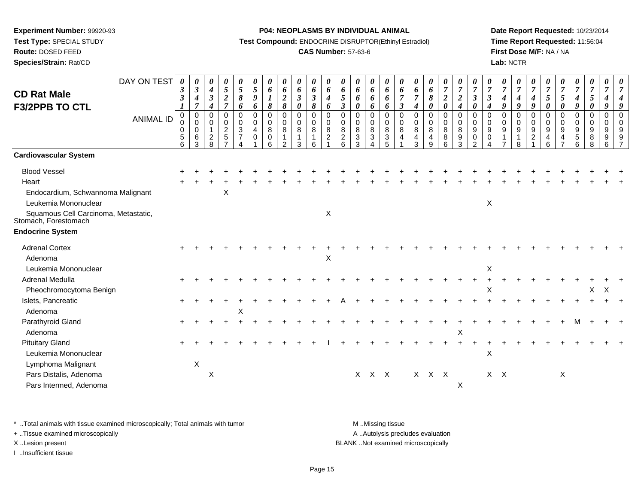**Test Type:** SPECIAL STUDY

**Route:** DOSED FEED

**Species/Strain:** Rat/CD

#### **P04: NEOPLASMS BY INDIVIDUAL ANIMAL**

**Test Compound:** ENDOCRINE DISRUPTOR(Ethinyl Estradiol)

# **CAS Number:** 57-63-6

**Date Report Requested:** 10/23/2014**Time Report Requested:** 11:56:04**First Dose M/F:** NA / NA**Lab:** NCTR

| <b>CD Rat Male</b><br><b>F3/2PPB TO CTL</b>                                                                               | DAY ON TEST<br><b>ANIMAL ID</b> | 0<br>$\boldsymbol{\beta}$<br>3<br>0<br>$\Omega$<br>$\mathbf 0$<br>5<br>6 | $\boldsymbol{\theta}$<br>$\boldsymbol{\beta}$<br>$\boldsymbol{4}$<br>$\overline{7}$<br>$\pmb{0}$<br>$\boldsymbol{0}$<br>$\mathbf 0$<br>6<br>3 | 0<br>$\boldsymbol{4}$<br>$\boldsymbol{\beta}$<br>$\boldsymbol{4}$<br>$\mathbf 0$<br>0<br>$\mathbf 1$<br>$\overline{c}$<br>8 | $\boldsymbol{\theta}$<br>5<br>$\boldsymbol{2}$<br>$\overline{7}$<br>$\mathbf 0$<br>0<br>$\overline{c}$<br>$\sqrt{5}$<br>$\overline{7}$ | 0<br>5<br>8<br>6<br>$\mathbf 0$<br>0<br>$\mathfrak{S}$<br>$\overline{7}$ | 0<br>5<br>9<br>6<br>$\mathbf 0$<br>0<br>4<br>$\Omega$ | 0<br>6<br>1<br>8<br>$\mathbf 0$<br>0<br>8<br>0<br>6 | 0<br>6<br>$\boldsymbol{2}$<br>8<br>$\mathbf 0$<br>0<br>8<br>$\mathfrak{p}$ | 0<br>6<br>$\mathbf{3}$<br>$\boldsymbol{\theta}$<br>0<br>0<br>8<br>3 | $\boldsymbol{\theta}$<br>6<br>$\boldsymbol{\beta}$<br>8<br>$\pmb{0}$<br>0<br>8<br>$\mathbf{1}$<br>6 | 0<br>6<br>$\boldsymbol{4}$<br>6<br>$\mathbf 0$<br>$\mathbf 0$<br>8<br>$\overline{2}$ | 0<br>6<br>5<br>$\boldsymbol{\beta}$<br>$\Omega$<br>$\mathbf 0$<br>8<br>$\overline{c}$<br>6 | 0<br>6<br>6<br>0<br>$\mathbf 0$<br>$\Omega$<br>8<br>3<br>3 | 0<br>6<br>6<br>6<br>$\mathbf 0$<br>0<br>$\,8\,$<br>$\sqrt{3}$ | 0<br>6<br>6<br>6<br>$\pmb{0}$<br>0<br>8<br>$\sqrt{3}$<br>5 | 0<br>6<br>$\boldsymbol{\beta}$<br>$\mathbf 0$<br>0<br>8<br>4 | $\boldsymbol{\theta}$<br>6<br>$\overline{7}$<br>4<br>$\pmb{0}$<br>0<br>8<br>$\overline{4}$<br>3 | 0<br>6<br>8<br>0<br>0<br>0<br>$\,8\,$<br>$\overline{4}$<br>9 | $\boldsymbol{\theta}$<br>$\overline{7}$<br>$\boldsymbol{2}$<br>$\boldsymbol{\theta}$<br>$\pmb{0}$<br>$\mathbf 0$<br>8<br>$\bf 8$<br>6 | 0<br>$\overline{7}$<br>$\boldsymbol{2}$<br>4<br>$\mathbf 0$<br>0<br>8<br>9<br>3 | 0<br>$\overline{7}$<br>$\boldsymbol{\beta}$<br>0<br>$\mathbf 0$<br>$\Omega$<br>$\boldsymbol{9}$<br>0<br>2 | 0<br>$\overline{7}$<br>$\boldsymbol{\beta}$<br>$\mathbf 0$<br>$\Omega$<br>9<br>$\Omega$ | 0<br>$\overline{7}$<br>$\boldsymbol{4}$<br>9<br>$\mathbf 0$<br>0<br>$\boldsymbol{9}$ | 0<br>$\overline{7}$<br>4<br>9<br>$\mathbf 0$<br>$\Omega$<br>9<br>8 | 0<br>$\overline{7}$<br>$\boldsymbol{4}$<br>9<br>$\pmb{0}$<br>0<br>$\boldsymbol{9}$<br>$\overline{2}$ | 0<br>$\overline{7}$<br>5<br>$\boldsymbol{\theta}$<br>$\mathbf 0$<br>0<br>$9\,$<br>4<br>6 | 0<br>$\boldsymbol{7}$<br>$\mathfrak{s}$<br>0<br>$\mathbf 0$<br>0<br>$9\,$<br>4 | 0<br>$\boldsymbol{7}$<br>$\boldsymbol{4}$<br>9<br>$\mathbf 0$<br>0<br>$\boldsymbol{9}$<br>5<br>6 | 0<br>$\overline{7}$<br>5<br>0<br>$\mathbf 0$<br>0<br>9<br>8<br>8 | 0<br>$\overline{7}$<br>4<br>9<br>$\mathbf 0$<br>0<br>9<br>9<br>6 | 0<br>7<br>$\Omega$<br>$\Omega$<br>9<br>9 |
|---------------------------------------------------------------------------------------------------------------------------|---------------------------------|--------------------------------------------------------------------------|-----------------------------------------------------------------------------------------------------------------------------------------------|-----------------------------------------------------------------------------------------------------------------------------|----------------------------------------------------------------------------------------------------------------------------------------|--------------------------------------------------------------------------|-------------------------------------------------------|-----------------------------------------------------|----------------------------------------------------------------------------|---------------------------------------------------------------------|-----------------------------------------------------------------------------------------------------|--------------------------------------------------------------------------------------|--------------------------------------------------------------------------------------------|------------------------------------------------------------|---------------------------------------------------------------|------------------------------------------------------------|--------------------------------------------------------------|-------------------------------------------------------------------------------------------------|--------------------------------------------------------------|---------------------------------------------------------------------------------------------------------------------------------------|---------------------------------------------------------------------------------|-----------------------------------------------------------------------------------------------------------|-----------------------------------------------------------------------------------------|--------------------------------------------------------------------------------------|--------------------------------------------------------------------|------------------------------------------------------------------------------------------------------|------------------------------------------------------------------------------------------|--------------------------------------------------------------------------------|--------------------------------------------------------------------------------------------------|------------------------------------------------------------------|------------------------------------------------------------------|------------------------------------------|
| <b>Cardiovascular System</b>                                                                                              |                                 |                                                                          |                                                                                                                                               |                                                                                                                             |                                                                                                                                        |                                                                          |                                                       |                                                     |                                                                            |                                                                     |                                                                                                     |                                                                                      |                                                                                            |                                                            |                                                               |                                                            |                                                              |                                                                                                 |                                                              |                                                                                                                                       |                                                                                 |                                                                                                           |                                                                                         |                                                                                      |                                                                    |                                                                                                      |                                                                                          |                                                                                |                                                                                                  |                                                                  |                                                                  |                                          |
| <b>Blood Vessel</b>                                                                                                       |                                 |                                                                          |                                                                                                                                               |                                                                                                                             |                                                                                                                                        |                                                                          |                                                       |                                                     |                                                                            |                                                                     |                                                                                                     |                                                                                      |                                                                                            |                                                            |                                                               |                                                            |                                                              |                                                                                                 |                                                              |                                                                                                                                       |                                                                                 |                                                                                                           |                                                                                         |                                                                                      |                                                                    |                                                                                                      |                                                                                          |                                                                                |                                                                                                  |                                                                  |                                                                  |                                          |
| Heart                                                                                                                     |                                 |                                                                          |                                                                                                                                               |                                                                                                                             |                                                                                                                                        |                                                                          |                                                       |                                                     |                                                                            |                                                                     |                                                                                                     |                                                                                      |                                                                                            |                                                            |                                                               |                                                            |                                                              |                                                                                                 |                                                              |                                                                                                                                       |                                                                                 |                                                                                                           |                                                                                         |                                                                                      |                                                                    |                                                                                                      |                                                                                          |                                                                                |                                                                                                  |                                                                  |                                                                  |                                          |
| Endocardium, Schwannoma Malignant<br>Leukemia Mononuclear<br>Squamous Cell Carcinoma, Metastatic,<br>Stomach, Forestomach |                                 |                                                                          |                                                                                                                                               |                                                                                                                             | Χ                                                                                                                                      |                                                                          |                                                       |                                                     |                                                                            |                                                                     |                                                                                                     | X                                                                                    |                                                                                            |                                                            |                                                               |                                                            |                                                              |                                                                                                 |                                                              |                                                                                                                                       |                                                                                 |                                                                                                           | X                                                                                       |                                                                                      |                                                                    |                                                                                                      |                                                                                          |                                                                                |                                                                                                  |                                                                  |                                                                  |                                          |
|                                                                                                                           |                                 |                                                                          |                                                                                                                                               |                                                                                                                             |                                                                                                                                        |                                                                          |                                                       |                                                     |                                                                            |                                                                     |                                                                                                     |                                                                                      |                                                                                            |                                                            |                                                               |                                                            |                                                              |                                                                                                 |                                                              |                                                                                                                                       |                                                                                 |                                                                                                           |                                                                                         |                                                                                      |                                                                    |                                                                                                      |                                                                                          |                                                                                |                                                                                                  |                                                                  |                                                                  |                                          |
| <b>Endocrine System</b>                                                                                                   |                                 |                                                                          |                                                                                                                                               |                                                                                                                             |                                                                                                                                        |                                                                          |                                                       |                                                     |                                                                            |                                                                     |                                                                                                     |                                                                                      |                                                                                            |                                                            |                                                               |                                                            |                                                              |                                                                                                 |                                                              |                                                                                                                                       |                                                                                 |                                                                                                           |                                                                                         |                                                                                      |                                                                    |                                                                                                      |                                                                                          |                                                                                |                                                                                                  |                                                                  |                                                                  |                                          |
| <b>Adrenal Cortex</b>                                                                                                     |                                 |                                                                          |                                                                                                                                               |                                                                                                                             |                                                                                                                                        |                                                                          |                                                       |                                                     |                                                                            |                                                                     |                                                                                                     |                                                                                      |                                                                                            |                                                            |                                                               |                                                            |                                                              |                                                                                                 |                                                              |                                                                                                                                       |                                                                                 |                                                                                                           |                                                                                         |                                                                                      |                                                                    |                                                                                                      |                                                                                          |                                                                                |                                                                                                  |                                                                  |                                                                  |                                          |
| Adenoma                                                                                                                   |                                 |                                                                          |                                                                                                                                               |                                                                                                                             |                                                                                                                                        |                                                                          |                                                       |                                                     |                                                                            |                                                                     |                                                                                                     | X                                                                                    |                                                                                            |                                                            |                                                               |                                                            |                                                              |                                                                                                 |                                                              |                                                                                                                                       |                                                                                 |                                                                                                           |                                                                                         |                                                                                      |                                                                    |                                                                                                      |                                                                                          |                                                                                |                                                                                                  |                                                                  |                                                                  |                                          |
| Leukemia Mononuclear                                                                                                      |                                 |                                                                          |                                                                                                                                               |                                                                                                                             |                                                                                                                                        |                                                                          |                                                       |                                                     |                                                                            |                                                                     |                                                                                                     |                                                                                      |                                                                                            |                                                            |                                                               |                                                            |                                                              |                                                                                                 |                                                              |                                                                                                                                       |                                                                                 |                                                                                                           | $\mathsf X$                                                                             |                                                                                      |                                                                    |                                                                                                      |                                                                                          |                                                                                |                                                                                                  |                                                                  |                                                                  |                                          |
| Adrenal Medulla                                                                                                           |                                 |                                                                          |                                                                                                                                               |                                                                                                                             |                                                                                                                                        |                                                                          |                                                       |                                                     |                                                                            |                                                                     |                                                                                                     |                                                                                      |                                                                                            |                                                            |                                                               |                                                            |                                                              |                                                                                                 |                                                              |                                                                                                                                       |                                                                                 |                                                                                                           |                                                                                         |                                                                                      |                                                                    |                                                                                                      |                                                                                          |                                                                                |                                                                                                  |                                                                  |                                                                  |                                          |
| Pheochromocytoma Benign                                                                                                   |                                 |                                                                          |                                                                                                                                               |                                                                                                                             |                                                                                                                                        |                                                                          |                                                       |                                                     |                                                                            |                                                                     |                                                                                                     |                                                                                      |                                                                                            |                                                            |                                                               |                                                            |                                                              |                                                                                                 |                                                              |                                                                                                                                       |                                                                                 |                                                                                                           | X                                                                                       |                                                                                      |                                                                    |                                                                                                      |                                                                                          |                                                                                |                                                                                                  | X                                                                | X                                                                |                                          |
| Islets, Pancreatic                                                                                                        |                                 |                                                                          |                                                                                                                                               |                                                                                                                             |                                                                                                                                        |                                                                          |                                                       |                                                     |                                                                            |                                                                     |                                                                                                     |                                                                                      |                                                                                            |                                                            |                                                               |                                                            |                                                              |                                                                                                 |                                                              |                                                                                                                                       |                                                                                 |                                                                                                           |                                                                                         |                                                                                      |                                                                    |                                                                                                      |                                                                                          |                                                                                |                                                                                                  |                                                                  |                                                                  |                                          |
| Adenoma                                                                                                                   |                                 |                                                                          |                                                                                                                                               |                                                                                                                             |                                                                                                                                        | X                                                                        |                                                       |                                                     |                                                                            |                                                                     |                                                                                                     |                                                                                      |                                                                                            |                                                            |                                                               |                                                            |                                                              |                                                                                                 |                                                              |                                                                                                                                       |                                                                                 |                                                                                                           |                                                                                         |                                                                                      |                                                                    |                                                                                                      |                                                                                          |                                                                                |                                                                                                  |                                                                  |                                                                  |                                          |
| Parathyroid Gland                                                                                                         |                                 |                                                                          |                                                                                                                                               |                                                                                                                             |                                                                                                                                        |                                                                          |                                                       |                                                     |                                                                            |                                                                     |                                                                                                     |                                                                                      |                                                                                            |                                                            |                                                               |                                                            |                                                              |                                                                                                 |                                                              |                                                                                                                                       |                                                                                 |                                                                                                           |                                                                                         |                                                                                      |                                                                    |                                                                                                      |                                                                                          |                                                                                |                                                                                                  |                                                                  |                                                                  |                                          |
| Adenoma                                                                                                                   |                                 |                                                                          |                                                                                                                                               |                                                                                                                             |                                                                                                                                        |                                                                          |                                                       |                                                     |                                                                            |                                                                     |                                                                                                     |                                                                                      |                                                                                            |                                                            |                                                               |                                                            |                                                              |                                                                                                 |                                                              |                                                                                                                                       | X                                                                               |                                                                                                           |                                                                                         |                                                                                      |                                                                    |                                                                                                      |                                                                                          |                                                                                |                                                                                                  |                                                                  |                                                                  |                                          |
| <b>Pituitary Gland</b>                                                                                                    |                                 |                                                                          |                                                                                                                                               |                                                                                                                             |                                                                                                                                        |                                                                          |                                                       |                                                     |                                                                            |                                                                     |                                                                                                     |                                                                                      |                                                                                            |                                                            |                                                               |                                                            |                                                              |                                                                                                 |                                                              |                                                                                                                                       |                                                                                 |                                                                                                           |                                                                                         |                                                                                      |                                                                    |                                                                                                      |                                                                                          |                                                                                |                                                                                                  |                                                                  |                                                                  |                                          |
| Leukemia Mononuclear                                                                                                      |                                 |                                                                          |                                                                                                                                               |                                                                                                                             |                                                                                                                                        |                                                                          |                                                       |                                                     |                                                                            |                                                                     |                                                                                                     |                                                                                      |                                                                                            |                                                            |                                                               |                                                            |                                                              |                                                                                                 |                                                              |                                                                                                                                       |                                                                                 |                                                                                                           | X                                                                                       |                                                                                      |                                                                    |                                                                                                      |                                                                                          |                                                                                |                                                                                                  |                                                                  |                                                                  |                                          |
| Lymphoma Malignant                                                                                                        |                                 |                                                                          | $\mathsf X$                                                                                                                                   |                                                                                                                             |                                                                                                                                        |                                                                          |                                                       |                                                     |                                                                            |                                                                     |                                                                                                     |                                                                                      |                                                                                            |                                                            |                                                               |                                                            |                                                              |                                                                                                 |                                                              |                                                                                                                                       |                                                                                 |                                                                                                           |                                                                                         |                                                                                      |                                                                    |                                                                                                      |                                                                                          |                                                                                |                                                                                                  |                                                                  |                                                                  |                                          |
| Pars Distalis, Adenoma                                                                                                    |                                 |                                                                          |                                                                                                                                               | X                                                                                                                           |                                                                                                                                        |                                                                          |                                                       |                                                     |                                                                            |                                                                     |                                                                                                     |                                                                                      |                                                                                            | X                                                          | $X$ $X$                                                       |                                                            |                                                              |                                                                                                 | X X X                                                        |                                                                                                                                       |                                                                                 |                                                                                                           |                                                                                         | $X$ $X$                                                                              |                                                                    |                                                                                                      |                                                                                          | X                                                                              |                                                                                                  |                                                                  |                                                                  |                                          |
| Pars Intermed, Adenoma                                                                                                    |                                 |                                                                          |                                                                                                                                               |                                                                                                                             |                                                                                                                                        |                                                                          |                                                       |                                                     |                                                                            |                                                                     |                                                                                                     |                                                                                      |                                                                                            |                                                            |                                                               |                                                            |                                                              |                                                                                                 |                                                              |                                                                                                                                       | X                                                                               |                                                                                                           |                                                                                         |                                                                                      |                                                                    |                                                                                                      |                                                                                          |                                                                                |                                                                                                  |                                                                  |                                                                  |                                          |

\* ..Total animals with tissue examined microscopically; Total animals with tumor **M** . Missing tissue M ..Missing tissue

+ ..Tissue examined microscopically

I ..Insufficient tissue

A ..Autolysis precludes evaluation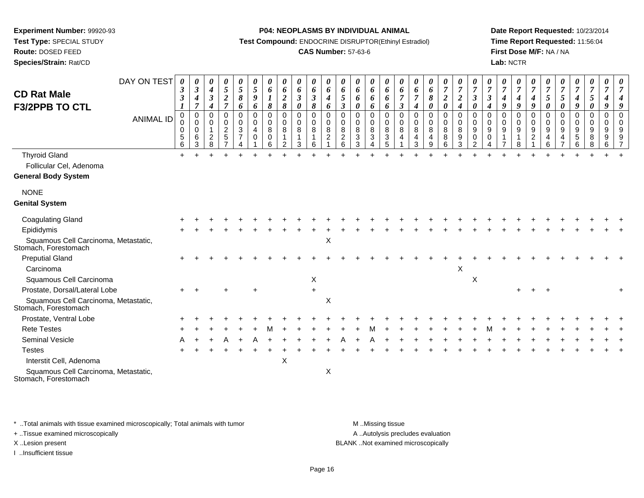**Test Type:** SPECIAL STUDY

**Route:** DOSED FEED**Species/Strain:** Rat/CD **P04: NEOPLASMS BY INDIVIDUAL ANIMAL**

**Test Compound:** ENDOCRINE DISRUPTOR(Ethinyl Estradiol)

# **CAS Number:** 57-63-6

**Date Report Requested:** 10/23/2014**Time Report Requested:** 11:56:04**First Dose M/F:** NA / NA**Lab:** NCTR

|                                                              | DAY ON TEST      | 0<br>$\boldsymbol{\beta}$                                                  | 0<br>$\boldsymbol{\beta}$                                        | 0<br>$\boldsymbol{4}$                                                            | 0<br>5                                                                                          | 0<br>$\mathfrak{s}$                                           | 0<br>5                                                      | 0<br>6                                                 | 0<br>6                                                                    | 0<br>6                                        | 0<br>6                                        | $\boldsymbol{\theta}$<br>6                                                 | 0<br>6                                                                    | 0<br>6                                              | 0<br>6                                   | $\pmb{\theta}$<br>6                                 | 0<br>6                                                       | 0<br>6                                         | 0<br>6                                          | $\boldsymbol{\theta}$<br>$\overline{7}$                                                        | $\pmb{\theta}$<br>$\boldsymbol{7}$                                            | 0<br>$\overline{7}$                                              | 0<br>$\overline{7}$                                                                     | 0<br>$\overline{7}$             | 0<br>$\overline{7}$                       | 0<br>$\overline{7}$                                         | 0<br>$\overline{7}$                       | $\overline{7}$                                                                  | 0<br>$\overline{7}$             | 0<br>$\boldsymbol{7}$                                                           | 0<br>$\overline{7}$                                                |          |
|--------------------------------------------------------------|------------------|----------------------------------------------------------------------------|------------------------------------------------------------------|----------------------------------------------------------------------------------|-------------------------------------------------------------------------------------------------|---------------------------------------------------------------|-------------------------------------------------------------|--------------------------------------------------------|---------------------------------------------------------------------------|-----------------------------------------------|-----------------------------------------------|----------------------------------------------------------------------------|---------------------------------------------------------------------------|-----------------------------------------------------|------------------------------------------|-----------------------------------------------------|--------------------------------------------------------------|------------------------------------------------|-------------------------------------------------|------------------------------------------------------------------------------------------------|-------------------------------------------------------------------------------|------------------------------------------------------------------|-----------------------------------------------------------------------------------------|---------------------------------|-------------------------------------------|-------------------------------------------------------------|-------------------------------------------|---------------------------------------------------------------------------------|---------------------------------|---------------------------------------------------------------------------------|--------------------------------------------------------------------|----------|
| <b>CD Rat Male</b><br><b>F3/2PPB TO CTL</b>                  | <b>ANIMAL ID</b> | $\boldsymbol{\beta}$<br>$\boldsymbol{l}$<br>0<br>0<br>0<br>$\sqrt{5}$<br>6 | 4<br>$\overline{7}$<br>$\mathbf 0$<br>0<br>$\mathbf 0$<br>6<br>3 | $\boldsymbol{\beta}$<br>$\boldsymbol{4}$<br>0<br>$\Omega$<br>$\overline{c}$<br>8 | $\boldsymbol{2}$<br>$\overline{7}$<br>0<br>$\mathbf 0$<br>$\overline{c}$<br>5<br>$\overline{ }$ | $\pmb{8}$<br>6<br>0<br>0<br>$\sqrt{3}$<br>$\overline{7}$<br>Δ | 9<br>6<br>$\mathbf 0$<br>$\mathbf 0$<br>$\overline{4}$<br>0 | $\boldsymbol{l}$<br>$\pmb{8}$<br>0<br>0<br>8<br>0<br>6 | $\boldsymbol{2}$<br>8<br>$\mathbf 0$<br>$\mathbf 0$<br>8<br>$\mathcal{P}$ | $\boldsymbol{\beta}$<br>0<br>0<br>0<br>8<br>3 | $\boldsymbol{\beta}$<br>8<br>0<br>0<br>8<br>6 | $\boldsymbol{4}$<br>6<br>$\mathbf 0$<br>$\mathbf 0$<br>8<br>$\overline{c}$ | 5<br>$\mathfrak{z}$<br>$\mathbf 0$<br>0<br>$\,8\,$<br>$\overline{c}$<br>6 | 6<br>0<br>$\mathbf 0$<br>$\mathbf 0$<br>8<br>3<br>3 | 6<br>6<br>0<br>0<br>8<br>$\sqrt{3}$<br>4 | 6<br>6<br>$\mathbf 0$<br>$\mathbf 0$<br>8<br>3<br>5 | $\overline{7}$<br>$\mathbf{3}$<br>$\mathbf 0$<br>0<br>8<br>4 | 7<br>$\boldsymbol{4}$<br>0<br>0<br>8<br>4<br>3 | 8<br>0<br>$\mathbf 0$<br>0<br>$\,8\,$<br>4<br>9 | $\overline{\mathbf{c}}$<br>$\boldsymbol{\theta}$<br>0<br>$\mathbf 0$<br>$\bf8$<br>$\bf 8$<br>6 | $\boldsymbol{2}$<br>$\boldsymbol{4}$<br>0<br>$\mathbf 0$<br>$\,8\,$<br>9<br>3 | $\mathfrak{z}$<br>0<br>$\mathbf 0$<br>0<br>9<br>$\mathbf 0$<br>2 | $\boldsymbol{\beta}$<br>$\boldsymbol{4}$<br>$\mathbf 0$<br>$\Omega$<br>9<br>$\mathbf 0$ | 4<br>9<br>0<br>$\mathbf 0$<br>9 | 4<br>9<br>0<br>0<br>$\boldsymbol{9}$<br>8 | 4<br>9<br>$\mathbf 0$<br>$\mathbf 0$<br>$9\,$<br>$\sqrt{2}$ | 5<br>0<br>0<br>$\mathbf 0$<br>9<br>4<br>6 | $\mathfrak{s}$<br>$\boldsymbol{\theta}$<br>$\mathbf 0$<br>$\mathbf 0$<br>9<br>4 | 4<br>9<br>0<br>0<br>9<br>5<br>6 | $\mathfrak{H}$<br>$\boldsymbol{\theta}$<br>0<br>0<br>$\boldsymbol{9}$<br>8<br>8 | 4<br>9<br>$\mathbf 0$<br>$\mathbf 0$<br>$\boldsymbol{9}$<br>9<br>6 | $\Omega$ |
| <b>Thyroid Gland</b>                                         |                  | $+$                                                                        |                                                                  |                                                                                  |                                                                                                 |                                                               |                                                             |                                                        |                                                                           |                                               |                                               |                                                                            |                                                                           |                                                     |                                          |                                                     |                                                              |                                                |                                                 |                                                                                                |                                                                               |                                                                  |                                                                                         |                                 |                                           |                                                             |                                           |                                                                                 |                                 |                                                                                 |                                                                    |          |
| Follicular Cel, Adenoma                                      |                  |                                                                            |                                                                  |                                                                                  |                                                                                                 |                                                               |                                                             |                                                        |                                                                           |                                               |                                               |                                                                            |                                                                           |                                                     |                                          |                                                     |                                                              |                                                |                                                 |                                                                                                |                                                                               |                                                                  |                                                                                         |                                 |                                           |                                                             |                                           |                                                                                 |                                 |                                                                                 |                                                                    |          |
| <b>General Body System</b>                                   |                  |                                                                            |                                                                  |                                                                                  |                                                                                                 |                                                               |                                                             |                                                        |                                                                           |                                               |                                               |                                                                            |                                                                           |                                                     |                                          |                                                     |                                                              |                                                |                                                 |                                                                                                |                                                                               |                                                                  |                                                                                         |                                 |                                           |                                                             |                                           |                                                                                 |                                 |                                                                                 |                                                                    |          |
| <b>NONE</b>                                                  |                  |                                                                            |                                                                  |                                                                                  |                                                                                                 |                                                               |                                                             |                                                        |                                                                           |                                               |                                               |                                                                            |                                                                           |                                                     |                                          |                                                     |                                                              |                                                |                                                 |                                                                                                |                                                                               |                                                                  |                                                                                         |                                 |                                           |                                                             |                                           |                                                                                 |                                 |                                                                                 |                                                                    |          |
| <b>Genital System</b>                                        |                  |                                                                            |                                                                  |                                                                                  |                                                                                                 |                                                               |                                                             |                                                        |                                                                           |                                               |                                               |                                                                            |                                                                           |                                                     |                                          |                                                     |                                                              |                                                |                                                 |                                                                                                |                                                                               |                                                                  |                                                                                         |                                 |                                           |                                                             |                                           |                                                                                 |                                 |                                                                                 |                                                                    |          |
| <b>Coagulating Gland</b>                                     |                  |                                                                            |                                                                  |                                                                                  |                                                                                                 |                                                               |                                                             |                                                        |                                                                           |                                               |                                               |                                                                            |                                                                           |                                                     |                                          |                                                     |                                                              |                                                |                                                 |                                                                                                |                                                                               |                                                                  |                                                                                         |                                 |                                           |                                                             |                                           |                                                                                 |                                 |                                                                                 |                                                                    |          |
| Epididymis                                                   |                  |                                                                            |                                                                  |                                                                                  |                                                                                                 |                                                               |                                                             |                                                        |                                                                           |                                               |                                               |                                                                            |                                                                           |                                                     |                                          |                                                     |                                                              |                                                |                                                 |                                                                                                |                                                                               |                                                                  |                                                                                         |                                 |                                           |                                                             |                                           |                                                                                 |                                 |                                                                                 |                                                                    |          |
| Squamous Cell Carcinoma, Metastatic,<br>Stomach, Forestomach |                  |                                                                            |                                                                  |                                                                                  |                                                                                                 |                                                               |                                                             |                                                        |                                                                           |                                               |                                               | $\mathsf X$                                                                |                                                                           |                                                     |                                          |                                                     |                                                              |                                                |                                                 |                                                                                                |                                                                               |                                                                  |                                                                                         |                                 |                                           |                                                             |                                           |                                                                                 |                                 |                                                                                 |                                                                    |          |
| <b>Preputial Gland</b>                                       |                  |                                                                            |                                                                  |                                                                                  |                                                                                                 |                                                               |                                                             |                                                        |                                                                           |                                               |                                               |                                                                            |                                                                           |                                                     |                                          |                                                     |                                                              |                                                |                                                 |                                                                                                |                                                                               |                                                                  |                                                                                         |                                 |                                           |                                                             |                                           |                                                                                 |                                 |                                                                                 |                                                                    |          |
| Carcinoma                                                    |                  |                                                                            |                                                                  |                                                                                  |                                                                                                 |                                                               |                                                             |                                                        |                                                                           |                                               |                                               |                                                                            |                                                                           |                                                     |                                          |                                                     |                                                              |                                                |                                                 |                                                                                                | X                                                                             |                                                                  |                                                                                         |                                 |                                           |                                                             |                                           |                                                                                 |                                 |                                                                                 |                                                                    |          |
| Squamous Cell Carcinoma                                      |                  |                                                                            |                                                                  |                                                                                  |                                                                                                 |                                                               |                                                             |                                                        |                                                                           |                                               | X                                             |                                                                            |                                                                           |                                                     |                                          |                                                     |                                                              |                                                |                                                 |                                                                                                |                                                                               | X                                                                |                                                                                         |                                 |                                           |                                                             |                                           |                                                                                 |                                 |                                                                                 |                                                                    |          |
| Prostate, Dorsal/Lateral Lobe                                |                  |                                                                            |                                                                  |                                                                                  |                                                                                                 |                                                               |                                                             |                                                        |                                                                           |                                               |                                               |                                                                            |                                                                           |                                                     |                                          |                                                     |                                                              |                                                |                                                 |                                                                                                |                                                                               |                                                                  |                                                                                         |                                 |                                           |                                                             |                                           |                                                                                 |                                 |                                                                                 |                                                                    |          |
| Squamous Cell Carcinoma, Metastatic,<br>Stomach, Forestomach |                  |                                                                            |                                                                  |                                                                                  |                                                                                                 |                                                               |                                                             |                                                        |                                                                           |                                               |                                               | X                                                                          |                                                                           |                                                     |                                          |                                                     |                                                              |                                                |                                                 |                                                                                                |                                                                               |                                                                  |                                                                                         |                                 |                                           |                                                             |                                           |                                                                                 |                                 |                                                                                 |                                                                    |          |
| Prostate, Ventral Lobe                                       |                  |                                                                            |                                                                  |                                                                                  |                                                                                                 |                                                               |                                                             |                                                        |                                                                           |                                               |                                               |                                                                            |                                                                           |                                                     |                                          |                                                     |                                                              |                                                |                                                 |                                                                                                |                                                                               |                                                                  |                                                                                         |                                 |                                           |                                                             |                                           |                                                                                 |                                 |                                                                                 |                                                                    |          |
| <b>Rete Testes</b>                                           |                  |                                                                            |                                                                  |                                                                                  |                                                                                                 |                                                               |                                                             |                                                        |                                                                           |                                               |                                               |                                                                            |                                                                           |                                                     |                                          |                                                     |                                                              |                                                |                                                 |                                                                                                |                                                                               |                                                                  |                                                                                         |                                 |                                           |                                                             |                                           |                                                                                 |                                 |                                                                                 |                                                                    |          |
| Seminal Vesicle                                              |                  |                                                                            |                                                                  |                                                                                  |                                                                                                 |                                                               |                                                             |                                                        |                                                                           |                                               |                                               |                                                                            |                                                                           |                                                     |                                          |                                                     |                                                              |                                                |                                                 |                                                                                                |                                                                               |                                                                  |                                                                                         |                                 |                                           |                                                             |                                           |                                                                                 |                                 |                                                                                 |                                                                    |          |
| <b>Testes</b>                                                |                  |                                                                            |                                                                  |                                                                                  |                                                                                                 |                                                               |                                                             |                                                        |                                                                           |                                               |                                               |                                                                            |                                                                           |                                                     |                                          |                                                     |                                                              |                                                |                                                 |                                                                                                |                                                                               |                                                                  |                                                                                         |                                 |                                           |                                                             |                                           |                                                                                 |                                 |                                                                                 |                                                                    |          |
| Interstit Cell, Adenoma                                      |                  |                                                                            |                                                                  |                                                                                  |                                                                                                 |                                                               |                                                             |                                                        | X                                                                         |                                               |                                               |                                                                            |                                                                           |                                                     |                                          |                                                     |                                                              |                                                |                                                 |                                                                                                |                                                                               |                                                                  |                                                                                         |                                 |                                           |                                                             |                                           |                                                                                 |                                 |                                                                                 |                                                                    |          |
| Squamous Cell Carcinoma, Metastatic,<br>Stomach, Forestomach |                  |                                                                            |                                                                  |                                                                                  |                                                                                                 |                                                               |                                                             |                                                        |                                                                           |                                               |                                               | $\pmb{\times}$                                                             |                                                                           |                                                     |                                          |                                                     |                                                              |                                                |                                                 |                                                                                                |                                                                               |                                                                  |                                                                                         |                                 |                                           |                                                             |                                           |                                                                                 |                                 |                                                                                 |                                                                    |          |

\* ..Total animals with tissue examined microscopically; Total animals with tumor **M** . Missing tissue M ..Missing tissue

+ ..Tissue examined microscopically

I ..Insufficient tissue

A ..Autolysis precludes evaluation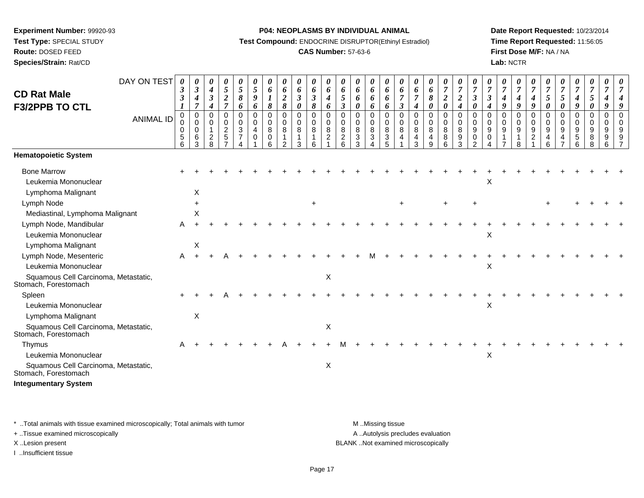**Route:** DOSED FEED

**Species/Strain:** Rat/CD

#### **P04: NEOPLASMS BY INDIVIDUAL ANIMAL**

**Test Compound:** ENDOCRINE DISRUPTOR(Ethinyl Estradiol)

# **CAS Number:** 57-63-6

**Date Report Requested:** 10/23/2014**Time Report Requested:** 11:56:05**First Dose M/F:** NA / NA**Lab:** NCTR

| <b>CD Rat Male</b>                                               | DAY ON TEST      | 0<br>$\boldsymbol{\beta}$<br>$\mathbf{3}$ | 0<br>$\boldsymbol{\beta}$                 | $\boldsymbol{\theta}$<br>$\boldsymbol{4}$            | 0<br>5                                         | 0<br>$\sqrt{5}$<br>8                                 | 0<br>5<br>9                                       | 0<br>6                          | $\boldsymbol{\theta}$<br>6             | 0<br>6                          | 0<br>6                        | 0<br>6                                  | 0<br>6                                                 | $\boldsymbol{\theta}$<br>6<br>6           | 0<br>6                                 | 0<br>6                                             | $\boldsymbol{\theta}$<br>6<br>$\overline{7}$ | $\boldsymbol{\theta}$<br>6      | 0<br>6                                     | 0<br>$\boldsymbol{7}$ | $\boldsymbol{\theta}$<br>$\boldsymbol{7}$<br>$\boldsymbol{2}$ | 0<br>$\overline{7}$                                        | $\overline{7}$                           | 0<br>$\boldsymbol{7}$      | 0<br>$\overline{7}$             | 0<br>$\overline{7}$                     | $\boldsymbol{\theta}$<br>$\overline{7}$ | $\boldsymbol{\theta}$<br>$\overline{7}$ | 0<br>$\overline{7}$                      | 0<br>$\boldsymbol{7}$<br>$\overline{5}$   | $\boldsymbol{\theta}$<br>$\overline{7}$   |                                      |
|------------------------------------------------------------------|------------------|-------------------------------------------|-------------------------------------------|------------------------------------------------------|------------------------------------------------|------------------------------------------------------|---------------------------------------------------|---------------------------------|----------------------------------------|---------------------------------|-------------------------------|-----------------------------------------|--------------------------------------------------------|-------------------------------------------|----------------------------------------|----------------------------------------------------|----------------------------------------------|---------------------------------|--------------------------------------------|-----------------------|---------------------------------------------------------------|------------------------------------------------------------|------------------------------------------|----------------------------|---------------------------------|-----------------------------------------|-----------------------------------------|-----------------------------------------|------------------------------------------|-------------------------------------------|-------------------------------------------|--------------------------------------|
| <b>F3/2PPB TO CTL</b>                                            |                  |                                           | 4<br>7                                    | $\boldsymbol{\beta}$<br>$\boldsymbol{4}$             | $\boldsymbol{2}$<br>$\overline{7}$             | 6                                                    | 6                                                 | $\boldsymbol{l}$<br>8           | $\boldsymbol{2}$<br>$\pmb{8}$          | $\boldsymbol{\beta}$<br>0       | $\boldsymbol{\beta}$<br>8     | $\boldsymbol{4}$<br>6                   | 5<br>$\mathbf{3}$                                      | 0                                         | 6<br>6                                 | 6<br>6                                             | $\boldsymbol{\beta}$                         | 7<br>4                          | 8<br>0                                     | $\boldsymbol{2}$<br>0 | $\boldsymbol{4}$                                              | $\mathfrak{z}$<br>$\boldsymbol{\theta}$                    | $\boldsymbol{\beta}$<br>$\boldsymbol{4}$ | $\boldsymbol{4}$<br>9      | 4<br>9                          | $\boldsymbol{4}$<br>9                   | 5<br>0                                  | 5<br>0                                  | $\boldsymbol{4}$<br>9                    | $\boldsymbol{\theta}$                     | 9                                         |                                      |
|                                                                  | <b>ANIMAL ID</b> | 0<br>0<br>0<br>5<br>6                     | $\mathbf 0$<br>$\mathbf 0$<br>0<br>6<br>3 | 0<br>$\Omega$<br>$\mathbf{1}$<br>$\overline{c}$<br>8 | $\mathbf 0$<br>$\Omega$<br>$\overline{a}$<br>5 | 0<br>0<br>$\mathbf{3}$<br>$\overline{7}$<br>$\Delta$ | $\mathbf 0$<br>$\mathbf 0$<br>$\overline{4}$<br>0 | $\mathbf 0$<br>0<br>8<br>0<br>6 | $\mathbf 0$<br>0<br>8<br>1<br>$\Omega$ | 0<br>$\mathbf 0$<br>8<br>1<br>3 | $\pmb{0}$<br>0<br>8<br>1<br>6 | 0<br>$\mathbf 0$<br>8<br>$\overline{c}$ | $\mathbf 0$<br>$\mathbf 0$<br>8<br>$\overline{c}$<br>6 | $\mathbf 0$<br>$\mathbf 0$<br>8<br>3<br>3 | $\pmb{0}$<br>0<br>8<br>$\sqrt{3}$<br>Δ | $\mathbf 0$<br>$\mathbf 0$<br>8<br>$\sqrt{3}$<br>5 | $\mathbf 0$<br>$\mathbf 0$<br>8<br>4         | $\mathbf 0$<br>0<br>8<br>4<br>3 | $\mathbf 0$<br>$\mathbf{0}$<br>8<br>4<br>9 | 0<br>0<br>8<br>8<br>6 | $\mathbf 0$<br>$\pmb{0}$<br>$\,8\,$<br>9<br>3                 | $\mathbf 0$<br>$\mathbf 0$<br>$9\,$<br>0<br>$\overline{2}$ | $\Omega$<br>$\Omega$<br>9<br>0           | 0<br>$\mathbf 0$<br>9<br>1 | 0<br>$\mathbf 0$<br>9<br>1<br>8 | $\mathbf 0$<br>0<br>9<br>$\overline{c}$ | 0<br>$\mathbf 0$<br>9<br>4<br>6         | $\mathbf 0$<br>$\mathbf 0$<br>9<br>4    | 0<br>$\mathbf 0$<br>9<br>$\sqrt{5}$<br>6 | $\mathbf 0$<br>$\mathbf 0$<br>9<br>8<br>8 | $\mathbf 0$<br>$\mathbf 0$<br>9<br>9<br>6 | $\Omega$<br>$\Omega$<br>$\mathbf{Q}$ |
| <b>Hematopoietic System</b>                                      |                  |                                           |                                           |                                                      |                                                |                                                      |                                                   |                                 |                                        |                                 |                               |                                         |                                                        |                                           |                                        |                                                    |                                              |                                 |                                            |                       |                                                               |                                                            |                                          |                            |                                 |                                         |                                         |                                         |                                          |                                           |                                           |                                      |
| <b>Bone Marrow</b><br>Leukemia Mononuclear<br>Lymphoma Malignant |                  |                                           | $\times$                                  |                                                      |                                                |                                                      |                                                   |                                 |                                        |                                 |                               |                                         |                                                        |                                           |                                        |                                                    |                                              |                                 |                                            |                       |                                                               |                                                            | X                                        |                            |                                 |                                         |                                         |                                         |                                          |                                           |                                           |                                      |
| Lymph Node                                                       |                  |                                           | $\ddot{}$                                 |                                                      |                                                |                                                      |                                                   |                                 |                                        |                                 |                               |                                         |                                                        |                                           |                                        |                                                    | ÷                                            |                                 |                                            | $\ddot{}$             |                                                               |                                                            |                                          |                            |                                 |                                         |                                         |                                         |                                          |                                           |                                           |                                      |
| Mediastinal, Lymphoma Malignant                                  |                  |                                           | Χ                                         |                                                      |                                                |                                                      |                                                   |                                 |                                        |                                 |                               |                                         |                                                        |                                           |                                        |                                                    |                                              |                                 |                                            |                       |                                                               |                                                            |                                          |                            |                                 |                                         |                                         |                                         |                                          |                                           |                                           |                                      |
| Lymph Node, Mandibular                                           |                  | A                                         |                                           |                                                      |                                                |                                                      |                                                   |                                 |                                        |                                 |                               |                                         |                                                        |                                           |                                        |                                                    |                                              |                                 |                                            |                       |                                                               |                                                            |                                          |                            |                                 |                                         |                                         |                                         |                                          |                                           |                                           |                                      |
| Leukemia Mononuclear                                             |                  |                                           |                                           |                                                      |                                                |                                                      |                                                   |                                 |                                        |                                 |                               |                                         |                                                        |                                           |                                        |                                                    |                                              |                                 |                                            |                       |                                                               |                                                            | X                                        |                            |                                 |                                         |                                         |                                         |                                          |                                           |                                           |                                      |
| Lymphoma Malignant                                               |                  |                                           | $\pmb{\times}$                            |                                                      |                                                |                                                      |                                                   |                                 |                                        |                                 |                               |                                         |                                                        |                                           |                                        |                                                    |                                              |                                 |                                            |                       |                                                               |                                                            |                                          |                            |                                 |                                         |                                         |                                         |                                          |                                           |                                           |                                      |
| Lymph Node, Mesenteric                                           |                  | A                                         |                                           |                                                      |                                                |                                                      |                                                   |                                 |                                        |                                 |                               |                                         |                                                        |                                           |                                        |                                                    |                                              |                                 |                                            |                       |                                                               |                                                            |                                          |                            |                                 |                                         |                                         |                                         |                                          |                                           |                                           |                                      |
| Leukemia Mononuclear                                             |                  |                                           |                                           |                                                      |                                                |                                                      |                                                   |                                 |                                        |                                 |                               |                                         |                                                        |                                           |                                        |                                                    |                                              |                                 |                                            |                       |                                                               |                                                            | X                                        |                            |                                 |                                         |                                         |                                         |                                          |                                           |                                           |                                      |
| Squamous Cell Carcinoma, Metastatic,<br>Stomach, Forestomach     |                  |                                           |                                           |                                                      |                                                |                                                      |                                                   |                                 |                                        |                                 |                               | X                                       |                                                        |                                           |                                        |                                                    |                                              |                                 |                                            |                       |                                                               |                                                            |                                          |                            |                                 |                                         |                                         |                                         |                                          |                                           |                                           |                                      |
| Spleen                                                           |                  |                                           |                                           |                                                      |                                                |                                                      |                                                   |                                 |                                        |                                 |                               |                                         |                                                        |                                           |                                        |                                                    |                                              |                                 |                                            |                       |                                                               |                                                            |                                          |                            |                                 |                                         |                                         |                                         |                                          |                                           |                                           |                                      |
| Leukemia Mononuclear                                             |                  |                                           |                                           |                                                      |                                                |                                                      |                                                   |                                 |                                        |                                 |                               |                                         |                                                        |                                           |                                        |                                                    |                                              |                                 |                                            |                       |                                                               |                                                            | X                                        |                            |                                 |                                         |                                         |                                         |                                          |                                           |                                           |                                      |
| Lymphoma Malignant                                               |                  |                                           | $\times$                                  |                                                      |                                                |                                                      |                                                   |                                 |                                        |                                 |                               |                                         |                                                        |                                           |                                        |                                                    |                                              |                                 |                                            |                       |                                                               |                                                            |                                          |                            |                                 |                                         |                                         |                                         |                                          |                                           |                                           |                                      |
| Squamous Cell Carcinoma, Metastatic,<br>Stomach, Forestomach     |                  |                                           |                                           |                                                      |                                                |                                                      |                                                   |                                 |                                        |                                 |                               | X                                       |                                                        |                                           |                                        |                                                    |                                              |                                 |                                            |                       |                                                               |                                                            |                                          |                            |                                 |                                         |                                         |                                         |                                          |                                           |                                           |                                      |
| Thymus                                                           |                  | A                                         |                                           |                                                      |                                                |                                                      |                                                   |                                 |                                        |                                 |                               |                                         |                                                        |                                           |                                        |                                                    |                                              |                                 |                                            |                       |                                                               |                                                            |                                          |                            |                                 |                                         |                                         |                                         |                                          |                                           |                                           |                                      |
| Leukemia Mononuclear                                             |                  |                                           |                                           |                                                      |                                                |                                                      |                                                   |                                 |                                        |                                 |                               |                                         |                                                        |                                           |                                        |                                                    |                                              |                                 |                                            |                       |                                                               |                                                            | X                                        |                            |                                 |                                         |                                         |                                         |                                          |                                           |                                           |                                      |
| Squamous Cell Carcinoma, Metastatic,<br>Stomach, Forestomach     |                  |                                           |                                           |                                                      |                                                |                                                      |                                                   |                                 |                                        |                                 |                               | X                                       |                                                        |                                           |                                        |                                                    |                                              |                                 |                                            |                       |                                                               |                                                            |                                          |                            |                                 |                                         |                                         |                                         |                                          |                                           |                                           |                                      |
| <b>Integumentary System</b>                                      |                  |                                           |                                           |                                                      |                                                |                                                      |                                                   |                                 |                                        |                                 |                               |                                         |                                                        |                                           |                                        |                                                    |                                              |                                 |                                            |                       |                                                               |                                                            |                                          |                            |                                 |                                         |                                         |                                         |                                          |                                           |                                           |                                      |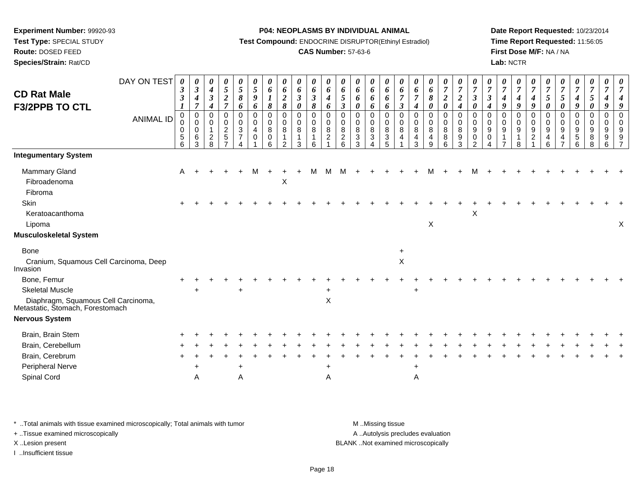**Test Type:** SPECIAL STUDY**Route:** DOSED FEED

**Species/Strain:** Rat/CD

#### **P04: NEOPLASMS BY INDIVIDUAL ANIMAL**

**Test Compound:** ENDOCRINE DISRUPTOR(Ethinyl Estradiol)

# **CAS Number:** 57-63-6

**Date Report Requested:** 10/23/2014**Time Report Requested:** 11:56:05**First Dose M/F:** NA / NA**Lab:** NCTR

| DAY ON TEST<br><b>CD Rat Male</b><br><b>F3/2PPB TO CTL</b><br><b>ANIMAL ID</b> | $\boldsymbol{\theta}$<br>$\boldsymbol{\beta}$<br>$\boldsymbol{\beta}$<br>$\boldsymbol{I}$<br>0<br>$\pmb{0}$<br>$\mathbf 0$<br>$\overline{5}$<br>6 | 0<br>$\boldsymbol{\beta}$<br>4<br>7<br>0<br>0<br>$\Omega$<br>6<br>3 | 0<br>$\boldsymbol{4}$<br>$\mathfrak{z}$<br>$\boldsymbol{4}$<br>$\mathbf 0$<br>$\mathbf 0$<br>$\overline{c}$<br>8 | 0<br>5<br>$\overline{2}$<br>$\overline{7}$<br>$\pmb{0}$<br>0<br>$rac{2}{5}$ | 0<br>$\mathfrak{s}$<br>$\pmb{8}$<br>6<br>0<br>$\mathbf 0$<br>3<br>$\overline{7}$ | $\boldsymbol{\theta}$<br>$\mathfrak{s}$<br>9<br>6<br>$\pmb{0}$<br>$\mathbf 0$<br>$\overline{4}$<br>$\mathbf 0$ | 0<br>6<br>$\boldsymbol{l}$<br>$\pmb{8}$<br>$\mathbf 0$<br>0<br>8<br>0<br>6 | 0<br>6<br>$\boldsymbol{2}$<br>8<br>$\mathbf 0$<br>$\mathbf 0$<br>8<br>ົ | 0<br>6<br>$\boldsymbol{\beta}$<br>0<br>0<br>$\mathbf 0$<br>8<br>3 | 0<br>6<br>$\mathfrak{z}$<br>8<br>0<br>0<br>8<br>1<br>6 | $\pmb{\theta}$<br>$\pmb{6}$<br>$\boldsymbol{4}$<br>6<br>$\pmb{0}$<br>$\pmb{0}$<br>8<br>$\overline{c}$ | 0<br>6<br>$\sqrt{5}$<br>$\boldsymbol{\beta}$<br>$\mathbf 0$<br>$\mathbf 0$<br>8<br>$\overline{c}$<br>6 | 0<br>6<br>6<br>$\boldsymbol{\theta}$<br>$\mathbf 0$<br>$\mathbf 0$<br>$\, 8$<br>$\ensuremath{\mathsf{3}}$<br>3 | 0<br>6<br>6<br>6<br>0<br>0<br>8<br>$\mathbf{3}$ | $\boldsymbol{\theta}$<br>6<br>6<br>6<br>$\mathbf 0$<br>$\mathbf 0$<br>8<br>$\mathbf{3}$<br>5 | 0<br>6<br>$\overline{7}$<br>$\boldsymbol{\beta}$<br>$\mathbf 0$<br>0<br>8<br>4 | 0<br>6<br>$\overline{7}$<br>$\boldsymbol{4}$<br>$\mathbf 0$<br>0<br>$\,8\,$<br>$\overline{4}$<br>З | 0<br>6<br>$\pmb{8}$<br>$\boldsymbol{\theta}$<br>$\mathbf 0$<br>$\pmb{0}$<br>$\bf 8$<br>4<br>9 | 0<br>$\overline{7}$<br>$\boldsymbol{2}$<br>0<br>0<br>$\overline{0}$<br>8<br>8<br>6 | $\pmb{\theta}$<br>$\boldsymbol{7}$<br>$\boldsymbol{2}$<br>$\boldsymbol{4}$<br>$\pmb{0}$<br>$\mathbf 0$<br>8<br>$\boldsymbol{9}$<br>3 | 0<br>$\overline{7}$<br>$\boldsymbol{\beta}$<br>$\boldsymbol{\theta}$<br>$\mathbf 0$<br>$\mathbf 0$<br>$9\,$<br>$\mathbf 0$<br>$\mathfrak{p}$ | $\boldsymbol{\theta}$<br>$\overline{7}$<br>$\boldsymbol{\beta}$<br>4<br>$\mathbf 0$<br>$\mathbf 0$<br>9<br>$\mathbf 0$ | 0<br>$\overline{7}$<br>4<br>9<br>0<br>0<br>9 | 0<br>$\overline{7}$<br>$\boldsymbol{4}$<br>9<br>$\mathbf 0$<br>$\pmb{0}$<br>9<br>$\mathbf{1}$<br>8 | 0<br>$\overline{7}$<br>4<br>9<br>$\mathbf 0$<br>$\pmb{0}$<br>$\boldsymbol{9}$<br>$\overline{c}$ | $\boldsymbol{\theta}$<br>$\overline{7}$<br>$\mathfrak{s}$<br>$\boldsymbol{\theta}$<br>$\mathbf 0$<br>$\mathbf 0$<br>$9\,$<br>4<br>6 | $\boldsymbol{\theta}$<br>$\overline{7}$<br>$\overline{5}$<br>0<br>$\mathbf 0$<br>0<br>9<br>$\overline{4}$ | $\boldsymbol{\theta}$<br>$\boldsymbol{7}$<br>$\boldsymbol{4}$<br>9<br>$\mathbf 0$<br>$\mathbf 0$<br>$\boldsymbol{9}$<br>$\sqrt{5}$<br>6 | 0<br>$\boldsymbol{7}$<br>5 <sup>5</sup><br>0<br>0<br>$\mathbf 0$<br>9<br>8<br>8 | 0<br>$\overline{7}$<br>4<br>9<br>0<br>$\mathbf 0$<br>9<br>9<br>6 | $\overline{7}$<br>9<br>$\Omega$<br>0<br>9<br>9 |
|--------------------------------------------------------------------------------|---------------------------------------------------------------------------------------------------------------------------------------------------|---------------------------------------------------------------------|------------------------------------------------------------------------------------------------------------------|-----------------------------------------------------------------------------|----------------------------------------------------------------------------------|----------------------------------------------------------------------------------------------------------------|----------------------------------------------------------------------------|-------------------------------------------------------------------------|-------------------------------------------------------------------|--------------------------------------------------------|-------------------------------------------------------------------------------------------------------|--------------------------------------------------------------------------------------------------------|----------------------------------------------------------------------------------------------------------------|-------------------------------------------------|----------------------------------------------------------------------------------------------|--------------------------------------------------------------------------------|----------------------------------------------------------------------------------------------------|-----------------------------------------------------------------------------------------------|------------------------------------------------------------------------------------|--------------------------------------------------------------------------------------------------------------------------------------|----------------------------------------------------------------------------------------------------------------------------------------------|------------------------------------------------------------------------------------------------------------------------|----------------------------------------------|----------------------------------------------------------------------------------------------------|-------------------------------------------------------------------------------------------------|-------------------------------------------------------------------------------------------------------------------------------------|-----------------------------------------------------------------------------------------------------------|-----------------------------------------------------------------------------------------------------------------------------------------|---------------------------------------------------------------------------------|------------------------------------------------------------------|------------------------------------------------|
| <b>Integumentary System</b>                                                    |                                                                                                                                                   |                                                                     |                                                                                                                  |                                                                             |                                                                                  |                                                                                                                |                                                                            |                                                                         |                                                                   |                                                        |                                                                                                       |                                                                                                        |                                                                                                                |                                                 |                                                                                              |                                                                                |                                                                                                    |                                                                                               |                                                                                    |                                                                                                                                      |                                                                                                                                              |                                                                                                                        |                                              |                                                                                                    |                                                                                                 |                                                                                                                                     |                                                                                                           |                                                                                                                                         |                                                                                 |                                                                  |                                                |
| <b>Mammary Gland</b><br>Fibroadenoma<br>Fibroma                                | A                                                                                                                                                 |                                                                     |                                                                                                                  |                                                                             |                                                                                  | м                                                                                                              |                                                                            | X                                                                       |                                                                   | м                                                      | м                                                                                                     | М                                                                                                      |                                                                                                                |                                                 |                                                                                              |                                                                                |                                                                                                    |                                                                                               |                                                                                    |                                                                                                                                      |                                                                                                                                              |                                                                                                                        |                                              |                                                                                                    |                                                                                                 |                                                                                                                                     |                                                                                                           |                                                                                                                                         |                                                                                 |                                                                  |                                                |
| Skin<br>Keratoacanthoma                                                        |                                                                                                                                                   |                                                                     |                                                                                                                  |                                                                             |                                                                                  |                                                                                                                |                                                                            |                                                                         |                                                                   |                                                        |                                                                                                       |                                                                                                        |                                                                                                                |                                                 |                                                                                              |                                                                                |                                                                                                    |                                                                                               |                                                                                    |                                                                                                                                      | X                                                                                                                                            |                                                                                                                        |                                              |                                                                                                    |                                                                                                 |                                                                                                                                     |                                                                                                           |                                                                                                                                         |                                                                                 |                                                                  |                                                |
| Lipoma                                                                         |                                                                                                                                                   |                                                                     |                                                                                                                  |                                                                             |                                                                                  |                                                                                                                |                                                                            |                                                                         |                                                                   |                                                        |                                                                                                       |                                                                                                        |                                                                                                                |                                                 |                                                                                              |                                                                                |                                                                                                    | X                                                                                             |                                                                                    |                                                                                                                                      |                                                                                                                                              |                                                                                                                        |                                              |                                                                                                    |                                                                                                 |                                                                                                                                     |                                                                                                           |                                                                                                                                         |                                                                                 |                                                                  | Χ                                              |
| <b>Musculoskeletal System</b>                                                  |                                                                                                                                                   |                                                                     |                                                                                                                  |                                                                             |                                                                                  |                                                                                                                |                                                                            |                                                                         |                                                                   |                                                        |                                                                                                       |                                                                                                        |                                                                                                                |                                                 |                                                                                              |                                                                                |                                                                                                    |                                                                                               |                                                                                    |                                                                                                                                      |                                                                                                                                              |                                                                                                                        |                                              |                                                                                                    |                                                                                                 |                                                                                                                                     |                                                                                                           |                                                                                                                                         |                                                                                 |                                                                  |                                                |
| <b>Bone</b><br>Cranium, Squamous Cell Carcinoma, Deep<br>Invasion              |                                                                                                                                                   |                                                                     |                                                                                                                  |                                                                             |                                                                                  |                                                                                                                |                                                                            |                                                                         |                                                                   |                                                        |                                                                                                       |                                                                                                        |                                                                                                                |                                                 |                                                                                              | $\ddot{}$<br>$\sf X$                                                           |                                                                                                    |                                                                                               |                                                                                    |                                                                                                                                      |                                                                                                                                              |                                                                                                                        |                                              |                                                                                                    |                                                                                                 |                                                                                                                                     |                                                                                                           |                                                                                                                                         |                                                                                 |                                                                  |                                                |
| Bone, Femur                                                                    |                                                                                                                                                   |                                                                     |                                                                                                                  |                                                                             |                                                                                  |                                                                                                                |                                                                            |                                                                         |                                                                   |                                                        |                                                                                                       |                                                                                                        |                                                                                                                |                                                 |                                                                                              |                                                                                |                                                                                                    |                                                                                               |                                                                                    |                                                                                                                                      |                                                                                                                                              |                                                                                                                        |                                              |                                                                                                    |                                                                                                 |                                                                                                                                     |                                                                                                           |                                                                                                                                         |                                                                                 |                                                                  |                                                |
| <b>Skeletal Muscle</b>                                                         |                                                                                                                                                   |                                                                     |                                                                                                                  |                                                                             |                                                                                  |                                                                                                                |                                                                            |                                                                         |                                                                   |                                                        | $\ddot{}$                                                                                             |                                                                                                        |                                                                                                                |                                                 |                                                                                              |                                                                                | $\ddot{}$                                                                                          |                                                                                               |                                                                                    |                                                                                                                                      |                                                                                                                                              |                                                                                                                        |                                              |                                                                                                    |                                                                                                 |                                                                                                                                     |                                                                                                           |                                                                                                                                         |                                                                                 |                                                                  |                                                |
| Diaphragm, Squamous Cell Carcinoma,<br>Metastatic, Stomach, Forestomach        |                                                                                                                                                   |                                                                     |                                                                                                                  |                                                                             |                                                                                  |                                                                                                                |                                                                            |                                                                         |                                                                   |                                                        | X                                                                                                     |                                                                                                        |                                                                                                                |                                                 |                                                                                              |                                                                                |                                                                                                    |                                                                                               |                                                                                    |                                                                                                                                      |                                                                                                                                              |                                                                                                                        |                                              |                                                                                                    |                                                                                                 |                                                                                                                                     |                                                                                                           |                                                                                                                                         |                                                                                 |                                                                  |                                                |
| <b>Nervous System</b>                                                          |                                                                                                                                                   |                                                                     |                                                                                                                  |                                                                             |                                                                                  |                                                                                                                |                                                                            |                                                                         |                                                                   |                                                        |                                                                                                       |                                                                                                        |                                                                                                                |                                                 |                                                                                              |                                                                                |                                                                                                    |                                                                                               |                                                                                    |                                                                                                                                      |                                                                                                                                              |                                                                                                                        |                                              |                                                                                                    |                                                                                                 |                                                                                                                                     |                                                                                                           |                                                                                                                                         |                                                                                 |                                                                  |                                                |
| Brain, Brain Stem                                                              |                                                                                                                                                   |                                                                     |                                                                                                                  |                                                                             |                                                                                  |                                                                                                                |                                                                            |                                                                         |                                                                   |                                                        |                                                                                                       |                                                                                                        |                                                                                                                |                                                 |                                                                                              |                                                                                |                                                                                                    |                                                                                               |                                                                                    |                                                                                                                                      |                                                                                                                                              |                                                                                                                        |                                              |                                                                                                    |                                                                                                 |                                                                                                                                     |                                                                                                           |                                                                                                                                         |                                                                                 |                                                                  |                                                |
| Brain, Cerebellum                                                              |                                                                                                                                                   |                                                                     |                                                                                                                  |                                                                             |                                                                                  |                                                                                                                |                                                                            |                                                                         |                                                                   |                                                        |                                                                                                       |                                                                                                        |                                                                                                                |                                                 |                                                                                              |                                                                                |                                                                                                    |                                                                                               |                                                                                    |                                                                                                                                      |                                                                                                                                              |                                                                                                                        |                                              |                                                                                                    |                                                                                                 |                                                                                                                                     |                                                                                                           |                                                                                                                                         |                                                                                 |                                                                  |                                                |
| Brain, Cerebrum                                                                |                                                                                                                                                   |                                                                     |                                                                                                                  |                                                                             |                                                                                  |                                                                                                                |                                                                            |                                                                         |                                                                   |                                                        |                                                                                                       |                                                                                                        |                                                                                                                |                                                 |                                                                                              |                                                                                |                                                                                                    |                                                                                               |                                                                                    |                                                                                                                                      |                                                                                                                                              |                                                                                                                        |                                              |                                                                                                    |                                                                                                 |                                                                                                                                     |                                                                                                           |                                                                                                                                         |                                                                                 |                                                                  |                                                |
| Peripheral Nerve                                                               |                                                                                                                                                   |                                                                     |                                                                                                                  |                                                                             | +                                                                                |                                                                                                                |                                                                            |                                                                         |                                                                   |                                                        | $\div$                                                                                                |                                                                                                        |                                                                                                                |                                                 |                                                                                              |                                                                                |                                                                                                    |                                                                                               |                                                                                    |                                                                                                                                      |                                                                                                                                              |                                                                                                                        |                                              |                                                                                                    |                                                                                                 |                                                                                                                                     |                                                                                                           |                                                                                                                                         |                                                                                 |                                                                  |                                                |
| Spinal Cord                                                                    |                                                                                                                                                   | Α                                                                   |                                                                                                                  |                                                                             | Α                                                                                |                                                                                                                |                                                                            |                                                                         |                                                                   |                                                        | A                                                                                                     |                                                                                                        |                                                                                                                |                                                 |                                                                                              |                                                                                | Α                                                                                                  |                                                                                               |                                                                                    |                                                                                                                                      |                                                                                                                                              |                                                                                                                        |                                              |                                                                                                    |                                                                                                 |                                                                                                                                     |                                                                                                           |                                                                                                                                         |                                                                                 |                                                                  |                                                |

\* ..Total animals with tissue examined microscopically; Total animals with tumor **M** . Missing tissue M ..Missing tissue

+ ..Tissue examined microscopically

I ..Insufficient tissue

A ..Autolysis precludes evaluation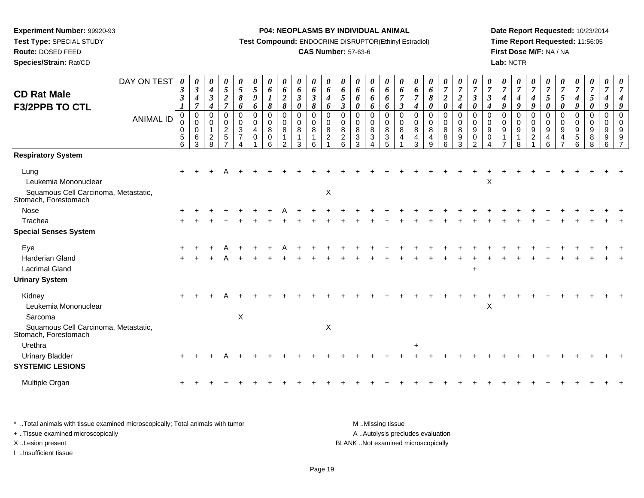**Test Type:** SPECIAL STUDY

**Route:** DOSED FEED

**Species/Strain:** Rat/CD

#### **P04: NEOPLASMS BY INDIVIDUAL ANIMAL**

**Test Compound:** ENDOCRINE DISRUPTOR(Ethinyl Estradiol)

# **CAS Number:** 57-63-6

**Date Report Requested:** 10/23/2014**Time Report Requested:** 11:56:05**First Dose M/F:** NA / NA**Lab:** NCTR

| <b>CD Rat Male</b><br>F3/2PPB TO CTL<br><b>Respiratory System</b>                                                    | DAY ON TEST<br><b>ANIMAL ID</b> | 0<br>$\boldsymbol{\beta}$<br>$\boldsymbol{\beta}$<br>0<br>0<br>0<br>5<br>6 | 0<br>$\boldsymbol{\beta}$<br>$\boldsymbol{4}$<br>$\overline{7}$<br>$\pmb{0}$<br>$\mathbf 0$<br>$\mathbf 0$<br>6<br>3 | $\boldsymbol{\theta}$<br>4<br>$\boldsymbol{\beta}$<br>4<br>$\mathbf 0$<br>$\Omega$<br>$\mathbf{1}$<br>$\overline{a}$<br>8 | $\boldsymbol{\theta}$<br>$\mathfrak{s}$<br>$\boldsymbol{2}$<br>$\overline{7}$<br>$\mathbf 0$<br>$\mathbf 0$<br>$\overline{c}$<br>$\overline{5}$ | 0<br>$\overline{5}$<br>$\pmb{8}$<br>6<br>0<br>0<br>3<br>$\overline{7}$ | 0<br>$\sqrt{5}$<br>$\boldsymbol{9}$<br>6<br>$\pmb{0}$<br>$\mathbf 0$<br>4<br>$\mathbf 0$ | 0<br>6<br>8<br>$\pmb{0}$<br>0<br>8<br>0<br>6 | 0<br>6<br>$\boldsymbol{2}$<br>$\pmb{8}$<br>$\mathbf 0$<br>0<br>8<br>-1<br>$\mathcal{D}$ | 0<br>6<br>$\boldsymbol{\beta}$<br>$\boldsymbol{\theta}$<br>$\pmb{0}$<br>0<br>8<br>3 | 0<br>6<br>$\boldsymbol{\beta}$<br>8<br>0<br>0<br>8<br>6 | 0<br>6<br>4<br>6<br>$\pmb{0}$<br>$\mathbf 0$<br>8<br>$\overline{c}$ | $\boldsymbol{\theta}$<br>6<br>5<br>$\boldsymbol{\beta}$<br>$\pmb{0}$<br>0<br>8<br>$\overline{c}$<br>6 | 0<br>6<br>6<br>$\boldsymbol{\theta}$<br>$\mathbf 0$<br>$\Omega$<br>8<br>$\ensuremath{\mathsf{3}}$<br>3 | 0<br>6<br>6<br>6<br>0<br>0<br>8<br>3 | 0<br>6<br>6<br>6<br>$\mathbf 0$<br>0<br>$\,8\,$<br>$\overline{3}$<br>5 | 0<br>6<br>$\overline{7}$<br>$\mathfrak{z}$<br>$\pmb{0}$<br>$\mathbf 0$<br>8<br>$\overline{4}$ | $\boldsymbol{\theta}$<br>6<br>$\overline{7}$<br>$\boldsymbol{4}$<br>$\mathbf 0$<br>0<br>8<br>$\overline{4}$<br>3 | 0<br>6<br>8<br>$\boldsymbol{\theta}$<br>$\mathbf 0$<br>$\mathbf 0$<br>8<br>4<br>$\mathsf{Q}$ | 0<br>$\boldsymbol{7}$<br>$\boldsymbol{2}$<br>0<br>0<br>$\mathbf 0$<br>8<br>8<br>6 | 0<br>$\boldsymbol{7}$<br>$\boldsymbol{2}$<br>$\boldsymbol{4}$<br>$\pmb{0}$<br>0<br>$\overline{8}$<br>9<br>3 | 0<br>$\overline{7}$<br>$\boldsymbol{\beta}$<br>0<br>$\pmb{0}$<br>0<br>9<br>0<br>2 | $\boldsymbol{\theta}$<br>$\overline{7}$<br>$\mathfrak{z}$<br>$\boldsymbol{4}$<br>$\mathbf 0$<br>$\Omega$<br>9<br>0 | $\boldsymbol{\theta}$<br>$\overline{7}$<br>$\boldsymbol{4}$<br>9<br>$\mathbf 0$<br>$\mathbf 0$<br>9 | 0<br>$\overline{7}$<br>$\boldsymbol{4}$<br>9<br>0<br>0<br>9<br>8 | 0<br>$\overline{7}$<br>$\boldsymbol{4}$<br>9<br>$\mathbf 0$<br>$\mathbf 0$<br>9<br>$\overline{c}$ | 0<br>$\overline{7}$<br>$5\overline{)}$<br>$\boldsymbol{\theta}$<br>$\mathbf 0$<br>$\Omega$<br>9<br>4<br>6 | 0<br>$\overline{7}$<br>5<br>0<br>$\mathbf 0$<br>$\Omega$<br>9<br>4 | 0<br>$\overline{7}$<br>4<br>9<br>0<br>0<br>9<br>5<br>6 | 0<br>$\overline{7}$<br>5<br>0<br>0<br>0<br>9<br>8<br>8 | 0<br>$\overline{7}$<br>$\boldsymbol{4}$<br>9<br>$\pmb{0}$<br>$\mathbf 0$<br>9<br>$\boldsymbol{9}$<br>6 | 9 |
|----------------------------------------------------------------------------------------------------------------------|---------------------------------|----------------------------------------------------------------------------|----------------------------------------------------------------------------------------------------------------------|---------------------------------------------------------------------------------------------------------------------------|-------------------------------------------------------------------------------------------------------------------------------------------------|------------------------------------------------------------------------|------------------------------------------------------------------------------------------|----------------------------------------------|-----------------------------------------------------------------------------------------|-------------------------------------------------------------------------------------|---------------------------------------------------------|---------------------------------------------------------------------|-------------------------------------------------------------------------------------------------------|--------------------------------------------------------------------------------------------------------|--------------------------------------|------------------------------------------------------------------------|-----------------------------------------------------------------------------------------------|------------------------------------------------------------------------------------------------------------------|----------------------------------------------------------------------------------------------|-----------------------------------------------------------------------------------|-------------------------------------------------------------------------------------------------------------|-----------------------------------------------------------------------------------|--------------------------------------------------------------------------------------------------------------------|-----------------------------------------------------------------------------------------------------|------------------------------------------------------------------|---------------------------------------------------------------------------------------------------|-----------------------------------------------------------------------------------------------------------|--------------------------------------------------------------------|--------------------------------------------------------|--------------------------------------------------------|--------------------------------------------------------------------------------------------------------|---|
| Lung<br>Leukemia Mononuclear<br>Squamous Cell Carcinoma, Metastatic,<br>Stomach, Forestomach                         |                                 |                                                                            |                                                                                                                      |                                                                                                                           |                                                                                                                                                 |                                                                        |                                                                                          |                                              |                                                                                         |                                                                                     |                                                         | X                                                                   |                                                                                                       |                                                                                                        |                                      |                                                                        |                                                                                               |                                                                                                                  |                                                                                              |                                                                                   |                                                                                                             |                                                                                   | X                                                                                                                  |                                                                                                     |                                                                  |                                                                                                   |                                                                                                           |                                                                    |                                                        |                                                        |                                                                                                        |   |
| Nose<br>Trachea<br><b>Special Senses System</b>                                                                      |                                 |                                                                            |                                                                                                                      |                                                                                                                           |                                                                                                                                                 |                                                                        |                                                                                          |                                              |                                                                                         |                                                                                     |                                                         |                                                                     |                                                                                                       |                                                                                                        |                                      |                                                                        |                                                                                               |                                                                                                                  |                                                                                              |                                                                                   |                                                                                                             |                                                                                   |                                                                                                                    |                                                                                                     |                                                                  |                                                                                                   |                                                                                                           |                                                                    |                                                        |                                                        |                                                                                                        |   |
| Eye<br>Harderian Gland<br><b>Lacrimal Gland</b><br><b>Urinary System</b>                                             |                                 |                                                                            |                                                                                                                      |                                                                                                                           |                                                                                                                                                 |                                                                        |                                                                                          |                                              |                                                                                         |                                                                                     |                                                         |                                                                     |                                                                                                       |                                                                                                        |                                      |                                                                        |                                                                                               |                                                                                                                  |                                                                                              |                                                                                   |                                                                                                             | $+$                                                                               |                                                                                                                    |                                                                                                     |                                                                  |                                                                                                   |                                                                                                           |                                                                    |                                                        |                                                        |                                                                                                        |   |
| Kidney<br>Leukemia Mononuclear<br>Sarcoma<br>Squamous Cell Carcinoma, Metastatic,<br>Stomach, Forestomach<br>Urethra |                                 |                                                                            |                                                                                                                      |                                                                                                                           |                                                                                                                                                 | $\mathsf X$                                                            |                                                                                          |                                              |                                                                                         |                                                                                     |                                                         | X                                                                   |                                                                                                       |                                                                                                        |                                      |                                                                        |                                                                                               | +                                                                                                                |                                                                                              |                                                                                   |                                                                                                             |                                                                                   | X                                                                                                                  |                                                                                                     |                                                                  |                                                                                                   |                                                                                                           |                                                                    |                                                        |                                                        |                                                                                                        |   |
| <b>Urinary Bladder</b><br><b>SYSTEMIC LESIONS</b>                                                                    |                                 |                                                                            |                                                                                                                      |                                                                                                                           |                                                                                                                                                 |                                                                        |                                                                                          |                                              |                                                                                         |                                                                                     |                                                         |                                                                     |                                                                                                       |                                                                                                        |                                      |                                                                        |                                                                                               |                                                                                                                  |                                                                                              |                                                                                   |                                                                                                             |                                                                                   |                                                                                                                    |                                                                                                     |                                                                  |                                                                                                   |                                                                                                           |                                                                    |                                                        |                                                        |                                                                                                        |   |
| Multiple Organ                                                                                                       |                                 |                                                                            |                                                                                                                      |                                                                                                                           |                                                                                                                                                 |                                                                        |                                                                                          |                                              |                                                                                         |                                                                                     |                                                         |                                                                     |                                                                                                       |                                                                                                        |                                      |                                                                        |                                                                                               |                                                                                                                  |                                                                                              |                                                                                   |                                                                                                             |                                                                                   |                                                                                                                    |                                                                                                     |                                                                  |                                                                                                   |                                                                                                           |                                                                    |                                                        |                                                        |                                                                                                        |   |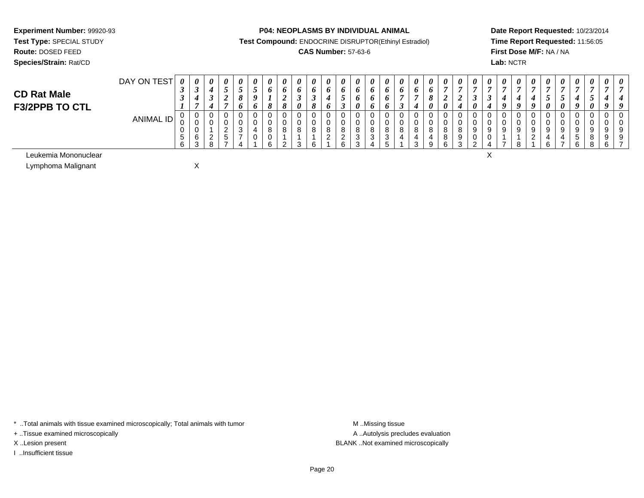**Route:** DOSED FEED

**Species/Strain:** Rat/CD

#### **P04: NEOPLASMS BY INDIVIDUAL ANIMAL**

**Test Compound:** ENDOCRINE DISRUPTOR(Ethinyl Estradiol)

# **CAS Number:** 57-63-6

**Date Report Requested:** 10/23/2014**Time Report Requested:** 11:56:05**First Dose M/F:** NA / NA**Lab:** NCTR

 $\mathsf{X}$ 

| <b>CD Rat Male</b><br><b>F3/2PPB TO CTL</b> | DAY ON TEST | $\theta$<br>◡<br>◡     | $\boldsymbol{\theta}$<br>◡ | 0                  | 0                       | 0      | $\theta$<br>n | $\theta$<br>о | $\theta$<br>O<br>$\mathbf o$ | $\theta$<br>o<br>$\boldsymbol{\theta}$ | $\boldsymbol{\theta}$<br>0<br>◡<br>$\sigma$ | $\boldsymbol{\theta}$<br>$\bm{o}$<br>$\bm{o}$ | $\boldsymbol{\theta}$<br>◡<br>I | 0<br>$\boldsymbol{\theta}$ | $\boldsymbol{\theta}$  | 0<br>$\bm{o}$<br>$\bm{o}$<br>$\bm{o}$ | $\boldsymbol{\theta}$<br>$\bm{o}$ | $\boldsymbol{\theta}$<br>$\bm{o}$ | $\boldsymbol{\theta}$<br>υ<br>v<br>U | $\boldsymbol{\theta}$<br>$\boldsymbol{U}$ | $\boldsymbol{\mathit{U}}$ | U | 0 | $\prime$ | $\mathbf{v}$<br>0       | $\boldsymbol{\theta}$ | 0<br>$\boldsymbol{\eta}$ | $\theta$<br>$\boldsymbol{a}$ | $\theta$<br>$\boldsymbol{U}$ | $\theta$ | $\theta$    |
|---------------------------------------------|-------------|------------------------|----------------------------|--------------------|-------------------------|--------|---------------|---------------|------------------------------|----------------------------------------|---------------------------------------------|-----------------------------------------------|---------------------------------|----------------------------|------------------------|---------------------------------------|-----------------------------------|-----------------------------------|--------------------------------------|-------------------------------------------|---------------------------|---|---|----------|-------------------------|-----------------------|--------------------------|------------------------------|------------------------------|----------|-------------|
|                                             | ANIMAL ID   | U<br>◡<br>ັບ<br>$\sim$ | ◡<br>ν<br>0<br>6<br>$\sim$ | ν<br><u>_</u><br>u | ັ<br>ັ<br><u>.</u><br>ັ | U<br>ັ | U             | Ω             | $\circ$<br>$\sqrt{2}$        | 0<br>o                                 | 0<br>0<br>8<br>$\epsilon$                   | $\circ$<br>$\Omega$<br><u>_</u>               | ັ<br><u>_</u><br>$\mathbf{C}$   | ັ<br>ັ<br>ັ                | ◡<br>◡<br>R<br>ັ<br>ັບ | 0<br>0<br>8<br>$\sim$<br>ັ<br>v       | ◡<br>◡<br>U<br>8                  | ν<br>υ<br>8<br>ົ<br>◡             | 8<br>$\Omega$                        | റ                                         |                           |   |   |          | ν<br>a<br>ັ<br><u>_</u> | Ω<br>$\sim$           | ັ<br>a                   | 9<br>5<br>ົ                  | 9<br>o<br>റ                  |          | 0<br>9<br>9 |

Leukemia Mononuclearr and the contract of the contract of the contract of the contract of the contract of the contract of the contract of the contract of the contract of the contract of the contract of the contract of the contract of the cont

Lymphoma MalignantX

\* ..Total animals with tissue examined microscopically; Total animals with tumor **M** ...Missing tissue M ...Missing tissue

+ ..Tissue examined microscopically

I ..Insufficient tissue

A ..Autolysis precludes evaluation X ..Lesion present BLANK ..Not examined microscopically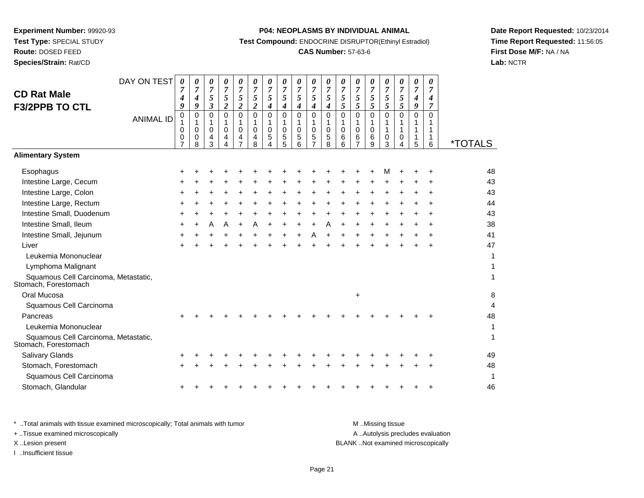# **Route:** DOSED FEED

**Species/Strain:** Rat/CD

#### **P04: NEOPLASMS BY INDIVIDUAL ANIMAL**

**Test Compound:** ENDOCRINE DISRUPTOR(Ethinyl Estradiol)

# **CAS Number:** 57-63-6

**Date Report Requested:** 10/23/2014**Time Report Requested:** 11:56:05**First Dose M/F:** NA / NA**Lab:** NCTR

| DAY ON TEST                          | 0<br>7           | 0                                       | 0                                                      | 0<br>$\overline{7}$                                                       | 0<br>$\overline{7}$                              | 0                                        | 0                                                                  | 0                                            | 0                                                                  | 0                                                | 0                                                                   | 0                                              | 0                                                      | 0                                              | 0<br>$\overline{7}$                                      | 0<br>$\overline{7}$     | 0                | 0<br>$\overline{7}$           |                                    |
|--------------------------------------|------------------|-----------------------------------------|--------------------------------------------------------|---------------------------------------------------------------------------|--------------------------------------------------|------------------------------------------|--------------------------------------------------------------------|----------------------------------------------|--------------------------------------------------------------------|--------------------------------------------------|---------------------------------------------------------------------|------------------------------------------------|--------------------------------------------------------|------------------------------------------------|----------------------------------------------------------|-------------------------|------------------|-------------------------------|------------------------------------|
|                                      | 4                | $\boldsymbol{4}$                        | 5                                                      | 5                                                                         | 5                                                | 5                                        | 5                                                                  | 5                                            | 5                                                                  | 5                                                | 5                                                                   | 5                                              | $\mathfrak{s}$                                         | 5                                              | 5                                                        | 5                       | 4                | 4                             |                                    |
|                                      |                  |                                         |                                                        |                                                                           |                                                  |                                          |                                                                    |                                              |                                                                    |                                                  |                                                                     |                                                |                                                        |                                                |                                                          |                         |                  |                               |                                    |
|                                      | 1                | -1                                      | 1                                                      | 1                                                                         | 1                                                | 1                                        | 1                                                                  | 1                                            | 1                                                                  | 1                                                | 1                                                                   | 1                                              | $\mathbf{1}$                                           | 1                                              | 1                                                        | 1                       | 1                | 1                             |                                    |
|                                      | 0                | 0                                       | 4                                                      | 4                                                                         | 4                                                | 4                                        | 5                                                                  | 5                                            | 5                                                                  | 5                                                | 5                                                                   | 6                                              | 6                                                      | 6                                              | 0                                                        | 0                       | 1                | 1                             | <i><b>*TOTALS</b></i>              |
|                                      |                  |                                         |                                                        |                                                                           |                                                  |                                          |                                                                    |                                              |                                                                    |                                                  |                                                                     |                                                |                                                        |                                                |                                                          |                         |                  |                               |                                    |
|                                      |                  |                                         |                                                        |                                                                           |                                                  |                                          |                                                                    |                                              |                                                                    |                                                  |                                                                     |                                                |                                                        |                                                |                                                          |                         |                  |                               | 48                                 |
|                                      |                  |                                         |                                                        |                                                                           |                                                  |                                          |                                                                    |                                              |                                                                    |                                                  |                                                                     |                                                |                                                        |                                                |                                                          |                         |                  |                               | 43                                 |
|                                      |                  |                                         |                                                        |                                                                           |                                                  |                                          |                                                                    |                                              |                                                                    |                                                  |                                                                     |                                                |                                                        |                                                |                                                          |                         |                  |                               | 43                                 |
|                                      |                  |                                         |                                                        |                                                                           |                                                  |                                          |                                                                    |                                              |                                                                    |                                                  |                                                                     |                                                |                                                        |                                                |                                                          |                         |                  |                               | 44                                 |
|                                      |                  |                                         |                                                        |                                                                           |                                                  |                                          |                                                                    |                                              |                                                                    |                                                  |                                                                     |                                                |                                                        |                                                |                                                          |                         |                  |                               | 43                                 |
|                                      |                  |                                         |                                                        | А                                                                         |                                                  |                                          |                                                                    |                                              |                                                                    |                                                  |                                                                     |                                                |                                                        |                                                |                                                          |                         |                  |                               | 38                                 |
|                                      |                  |                                         |                                                        |                                                                           |                                                  |                                          |                                                                    |                                              |                                                                    | Α                                                |                                                                     |                                                |                                                        |                                                |                                                          |                         |                  |                               | 41                                 |
|                                      |                  |                                         |                                                        |                                                                           |                                                  |                                          |                                                                    |                                              |                                                                    |                                                  |                                                                     |                                                |                                                        |                                                |                                                          |                         |                  |                               | 47                                 |
|                                      |                  |                                         |                                                        |                                                                           |                                                  |                                          |                                                                    |                                              |                                                                    |                                                  |                                                                     |                                                |                                                        |                                                |                                                          |                         |                  |                               | 1                                  |
|                                      |                  |                                         |                                                        |                                                                           |                                                  |                                          |                                                                    |                                              |                                                                    |                                                  |                                                                     |                                                |                                                        |                                                |                                                          |                         |                  |                               |                                    |
| Squamous Cell Carcinoma, Metastatic, |                  |                                         |                                                        |                                                                           |                                                  |                                          |                                                                    |                                              |                                                                    |                                                  |                                                                     |                                                |                                                        |                                                |                                                          |                         |                  |                               | 1                                  |
|                                      |                  |                                         |                                                        |                                                                           |                                                  |                                          |                                                                    |                                              |                                                                    |                                                  |                                                                     |                                                | $\ddot{}$                                              |                                                |                                                          |                         |                  |                               | 8                                  |
|                                      |                  |                                         |                                                        |                                                                           |                                                  |                                          |                                                                    |                                              |                                                                    |                                                  |                                                                     |                                                |                                                        |                                                |                                                          |                         |                  |                               | 4                                  |
|                                      |                  |                                         |                                                        |                                                                           |                                                  |                                          |                                                                    |                                              |                                                                    |                                                  |                                                                     |                                                |                                                        |                                                |                                                          |                         |                  |                               | 48                                 |
|                                      |                  |                                         |                                                        |                                                                           |                                                  |                                          |                                                                    |                                              |                                                                    |                                                  |                                                                     |                                                |                                                        |                                                |                                                          |                         |                  |                               | 1                                  |
| Squamous Cell Carcinoma, Metastatic, |                  |                                         |                                                        |                                                                           |                                                  |                                          |                                                                    |                                              |                                                                    |                                                  |                                                                     |                                                |                                                        |                                                |                                                          |                         |                  |                               | 1                                  |
|                                      |                  |                                         |                                                        |                                                                           |                                                  |                                          |                                                                    |                                              |                                                                    |                                                  |                                                                     |                                                |                                                        |                                                |                                                          |                         |                  |                               | 49                                 |
|                                      |                  |                                         |                                                        |                                                                           |                                                  |                                          |                                                                    |                                              |                                                                    |                                                  |                                                                     |                                                |                                                        |                                                |                                                          |                         |                  |                               | 48                                 |
|                                      |                  |                                         |                                                        |                                                                           |                                                  |                                          |                                                                    |                                              |                                                                    |                                                  |                                                                     |                                                |                                                        |                                                |                                                          |                         |                  |                               | 1                                  |
|                                      |                  |                                         |                                                        |                                                                           |                                                  |                                          |                                                                    |                                              |                                                                    |                                                  |                                                                     |                                                |                                                        |                                                |                                                          |                         |                  |                               | 46                                 |
|                                      | <b>ANIMAL ID</b> | 9<br>0<br>$\mathbf 0$<br>$\overline{7}$ | $\overline{7}$<br>9<br>$\mathbf 0$<br>$\mathbf 0$<br>8 | $\overline{7}$<br>$\boldsymbol{\beta}$<br>$\mathbf 0$<br>$\mathbf 0$<br>3 | $\boldsymbol{2}$<br>$\Omega$<br>$\mathbf 0$<br>4 | $\boldsymbol{2}$<br>$\Omega$<br>$\Omega$ | $\boldsymbol{7}$<br>$\overline{2}$<br>$\mathbf 0$<br>$\Omega$<br>8 | $\overline{7}$<br>4<br>0<br>$\mathbf 0$<br>4 | $\overline{7}$<br>$\boldsymbol{4}$<br>$\Omega$<br>$\mathbf 0$<br>5 | $\overline{7}$<br>4<br>$\Omega$<br>$\Omega$<br>6 | $\overline{7}$<br>$\boldsymbol{4}$<br>$\pmb{0}$<br>$\mathbf 0$<br>7 | $\boldsymbol{7}$<br>4<br>0<br>$\mathbf 0$<br>8 | $\overline{7}$<br>5<br>$\mathbf 0$<br>$\mathbf 0$<br>6 | $\overline{7}$<br>5<br>$\mathbf 0$<br>$\Omega$ | $\boldsymbol{7}$<br>5<br>$\mathbf 0$<br>$\mathbf 0$<br>9 | 5<br>$\Omega$<br>1<br>3 | 5<br>0<br>1<br>4 | $\overline{7}$<br>9<br>0<br>5 | $\overline{7}$<br>$\mathbf 0$<br>6 |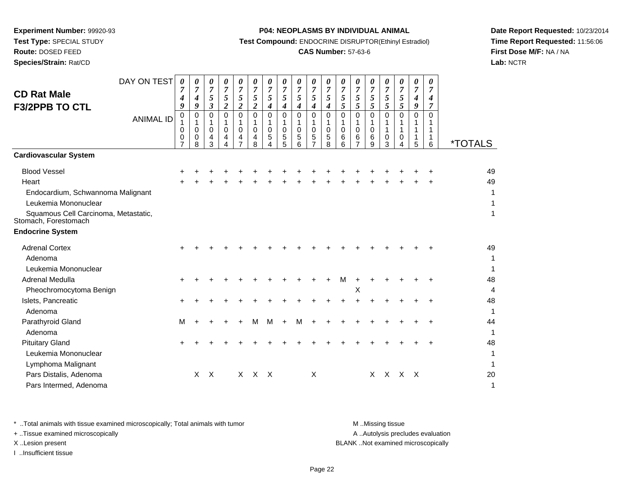**Route:** DOSED FEED

**Species/Strain:** Rat/CD

#### **P04: NEOPLASMS BY INDIVIDUAL ANIMAL**

**Test Compound:** ENDOCRINE DISRUPTOR(Ethinyl Estradiol)

# **CAS Number:** 57-63-6

**Date Report Requested:** 10/23/2014**Time Report Requested:** 11:56:06**First Dose M/F:** NA / NA**Lab:** NCTR

|                                                              | DAY ON TEST      | 0              | 0                     | 0                   | 0                   | 0                   | 0             | 0                   | 0                   | 0                   | 0                   | 0                   | 0                   | 0                | 0                | 0                   | 0        | 0                                  | 0        |                       |
|--------------------------------------------------------------|------------------|----------------|-----------------------|---------------------|---------------------|---------------------|---------------|---------------------|---------------------|---------------------|---------------------|---------------------|---------------------|------------------|------------------|---------------------|----------|------------------------------------|----------|-----------------------|
| <b>CD Rat Male</b>                                           |                  | 7<br>4         | 7<br>$\boldsymbol{4}$ | $\overline{7}$<br>5 | $\overline{7}$<br>5 | $\overline{7}$<br>5 | 7<br>5        | $\overline{7}$<br>5 | $\overline{7}$<br>5 | $\overline{7}$<br>5 | $\overline{7}$<br>5 | $\overline{7}$<br>5 | $\overline{7}$<br>5 | 7<br>5           | 7<br>5           | 7<br>5              | 7<br>5   | $\overline{7}$<br>$\boldsymbol{4}$ | 7<br>4   |                       |
| <b>F3/2PPB TO CTL</b>                                        |                  | 9              | 9                     | 3                   | $\overline{2}$      | $\overline{c}$      | 2             | 4                   | $\boldsymbol{4}$    | 4                   | 4                   | 4                   | 5                   | 5                | 5                | 5                   | 5        | 9                                  | 7        |                       |
|                                                              | <b>ANIMAL ID</b> | 0              | 0                     | $\mathbf 0$         | $\mathbf 0$<br>1    | $\mathbf 0$<br>1    | $\Omega$      | 0                   | 0                   | 0                   | $\mathbf 0$         | 0                   | 0                   | $\mathbf 0$      | $\mathbf 0$      | $\Omega$            | $\Omega$ | $\mathbf 0$                        | $\Omega$ |                       |
|                                                              |                  | 0<br>0         | $\mathbf 0$<br>0      | $\mathbf 0$<br>4    | $\mathbf 0$<br>4    | $\mathbf 0$<br>4    | $\Omega$<br>4 | $\mathbf 0$<br>5    | $\mathbf 0$<br>5    | $\mathbf 0$<br>5    | $\mathbf 0$<br>5    | $\mathbf 0$<br>5    | $\mathbf 0$<br>6    | $\mathbf 0$<br>6 | $\mathbf 0$<br>6 | $\overline{1}$<br>0 | 1<br>0   | 1<br>1                             | 1<br>1   |                       |
|                                                              |                  | $\overline{7}$ | 8                     | 3                   | 4                   |                     | 8             |                     | 5                   | 6                   |                     | 8                   | 6                   |                  | 9                | 3                   |          | 5                                  | 6        | <i><b>*TOTALS</b></i> |
| <b>Cardiovascular System</b>                                 |                  |                |                       |                     |                     |                     |               |                     |                     |                     |                     |                     |                     |                  |                  |                     |          |                                    |          |                       |
| <b>Blood Vessel</b>                                          |                  |                |                       |                     |                     |                     |               |                     |                     |                     |                     |                     |                     |                  |                  |                     |          |                                    |          | 49                    |
| Heart                                                        |                  |                |                       |                     |                     |                     |               |                     |                     |                     |                     |                     |                     |                  |                  |                     |          |                                    |          | 49                    |
| Endocardium, Schwannoma Malignant                            |                  |                |                       |                     |                     |                     |               |                     |                     |                     |                     |                     |                     |                  |                  |                     |          |                                    |          | 1                     |
| Leukemia Mononuclear                                         |                  |                |                       |                     |                     |                     |               |                     |                     |                     |                     |                     |                     |                  |                  |                     |          |                                    |          |                       |
| Squamous Cell Carcinoma, Metastatic,<br>Stomach, Forestomach |                  |                |                       |                     |                     |                     |               |                     |                     |                     |                     |                     |                     |                  |                  |                     |          |                                    |          | 1                     |
| <b>Endocrine System</b>                                      |                  |                |                       |                     |                     |                     |               |                     |                     |                     |                     |                     |                     |                  |                  |                     |          |                                    |          |                       |
| <b>Adrenal Cortex</b>                                        |                  |                |                       |                     |                     |                     |               |                     |                     |                     |                     |                     |                     |                  |                  |                     |          |                                    |          | 49                    |
| Adenoma                                                      |                  |                |                       |                     |                     |                     |               |                     |                     |                     |                     |                     |                     |                  |                  |                     |          |                                    |          | 1                     |
| Leukemia Mononuclear                                         |                  |                |                       |                     |                     |                     |               |                     |                     |                     |                     |                     |                     |                  |                  |                     |          |                                    |          | 1                     |
| Adrenal Medulla                                              |                  | ÷              |                       |                     |                     |                     |               |                     |                     |                     |                     |                     | M                   | $\pm$            |                  |                     |          |                                    |          | 48                    |
| Pheochromocytoma Benign                                      |                  |                |                       |                     |                     |                     |               |                     |                     |                     |                     |                     |                     | X                |                  |                     |          |                                    |          | $\overline{4}$        |
| Islets, Pancreatic                                           |                  | ÷              |                       |                     |                     |                     |               |                     |                     |                     |                     |                     |                     |                  |                  |                     |          |                                    |          | 48                    |
| Adenoma                                                      |                  |                |                       |                     |                     |                     |               |                     |                     |                     |                     |                     |                     |                  |                  |                     |          |                                    |          | 1                     |
| Parathyroid Gland                                            |                  | м              |                       |                     |                     |                     | м             | м                   | +                   | M                   | $\ddot{}$           |                     |                     |                  |                  |                     |          |                                    |          | 44                    |
| Adenoma                                                      |                  |                |                       |                     |                     |                     |               |                     |                     |                     |                     |                     |                     |                  |                  |                     |          |                                    |          | $\mathbf{1}$          |
| <b>Pituitary Gland</b>                                       |                  |                |                       |                     |                     |                     |               |                     |                     |                     |                     |                     |                     |                  |                  |                     |          |                                    |          | 48                    |
| Leukemia Mononuclear                                         |                  |                |                       |                     |                     |                     |               |                     |                     |                     |                     |                     |                     |                  |                  |                     |          |                                    |          | 1                     |
| Lymphoma Malignant                                           |                  |                |                       |                     |                     |                     |               |                     |                     |                     |                     |                     |                     |                  |                  |                     |          |                                    |          |                       |
| Pars Distalis, Adenoma                                       |                  |                | X                     | $\times$            |                     | $\times$            | $\mathsf{X}$  | $\mathsf{X}$        |                     |                     | X                   |                     |                     |                  | X                | X X X               |          |                                    |          | 20                    |
| Pars Intermed, Adenoma                                       |                  |                |                       |                     |                     |                     |               |                     |                     |                     |                     |                     |                     |                  |                  |                     |          |                                    |          | $\mathbf 1$           |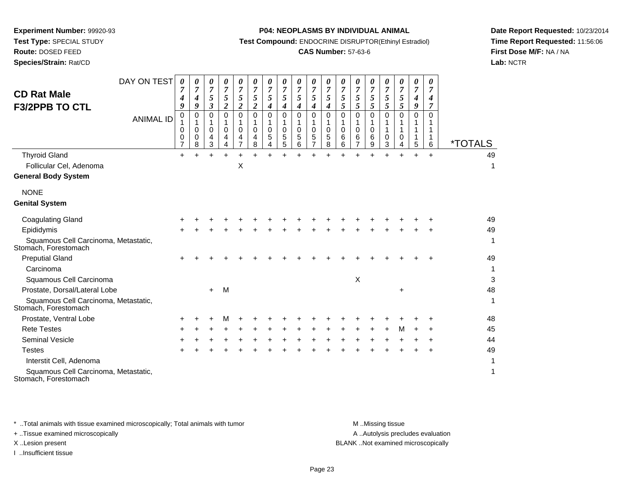**Route:** DOSED FEED

**Species/Strain:** Rat/CD

#### **P04: NEOPLASMS BY INDIVIDUAL ANIMAL**

**Test Compound:** ENDOCRINE DISRUPTOR(Ethinyl Estradiol)

# **CAS Number:** 57-63-6

**Date Report Requested:** 10/23/2014**Time Report Requested:** 11:56:06**First Dose M/F:** NA / NA**Lab:** NCTR

| <b>CD Rat Male</b>                                                                               | DAY ON TEST      | 0<br>$\overline{7}$<br>$\boldsymbol{4}$ | 0<br>$\overline{7}$<br>$\boldsymbol{4}$         | 0<br>$\overline{7}$<br>5                                | 0<br>$\overline{7}$<br>5                                      | 0<br>$\overline{7}$<br>5                            | 0<br>$\overline{7}$<br>5                                      | 0<br>$\overline{7}$<br>5 | 0<br>$\overline{7}$<br>5                            | 0<br>$\overline{7}$<br>5                  | 0<br>$\overline{7}$<br>5   | 0<br>$\overline{7}$<br>5   | 0<br>$\overline{7}$<br>5             | 0<br>$\overline{7}$<br>5   | 0<br>$\overline{7}$<br>5   | 0<br>$\overline{7}$<br>5   | 0<br>$\overline{7}$<br>5     | 0<br>$\overline{7}$<br>4          | 0<br>7<br>4           |                       |
|--------------------------------------------------------------------------------------------------|------------------|-----------------------------------------|-------------------------------------------------|---------------------------------------------------------|---------------------------------------------------------------|-----------------------------------------------------|---------------------------------------------------------------|--------------------------|-----------------------------------------------------|-------------------------------------------|----------------------------|----------------------------|--------------------------------------|----------------------------|----------------------------|----------------------------|------------------------------|-----------------------------------|-----------------------|-----------------------|
| <b>F3/2PPB TO CTL</b>                                                                            | <b>ANIMAL ID</b> | 9<br>0<br>1<br>0<br>0<br>$\overline{7}$ | 9<br>0<br>$\mathbf{1}$<br>$\mathbf 0$<br>0<br>8 | $\boldsymbol{\beta}$<br>0<br>1<br>$\mathbf 0$<br>4<br>3 | $\boldsymbol{2}$<br>$\mathbf 0$<br>1<br>$\mathbf 0$<br>4<br>4 | $\boldsymbol{2}$<br>$\mathbf 0$<br>1<br>0<br>4<br>7 | $\boldsymbol{2}$<br>$\mathbf 0$<br>$\mathbf 1$<br>0<br>4<br>8 | 4<br>0<br>1<br>0<br>5    | $\boldsymbol{4}$<br>0<br>1<br>$\mathbf 0$<br>5<br>5 | $\boldsymbol{4}$<br>0<br>1<br>0<br>5<br>6 | 4<br>0<br>1<br>0<br>5<br>7 | 4<br>0<br>1<br>0<br>5<br>8 | 5<br>$\mathbf 0$<br>1<br>0<br>6<br>6 | 5<br>0<br>1<br>0<br>6<br>7 | 5<br>0<br>1<br>0<br>6<br>9 | 5<br>0<br>1<br>1<br>0<br>3 | 5<br>$\Omega$<br>1<br>0<br>4 | 9<br>$\Omega$<br>1<br>1<br>1<br>5 | 7<br>0<br>1<br>1<br>6 | <i><b>*TOTALS</b></i> |
| <b>Thyroid Gland</b><br>Follicular Cel, Adenoma<br><b>General Body System</b>                    |                  | $\ddot{}$                               |                                                 |                                                         |                                                               | X                                                   |                                                               |                          |                                                     |                                           |                            |                            |                                      |                            |                            |                            |                              |                                   | $\ddot{}$             | 49<br>1               |
| <b>NONE</b><br><b>Genital System</b>                                                             |                  |                                         |                                                 |                                                         |                                                               |                                                     |                                                               |                          |                                                     |                                           |                            |                            |                                      |                            |                            |                            |                              |                                   |                       |                       |
| <b>Coagulating Gland</b><br>Epididymis                                                           |                  |                                         |                                                 |                                                         |                                                               |                                                     |                                                               |                          |                                                     |                                           |                            |                            |                                      |                            |                            |                            |                              |                                   |                       | 49<br>49              |
| Squamous Cell Carcinoma, Metastatic,<br>Stomach, Forestomach                                     |                  |                                         |                                                 |                                                         |                                                               |                                                     |                                                               |                          |                                                     |                                           |                            |                            |                                      |                            |                            |                            |                              |                                   |                       | 1                     |
| <b>Preputial Gland</b><br>Carcinoma                                                              |                  |                                         |                                                 |                                                         |                                                               |                                                     |                                                               |                          |                                                     |                                           |                            |                            |                                      |                            |                            |                            |                              |                                   |                       | 49<br>1               |
| Squamous Cell Carcinoma<br>Prostate, Dorsal/Lateral Lobe<br>Squamous Cell Carcinoma, Metastatic, |                  |                                         |                                                 | $+$                                                     | M                                                             |                                                     |                                                               |                          |                                                     |                                           |                            |                            |                                      | $\times$                   |                            |                            | $\ddot{}$                    |                                   |                       | 3<br>48<br>1          |
| Stomach, Forestomach<br>Prostate, Ventral Lobe                                                   |                  |                                         |                                                 |                                                         |                                                               |                                                     |                                                               |                          |                                                     |                                           |                            |                            |                                      |                            |                            |                            |                              |                                   |                       | 48                    |
| <b>Rete Testes</b>                                                                               |                  |                                         |                                                 |                                                         |                                                               |                                                     |                                                               |                          |                                                     |                                           |                            |                            |                                      |                            |                            |                            | м                            |                                   |                       | 45                    |
| <b>Seminal Vesicle</b>                                                                           |                  |                                         |                                                 |                                                         |                                                               |                                                     |                                                               |                          |                                                     |                                           |                            |                            |                                      |                            |                            |                            |                              |                                   |                       | 44                    |
| <b>Testes</b><br>Interstit Cell, Adenoma                                                         |                  |                                         |                                                 |                                                         |                                                               |                                                     |                                                               |                          |                                                     |                                           |                            |                            |                                      |                            |                            |                            |                              |                                   |                       | 49<br>1               |
| Squamous Cell Carcinoma, Metastatic,<br>Stomach, Forestomach                                     |                  |                                         |                                                 |                                                         |                                                               |                                                     |                                                               |                          |                                                     |                                           |                            |                            |                                      |                            |                            |                            |                              |                                   |                       | 1                     |

\* ..Total animals with tissue examined microscopically; Total animals with tumor **M** . Missing tissue M ..Missing tissue

+ ..Tissue examined microscopically

I ..Insufficient tissue

A ..Autolysis precludes evaluation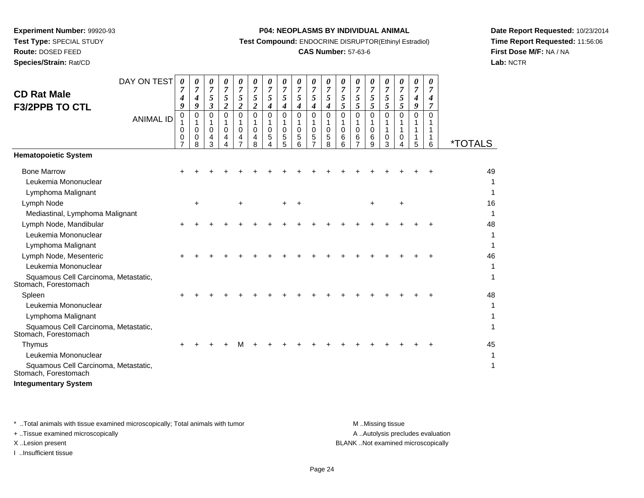**Route:** DOSED FEED

**Species/Strain:** Rat/CD

#### **P04: NEOPLASMS BY INDIVIDUAL ANIMAL**

**Test Compound:** ENDOCRINE DISRUPTOR(Ethinyl Estradiol)

# **CAS Number:** 57-63-6

**Date Report Requested:** 10/23/2014**Time Report Requested:** 11:56:06**First Dose M/F:** NA / NA**Lab:** NCTR

|                                                              | DAY ON TEST      | 0                  | 0                  | 0                  | 0                                   | 0                               | 0                     | 0                     | 0             | 0           | 0      | 0                   | 0                     | 0      | 0           | 0                | 0             | 0             | 0             |                       |
|--------------------------------------------------------------|------------------|--------------------|--------------------|--------------------|-------------------------------------|---------------------------------|-----------------------|-----------------------|---------------|-------------|--------|---------------------|-----------------------|--------|-------------|------------------|---------------|---------------|---------------|-----------------------|
| <b>CD Rat Male</b>                                           |                  | 7<br>4             | 7<br>4             | 7<br>5             | 7<br>5                              | 7<br>5                          | $\overline{7}$<br>5   | 7<br>5                | 7<br>5        | 7<br>5      | 7<br>5 | $\overline{7}$<br>5 | $\overline{7}$<br>5   | 7<br>5 | 7<br>5      | 7<br>5           | 7<br>5        | 7<br>4        | 7<br>4        |                       |
| <b>F3/2PPB TO CTL</b>                                        |                  | 9<br>0             | 9<br>0             | 3<br>0             | $\overline{\mathbf{c}}$<br>$\Omega$ | $\boldsymbol{2}$<br>$\mathbf 0$ | $\boldsymbol{2}$<br>0 | 4<br>0                | 4<br>$\Omega$ | 4<br>0      | 4<br>0 | 4<br>0              | 5<br>0                | 5<br>0 | 5<br>0      | 5<br>$\Omega$    | 5<br>$\Omega$ | 9<br>$\Omega$ | 7<br>$\Omega$ |                       |
|                                                              | <b>ANIMAL ID</b> | 1                  | 1                  | 1                  | 1                                   | 1                               | 1                     | 1                     | 1             | 1           | 1      | 1                   | 1                     | 1      | 1           |                  |               |               |               |                       |
|                                                              |                  | $\Omega$<br>0<br>7 | $\Omega$<br>0<br>8 | $\Omega$<br>4<br>3 | $\Omega$<br>4<br>4                  | $\Omega$<br>4                   | 0<br>4<br>8           | $\mathbf 0$<br>5<br>4 | 0<br>5<br>5   | 0<br>5<br>6 | 0<br>5 | 0<br>5<br>8         | $\mathbf 0$<br>6<br>6 | 0<br>6 | 0<br>6<br>9 | $\mathbf 0$<br>3 | 0<br>4        | 1<br>5        | -1<br>6       | <i><b>*TOTALS</b></i> |
| <b>Hematopoietic System</b>                                  |                  |                    |                    |                    |                                     |                                 |                       |                       |               |             |        |                     |                       |        |             |                  |               |               |               |                       |
| <b>Bone Marrow</b>                                           |                  |                    |                    |                    |                                     |                                 |                       |                       |               |             |        |                     |                       |        |             |                  |               |               |               | 49                    |
| Leukemia Mononuclear                                         |                  |                    |                    |                    |                                     |                                 |                       |                       |               |             |        |                     |                       |        |             |                  |               |               |               |                       |
| Lymphoma Malignant                                           |                  |                    |                    |                    |                                     |                                 |                       |                       |               |             |        |                     |                       |        |             |                  |               |               |               |                       |
| Lymph Node                                                   |                  |                    | $\ddot{}$          |                    |                                     | $\ddot{}$                       |                       |                       |               |             |        |                     |                       |        | $\ddot{}$   |                  | $\ddot{}$     |               |               | 16                    |
| Mediastinal, Lymphoma Malignant                              |                  |                    |                    |                    |                                     |                                 |                       |                       |               |             |        |                     |                       |        |             |                  |               |               |               |                       |
| Lymph Node, Mandibular                                       |                  |                    |                    |                    |                                     |                                 |                       |                       |               |             |        |                     |                       |        |             |                  |               |               |               | 48                    |
| Leukemia Mononuclear                                         |                  |                    |                    |                    |                                     |                                 |                       |                       |               |             |        |                     |                       |        |             |                  |               |               |               |                       |
| Lymphoma Malignant                                           |                  |                    |                    |                    |                                     |                                 |                       |                       |               |             |        |                     |                       |        |             |                  |               |               |               |                       |
| Lymph Node, Mesenteric                                       |                  |                    |                    |                    |                                     |                                 |                       |                       |               |             |        |                     |                       |        |             |                  |               |               |               | 46                    |
| Leukemia Mononuclear                                         |                  |                    |                    |                    |                                     |                                 |                       |                       |               |             |        |                     |                       |        |             |                  |               |               |               |                       |
| Squamous Cell Carcinoma, Metastatic,<br>Stomach, Forestomach |                  |                    |                    |                    |                                     |                                 |                       |                       |               |             |        |                     |                       |        |             |                  |               |               |               | 1                     |
| Spleen                                                       |                  |                    |                    |                    |                                     |                                 |                       |                       |               |             |        |                     |                       |        |             |                  |               |               |               | 48                    |
| Leukemia Mononuclear                                         |                  |                    |                    |                    |                                     |                                 |                       |                       |               |             |        |                     |                       |        |             |                  |               |               |               |                       |
| Lymphoma Malignant                                           |                  |                    |                    |                    |                                     |                                 |                       |                       |               |             |        |                     |                       |        |             |                  |               |               |               |                       |
| Squamous Cell Carcinoma, Metastatic,<br>Stomach, Forestomach |                  |                    |                    |                    |                                     |                                 |                       |                       |               |             |        |                     |                       |        |             |                  |               |               |               | 1                     |
| Thymus                                                       |                  |                    |                    |                    |                                     | м                               |                       |                       |               |             |        |                     |                       |        |             |                  |               |               |               | 45                    |
| Leukemia Mononuclear                                         |                  |                    |                    |                    |                                     |                                 |                       |                       |               |             |        |                     |                       |        |             |                  |               |               |               |                       |
| Squamous Cell Carcinoma, Metastatic,<br>Stomach, Forestomach |                  |                    |                    |                    |                                     |                                 |                       |                       |               |             |        |                     |                       |        |             |                  |               |               |               | 1                     |
| <b>Integumentary System</b>                                  |                  |                    |                    |                    |                                     |                                 |                       |                       |               |             |        |                     |                       |        |             |                  |               |               |               |                       |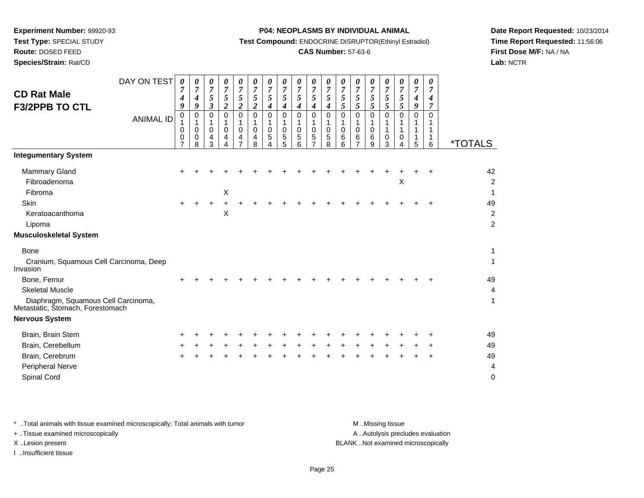**Route:** DOSED FEED

**Species/Strain:** Rat/CD

#### **P04: NEOPLASMS BY INDIVIDUAL ANIMAL**

**Test Compound:** ENDOCRINE DISRUPTOR(Ethinyl Estradiol)

# **CAS Number:** 57-63-6

**Date Report Requested:** 10/23/2014**Time Report Requested:** 11:56:06**First Dose M/F:** NA / NA**Lab:** NCTR

| <b>CD Rat Male</b><br>F3/2PPB TO CTL                                                                                                              | DAY ON TEST<br><b>ANIMAL ID</b> | 0<br>7<br>4<br>9<br>0<br>1<br>0<br>0<br>$\overline{7}$ | 0<br>7<br>4<br>9<br>0<br>1<br>$\mathbf 0$<br>0<br>8 | 0<br>$\overline{7}$<br>$\mathfrak{s}$<br>$\boldsymbol{\beta}$<br>0<br>1<br>0<br>4<br>3 | 0<br>$\overline{7}$<br>$\sqrt{5}$<br>$\overline{c}$<br>$\mathbf 0$<br>1<br>0<br>4<br>$\Delta$ | 0<br>$\overline{7}$<br>$\sqrt{5}$<br>$\overline{c}$<br>0<br>1<br>0<br>4<br>$\overline{7}$ | 0<br>$\boldsymbol{7}$<br>5<br>2<br>$\mathbf 0$<br>0<br>4<br>8 | 0<br>$\overline{7}$<br>5<br>4<br>0<br>0<br>5<br>4 | 0<br>7<br>5<br>4<br>$\Omega$<br>0<br>5<br>5 | 0<br>$\overline{7}$<br>5<br>4<br>$\Omega$<br>$\mathbf 0$<br>5<br>6 | 0<br>7<br>$\mathfrak{s}$<br>$\boldsymbol{4}$<br>$\mathbf 0$<br>0<br>5<br>$\overline{7}$ | 0<br>7<br>5<br>$\boldsymbol{4}$<br>$\mathbf 0$<br>1<br>0<br>5<br>8 | 0<br>$\overline{7}$<br>$\sqrt{5}$<br>5<br>0<br>1<br>$\mathbf 0$<br>6<br>6 | 0<br>$\overline{7}$<br>$\mathfrak{H}$<br>5<br>0<br>1<br>$\mathbf 0$<br>6<br>$\overline{7}$ | 0<br>7<br>$\mathfrak{s}$<br>5<br>0<br>0<br>6<br>9 | 0<br>7<br>5<br>5<br>$\Omega$<br>0<br>3 | 0<br>$\overline{7}$<br>5<br>5<br>0<br>0<br>Δ | 0<br>$\overline{7}$<br>$\boldsymbol{4}$<br>9<br>0<br>5 | 0<br>$\overline{7}$<br>4<br>7<br>0<br>1<br>1<br>6 | <i><b>*TOTALS</b></i>                  |
|---------------------------------------------------------------------------------------------------------------------------------------------------|---------------------------------|--------------------------------------------------------|-----------------------------------------------------|----------------------------------------------------------------------------------------|-----------------------------------------------------------------------------------------------|-------------------------------------------------------------------------------------------|---------------------------------------------------------------|---------------------------------------------------|---------------------------------------------|--------------------------------------------------------------------|-----------------------------------------------------------------------------------------|--------------------------------------------------------------------|---------------------------------------------------------------------------|--------------------------------------------------------------------------------------------|---------------------------------------------------|----------------------------------------|----------------------------------------------|--------------------------------------------------------|---------------------------------------------------|----------------------------------------|
| <b>Integumentary System</b>                                                                                                                       |                                 |                                                        |                                                     |                                                                                        |                                                                                               |                                                                                           |                                                               |                                                   |                                             |                                                                    |                                                                                         |                                                                    |                                                                           |                                                                                            |                                                   |                                        |                                              |                                                        |                                                   |                                        |
| Mammary Gland<br>Fibroadenoma<br>Fibroma                                                                                                          |                                 |                                                        |                                                     |                                                                                        | X                                                                                             |                                                                                           |                                                               |                                                   |                                             |                                                                    |                                                                                         |                                                                    |                                                                           |                                                                                            |                                                   |                                        | $\mathsf X$                                  |                                                        |                                                   | 42<br>$\overline{c}$<br>1              |
| <b>Skin</b><br>Keratoacanthoma<br>Lipoma                                                                                                          |                                 |                                                        |                                                     |                                                                                        | $\boldsymbol{\mathsf{X}}$                                                                     |                                                                                           |                                                               |                                                   |                                             |                                                                    |                                                                                         |                                                                    |                                                                           |                                                                                            |                                                   |                                        |                                              |                                                        |                                                   | 49<br>$\overline{2}$<br>$\overline{c}$ |
| <b>Musculoskeletal System</b>                                                                                                                     |                                 |                                                        |                                                     |                                                                                        |                                                                                               |                                                                                           |                                                               |                                                   |                                             |                                                                    |                                                                                         |                                                                    |                                                                           |                                                                                            |                                                   |                                        |                                              |                                                        |                                                   |                                        |
| <b>Bone</b><br>Cranium, Squamous Cell Carcinoma, Deep<br>Invasion<br>Bone, Femur<br><b>Skeletal Muscle</b><br>Diaphragm, Squamous Cell Carcinoma, |                                 |                                                        |                                                     |                                                                                        |                                                                                               |                                                                                           |                                                               |                                                   |                                             |                                                                    |                                                                                         |                                                                    |                                                                           |                                                                                            |                                                   |                                        |                                              |                                                        |                                                   | 1<br>1<br>49<br>$\overline{4}$<br>1    |
| Metastatic, Stomach, Forestomach                                                                                                                  |                                 |                                                        |                                                     |                                                                                        |                                                                                               |                                                                                           |                                                               |                                                   |                                             |                                                                    |                                                                                         |                                                                    |                                                                           |                                                                                            |                                                   |                                        |                                              |                                                        |                                                   |                                        |
| <b>Nervous System</b>                                                                                                                             |                                 |                                                        |                                                     |                                                                                        |                                                                                               |                                                                                           |                                                               |                                                   |                                             |                                                                    |                                                                                         |                                                                    |                                                                           |                                                                                            |                                                   |                                        |                                              |                                                        |                                                   |                                        |
| Brain, Brain Stem<br>Brain, Cerebellum<br>Brain, Cerebrum<br>Peripheral Nerve<br>Spinal Cord                                                      |                                 |                                                        |                                                     |                                                                                        |                                                                                               |                                                                                           |                                                               |                                                   |                                             |                                                                    |                                                                                         |                                                                    |                                                                           |                                                                                            |                                                   |                                        |                                              |                                                        |                                                   | 49<br>49<br>49<br>4<br>0               |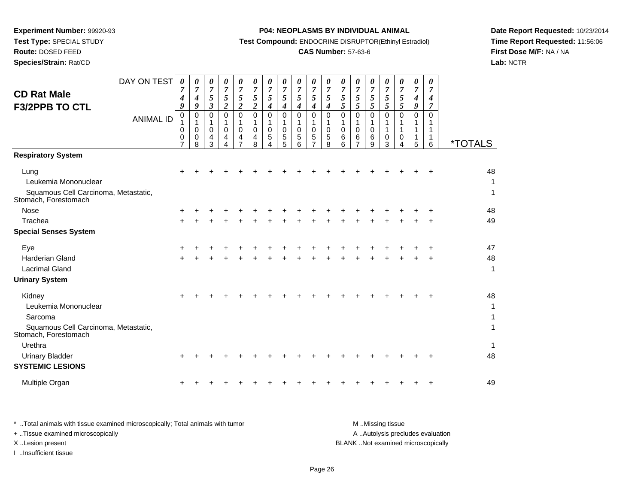**Test Type:** SPECIAL STUDY

# **Route:** DOSED FEED

**Species/Strain:** Rat/CD

# **P04: NEOPLASMS BY INDIVIDUAL ANIMAL**

**Test Compound:** ENDOCRINE DISRUPTOR(Ethinyl Estradiol)

# **CAS Number:** 57-63-6

**Date Report Requested:** 10/23/2014**Time Report Requested:** 11:56:06**First Dose M/F:** NA / NA**Lab:** NCTR

| <b>CD Rat Male</b><br><b>F3/2PPB TO CTL</b>                                                  | DAY ON TEST<br><b>ANIMAL ID</b> | $\boldsymbol{\theta}$<br>7<br>4<br>9<br>0<br>1<br>0<br>0<br>7 | 0<br>7<br>4<br>9<br>$\pmb{0}$<br>1<br>$\mathbf 0$<br>0<br>8 | 0<br>$\overline{7}$<br>$\mathfrak{s}$<br>$\mathfrak{z}$<br>$\mathbf 0$<br>$\mathbf 1$<br>$\mathbf 0$<br>4<br>3 | 0<br>$\overline{7}$<br>5<br>$\overline{c}$<br>0<br>1<br>$\mathbf 0$<br>4 | $\boldsymbol{\theta}$<br>$\overline{7}$<br>$\mathfrak{s}$<br>$\boldsymbol{2}$<br>0<br>$\mathbf{1}$<br>$\mathbf 0$<br>4<br>$\overline{7}$ | 0<br>$\overline{7}$<br>$\mathfrak{s}$<br>$\boldsymbol{2}$<br>$\mathbf 0$<br>1<br>$\mathbf 0$<br>4<br>8 | 0<br>$\overline{7}$<br>5<br>4<br>$\mathbf 0$<br>1<br>$\pmb{0}$<br>$\mathbf 5$<br>Δ | $\boldsymbol{\theta}$<br>$\overline{7}$<br>5<br>4<br>0<br>1<br>0<br>5<br>5 | $\boldsymbol{\theta}$<br>$\overline{7}$<br>5<br>4<br>0<br>1<br>$\pmb{0}$<br>5<br>6 | 0<br>7<br>5<br>4<br>$\mathbf 0$<br>1<br>0<br>5 | 0<br>$\overline{7}$<br>$\mathfrak{s}$<br>4<br>$\pmb{0}$<br>1<br>0<br>5<br>8 | $\boldsymbol{\theta}$<br>$\boldsymbol{7}$<br>$\sqrt{5}$<br>5<br>0<br>1<br>0<br>6<br>6 | 0<br>$\boldsymbol{7}$<br>$\mathfrak{s}$<br>5<br>0<br>1<br>$\pmb{0}$<br>6<br>7 | 0<br>$\overline{7}$<br>$\mathfrak{s}$<br>5<br>0<br>1<br>$\mathbf 0$<br>6<br>9 | 0<br>$\boldsymbol{7}$<br>$5\overline{)}$<br>5<br>0<br>1<br>1<br>0<br>3 | $\boldsymbol{\theta}$<br>$\boldsymbol{7}$<br>$\mathfrak{s}$<br>5<br>0<br>1<br>0<br>4 | 0<br>7<br>4<br>9<br>0<br>1<br>5 | 0<br>7<br>4<br>$\overline{7}$<br>0<br>1<br>$\mathbf{1}$<br>$\mathbf{1}$<br>6 | <i><b>*TOTALS</b></i> |
|----------------------------------------------------------------------------------------------|---------------------------------|---------------------------------------------------------------|-------------------------------------------------------------|----------------------------------------------------------------------------------------------------------------|--------------------------------------------------------------------------|------------------------------------------------------------------------------------------------------------------------------------------|--------------------------------------------------------------------------------------------------------|------------------------------------------------------------------------------------|----------------------------------------------------------------------------|------------------------------------------------------------------------------------|------------------------------------------------|-----------------------------------------------------------------------------|---------------------------------------------------------------------------------------|-------------------------------------------------------------------------------|-------------------------------------------------------------------------------|------------------------------------------------------------------------|--------------------------------------------------------------------------------------|---------------------------------|------------------------------------------------------------------------------|-----------------------|
| <b>Respiratory System</b>                                                                    |                                 |                                                               |                                                             |                                                                                                                |                                                                          |                                                                                                                                          |                                                                                                        |                                                                                    |                                                                            |                                                                                    |                                                |                                                                             |                                                                                       |                                                                               |                                                                               |                                                                        |                                                                                      |                                 |                                                                              |                       |
| Lung<br>Leukemia Mononuclear<br>Squamous Cell Carcinoma, Metastatic,<br>Stomach, Forestomach |                                 |                                                               |                                                             |                                                                                                                |                                                                          |                                                                                                                                          |                                                                                                        |                                                                                    |                                                                            |                                                                                    |                                                |                                                                             |                                                                                       |                                                                               |                                                                               |                                                                        |                                                                                      |                                 |                                                                              | 48<br>1<br>1          |
| <b>Nose</b>                                                                                  |                                 |                                                               |                                                             |                                                                                                                |                                                                          |                                                                                                                                          |                                                                                                        |                                                                                    |                                                                            |                                                                                    |                                                |                                                                             |                                                                                       |                                                                               |                                                                               |                                                                        |                                                                                      |                                 |                                                                              | 48                    |
| Trachea                                                                                      |                                 |                                                               |                                                             |                                                                                                                |                                                                          |                                                                                                                                          |                                                                                                        |                                                                                    |                                                                            |                                                                                    |                                                |                                                                             |                                                                                       |                                                                               |                                                                               |                                                                        |                                                                                      |                                 |                                                                              | 49                    |
| <b>Special Senses System</b>                                                                 |                                 |                                                               |                                                             |                                                                                                                |                                                                          |                                                                                                                                          |                                                                                                        |                                                                                    |                                                                            |                                                                                    |                                                |                                                                             |                                                                                       |                                                                               |                                                                               |                                                                        |                                                                                      |                                 |                                                                              |                       |
| Eye<br><b>Harderian Gland</b><br><b>Lacrimal Gland</b>                                       |                                 |                                                               |                                                             |                                                                                                                |                                                                          |                                                                                                                                          |                                                                                                        |                                                                                    |                                                                            |                                                                                    |                                                |                                                                             |                                                                                       |                                                                               |                                                                               |                                                                        |                                                                                      |                                 |                                                                              | 47<br>48<br>1         |
| <b>Urinary System</b>                                                                        |                                 |                                                               |                                                             |                                                                                                                |                                                                          |                                                                                                                                          |                                                                                                        |                                                                                    |                                                                            |                                                                                    |                                                |                                                                             |                                                                                       |                                                                               |                                                                               |                                                                        |                                                                                      |                                 |                                                                              |                       |
| Kidney<br>Leukemia Mononuclear<br>Sarcoma                                                    |                                 |                                                               |                                                             |                                                                                                                |                                                                          |                                                                                                                                          |                                                                                                        |                                                                                    |                                                                            |                                                                                    |                                                |                                                                             |                                                                                       |                                                                               |                                                                               |                                                                        |                                                                                      |                                 |                                                                              | 48<br>1<br>1          |
| Squamous Cell Carcinoma, Metastatic,<br>Stomach, Forestomach                                 |                                 |                                                               |                                                             |                                                                                                                |                                                                          |                                                                                                                                          |                                                                                                        |                                                                                    |                                                                            |                                                                                    |                                                |                                                                             |                                                                                       |                                                                               |                                                                               |                                                                        |                                                                                      |                                 |                                                                              |                       |
| Urethra                                                                                      |                                 |                                                               |                                                             |                                                                                                                |                                                                          |                                                                                                                                          |                                                                                                        |                                                                                    |                                                                            |                                                                                    |                                                |                                                                             |                                                                                       |                                                                               |                                                                               |                                                                        |                                                                                      |                                 |                                                                              | 1                     |
| <b>Urinary Bladder</b>                                                                       |                                 |                                                               |                                                             |                                                                                                                |                                                                          |                                                                                                                                          |                                                                                                        |                                                                                    |                                                                            |                                                                                    |                                                |                                                                             |                                                                                       |                                                                               |                                                                               |                                                                        |                                                                                      |                                 |                                                                              | 48                    |
| <b>SYSTEMIC LESIONS</b>                                                                      |                                 |                                                               |                                                             |                                                                                                                |                                                                          |                                                                                                                                          |                                                                                                        |                                                                                    |                                                                            |                                                                                    |                                                |                                                                             |                                                                                       |                                                                               |                                                                               |                                                                        |                                                                                      |                                 |                                                                              |                       |
| Multiple Organ                                                                               |                                 |                                                               |                                                             |                                                                                                                |                                                                          |                                                                                                                                          |                                                                                                        |                                                                                    |                                                                            |                                                                                    |                                                |                                                                             |                                                                                       |                                                                               |                                                                               |                                                                        |                                                                                      |                                 |                                                                              | 49                    |

| Total animals with tissue examined microscopically; Total animals with tumor | M Missing tissue                   |
|------------------------------------------------------------------------------|------------------------------------|
| + Tissue examined microscopically                                            | A Autolysis precludes evaluation   |
| X Lesion present                                                             | BLANK Not examined microscopically |
| Insufficient tissue                                                          |                                    |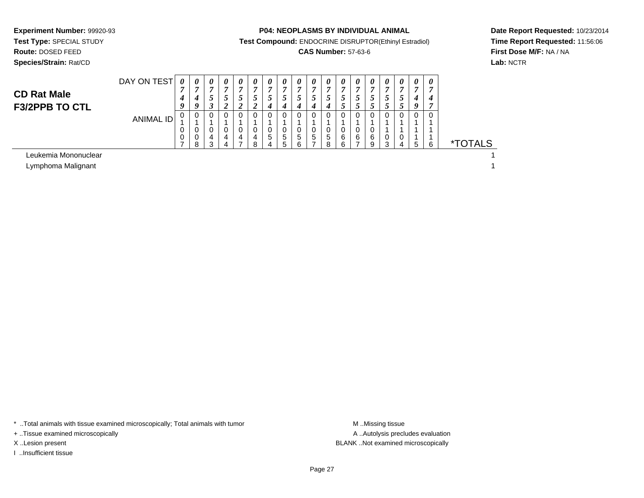**Experiment Number:** 99920-93**Test Type:** SPECIAL STUDY**Route:** DOSED FEED

**Species/Strain:** Rat/CD

#### **P04: NEOPLASMS BY INDIVIDUAL ANIMAL**

**Test Compound:** ENDOCRINE DISRUPTOR(Ethinyl Estradiol)

# **CAS Number:** 57-63-6

**Date Report Requested:** 10/23/2014**Time Report Requested:** 11:56:06**First Dose M/F:** NA / NA**Lab:** NCTR

# **CD Rat MaleF3/2PPB TO CTL**

| DAY ON TEST      | $\boldsymbol{\theta}$ | $\boldsymbol{\theta}$ | U |   | $\boldsymbol{\theta}$ | U  | $\boldsymbol{\theta}$ | U | $\boldsymbol{\theta}$ | U | U  | $\boldsymbol{\theta}$ |    | U   | U | $\boldsymbol{U}$ | $\boldsymbol{\theta}$ |   |                       |
|------------------|-----------------------|-----------------------|---|---|-----------------------|----|-----------------------|---|-----------------------|---|----|-----------------------|----|-----|---|------------------|-----------------------|---|-----------------------|
|                  | −                     | 7                     | - |   | r.                    |    | 7                     | , |                       | − |    | $\overline{ }$        |    |     | , | ∽                | -                     |   |                       |
|                  |                       | 4                     |   |   | J                     | C. | $\mathcal{L}$         |   | C                     | C | ., | $\mathcal{L}$         | J. | ر ـ |   | C                | 4                     | 4 |                       |
|                  | a                     | 9                     | σ |   |                       |    | 4                     |   | 4                     | 4 |    | C.                    |    | لم  |   |                  | u                     |   |                       |
| <b>ANIMAL ID</b> |                       | 0                     | 0 |   |                       |    | 0                     |   |                       |   |    | 0                     |    |     |   | $\Omega$         | 0                     | 0 |                       |
|                  |                       | ٠                     |   |   |                       |    |                       |   |                       |   |    |                       |    |     |   |                  |                       |   |                       |
|                  |                       | 0                     | 0 |   |                       |    | 0                     | O |                       | 0 |    | 0                     |    |     |   |                  |                       |   |                       |
|                  | O                     | 0                     | 4 | 4 | 4                     | 4  | 5                     | 5 | 5                     | 5 | 5  | 6                     | 6  | 6   | 0 | 0                |                       |   |                       |
|                  |                       | 8                     | ົ |   |                       | o  | 4                     | 5 | 6                     |   | Ω  | 6                     |    | 9   | ົ | $\Delta$         | b                     |   | <i><b>*TOTALS</b></i> |
|                  |                       |                       |   |   |                       |    |                       |   |                       |   |    |                       |    |     |   |                  |                       |   |                       |
|                  |                       |                       |   |   |                       |    |                       |   |                       |   |    |                       |    |     |   |                  |                       |   |                       |

Leukemia Mononuclear

Lymphoma Malignantt de la construction de la construction de la construction de la construction de la construction de la construction<br>La construction de la construction de la construction de la construction de la construction de la construc

\* ..Total animals with tissue examined microscopically; Total animals with tumor **M** . Missing tissue M ..Missing tissue

+ ..Tissue examined microscopically

I ..Insufficient tissue

A ..Autolysis precludes evaluation X ..Lesion present BLANK ..Not examined microscopically

 $\mathbf{1}$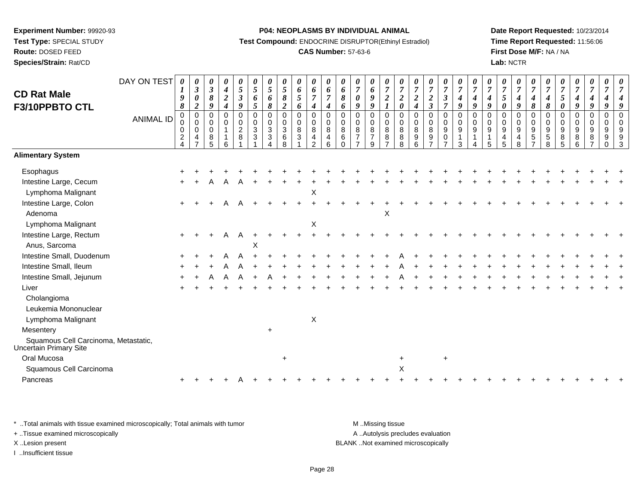**Route:** DOSED FEED

**Species/Strain:** Rat/CD

#### **P04: NEOPLASMS BY INDIVIDUAL ANIMAL**

**Test Compound:** ENDOCRINE DISRUPTOR(Ethinyl Estradiol)

# **CAS Number:** 57-63-6

**Date Report Requested:** 10/23/2014**Time Report Requested:** 11:56:06**First Dose M/F:** NA / NA**Lab:** NCTR

| <b>CD Rat Male</b><br>F3/10PPBTO CTL                                        | DAY ON TEST<br><b>ANIMAL ID</b> | $\boldsymbol{\theta}$<br>$\boldsymbol{l}$<br>$\boldsymbol{g}$<br>$\boldsymbol{\delta}$<br>$\mathbf 0$<br>$\mathbf 0$<br>$\mathbf 0$<br>$\overline{c}$<br>$\overline{A}$ | 0<br>$\boldsymbol{\beta}$<br>0<br>$\overline{c}$<br>$\pmb{0}$<br>$\mathbf 0$<br>$\mathbf 0$<br>4 | 0<br>$\mathbf{3}$<br>$\pmb{8}$<br>9<br>$\mathbf 0$<br>0<br>0<br>8<br>5 | 0<br>$\boldsymbol{4}$<br>$\boldsymbol{2}$<br>$\boldsymbol{4}$<br>$\Omega$<br>$\mathbf 0$<br>6 | $\boldsymbol{\theta}$<br>$\sqrt{5}$<br>$\boldsymbol{\beta}$<br>9<br>$\mathbf 0$<br>$\mathbf 0$<br>$\overline{2}$<br>8 | $\boldsymbol{\theta}$<br>$\overline{5}$<br>6<br>$\sqrt{5}$<br>$\mathbf 0$<br>$\mathsf 0$<br>$\mathbf{3}$<br>3 | $\boldsymbol{\theta}$<br>$\overline{5}$<br>6<br>$\pmb{8}$<br>$\mathbf 0$<br>$\mathbf 0$<br>3<br>3<br>4 | 0<br>5<br>$\pmb{8}$<br>$\boldsymbol{2}$<br>$\mathbf 0$<br>$\Omega$<br>3<br>6<br>8 | 0<br>6<br>5<br>6<br>0<br>0<br>8<br>3 | 0<br>6<br>$\overline{7}$<br>$\boldsymbol{4}$<br>0<br>$_{\rm 8}^{\rm 0}$<br>$\overline{4}$<br>2 | 0<br>6<br>$\overline{7}$<br>$\boldsymbol{4}$<br>$\pmb{0}$<br>$\pmb{0}$<br>$\,8\,$<br>4<br>6 | 0<br>$\pmb{6}$<br>$\pmb{8}$<br>6<br>$\mathbf 0$<br>$\mathbf 0$<br>8<br>6<br>$\Omega$ | 0<br>$\overline{7}$<br>$\pmb{\theta}$<br>9<br>$\mathbf 0$<br>$\Omega$<br>8<br>$\overline{7}$<br>$\overline{ }$ | 0<br>6<br>9<br>9<br>$\mathbf 0$<br>$\mathbf 0$<br>8<br>$\overline{7}$<br>9 | 0<br>$\boldsymbol{7}$<br>$\frac{2}{1}$<br>0<br>$\pmb{0}$<br>$\overline{8}$<br>8<br>$\overline{7}$ | 0<br>$\overline{7}$<br>$\boldsymbol{2}$<br>$\pmb{\theta}$<br>$\mathsf 0$<br>$\mathsf 0$<br>8<br>8<br>8 | $\boldsymbol{\theta}$<br>$\overline{7}$<br>$\boldsymbol{2}$<br>$\boldsymbol{4}$<br>$\mathbf 0$<br>$\mathbf 0$<br>8<br>9<br>6 | $\boldsymbol{\theta}$<br>$\overline{7}$<br>$\frac{2}{3}$<br>$\pmb{0}$<br>$\mathsf{O}\xspace$<br>$\bf 8$<br>$9\,$<br>$\overline{\phantom{a}}$ | 0<br>$\boldsymbol{7}$<br>$\boldsymbol{\beta}$<br>$\overline{7}$<br>0<br>0<br>$\boldsymbol{9}$<br>0<br>$\overline{z}$ | $\boldsymbol{\theta}$<br>$\overline{7}$<br>$\boldsymbol{4}$<br>9<br>$\pmb{0}$<br>$\mathbf 0$<br>$9\,$<br>$\mathbf{1}$<br>3 | 0<br>$\overline{7}$<br>4<br>9<br>$\mathbf 0$<br>$\mathbf 0$<br>9<br>$\mathbf{1}$ | 0<br>$\overline{7}$<br>$\boldsymbol{4}$<br>9<br>$\mathbf 0$<br>0<br>9<br>1<br>5 | $\boldsymbol{\theta}$<br>$\overline{7}$<br>$\mathfrak{s}$<br>0<br>$\Omega$<br>$\mathbf 0$<br>9<br>4<br>$\overline{5}$ | 0<br>$\boldsymbol{7}$<br>$\boldsymbol{4}$<br>9<br>0<br>$\mathbf 0$<br>9<br>$\overline{4}$<br>8 | 0<br>$\overline{7}$<br>$\boldsymbol{4}$<br>$\pmb{8}$<br>$\mathbf 0$<br>$\mathbf 0$<br>9<br>$\sqrt{5}$<br>$\overline{7}$ | $\boldsymbol{\theta}$<br>$\overline{7}$<br>$\boldsymbol{4}$<br>$\pmb{8}$<br>$\mathbf 0$<br>$\mathbf 0$<br>9<br>$\sqrt{5}$<br>8 | $\boldsymbol{\theta}$<br>$\overline{7}$<br>$\sqrt{5}$<br>$\boldsymbol{\theta}$<br>$\Omega$<br>$\Omega$<br>9<br>8<br>5 | 0<br>$\overline{7}$<br>$\boldsymbol{4}$<br>9<br>0<br>0<br>9<br>8<br>6 | 0<br>$\boldsymbol{7}$<br>$\boldsymbol{4}$<br>9<br>$\pmb{0}$<br>$_{9}^{\rm 0}$<br>8<br>$\overline{7}$ | 0<br>$\overline{7}$<br>$\boldsymbol{4}$<br>9<br>$\pmb{0}$<br>$\pmb{0}$<br>$\boldsymbol{9}$<br>9<br>$\Omega$ | 0<br>$\Omega$<br>$\Omega$<br>9<br>3 |
|-----------------------------------------------------------------------------|---------------------------------|-------------------------------------------------------------------------------------------------------------------------------------------------------------------------|--------------------------------------------------------------------------------------------------|------------------------------------------------------------------------|-----------------------------------------------------------------------------------------------|-----------------------------------------------------------------------------------------------------------------------|---------------------------------------------------------------------------------------------------------------|--------------------------------------------------------------------------------------------------------|-----------------------------------------------------------------------------------|--------------------------------------|------------------------------------------------------------------------------------------------|---------------------------------------------------------------------------------------------|--------------------------------------------------------------------------------------|----------------------------------------------------------------------------------------------------------------|----------------------------------------------------------------------------|---------------------------------------------------------------------------------------------------|--------------------------------------------------------------------------------------------------------|------------------------------------------------------------------------------------------------------------------------------|----------------------------------------------------------------------------------------------------------------------------------------------|----------------------------------------------------------------------------------------------------------------------|----------------------------------------------------------------------------------------------------------------------------|----------------------------------------------------------------------------------|---------------------------------------------------------------------------------|-----------------------------------------------------------------------------------------------------------------------|------------------------------------------------------------------------------------------------|-------------------------------------------------------------------------------------------------------------------------|--------------------------------------------------------------------------------------------------------------------------------|-----------------------------------------------------------------------------------------------------------------------|-----------------------------------------------------------------------|------------------------------------------------------------------------------------------------------|-------------------------------------------------------------------------------------------------------------|-------------------------------------|
| <b>Alimentary System</b>                                                    |                                 |                                                                                                                                                                         |                                                                                                  |                                                                        |                                                                                               |                                                                                                                       |                                                                                                               |                                                                                                        |                                                                                   |                                      |                                                                                                |                                                                                             |                                                                                      |                                                                                                                |                                                                            |                                                                                                   |                                                                                                        |                                                                                                                              |                                                                                                                                              |                                                                                                                      |                                                                                                                            |                                                                                  |                                                                                 |                                                                                                                       |                                                                                                |                                                                                                                         |                                                                                                                                |                                                                                                                       |                                                                       |                                                                                                      |                                                                                                             |                                     |
| Esophagus                                                                   |                                 |                                                                                                                                                                         |                                                                                                  |                                                                        |                                                                                               |                                                                                                                       |                                                                                                               |                                                                                                        |                                                                                   |                                      |                                                                                                |                                                                                             |                                                                                      |                                                                                                                |                                                                            |                                                                                                   |                                                                                                        |                                                                                                                              |                                                                                                                                              |                                                                                                                      |                                                                                                                            |                                                                                  |                                                                                 |                                                                                                                       |                                                                                                |                                                                                                                         |                                                                                                                                |                                                                                                                       |                                                                       |                                                                                                      |                                                                                                             |                                     |
| Intestine Large, Cecum<br>Lymphoma Malignant                                |                                 |                                                                                                                                                                         |                                                                                                  | А                                                                      | A                                                                                             |                                                                                                                       |                                                                                                               |                                                                                                        |                                                                                   |                                      | $\boldsymbol{\mathsf{X}}$                                                                      |                                                                                             |                                                                                      |                                                                                                                |                                                                            |                                                                                                   |                                                                                                        |                                                                                                                              |                                                                                                                                              |                                                                                                                      |                                                                                                                            |                                                                                  |                                                                                 |                                                                                                                       |                                                                                                |                                                                                                                         |                                                                                                                                |                                                                                                                       |                                                                       |                                                                                                      |                                                                                                             |                                     |
| Intestine Large, Colon<br>Adenoma                                           |                                 |                                                                                                                                                                         |                                                                                                  |                                                                        |                                                                                               |                                                                                                                       |                                                                                                               |                                                                                                        |                                                                                   |                                      |                                                                                                |                                                                                             |                                                                                      |                                                                                                                |                                                                            | Х                                                                                                 |                                                                                                        |                                                                                                                              |                                                                                                                                              |                                                                                                                      |                                                                                                                            |                                                                                  |                                                                                 |                                                                                                                       |                                                                                                |                                                                                                                         |                                                                                                                                |                                                                                                                       |                                                                       |                                                                                                      |                                                                                                             |                                     |
| Lymphoma Malignant<br>Intestine Large, Rectum<br>Anus, Sarcoma              |                                 |                                                                                                                                                                         |                                                                                                  |                                                                        | Α                                                                                             | A                                                                                                                     | X                                                                                                             |                                                                                                        |                                                                                   |                                      | Χ                                                                                              |                                                                                             |                                                                                      |                                                                                                                |                                                                            |                                                                                                   |                                                                                                        |                                                                                                                              |                                                                                                                                              |                                                                                                                      |                                                                                                                            |                                                                                  |                                                                                 |                                                                                                                       |                                                                                                |                                                                                                                         |                                                                                                                                |                                                                                                                       |                                                                       |                                                                                                      |                                                                                                             |                                     |
| Intestine Small, Duodenum                                                   |                                 |                                                                                                                                                                         |                                                                                                  |                                                                        |                                                                                               |                                                                                                                       |                                                                                                               |                                                                                                        |                                                                                   |                                      |                                                                                                |                                                                                             |                                                                                      |                                                                                                                |                                                                            |                                                                                                   |                                                                                                        |                                                                                                                              |                                                                                                                                              |                                                                                                                      |                                                                                                                            |                                                                                  |                                                                                 |                                                                                                                       |                                                                                                |                                                                                                                         |                                                                                                                                |                                                                                                                       |                                                                       |                                                                                                      |                                                                                                             |                                     |
| Intestine Small, Ileum                                                      |                                 |                                                                                                                                                                         |                                                                                                  |                                                                        |                                                                                               |                                                                                                                       |                                                                                                               |                                                                                                        |                                                                                   |                                      |                                                                                                |                                                                                             |                                                                                      |                                                                                                                |                                                                            |                                                                                                   |                                                                                                        |                                                                                                                              |                                                                                                                                              |                                                                                                                      |                                                                                                                            |                                                                                  |                                                                                 |                                                                                                                       |                                                                                                |                                                                                                                         |                                                                                                                                |                                                                                                                       |                                                                       |                                                                                                      |                                                                                                             |                                     |
| Intestine Small, Jejunum                                                    |                                 |                                                                                                                                                                         |                                                                                                  |                                                                        |                                                                                               |                                                                                                                       |                                                                                                               |                                                                                                        |                                                                                   |                                      |                                                                                                |                                                                                             |                                                                                      |                                                                                                                |                                                                            |                                                                                                   |                                                                                                        |                                                                                                                              |                                                                                                                                              |                                                                                                                      |                                                                                                                            |                                                                                  |                                                                                 |                                                                                                                       |                                                                                                |                                                                                                                         |                                                                                                                                |                                                                                                                       |                                                                       |                                                                                                      |                                                                                                             |                                     |
| Liver<br>Cholangioma<br>Leukemia Mononuclear                                |                                 |                                                                                                                                                                         |                                                                                                  |                                                                        |                                                                                               |                                                                                                                       |                                                                                                               |                                                                                                        |                                                                                   |                                      |                                                                                                |                                                                                             |                                                                                      |                                                                                                                |                                                                            |                                                                                                   |                                                                                                        |                                                                                                                              |                                                                                                                                              |                                                                                                                      |                                                                                                                            |                                                                                  |                                                                                 |                                                                                                                       |                                                                                                |                                                                                                                         |                                                                                                                                |                                                                                                                       |                                                                       |                                                                                                      |                                                                                                             |                                     |
| Lymphoma Malignant                                                          |                                 |                                                                                                                                                                         |                                                                                                  |                                                                        |                                                                                               |                                                                                                                       |                                                                                                               |                                                                                                        |                                                                                   |                                      | X                                                                                              |                                                                                             |                                                                                      |                                                                                                                |                                                                            |                                                                                                   |                                                                                                        |                                                                                                                              |                                                                                                                                              |                                                                                                                      |                                                                                                                            |                                                                                  |                                                                                 |                                                                                                                       |                                                                                                |                                                                                                                         |                                                                                                                                |                                                                                                                       |                                                                       |                                                                                                      |                                                                                                             |                                     |
| Mesentery<br>Squamous Cell Carcinoma, Metastatic,<br>Uncertain Primary Site |                                 |                                                                                                                                                                         |                                                                                                  |                                                                        |                                                                                               |                                                                                                                       |                                                                                                               | $\ddot{}$                                                                                              |                                                                                   |                                      |                                                                                                |                                                                                             |                                                                                      |                                                                                                                |                                                                            |                                                                                                   |                                                                                                        |                                                                                                                              |                                                                                                                                              |                                                                                                                      |                                                                                                                            |                                                                                  |                                                                                 |                                                                                                                       |                                                                                                |                                                                                                                         |                                                                                                                                |                                                                                                                       |                                                                       |                                                                                                      |                                                                                                             |                                     |
| Oral Mucosa                                                                 |                                 |                                                                                                                                                                         |                                                                                                  |                                                                        |                                                                                               |                                                                                                                       |                                                                                                               |                                                                                                        |                                                                                   |                                      |                                                                                                |                                                                                             |                                                                                      |                                                                                                                |                                                                            |                                                                                                   | $\ddot{}$                                                                                              |                                                                                                                              |                                                                                                                                              | $\ddot{}$                                                                                                            |                                                                                                                            |                                                                                  |                                                                                 |                                                                                                                       |                                                                                                |                                                                                                                         |                                                                                                                                |                                                                                                                       |                                                                       |                                                                                                      |                                                                                                             |                                     |
| Squamous Cell Carcinoma                                                     |                                 |                                                                                                                                                                         |                                                                                                  |                                                                        |                                                                                               |                                                                                                                       |                                                                                                               |                                                                                                        |                                                                                   |                                      |                                                                                                |                                                                                             |                                                                                      |                                                                                                                |                                                                            |                                                                                                   | X                                                                                                      |                                                                                                                              |                                                                                                                                              |                                                                                                                      |                                                                                                                            |                                                                                  |                                                                                 |                                                                                                                       |                                                                                                |                                                                                                                         |                                                                                                                                |                                                                                                                       |                                                                       |                                                                                                      |                                                                                                             |                                     |
| Pancreas                                                                    |                                 |                                                                                                                                                                         |                                                                                                  |                                                                        |                                                                                               |                                                                                                                       |                                                                                                               |                                                                                                        |                                                                                   |                                      |                                                                                                |                                                                                             |                                                                                      |                                                                                                                |                                                                            |                                                                                                   |                                                                                                        |                                                                                                                              |                                                                                                                                              |                                                                                                                      |                                                                                                                            |                                                                                  |                                                                                 |                                                                                                                       |                                                                                                |                                                                                                                         |                                                                                                                                |                                                                                                                       |                                                                       |                                                                                                      |                                                                                                             |                                     |

\* ..Total animals with tissue examined microscopically; Total animals with tumor **M** . Missing tissue M ..Missing tissue + ..Tissue examined microscopically

I ..Insufficient tissue

A ..Autolysis precludes evaluation X ..Lesion present BLANK ..Not examined microscopically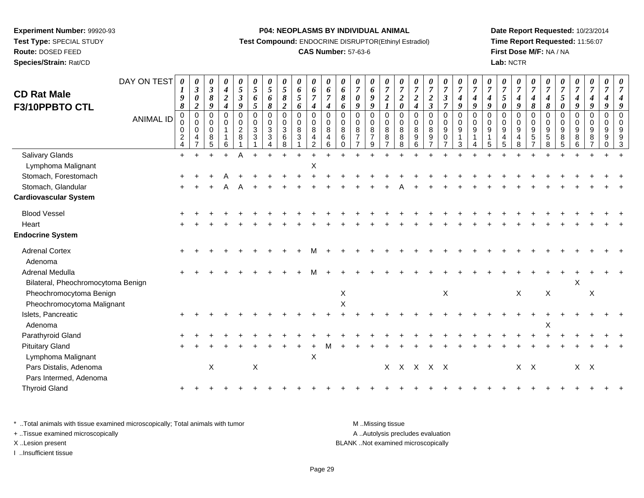# **Route:** DOSED FEED

**Species/Strain:** Rat/CD

#### **P04: NEOPLASMS BY INDIVIDUAL ANIMAL**

**Test Compound:** ENDOCRINE DISRUPTOR(Ethinyl Estradiol)

# **CAS Number:** 57-63-6

**Date Report Requested:** 10/23/2014**Time Report Requested:** 11:56:07**First Dose M/F:** NA / NA**Lab:** NCTR

| <b>CD Rat Male</b>                 | DAY ON TEST      | 0<br>1<br>9                                                              | 0<br>$\boldsymbol{\beta}$<br>$\pmb{\theta}$                   | 0<br>$\boldsymbol{\beta}$<br>$\pmb{8}$                | 0<br>$\boldsymbol{4}$<br>$\overline{2}$ | 0<br>$\mathfrak{z}$<br>$\boldsymbol{\beta}$                             | 0<br>$\overline{5}$<br>6                | 0<br>$\sqrt{5}$<br>6                                                                       | 0<br>$\mathfrak{s}$<br>$\pmb{8}$                                                 | 0<br>$\pmb{6}$<br>$\sqrt{5}$                                                                    | 0<br>$\boldsymbol{6}$<br>$\overline{7}$                            | 0<br>6<br>$\overline{7}$          | 0<br>6<br>8                                                 | 0<br>$\overline{7}$<br>$\boldsymbol{\theta}$                               | 0<br>6<br>9                                                                | $\boldsymbol{\theta}$<br>$\overline{7}$<br>$\boldsymbol{2}$           | $\boldsymbol{\theta}$<br>$\overline{7}$<br>$\boldsymbol{2}$    | $\boldsymbol{\theta}$<br>$\overline{7}$<br>$\boldsymbol{2}$ | $\frac{\boldsymbol{0}}{7}$<br>$\boldsymbol{2}$                | 0<br>$\boldsymbol{7}$<br>$\boldsymbol{\beta}$                                             | $\frac{\boldsymbol{0}}{7}$<br>$\boldsymbol{4}$                        | $\boldsymbol{\theta}$<br>$\overline{7}$<br>$\boldsymbol{4}$                            | $\boldsymbol{\theta}$<br>$\overline{7}$<br>$\boldsymbol{4}$               | 0<br>$\overline{7}$<br>5                              | 0<br>$\boldsymbol{7}$<br>$\boldsymbol{4}$                               | 0<br>$\boldsymbol{7}$<br>$\boldsymbol{4}$                                                  | $\boldsymbol{\theta}$<br>$\boldsymbol{7}$<br>4      | $\boldsymbol{\theta}$<br>$\overline{7}$<br>$\mathfrak{s}$               | $\boldsymbol{\theta}$<br>$\overline{7}$<br>$\boldsymbol{4}$                      | 0<br>$\overline{7}$<br>4                                                   | 0<br>$\overline{7}$<br>4                                   |   |
|------------------------------------|------------------|--------------------------------------------------------------------------|---------------------------------------------------------------|-------------------------------------------------------|-----------------------------------------|-------------------------------------------------------------------------|-----------------------------------------|--------------------------------------------------------------------------------------------|----------------------------------------------------------------------------------|-------------------------------------------------------------------------------------------------|--------------------------------------------------------------------|-----------------------------------|-------------------------------------------------------------|----------------------------------------------------------------------------|----------------------------------------------------------------------------|-----------------------------------------------------------------------|----------------------------------------------------------------|-------------------------------------------------------------|---------------------------------------------------------------|-------------------------------------------------------------------------------------------|-----------------------------------------------------------------------|----------------------------------------------------------------------------------------|---------------------------------------------------------------------------|-------------------------------------------------------|-------------------------------------------------------------------------|--------------------------------------------------------------------------------------------|-----------------------------------------------------|-------------------------------------------------------------------------|----------------------------------------------------------------------------------|----------------------------------------------------------------------------|------------------------------------------------------------|---|
| F3/10PPBTO CTL                     | <b>ANIMAL ID</b> | 8<br>$\mathbf 0$<br>0<br>$\mathbf 0$<br>$\overline{c}$<br>$\overline{4}$ | $\boldsymbol{2}$<br>$\Omega$<br>0<br>0<br>4<br>$\overline{7}$ | 9<br>$\Omega$<br>$\mathbf 0$<br>$\mathbf 0$<br>8<br>5 | 4<br>$\Omega$<br>0<br>$\mathbf{1}$<br>6 | $\boldsymbol{g}$<br>$\Omega$<br>$\pmb{0}$<br>$\boldsymbol{2}$<br>8<br>1 | 5<br>$\mathbf 0$<br>$\pmb{0}$<br>3<br>3 | $\pmb{8}$<br>$\mathbf 0$<br>0<br>$\sqrt{3}$<br>$\ensuremath{\mathsf{3}}$<br>$\overline{4}$ | $\overline{2}$<br>$\mathsf 0$<br>$\mathsf{O}\xspace$<br>$\sqrt{3}$<br>$\,6$<br>8 | 6<br>$\pmb{0}$<br>$\mathbf 0$<br>$\, 8$<br>$\ensuremath{\mathsf{3}}$<br>$\overline{\mathbf{1}}$ | $\boldsymbol{4}$<br>$\pmb{0}$<br>$\mathbf 0$<br>8<br>$\frac{4}{2}$ | 4<br>$\Omega$<br>0<br>8<br>4<br>6 | 6<br>$\Omega$<br>$\mathbf 0$<br>8<br>$\,6\,$<br>$\mathbf 0$ | $\boldsymbol{q}$<br>$\Omega$<br>0<br>8<br>$\overline{7}$<br>$\overline{ }$ | $\boldsymbol{g}$<br>$\Omega$<br>$\overline{0}$<br>8<br>$\overline{7}$<br>9 | $\boldsymbol{l}$<br>$\Omega$<br>$\pmb{0}$<br>8<br>8<br>$\overline{7}$ | $\pmb{\theta}$<br>$\Omega$<br>$\mathbf 0$<br>8<br>$\,8\,$<br>8 | $\boldsymbol{4}$<br>$\Omega$<br>$\mathbf 0$<br>8<br>9<br>6  | $\overline{\mathbf{3}}$<br>0<br>0<br>8<br>9<br>$\overline{7}$ | $\overline{7}$<br>$\pmb{0}$<br>$\pmb{0}$<br>$\overline{9}$<br>$\pmb{0}$<br>$\overline{7}$ | 9<br>$\Omega$<br>$\mathsf 0$<br>$\boldsymbol{9}$<br>$\mathbf{1}$<br>3 | $\boldsymbol{g}$<br>$\Omega$<br>$\mathbf 0$<br>$\boldsymbol{9}$<br>$\overline{1}$<br>4 | $\boldsymbol{g}$<br>$\Omega$<br>$\mathbf 0$<br>$9\,$<br>$\mathbf{1}$<br>5 | $\boldsymbol{\theta}$<br>$\Omega$<br>0<br>9<br>4<br>5 | $\boldsymbol{g}$<br>$\Omega$<br>$\mathsf 0$<br>$\overline{9}$<br>4<br>8 | $\pmb{8}$<br>$\mathbf 0$<br>$\pmb{0}$<br>$\boldsymbol{9}$<br>$\mathbf 5$<br>$\overline{7}$ | $\pmb{8}$<br>$\Omega$<br>0<br>9<br>$\,$ 5 $\,$<br>8 | $\pmb{\theta}$<br>$\Omega$<br>$\mathbf 0$<br>$\boldsymbol{9}$<br>8<br>5 | 9<br>$\mathbf 0$<br>$\mathbf 0$<br>$\boldsymbol{9}$<br>$\,8\,$<br>$6\phantom{a}$ | $\boldsymbol{g}$<br>$\mathbf 0$<br>$\mathbf 0$<br>9<br>8<br>$\overline{7}$ | $\boldsymbol{g}$<br>$\mathbf 0$<br>0<br>9<br>9<br>$\Omega$ | 9 |
| <b>Salivary Glands</b>             |                  | $+$                                                                      |                                                               |                                                       | $+$                                     | A                                                                       |                                         |                                                                                            |                                                                                  |                                                                                                 |                                                                    |                                   |                                                             |                                                                            |                                                                            |                                                                       |                                                                |                                                             |                                                               |                                                                                           |                                                                       |                                                                                        |                                                                           |                                                       |                                                                         |                                                                                            |                                                     |                                                                         |                                                                                  |                                                                            |                                                            |   |
| Lymphoma Malignant                 |                  |                                                                          |                                                               |                                                       |                                         |                                                                         |                                         |                                                                                            |                                                                                  |                                                                                                 | X                                                                  |                                   |                                                             |                                                                            |                                                                            |                                                                       |                                                                |                                                             |                                                               |                                                                                           |                                                                       |                                                                                        |                                                                           |                                                       |                                                                         |                                                                                            |                                                     |                                                                         |                                                                                  |                                                                            |                                                            |   |
| Stomach, Forestomach               |                  |                                                                          |                                                               |                                                       |                                         |                                                                         |                                         |                                                                                            |                                                                                  |                                                                                                 |                                                                    |                                   |                                                             |                                                                            |                                                                            |                                                                       |                                                                |                                                             |                                                               |                                                                                           |                                                                       |                                                                                        |                                                                           |                                                       |                                                                         |                                                                                            |                                                     |                                                                         |                                                                                  |                                                                            |                                                            |   |
| Stomach, Glandular                 |                  |                                                                          |                                                               |                                                       |                                         |                                                                         |                                         |                                                                                            |                                                                                  |                                                                                                 |                                                                    |                                   |                                                             |                                                                            |                                                                            |                                                                       |                                                                |                                                             |                                                               |                                                                                           |                                                                       |                                                                                        |                                                                           |                                                       |                                                                         |                                                                                            |                                                     |                                                                         |                                                                                  |                                                                            |                                                            |   |
| <b>Cardiovascular System</b>       |                  |                                                                          |                                                               |                                                       |                                         |                                                                         |                                         |                                                                                            |                                                                                  |                                                                                                 |                                                                    |                                   |                                                             |                                                                            |                                                                            |                                                                       |                                                                |                                                             |                                                               |                                                                                           |                                                                       |                                                                                        |                                                                           |                                                       |                                                                         |                                                                                            |                                                     |                                                                         |                                                                                  |                                                                            |                                                            |   |
| <b>Blood Vessel</b>                |                  |                                                                          |                                                               |                                                       |                                         |                                                                         |                                         |                                                                                            |                                                                                  |                                                                                                 |                                                                    |                                   |                                                             |                                                                            |                                                                            |                                                                       |                                                                |                                                             |                                                               |                                                                                           |                                                                       |                                                                                        |                                                                           |                                                       |                                                                         |                                                                                            |                                                     |                                                                         |                                                                                  |                                                                            |                                                            |   |
| Heart                              |                  |                                                                          |                                                               |                                                       |                                         |                                                                         |                                         |                                                                                            |                                                                                  |                                                                                                 |                                                                    |                                   |                                                             |                                                                            |                                                                            |                                                                       |                                                                |                                                             |                                                               |                                                                                           |                                                                       |                                                                                        |                                                                           |                                                       |                                                                         |                                                                                            |                                                     |                                                                         |                                                                                  |                                                                            |                                                            |   |
| <b>Endocrine System</b>            |                  |                                                                          |                                                               |                                                       |                                         |                                                                         |                                         |                                                                                            |                                                                                  |                                                                                                 |                                                                    |                                   |                                                             |                                                                            |                                                                            |                                                                       |                                                                |                                                             |                                                               |                                                                                           |                                                                       |                                                                                        |                                                                           |                                                       |                                                                         |                                                                                            |                                                     |                                                                         |                                                                                  |                                                                            |                                                            |   |
| <b>Adrenal Cortex</b><br>Adenoma   |                  |                                                                          |                                                               |                                                       |                                         |                                                                         |                                         |                                                                                            |                                                                                  |                                                                                                 | м                                                                  |                                   |                                                             |                                                                            |                                                                            |                                                                       |                                                                |                                                             |                                                               |                                                                                           |                                                                       |                                                                                        |                                                                           |                                                       |                                                                         |                                                                                            |                                                     |                                                                         |                                                                                  |                                                                            |                                                            |   |
| <b>Adrenal Medulla</b>             |                  |                                                                          |                                                               |                                                       |                                         |                                                                         |                                         |                                                                                            |                                                                                  |                                                                                                 | м                                                                  |                                   |                                                             |                                                                            |                                                                            |                                                                       |                                                                |                                                             |                                                               |                                                                                           |                                                                       |                                                                                        |                                                                           |                                                       |                                                                         |                                                                                            |                                                     |                                                                         |                                                                                  |                                                                            |                                                            |   |
| Bilateral, Pheochromocytoma Benign |                  |                                                                          |                                                               |                                                       |                                         |                                                                         |                                         |                                                                                            |                                                                                  |                                                                                                 |                                                                    |                                   |                                                             |                                                                            |                                                                            |                                                                       |                                                                |                                                             |                                                               |                                                                                           |                                                                       |                                                                                        |                                                                           |                                                       |                                                                         |                                                                                            |                                                     |                                                                         | X                                                                                |                                                                            |                                                            |   |
| Pheochromocytoma Benign            |                  |                                                                          |                                                               |                                                       |                                         |                                                                         |                                         |                                                                                            |                                                                                  |                                                                                                 |                                                                    |                                   | X                                                           |                                                                            |                                                                            |                                                                       |                                                                |                                                             |                                                               | X                                                                                         |                                                                       |                                                                                        |                                                                           |                                                       | X                                                                       |                                                                                            | X                                                   |                                                                         |                                                                                  | X                                                                          |                                                            |   |
| Pheochromocytoma Malignant         |                  |                                                                          |                                                               |                                                       |                                         |                                                                         |                                         |                                                                                            |                                                                                  |                                                                                                 |                                                                    |                                   | X                                                           |                                                                            |                                                                            |                                                                       |                                                                |                                                             |                                                               |                                                                                           |                                                                       |                                                                                        |                                                                           |                                                       |                                                                         |                                                                                            |                                                     |                                                                         |                                                                                  |                                                                            |                                                            |   |
| Islets, Pancreatic                 |                  |                                                                          |                                                               |                                                       |                                         |                                                                         |                                         |                                                                                            |                                                                                  |                                                                                                 |                                                                    |                                   |                                                             |                                                                            |                                                                            |                                                                       |                                                                |                                                             |                                                               |                                                                                           |                                                                       |                                                                                        |                                                                           |                                                       |                                                                         |                                                                                            |                                                     |                                                                         |                                                                                  |                                                                            |                                                            |   |
| Adenoma                            |                  |                                                                          |                                                               |                                                       |                                         |                                                                         |                                         |                                                                                            |                                                                                  |                                                                                                 |                                                                    |                                   |                                                             |                                                                            |                                                                            |                                                                       |                                                                |                                                             |                                                               |                                                                                           |                                                                       |                                                                                        |                                                                           |                                                       |                                                                         |                                                                                            | X                                                   |                                                                         |                                                                                  |                                                                            |                                                            |   |
| Parathyroid Gland                  |                  |                                                                          |                                                               |                                                       |                                         |                                                                         |                                         |                                                                                            |                                                                                  |                                                                                                 |                                                                    |                                   |                                                             |                                                                            |                                                                            |                                                                       |                                                                |                                                             |                                                               |                                                                                           |                                                                       |                                                                                        |                                                                           |                                                       |                                                                         |                                                                                            |                                                     |                                                                         |                                                                                  |                                                                            |                                                            |   |
| <b>Pituitary Gland</b>             |                  |                                                                          |                                                               |                                                       |                                         |                                                                         |                                         |                                                                                            |                                                                                  |                                                                                                 |                                                                    |                                   |                                                             |                                                                            |                                                                            |                                                                       |                                                                |                                                             |                                                               |                                                                                           |                                                                       |                                                                                        |                                                                           |                                                       |                                                                         |                                                                                            |                                                     |                                                                         |                                                                                  |                                                                            |                                                            |   |
| Lymphoma Malignant                 |                  |                                                                          |                                                               |                                                       |                                         |                                                                         |                                         |                                                                                            |                                                                                  |                                                                                                 | $\boldsymbol{\mathsf{X}}$                                          |                                   |                                                             |                                                                            |                                                                            |                                                                       |                                                                |                                                             |                                                               |                                                                                           |                                                                       |                                                                                        |                                                                           |                                                       |                                                                         |                                                                                            |                                                     |                                                                         |                                                                                  |                                                                            |                                                            |   |
| Pars Distalis, Adenoma             |                  |                                                                          |                                                               | $\mathsf X$                                           |                                         |                                                                         | $\mathsf X$                             |                                                                                            |                                                                                  |                                                                                                 |                                                                    |                                   |                                                             |                                                                            |                                                                            |                                                                       |                                                                | X X X X X                                                   |                                                               |                                                                                           |                                                                       |                                                                                        |                                                                           |                                                       |                                                                         | $X$ $X$                                                                                    |                                                     |                                                                         | $X$ $X$                                                                          |                                                                            |                                                            |   |
| Pars Intermed, Adenoma             |                  |                                                                          |                                                               |                                                       |                                         |                                                                         |                                         |                                                                                            |                                                                                  |                                                                                                 |                                                                    |                                   |                                                             |                                                                            |                                                                            |                                                                       |                                                                |                                                             |                                                               |                                                                                           |                                                                       |                                                                                        |                                                                           |                                                       |                                                                         |                                                                                            |                                                     |                                                                         |                                                                                  |                                                                            |                                                            |   |
| <b>Thyroid Gland</b>               |                  |                                                                          |                                                               |                                                       |                                         |                                                                         |                                         |                                                                                            |                                                                                  |                                                                                                 |                                                                    |                                   |                                                             |                                                                            |                                                                            |                                                                       |                                                                |                                                             |                                                               |                                                                                           |                                                                       |                                                                                        |                                                                           |                                                       |                                                                         |                                                                                            |                                                     |                                                                         |                                                                                  |                                                                            |                                                            |   |
|                                    |                  |                                                                          |                                                               |                                                       |                                         |                                                                         |                                         |                                                                                            |                                                                                  |                                                                                                 |                                                                    |                                   |                                                             |                                                                            |                                                                            |                                                                       |                                                                |                                                             |                                                               |                                                                                           |                                                                       |                                                                                        |                                                                           |                                                       |                                                                         |                                                                                            |                                                     |                                                                         |                                                                                  |                                                                            |                                                            |   |

\* ..Total animals with tissue examined microscopically; Total animals with tumor **M** . Missing tissue M ..Missing tissue

+ ..Tissue examined microscopically

I ..Insufficient tissue

A ..Autolysis precludes evaluation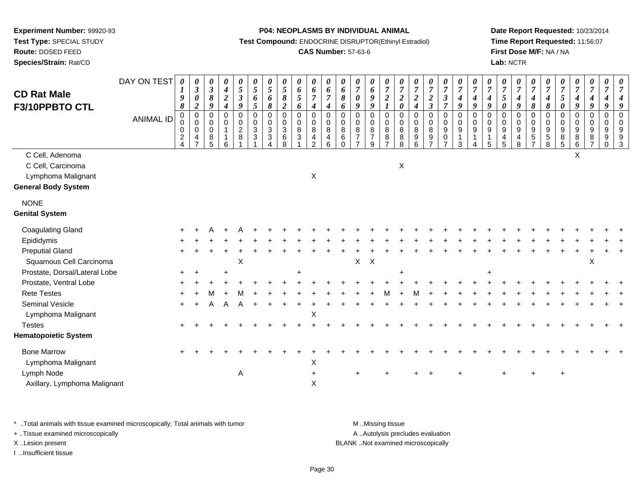**Route:** DOSED FEED

**Species/Strain:** Rat/CD

#### **P04: NEOPLASMS BY INDIVIDUAL ANIMAL**

**Test Compound:** ENDOCRINE DISRUPTOR(Ethinyl Estradiol)

# **CAS Number:** 57-63-6

**Date Report Requested:** 10/23/2014**Time Report Requested:** 11:56:07**First Dose M/F:** NA / NA**Lab:** NCTR

| <b>CD Rat Male</b><br>F3/10PPBTO CTL                                                     | DAY ON TEST<br><b>ANIMAL ID</b> | $\boldsymbol{\theta}$<br>$\boldsymbol{l}$<br>$\pmb{9}$<br>8<br>$\mathbf 0$<br>$\mathsf{O}\xspace$<br>$\pmb{0}$<br>$\overline{c}$<br>$\overline{4}$ | 0<br>$\mathfrak{z}$<br>0<br>$\boldsymbol{2}$<br>$\mathbf 0$<br>$\mathbf 0$<br>$\mathbf 0$<br>4 | $\boldsymbol{\theta}$<br>$\mathfrak{z}$<br>$\pmb{8}$<br>9<br>$\Omega$<br>$\mathbf 0$<br>$\mathbf 0$<br>$\bf 8$<br>5 | 0<br>$\boldsymbol{4}$<br>$\boldsymbol{2}$<br>$\boldsymbol{4}$<br>$\Omega$<br>$\mathbf 0$<br>1<br>1<br>6 | 0<br>$\sqrt{5}$<br>$\boldsymbol{\mathfrak{z}}$<br>9<br>$\Omega$<br>$\mathbf 0$<br>$\overline{c}$<br>8 | $\boldsymbol{\theta}$<br>$\sqrt{5}$<br>6<br>5<br>$\mathbf 0$<br>$\mathsf{O}\xspace$<br>$\sqrt{3}$<br>$\sqrt{3}$ | 0<br>$\sqrt{5}$<br>6<br>$\boldsymbol{\delta}$<br>0<br>0<br>$\ensuremath{\mathsf{3}}$<br>$\ensuremath{\mathsf{3}}$ | $\boldsymbol{\theta}$<br>$\overline{5}$<br>$\pmb{8}$<br>$\overline{2}$<br>$\overline{0}$<br>$\mathbf 0$<br>$\sqrt{3}$<br>$\,6\,$<br>$\mathsf{R}$ | 0<br>6<br>5<br>6<br>$\pmb{0}$<br>$\mathbf 0$<br>8<br>$\mathbf{3}$ | 0<br>$\boldsymbol{6}$<br>$\boldsymbol{7}$<br>$\overline{\boldsymbol{4}}$<br>$\pmb{0}$<br>$\mathsf{O}\xspace$<br>8<br>$\frac{4}{2}$ | 0<br>6<br>$\overline{7}$<br>$\boldsymbol{4}$<br>$\pmb{0}$<br>$\mathbf 0$<br>8<br>$\overline{4}$<br>6 | 0<br>6<br>8<br>6<br>$\Omega$<br>$\mathbf 0$<br>$\bf 8$<br>$\,6\,$<br>$\Omega$ | 0<br>$\overline{7}$<br>0<br>9<br>$\mathbf 0$<br>$\mathbf 0$<br>$\bf 8$<br>$\overline{7}$ | $\boldsymbol{\theta}$<br>$\pmb{6}$<br>$\pmb{9}$<br>$\boldsymbol{g}$<br>0<br>$\mathbf 0$<br>$\bf 8$<br>$\overline{7}$<br>9 | $\boldsymbol{\theta}$<br>$\boldsymbol{7}$<br>$\frac{2}{1}$<br>$\pmb{0}$<br>$\mathbf 0$<br>$\,8\,$<br>$\,8\,$<br>$\overline{7}$ | 0<br>$\boldsymbol{7}$<br>$\boldsymbol{2}$<br>$\boldsymbol{\theta}$<br>$\mathbf 0$<br>$\mathbf 0$<br>$\bf 8$<br>8<br>8 | 0<br>$\boldsymbol{7}$<br>$\frac{2}{4}$<br>$\mathbf 0$<br>$\pmb{0}$<br>$\bf8$<br>$\mathsf g$<br>6 | $\frac{\boldsymbol{\theta}}{\boldsymbol{7}}$<br>$\boldsymbol{2}$<br>$\overline{\mathbf{3}}$<br>$\mathbf 0$<br>$\overline{0}$<br>8<br>9<br>$\overline{ }$ | $\frac{\theta}{7}$<br>$\boldsymbol{\beta}$<br>$\overline{7}$<br>$\mathbf 0$<br>$\mathsf{O}\xspace$<br>$\boldsymbol{9}$<br>$\pmb{0}$<br>$\overline{7}$ | $\frac{\boldsymbol{\theta}}{\boldsymbol{7}}$<br>$\boldsymbol{4}$<br>9<br>$\mathbf 0$<br>$\mathsf{O}\xspace$<br>$\boldsymbol{9}$<br>$\mathbf{1}$<br>3 | $\boldsymbol{\theta}$<br>$\overline{7}$<br>$\boldsymbol{4}$<br>9<br>$\mathbf 0$<br>$\mathbf 0$<br>$\boldsymbol{9}$<br>$\overline{1}$ | 0<br>$\overline{7}$<br>$\boldsymbol{4}$<br>$\boldsymbol{g}$<br>$\mathbf 0$<br>$\mathbf 0$<br>$\boldsymbol{9}$<br>1<br>5 | $\pmb{\theta}$<br>$\boldsymbol{7}$<br>5<br>$\boldsymbol{\theta}$<br>$\mathbf 0$<br>$\mathbf 0$<br>$\boldsymbol{9}$<br>4<br>5 | 0<br>$\boldsymbol{7}$<br>$\boldsymbol{4}$<br>9<br>$\mathbf 0$<br>$\pmb{0}$<br>$\boldsymbol{9}$<br>4<br>8 | $\frac{\boldsymbol{0}}{7}$<br>$\boldsymbol{4}$<br>$\boldsymbol{\delta}$<br>0<br>$\mathbf 0$<br>9<br>5<br>$\overline{ }$ | 0<br>$\overline{7}$<br>$\boldsymbol{4}$<br>8<br>$\pmb{0}$<br>$\mathbf 0$<br>9<br>$\,$ 5 $\,$<br>8 | $\boldsymbol{\theta}$<br>$\overline{7}$<br>$\sqrt{5}$<br>$\pmb{\theta}$<br>$\mathsf 0$<br>$\mathsf{O}\xspace$<br>$\boldsymbol{9}$<br>$\bf 8$<br>5 | $\boldsymbol{\theta}$<br>$\boldsymbol{7}$<br>$\boldsymbol{4}$<br>$\boldsymbol{g}$<br>$\pmb{0}$<br>$\pmb{0}$<br>$\boldsymbol{9}$<br>$\bf 8$<br>6 | $\pmb{\theta}$<br>$\overline{7}$<br>$\boldsymbol{4}$<br>$\boldsymbol{g}$<br>$\mathbf 0$<br>$\mathbf 0$<br>$9\,$<br>8<br>$\overline{7}$ | 0<br>$\overline{7}$<br>4<br>9<br>$\mathbf 0$<br>$\mathbf 0$<br>9<br>9<br>$\Omega$ | 7<br>$\Omega$<br>$\Omega$<br>9<br>9<br>3 |
|------------------------------------------------------------------------------------------|---------------------------------|----------------------------------------------------------------------------------------------------------------------------------------------------|------------------------------------------------------------------------------------------------|---------------------------------------------------------------------------------------------------------------------|---------------------------------------------------------------------------------------------------------|-------------------------------------------------------------------------------------------------------|-----------------------------------------------------------------------------------------------------------------|-------------------------------------------------------------------------------------------------------------------|--------------------------------------------------------------------------------------------------------------------------------------------------|-------------------------------------------------------------------|------------------------------------------------------------------------------------------------------------------------------------|------------------------------------------------------------------------------------------------------|-------------------------------------------------------------------------------|------------------------------------------------------------------------------------------|---------------------------------------------------------------------------------------------------------------------------|--------------------------------------------------------------------------------------------------------------------------------|-----------------------------------------------------------------------------------------------------------------------|--------------------------------------------------------------------------------------------------|----------------------------------------------------------------------------------------------------------------------------------------------------------|-------------------------------------------------------------------------------------------------------------------------------------------------------|------------------------------------------------------------------------------------------------------------------------------------------------------|--------------------------------------------------------------------------------------------------------------------------------------|-------------------------------------------------------------------------------------------------------------------------|------------------------------------------------------------------------------------------------------------------------------|----------------------------------------------------------------------------------------------------------|-------------------------------------------------------------------------------------------------------------------------|---------------------------------------------------------------------------------------------------|---------------------------------------------------------------------------------------------------------------------------------------------------|-------------------------------------------------------------------------------------------------------------------------------------------------|----------------------------------------------------------------------------------------------------------------------------------------|-----------------------------------------------------------------------------------|------------------------------------------|
| C Cell, Adenoma<br>C Cell, Carcinoma<br>Lymphoma Malignant<br><b>General Body System</b> |                                 |                                                                                                                                                    |                                                                                                |                                                                                                                     |                                                                                                         |                                                                                                       |                                                                                                                 |                                                                                                                   |                                                                                                                                                  |                                                                   | X                                                                                                                                  |                                                                                                      |                                                                               |                                                                                          |                                                                                                                           |                                                                                                                                | $\boldsymbol{\mathsf{X}}$                                                                                             |                                                                                                  |                                                                                                                                                          |                                                                                                                                                       |                                                                                                                                                      |                                                                                                                                      |                                                                                                                         |                                                                                                                              |                                                                                                          |                                                                                                                         |                                                                                                   |                                                                                                                                                   | $\sf X$                                                                                                                                         |                                                                                                                                        |                                                                                   |                                          |
| <b>NONE</b><br><b>Genital System</b>                                                     |                                 |                                                                                                                                                    |                                                                                                |                                                                                                                     |                                                                                                         |                                                                                                       |                                                                                                                 |                                                                                                                   |                                                                                                                                                  |                                                                   |                                                                                                                                    |                                                                                                      |                                                                               |                                                                                          |                                                                                                                           |                                                                                                                                |                                                                                                                       |                                                                                                  |                                                                                                                                                          |                                                                                                                                                       |                                                                                                                                                      |                                                                                                                                      |                                                                                                                         |                                                                                                                              |                                                                                                          |                                                                                                                         |                                                                                                   |                                                                                                                                                   |                                                                                                                                                 |                                                                                                                                        |                                                                                   |                                          |
| <b>Coagulating Gland</b>                                                                 |                                 |                                                                                                                                                    |                                                                                                |                                                                                                                     |                                                                                                         |                                                                                                       |                                                                                                                 |                                                                                                                   |                                                                                                                                                  |                                                                   |                                                                                                                                    |                                                                                                      |                                                                               |                                                                                          |                                                                                                                           |                                                                                                                                |                                                                                                                       |                                                                                                  |                                                                                                                                                          |                                                                                                                                                       |                                                                                                                                                      |                                                                                                                                      |                                                                                                                         |                                                                                                                              |                                                                                                          |                                                                                                                         |                                                                                                   |                                                                                                                                                   |                                                                                                                                                 |                                                                                                                                        |                                                                                   |                                          |
| Epididymis                                                                               |                                 |                                                                                                                                                    |                                                                                                |                                                                                                                     |                                                                                                         |                                                                                                       |                                                                                                                 |                                                                                                                   |                                                                                                                                                  |                                                                   |                                                                                                                                    |                                                                                                      |                                                                               |                                                                                          |                                                                                                                           |                                                                                                                                |                                                                                                                       |                                                                                                  |                                                                                                                                                          |                                                                                                                                                       |                                                                                                                                                      |                                                                                                                                      |                                                                                                                         |                                                                                                                              |                                                                                                          |                                                                                                                         |                                                                                                   |                                                                                                                                                   |                                                                                                                                                 |                                                                                                                                        |                                                                                   |                                          |
| <b>Preputial Gland</b>                                                                   |                                 |                                                                                                                                                    |                                                                                                |                                                                                                                     |                                                                                                         |                                                                                                       |                                                                                                                 |                                                                                                                   |                                                                                                                                                  |                                                                   |                                                                                                                                    |                                                                                                      |                                                                               |                                                                                          |                                                                                                                           |                                                                                                                                |                                                                                                                       |                                                                                                  |                                                                                                                                                          |                                                                                                                                                       |                                                                                                                                                      |                                                                                                                                      |                                                                                                                         |                                                                                                                              |                                                                                                          |                                                                                                                         |                                                                                                   |                                                                                                                                                   |                                                                                                                                                 |                                                                                                                                        |                                                                                   |                                          |
| Squamous Cell Carcinoma                                                                  |                                 |                                                                                                                                                    |                                                                                                |                                                                                                                     |                                                                                                         | $\boldsymbol{\mathsf{X}}$                                                                             |                                                                                                                 |                                                                                                                   |                                                                                                                                                  |                                                                   |                                                                                                                                    |                                                                                                      |                                                                               | $\mathsf{X}$                                                                             | $\mathsf{X}$                                                                                                              |                                                                                                                                |                                                                                                                       |                                                                                                  |                                                                                                                                                          |                                                                                                                                                       |                                                                                                                                                      |                                                                                                                                      |                                                                                                                         |                                                                                                                              |                                                                                                          |                                                                                                                         |                                                                                                   |                                                                                                                                                   |                                                                                                                                                 | X                                                                                                                                      |                                                                                   |                                          |
| Prostate, Dorsal/Lateral Lobe                                                            |                                 |                                                                                                                                                    |                                                                                                |                                                                                                                     |                                                                                                         |                                                                                                       |                                                                                                                 |                                                                                                                   |                                                                                                                                                  |                                                                   |                                                                                                                                    |                                                                                                      |                                                                               |                                                                                          |                                                                                                                           |                                                                                                                                |                                                                                                                       |                                                                                                  |                                                                                                                                                          |                                                                                                                                                       |                                                                                                                                                      |                                                                                                                                      |                                                                                                                         |                                                                                                                              |                                                                                                          |                                                                                                                         |                                                                                                   |                                                                                                                                                   |                                                                                                                                                 |                                                                                                                                        |                                                                                   |                                          |
| Prostate, Ventral Lobe                                                                   |                                 |                                                                                                                                                    |                                                                                                |                                                                                                                     |                                                                                                         |                                                                                                       |                                                                                                                 |                                                                                                                   |                                                                                                                                                  |                                                                   |                                                                                                                                    |                                                                                                      |                                                                               |                                                                                          |                                                                                                                           |                                                                                                                                |                                                                                                                       |                                                                                                  |                                                                                                                                                          |                                                                                                                                                       |                                                                                                                                                      |                                                                                                                                      |                                                                                                                         |                                                                                                                              |                                                                                                          |                                                                                                                         |                                                                                                   |                                                                                                                                                   |                                                                                                                                                 |                                                                                                                                        |                                                                                   |                                          |
| <b>Rete Testes</b>                                                                       |                                 |                                                                                                                                                    |                                                                                                |                                                                                                                     |                                                                                                         |                                                                                                       |                                                                                                                 |                                                                                                                   |                                                                                                                                                  |                                                                   |                                                                                                                                    |                                                                                                      |                                                                               |                                                                                          |                                                                                                                           |                                                                                                                                |                                                                                                                       |                                                                                                  |                                                                                                                                                          |                                                                                                                                                       |                                                                                                                                                      |                                                                                                                                      |                                                                                                                         |                                                                                                                              |                                                                                                          |                                                                                                                         |                                                                                                   |                                                                                                                                                   |                                                                                                                                                 |                                                                                                                                        |                                                                                   |                                          |
| Seminal Vesicle<br>Lymphoma Malignant                                                    |                                 |                                                                                                                                                    |                                                                                                | А                                                                                                                   |                                                                                                         |                                                                                                       |                                                                                                                 |                                                                                                                   |                                                                                                                                                  |                                                                   | X                                                                                                                                  |                                                                                                      |                                                                               |                                                                                          |                                                                                                                           |                                                                                                                                |                                                                                                                       |                                                                                                  |                                                                                                                                                          |                                                                                                                                                       |                                                                                                                                                      |                                                                                                                                      |                                                                                                                         |                                                                                                                              |                                                                                                          |                                                                                                                         |                                                                                                   |                                                                                                                                                   |                                                                                                                                                 |                                                                                                                                        |                                                                                   |                                          |
| <b>Testes</b>                                                                            |                                 |                                                                                                                                                    |                                                                                                |                                                                                                                     |                                                                                                         |                                                                                                       |                                                                                                                 |                                                                                                                   |                                                                                                                                                  |                                                                   |                                                                                                                                    |                                                                                                      |                                                                               |                                                                                          |                                                                                                                           |                                                                                                                                |                                                                                                                       |                                                                                                  |                                                                                                                                                          |                                                                                                                                                       |                                                                                                                                                      |                                                                                                                                      |                                                                                                                         |                                                                                                                              |                                                                                                          |                                                                                                                         |                                                                                                   |                                                                                                                                                   |                                                                                                                                                 |                                                                                                                                        |                                                                                   |                                          |
| <b>Hematopoietic System</b>                                                              |                                 |                                                                                                                                                    |                                                                                                |                                                                                                                     |                                                                                                         |                                                                                                       |                                                                                                                 |                                                                                                                   |                                                                                                                                                  |                                                                   |                                                                                                                                    |                                                                                                      |                                                                               |                                                                                          |                                                                                                                           |                                                                                                                                |                                                                                                                       |                                                                                                  |                                                                                                                                                          |                                                                                                                                                       |                                                                                                                                                      |                                                                                                                                      |                                                                                                                         |                                                                                                                              |                                                                                                          |                                                                                                                         |                                                                                                   |                                                                                                                                                   |                                                                                                                                                 |                                                                                                                                        |                                                                                   |                                          |
| <b>Bone Marrow</b><br>Lymphoma Malignant                                                 |                                 |                                                                                                                                                    |                                                                                                |                                                                                                                     |                                                                                                         |                                                                                                       |                                                                                                                 |                                                                                                                   |                                                                                                                                                  |                                                                   | X                                                                                                                                  |                                                                                                      |                                                                               |                                                                                          |                                                                                                                           |                                                                                                                                |                                                                                                                       |                                                                                                  |                                                                                                                                                          |                                                                                                                                                       |                                                                                                                                                      |                                                                                                                                      |                                                                                                                         |                                                                                                                              |                                                                                                          |                                                                                                                         |                                                                                                   |                                                                                                                                                   |                                                                                                                                                 |                                                                                                                                        |                                                                                   |                                          |
| Lymph Node<br>Axillary, Lymphoma Malignant                                               |                                 |                                                                                                                                                    |                                                                                                |                                                                                                                     |                                                                                                         | Α                                                                                                     |                                                                                                                 |                                                                                                                   |                                                                                                                                                  |                                                                   | X                                                                                                                                  |                                                                                                      |                                                                               |                                                                                          |                                                                                                                           |                                                                                                                                |                                                                                                                       |                                                                                                  |                                                                                                                                                          |                                                                                                                                                       |                                                                                                                                                      |                                                                                                                                      |                                                                                                                         |                                                                                                                              |                                                                                                          |                                                                                                                         |                                                                                                   |                                                                                                                                                   |                                                                                                                                                 |                                                                                                                                        |                                                                                   |                                          |

\* ..Total animals with tissue examined microscopically; Total animals with tumor **M** . Missing tissue M ..Missing tissue

+ ..Tissue examined microscopically

I ..Insufficient tissue

A ..Autolysis precludes evaluation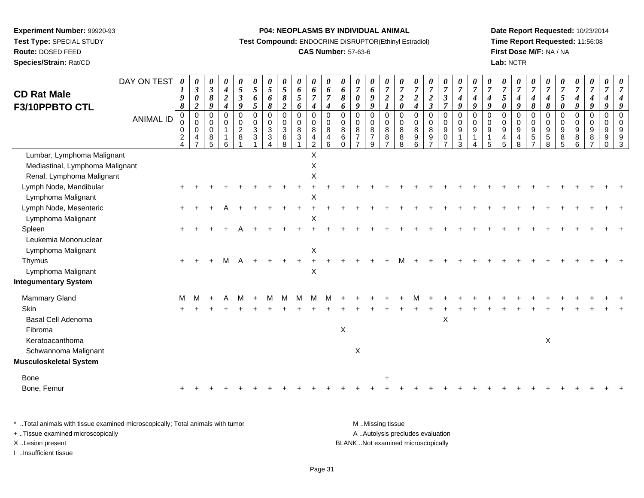# **Route:** DOSED FEED

**Species/Strain:** Rat/CD

# **P04: NEOPLASMS BY INDIVIDUAL ANIMAL**

**Test Compound:** ENDOCRINE DISRUPTOR(Ethinyl Estradiol)

# **CAS Number:** 57-63-6

**Date Report Requested:** 10/23/2014**Time Report Requested:** 11:56:08**First Dose M/F:** NA / NA**Lab:** NCTR

| <b>CD Rat Male</b><br>F3/10PPBTO CTL | DAY ON TEST<br><b>ANIMAL ID</b> | 0<br>9<br>8<br>$\mathbf 0$<br>$\mathbf 0$ | 0<br>$\mathfrak{z}$<br>$\pmb{\theta}$<br>$\boldsymbol{2}$<br>$\pmb{0}$<br>$\mathbf 0$ | $\boldsymbol{\theta}$<br>$\boldsymbol{\beta}$<br>$\pmb{8}$<br>$\boldsymbol{9}$<br>$\mathbf 0$<br>$\mathbf 0$ | 0<br>$\boldsymbol{4}$<br>$\boldsymbol{2}$<br>$\boldsymbol{4}$<br>$\mathbf 0$<br>$\mathbf 0$ | 0<br>5<br>$\boldsymbol{\mathfrak{z}}$<br>9<br>$\mathbf 0$<br>$\mathbf 0$ | 0<br>$\mathfrak{s}$<br>6<br>5<br>0<br>0 | $\boldsymbol{\theta}$<br>$\mathfrak{H}$<br>6<br>8<br>$\pmb{0}$<br>0 | 0<br>$\sqrt{5}$<br>$\pmb{8}$<br>$\boldsymbol{2}$<br>$\mathbf 0$<br>$\pmb{0}$ | $\boldsymbol{\theta}$<br>$\pmb{6}$<br>$\mathfrak{s}$<br>6<br>0<br>$\mathbf 0$ | 0<br>6<br>$\overline{7}$<br>$\boldsymbol{4}$<br>$\pmb{0}$<br>$\mathbf 0$ | 0<br>6<br>$\overline{7}$<br>4<br>$\mathbf 0$<br>$\Omega$ | $\boldsymbol{\theta}$<br>6<br>8<br>6<br>$\mathbf 0$<br>$\mathbf 0$ | 0<br>$\overline{7}$<br>$\boldsymbol{\theta}$<br>9<br>$\mathbf 0$<br>$\mathbf 0$ | 0<br>6<br>9<br>9<br>0<br>$\mathbf 0$ | 0<br>$\overline{7}$<br>$\boldsymbol{2}$<br>$\mathbf 0$<br>$\mathbf 0$ | $\boldsymbol{\theta}$<br>$\overline{7}$<br>$\overline{2}$<br>$\boldsymbol{\theta}$<br>0<br>$\Omega$ | $\overline{7}$<br>$\boldsymbol{2}$<br>$\boldsymbol{4}$<br>$\mathbf 0$<br>$\mathbf 0$ | 0<br>$\overline{7}$<br>$\boldsymbol{2}$<br>$\mathfrak{z}$<br>$\mathbf 0$<br>$\mathbf 0$ | 0<br>$\boldsymbol{7}$<br>$\mathfrak{z}$<br>$\overline{7}$<br>$\pmb{0}$<br>0 | $\boldsymbol{\theta}$<br>$\overline{7}$<br>$\boldsymbol{4}$<br>9<br>$\pmb{0}$<br>$\pmb{0}$ | $\boldsymbol{\theta}$<br>$\overline{7}$<br>4<br>9<br>$\Omega$<br>$\mathbf 0$ | $\boldsymbol{\theta}$<br>$\overline{7}$<br>$\boldsymbol{4}$<br>9<br>$\Omega$<br>$\mathbf 0$ | 0<br>$\boldsymbol{7}$<br>$\sqrt{5}$<br>0<br>0<br>0 | 0<br>$\boldsymbol{7}$<br>$\boldsymbol{4}$<br>9<br>$\mathbf 0$<br>$\mathbf 0$ | $\boldsymbol{\theta}$<br>$\overline{7}$<br>$\boldsymbol{4}$<br>8<br>$\Omega$<br>$\mathbf 0$ | $\overline{7}$<br>$\boldsymbol{4}$<br>$\pmb{8}$<br>$\mathbf 0$<br>0 | $\boldsymbol{\theta}$<br>$\overline{7}$<br>$\mathfrak{s}$<br>$\boldsymbol{\theta}$<br>$\mathbf 0$<br>$\mathbf 0$ | 0<br>$\overline{7}$<br>$\boldsymbol{4}$<br>$\boldsymbol{g}$<br>$\pmb{0}$<br>$\mathbf 0$ | 0<br>$\overline{7}$<br>$\boldsymbol{4}$<br>$\boldsymbol{9}$<br>$\pmb{0}$<br>$\mathbf 0$ | $\boldsymbol{\theta}$<br>$\overline{7}$<br>$\boldsymbol{4}$<br>9<br>$\mathbf 0$<br>$\mathbf 0$ | 7<br>$\Omega$ |
|--------------------------------------|---------------------------------|-------------------------------------------|---------------------------------------------------------------------------------------|--------------------------------------------------------------------------------------------------------------|---------------------------------------------------------------------------------------------|--------------------------------------------------------------------------|-----------------------------------------|---------------------------------------------------------------------|------------------------------------------------------------------------------|-------------------------------------------------------------------------------|--------------------------------------------------------------------------|----------------------------------------------------------|--------------------------------------------------------------------|---------------------------------------------------------------------------------|--------------------------------------|-----------------------------------------------------------------------|-----------------------------------------------------------------------------------------------------|--------------------------------------------------------------------------------------|-----------------------------------------------------------------------------------------|-----------------------------------------------------------------------------|--------------------------------------------------------------------------------------------|------------------------------------------------------------------------------|---------------------------------------------------------------------------------------------|----------------------------------------------------|------------------------------------------------------------------------------|---------------------------------------------------------------------------------------------|---------------------------------------------------------------------|------------------------------------------------------------------------------------------------------------------|-----------------------------------------------------------------------------------------|-----------------------------------------------------------------------------------------|------------------------------------------------------------------------------------------------|---------------|
|                                      |                                 | 0<br>$\overline{c}$<br>4                  | 0<br>4<br>$\overline{7}$                                                              | 0<br>8<br>5                                                                                                  | $\mathbf{1}$<br>1<br>6                                                                      | $\overline{2}$<br>8                                                      | 3<br>3                                  | 3<br>$\ensuremath{\mathsf{3}}$<br>$\overline{4}$                    | $\overline{3}$<br>$6\phantom{a}$<br>8                                        | $\bf8$<br>$\ensuremath{\mathsf{3}}$                                           | 8<br>$\overline{4}$<br>$\overline{2}$                                    | 8<br>4<br>6                                              | 8<br>$\,6\,$<br>$\Omega$                                           | 8<br>$\overline{7}$                                                             | 8<br>$\overline{7}$<br>9             | 8<br>8<br>$\overline{7}$                                              | 8<br>8<br>8                                                                                         | 8<br>$9\,$<br>6                                                                      | 8<br>9                                                                                  | $\boldsymbol{9}$<br>0<br>$\overline{7}$                                     | $\boldsymbol{9}$<br>$\mathbf{1}$<br>3                                                      | 9<br>$\mathbf 1$                                                             | 9<br>1<br>5                                                                                 | 9<br>4<br>5                                        | 9<br>4<br>8                                                                  | 9<br>$\sqrt{5}$<br>$\overline{ }$                                                           | 9<br>$\mathbf 5$<br>8                                               | 9<br>8<br>5                                                                                                      | $\boldsymbol{9}$<br>8<br>6                                                              | 9<br>8<br>$\overline{7}$                                                                | 9<br>9<br>$\Omega$                                                                             | 9<br>9<br>3   |
| Lumbar, Lymphoma Malignant           |                                 |                                           |                                                                                       |                                                                                                              |                                                                                             |                                                                          |                                         |                                                                     |                                                                              |                                                                               | $\sf X$                                                                  |                                                          |                                                                    |                                                                                 |                                      |                                                                       |                                                                                                     |                                                                                      |                                                                                         |                                                                             |                                                                                            |                                                                              |                                                                                             |                                                    |                                                                              |                                                                                             |                                                                     |                                                                                                                  |                                                                                         |                                                                                         |                                                                                                |               |
| Mediastinal, Lymphoma Malignant      |                                 |                                           |                                                                                       |                                                                                                              |                                                                                             |                                                                          |                                         |                                                                     |                                                                              |                                                                               | $\times$                                                                 |                                                          |                                                                    |                                                                                 |                                      |                                                                       |                                                                                                     |                                                                                      |                                                                                         |                                                                             |                                                                                            |                                                                              |                                                                                             |                                                    |                                                                              |                                                                                             |                                                                     |                                                                                                                  |                                                                                         |                                                                                         |                                                                                                |               |
| Renal, Lymphoma Malignant            |                                 |                                           |                                                                                       |                                                                                                              |                                                                                             |                                                                          |                                         |                                                                     |                                                                              |                                                                               | X                                                                        |                                                          |                                                                    |                                                                                 |                                      |                                                                       |                                                                                                     |                                                                                      |                                                                                         |                                                                             |                                                                                            |                                                                              |                                                                                             |                                                    |                                                                              |                                                                                             |                                                                     |                                                                                                                  |                                                                                         |                                                                                         |                                                                                                |               |
| Lymph Node, Mandibular               |                                 |                                           |                                                                                       |                                                                                                              |                                                                                             |                                                                          |                                         |                                                                     |                                                                              |                                                                               |                                                                          |                                                          |                                                                    |                                                                                 |                                      |                                                                       |                                                                                                     |                                                                                      |                                                                                         |                                                                             |                                                                                            |                                                                              |                                                                                             |                                                    |                                                                              |                                                                                             |                                                                     |                                                                                                                  |                                                                                         |                                                                                         |                                                                                                |               |
| Lymphoma Malignant                   |                                 |                                           |                                                                                       |                                                                                                              |                                                                                             |                                                                          |                                         |                                                                     |                                                                              |                                                                               | X                                                                        |                                                          |                                                                    |                                                                                 |                                      |                                                                       |                                                                                                     |                                                                                      |                                                                                         |                                                                             |                                                                                            |                                                                              |                                                                                             |                                                    |                                                                              |                                                                                             |                                                                     |                                                                                                                  |                                                                                         |                                                                                         |                                                                                                |               |
| Lymph Node, Mesenteric               |                                 |                                           |                                                                                       |                                                                                                              |                                                                                             |                                                                          |                                         |                                                                     |                                                                              |                                                                               |                                                                          |                                                          |                                                                    |                                                                                 |                                      |                                                                       |                                                                                                     |                                                                                      |                                                                                         |                                                                             |                                                                                            |                                                                              |                                                                                             |                                                    |                                                                              |                                                                                             |                                                                     |                                                                                                                  |                                                                                         |                                                                                         |                                                                                                |               |
| Lymphoma Malignant                   |                                 |                                           |                                                                                       |                                                                                                              |                                                                                             |                                                                          |                                         |                                                                     |                                                                              |                                                                               | $\times$                                                                 |                                                          |                                                                    |                                                                                 |                                      |                                                                       |                                                                                                     |                                                                                      |                                                                                         |                                                                             |                                                                                            |                                                                              |                                                                                             |                                                    |                                                                              |                                                                                             |                                                                     |                                                                                                                  |                                                                                         |                                                                                         |                                                                                                |               |
| Spleen                               |                                 |                                           |                                                                                       |                                                                                                              |                                                                                             |                                                                          |                                         |                                                                     |                                                                              |                                                                               |                                                                          |                                                          |                                                                    |                                                                                 |                                      |                                                                       |                                                                                                     |                                                                                      |                                                                                         |                                                                             |                                                                                            |                                                                              |                                                                                             |                                                    |                                                                              |                                                                                             |                                                                     |                                                                                                                  |                                                                                         |                                                                                         |                                                                                                |               |
| Leukemia Mononuclear                 |                                 |                                           |                                                                                       |                                                                                                              |                                                                                             |                                                                          |                                         |                                                                     |                                                                              |                                                                               |                                                                          |                                                          |                                                                    |                                                                                 |                                      |                                                                       |                                                                                                     |                                                                                      |                                                                                         |                                                                             |                                                                                            |                                                                              |                                                                                             |                                                    |                                                                              |                                                                                             |                                                                     |                                                                                                                  |                                                                                         |                                                                                         |                                                                                                |               |
| Lymphoma Malignant                   |                                 |                                           |                                                                                       |                                                                                                              |                                                                                             |                                                                          |                                         |                                                                     |                                                                              |                                                                               | X                                                                        |                                                          |                                                                    |                                                                                 |                                      |                                                                       |                                                                                                     |                                                                                      |                                                                                         |                                                                             |                                                                                            |                                                                              |                                                                                             |                                                    |                                                                              |                                                                                             |                                                                     |                                                                                                                  |                                                                                         |                                                                                         |                                                                                                |               |
| Thymus                               |                                 |                                           |                                                                                       |                                                                                                              | м                                                                                           |                                                                          |                                         |                                                                     |                                                                              |                                                                               |                                                                          |                                                          |                                                                    |                                                                                 |                                      |                                                                       |                                                                                                     |                                                                                      |                                                                                         |                                                                             |                                                                                            |                                                                              |                                                                                             |                                                    |                                                                              |                                                                                             |                                                                     |                                                                                                                  |                                                                                         |                                                                                         |                                                                                                |               |
| Lymphoma Malignant                   |                                 |                                           |                                                                                       |                                                                                                              |                                                                                             |                                                                          |                                         |                                                                     |                                                                              |                                                                               | X                                                                        |                                                          |                                                                    |                                                                                 |                                      |                                                                       |                                                                                                     |                                                                                      |                                                                                         |                                                                             |                                                                                            |                                                                              |                                                                                             |                                                    |                                                                              |                                                                                             |                                                                     |                                                                                                                  |                                                                                         |                                                                                         |                                                                                                |               |
| <b>Integumentary System</b>          |                                 |                                           |                                                                                       |                                                                                                              |                                                                                             |                                                                          |                                         |                                                                     |                                                                              |                                                                               |                                                                          |                                                          |                                                                    |                                                                                 |                                      |                                                                       |                                                                                                     |                                                                                      |                                                                                         |                                                                             |                                                                                            |                                                                              |                                                                                             |                                                    |                                                                              |                                                                                             |                                                                     |                                                                                                                  |                                                                                         |                                                                                         |                                                                                                |               |
| Mammary Gland                        |                                 | м                                         |                                                                                       |                                                                                                              |                                                                                             |                                                                          |                                         |                                                                     |                                                                              |                                                                               | M                                                                        |                                                          |                                                                    |                                                                                 |                                      |                                                                       |                                                                                                     |                                                                                      |                                                                                         |                                                                             |                                                                                            |                                                                              |                                                                                             |                                                    |                                                                              |                                                                                             |                                                                     |                                                                                                                  |                                                                                         |                                                                                         |                                                                                                |               |
| Skin                                 |                                 |                                           |                                                                                       |                                                                                                              |                                                                                             |                                                                          |                                         |                                                                     |                                                                              |                                                                               |                                                                          |                                                          |                                                                    |                                                                                 |                                      |                                                                       |                                                                                                     |                                                                                      |                                                                                         |                                                                             |                                                                                            |                                                                              |                                                                                             |                                                    |                                                                              |                                                                                             |                                                                     |                                                                                                                  |                                                                                         |                                                                                         |                                                                                                |               |
| Basal Cell Adenoma                   |                                 |                                           |                                                                                       |                                                                                                              |                                                                                             |                                                                          |                                         |                                                                     |                                                                              |                                                                               |                                                                          |                                                          |                                                                    |                                                                                 |                                      |                                                                       |                                                                                                     |                                                                                      |                                                                                         | X                                                                           |                                                                                            |                                                                              |                                                                                             |                                                    |                                                                              |                                                                                             |                                                                     |                                                                                                                  |                                                                                         |                                                                                         |                                                                                                |               |
| Fibroma                              |                                 |                                           |                                                                                       |                                                                                                              |                                                                                             |                                                                          |                                         |                                                                     |                                                                              |                                                                               |                                                                          |                                                          | $\mathsf X$                                                        |                                                                                 |                                      |                                                                       |                                                                                                     |                                                                                      |                                                                                         |                                                                             |                                                                                            |                                                                              |                                                                                             |                                                    |                                                                              |                                                                                             |                                                                     |                                                                                                                  |                                                                                         |                                                                                         |                                                                                                |               |
| Keratoacanthoma                      |                                 |                                           |                                                                                       |                                                                                                              |                                                                                             |                                                                          |                                         |                                                                     |                                                                              |                                                                               |                                                                          |                                                          |                                                                    |                                                                                 |                                      |                                                                       |                                                                                                     |                                                                                      |                                                                                         |                                                                             |                                                                                            |                                                                              |                                                                                             |                                                    |                                                                              |                                                                                             | $\mathsf X$                                                         |                                                                                                                  |                                                                                         |                                                                                         |                                                                                                |               |
| Schwannoma Malignant                 |                                 |                                           |                                                                                       |                                                                                                              |                                                                                             |                                                                          |                                         |                                                                     |                                                                              |                                                                               |                                                                          |                                                          |                                                                    | X                                                                               |                                      |                                                                       |                                                                                                     |                                                                                      |                                                                                         |                                                                             |                                                                                            |                                                                              |                                                                                             |                                                    |                                                                              |                                                                                             |                                                                     |                                                                                                                  |                                                                                         |                                                                                         |                                                                                                |               |
| <b>Musculoskeletal System</b>        |                                 |                                           |                                                                                       |                                                                                                              |                                                                                             |                                                                          |                                         |                                                                     |                                                                              |                                                                               |                                                                          |                                                          |                                                                    |                                                                                 |                                      |                                                                       |                                                                                                     |                                                                                      |                                                                                         |                                                                             |                                                                                            |                                                                              |                                                                                             |                                                    |                                                                              |                                                                                             |                                                                     |                                                                                                                  |                                                                                         |                                                                                         |                                                                                                |               |
| Bone                                 |                                 |                                           |                                                                                       |                                                                                                              |                                                                                             |                                                                          |                                         |                                                                     |                                                                              |                                                                               |                                                                          |                                                          |                                                                    |                                                                                 |                                      |                                                                       |                                                                                                     |                                                                                      |                                                                                         |                                                                             |                                                                                            |                                                                              |                                                                                             |                                                    |                                                                              |                                                                                             |                                                                     |                                                                                                                  |                                                                                         |                                                                                         |                                                                                                |               |
| Bone, Femur                          |                                 |                                           |                                                                                       |                                                                                                              |                                                                                             |                                                                          |                                         |                                                                     |                                                                              |                                                                               |                                                                          |                                                          |                                                                    |                                                                                 |                                      |                                                                       |                                                                                                     |                                                                                      |                                                                                         |                                                                             |                                                                                            |                                                                              |                                                                                             |                                                    |                                                                              |                                                                                             |                                                                     |                                                                                                                  |                                                                                         |                                                                                         |                                                                                                |               |
|                                      |                                 |                                           |                                                                                       |                                                                                                              |                                                                                             |                                                                          |                                         |                                                                     |                                                                              |                                                                               |                                                                          |                                                          |                                                                    |                                                                                 |                                      |                                                                       |                                                                                                     |                                                                                      |                                                                                         |                                                                             |                                                                                            |                                                                              |                                                                                             |                                                    |                                                                              |                                                                                             |                                                                     |                                                                                                                  |                                                                                         |                                                                                         |                                                                                                |               |

| * Total animals with tissue examined microscopically; Total animals with tumor | M Missing tissue                   |
|--------------------------------------------------------------------------------|------------------------------------|
| + Tissue examined microscopically                                              | A Autolysis precludes evaluation   |
| X Lesion present                                                               | BLANK Not examined microscopically |
| Insufficient tissue                                                            |                                    |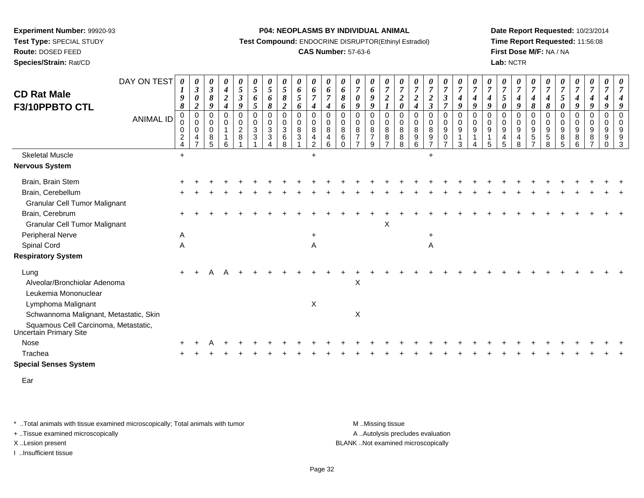**Test Type:** SPECIAL STUDY

**Route:** DOSED FEED**Species/Strain:** Rat/CD **P04: NEOPLASMS BY INDIVIDUAL ANIMAL**

**Test Compound:** ENDOCRINE DISRUPTOR(Ethinyl Estradiol)

# **CAS Number:** 57-63-6

**Date Report Requested:** 10/23/2014**Time Report Requested:** 11:56:08**First Dose M/F:** NA / NA**Lab:** NCTR

|                                                                       | DAY ON TEST | 0                                         |                                                                |                                                  |                                                 |                                                   |                     |                                                                          |                                              |                                                            |                                                                         |                                                      |                                   |                              |                                            |                                            |                                         |                                       |                                                           |                                                |                                              |                                         |                                         |                                         |                                                                    |                                 |                                        |                                 |                               |                                                     |                                                  |                                     |
|-----------------------------------------------------------------------|-------------|-------------------------------------------|----------------------------------------------------------------|--------------------------------------------------|-------------------------------------------------|---------------------------------------------------|---------------------|--------------------------------------------------------------------------|----------------------------------------------|------------------------------------------------------------|-------------------------------------------------------------------------|------------------------------------------------------|-----------------------------------|------------------------------|--------------------------------------------|--------------------------------------------|-----------------------------------------|---------------------------------------|-----------------------------------------------------------|------------------------------------------------|----------------------------------------------|-----------------------------------------|-----------------------------------------|-----------------------------------------|--------------------------------------------------------------------|---------------------------------|----------------------------------------|---------------------------------|-------------------------------|-----------------------------------------------------|--------------------------------------------------|-------------------------------------|
| <b>CD Rat Male</b>                                                    |             |                                           | 0<br>$\mathfrak{z}$                                            | $\boldsymbol{\theta}$<br>$\mathfrak{z}$          | 0<br>$\boldsymbol{4}$                           | 0<br>5                                            | 0<br>$\mathfrak{S}$ | $\boldsymbol{\theta}$<br>$\sqrt{5}$                                      | 0<br>$\mathfrak{s}$                          | 0<br>$\boldsymbol{6}$                                      | 0<br>$\boldsymbol{6}$                                                   | 0<br>6                                               | 0<br>6                            | 0<br>$\overline{7}$          | 0<br>6                                     | 0<br>$\overline{7}$                        | $\boldsymbol{\theta}$<br>$\overline{7}$ | U<br>$\overline{7}$                   | $\frac{\theta}{7}$                                        | 0<br>$\overline{7}$                            | $\frac{\boldsymbol{\theta}}{\boldsymbol{7}}$ | $\boldsymbol{\theta}$<br>$\overline{7}$ | $\boldsymbol{\theta}$<br>$\overline{7}$ | $\boldsymbol{\theta}$<br>$\overline{7}$ | 0<br>$\overline{7}$                                                | 0<br>$\overline{7}$             | $\boldsymbol{7}$                       | 0<br>$\overline{7}$             | 0<br>$\overline{7}$           | 0<br>$\overline{7}$                                 | 0<br>$\overline{7}$                              | $\overline{7}$                      |
|                                                                       |             | 9<br>8                                    | $\boldsymbol{\theta}$<br>$\boldsymbol{2}$                      | $\pmb{8}$<br>9                                   | $\boldsymbol{2}$<br>$\boldsymbol{4}$            | $\mathfrak{z}$<br>9                               | 6<br>5              | 6<br>8                                                                   | $\pmb{8}$<br>$\boldsymbol{2}$                | $\mathfrak{s}$<br>6                                        | $\overline{7}$<br>$\boldsymbol{4}$                                      | $\overline{7}$<br>4                                  | 8<br>6                            | $\boldsymbol{\theta}$<br>9   | $\boldsymbol{g}$<br>9                      | $\overline{c}$                             | $\frac{2}{\theta}$                      | $\boldsymbol{2}$<br>$\boldsymbol{4}$  | $\frac{2}{3}$                                             | $\boldsymbol{\mathfrak{z}}$<br>$\overline{7}$  | $\boldsymbol{4}$<br>$\boldsymbol{g}$         | $\boldsymbol{4}$<br>9                   | $\boldsymbol{4}$<br>9                   | 5<br>0                                  | $\boldsymbol{4}$<br>9                                              | $\boldsymbol{4}$<br>8           | 4<br>8                                 | 5<br>$\pmb{\theta}$             | $\boldsymbol{4}$<br>9         | $\boldsymbol{4}$<br>9                               | $\boldsymbol{4}$<br>9                            | 9                                   |
| F3/10PPBTO CTL                                                        | ANIMAL ID   | 0<br>$\Omega$<br>0<br>$\overline{c}$<br>4 | $\pmb{0}$<br>$\mathbf 0$<br>$\mathbf 0$<br>4<br>$\overline{7}$ | $\mathbf 0$<br>$\Omega$<br>$\mathbf 0$<br>8<br>5 | $\mathbf 0$<br>$\mathbf 0$<br>$\mathbf{1}$<br>6 | $\mathbf 0$<br>$\mathbf 0$<br>$\overline{c}$<br>8 | 0<br>0<br>3<br>3    | $\pmb{0}$<br>0<br>$\ensuremath{\mathsf{3}}$<br>$\ensuremath{\mathsf{3}}$ | $\pmb{0}$<br>0<br>$\sqrt{3}$<br>$\,6\,$<br>8 | $\pmb{0}$<br>$\mathsf{O}\xspace$<br>$\bf8$<br>$\mathbf{3}$ | $\pmb{0}$<br>$\mathbf 0$<br>$\,8\,$<br>$\overline{4}$<br>$\overline{2}$ | $\pmb{0}$<br>$\mathbf 0$<br>8<br>$\overline{4}$<br>6 | $\mathbf 0$<br>$\Omega$<br>8<br>6 | $\mathbf 0$<br>$\Omega$<br>8 | $\pmb{0}$<br>0<br>8<br>$\overline{7}$<br>9 | $\mathbf 0$<br>$\mathbf 0$<br>$\,8\,$<br>8 | $\pmb{0}$<br>$\mathbf 0$<br>8<br>8<br>8 | $\pmb{0}$<br>$\Omega$<br>$\,8\,$<br>9 | $\mathbf 0$<br>$\mathbf 0$<br>$\bf 8$<br>$\boldsymbol{9}$ | $\mathbf 0$<br>$\mathbf 0$<br>9<br>$\mathbf 0$ | $\mathbf 0$<br>0<br>9<br>3                   | $\mathbf 0$<br>$\mathbf 0$<br>9         | $\mathbf 0$<br>$\Omega$<br>9<br>5       | $\pmb{0}$<br>$\mathbf 0$<br>9<br>4<br>5 | $\mathbf 0$<br>$\Omega$<br>$\boldsymbol{9}$<br>$\overline{4}$<br>8 | $\pmb{0}$<br>$\Omega$<br>9<br>5 | $\mathbf 0$<br>$\Omega$<br>9<br>5<br>8 | 0<br>$\mathbf 0$<br>9<br>8<br>5 | $\pmb{0}$<br>0<br>9<br>8<br>6 | $\mathbf 0$<br>$\mathbf 0$<br>$\boldsymbol{9}$<br>8 | $\mathbf 0$<br>$\mathbf 0$<br>9<br>9<br>$\Omega$ | $\Omega$<br>$\Omega$<br>9<br>9<br>3 |
| <b>Skeletal Muscle</b>                                                |             | $+$                                       |                                                                |                                                  |                                                 |                                                   |                     |                                                                          |                                              |                                                            | $\ddot{+}$                                                              |                                                      |                                   |                              |                                            |                                            |                                         |                                       | $\ddot{}$                                                 |                                                |                                              |                                         |                                         |                                         |                                                                    |                                 |                                        |                                 |                               |                                                     |                                                  |                                     |
| <b>Nervous System</b>                                                 |             |                                           |                                                                |                                                  |                                                 |                                                   |                     |                                                                          |                                              |                                                            |                                                                         |                                                      |                                   |                              |                                            |                                            |                                         |                                       |                                                           |                                                |                                              |                                         |                                         |                                         |                                                                    |                                 |                                        |                                 |                               |                                                     |                                                  |                                     |
| Brain, Brain Stem                                                     |             |                                           |                                                                |                                                  |                                                 |                                                   |                     |                                                                          |                                              |                                                            |                                                                         |                                                      |                                   |                              |                                            |                                            |                                         |                                       |                                                           |                                                |                                              |                                         |                                         |                                         |                                                                    |                                 |                                        |                                 |                               |                                                     |                                                  |                                     |
| Brain, Cerebellum                                                     |             |                                           |                                                                |                                                  |                                                 |                                                   |                     |                                                                          |                                              |                                                            |                                                                         |                                                      |                                   |                              |                                            |                                            |                                         |                                       |                                                           |                                                |                                              |                                         |                                         |                                         |                                                                    |                                 |                                        |                                 |                               |                                                     |                                                  |                                     |
| <b>Granular Cell Tumor Malignant</b>                                  |             |                                           |                                                                |                                                  |                                                 |                                                   |                     |                                                                          |                                              |                                                            |                                                                         |                                                      |                                   |                              |                                            |                                            |                                         |                                       |                                                           |                                                |                                              |                                         |                                         |                                         |                                                                    |                                 |                                        |                                 |                               |                                                     |                                                  |                                     |
| Brain, Cerebrum                                                       |             |                                           |                                                                |                                                  |                                                 |                                                   |                     |                                                                          |                                              |                                                            |                                                                         |                                                      |                                   |                              |                                            |                                            |                                         |                                       |                                                           |                                                |                                              |                                         |                                         |                                         |                                                                    |                                 |                                        |                                 |                               |                                                     |                                                  |                                     |
| <b>Granular Cell Tumor Malignant</b>                                  |             |                                           |                                                                |                                                  |                                                 |                                                   |                     |                                                                          |                                              |                                                            |                                                                         |                                                      |                                   |                              |                                            | X                                          |                                         |                                       |                                                           |                                                |                                              |                                         |                                         |                                         |                                                                    |                                 |                                        |                                 |                               |                                                     |                                                  |                                     |
| <b>Peripheral Nerve</b>                                               |             | A                                         |                                                                |                                                  |                                                 |                                                   |                     |                                                                          |                                              |                                                            |                                                                         |                                                      |                                   |                              |                                            |                                            |                                         |                                       |                                                           |                                                |                                              |                                         |                                         |                                         |                                                                    |                                 |                                        |                                 |                               |                                                     |                                                  |                                     |
| Spinal Cord                                                           |             | A                                         |                                                                |                                                  |                                                 |                                                   |                     |                                                                          |                                              |                                                            | Α                                                                       |                                                      |                                   |                              |                                            |                                            |                                         |                                       | Α                                                         |                                                |                                              |                                         |                                         |                                         |                                                                    |                                 |                                        |                                 |                               |                                                     |                                                  |                                     |
| <b>Respiratory System</b>                                             |             |                                           |                                                                |                                                  |                                                 |                                                   |                     |                                                                          |                                              |                                                            |                                                                         |                                                      |                                   |                              |                                            |                                            |                                         |                                       |                                                           |                                                |                                              |                                         |                                         |                                         |                                                                    |                                 |                                        |                                 |                               |                                                     |                                                  |                                     |
| Lung                                                                  |             |                                           |                                                                |                                                  |                                                 |                                                   |                     |                                                                          |                                              |                                                            |                                                                         |                                                      |                                   |                              |                                            |                                            |                                         |                                       |                                                           |                                                |                                              |                                         |                                         |                                         |                                                                    |                                 |                                        |                                 |                               |                                                     |                                                  |                                     |
| Alveolar/Bronchiolar Adenoma                                          |             |                                           |                                                                |                                                  |                                                 |                                                   |                     |                                                                          |                                              |                                                            |                                                                         |                                                      |                                   | X                            |                                            |                                            |                                         |                                       |                                                           |                                                |                                              |                                         |                                         |                                         |                                                                    |                                 |                                        |                                 |                               |                                                     |                                                  |                                     |
| Leukemia Mononuclear                                                  |             |                                           |                                                                |                                                  |                                                 |                                                   |                     |                                                                          |                                              |                                                            |                                                                         |                                                      |                                   |                              |                                            |                                            |                                         |                                       |                                                           |                                                |                                              |                                         |                                         |                                         |                                                                    |                                 |                                        |                                 |                               |                                                     |                                                  |                                     |
| Lymphoma Malignant                                                    |             |                                           |                                                                |                                                  |                                                 |                                                   |                     |                                                                          |                                              |                                                            | X                                                                       |                                                      |                                   |                              |                                            |                                            |                                         |                                       |                                                           |                                                |                                              |                                         |                                         |                                         |                                                                    |                                 |                                        |                                 |                               |                                                     |                                                  |                                     |
| Schwannoma Malignant, Metastatic, Skin                                |             |                                           |                                                                |                                                  |                                                 |                                                   |                     |                                                                          |                                              |                                                            |                                                                         |                                                      |                                   | X                            |                                            |                                            |                                         |                                       |                                                           |                                                |                                              |                                         |                                         |                                         |                                                                    |                                 |                                        |                                 |                               |                                                     |                                                  |                                     |
| Squamous Cell Carcinoma, Metastatic,<br><b>Uncertain Primary Site</b> |             |                                           |                                                                |                                                  |                                                 |                                                   |                     |                                                                          |                                              |                                                            |                                                                         |                                                      |                                   |                              |                                            |                                            |                                         |                                       |                                                           |                                                |                                              |                                         |                                         |                                         |                                                                    |                                 |                                        |                                 |                               |                                                     |                                                  |                                     |
| Nose                                                                  |             |                                           |                                                                |                                                  |                                                 |                                                   |                     |                                                                          |                                              |                                                            |                                                                         |                                                      |                                   |                              |                                            |                                            |                                         |                                       |                                                           |                                                |                                              |                                         |                                         |                                         |                                                                    |                                 |                                        |                                 |                               |                                                     |                                                  |                                     |
| Trachea                                                               |             |                                           |                                                                |                                                  |                                                 |                                                   |                     |                                                                          |                                              |                                                            |                                                                         |                                                      |                                   |                              |                                            |                                            |                                         |                                       |                                                           |                                                |                                              |                                         |                                         |                                         |                                                                    |                                 |                                        |                                 |                               |                                                     |                                                  |                                     |
| <b>Special Senses System</b>                                          |             |                                           |                                                                |                                                  |                                                 |                                                   |                     |                                                                          |                                              |                                                            |                                                                         |                                                      |                                   |                              |                                            |                                            |                                         |                                       |                                                           |                                                |                                              |                                         |                                         |                                         |                                                                    |                                 |                                        |                                 |                               |                                                     |                                                  |                                     |

Ear

\* ..Total animals with tissue examined microscopically; Total animals with tumor **M** . Missing tissue M ..Missing tissue

+ ..Tissue examined microscopically

I ..Insufficient tissue

A ..Autolysis precludes evaluation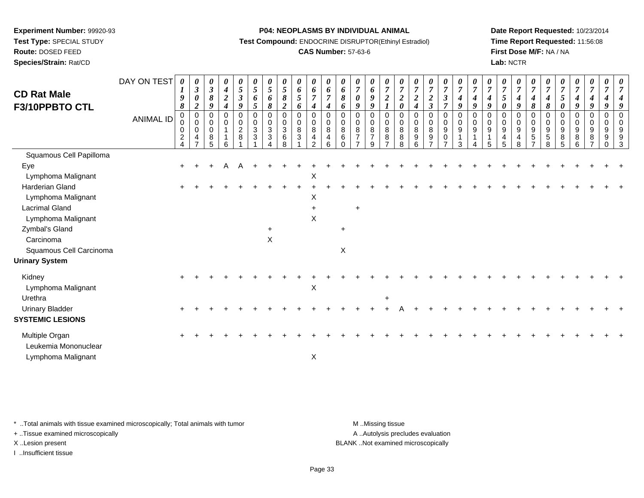**Test Type:** SPECIAL STUDY**Route:** DOSED FEED

**Species/Strain:** Rat/CD

#### **P04: NEOPLASMS BY INDIVIDUAL ANIMAL**

**Test Compound:** ENDOCRINE DISRUPTOR(Ethinyl Estradiol)

# **CAS Number:** 57-63-6

**Date Report Requested:** 10/23/2014**Time Report Requested:** 11:56:08**First Dose M/F:** NA / NA**Lab:** NCTR

| <b>CD Rat Male</b>                     | DAY ON TEST      | 0<br>9                                                 | $\boldsymbol{\theta}$<br>$\mathfrak{z}$<br>$\pmb{\theta}$ | U<br>$\boldsymbol{\beta}$<br>$\pmb{8}$            | 0<br>$\boldsymbol{4}$<br>$\overline{c}$ | 0<br>$\mathfrak{S}$<br>$\mathfrak{z}$ | $\boldsymbol{\theta}$<br>5<br>6                         | $\boldsymbol{\theta}$<br>$\sqrt{5}$<br>6            | $\boldsymbol{\theta}$<br>$\overline{5}$<br>$\pmb{8}$                          | 0<br>$\pmb{6}$<br>$\mathfrak{s}$                 | 0<br>6<br>$\overline{7}$                                                | 0<br>$\boldsymbol{6}$<br>$\overline{7}$   | U<br>6<br>8                              | 0<br>$\overline{7}$<br>$\boldsymbol{\theta}$       | 0<br>6<br>$\boldsymbol{9}$                    | 0<br>$\overline{7}$<br>$\boldsymbol{2}$                                    | U<br>$\overline{7}$<br>$\overline{c}$ | $\overline{7}$<br>$\boldsymbol{2}$               | $\boldsymbol{\theta}$<br>$\overline{7}$<br>$\boldsymbol{2}$          | 0<br>$\overline{7}$<br>$\boldsymbol{\mathfrak{z}}$               | $\boldsymbol{\theta}$<br>$\overline{7}$<br>$\boldsymbol{4}$                          | $\boldsymbol{\theta}$<br>$\overline{7}$<br>$\boldsymbol{4}$ | $\overline{7}$<br>4                         | 0<br>$\overline{7}$<br>5          | $\frac{\boldsymbol{0}}{7}$<br>$\boldsymbol{4}$   | 0<br>$\overline{7}$<br>4                                                          | 0<br>$\overline{7}$<br>$\boldsymbol{4}$    | $\overline{7}$<br>$\sqrt{5}$                             | 0<br>$\overline{7}$<br>4   | 0<br>$\boldsymbol{7}$<br>$\boldsymbol{4}$                        | 0<br>$\overline{7}$<br>$\boldsymbol{4}$                          |               |
|----------------------------------------|------------------|--------------------------------------------------------|-----------------------------------------------------------|---------------------------------------------------|-----------------------------------------|---------------------------------------|---------------------------------------------------------|-----------------------------------------------------|-------------------------------------------------------------------------------|--------------------------------------------------|-------------------------------------------------------------------------|-------------------------------------------|------------------------------------------|----------------------------------------------------|-----------------------------------------------|----------------------------------------------------------------------------|---------------------------------------|--------------------------------------------------|----------------------------------------------------------------------|------------------------------------------------------------------|--------------------------------------------------------------------------------------|-------------------------------------------------------------|---------------------------------------------|-----------------------------------|--------------------------------------------------|-----------------------------------------------------------------------------------|--------------------------------------------|----------------------------------------------------------|----------------------------|------------------------------------------------------------------|------------------------------------------------------------------|---------------|
| F3/10PPBTO CTL                         | <b>ANIMAL ID</b> | 8<br>$\boldsymbol{0}$<br>0<br>0<br>$\overline{2}$<br>4 | $\boldsymbol{2}$<br>0<br>0<br>0<br>4<br>$\overline{ }$    | 9<br>$\mathbf 0$<br>0<br>0<br>8<br>$\overline{5}$ | 4<br>$\Omega$<br>$\mathbf 0$<br>6       | 9<br>0<br>0<br>$\boldsymbol{2}$<br>8  | 5<br>$\mathbf 0$<br>0<br>$\ensuremath{\mathsf{3}}$<br>3 | 8<br>$\mathbf 0$<br>0<br>$\sqrt{3}$<br>$\mathbf{3}$ | $\boldsymbol{2}$<br>$\mathbf 0$<br>0<br>$\mathbf{3}$<br>$\,6$<br>$\mathsf{R}$ | 6<br>$\mathbf 0$<br>0<br>$\,8\,$<br>$\mathbf{3}$ | 4<br>$\mathbf 0$<br>0<br>8<br>$\overline{\mathbf{4}}$<br>$\mathfrak{p}$ | $\boldsymbol{4}$<br>0<br>0<br>8<br>4<br>6 | 6<br>$\Omega$<br>0<br>8<br>6<br>$\Omega$ | 9<br>$\mathbf 0$<br>0<br>$\,8\,$<br>$\overline{7}$ | 9<br>0<br>0<br>$\,8\,$<br>$\overline{7}$<br>9 | $\boldsymbol{l}$<br>$\mathbf 0$<br>$\mathbf 0$<br>8<br>8<br>$\overline{7}$ | 0<br>$\mathbf 0$<br>0<br>8<br>8<br>8  | $\boldsymbol{4}$<br>$\Omega$<br>0<br>8<br>9<br>6 | $\boldsymbol{\beta}$<br>$\mathbf 0$<br>0<br>8<br>9<br>$\overline{ }$ | $\overline{7}$<br>0<br>0<br>$9\,$<br>$\pmb{0}$<br>$\overline{ }$ | $\boldsymbol{g}$<br>$\mathbf 0$<br>$\pmb{0}$<br>$\boldsymbol{9}$<br>$\mathbf 1$<br>3 | 9<br>$\mathbf 0$<br>$\mathbf 0$<br>9<br>$\mathbf 1$         | 9<br>$\Omega$<br>$\mathbf 0$<br>9<br>1<br>5 | 0<br>$\Omega$<br>0<br>9<br>4<br>5 | 9<br>0<br>0<br>9<br>$\overline{\mathbf{4}}$<br>8 | $\pmb{8}$<br>$\mathbf 0$<br>0<br>$\boldsymbol{9}$<br>$\sqrt{5}$<br>$\overline{7}$ | 8<br>$\Omega$<br>0<br>9<br>$\sqrt{5}$<br>8 | $\boldsymbol{\theta}$<br>$\mathbf 0$<br>0<br>9<br>8<br>5 | 9<br>0<br>0<br>9<br>8<br>6 | 9<br>0<br>$\mathbf 0$<br>$\boldsymbol{9}$<br>8<br>$\overline{7}$ | 9<br>$\pmb{0}$<br>$\pmb{0}$<br>$\boldsymbol{9}$<br>9<br>$\Omega$ | $\Omega$<br>3 |
| Squamous Cell Papilloma                |                  |                                                        |                                                           |                                                   |                                         |                                       |                                                         |                                                     |                                                                               |                                                  |                                                                         |                                           |                                          |                                                    |                                               |                                                                            |                                       |                                                  |                                                                      |                                                                  |                                                                                      |                                                             |                                             |                                   |                                                  |                                                                                   |                                            |                                                          |                            |                                                                  |                                                                  |               |
| Eye                                    |                  | $+$                                                    |                                                           |                                                   |                                         |                                       |                                                         |                                                     |                                                                               |                                                  |                                                                         |                                           |                                          |                                                    |                                               |                                                                            |                                       |                                                  |                                                                      |                                                                  |                                                                                      |                                                             |                                             |                                   |                                                  |                                                                                   |                                            |                                                          |                            |                                                                  |                                                                  |               |
| Lymphoma Malignant                     |                  |                                                        |                                                           |                                                   |                                         |                                       |                                                         |                                                     |                                                                               |                                                  | X                                                                       |                                           |                                          |                                                    |                                               |                                                                            |                                       |                                                  |                                                                      |                                                                  |                                                                                      |                                                             |                                             |                                   |                                                  |                                                                                   |                                            |                                                          |                            |                                                                  |                                                                  |               |
| <b>Harderian Gland</b>                 |                  |                                                        |                                                           |                                                   |                                         |                                       |                                                         |                                                     |                                                                               |                                                  |                                                                         |                                           |                                          |                                                    |                                               |                                                                            |                                       |                                                  |                                                                      |                                                                  |                                                                                      |                                                             |                                             |                                   |                                                  |                                                                                   |                                            |                                                          |                            |                                                                  |                                                                  |               |
| Lymphoma Malignant                     |                  |                                                        |                                                           |                                                   |                                         |                                       |                                                         |                                                     |                                                                               |                                                  | X                                                                       |                                           |                                          |                                                    |                                               |                                                                            |                                       |                                                  |                                                                      |                                                                  |                                                                                      |                                                             |                                             |                                   |                                                  |                                                                                   |                                            |                                                          |                            |                                                                  |                                                                  |               |
| <b>Lacrimal Gland</b>                  |                  |                                                        |                                                           |                                                   |                                         |                                       |                                                         |                                                     |                                                                               |                                                  | $\ddot{}$                                                               |                                           |                                          | $\ddot{}$                                          |                                               |                                                                            |                                       |                                                  |                                                                      |                                                                  |                                                                                      |                                                             |                                             |                                   |                                                  |                                                                                   |                                            |                                                          |                            |                                                                  |                                                                  |               |
| Lymphoma Malignant                     |                  |                                                        |                                                           |                                                   |                                         |                                       |                                                         |                                                     |                                                                               |                                                  | $\pmb{\times}$                                                          |                                           |                                          |                                                    |                                               |                                                                            |                                       |                                                  |                                                                      |                                                                  |                                                                                      |                                                             |                                             |                                   |                                                  |                                                                                   |                                            |                                                          |                            |                                                                  |                                                                  |               |
| Zymbal's Gland                         |                  |                                                        |                                                           |                                                   |                                         |                                       |                                                         | $\ddot{}$                                           |                                                                               |                                                  |                                                                         |                                           | $\ddot{}$                                |                                                    |                                               |                                                                            |                                       |                                                  |                                                                      |                                                                  |                                                                                      |                                                             |                                             |                                   |                                                  |                                                                                   |                                            |                                                          |                            |                                                                  |                                                                  |               |
| Carcinoma                              |                  |                                                        |                                                           |                                                   |                                         |                                       |                                                         | $\pmb{\times}$                                      |                                                                               |                                                  |                                                                         |                                           |                                          |                                                    |                                               |                                                                            |                                       |                                                  |                                                                      |                                                                  |                                                                                      |                                                             |                                             |                                   |                                                  |                                                                                   |                                            |                                                          |                            |                                                                  |                                                                  |               |
| Squamous Cell Carcinoma                |                  |                                                        |                                                           |                                                   |                                         |                                       |                                                         |                                                     |                                                                               |                                                  |                                                                         |                                           | $\boldsymbol{\mathsf{X}}$                |                                                    |                                               |                                                                            |                                       |                                                  |                                                                      |                                                                  |                                                                                      |                                                             |                                             |                                   |                                                  |                                                                                   |                                            |                                                          |                            |                                                                  |                                                                  |               |
| <b>Urinary System</b>                  |                  |                                                        |                                                           |                                                   |                                         |                                       |                                                         |                                                     |                                                                               |                                                  |                                                                         |                                           |                                          |                                                    |                                               |                                                                            |                                       |                                                  |                                                                      |                                                                  |                                                                                      |                                                             |                                             |                                   |                                                  |                                                                                   |                                            |                                                          |                            |                                                                  |                                                                  |               |
| Kidney<br>Lymphoma Malignant           |                  |                                                        |                                                           |                                                   |                                         |                                       |                                                         |                                                     |                                                                               |                                                  | $\boldsymbol{\mathsf{X}}$                                               |                                           |                                          |                                                    |                                               |                                                                            |                                       |                                                  |                                                                      |                                                                  |                                                                                      |                                                             |                                             |                                   |                                                  |                                                                                   |                                            |                                                          |                            |                                                                  |                                                                  |               |
| Urethra                                |                  |                                                        |                                                           |                                                   |                                         |                                       |                                                         |                                                     |                                                                               |                                                  |                                                                         |                                           |                                          |                                                    |                                               | $\ddot{}$                                                                  |                                       |                                                  |                                                                      |                                                                  |                                                                                      |                                                             |                                             |                                   |                                                  |                                                                                   |                                            |                                                          |                            |                                                                  |                                                                  |               |
| <b>Urinary Bladder</b>                 |                  |                                                        |                                                           |                                                   |                                         |                                       |                                                         |                                                     |                                                                               |                                                  |                                                                         |                                           |                                          |                                                    |                                               |                                                                            |                                       |                                                  |                                                                      |                                                                  |                                                                                      |                                                             |                                             |                                   |                                                  |                                                                                   |                                            |                                                          |                            |                                                                  |                                                                  |               |
| <b>SYSTEMIC LESIONS</b>                |                  |                                                        |                                                           |                                                   |                                         |                                       |                                                         |                                                     |                                                                               |                                                  |                                                                         |                                           |                                          |                                                    |                                               |                                                                            |                                       |                                                  |                                                                      |                                                                  |                                                                                      |                                                             |                                             |                                   |                                                  |                                                                                   |                                            |                                                          |                            |                                                                  |                                                                  |               |
| Multiple Organ<br>Leukemia Mononuclear |                  |                                                        |                                                           |                                                   |                                         |                                       |                                                         |                                                     |                                                                               |                                                  |                                                                         |                                           |                                          |                                                    |                                               |                                                                            |                                       |                                                  |                                                                      |                                                                  |                                                                                      |                                                             |                                             |                                   |                                                  |                                                                                   |                                            |                                                          |                            |                                                                  |                                                                  |               |
| Lymphoma Malignant                     |                  |                                                        |                                                           |                                                   |                                         |                                       |                                                         |                                                     |                                                                               |                                                  | X                                                                       |                                           |                                          |                                                    |                                               |                                                                            |                                       |                                                  |                                                                      |                                                                  |                                                                                      |                                                             |                                             |                                   |                                                  |                                                                                   |                                            |                                                          |                            |                                                                  |                                                                  |               |

\* ..Total animals with tissue examined microscopically; Total animals with tumor **M** . Missing tissue M ..Missing tissue

+ ..Tissue examined microscopically

I ..Insufficient tissue

A ..Autolysis precludes evaluation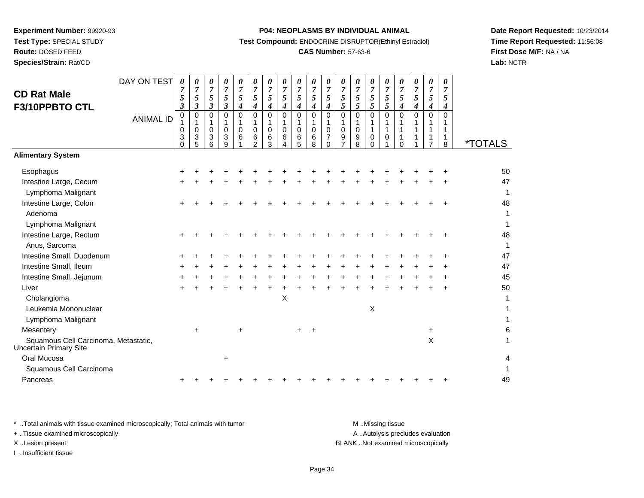**Route:** DOSED FEED

**Species/Strain:** Rat/CD

#### **P04: NEOPLASMS BY INDIVIDUAL ANIMAL**

**Test Compound:** ENDOCRINE DISRUPTOR(Ethinyl Estradiol)

# **CAS Number:** 57-63-6

**Date Report Requested:** 10/23/2014**Time Report Requested:** 11:56:08**First Dose M/F:** NA / NA**Lab:** NCTR

| <b>CD Rat Male</b><br>F3/10PPBTO CTL                           | DAY ON TEST<br><b>ANIMAL ID</b> | 0<br>7<br>5<br>$\boldsymbol{\beta}$<br>$\mathbf 0$<br>0<br>3<br>$\Omega$ | 0<br>$\overline{7}$<br>5<br>3<br>0<br>1<br>0<br>3<br>5 | 0<br>$\overline{7}$<br>5<br>$\boldsymbol{\beta}$<br>0<br>1<br>$\mathbf 0$<br>3<br>6 | 0<br>$\overline{7}$<br>5<br>$\mathfrak{z}$<br>$\mathbf 0$<br>1<br>$\mathbf 0$<br>3<br>9 | 0<br>$\boldsymbol{7}$<br>5<br>$\boldsymbol{4}$<br>$\mathbf 0$<br>$\mathbf 0$<br>6 | 0<br>$\boldsymbol{7}$<br>5<br>4<br>$\mathbf 0$<br>0<br>6<br>$\overline{2}$ | 0<br>$\overline{7}$<br>$\sqrt{5}$<br>$\boldsymbol{4}$<br>$\mathbf 0$<br>$\mathbf{1}$<br>$\mathbf 0$<br>$\,6$<br>3 | 0<br>$\overline{7}$<br>5<br>$\boldsymbol{4}$<br>$\mathbf 0$<br>1<br>$\mathbf 0$<br>6<br>4 | 0<br>$\overline{7}$<br>5<br>$\boldsymbol{4}$<br>$\mathbf 0$<br>1<br>$\mathbf 0$<br>$6\over 5$ | 0<br>$\boldsymbol{7}$<br>$\sqrt{5}$<br>$\boldsymbol{4}$<br>0<br>1<br>0<br>6<br>8 | 0<br>$\overline{7}$<br>$\sqrt{5}$<br>$\boldsymbol{4}$<br>$\pmb{0}$<br>1<br>$\mathbf 0$<br>$\overline{7}$<br>$\Omega$ | 0<br>$\overline{7}$<br>5<br>5<br>$\mathbf 0$<br>$\mathbf 0$<br>9<br>$\overline{7}$ | 0<br>$\overline{7}$<br>5<br>5<br>$\mathbf 0$<br>1<br>$\mathbf 0$<br>9<br>8 | 0<br>$\overline{7}$<br>5<br>5<br>0<br>$\mathbf{1}$<br>0<br>$\Omega$ | 0<br>$\overline{7}$<br>5<br>5<br>$\mathbf 0$<br>1<br>$\mathbf{1}$<br>$\pmb{0}$ | 0<br>$\overline{7}$<br>$\mathfrak{s}$<br>$\boldsymbol{4}$<br>$\Omega$<br>1<br>1<br>$\Omega$ | 0<br>$\overline{7}$<br>5<br>4<br>$\mathbf 0$ | 0<br>$\overline{7}$<br>5<br>4<br>0<br>1<br>1<br>$\overline{7}$ | 0<br>$\overline{7}$<br>5<br>$\boldsymbol{4}$<br>$\mathbf 0$<br>1<br>1<br>1<br>8 | <i><b>*TOTALS</b></i> |
|----------------------------------------------------------------|---------------------------------|--------------------------------------------------------------------------|--------------------------------------------------------|-------------------------------------------------------------------------------------|-----------------------------------------------------------------------------------------|-----------------------------------------------------------------------------------|----------------------------------------------------------------------------|-------------------------------------------------------------------------------------------------------------------|-------------------------------------------------------------------------------------------|-----------------------------------------------------------------------------------------------|----------------------------------------------------------------------------------|----------------------------------------------------------------------------------------------------------------------|------------------------------------------------------------------------------------|----------------------------------------------------------------------------|---------------------------------------------------------------------|--------------------------------------------------------------------------------|---------------------------------------------------------------------------------------------|----------------------------------------------|----------------------------------------------------------------|---------------------------------------------------------------------------------|-----------------------|
| <b>Alimentary System</b>                                       |                                 |                                                                          |                                                        |                                                                                     |                                                                                         |                                                                                   |                                                                            |                                                                                                                   |                                                                                           |                                                                                               |                                                                                  |                                                                                                                      |                                                                                    |                                                                            |                                                                     |                                                                                |                                                                                             |                                              |                                                                |                                                                                 |                       |
| Esophagus                                                      |                                 |                                                                          |                                                        |                                                                                     |                                                                                         |                                                                                   |                                                                            |                                                                                                                   |                                                                                           |                                                                                               |                                                                                  |                                                                                                                      |                                                                                    |                                                                            |                                                                     |                                                                                |                                                                                             |                                              |                                                                |                                                                                 | 50                    |
| Intestine Large, Cecum                                         |                                 |                                                                          |                                                        |                                                                                     |                                                                                         |                                                                                   |                                                                            |                                                                                                                   |                                                                                           |                                                                                               |                                                                                  |                                                                                                                      |                                                                                    |                                                                            |                                                                     |                                                                                |                                                                                             |                                              |                                                                |                                                                                 | 47                    |
| Lymphoma Malignant                                             |                                 |                                                                          |                                                        |                                                                                     |                                                                                         |                                                                                   |                                                                            |                                                                                                                   |                                                                                           |                                                                                               |                                                                                  |                                                                                                                      |                                                                                    |                                                                            |                                                                     |                                                                                |                                                                                             |                                              |                                                                |                                                                                 | $\mathbf{1}$          |
| Intestine Large, Colon                                         |                                 |                                                                          |                                                        |                                                                                     |                                                                                         |                                                                                   |                                                                            |                                                                                                                   |                                                                                           |                                                                                               |                                                                                  |                                                                                                                      |                                                                                    |                                                                            |                                                                     |                                                                                |                                                                                             |                                              |                                                                |                                                                                 | 48                    |
| Adenoma                                                        |                                 |                                                                          |                                                        |                                                                                     |                                                                                         |                                                                                   |                                                                            |                                                                                                                   |                                                                                           |                                                                                               |                                                                                  |                                                                                                                      |                                                                                    |                                                                            |                                                                     |                                                                                |                                                                                             |                                              |                                                                |                                                                                 | 1                     |
| Lymphoma Malignant                                             |                                 |                                                                          |                                                        |                                                                                     |                                                                                         |                                                                                   |                                                                            |                                                                                                                   |                                                                                           |                                                                                               |                                                                                  |                                                                                                                      |                                                                                    |                                                                            |                                                                     |                                                                                |                                                                                             |                                              |                                                                |                                                                                 | 1                     |
| Intestine Large, Rectum                                        |                                 |                                                                          |                                                        |                                                                                     |                                                                                         |                                                                                   |                                                                            |                                                                                                                   |                                                                                           |                                                                                               |                                                                                  |                                                                                                                      |                                                                                    |                                                                            |                                                                     |                                                                                |                                                                                             |                                              |                                                                |                                                                                 | 48                    |
| Anus, Sarcoma                                                  |                                 |                                                                          |                                                        |                                                                                     |                                                                                         |                                                                                   |                                                                            |                                                                                                                   |                                                                                           |                                                                                               |                                                                                  |                                                                                                                      |                                                                                    |                                                                            |                                                                     |                                                                                |                                                                                             |                                              |                                                                |                                                                                 | 1                     |
| Intestine Small, Duodenum                                      |                                 |                                                                          |                                                        |                                                                                     |                                                                                         |                                                                                   |                                                                            |                                                                                                                   |                                                                                           |                                                                                               |                                                                                  |                                                                                                                      |                                                                                    |                                                                            |                                                                     |                                                                                |                                                                                             |                                              |                                                                |                                                                                 | 47                    |
| Intestine Small, Ileum                                         |                                 |                                                                          |                                                        |                                                                                     |                                                                                         |                                                                                   |                                                                            |                                                                                                                   |                                                                                           |                                                                                               |                                                                                  |                                                                                                                      |                                                                                    |                                                                            |                                                                     |                                                                                |                                                                                             |                                              |                                                                |                                                                                 | 47                    |
| Intestine Small, Jejunum                                       |                                 |                                                                          |                                                        |                                                                                     |                                                                                         |                                                                                   |                                                                            |                                                                                                                   |                                                                                           |                                                                                               |                                                                                  |                                                                                                                      |                                                                                    |                                                                            |                                                                     |                                                                                |                                                                                             |                                              |                                                                |                                                                                 | 45                    |
| Liver                                                          |                                 |                                                                          |                                                        |                                                                                     |                                                                                         |                                                                                   |                                                                            |                                                                                                                   |                                                                                           |                                                                                               |                                                                                  |                                                                                                                      |                                                                                    |                                                                            |                                                                     |                                                                                |                                                                                             |                                              |                                                                |                                                                                 | 50                    |
| Cholangioma                                                    |                                 |                                                                          |                                                        |                                                                                     |                                                                                         |                                                                                   |                                                                            |                                                                                                                   | X                                                                                         |                                                                                               |                                                                                  |                                                                                                                      |                                                                                    |                                                                            |                                                                     |                                                                                |                                                                                             |                                              |                                                                |                                                                                 | 1                     |
| Leukemia Mononuclear                                           |                                 |                                                                          |                                                        |                                                                                     |                                                                                         |                                                                                   |                                                                            |                                                                                                                   |                                                                                           |                                                                                               |                                                                                  |                                                                                                                      |                                                                                    |                                                                            | $\boldsymbol{\mathsf{X}}$                                           |                                                                                |                                                                                             |                                              |                                                                |                                                                                 |                       |
| Lymphoma Malignant                                             |                                 |                                                                          |                                                        |                                                                                     |                                                                                         |                                                                                   |                                                                            |                                                                                                                   |                                                                                           |                                                                                               |                                                                                  |                                                                                                                      |                                                                                    |                                                                            |                                                                     |                                                                                |                                                                                             |                                              |                                                                |                                                                                 |                       |
| Mesentery                                                      |                                 |                                                                          | $\ddot{}$                                              |                                                                                     |                                                                                         | $\ddot{}$                                                                         |                                                                            |                                                                                                                   |                                                                                           | $\ddot{}$                                                                                     | $\div$                                                                           |                                                                                                                      |                                                                                    |                                                                            |                                                                     |                                                                                |                                                                                             |                                              | $\ddot{}$                                                      |                                                                                 | 6                     |
| Squamous Cell Carcinoma, Metastatic,<br>Uncertain Primary Site |                                 |                                                                          |                                                        |                                                                                     |                                                                                         |                                                                                   |                                                                            |                                                                                                                   |                                                                                           |                                                                                               |                                                                                  |                                                                                                                      |                                                                                    |                                                                            |                                                                     |                                                                                |                                                                                             |                                              | X                                                              |                                                                                 | 1                     |
| Oral Mucosa                                                    |                                 |                                                                          |                                                        |                                                                                     | ÷                                                                                       |                                                                                   |                                                                            |                                                                                                                   |                                                                                           |                                                                                               |                                                                                  |                                                                                                                      |                                                                                    |                                                                            |                                                                     |                                                                                |                                                                                             |                                              |                                                                |                                                                                 | 4                     |
| Squamous Cell Carcinoma                                        |                                 |                                                                          |                                                        |                                                                                     |                                                                                         |                                                                                   |                                                                            |                                                                                                                   |                                                                                           |                                                                                               |                                                                                  |                                                                                                                      |                                                                                    |                                                                            |                                                                     |                                                                                |                                                                                             |                                              |                                                                |                                                                                 | 1                     |
| Pancreas                                                       |                                 |                                                                          |                                                        |                                                                                     |                                                                                         |                                                                                   |                                                                            |                                                                                                                   |                                                                                           |                                                                                               |                                                                                  |                                                                                                                      |                                                                                    |                                                                            |                                                                     |                                                                                |                                                                                             |                                              |                                                                |                                                                                 | 49                    |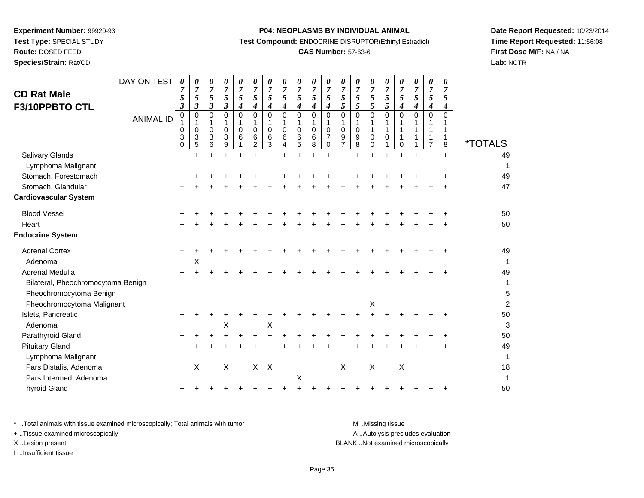# **Route:** DOSED FEED

**Species/Strain:** Rat/CD

#### **P04: NEOPLASMS BY INDIVIDUAL ANIMAL**

**Test Compound:** ENDOCRINE DISRUPTOR(Ethinyl Estradiol)

# **CAS Number:** 57-63-6

**Date Report Requested:** 10/23/2014**Time Report Requested:** 11:56:08**First Dose M/F:** NA / NA**Lab:** NCTR

| <b>CD Rat Male</b><br>F3/10PPBTO CTL | DAY ON TEST<br><b>ANIMAL ID</b> | $\boldsymbol{\theta}$<br>7<br>5<br>$\boldsymbol{\beta}$<br>0<br>1<br>0<br>3<br>$\mathbf 0$ | 0<br>7<br>5<br>3<br>0<br>1<br>0<br>3<br>5 | 0<br>$\boldsymbol{7}$<br>$\sqrt{5}$<br>3<br>0<br>1<br>$\pmb{0}$<br>3<br>6 | 0<br>$\boldsymbol{7}$<br>5<br>$\boldsymbol{\beta}$<br>0<br>1<br>$\mathbf 0$<br>3<br>9 | 0<br>$\overline{7}$<br>$\sqrt{5}$<br>$\boldsymbol{4}$<br>$\pmb{0}$<br>1<br>$\pmb{0}$<br>6 | 0<br>$\overline{7}$<br>5<br>4<br>$\mathbf 0$<br>1<br>$\Omega$<br>6<br>$\overline{2}$ | 0<br>$\overline{7}$<br>5<br>4<br>0<br>$\mathbf 0$<br>6<br>3 | 0<br>$\overline{7}$<br>5<br>4<br>0<br>1<br>0<br>6<br>4 | 0<br>$\overline{7}$<br>$\sqrt{5}$<br>$\boldsymbol{4}$<br>$\pmb{0}$<br>1<br>$\pmb{0}$<br>6<br>5 | 0<br>$\overline{7}$<br>$\sqrt{5}$<br>$\boldsymbol{4}$<br>$\pmb{0}$<br>$\mathbf{1}$<br>$\pmb{0}$<br>6<br>8 | 0<br>$\overline{7}$<br>$\sqrt{5}$<br>$\boldsymbol{4}$<br>$\mathbf 0$<br>1<br>$\mathbf 0$<br>$\overline{7}$<br>$\Omega$ | 0<br>$\overline{7}$<br>5<br>5<br>$\mathbf 0$<br>$\mathbf 0$<br>9 | 0<br>$\overline{7}$<br>5<br>5<br>0<br>1<br>$\pmb{0}$<br>9<br>8 | 0<br>$\overline{7}$<br>5<br>5<br>$\pmb{0}$<br>1<br>$\mathbf{1}$<br>0<br>$\Omega$ | 0<br>$\overline{7}$<br>5<br>5<br>$\mathbf 0$<br>1<br>$\mathbf{1}$<br>$\mathbf 0$ | 0<br>7<br>5<br>4<br>$\mathbf 0$<br>$\mathbf{1}$<br>1<br>$\Omega$ | 0<br>7<br>5<br>4<br>0 | 0<br>$\overline{7}$<br>$\mathfrak{s}$<br>$\boldsymbol{4}$<br>$\mathbf 0$<br>1<br>1<br>1<br>7 | 0<br>7<br>5<br>4<br>$\Omega$<br>1<br>1<br>8 | <i><b>*TOTALS</b></i> |
|--------------------------------------|---------------------------------|--------------------------------------------------------------------------------------------|-------------------------------------------|---------------------------------------------------------------------------|---------------------------------------------------------------------------------------|-------------------------------------------------------------------------------------------|--------------------------------------------------------------------------------------|-------------------------------------------------------------|--------------------------------------------------------|------------------------------------------------------------------------------------------------|-----------------------------------------------------------------------------------------------------------|------------------------------------------------------------------------------------------------------------------------|------------------------------------------------------------------|----------------------------------------------------------------|----------------------------------------------------------------------------------|----------------------------------------------------------------------------------|------------------------------------------------------------------|-----------------------|----------------------------------------------------------------------------------------------|---------------------------------------------|-----------------------|
| Salivary Glands                      |                                 | $+$                                                                                        |                                           |                                                                           |                                                                                       | $\ddot{}$                                                                                 |                                                                                      |                                                             |                                                        |                                                                                                |                                                                                                           |                                                                                                                        |                                                                  |                                                                |                                                                                  |                                                                                  |                                                                  |                       | $\ddot{}$                                                                                    | $+$                                         | 49                    |
| Lymphoma Malignant                   |                                 |                                                                                            |                                           |                                                                           |                                                                                       |                                                                                           |                                                                                      |                                                             |                                                        |                                                                                                |                                                                                                           |                                                                                                                        |                                                                  |                                                                |                                                                                  |                                                                                  |                                                                  |                       |                                                                                              |                                             | 1                     |
| Stomach, Forestomach                 |                                 |                                                                                            |                                           |                                                                           |                                                                                       |                                                                                           |                                                                                      |                                                             |                                                        |                                                                                                |                                                                                                           |                                                                                                                        |                                                                  |                                                                |                                                                                  |                                                                                  |                                                                  |                       |                                                                                              |                                             | 49                    |
| Stomach, Glandular                   |                                 |                                                                                            |                                           |                                                                           |                                                                                       |                                                                                           |                                                                                      |                                                             |                                                        |                                                                                                |                                                                                                           |                                                                                                                        |                                                                  |                                                                |                                                                                  |                                                                                  |                                                                  |                       |                                                                                              |                                             | 47                    |
| <b>Cardiovascular System</b>         |                                 |                                                                                            |                                           |                                                                           |                                                                                       |                                                                                           |                                                                                      |                                                             |                                                        |                                                                                                |                                                                                                           |                                                                                                                        |                                                                  |                                                                |                                                                                  |                                                                                  |                                                                  |                       |                                                                                              |                                             |                       |
| <b>Blood Vessel</b>                  |                                 |                                                                                            |                                           |                                                                           |                                                                                       |                                                                                           |                                                                                      |                                                             |                                                        |                                                                                                |                                                                                                           |                                                                                                                        |                                                                  |                                                                |                                                                                  |                                                                                  |                                                                  |                       |                                                                                              |                                             | 50                    |
| Heart                                |                                 |                                                                                            |                                           |                                                                           |                                                                                       |                                                                                           |                                                                                      |                                                             |                                                        |                                                                                                |                                                                                                           |                                                                                                                        |                                                                  |                                                                |                                                                                  |                                                                                  |                                                                  |                       |                                                                                              |                                             | 50                    |
| <b>Endocrine System</b>              |                                 |                                                                                            |                                           |                                                                           |                                                                                       |                                                                                           |                                                                                      |                                                             |                                                        |                                                                                                |                                                                                                           |                                                                                                                        |                                                                  |                                                                |                                                                                  |                                                                                  |                                                                  |                       |                                                                                              |                                             |                       |
| <b>Adrenal Cortex</b>                |                                 | $\ddot{}$                                                                                  |                                           |                                                                           |                                                                                       |                                                                                           |                                                                                      |                                                             |                                                        |                                                                                                |                                                                                                           |                                                                                                                        |                                                                  |                                                                |                                                                                  |                                                                                  |                                                                  |                       |                                                                                              |                                             | 49                    |
| Adenoma                              |                                 |                                                                                            | Χ                                         |                                                                           |                                                                                       |                                                                                           |                                                                                      |                                                             |                                                        |                                                                                                |                                                                                                           |                                                                                                                        |                                                                  |                                                                |                                                                                  |                                                                                  |                                                                  |                       |                                                                                              |                                             | 1                     |
| Adrenal Medulla                      |                                 |                                                                                            |                                           |                                                                           |                                                                                       |                                                                                           |                                                                                      |                                                             |                                                        |                                                                                                |                                                                                                           |                                                                                                                        |                                                                  |                                                                |                                                                                  |                                                                                  |                                                                  |                       |                                                                                              |                                             | 49                    |
| Bilateral, Pheochromocytoma Benign   |                                 |                                                                                            |                                           |                                                                           |                                                                                       |                                                                                           |                                                                                      |                                                             |                                                        |                                                                                                |                                                                                                           |                                                                                                                        |                                                                  |                                                                |                                                                                  |                                                                                  |                                                                  |                       |                                                                                              |                                             | 1                     |
| Pheochromocytoma Benign              |                                 |                                                                                            |                                           |                                                                           |                                                                                       |                                                                                           |                                                                                      |                                                             |                                                        |                                                                                                |                                                                                                           |                                                                                                                        |                                                                  |                                                                |                                                                                  |                                                                                  |                                                                  |                       |                                                                                              |                                             | 5                     |
| Pheochromocytoma Malignant           |                                 |                                                                                            |                                           |                                                                           |                                                                                       |                                                                                           |                                                                                      |                                                             |                                                        |                                                                                                |                                                                                                           |                                                                                                                        |                                                                  |                                                                | х                                                                                |                                                                                  |                                                                  |                       |                                                                                              |                                             | $\overline{2}$        |
| Islets, Pancreatic                   |                                 |                                                                                            |                                           |                                                                           |                                                                                       |                                                                                           |                                                                                      |                                                             |                                                        |                                                                                                |                                                                                                           |                                                                                                                        |                                                                  |                                                                |                                                                                  |                                                                                  |                                                                  |                       |                                                                                              |                                             | 50                    |
| Adenoma                              |                                 |                                                                                            |                                           |                                                                           | X                                                                                     |                                                                                           |                                                                                      | Χ                                                           |                                                        |                                                                                                |                                                                                                           |                                                                                                                        |                                                                  |                                                                |                                                                                  |                                                                                  |                                                                  |                       |                                                                                              |                                             | 3                     |
| Parathyroid Gland                    |                                 |                                                                                            |                                           |                                                                           |                                                                                       |                                                                                           |                                                                                      |                                                             |                                                        |                                                                                                |                                                                                                           |                                                                                                                        |                                                                  |                                                                |                                                                                  |                                                                                  |                                                                  |                       |                                                                                              |                                             | 50                    |
| <b>Pituitary Gland</b>               |                                 |                                                                                            |                                           |                                                                           |                                                                                       |                                                                                           |                                                                                      |                                                             |                                                        |                                                                                                |                                                                                                           |                                                                                                                        |                                                                  |                                                                |                                                                                  |                                                                                  |                                                                  |                       |                                                                                              |                                             | 49                    |
| Lymphoma Malignant                   |                                 |                                                                                            |                                           |                                                                           |                                                                                       |                                                                                           |                                                                                      |                                                             |                                                        |                                                                                                |                                                                                                           |                                                                                                                        |                                                                  |                                                                |                                                                                  |                                                                                  |                                                                  |                       |                                                                                              |                                             | 1                     |
| Pars Distalis, Adenoma               |                                 |                                                                                            | $\pmb{\times}$                            |                                                                           | $\times$                                                                              |                                                                                           |                                                                                      | $X$ $X$                                                     |                                                        |                                                                                                |                                                                                                           |                                                                                                                        | $\times$                                                         |                                                                | $\boldsymbol{\mathsf{X}}$                                                        |                                                                                  | $\mathsf X$                                                      |                       |                                                                                              |                                             | 18                    |
| Pars Intermed, Adenoma               |                                 |                                                                                            |                                           |                                                                           |                                                                                       |                                                                                           |                                                                                      |                                                             |                                                        | X                                                                                              |                                                                                                           |                                                                                                                        |                                                                  |                                                                |                                                                                  |                                                                                  |                                                                  |                       |                                                                                              |                                             | 1                     |
| <b>Thyroid Gland</b>                 |                                 |                                                                                            |                                           |                                                                           |                                                                                       |                                                                                           |                                                                                      |                                                             |                                                        |                                                                                                |                                                                                                           |                                                                                                                        |                                                                  |                                                                |                                                                                  |                                                                                  |                                                                  |                       |                                                                                              |                                             | 50                    |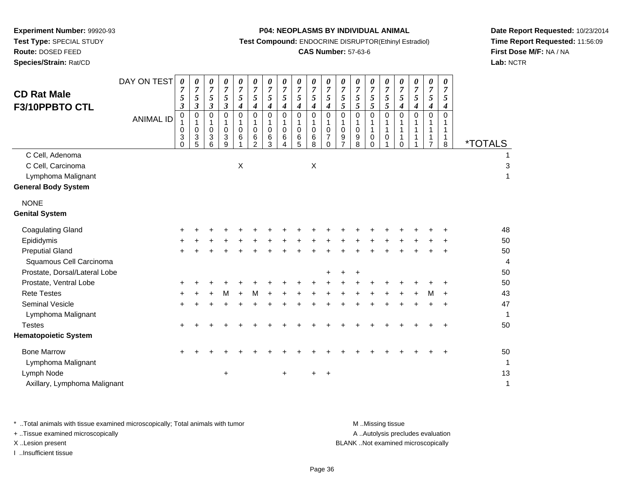**Route:** DOSED FEED

**Species/Strain:** Rat/CD

#### **P04: NEOPLASMS BY INDIVIDUAL ANIMAL**

**Test Compound:** ENDOCRINE DISRUPTOR(Ethinyl Estradiol)

# **CAS Number:** 57-63-6

**Date Report Requested:** 10/23/2014**Time Report Requested:** 11:56:09**First Dose M/F:** NA / NA**Lab:** NCTR

| <b>CD Rat Male</b><br>F3/10PPBTO CTL                                                     | DAY ON TEST<br><b>ANIMAL ID</b> | 0<br>7<br>5<br>$\boldsymbol{\beta}$<br>0<br>0<br>3 | 0<br>$\overline{7}$<br>$\sqrt{5}$<br>3<br>0<br>$\mathbf 0$<br>3 | 0<br>$\overline{7}$<br>5<br>3<br>0<br>1<br>0<br>3 | 0<br>$\overline{7}$<br>5<br>$\boldsymbol{\beta}$<br>$\mathbf 0$<br>1<br>$\mathbf 0$<br>3 | 0<br>7<br>5<br>4<br>$\Omega$<br>$\Omega$<br>6 | 0<br>$\overline{7}$<br>5<br>4<br>$\Omega$<br>1<br>$\mathbf 0$<br>6 | 0<br>$\overline{7}$<br>5<br>4<br>0<br>$\mathbf{1}$<br>$\mathbf 0$<br>6 | 0<br>$\overline{7}$<br>5<br>4<br>$\Omega$<br>1<br>0<br>6 | 0<br>$\overline{7}$<br>5<br>4<br>$\mathbf 0$<br>$\mathbf{1}$<br>$\mathbf 0$<br>6 | 0<br>$\overline{7}$<br>5<br>4<br>$\mathbf 0$<br>$\mathbf{1}$<br>$\mathbf 0$<br>6 | 0<br>7<br>5<br>4<br>$\Omega$<br>1<br>$\mathbf 0$<br>7 | 0<br>7<br>5<br>5<br>$\Omega$<br>$\mathbf 0$<br>9 | 0<br>$\overline{7}$<br>5<br>5<br>$\Omega$<br>$\mathbf 0$<br>9 | 0<br>7<br>5<br>5<br>0<br>1<br>$\mathbf{1}$<br>0 | $\pmb{\theta}$<br>$\overline{7}$<br>5<br>5<br>$\Omega$<br>$\mathbf{1}$<br>0 | 0<br>$\overline{7}$<br>5<br>$\boldsymbol{4}$<br>$\Omega$<br>1<br>1 | 0<br>$\overline{7}$<br>5<br>4<br>$\Omega$<br>1<br>1<br>1 | 0<br>$\overline{7}$<br>5<br>4<br>$\Omega$<br>7 | 0<br>7<br>5<br>4<br>$\Omega$<br>1 | <i><b>*TOTALS</b></i> |
|------------------------------------------------------------------------------------------|---------------------------------|----------------------------------------------------|-----------------------------------------------------------------|---------------------------------------------------|------------------------------------------------------------------------------------------|-----------------------------------------------|--------------------------------------------------------------------|------------------------------------------------------------------------|----------------------------------------------------------|----------------------------------------------------------------------------------|----------------------------------------------------------------------------------|-------------------------------------------------------|--------------------------------------------------|---------------------------------------------------------------|-------------------------------------------------|-----------------------------------------------------------------------------|--------------------------------------------------------------------|----------------------------------------------------------|------------------------------------------------|-----------------------------------|-----------------------|
| C Cell, Adenoma<br>C Cell, Carcinoma<br>Lymphoma Malignant<br><b>General Body System</b> |                                 | 0                                                  | 5                                                               | 6                                                 | 9                                                                                        | $\mathsf X$                                   | 2                                                                  | 3                                                                      | 4                                                        | 5                                                                                | 8<br>X                                                                           | 0                                                     |                                                  | 8                                                             | $\Omega$                                        |                                                                             | $\Omega$                                                           |                                                          |                                                | 8                                 |                       |
| <b>NONE</b><br><b>Genital System</b>                                                     |                                 |                                                    |                                                                 |                                                   |                                                                                          |                                               |                                                                    |                                                                        |                                                          |                                                                                  |                                                                                  |                                                       |                                                  |                                                               |                                                 |                                                                             |                                                                    |                                                          |                                                |                                   |                       |
| <b>Coagulating Gland</b>                                                                 |                                 | +                                                  |                                                                 |                                                   |                                                                                          |                                               |                                                                    |                                                                        |                                                          |                                                                                  |                                                                                  |                                                       |                                                  |                                                               |                                                 |                                                                             |                                                                    |                                                          |                                                |                                   | 48                    |
| Epididymis                                                                               |                                 |                                                    |                                                                 |                                                   |                                                                                          |                                               |                                                                    |                                                                        |                                                          |                                                                                  |                                                                                  |                                                       |                                                  |                                                               |                                                 |                                                                             |                                                                    |                                                          |                                                |                                   | 50                    |
| <b>Preputial Gland</b><br>Squamous Cell Carcinoma                                        |                                 |                                                    |                                                                 |                                                   |                                                                                          |                                               |                                                                    |                                                                        |                                                          |                                                                                  |                                                                                  |                                                       |                                                  |                                                               |                                                 |                                                                             |                                                                    |                                                          |                                                |                                   | 50<br>4               |
| Prostate, Dorsal/Lateral Lobe                                                            |                                 |                                                    |                                                                 |                                                   |                                                                                          |                                               |                                                                    |                                                                        |                                                          |                                                                                  |                                                                                  |                                                       |                                                  | +                                                             |                                                 |                                                                             |                                                                    |                                                          |                                                |                                   | 50                    |
| Prostate, Ventral Lobe                                                                   |                                 |                                                    |                                                                 |                                                   |                                                                                          |                                               |                                                                    |                                                                        |                                                          |                                                                                  |                                                                                  |                                                       |                                                  |                                                               |                                                 |                                                                             |                                                                    |                                                          |                                                |                                   | 50                    |
| <b>Rete Testes</b>                                                                       |                                 | ÷                                                  |                                                                 |                                                   | м                                                                                        |                                               |                                                                    |                                                                        |                                                          |                                                                                  |                                                                                  |                                                       |                                                  |                                                               |                                                 |                                                                             |                                                                    |                                                          | м                                              |                                   | 43                    |
| Seminal Vesicle<br>Lymphoma Malignant                                                    |                                 | $\ddot{}$                                          |                                                                 |                                                   |                                                                                          |                                               |                                                                    |                                                                        |                                                          |                                                                                  |                                                                                  |                                                       |                                                  |                                                               |                                                 |                                                                             |                                                                    |                                                          |                                                | $\ddot{}$                         | 47<br>1               |
| <b>Testes</b>                                                                            |                                 | $\ddot{}$                                          |                                                                 |                                                   |                                                                                          |                                               |                                                                    |                                                                        |                                                          |                                                                                  |                                                                                  |                                                       |                                                  |                                                               |                                                 |                                                                             |                                                                    |                                                          |                                                |                                   | 50                    |
| <b>Hematopoietic System</b>                                                              |                                 |                                                    |                                                                 |                                                   |                                                                                          |                                               |                                                                    |                                                                        |                                                          |                                                                                  |                                                                                  |                                                       |                                                  |                                                               |                                                 |                                                                             |                                                                    |                                                          |                                                |                                   |                       |
| <b>Bone Marrow</b>                                                                       |                                 | +                                                  |                                                                 |                                                   |                                                                                          |                                               |                                                                    |                                                                        |                                                          |                                                                                  |                                                                                  |                                                       |                                                  |                                                               |                                                 |                                                                             |                                                                    |                                                          |                                                |                                   | 50                    |
| Lymphoma Malignant                                                                       |                                 |                                                    |                                                                 |                                                   |                                                                                          |                                               |                                                                    |                                                                        |                                                          |                                                                                  |                                                                                  |                                                       |                                                  |                                                               |                                                 |                                                                             |                                                                    |                                                          |                                                |                                   | 1                     |
| Lymph Node                                                                               |                                 |                                                    |                                                                 |                                                   | +                                                                                        |                                               |                                                                    |                                                                        |                                                          |                                                                                  |                                                                                  | +                                                     |                                                  |                                                               |                                                 |                                                                             |                                                                    |                                                          |                                                |                                   | 13                    |
| Axillary, Lymphoma Malignant                                                             |                                 |                                                    |                                                                 |                                                   |                                                                                          |                                               |                                                                    |                                                                        |                                                          |                                                                                  |                                                                                  |                                                       |                                                  |                                                               |                                                 |                                                                             |                                                                    |                                                          |                                                |                                   | 1                     |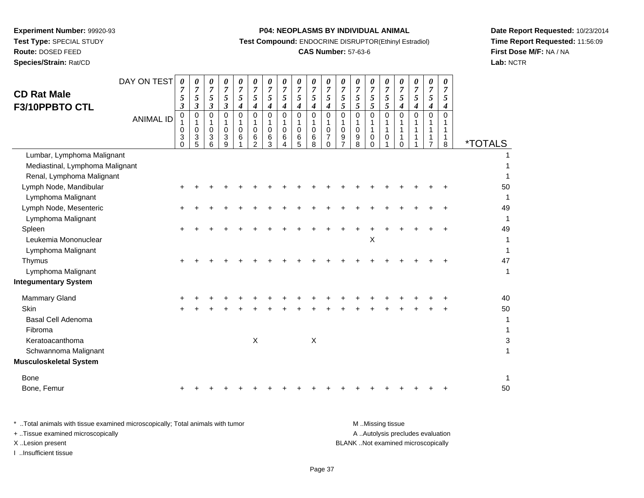**Experiment Number:** 99920-93**Test Type:** SPECIAL STUDY**Route:** DOSED FEED

# **Species/Strain:** Rat/CD

## **P04: NEOPLASMS BY INDIVIDUAL ANIMAL**

**Test Compound:** ENDOCRINE DISRUPTOR(Ethinyl Estradiol)

## **CAS Number:** 57-63-6

**Date Report Requested:** 10/23/2014**Time Report Requested:** 11:56:09**First Dose M/F:** NA / NA**Lab:** NCTR

| <b>CD Rat Male</b><br>F3/10PPBTO CTL                                                       | DAY ON TEST      | 0<br>7<br>5<br>3             | 0<br>7<br>5<br>3      | 0<br>$\boldsymbol{7}$<br>5<br>3 | 0<br>$\overline{7}$<br>5<br>$\mathfrak{z}$ | 0<br>$\overline{7}$<br>5<br>$\boldsymbol{4}$ | 0<br>$\overline{7}$<br>$\sqrt{5}$<br>4     | 0<br>$\boldsymbol{7}$<br>5<br>4 | 0<br>$\boldsymbol{7}$<br>5<br>4 | 0<br>$\boldsymbol{7}$<br>5<br>$\boldsymbol{4}$      | 0<br>$\overline{7}$<br>5<br>$\boldsymbol{4}$         | 0<br>$\overline{7}$<br>5<br>4             | 0<br>$\overline{7}$<br>$\sqrt{5}$<br>5 | 0<br>$\overline{7}$<br>5<br>5 <sup>1</sup> | 0<br>$\overline{7}$<br>$\overline{5}$<br>$\overline{5}$ | 0<br>$\overline{7}$<br>$\sqrt{5}$<br>$5\overline{)}$ | 0<br>$\overline{7}$<br>5<br>$\boldsymbol{4}$ | 0<br>$\overline{7}$<br>5<br>4 | 0<br>7<br>5<br>4 | 0<br>$\overline{7}$<br>5<br>4              |                         |
|--------------------------------------------------------------------------------------------|------------------|------------------------------|-----------------------|---------------------------------|--------------------------------------------|----------------------------------------------|--------------------------------------------|---------------------------------|---------------------------------|-----------------------------------------------------|------------------------------------------------------|-------------------------------------------|----------------------------------------|--------------------------------------------|---------------------------------------------------------|------------------------------------------------------|----------------------------------------------|-------------------------------|------------------|--------------------------------------------|-------------------------|
|                                                                                            | <b>ANIMAL ID</b> | 0<br>1<br>0<br>3<br>$\Omega$ | 0<br>1<br>0<br>3<br>5 | 0<br>1<br>$\mathbf 0$<br>3<br>6 | $\mathbf 0$<br>1<br>$\mathbf 0$<br>3<br>9  | $\mathbf 0$<br>1<br>$\Omega$<br>6            | $\mathbf 0$<br>$\mathbf{1}$<br>0<br>6<br>2 | 0<br>1<br>0<br>6<br>3           | 0<br>1<br>$\mathbf 0$<br>6<br>4 | $\mathbf 0$<br>$\mathbf 1$<br>$\mathbf 0$<br>6<br>5 | $\mathbf 0$<br>$\mathbf{1}$<br>$\mathbf 0$<br>6<br>8 | 0<br>1<br>0<br>$\overline{7}$<br>$\Omega$ | 0<br>1<br>$\mathbf 0$<br>9<br>7        | 0<br>1<br>$\mathbf 0$<br>9<br>8            | $\mathbf 0$<br>1<br>$\mathbf{1}$<br>0<br>$\Omega$       | $\Omega$<br>1<br>$\mathbf{1}$<br>0                   | $\Omega$<br>$\Omega$                         | 0<br>1                        | 0<br>1<br>1<br>7 | $\mathbf 0$<br>1<br>$\mathbf{1}$<br>1<br>8 | <i><b>*TOTALS</b></i>   |
| Lumbar, Lymphoma Malignant<br>Mediastinal, Lymphoma Malignant<br>Renal, Lymphoma Malignant |                  |                              |                       |                                 |                                            |                                              |                                            |                                 |                                 |                                                     |                                                      |                                           |                                        |                                            |                                                         |                                                      |                                              |                               |                  |                                            |                         |
| Lymph Node, Mandibular<br>Lymphoma Malignant                                               |                  |                              |                       |                                 |                                            |                                              |                                            |                                 |                                 |                                                     |                                                      |                                           |                                        |                                            |                                                         |                                                      |                                              |                               |                  |                                            | 50<br>1                 |
| Lymph Node, Mesenteric<br>Lymphoma Malignant                                               |                  |                              |                       |                                 |                                            |                                              |                                            |                                 |                                 |                                                     |                                                      |                                           |                                        |                                            |                                                         |                                                      |                                              |                               |                  |                                            | 49                      |
| Spleen<br>Leukemia Mononuclear<br>Lymphoma Malignant                                       |                  |                              |                       |                                 |                                            |                                              |                                            |                                 |                                 |                                                     |                                                      |                                           |                                        |                                            | X                                                       |                                                      |                                              |                               |                  |                                            | 49<br>1<br>$\mathbf{1}$ |
| Thymus<br>Lymphoma Malignant                                                               |                  |                              |                       |                                 |                                            |                                              |                                            |                                 |                                 |                                                     |                                                      |                                           |                                        |                                            |                                                         |                                                      |                                              |                               |                  |                                            | 47<br>$\mathbf{1}$      |
| <b>Integumentary System</b>                                                                |                  |                              |                       |                                 |                                            |                                              |                                            |                                 |                                 |                                                     |                                                      |                                           |                                        |                                            |                                                         |                                                      |                                              |                               |                  |                                            |                         |
| <b>Mammary Gland</b><br>Skin<br><b>Basal Cell Adenoma</b><br>Fibroma                       |                  | +                            |                       |                                 |                                            |                                              |                                            |                                 |                                 |                                                     |                                                      |                                           |                                        |                                            |                                                         |                                                      |                                              |                               |                  |                                            | 40<br>50<br>1<br>1      |
| Keratoacanthoma<br>Schwannoma Malignant<br><b>Musculoskeletal System</b>                   |                  |                              |                       |                                 |                                            |                                              | Χ                                          |                                 |                                 |                                                     | $\boldsymbol{\mathsf{X}}$                            |                                           |                                        |                                            |                                                         |                                                      |                                              |                               |                  |                                            | 3                       |
| <b>Bone</b><br>Bone, Femur                                                                 |                  |                              |                       |                                 |                                            |                                              |                                            |                                 |                                 |                                                     |                                                      |                                           |                                        |                                            |                                                         |                                                      |                                              |                               |                  |                                            | $\mathbf{1}$<br>50      |

| Total animals with tissue examined microscopically; Total animals with tumor | M Missing tissue                   |
|------------------------------------------------------------------------------|------------------------------------|
| + . Tissue examined microscopically                                          | A Autolysis precludes evaluation   |
| XLesion present                                                              | BLANK Not examined microscopically |
| …Insufficient tissue                                                         |                                    |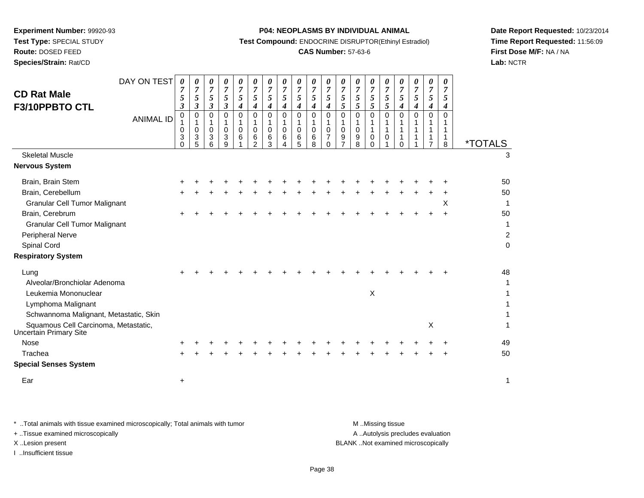**Route:** DOSED FEED

**Species/Strain:** Rat/CD

#### **P04: NEOPLASMS BY INDIVIDUAL ANIMAL**

**Test Compound:** ENDOCRINE DISRUPTOR(Ethinyl Estradiol)

## **CAS Number:** 57-63-6

**Date Report Requested:** 10/23/2014**Time Report Requested:** 11:56:09**First Dose M/F:** NA / NA**Lab:** NCTR

| <b>CD Rat Male</b><br>F3/10PPBTO CTL<br><b>Skeletal Muscle</b><br><b>Nervous System</b> | DAY ON TEST<br><b>ANIMAL ID</b> | 0<br>$\overline{7}$<br>5<br>3<br>$\,0\,$<br>1<br>0<br>3<br>$\Omega$ | 0<br>$\overline{7}$<br>$\mathfrak{s}$<br>$\boldsymbol{\beta}$<br>$\mathbf 0$<br>1<br>$\mathbf 0$<br>3<br>5 | 0<br>$\overline{7}$<br>5<br>3<br>$\mathbf 0$<br>1<br>0<br>3<br>6 | 0<br>$\overline{7}$<br>5<br>$\boldsymbol{\beta}$<br>$\Omega$<br>1<br>0<br>3<br>9 | 0<br>$\overline{7}$<br>5<br>4<br>$\Omega$<br>1<br>$\mathbf 0$<br>6 | 0<br>$\boldsymbol{7}$<br>5<br>$\boldsymbol{4}$<br>$\Omega$<br>1<br>$\mathbf 0$<br>6<br>$\mathfrak{p}$ | 0<br>$\overline{7}$<br>5<br>4<br>$\mathbf 0$<br>-1<br>$\mathbf 0$<br>6<br>3 | 0<br>$\overline{7}$<br>5<br>4<br>$\mathbf 0$<br>1<br>$\pmb{0}$<br>$6\phantom{1}6$<br>4 | 0<br>$\overline{7}$<br>5<br>4<br>0<br>$\mathbf{1}$<br>0<br>6<br>5 | 0<br>$\boldsymbol{7}$<br>5<br>$\boldsymbol{4}$<br>$\pmb{0}$<br>$\mathbf{1}$<br>$\pmb{0}$<br>$\,6$<br>8 | 0<br>$\overline{7}$<br>5<br>4<br>$\Omega$<br>1<br>$\mathbf 0$<br>$\overline{7}$<br>$\Omega$ | 0<br>$\overline{7}$<br>5<br>5<br>$\mathbf 0$<br>$\mathbf{1}$<br>$\mathbf 0$<br>$\boldsymbol{9}$<br>$\overline{7}$ | 0<br>$\overline{7}$<br>5<br>5<br>0<br>1<br>0<br>9<br>8 | 0<br>$\overline{7}$<br>5<br>5<br>$\Omega$<br>1<br>$\mathbf{1}$<br>$\mathbf 0$<br>$\Omega$ | 0<br>$\boldsymbol{7}$<br>5<br>5<br>$\Omega$<br>1<br>1<br>$\mathbf 0$ | 0<br>$\overline{7}$<br>5<br>4<br>$\Omega$<br>1<br>$\Omega$ | 0<br>$\overline{7}$<br>5<br>$\boldsymbol{4}$<br>$\Omega$ | 0<br>$\overline{7}$<br>5<br>4<br>$\mathbf 0$<br>1<br>1<br>1<br>$\overline{7}$ | 0<br>$\overline{7}$<br>5<br>4<br>$\Omega$<br>1<br>$\mathbf 1$<br>$\mathbf{1}$<br>8 | <i><b>*TOTALS</b></i><br>3 |
|-----------------------------------------------------------------------------------------|---------------------------------|---------------------------------------------------------------------|------------------------------------------------------------------------------------------------------------|------------------------------------------------------------------|----------------------------------------------------------------------------------|--------------------------------------------------------------------|-------------------------------------------------------------------------------------------------------|-----------------------------------------------------------------------------|----------------------------------------------------------------------------------------|-------------------------------------------------------------------|--------------------------------------------------------------------------------------------------------|---------------------------------------------------------------------------------------------|-------------------------------------------------------------------------------------------------------------------|--------------------------------------------------------|-------------------------------------------------------------------------------------------|----------------------------------------------------------------------|------------------------------------------------------------|----------------------------------------------------------|-------------------------------------------------------------------------------|------------------------------------------------------------------------------------|----------------------------|
|                                                                                         |                                 |                                                                     |                                                                                                            |                                                                  |                                                                                  |                                                                    |                                                                                                       |                                                                             |                                                                                        |                                                                   |                                                                                                        |                                                                                             |                                                                                                                   |                                                        |                                                                                           |                                                                      |                                                            |                                                          |                                                                               |                                                                                    |                            |
| Brain, Brain Stem                                                                       |                                 |                                                                     |                                                                                                            |                                                                  |                                                                                  |                                                                    |                                                                                                       |                                                                             |                                                                                        |                                                                   |                                                                                                        |                                                                                             |                                                                                                                   |                                                        |                                                                                           |                                                                      |                                                            |                                                          |                                                                               |                                                                                    | 50                         |
| Brain, Cerebellum                                                                       |                                 |                                                                     |                                                                                                            |                                                                  |                                                                                  |                                                                    |                                                                                                       |                                                                             |                                                                                        |                                                                   |                                                                                                        |                                                                                             |                                                                                                                   |                                                        |                                                                                           |                                                                      |                                                            |                                                          |                                                                               |                                                                                    | 50                         |
| <b>Granular Cell Tumor Malignant</b>                                                    |                                 |                                                                     |                                                                                                            |                                                                  |                                                                                  |                                                                    |                                                                                                       |                                                                             |                                                                                        |                                                                   |                                                                                                        |                                                                                             |                                                                                                                   |                                                        |                                                                                           |                                                                      |                                                            |                                                          |                                                                               | X                                                                                  | 1                          |
| Brain, Cerebrum                                                                         |                                 |                                                                     |                                                                                                            |                                                                  |                                                                                  |                                                                    |                                                                                                       |                                                                             |                                                                                        |                                                                   |                                                                                                        |                                                                                             |                                                                                                                   |                                                        |                                                                                           |                                                                      |                                                            |                                                          |                                                                               |                                                                                    | 50                         |
| <b>Granular Cell Tumor Malignant</b>                                                    |                                 |                                                                     |                                                                                                            |                                                                  |                                                                                  |                                                                    |                                                                                                       |                                                                             |                                                                                        |                                                                   |                                                                                                        |                                                                                             |                                                                                                                   |                                                        |                                                                                           |                                                                      |                                                            |                                                          |                                                                               |                                                                                    | 1                          |
| Peripheral Nerve                                                                        |                                 |                                                                     |                                                                                                            |                                                                  |                                                                                  |                                                                    |                                                                                                       |                                                                             |                                                                                        |                                                                   |                                                                                                        |                                                                                             |                                                                                                                   |                                                        |                                                                                           |                                                                      |                                                            |                                                          |                                                                               |                                                                                    | $\overline{c}$             |
| Spinal Cord                                                                             |                                 |                                                                     |                                                                                                            |                                                                  |                                                                                  |                                                                    |                                                                                                       |                                                                             |                                                                                        |                                                                   |                                                                                                        |                                                                                             |                                                                                                                   |                                                        |                                                                                           |                                                                      |                                                            |                                                          |                                                                               |                                                                                    | $\mathbf 0$                |
| <b>Respiratory System</b>                                                               |                                 |                                                                     |                                                                                                            |                                                                  |                                                                                  |                                                                    |                                                                                                       |                                                                             |                                                                                        |                                                                   |                                                                                                        |                                                                                             |                                                                                                                   |                                                        |                                                                                           |                                                                      |                                                            |                                                          |                                                                               |                                                                                    |                            |
| Lung                                                                                    |                                 |                                                                     |                                                                                                            |                                                                  |                                                                                  |                                                                    |                                                                                                       |                                                                             |                                                                                        |                                                                   |                                                                                                        |                                                                                             |                                                                                                                   |                                                        |                                                                                           |                                                                      |                                                            |                                                          |                                                                               |                                                                                    | 48                         |
| Alveolar/Bronchiolar Adenoma                                                            |                                 |                                                                     |                                                                                                            |                                                                  |                                                                                  |                                                                    |                                                                                                       |                                                                             |                                                                                        |                                                                   |                                                                                                        |                                                                                             |                                                                                                                   |                                                        |                                                                                           |                                                                      |                                                            |                                                          |                                                                               |                                                                                    | 1                          |
| Leukemia Mononuclear                                                                    |                                 |                                                                     |                                                                                                            |                                                                  |                                                                                  |                                                                    |                                                                                                       |                                                                             |                                                                                        |                                                                   |                                                                                                        |                                                                                             |                                                                                                                   |                                                        | $\times$                                                                                  |                                                                      |                                                            |                                                          |                                                                               |                                                                                    |                            |
| Lymphoma Malignant                                                                      |                                 |                                                                     |                                                                                                            |                                                                  |                                                                                  |                                                                    |                                                                                                       |                                                                             |                                                                                        |                                                                   |                                                                                                        |                                                                                             |                                                                                                                   |                                                        |                                                                                           |                                                                      |                                                            |                                                          |                                                                               |                                                                                    |                            |
| Schwannoma Malignant, Metastatic, Skin                                                  |                                 |                                                                     |                                                                                                            |                                                                  |                                                                                  |                                                                    |                                                                                                       |                                                                             |                                                                                        |                                                                   |                                                                                                        |                                                                                             |                                                                                                                   |                                                        |                                                                                           |                                                                      |                                                            |                                                          |                                                                               |                                                                                    | 1                          |
| Squamous Cell Carcinoma, Metastatic,<br><b>Uncertain Primary Site</b>                   |                                 |                                                                     |                                                                                                            |                                                                  |                                                                                  |                                                                    |                                                                                                       |                                                                             |                                                                                        |                                                                   |                                                                                                        |                                                                                             |                                                                                                                   |                                                        |                                                                                           |                                                                      |                                                            |                                                          | X                                                                             |                                                                                    | 1                          |
| <b>Nose</b>                                                                             |                                 |                                                                     |                                                                                                            |                                                                  |                                                                                  |                                                                    |                                                                                                       |                                                                             |                                                                                        |                                                                   |                                                                                                        |                                                                                             |                                                                                                                   |                                                        |                                                                                           |                                                                      |                                                            |                                                          |                                                                               |                                                                                    | 49                         |
| Trachea                                                                                 |                                 |                                                                     |                                                                                                            |                                                                  |                                                                                  |                                                                    |                                                                                                       |                                                                             |                                                                                        |                                                                   |                                                                                                        |                                                                                             |                                                                                                                   |                                                        |                                                                                           |                                                                      |                                                            |                                                          |                                                                               |                                                                                    | 50                         |
| <b>Special Senses System</b>                                                            |                                 |                                                                     |                                                                                                            |                                                                  |                                                                                  |                                                                    |                                                                                                       |                                                                             |                                                                                        |                                                                   |                                                                                                        |                                                                                             |                                                                                                                   |                                                        |                                                                                           |                                                                      |                                                            |                                                          |                                                                               |                                                                                    |                            |
| Ear                                                                                     |                                 | +                                                                   |                                                                                                            |                                                                  |                                                                                  |                                                                    |                                                                                                       |                                                                             |                                                                                        |                                                                   |                                                                                                        |                                                                                             |                                                                                                                   |                                                        |                                                                                           |                                                                      |                                                            |                                                          |                                                                               |                                                                                    | 1                          |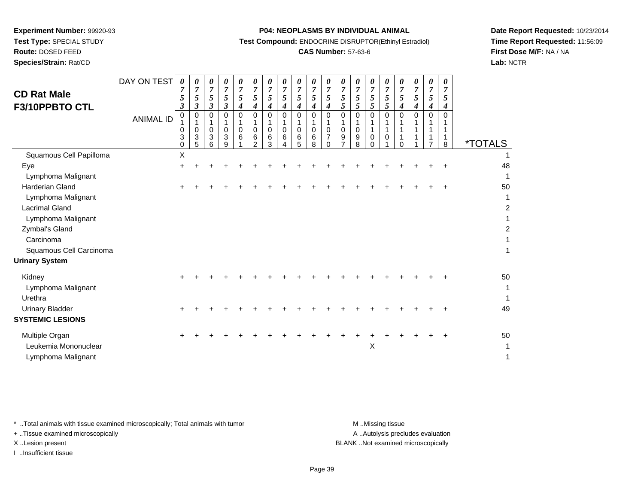**Test Type:** SPECIAL STUDY

**Route:** DOSED FEED

**Species/Strain:** Rat/CD

#### **P04: NEOPLASMS BY INDIVIDUAL ANIMAL**

**Test Compound:** ENDOCRINE DISRUPTOR(Ethinyl Estradiol)

## **CAS Number:** 57-63-6

**Date Report Requested:** 10/23/2014**Time Report Requested:** 11:56:09**First Dose M/F:** NA / NA**Lab:** NCTR

| <b>CD Rat Male</b><br>F3/10PPBTO CTL | DAY ON TEST<br><b>ANIMAL ID</b> | $\boldsymbol{\theta}$<br>7<br>5<br>3<br>0<br>0<br>3<br>0 | 0<br>$\overline{7}$<br>5<br>$\boldsymbol{\beta}$<br>0<br>0<br>3<br>5 | 0<br>$\overline{7}$<br>5<br>3<br>$\Omega$<br>1<br>0<br>3<br>6 | 0<br>$\overline{7}$<br>5<br>3<br>0<br>0<br>3<br>9 | 0<br>$\boldsymbol{7}$<br>5<br>4<br>0<br>1<br>0<br>6 | $\pmb{\theta}$<br>$\overline{7}$<br>5<br>4<br>$\Omega$<br>1<br>$\mathbf 0$<br>6<br>$\mathcal{D}$ | $\boldsymbol{\theta}$<br>$\overline{7}$<br>5<br>4<br>$\Omega$<br>1<br>0<br>6<br>3 | 0<br>$\overline{7}$<br>5<br>4<br>$\Omega$<br>1<br>0<br>6 | 0<br>$\overline{7}$<br>5<br>4<br>$\Omega$<br>$\mathbf 0$<br>6<br>5 | 0<br>$\overline{7}$<br>5<br>4<br>0<br>1<br>$\mathbf 0$<br>6<br>8 | 0<br>$\overline{7}$<br>5<br>4<br>$\mathbf 0$<br>1<br>$\mathbf 0$<br>$\overline{7}$<br>$\Omega$ | $\boldsymbol{\theta}$<br>$\overline{7}$<br>5<br>5<br>$\Omega$<br>1<br>0<br>9 | 0<br>$\overline{7}$<br>5<br>5<br>0<br>1<br>0<br>9<br>8 | 0<br>$\overline{7}$<br>5<br>5<br>0<br>0<br>$\Omega$ | $\pmb{\theta}$<br>$\boldsymbol{7}$<br>5<br>5<br>0<br>1<br>0 | 0<br>$\overline{7}$<br>5<br>4<br>$\Omega$<br>$\Omega$ | $\pmb{\theta}$<br>$\overline{7}$<br>5<br>4<br>$\Omega$ | $\boldsymbol{\theta}$<br>$\overline{7}$<br>5<br>4<br>0<br>1<br>1<br>1<br>$\overline{7}$ | 0<br>$\overline{7}$<br>5<br>4<br>$\Omega$<br>8 | <i><b>*TOTALS</b></i> |
|--------------------------------------|---------------------------------|----------------------------------------------------------|----------------------------------------------------------------------|---------------------------------------------------------------|---------------------------------------------------|-----------------------------------------------------|--------------------------------------------------------------------------------------------------|-----------------------------------------------------------------------------------|----------------------------------------------------------|--------------------------------------------------------------------|------------------------------------------------------------------|------------------------------------------------------------------------------------------------|------------------------------------------------------------------------------|--------------------------------------------------------|-----------------------------------------------------|-------------------------------------------------------------|-------------------------------------------------------|--------------------------------------------------------|-----------------------------------------------------------------------------------------|------------------------------------------------|-----------------------|
| Squamous Cell Papilloma              |                                 | Χ                                                        |                                                                      |                                                               |                                                   |                                                     |                                                                                                  |                                                                                   |                                                          |                                                                    |                                                                  |                                                                                                |                                                                              |                                                        |                                                     |                                                             |                                                       |                                                        |                                                                                         |                                                |                       |
| Eye                                  |                                 |                                                          |                                                                      |                                                               |                                                   |                                                     |                                                                                                  |                                                                                   |                                                          |                                                                    |                                                                  |                                                                                                |                                                                              |                                                        |                                                     |                                                             |                                                       |                                                        |                                                                                         |                                                | 48                    |
| Lymphoma Malignant                   |                                 |                                                          |                                                                      |                                                               |                                                   |                                                     |                                                                                                  |                                                                                   |                                                          |                                                                    |                                                                  |                                                                                                |                                                                              |                                                        |                                                     |                                                             |                                                       |                                                        |                                                                                         |                                                | 1                     |
| Harderian Gland                      |                                 |                                                          |                                                                      |                                                               |                                                   |                                                     |                                                                                                  |                                                                                   |                                                          |                                                                    |                                                                  |                                                                                                |                                                                              |                                                        |                                                     |                                                             |                                                       |                                                        |                                                                                         |                                                | 50                    |
| Lymphoma Malignant                   |                                 |                                                          |                                                                      |                                                               |                                                   |                                                     |                                                                                                  |                                                                                   |                                                          |                                                                    |                                                                  |                                                                                                |                                                                              |                                                        |                                                     |                                                             |                                                       |                                                        |                                                                                         |                                                | 1                     |
| <b>Lacrimal Gland</b>                |                                 |                                                          |                                                                      |                                                               |                                                   |                                                     |                                                                                                  |                                                                                   |                                                          |                                                                    |                                                                  |                                                                                                |                                                                              |                                                        |                                                     |                                                             |                                                       |                                                        |                                                                                         |                                                | $\overline{2}$        |
| Lymphoma Malignant                   |                                 |                                                          |                                                                      |                                                               |                                                   |                                                     |                                                                                                  |                                                                                   |                                                          |                                                                    |                                                                  |                                                                                                |                                                                              |                                                        |                                                     |                                                             |                                                       |                                                        |                                                                                         |                                                | 1                     |
| Zymbal's Gland                       |                                 |                                                          |                                                                      |                                                               |                                                   |                                                     |                                                                                                  |                                                                                   |                                                          |                                                                    |                                                                  |                                                                                                |                                                                              |                                                        |                                                     |                                                             |                                                       |                                                        |                                                                                         |                                                | $\boldsymbol{2}$      |
| Carcinoma                            |                                 |                                                          |                                                                      |                                                               |                                                   |                                                     |                                                                                                  |                                                                                   |                                                          |                                                                    |                                                                  |                                                                                                |                                                                              |                                                        |                                                     |                                                             |                                                       |                                                        |                                                                                         |                                                | $\mathbf{1}$          |
| Squamous Cell Carcinoma              |                                 |                                                          |                                                                      |                                                               |                                                   |                                                     |                                                                                                  |                                                                                   |                                                          |                                                                    |                                                                  |                                                                                                |                                                                              |                                                        |                                                     |                                                             |                                                       |                                                        |                                                                                         |                                                | $\mathbf{1}$          |
| <b>Urinary System</b>                |                                 |                                                          |                                                                      |                                                               |                                                   |                                                     |                                                                                                  |                                                                                   |                                                          |                                                                    |                                                                  |                                                                                                |                                                                              |                                                        |                                                     |                                                             |                                                       |                                                        |                                                                                         |                                                |                       |
| Kidney                               |                                 |                                                          |                                                                      |                                                               |                                                   |                                                     |                                                                                                  |                                                                                   |                                                          |                                                                    |                                                                  |                                                                                                |                                                                              |                                                        |                                                     |                                                             |                                                       |                                                        |                                                                                         |                                                | 50                    |
| Lymphoma Malignant                   |                                 |                                                          |                                                                      |                                                               |                                                   |                                                     |                                                                                                  |                                                                                   |                                                          |                                                                    |                                                                  |                                                                                                |                                                                              |                                                        |                                                     |                                                             |                                                       |                                                        |                                                                                         |                                                | $\mathbf{1}$          |
| Urethra                              |                                 |                                                          |                                                                      |                                                               |                                                   |                                                     |                                                                                                  |                                                                                   |                                                          |                                                                    |                                                                  |                                                                                                |                                                                              |                                                        |                                                     |                                                             |                                                       |                                                        |                                                                                         |                                                | 1                     |
| <b>Urinary Bladder</b>               |                                 |                                                          |                                                                      |                                                               |                                                   |                                                     |                                                                                                  |                                                                                   |                                                          |                                                                    |                                                                  |                                                                                                |                                                                              |                                                        |                                                     |                                                             |                                                       |                                                        |                                                                                         |                                                | 49                    |
| <b>SYSTEMIC LESIONS</b>              |                                 |                                                          |                                                                      |                                                               |                                                   |                                                     |                                                                                                  |                                                                                   |                                                          |                                                                    |                                                                  |                                                                                                |                                                                              |                                                        |                                                     |                                                             |                                                       |                                                        |                                                                                         |                                                |                       |
| Multiple Organ                       |                                 |                                                          |                                                                      |                                                               |                                                   |                                                     |                                                                                                  |                                                                                   |                                                          |                                                                    |                                                                  |                                                                                                |                                                                              |                                                        |                                                     |                                                             |                                                       |                                                        |                                                                                         |                                                | 50                    |
| Leukemia Mononuclear                 |                                 |                                                          |                                                                      |                                                               |                                                   |                                                     |                                                                                                  |                                                                                   |                                                          |                                                                    |                                                                  |                                                                                                |                                                                              |                                                        | Χ                                                   |                                                             |                                                       |                                                        |                                                                                         |                                                | 1                     |
| Lymphoma Malignant                   |                                 |                                                          |                                                                      |                                                               |                                                   |                                                     |                                                                                                  |                                                                                   |                                                          |                                                                    |                                                                  |                                                                                                |                                                                              |                                                        |                                                     |                                                             |                                                       |                                                        |                                                                                         |                                                | 1                     |

\* ..Total animals with tissue examined microscopically; Total animals with tumor **M** . Missing tissue M ..Missing tissue

+ ..Tissue examined microscopically

I ..Insufficient tissue

A ..Autolysis precludes evaluation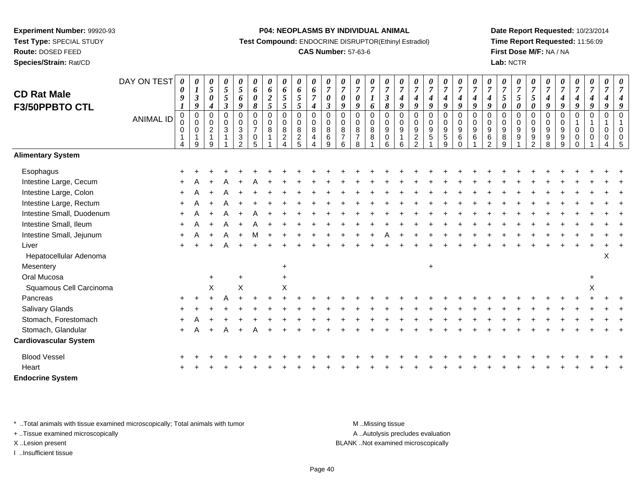**Route:** DOSED FEED

**Species/Strain:** Rat/CD

#### **P04: NEOPLASMS BY INDIVIDUAL ANIMAL**

**Test Compound:** ENDOCRINE DISRUPTOR(Ethinyl Estradiol)

## **CAS Number:** 57-63-6

**Date Report Requested:** 10/23/2014**Time Report Requested:** 11:56:09**First Dose M/F:** NA / NA**Lab:** NCTR

| <b>CD Rat Male</b>           | DAY ON TEST      | 0<br>$\boldsymbol{\theta}$<br>$\boldsymbol{g}$ | 0<br>$\boldsymbol{l}$<br>$\mathfrak{z}$ | $\boldsymbol{\theta}$<br>$\overline{5}$<br>$\boldsymbol{\theta}$ | 0<br>5<br>5                                | 0<br>$\mathfrak{s}$  | 0<br>6<br>$\boldsymbol{\theta}$          | 0<br>6                        | $\boldsymbol{\theta}$<br>6<br>$\sqrt{5}$ | 0<br>6<br>5           | 0<br>6<br>$\boldsymbol{7}$ | 0<br>$\overline{7}$<br>$\boldsymbol{\theta}$ | $\boldsymbol{\theta}$<br>$\overline{7}$<br>$\boldsymbol{\theta}$ | $\overline{7}$<br>$\boldsymbol{\theta}$ | 0<br>$\overline{7}$         | $\frac{\boldsymbol{0}}{7}$<br>$\overline{\mathbf{3}}$ | 0<br>$\overline{7}$<br>$\boldsymbol{4}$ | $\overline{7}$                  | $\boldsymbol{\theta}$<br>$\overline{7}$                | 0<br>$\overline{7}$<br>4   | $\boldsymbol{\theta}$<br>$\overline{7}$<br>$\boldsymbol{4}$ | 0<br>$\overline{7}$          | $\overline{7}$            | $\overline{7}$<br>5       | 0<br>$\overline{7}$<br>5                       | 0<br>$\boldsymbol{7}$<br>5          | $\boldsymbol{\theta}$<br>$\overline{7}$ | $\overline{7}$                       | 0<br>$\overline{7}$                  | 0<br>$\boldsymbol{7}$ | 0<br>$\overline{7}$                        | $\boldsymbol{\theta}$ |
|------------------------------|------------------|------------------------------------------------|-----------------------------------------|------------------------------------------------------------------|--------------------------------------------|----------------------|------------------------------------------|-------------------------------|------------------------------------------|-----------------------|----------------------------|----------------------------------------------|------------------------------------------------------------------|-----------------------------------------|-----------------------------|-------------------------------------------------------|-----------------------------------------|---------------------------------|--------------------------------------------------------|----------------------------|-------------------------------------------------------------|------------------------------|---------------------------|---------------------------|------------------------------------------------|-------------------------------------|-----------------------------------------|--------------------------------------|--------------------------------------|-----------------------|--------------------------------------------|-----------------------|
| F3/50PPBTO CTL               |                  | 1                                              | 9                                       | $\boldsymbol{4}$                                                 | $\boldsymbol{\beta}$                       | 6<br>9               | 8                                        | $\boldsymbol{2}$<br>5         | $\mathfrak{s}$                           | 5                     | $\boldsymbol{4}$           | $\boldsymbol{\beta}$                         | 9                                                                | 9                                       | 6                           | $\pmb{8}$                                             | 9                                       | 4<br>9                          | $\boldsymbol{4}$<br>9                                  | $\boldsymbol{g}$           | 9                                                           | $\boldsymbol{4}$<br>9        | $\boldsymbol{4}$<br>9     | 0                         | $\boldsymbol{\theta}$                          | $\boldsymbol{\theta}$               | 4<br>9                                  | $\boldsymbol{4}$<br>$\boldsymbol{g}$ | $\boldsymbol{4}$<br>$\boldsymbol{q}$ | $\boldsymbol{4}$<br>9 | $\boldsymbol{4}$<br>9                      |                       |
|                              | <b>ANIMAL ID</b> | $\pmb{0}$<br>0<br>0                            | $\mathbf 0$<br>$\mathbf 0$<br>0         | $\mathbf 0$<br>$\mathbf 0$<br>$\overline{2}$                     | $\mathsf 0$<br>$\mathbf 0$<br>$\mathbf{3}$ | 0<br>0<br>$\sqrt{3}$ | $\pmb{0}$<br>$\pmb{0}$<br>$\overline{7}$ | $\pmb{0}$<br>$\mathbf 0$<br>8 | $\overline{0}$<br>$\mathbf 0$<br>8       | 0<br>$\mathbf 0$<br>8 | $\pmb{0}$<br>0<br>$\bf 8$  | $\pmb{0}$<br>$\pmb{0}$<br>$\bf 8$            | $\mathbf 0$<br>$\mathbf 0$<br>$\bf8$                             | $\mathbf 0$<br>$\Omega$<br>$\,8\,$      | 0<br>$\mathbf 0$<br>$\bf 8$ | $\mathbf 0$<br>$\pmb{0}$<br>$\overline{9}$            | $\pmb{0}$<br>$\mathbf 0$<br>9           | $\mathbf 0$<br>$\mathbf 0$<br>9 | $\mathbf 0$<br>$\mathsf{O}\xspace$<br>$\boldsymbol{9}$ | 0<br>0<br>$\boldsymbol{9}$ | $\mathbf 0$<br>$\mathbf 0$<br>$\boldsymbol{9}$              | $\Omega$<br>$\mathbf 0$<br>9 | $\Omega$<br>$\Omega$<br>9 | $\Omega$<br>$\Omega$<br>9 | $\mathbf 0$<br>$\mathbf 0$<br>$\boldsymbol{9}$ | $\mathbf 0$<br>$\mathbf 0$<br>$9\,$ | $\mathbf 0$<br>$\Omega$<br>9            | $\mathbf 0$<br>$\Omega$<br>9         | $\mathbf 0$<br>0                     | $\mathbf 0$<br>0      | $\pmb{0}$<br>$\overline{1}$<br>$\mathbf 0$ |                       |
|                              |                  | $\mathbf{1}$<br>4                              | 9                                       | $\mathbf{1}$<br>9                                                | 1                                          | $\mathbf{3}$<br>2    | 0<br>5                                   |                               | $\overline{c}$                           | $\overline{c}$<br>5   | $\overline{4}$             | 6<br>9                                       | $\overline{7}$<br>6                                              | $\overline{7}$<br>8                     | 8                           | 0<br>6                                                | $\mathbf{1}$<br>6                       | $\overline{c}$<br>2             | $\overline{5}$                                         | $\sqrt{5}$<br>9            | 6<br>$\Omega$                                               | 6                            | $\,6\,$<br>$\mathcal{P}$  | 8<br>$\mathsf{Q}$         | 9                                              | 9<br>$\mathfrak{p}$                 | 9<br>8                                  | 9<br>q                               | $\mathbf 0$                          | $\Omega$              | $\mathbf 0$                                | 0                     |
| <b>Alimentary System</b>     |                  |                                                |                                         |                                                                  |                                            |                      |                                          |                               |                                          |                       |                            |                                              |                                                                  |                                         |                             |                                                       |                                         |                                 |                                                        |                            |                                                             |                              |                           |                           |                                                |                                     |                                         |                                      |                                      |                       |                                            |                       |
| Esophagus                    |                  |                                                |                                         |                                                                  |                                            |                      |                                          |                               |                                          |                       |                            |                                              |                                                                  |                                         |                             |                                                       |                                         |                                 |                                                        |                            |                                                             |                              |                           |                           |                                                |                                     |                                         |                                      |                                      |                       |                                            |                       |
| Intestine Large, Cecum       |                  |                                                |                                         |                                                                  |                                            |                      |                                          |                               |                                          |                       |                            |                                              |                                                                  |                                         |                             |                                                       |                                         |                                 |                                                        |                            |                                                             |                              |                           |                           |                                                |                                     |                                         |                                      |                                      |                       |                                            |                       |
| Intestine Large, Colon       |                  |                                                |                                         |                                                                  |                                            |                      |                                          |                               |                                          |                       |                            |                                              |                                                                  |                                         |                             |                                                       |                                         |                                 |                                                        |                            |                                                             |                              |                           |                           |                                                |                                     |                                         |                                      |                                      |                       |                                            |                       |
| Intestine Large, Rectum      |                  | $\ddot{}$                                      |                                         |                                                                  |                                            |                      |                                          |                               |                                          |                       |                            |                                              |                                                                  |                                         |                             |                                                       |                                         |                                 |                                                        |                            |                                                             |                              |                           |                           |                                                |                                     |                                         |                                      |                                      |                       |                                            |                       |
| Intestine Small, Duodenum    |                  |                                                |                                         |                                                                  |                                            |                      |                                          |                               |                                          |                       |                            |                                              |                                                                  |                                         |                             |                                                       |                                         |                                 |                                                        |                            |                                                             |                              |                           |                           |                                                |                                     |                                         |                                      |                                      |                       |                                            |                       |
| Intestine Small, Ileum       |                  |                                                |                                         |                                                                  |                                            |                      |                                          |                               |                                          |                       |                            |                                              |                                                                  |                                         |                             |                                                       |                                         |                                 |                                                        |                            |                                                             |                              |                           |                           |                                                |                                     |                                         |                                      |                                      |                       |                                            |                       |
| Intestine Small, Jejunum     |                  |                                                |                                         |                                                                  |                                            |                      |                                          |                               |                                          |                       |                            |                                              |                                                                  |                                         |                             |                                                       |                                         |                                 |                                                        |                            |                                                             |                              |                           |                           |                                                |                                     |                                         |                                      |                                      |                       |                                            |                       |
| Liver                        |                  |                                                |                                         |                                                                  |                                            |                      |                                          |                               |                                          |                       |                            |                                              |                                                                  |                                         |                             |                                                       |                                         |                                 |                                                        |                            |                                                             |                              |                           |                           |                                                |                                     |                                         |                                      |                                      |                       |                                            |                       |
| Hepatocellular Adenoma       |                  |                                                |                                         |                                                                  |                                            |                      |                                          |                               |                                          |                       |                            |                                              |                                                                  |                                         |                             |                                                       |                                         |                                 |                                                        |                            |                                                             |                              |                           |                           |                                                |                                     |                                         |                                      |                                      |                       | $\boldsymbol{\mathsf{X}}$                  |                       |
| Mesentery                    |                  |                                                |                                         |                                                                  |                                            |                      |                                          |                               | $\ddot{}$                                |                       |                            |                                              |                                                                  |                                         |                             |                                                       |                                         |                                 | $\ddot{}$                                              |                            |                                                             |                              |                           |                           |                                                |                                     |                                         |                                      |                                      |                       |                                            |                       |
| Oral Mucosa                  |                  |                                                |                                         | $\ddot{}$                                                        |                                            | $+$                  |                                          |                               |                                          |                       |                            |                                              |                                                                  |                                         |                             |                                                       |                                         |                                 |                                                        |                            |                                                             |                              |                           |                           |                                                |                                     |                                         |                                      |                                      |                       |                                            |                       |
| Squamous Cell Carcinoma      |                  |                                                |                                         | X                                                                |                                            | X                    |                                          |                               | X                                        |                       |                            |                                              |                                                                  |                                         |                             |                                                       |                                         |                                 |                                                        |                            |                                                             |                              |                           |                           |                                                |                                     |                                         |                                      |                                      | X                     |                                            |                       |
| Pancreas                     |                  |                                                |                                         |                                                                  |                                            |                      |                                          |                               |                                          |                       |                            |                                              |                                                                  |                                         |                             |                                                       |                                         |                                 |                                                        |                            |                                                             |                              |                           |                           |                                                |                                     |                                         |                                      |                                      |                       |                                            |                       |
| <b>Salivary Glands</b>       |                  |                                                |                                         |                                                                  |                                            |                      |                                          |                               |                                          |                       |                            |                                              |                                                                  |                                         |                             |                                                       |                                         |                                 |                                                        |                            |                                                             |                              |                           |                           |                                                |                                     |                                         |                                      |                                      |                       |                                            |                       |
| Stomach, Forestomach         |                  |                                                |                                         |                                                                  |                                            |                      |                                          |                               |                                          |                       |                            |                                              |                                                                  |                                         |                             |                                                       |                                         |                                 |                                                        |                            |                                                             |                              |                           |                           |                                                |                                     |                                         |                                      |                                      |                       |                                            |                       |
| Stomach, Glandular           |                  |                                                |                                         |                                                                  |                                            |                      |                                          |                               |                                          |                       |                            |                                              |                                                                  |                                         |                             |                                                       |                                         |                                 |                                                        |                            |                                                             |                              |                           |                           |                                                |                                     |                                         |                                      |                                      |                       |                                            |                       |
| <b>Cardiovascular System</b> |                  |                                                |                                         |                                                                  |                                            |                      |                                          |                               |                                          |                       |                            |                                              |                                                                  |                                         |                             |                                                       |                                         |                                 |                                                        |                            |                                                             |                              |                           |                           |                                                |                                     |                                         |                                      |                                      |                       |                                            |                       |
| <b>Blood Vessel</b>          |                  |                                                |                                         |                                                                  |                                            |                      |                                          |                               |                                          |                       |                            |                                              |                                                                  |                                         |                             |                                                       |                                         |                                 |                                                        |                            |                                                             |                              |                           |                           |                                                |                                     |                                         |                                      |                                      |                       |                                            |                       |
| Heart                        |                  |                                                |                                         |                                                                  |                                            |                      |                                          |                               |                                          |                       |                            |                                              |                                                                  |                                         |                             |                                                       |                                         |                                 |                                                        |                            |                                                             |                              |                           |                           |                                                |                                     |                                         |                                      |                                      |                       |                                            |                       |
| <b>Endocrine System</b>      |                  |                                                |                                         |                                                                  |                                            |                      |                                          |                               |                                          |                       |                            |                                              |                                                                  |                                         |                             |                                                       |                                         |                                 |                                                        |                            |                                                             |                              |                           |                           |                                                |                                     |                                         |                                      |                                      |                       |                                            |                       |

\* ..Total animals with tissue examined microscopically; Total animals with tumor **M** . Missing tissue M ..Missing tissue

+ ..Tissue examined microscopically

I ..Insufficient tissue

A ..Autolysis precludes evaluation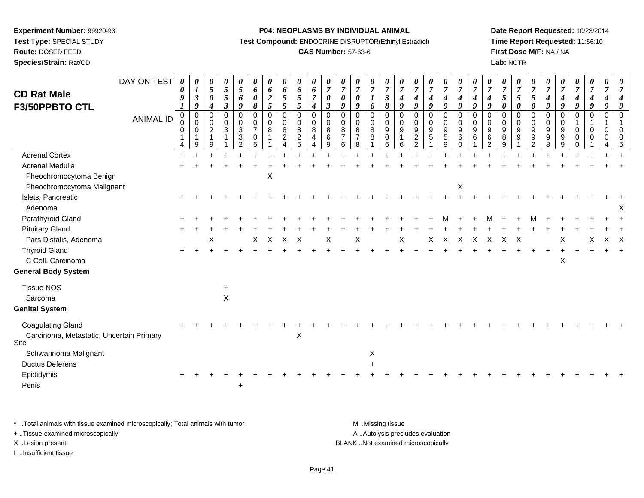# **Route:** DOSED FEED

**Species/Strain:** Rat/CD

#### **P04: NEOPLASMS BY INDIVIDUAL ANIMAL**

**Test Compound:** ENDOCRINE DISRUPTOR(Ethinyl Estradiol)

## **CAS Number:** 57-63-6

**Date Report Requested:** 10/23/2014**Time Report Requested:** 11:56:10**First Dose M/F:** NA / NA**Lab:** NCTR

| <b>CD Rat Male</b>                                                           | DAY ON TEST      | $\boldsymbol{\theta}$<br>0<br>$\boldsymbol{q}$ | 0<br>$\boldsymbol{l}$<br>$\boldsymbol{\beta}$                   | $\boldsymbol{\theta}$<br>$\overline{5}$<br>$\boldsymbol{\theta}$                      | 0<br>5<br>5                                             | 0<br>$\mathfrak{s}$<br>6                                                                                      | 0<br>6<br>$\boldsymbol{\theta}$                                     | 0<br>6<br>$\boldsymbol{2}$ | $\boldsymbol{\theta}$<br>$\boldsymbol{6}$<br>$\mathfrak{H}$              | 0<br>6<br>$\sqrt{5}$                                 | 0<br>$\boldsymbol{6}$<br>$\overline{7}$                                            | 0<br>$\overline{7}$<br>$\boldsymbol{\theta}$                   | $\boldsymbol{\theta}$<br>$\boldsymbol{7}$<br>$\boldsymbol{\theta}$ | $\overline{7}$<br>0                                   | 0<br>$\overline{7}$                    | 0<br>$\overline{7}$<br>$\mathfrak{z}$                         | $\boldsymbol{\theta}$<br>$\overline{7}$<br>$\boldsymbol{4}$ | $\overline{7}$<br>$\boldsymbol{4}$                                   | $\boldsymbol{\theta}$<br>$\overline{7}$<br>4 | 0<br>$\overline{7}$<br>$\boldsymbol{4}$                                     | $\boldsymbol{\theta}$<br>$\overline{7}$<br>$\boldsymbol{4}$<br>$\boldsymbol{q}$ | $\boldsymbol{\theta}$<br>$\overline{7}$<br>$\boldsymbol{4}$ | $\boldsymbol{\theta}$<br>$\overline{7}$<br>$\boldsymbol{4}$            | $\boldsymbol{\theta}$<br>$\overline{7}$<br>5                    | $\boldsymbol{\theta}$<br>$\boldsymbol{7}$<br>5 | 0<br>$\overline{7}$<br>5                       | $\boldsymbol{\theta}$<br>$\overline{7}$<br>$\boldsymbol{4}$ | $\boldsymbol{\theta}$<br>$\overline{7}$<br>4                  | 0<br>$\overline{7}$<br>$\boldsymbol{4}$                               | 0<br>$\boldsymbol{7}$<br>$\boldsymbol{4}$            | 0<br>$\overline{7}$                 |     |
|------------------------------------------------------------------------------|------------------|------------------------------------------------|-----------------------------------------------------------------|---------------------------------------------------------------------------------------|---------------------------------------------------------|---------------------------------------------------------------------------------------------------------------|---------------------------------------------------------------------|----------------------------|--------------------------------------------------------------------------|------------------------------------------------------|------------------------------------------------------------------------------------|----------------------------------------------------------------|--------------------------------------------------------------------|-------------------------------------------------------|----------------------------------------|---------------------------------------------------------------|-------------------------------------------------------------|----------------------------------------------------------------------|----------------------------------------------|-----------------------------------------------------------------------------|---------------------------------------------------------------------------------|-------------------------------------------------------------|------------------------------------------------------------------------|-----------------------------------------------------------------|------------------------------------------------|------------------------------------------------|-------------------------------------------------------------|---------------------------------------------------------------|-----------------------------------------------------------------------|------------------------------------------------------|-------------------------------------|-----|
| F3/50PPBTO CTL                                                               | <b>ANIMAL ID</b> | 0<br>$\mathbf 0$<br>0<br>4                     | $\boldsymbol{9}$<br>$\mathbf 0$<br>$\Omega$<br>$\mathbf 0$<br>9 | $\boldsymbol{4}$<br>$\mathbf 0$<br>$\mathbf 0$<br>$\overline{2}$<br>$\mathbf{1}$<br>9 | $\overline{\mathbf{3}}$<br>$\Omega$<br>$\mathbf 0$<br>3 | $\boldsymbol{g}$<br>$\mathbf 0$<br>$\mathsf 0$<br>$\mathbf{3}$<br>$\ensuremath{\mathsf{3}}$<br>$\overline{2}$ | 8<br>$\pmb{0}$<br>$\mathbf 0$<br>$\overline{7}$<br>$\mathbf 0$<br>5 | 5<br>$\Omega$<br>0<br>8    | 5<br>$\pmb{0}$<br>$\mathsf{O}\xspace$<br>8<br>$\overline{c}$<br>$\Delta$ | 5<br>0<br>$\overline{0}$<br>8<br>$\overline{c}$<br>5 | $\boldsymbol{4}$<br>$\mathbf 0$<br>$\mathbf 0$<br>8<br>4<br>$\boldsymbol{\Lambda}$ | $\boldsymbol{\beta}$<br>$\Omega$<br>$\mathbf 0$<br>8<br>6<br>9 | 9<br>$\Omega$<br>$\mathbf 0$<br>8<br>$\overline{7}$<br>6           | $\boldsymbol{q}$<br>$\Omega$<br>$\mathbf 0$<br>8<br>8 | 6<br>$\Omega$<br>$\mathbf 0$<br>8<br>8 | 8<br>$\Omega$<br>$\mathsf{O}\xspace$<br>9<br>$\mathbf 0$<br>6 | 9<br>$\mathbf 0$<br>$\mathbf 0$<br>9<br>1<br>6              | 9<br>$\Omega$<br>$\mathbf 0$<br>9<br>$\overline{c}$<br>$\mathcal{P}$ | $\boldsymbol{q}$<br>$\Omega$<br>0<br>9<br>5  | $\boldsymbol{q}$<br>$\mathbf 0$<br>$\mathbf 0$<br>9<br>$5\phantom{.0}$<br>9 | $\Omega$<br>$\mathbf 0$<br>9<br>6<br>$\Omega$                                   | 9<br>$\Omega$<br>$\mathbf 0$<br>9<br>6                      | $\boldsymbol{q}$<br>$\Omega$<br>$\mathbf 0$<br>9<br>6<br>$\mathcal{P}$ | $\boldsymbol{\theta}$<br>$\Omega$<br>$\mathbf 0$<br>9<br>8<br>9 | 0<br>$\Omega$<br>$\mathbf 0$<br>9<br>9         | 0<br>$\Omega$<br>0<br>9<br>9<br>$\overline{2}$ | 9<br>$\mathbf 0$<br>$\mathbf 0$<br>9<br>9<br>8              | $\boldsymbol{q}$<br>$\mathbf 0$<br>$\mathbf 0$<br>9<br>9<br>9 | $\boldsymbol{g}$<br>$\mathbf 0$<br>-1<br>$\mathbf 0$<br>0<br>$\Omega$ | 9<br>$\mathbf 0$<br>$\mathbf{1}$<br>$\mathbf 0$<br>0 | 9<br>$\Omega$<br>$\Omega$<br>0<br>4 |     |
| <b>Adrenal Cortex</b>                                                        |                  | $\ddot{}$                                      |                                                                 |                                                                                       |                                                         |                                                                                                               |                                                                     |                            |                                                                          |                                                      |                                                                                    |                                                                |                                                                    |                                                       |                                        |                                                               |                                                             |                                                                      |                                              |                                                                             |                                                                                 |                                                             |                                                                        |                                                                 |                                                |                                                |                                                             |                                                               |                                                                       |                                                      |                                     |     |
| <b>Adrenal Medulla</b><br>Pheochromocytoma Benign                            |                  |                                                |                                                                 |                                                                                       |                                                         |                                                                                                               |                                                                     | X                          |                                                                          |                                                      |                                                                                    |                                                                |                                                                    |                                                       |                                        |                                                               |                                                             |                                                                      |                                              |                                                                             |                                                                                 |                                                             |                                                                        |                                                                 |                                                |                                                |                                                             |                                                               |                                                                       |                                                      |                                     |     |
| Pheochromocytoma Malignant<br>Islets, Pancreatic<br>Adenoma                  |                  |                                                |                                                                 |                                                                                       |                                                         |                                                                                                               |                                                                     |                            |                                                                          |                                                      |                                                                                    |                                                                |                                                                    |                                                       |                                        |                                                               |                                                             |                                                                      |                                              |                                                                             | X                                                                               |                                                             |                                                                        |                                                                 |                                                |                                                |                                                             |                                                               |                                                                       |                                                      |                                     |     |
| Parathyroid Gland                                                            |                  |                                                |                                                                 |                                                                                       |                                                         |                                                                                                               |                                                                     |                            |                                                                          |                                                      |                                                                                    |                                                                |                                                                    |                                                       |                                        |                                                               |                                                             |                                                                      |                                              |                                                                             |                                                                                 |                                                             |                                                                        |                                                                 |                                                |                                                |                                                             |                                                               |                                                                       |                                                      |                                     |     |
| <b>Pituitary Gland</b>                                                       |                  |                                                |                                                                 |                                                                                       |                                                         |                                                                                                               |                                                                     |                            |                                                                          |                                                      |                                                                                    |                                                                |                                                                    |                                                       |                                        |                                                               |                                                             |                                                                      |                                              |                                                                             |                                                                                 |                                                             |                                                                        |                                                                 |                                                |                                                |                                                             |                                                               |                                                                       |                                                      |                                     |     |
| Pars Distalis, Adenoma                                                       |                  |                                                |                                                                 | х                                                                                     |                                                         |                                                                                                               | Χ                                                                   | X                          | $\mathsf{X}$                                                             | $\boldsymbol{\mathsf{X}}$                            |                                                                                    | Χ                                                              |                                                                    | Χ                                                     |                                        |                                                               | Χ                                                           |                                                                      | X                                            | X                                                                           | X                                                                               | X                                                           | $\mathsf{X}$                                                           | X                                                               | $\boldsymbol{\mathsf{X}}$                      |                                                |                                                             |                                                               |                                                                       | х                                                    |                                     | X X |
| <b>Thyroid Gland</b><br>C Cell, Carcinoma                                    |                  |                                                |                                                                 |                                                                                       |                                                         |                                                                                                               |                                                                     |                            |                                                                          |                                                      |                                                                                    |                                                                |                                                                    |                                                       |                                        |                                                               |                                                             |                                                                      |                                              |                                                                             |                                                                                 |                                                             |                                                                        |                                                                 |                                                |                                                |                                                             | X                                                             |                                                                       |                                                      |                                     |     |
| <b>General Body System</b>                                                   |                  |                                                |                                                                 |                                                                                       |                                                         |                                                                                                               |                                                                     |                            |                                                                          |                                                      |                                                                                    |                                                                |                                                                    |                                                       |                                        |                                                               |                                                             |                                                                      |                                              |                                                                             |                                                                                 |                                                             |                                                                        |                                                                 |                                                |                                                |                                                             |                                                               |                                                                       |                                                      |                                     |     |
| <b>Tissue NOS</b><br>Sarcoma                                                 |                  |                                                |                                                                 |                                                                                       | +<br>X                                                  |                                                                                                               |                                                                     |                            |                                                                          |                                                      |                                                                                    |                                                                |                                                                    |                                                       |                                        |                                                               |                                                             |                                                                      |                                              |                                                                             |                                                                                 |                                                             |                                                                        |                                                                 |                                                |                                                |                                                             |                                                               |                                                                       |                                                      |                                     |     |
| <b>Genital System</b>                                                        |                  |                                                |                                                                 |                                                                                       |                                                         |                                                                                                               |                                                                     |                            |                                                                          |                                                      |                                                                                    |                                                                |                                                                    |                                                       |                                        |                                                               |                                                             |                                                                      |                                              |                                                                             |                                                                                 |                                                             |                                                                        |                                                                 |                                                |                                                |                                                             |                                                               |                                                                       |                                                      |                                     |     |
| <b>Coagulating Gland</b><br>Carcinoma, Metastatic, Uncertain Primary<br>Site |                  |                                                |                                                                 |                                                                                       |                                                         |                                                                                                               |                                                                     |                            |                                                                          | Χ                                                    |                                                                                    |                                                                |                                                                    |                                                       |                                        |                                                               |                                                             |                                                                      |                                              |                                                                             |                                                                                 |                                                             |                                                                        |                                                                 |                                                |                                                |                                                             |                                                               |                                                                       |                                                      |                                     |     |
| Schwannoma Malignant                                                         |                  |                                                |                                                                 |                                                                                       |                                                         |                                                                                                               |                                                                     |                            |                                                                          |                                                      |                                                                                    |                                                                |                                                                    |                                                       | X                                      |                                                               |                                                             |                                                                      |                                              |                                                                             |                                                                                 |                                                             |                                                                        |                                                                 |                                                |                                                |                                                             |                                                               |                                                                       |                                                      |                                     |     |
| <b>Ductus Deferens</b><br>Epididymis<br>Penis                                |                  |                                                |                                                                 |                                                                                       |                                                         |                                                                                                               |                                                                     |                            |                                                                          |                                                      |                                                                                    |                                                                |                                                                    |                                                       |                                        |                                                               |                                                             |                                                                      |                                              |                                                                             |                                                                                 |                                                             |                                                                        |                                                                 |                                                |                                                |                                                             |                                                               |                                                                       |                                                      |                                     |     |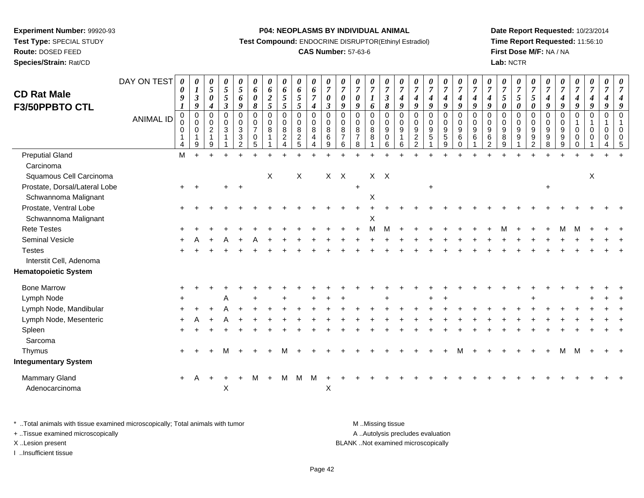**Route:** DOSED FEED

**Species/Strain:** Rat/CD

#### **P04: NEOPLASMS BY INDIVIDUAL ANIMAL**

**Test Compound:** ENDOCRINE DISRUPTOR(Ethinyl Estradiol)

## **CAS Number:** 57-63-6

**Date Report Requested:** 10/23/2014**Time Report Requested:** 11:56:10**First Dose M/F:** NA / NA**Lab:** NCTR

| <b>CD Rat Male</b>              | DAY ON TEST | 0<br>0<br>$\boldsymbol{q}$        | 0<br>$\boldsymbol{l}$<br>$\boldsymbol{\beta}$                        | 0<br>$\overline{5}$<br>$\boldsymbol{\theta}$                            | 0<br>$\overline{5}$<br>$\mathfrak{s}$                        | 0<br>$\mathfrak{H}$<br>6                                                            | 0<br>6<br>0                                                           | 0<br>6<br>$\frac{2}{5}$              | 0<br>6<br>$\sqrt{5}$                                                 | $\boldsymbol{\theta}$<br>6<br>$\mathfrak{s}$                      | $\pmb{\theta}$<br>$\boldsymbol{6}$<br>$\overline{7}$        | 0<br>$\overline{7}$<br>$\boldsymbol{\theta}$                    | 0<br>$\overline{7}$<br>0                              | 0<br>$\overline{7}$<br>0                                  | 0<br>$\boldsymbol{7}$<br>$\boldsymbol{l}$                  | 0<br>$\boldsymbol{7}$<br>$\boldsymbol{\mathfrak{z}}$ | 0<br>$\overline{7}$<br>$\boldsymbol{4}$      | 0<br>$\overline{7}$<br>$\boldsymbol{4}$                                  | $\boldsymbol{\theta}$<br>$\boldsymbol{7}$<br>$\boldsymbol{4}$                   | 0<br>$\boldsymbol{7}$<br>4                     | 0<br>$\overline{7}$<br>$\boldsymbol{4}$             | 0<br>$\overline{7}$<br>$\boldsymbol{4}$        | 0<br>$\overline{7}$<br>4                                                    | 0<br>$\overline{7}$<br>$\mathfrak{s}$                                                | 0<br>$\overline{7}$<br>5                                 | 0<br>$\overline{7}$<br>$\mathfrak{s}$                                           | 0<br>$\overline{7}$<br>4                    | 0<br>$\overline{7}$<br>$\boldsymbol{4}$                            | 0<br>$\boldsymbol{7}$<br>$\boldsymbol{4}$                 | 0<br>$\overline{7}$<br>$\boldsymbol{4}$ | 0<br>$\overline{7}$<br>$\boldsymbol{4}$ | 0<br>$\overline{7}$                                |
|---------------------------------|-------------|-----------------------------------|----------------------------------------------------------------------|-------------------------------------------------------------------------|--------------------------------------------------------------|-------------------------------------------------------------------------------------|-----------------------------------------------------------------------|--------------------------------------|----------------------------------------------------------------------|-------------------------------------------------------------------|-------------------------------------------------------------|-----------------------------------------------------------------|-------------------------------------------------------|-----------------------------------------------------------|------------------------------------------------------------|------------------------------------------------------|----------------------------------------------|--------------------------------------------------------------------------|---------------------------------------------------------------------------------|------------------------------------------------|-----------------------------------------------------|------------------------------------------------|-----------------------------------------------------------------------------|--------------------------------------------------------------------------------------|----------------------------------------------------------|---------------------------------------------------------------------------------|---------------------------------------------|--------------------------------------------------------------------|-----------------------------------------------------------|-----------------------------------------|-----------------------------------------|----------------------------------------------------|
| <b>F3/50PPBTO CTL</b>           | ANIMAL ID   | $\Omega$<br>$\mathbf 0$<br>0<br>4 | 9<br>$\mathbf 0$<br>$\mathbf 0$<br>0<br>$\overline{\mathbf{1}}$<br>9 | $\boldsymbol{4}$<br>$\Omega$<br>$\mathbf 0$<br>$\overline{c}$<br>1<br>9 | $\mathfrak{z}$<br>$\mathbf 0$<br>$\mathbf 0$<br>$\mathbf{3}$ | 9<br>$\mathbf 0$<br>$\mathbf 0$<br>3<br>$\ensuremath{\mathsf{3}}$<br>$\overline{2}$ | $\boldsymbol{\delta}$<br>$\mathbf 0$<br>0<br>$\overline{7}$<br>0<br>5 | $\mathbf 0$<br>0<br>8<br>$\mathbf 1$ | 5<br>$\mathbf 0$<br>0<br>$\bf 8$<br>$\overline{c}$<br>$\overline{4}$ | $\sqrt{5}$<br>$\pmb{0}$<br>$\mathbf 0$<br>$\bf8$<br>$\frac{2}{5}$ | $\boldsymbol{4}$<br>$\mathbf 0$<br>$\pmb{0}$<br>8<br>4<br>4 | $\mathfrak{z}$<br>$\Omega$<br>$\overline{0}$<br>8<br>6<br>$9\,$ | 9<br>$\Omega$<br>$\Omega$<br>8<br>$\overline{7}$<br>6 | 9<br>$\Omega$<br>$\mathbf{0}$<br>8<br>$\overline{7}$<br>8 | 6<br>0<br>$\pmb{0}$<br>$\bf8$<br>$\bf 8$<br>$\overline{1}$ | $\pmb{8}$<br>$\Omega$<br>$\mathbf 0$<br>9<br>0<br>6  | 9<br>$\Omega$<br>$\mathbf 0$<br>9<br>$\,6\,$ | 9<br>$\mathbf 0$<br>$\mathbf 0$<br>9<br>$\overline{c}$<br>$\overline{2}$ | $\boldsymbol{g}$<br>$\pmb{0}$<br>$\mathbf 0$<br>9<br>$\sqrt{5}$<br>$\mathbf{1}$ | 9<br>$\mathbf 0$<br>$\mathbf 0$<br>9<br>5<br>9 | $\boldsymbol{g}$<br>$\mathbf 0$<br>0<br>9<br>6<br>0 | 9<br>$\Omega$<br>0<br>9<br>6<br>$\overline{1}$ | $\boldsymbol{q}$<br>$\Omega$<br>$\mathbf 0$<br>9<br>$\,6$<br>$\overline{2}$ | $\boldsymbol{\theta}$<br>$\Omega$<br>$\mathbf 0$<br>$\boldsymbol{9}$<br>$\,8\,$<br>9 | $\pmb{\theta}$<br>$\Omega$<br>$\mathbf 0$<br>9<br>9<br>1 | $\boldsymbol{\theta}$<br>$\Omega$<br>$\overline{0}$<br>9<br>9<br>$\overline{c}$ | 9<br>$\Omega$<br>$\mathbf 0$<br>9<br>9<br>8 | $\boldsymbol{g}$<br>$\mathbf 0$<br>0<br>9<br>9<br>$\boldsymbol{9}$ | 9<br>$\mathbf 0$<br>$\mathbf{1}$<br>0<br>0<br>$\mathbf 0$ | 9<br>$\Omega$<br>$\mathbf 0$<br>0       | 9<br>$\Omega$<br>$\Omega$<br>0<br>4     | $\boldsymbol{Q}$<br>$\Omega$<br>$\Omega$<br>0<br>5 |
| <b>Preputial Gland</b>          |             | М                                 | $+$                                                                  |                                                                         | $\ddot{}$                                                    |                                                                                     |                                                                       |                                      |                                                                      |                                                                   |                                                             |                                                                 |                                                       |                                                           |                                                            |                                                      |                                              |                                                                          |                                                                                 |                                                |                                                     |                                                |                                                                             |                                                                                      |                                                          |                                                                                 |                                             |                                                                    |                                                           |                                         |                                         |                                                    |
| Carcinoma                       |             |                                   |                                                                      |                                                                         |                                                              |                                                                                     |                                                                       |                                      |                                                                      |                                                                   |                                                             |                                                                 |                                                       |                                                           |                                                            |                                                      |                                              |                                                                          |                                                                                 |                                                |                                                     |                                                |                                                                             |                                                                                      |                                                          |                                                                                 |                                             |                                                                    |                                                           |                                         |                                         |                                                    |
| Squamous Cell Carcinoma         |             |                                   |                                                                      |                                                                         |                                                              |                                                                                     |                                                                       | X                                    |                                                                      | X                                                                 |                                                             |                                                                 | $X$ $X$                                               |                                                           |                                                            | $X$ $X$                                              |                                              |                                                                          |                                                                                 |                                                |                                                     |                                                |                                                                             |                                                                                      |                                                          |                                                                                 |                                             |                                                                    |                                                           | X                                       |                                         |                                                    |
| Prostate, Dorsal/Lateral Lobe   |             | $\ddot{}$                         |                                                                      |                                                                         | ÷.                                                           | $\overline{+}$                                                                      |                                                                       |                                      |                                                                      |                                                                   |                                                             |                                                                 |                                                       | $\ddot{}$                                                 |                                                            |                                                      |                                              |                                                                          | $\ddot{}$                                                                       |                                                |                                                     |                                                |                                                                             |                                                                                      |                                                          |                                                                                 | $\ddot{}$                                   |                                                                    |                                                           |                                         |                                         |                                                    |
| Schwannoma Malignant            |             |                                   |                                                                      |                                                                         |                                                              |                                                                                     |                                                                       |                                      |                                                                      |                                                                   |                                                             |                                                                 |                                                       |                                                           | X                                                          |                                                      |                                              |                                                                          |                                                                                 |                                                |                                                     |                                                |                                                                             |                                                                                      |                                                          |                                                                                 |                                             |                                                                    |                                                           |                                         |                                         |                                                    |
| Prostate, Ventral Lobe          |             |                                   |                                                                      |                                                                         |                                                              |                                                                                     |                                                                       |                                      |                                                                      |                                                                   |                                                             |                                                                 |                                                       |                                                           |                                                            |                                                      |                                              |                                                                          |                                                                                 |                                                |                                                     |                                                |                                                                             |                                                                                      |                                                          |                                                                                 |                                             |                                                                    |                                                           |                                         |                                         |                                                    |
| Schwannoma Malignant            |             |                                   |                                                                      |                                                                         |                                                              |                                                                                     |                                                                       |                                      |                                                                      |                                                                   |                                                             |                                                                 |                                                       |                                                           | X                                                          |                                                      |                                              |                                                                          |                                                                                 |                                                |                                                     |                                                |                                                                             |                                                                                      |                                                          |                                                                                 |                                             |                                                                    |                                                           |                                         |                                         |                                                    |
| <b>Rete Testes</b>              |             |                                   |                                                                      |                                                                         |                                                              |                                                                                     |                                                                       |                                      |                                                                      |                                                                   |                                                             |                                                                 |                                                       |                                                           |                                                            |                                                      |                                              |                                                                          |                                                                                 |                                                |                                                     |                                                |                                                                             |                                                                                      |                                                          |                                                                                 |                                             |                                                                    |                                                           |                                         |                                         |                                                    |
| <b>Seminal Vesicle</b>          |             |                                   |                                                                      |                                                                         |                                                              |                                                                                     |                                                                       |                                      |                                                                      |                                                                   |                                                             |                                                                 |                                                       |                                                           |                                                            |                                                      |                                              |                                                                          |                                                                                 |                                                |                                                     |                                                |                                                                             |                                                                                      |                                                          |                                                                                 |                                             |                                                                    |                                                           |                                         |                                         |                                                    |
| <b>Testes</b>                   |             |                                   |                                                                      |                                                                         |                                                              |                                                                                     |                                                                       |                                      |                                                                      |                                                                   |                                                             |                                                                 |                                                       |                                                           |                                                            |                                                      |                                              |                                                                          |                                                                                 |                                                |                                                     |                                                |                                                                             |                                                                                      |                                                          |                                                                                 |                                             |                                                                    |                                                           |                                         |                                         |                                                    |
| Interstit Cell, Adenoma         |             |                                   |                                                                      |                                                                         |                                                              |                                                                                     |                                                                       |                                      |                                                                      |                                                                   |                                                             |                                                                 |                                                       |                                                           |                                                            |                                                      |                                              |                                                                          |                                                                                 |                                                |                                                     |                                                |                                                                             |                                                                                      |                                                          |                                                                                 |                                             |                                                                    |                                                           |                                         |                                         |                                                    |
| <b>Hematopoietic System</b>     |             |                                   |                                                                      |                                                                         |                                                              |                                                                                     |                                                                       |                                      |                                                                      |                                                                   |                                                             |                                                                 |                                                       |                                                           |                                                            |                                                      |                                              |                                                                          |                                                                                 |                                                |                                                     |                                                |                                                                             |                                                                                      |                                                          |                                                                                 |                                             |                                                                    |                                                           |                                         |                                         |                                                    |
| <b>Bone Marrow</b>              |             |                                   |                                                                      |                                                                         |                                                              |                                                                                     |                                                                       |                                      |                                                                      |                                                                   |                                                             |                                                                 |                                                       |                                                           |                                                            |                                                      |                                              |                                                                          |                                                                                 |                                                |                                                     |                                                |                                                                             |                                                                                      |                                                          |                                                                                 |                                             |                                                                    |                                                           |                                         |                                         |                                                    |
| Lymph Node                      |             |                                   |                                                                      |                                                                         | А                                                            |                                                                                     |                                                                       |                                      |                                                                      |                                                                   |                                                             |                                                                 |                                                       |                                                           |                                                            |                                                      |                                              |                                                                          |                                                                                 |                                                |                                                     |                                                |                                                                             |                                                                                      |                                                          |                                                                                 |                                             |                                                                    |                                                           |                                         |                                         |                                                    |
| Lymph Node, Mandibular          |             |                                   |                                                                      |                                                                         |                                                              |                                                                                     |                                                                       |                                      |                                                                      |                                                                   |                                                             |                                                                 |                                                       |                                                           |                                                            |                                                      |                                              |                                                                          |                                                                                 |                                                |                                                     |                                                |                                                                             |                                                                                      |                                                          |                                                                                 |                                             |                                                                    |                                                           |                                         |                                         |                                                    |
| Lymph Node, Mesenteric          |             |                                   |                                                                      |                                                                         |                                                              |                                                                                     |                                                                       |                                      |                                                                      |                                                                   |                                                             |                                                                 |                                                       |                                                           |                                                            |                                                      |                                              |                                                                          |                                                                                 |                                                |                                                     |                                                |                                                                             |                                                                                      |                                                          |                                                                                 |                                             |                                                                    |                                                           |                                         |                                         |                                                    |
| Spleen                          |             |                                   |                                                                      |                                                                         |                                                              |                                                                                     |                                                                       |                                      |                                                                      |                                                                   |                                                             |                                                                 |                                                       |                                                           |                                                            |                                                      |                                              |                                                                          |                                                                                 |                                                |                                                     |                                                |                                                                             |                                                                                      |                                                          |                                                                                 |                                             |                                                                    |                                                           |                                         |                                         |                                                    |
| Sarcoma                         |             |                                   |                                                                      |                                                                         |                                                              |                                                                                     |                                                                       |                                      |                                                                      |                                                                   |                                                             |                                                                 |                                                       |                                                           |                                                            |                                                      |                                              |                                                                          |                                                                                 |                                                |                                                     |                                                |                                                                             |                                                                                      |                                                          |                                                                                 |                                             |                                                                    |                                                           |                                         |                                         |                                                    |
| Thymus                          |             |                                   |                                                                      |                                                                         | M                                                            |                                                                                     |                                                                       |                                      |                                                                      |                                                                   |                                                             |                                                                 |                                                       |                                                           |                                                            |                                                      |                                              |                                                                          |                                                                                 |                                                |                                                     |                                                |                                                                             |                                                                                      |                                                          |                                                                                 |                                             |                                                                    |                                                           |                                         |                                         |                                                    |
| <b>Integumentary System</b>     |             |                                   |                                                                      |                                                                         |                                                              |                                                                                     |                                                                       |                                      |                                                                      |                                                                   |                                                             |                                                                 |                                                       |                                                           |                                                            |                                                      |                                              |                                                                          |                                                                                 |                                                |                                                     |                                                |                                                                             |                                                                                      |                                                          |                                                                                 |                                             |                                                                    |                                                           |                                         |                                         |                                                    |
| Mammary Gland<br>Adenocarcinoma |             | $+$                               | A                                                                    |                                                                         | X                                                            |                                                                                     | м                                                                     | $+$                                  | м                                                                    | M                                                                 | M                                                           | Χ                                                               |                                                       |                                                           |                                                            |                                                      |                                              |                                                                          |                                                                                 |                                                |                                                     |                                                |                                                                             |                                                                                      |                                                          |                                                                                 |                                             |                                                                    |                                                           |                                         |                                         |                                                    |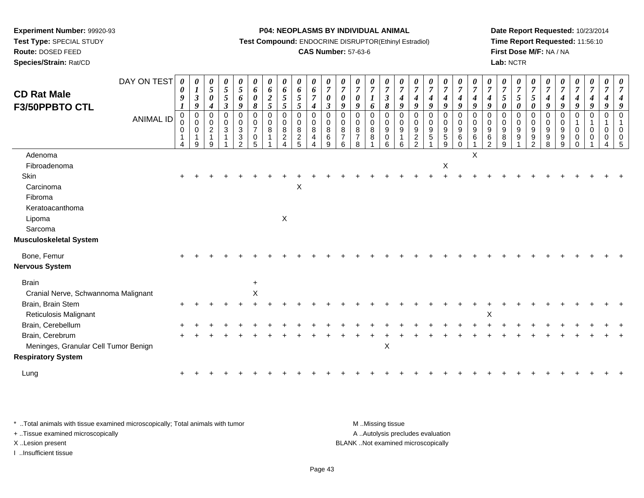**Test Type:** SPECIAL STUDY

**Route:** DOSED FEED

**Species/Strain:** Rat/CD

#### **P04: NEOPLASMS BY INDIVIDUAL ANIMAL**

**Test Compound:** ENDOCRINE DISRUPTOR(Ethinyl Estradiol)

## **CAS Number:** 57-63-6

**Date Report Requested:** 10/23/2014**Time Report Requested:** 11:56:10**First Dose M/F:** NA / NA**Lab:** NCTR

|                                      | DAY ON TEST      | 0                                          | $\boldsymbol{\theta}$                    |                                                                | 0                     | 0                                                                          | 0                                                      | $\boldsymbol{\theta}$ | U                                                    | $\boldsymbol{\theta}$                                  | 0                                               | $\boldsymbol{\theta}$                   | $\boldsymbol{\theta}$                               |                                                           | 0                                    | 0                                                                | 0                                         |                                         |                                                                  | $\boldsymbol{\theta}$                     | $\boldsymbol{\theta}$                                               | $\boldsymbol{\theta}$              |                                              |                                                       | 0                                                | 0                                                   | $\boldsymbol{\theta}$                                    |                                             |                                    | U                                  |                         |  |
|--------------------------------------|------------------|--------------------------------------------|------------------------------------------|----------------------------------------------------------------|-----------------------|----------------------------------------------------------------------------|--------------------------------------------------------|-----------------------|------------------------------------------------------|--------------------------------------------------------|-------------------------------------------------|-----------------------------------------|-----------------------------------------------------|-----------------------------------------------------------|--------------------------------------|------------------------------------------------------------------|-------------------------------------------|-----------------------------------------|------------------------------------------------------------------|-------------------------------------------|---------------------------------------------------------------------|------------------------------------|----------------------------------------------|-------------------------------------------------------|--------------------------------------------------|-----------------------------------------------------|----------------------------------------------------------|---------------------------------------------|------------------------------------|------------------------------------|-------------------------|--|
| <b>CD Rat Male</b>                   |                  | $\boldsymbol{\theta}$<br>9                 | $\boldsymbol{l}$<br>$\boldsymbol{\beta}$ | $\overline{5}$<br>$\boldsymbol{\theta}$                        | 5<br>5                | $\mathfrak{s}$<br>6                                                        | 6<br>$\boldsymbol{\theta}$                             | 6                     | 6<br>$\mathfrak{I}$                                  | 6<br>5                                                 | 6<br>$\overline{7}$                             | $\overline{7}$<br>$\boldsymbol{\theta}$ | $\overline{7}$<br>$\boldsymbol{\theta}$             | $\overline{7}$<br>$\boldsymbol{\theta}$                   | $\overline{7}$                       | $\boldsymbol{7}$<br>$\mathbf{3}$                                 | $\overline{7}$<br>$\boldsymbol{4}$        | $\overline{7}$<br>$\boldsymbol{4}$      | $\overline{7}$<br>$\boldsymbol{4}$                               | $\boldsymbol{7}$<br>$\boldsymbol{4}$      | $\overline{7}$<br>$\boldsymbol{4}$                                  | $\overline{7}$<br>$\boldsymbol{4}$ | $\overline{7}$<br>4                          | $\overline{7}$<br>$\mathfrak{s}$                      | $\overline{7}$<br>5                              | $\overline{7}$<br>$5\overline{)}$                   | $\overline{7}$<br>$\boldsymbol{4}$                       | $\overline{7}$<br>4                         | $\overline{7}$<br>$\boldsymbol{4}$ | $\overline{7}$<br>$\boldsymbol{4}$ | $\overline{7}$          |  |
| F3/50PPBTO CTL                       |                  |                                            | 9                                        | $\boldsymbol{4}$                                               | $\boldsymbol{\beta}$  | 9                                                                          | 8                                                      | $\frac{2}{5}$         | $\mathfrak{s}$                                       | 5                                                      | $\boldsymbol{4}$                                | $\boldsymbol{\beta}$                    | 9                                                   | 9                                                         | 6                                    | 8                                                                | 9                                         | 9                                       | 9                                                                | 9                                         | 9                                                                   | 9                                  | 9                                            | $\boldsymbol{\theta}$                                 | $\boldsymbol{\theta}$                            | $\boldsymbol{\theta}$                               | 9                                                        | 9                                           | 9                                  | 9                                  |                         |  |
|                                      | <b>ANIMAL ID</b> | $\pmb{0}$<br>0<br>0<br>1<br>$\overline{4}$ | $\overline{0}$<br>$\mathbf 0$<br>0<br>9  | $\Omega$<br>$\mathbf 0$<br>$\overline{2}$<br>$\mathbf{1}$<br>q | $\mathbf 0$<br>0<br>3 | $\Omega$<br>$\mathbf 0$<br>3<br>$\ensuremath{\mathsf{3}}$<br>$\mathcal{P}$ | $\mathbf 0$<br>$\mathbf 0$<br>$\overline{7}$<br>0<br>5 | 0<br>$\mathbf 0$<br>8 | $\mathbf 0$<br>$\overline{0}$<br>8<br>$\overline{c}$ | $\mathbf 0$<br>$\mathbf 0$<br>8<br>$\overline{c}$<br>5 | $\pmb{0}$<br>$\mathbf 0$<br>8<br>$\overline{4}$ | $\mathbf 0$<br>$\pmb{0}$<br>8<br>6<br>9 | $\Omega$<br>$\mathbf 0$<br>8<br>$\overline{7}$<br>6 | $\Omega$<br>$\mathbf 0$<br>8<br>$\overline{7}$<br>$\circ$ | $\mathbf 0$<br>$\mathbf 0$<br>8<br>8 | $\mathbf 0$<br>$\mathbf 0$<br>$\boldsymbol{9}$<br>$\pmb{0}$<br>6 | $\mathbf 0$<br>$\mathbf 0$<br>9<br>1<br>6 | $\Omega$<br>0<br>$9\,$<br>$\frac{2}{2}$ | $\mathbf 0$<br>$\mathbf 0$<br>$\boldsymbol{9}$<br>$\overline{5}$ | 0<br>$\mathbf 0$<br>9<br>$\mathbf 5$<br>9 | $\mathbf 0$<br>$\mathbf 0$<br>$\boldsymbol{9}$<br>$\,6$<br>$\Omega$ | $\Omega$<br>0<br>9<br>6            | $\Omega$<br>0<br>9<br>$\,6$<br>$\mathcal{L}$ | $\Omega$<br>$\mathbf 0$<br>$\boldsymbol{9}$<br>8<br>9 | $\Omega$<br>$\mathbf 0$<br>$\boldsymbol{9}$<br>9 | $\Omega$<br>$\mathbf 0$<br>9<br>9<br>$\overline{2}$ | $\mathbf 0$<br>$\mathbf 0$<br>$\boldsymbol{9}$<br>9<br>8 | $\Omega$<br>0<br>$\boldsymbol{9}$<br>9<br>9 | $\mathbf 0$<br>0<br>0              | $\Omega$<br>0                      | $\Omega$<br>1<br>0<br>0 |  |
| Adenoma                              |                  |                                            |                                          |                                                                |                       |                                                                            |                                                        |                       |                                                      |                                                        |                                                 |                                         |                                                     |                                                           |                                      |                                                                  |                                           |                                         |                                                                  |                                           |                                                                     | X                                  |                                              |                                                       |                                                  |                                                     |                                                          |                                             |                                    |                                    |                         |  |
| Fibroadenoma                         |                  |                                            |                                          |                                                                |                       |                                                                            |                                                        |                       |                                                      |                                                        |                                                 |                                         |                                                     |                                                           |                                      |                                                                  |                                           |                                         |                                                                  | $\boldsymbol{\mathsf{X}}$                 |                                                                     |                                    |                                              |                                                       |                                                  |                                                     |                                                          |                                             |                                    |                                    |                         |  |
| Skin                                 |                  |                                            |                                          |                                                                |                       |                                                                            |                                                        |                       |                                                      |                                                        |                                                 |                                         |                                                     |                                                           |                                      |                                                                  |                                           |                                         |                                                                  |                                           |                                                                     |                                    |                                              |                                                       |                                                  |                                                     |                                                          |                                             |                                    |                                    |                         |  |
| Carcinoma                            |                  |                                            |                                          |                                                                |                       |                                                                            |                                                        |                       |                                                      | X                                                      |                                                 |                                         |                                                     |                                                           |                                      |                                                                  |                                           |                                         |                                                                  |                                           |                                                                     |                                    |                                              |                                                       |                                                  |                                                     |                                                          |                                             |                                    |                                    |                         |  |
| Fibroma                              |                  |                                            |                                          |                                                                |                       |                                                                            |                                                        |                       |                                                      |                                                        |                                                 |                                         |                                                     |                                                           |                                      |                                                                  |                                           |                                         |                                                                  |                                           |                                                                     |                                    |                                              |                                                       |                                                  |                                                     |                                                          |                                             |                                    |                                    |                         |  |
| Keratoacanthoma                      |                  |                                            |                                          |                                                                |                       |                                                                            |                                                        |                       |                                                      |                                                        |                                                 |                                         |                                                     |                                                           |                                      |                                                                  |                                           |                                         |                                                                  |                                           |                                                                     |                                    |                                              |                                                       |                                                  |                                                     |                                                          |                                             |                                    |                                    |                         |  |
| Lipoma                               |                  |                                            |                                          |                                                                |                       |                                                                            |                                                        |                       | $\mathsf{X}$                                         |                                                        |                                                 |                                         |                                                     |                                                           |                                      |                                                                  |                                           |                                         |                                                                  |                                           |                                                                     |                                    |                                              |                                                       |                                                  |                                                     |                                                          |                                             |                                    |                                    |                         |  |
| Sarcoma                              |                  |                                            |                                          |                                                                |                       |                                                                            |                                                        |                       |                                                      |                                                        |                                                 |                                         |                                                     |                                                           |                                      |                                                                  |                                           |                                         |                                                                  |                                           |                                                                     |                                    |                                              |                                                       |                                                  |                                                     |                                                          |                                             |                                    |                                    |                         |  |
| <b>Musculoskeletal System</b>        |                  |                                            |                                          |                                                                |                       |                                                                            |                                                        |                       |                                                      |                                                        |                                                 |                                         |                                                     |                                                           |                                      |                                                                  |                                           |                                         |                                                                  |                                           |                                                                     |                                    |                                              |                                                       |                                                  |                                                     |                                                          |                                             |                                    |                                    |                         |  |
| Bone, Femur                          |                  |                                            |                                          |                                                                |                       |                                                                            |                                                        |                       |                                                      |                                                        |                                                 |                                         |                                                     |                                                           |                                      |                                                                  |                                           |                                         |                                                                  |                                           |                                                                     |                                    |                                              |                                                       |                                                  |                                                     |                                                          |                                             |                                    |                                    |                         |  |
| <b>Nervous System</b>                |                  |                                            |                                          |                                                                |                       |                                                                            |                                                        |                       |                                                      |                                                        |                                                 |                                         |                                                     |                                                           |                                      |                                                                  |                                           |                                         |                                                                  |                                           |                                                                     |                                    |                                              |                                                       |                                                  |                                                     |                                                          |                                             |                                    |                                    |                         |  |
| <b>Brain</b>                         |                  |                                            |                                          |                                                                |                       |                                                                            | $\ddot{}$                                              |                       |                                                      |                                                        |                                                 |                                         |                                                     |                                                           |                                      |                                                                  |                                           |                                         |                                                                  |                                           |                                                                     |                                    |                                              |                                                       |                                                  |                                                     |                                                          |                                             |                                    |                                    |                         |  |
| Cranial Nerve, Schwannoma Malignant  |                  |                                            |                                          |                                                                |                       |                                                                            | $\boldsymbol{\mathsf{X}}$                              |                       |                                                      |                                                        |                                                 |                                         |                                                     |                                                           |                                      |                                                                  |                                           |                                         |                                                                  |                                           |                                                                     |                                    |                                              |                                                       |                                                  |                                                     |                                                          |                                             |                                    |                                    |                         |  |
| Brain, Brain Stem                    |                  |                                            |                                          |                                                                |                       |                                                                            |                                                        |                       |                                                      |                                                        |                                                 |                                         |                                                     |                                                           |                                      |                                                                  |                                           |                                         |                                                                  |                                           |                                                                     |                                    |                                              |                                                       |                                                  |                                                     |                                                          |                                             |                                    |                                    |                         |  |
| <b>Reticulosis Malignant</b>         |                  |                                            |                                          |                                                                |                       |                                                                            |                                                        |                       |                                                      |                                                        |                                                 |                                         |                                                     |                                                           |                                      |                                                                  |                                           |                                         |                                                                  |                                           |                                                                     |                                    | X                                            |                                                       |                                                  |                                                     |                                                          |                                             |                                    |                                    |                         |  |
| Brain, Cerebellum                    |                  |                                            |                                          |                                                                |                       |                                                                            |                                                        |                       |                                                      |                                                        |                                                 |                                         |                                                     |                                                           |                                      |                                                                  |                                           |                                         |                                                                  |                                           |                                                                     |                                    |                                              |                                                       |                                                  |                                                     |                                                          |                                             |                                    |                                    |                         |  |
| Brain, Cerebrum                      |                  |                                            |                                          |                                                                |                       |                                                                            |                                                        |                       |                                                      |                                                        |                                                 |                                         |                                                     |                                                           |                                      |                                                                  |                                           |                                         |                                                                  |                                           |                                                                     |                                    |                                              |                                                       |                                                  |                                                     |                                                          |                                             |                                    |                                    |                         |  |
| Meninges, Granular Cell Tumor Benign |                  |                                            |                                          |                                                                |                       |                                                                            |                                                        |                       |                                                      |                                                        |                                                 |                                         |                                                     |                                                           |                                      | $\boldsymbol{\mathsf{X}}$                                        |                                           |                                         |                                                                  |                                           |                                                                     |                                    |                                              |                                                       |                                                  |                                                     |                                                          |                                             |                                    |                                    |                         |  |
| <b>Respiratory System</b>            |                  |                                            |                                          |                                                                |                       |                                                                            |                                                        |                       |                                                      |                                                        |                                                 |                                         |                                                     |                                                           |                                      |                                                                  |                                           |                                         |                                                                  |                                           |                                                                     |                                    |                                              |                                                       |                                                  |                                                     |                                                          |                                             |                                    |                                    |                         |  |
| Lung                                 |                  |                                            |                                          |                                                                |                       |                                                                            |                                                        |                       |                                                      |                                                        |                                                 |                                         |                                                     |                                                           |                                      |                                                                  |                                           |                                         |                                                                  |                                           |                                                                     |                                    |                                              |                                                       |                                                  |                                                     |                                                          |                                             |                                    |                                    |                         |  |
|                                      |                  |                                            |                                          |                                                                |                       |                                                                            |                                                        |                       |                                                      |                                                        |                                                 |                                         |                                                     |                                                           |                                      |                                                                  |                                           |                                         |                                                                  |                                           |                                                                     |                                    |                                              |                                                       |                                                  |                                                     |                                                          |                                             |                                    |                                    |                         |  |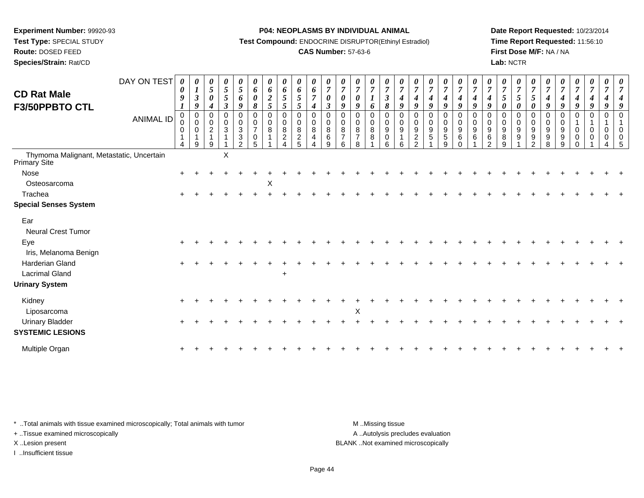**Test Type:** SPECIAL STUDY

## **Route:** DOSED FEED

**Species/Strain:** Rat/CD

#### **P04: NEOPLASMS BY INDIVIDUAL ANIMAL**

**Test Compound:** ENDOCRINE DISRUPTOR(Ethinyl Estradiol)

## **CAS Number:** 57-63-6

**Date Report Requested:** 10/23/2014**Time Report Requested:** 11:56:10**First Dose M/F:** NA / NA**Lab:** NCTR

| <b>CD Rat Male</b><br>F3/50PPBTO CTL                     | DAY ON TEST<br>ANIMAL ID | $\boldsymbol{\theta}$<br>0<br>9<br>$\pmb{0}$<br>$\mathbf 0$ | 0<br>$\boldsymbol{l}$<br>$\mathbf{3}$<br>9<br>$\mathbf 0$<br>$\mathbf 0$ | 0<br>5<br>$\pmb{\theta}$<br>4<br>$\mathbf 0$<br>$\mathbf 0$ | 0<br>$\mathfrak{z}$<br>5<br>$\boldsymbol{\beta}$<br>$\mathbf 0$<br>0 | 0<br>$\sqrt{5}$<br>6<br>9<br>0<br>$\pmb{0}$                 | 0<br>6<br>$\pmb{\theta}$<br>$\pmb{8}$<br>$\mathbf 0$<br>0 | 0<br>6<br>$\boldsymbol{2}$<br>5<br>$\mathbf 0$<br>0 | $\boldsymbol{\theta}$<br>6<br>$\sqrt{5}$<br>$\overline{5}$<br>$\mathbf 0$<br>0 | 0<br>6<br>$5\overline{)}$<br>5<br>0<br>0 | 0<br>6<br>$\boldsymbol{7}$<br>$\boldsymbol{4}$<br>$\mathbf 0$<br>0 | 0<br>$\overline{7}$<br>$\pmb{\theta}$<br>$\mathfrak{z}$<br>0<br>0 | 0<br>$\boldsymbol{7}$<br>$\pmb{\theta}$<br>9<br>$\mathbf 0$<br>0 | 0<br>$\overline{7}$<br>$\boldsymbol{\theta}$<br>9<br>$\Omega$<br>0 | 0<br>$\overline{7}$<br>$\boldsymbol{l}$<br>6<br>$\mathbf 0$<br>0 | 0<br>$\overline{7}$<br>$\mathfrak{z}$<br>$\pmb{8}$<br>$\mathbf 0$<br>0 | 0<br>$\overline{7}$<br>$\boldsymbol{4}$<br>9<br>$\mathbf 0$<br>$\mathbf 0$ | 0<br>$\overline{7}$<br>4<br>9<br>$\Omega$<br>$\mathbf 0$ | 0<br>$\overline{7}$<br>$\boldsymbol{4}$<br>9<br>$\mathbf 0$<br>0 | 0<br>$\overline{7}$<br>$\boldsymbol{4}$<br>9<br>$\pmb{0}$<br>$\pmb{0}$ | 0<br>$\overline{7}$<br>$\boldsymbol{4}$<br>$\boldsymbol{q}$<br>$\mathbf 0$<br>$\pmb{0}$ | $\boldsymbol{\theta}$<br>$\overline{7}$<br>$\boldsymbol{4}$<br>9<br>$\mathbf 0$<br>0 | $\boldsymbol{\theta}$<br>$\overline{7}$<br>$\boldsymbol{4}$<br>9<br>$\Omega$<br>0 | $\boldsymbol{\theta}$<br>$\overline{7}$<br>5<br>$\pmb{\theta}$<br>$\Omega$<br>0 | 0<br>$\overline{7}$<br>5<br>0<br>0<br>0 | $\frac{\boldsymbol{0}}{7}$<br>5<br>0<br>$\mathbf 0$<br>0 | $\boldsymbol{\theta}$<br>$\overline{7}$<br>$\boldsymbol{4}$<br>9<br>$\mathbf 0$<br>0 | $\pmb{\theta}$<br>$\overline{7}$<br>$\boldsymbol{4}$<br>9<br>$\mathbf 0$<br>0 | 0<br>$\overline{7}$<br>$\boldsymbol{4}$<br>9<br>0<br>$\overline{1}$ | 0<br>$\overline{7}$<br>$\boldsymbol{4}$<br>$\boldsymbol{9}$<br>$\pmb{0}$<br>$\mathbf{1}$ | $\boldsymbol{\theta}$<br>$\overline{7}$<br>9<br>0 | $\overline{7}$ |
|----------------------------------------------------------|--------------------------|-------------------------------------------------------------|--------------------------------------------------------------------------|-------------------------------------------------------------|----------------------------------------------------------------------|-------------------------------------------------------------|-----------------------------------------------------------|-----------------------------------------------------|--------------------------------------------------------------------------------|------------------------------------------|--------------------------------------------------------------------|-------------------------------------------------------------------|------------------------------------------------------------------|--------------------------------------------------------------------|------------------------------------------------------------------|------------------------------------------------------------------------|----------------------------------------------------------------------------|----------------------------------------------------------|------------------------------------------------------------------|------------------------------------------------------------------------|-----------------------------------------------------------------------------------------|--------------------------------------------------------------------------------------|-----------------------------------------------------------------------------------|---------------------------------------------------------------------------------|-----------------------------------------|----------------------------------------------------------|--------------------------------------------------------------------------------------|-------------------------------------------------------------------------------|---------------------------------------------------------------------|------------------------------------------------------------------------------------------|---------------------------------------------------|----------------|
|                                                          |                          | 0<br>$\mathbf{1}$<br>$\boldsymbol{\Lambda}$                 | 0<br>9                                                                   | $\boldsymbol{2}$<br>$\mathbf{1}$<br>9                       | 3                                                                    | $\ensuremath{\mathsf{3}}$<br>$\ensuremath{\mathsf{3}}$<br>2 | $\overline{7}$<br>$\pmb{0}$<br>5                          | 8                                                   | $\bf 8$<br>$\overline{c}$                                                      | $\bf 8$<br>$\overline{2}$<br>5           | 8<br>4                                                             | 8<br>6<br>9                                                       | 8<br>$\overline{7}$<br>6                                         | $\bf 8$<br>$\overline{7}$<br>8                                     | $\bf8$<br>8                                                      | 9<br>$\pmb{0}$<br>6                                                    | 9<br>6                                                                     | 9<br>$\overline{c}$<br>2                                 | 9<br>5                                                           | 9<br>$\overline{5}$<br>9                                               | $\boldsymbol{9}$<br>6<br>$\Omega$                                                       | $\boldsymbol{9}$<br>$\,6$                                                            | 9<br>$\,6$<br>ົ                                                                   | $\boldsymbol{9}$<br>8<br>9                                                      | $\boldsymbol{9}$<br>9                   | 9<br>9<br>$\mathcal{P}$                                  | 9<br>9<br>8                                                                          | 9<br>9<br>9                                                                   | 0<br>$\mathbf 0$<br>$\Omega$                                        | 0<br>0                                                                                   | 0<br>0                                            | $\Omega$       |
| Thymoma Malignant, Metastatic, Uncertain<br>Primary Site |                          |                                                             |                                                                          |                                                             | X                                                                    |                                                             |                                                           |                                                     |                                                                                |                                          |                                                                    |                                                                   |                                                                  |                                                                    |                                                                  |                                                                        |                                                                            |                                                          |                                                                  |                                                                        |                                                                                         |                                                                                      |                                                                                   |                                                                                 |                                         |                                                          |                                                                                      |                                                                               |                                                                     |                                                                                          |                                                   |                |
| Nose                                                     |                          |                                                             |                                                                          |                                                             |                                                                      |                                                             |                                                           |                                                     |                                                                                |                                          |                                                                    |                                                                   |                                                                  |                                                                    |                                                                  |                                                                        |                                                                            |                                                          |                                                                  |                                                                        |                                                                                         |                                                                                      |                                                                                   |                                                                                 |                                         |                                                          |                                                                                      |                                                                               |                                                                     |                                                                                          |                                                   |                |
| Osteosarcoma                                             |                          |                                                             |                                                                          |                                                             |                                                                      |                                                             |                                                           | X                                                   |                                                                                |                                          |                                                                    |                                                                   |                                                                  |                                                                    |                                                                  |                                                                        |                                                                            |                                                          |                                                                  |                                                                        |                                                                                         |                                                                                      |                                                                                   |                                                                                 |                                         |                                                          |                                                                                      |                                                                               |                                                                     |                                                                                          |                                                   |                |
| Trachea                                                  |                          |                                                             |                                                                          |                                                             |                                                                      |                                                             |                                                           |                                                     |                                                                                |                                          |                                                                    |                                                                   |                                                                  |                                                                    |                                                                  |                                                                        |                                                                            |                                                          |                                                                  |                                                                        |                                                                                         |                                                                                      |                                                                                   |                                                                                 |                                         |                                                          |                                                                                      |                                                                               |                                                                     |                                                                                          |                                                   |                |
| <b>Special Senses System</b>                             |                          |                                                             |                                                                          |                                                             |                                                                      |                                                             |                                                           |                                                     |                                                                                |                                          |                                                                    |                                                                   |                                                                  |                                                                    |                                                                  |                                                                        |                                                                            |                                                          |                                                                  |                                                                        |                                                                                         |                                                                                      |                                                                                   |                                                                                 |                                         |                                                          |                                                                                      |                                                                               |                                                                     |                                                                                          |                                                   |                |
| Ear<br><b>Neural Crest Tumor</b>                         |                          |                                                             |                                                                          |                                                             |                                                                      |                                                             |                                                           |                                                     |                                                                                |                                          |                                                                    |                                                                   |                                                                  |                                                                    |                                                                  |                                                                        |                                                                            |                                                          |                                                                  |                                                                        |                                                                                         |                                                                                      |                                                                                   |                                                                                 |                                         |                                                          |                                                                                      |                                                                               |                                                                     |                                                                                          |                                                   |                |
| Eye<br>Iris, Melanoma Benign                             |                          |                                                             |                                                                          |                                                             |                                                                      |                                                             |                                                           |                                                     |                                                                                |                                          |                                                                    |                                                                   |                                                                  |                                                                    |                                                                  |                                                                        |                                                                            |                                                          |                                                                  |                                                                        |                                                                                         |                                                                                      |                                                                                   |                                                                                 |                                         |                                                          |                                                                                      |                                                                               |                                                                     |                                                                                          |                                                   |                |
| Harderian Gland                                          |                          |                                                             |                                                                          |                                                             |                                                                      |                                                             |                                                           |                                                     |                                                                                |                                          |                                                                    |                                                                   |                                                                  |                                                                    |                                                                  |                                                                        |                                                                            |                                                          |                                                                  |                                                                        |                                                                                         |                                                                                      |                                                                                   |                                                                                 |                                         |                                                          |                                                                                      |                                                                               |                                                                     |                                                                                          |                                                   |                |
| <b>Lacrimal Gland</b>                                    |                          |                                                             |                                                                          |                                                             |                                                                      |                                                             |                                                           |                                                     | $\ddot{}$                                                                      |                                          |                                                                    |                                                                   |                                                                  |                                                                    |                                                                  |                                                                        |                                                                            |                                                          |                                                                  |                                                                        |                                                                                         |                                                                                      |                                                                                   |                                                                                 |                                         |                                                          |                                                                                      |                                                                               |                                                                     |                                                                                          |                                                   |                |
| <b>Urinary System</b>                                    |                          |                                                             |                                                                          |                                                             |                                                                      |                                                             |                                                           |                                                     |                                                                                |                                          |                                                                    |                                                                   |                                                                  |                                                                    |                                                                  |                                                                        |                                                                            |                                                          |                                                                  |                                                                        |                                                                                         |                                                                                      |                                                                                   |                                                                                 |                                         |                                                          |                                                                                      |                                                                               |                                                                     |                                                                                          |                                                   |                |
| Kidney<br>Liposarcoma                                    |                          |                                                             |                                                                          |                                                             |                                                                      |                                                             |                                                           |                                                     |                                                                                |                                          |                                                                    |                                                                   |                                                                  | X                                                                  |                                                                  |                                                                        |                                                                            |                                                          |                                                                  |                                                                        |                                                                                         |                                                                                      |                                                                                   |                                                                                 |                                         |                                                          |                                                                                      |                                                                               |                                                                     |                                                                                          |                                                   |                |
| Urinary Bladder<br><b>SYSTEMIC LESIONS</b>               |                          |                                                             |                                                                          |                                                             |                                                                      |                                                             |                                                           |                                                     |                                                                                |                                          |                                                                    |                                                                   |                                                                  |                                                                    |                                                                  |                                                                        |                                                                            |                                                          |                                                                  |                                                                        |                                                                                         |                                                                                      |                                                                                   |                                                                                 |                                         |                                                          |                                                                                      |                                                                               |                                                                     |                                                                                          |                                                   |                |
| Multiple Organ                                           |                          |                                                             |                                                                          |                                                             |                                                                      |                                                             |                                                           |                                                     |                                                                                |                                          |                                                                    |                                                                   |                                                                  |                                                                    |                                                                  |                                                                        |                                                                            |                                                          |                                                                  |                                                                        |                                                                                         |                                                                                      |                                                                                   |                                                                                 |                                         |                                                          |                                                                                      |                                                                               |                                                                     |                                                                                          |                                                   |                |

\* ..Total animals with tissue examined microscopically; Total animals with tumor **M** . Missing tissue M ..Missing tissue

+ ..Tissue examined microscopically

I ..Insufficient tissue

A ..Autolysis precludes evaluation X ..Lesion present BLANK ..Not examined microscopically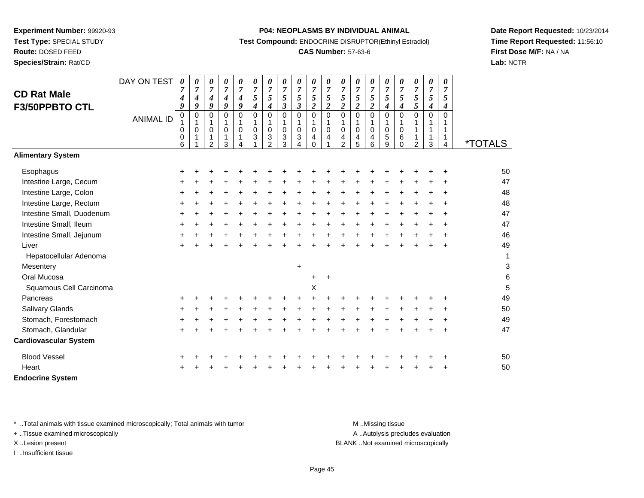**Route:** DOSED FEED

**Species/Strain:** Rat/CD

#### **P04: NEOPLASMS BY INDIVIDUAL ANIMAL**

**Test Compound:** ENDOCRINE DISRUPTOR(Ethinyl Estradiol)

## **CAS Number:** 57-63-6

**Date Report Requested:** 10/23/2014**Time Report Requested:** 11:56:10**First Dose M/F:** NA / NA**Lab:** NCTR

|                                      | DAY ON TEST      | $\boldsymbol{\theta}$ | 0                        | $\boldsymbol{\theta}$                     | 0                                         | 0                        | 0                                    | 0                                                                 | 0                                                                          | 0                                           | 0                                                       | 0                                       | 0                                                | 0                                       | 0                                     | 0                                                           | 0                                             | 0                             | 0                          | 0                            |                       |
|--------------------------------------|------------------|-----------------------|--------------------------|-------------------------------------------|-------------------------------------------|--------------------------|--------------------------------------|-------------------------------------------------------------------|----------------------------------------------------------------------------|---------------------------------------------|---------------------------------------------------------|-----------------------------------------|--------------------------------------------------|-----------------------------------------|---------------------------------------|-------------------------------------------------------------|-----------------------------------------------|-------------------------------|----------------------------|------------------------------|-----------------------|
| <b>CD Rat Male</b><br>F3/50PPBTO CTL |                  | 7<br>4<br>9           | $\overline{7}$<br>4<br>9 | $\overline{7}$<br>4<br>9                  | $\boldsymbol{7}$<br>$\boldsymbol{4}$<br>9 | $\overline{7}$<br>4<br>9 | $\boldsymbol{7}$<br>$\sqrt{5}$<br>4  | $\overline{7}$<br>$\mathfrak{s}$<br>$\boldsymbol{4}$              | $\overline{7}$<br>$\sqrt{5}$<br>$\boldsymbol{\beta}$                       | $\overline{7}$<br>5<br>$\boldsymbol{\beta}$ | $\overline{7}$<br>5<br>$\overline{\mathbf{c}}$          | $\overline{7}$<br>5<br>$\boldsymbol{2}$ | $\overline{7}$<br>$\sqrt{5}$<br>$\boldsymbol{2}$ | $\overline{7}$<br>5<br>$\boldsymbol{2}$ | $\overline{7}$<br>5<br>$\overline{c}$ | $\boldsymbol{7}$<br>$\overline{5}$<br>$\boldsymbol{4}$      | $\overline{7}$<br>5<br>4                      | $\boldsymbol{7}$<br>5<br>5    | $\boldsymbol{7}$<br>5<br>4 | $\overline{7}$<br>5<br>4     |                       |
|                                      | <b>ANIMAL ID</b> | 0<br>0<br>0<br>6      | 0<br>1<br>0<br>1         | $\Omega$<br>1<br>0<br>1<br>$\overline{2}$ | $\Omega$<br>1<br>0<br>3                   | $\Omega$<br>$\mathbf 0$  | $\mathbf 0$<br>1<br>$\mathbf 0$<br>3 | $\mathbf 0$<br>$\mathbf{1}$<br>$\mathbf 0$<br>3<br>$\mathfrak{p}$ | $\mathbf 0$<br>$\mathbf{1}$<br>$\pmb{0}$<br>$\ensuremath{\mathsf{3}}$<br>3 | 0<br>1<br>$\mathbf 0$<br>3<br>4             | $\pmb{0}$<br>$\mathbf{1}$<br>$\pmb{0}$<br>4<br>$\Omega$ | $\mathbf 0$<br>$\mathbf{1}$<br>0<br>4   | $\mathbf 0$<br>0<br>4<br>$\overline{2}$          | 0<br>1<br>$\mathbf 0$<br>4<br>5         | 0<br>1<br>0<br>4<br>6                 | $\mathbf 0$<br>$\mathbf{1}$<br>$\mathbf 0$<br>$\frac{5}{9}$ | $\Omega$<br>1<br>$\mathbf 0$<br>6<br>$\Omega$ | $\mathbf 0$<br>$\overline{2}$ | 0<br>1<br>1<br>1<br>3      | $\Omega$<br>1<br>1<br>1<br>4 | <i><b>*TOTALS</b></i> |
| <b>Alimentary System</b>             |                  |                       |                          |                                           |                                           |                          |                                      |                                                                   |                                                                            |                                             |                                                         |                                         |                                                  |                                         |                                       |                                                             |                                               |                               |                            |                              |                       |
| Esophagus                            |                  | +                     |                          |                                           |                                           |                          |                                      |                                                                   |                                                                            |                                             |                                                         |                                         |                                                  |                                         |                                       |                                                             |                                               |                               |                            |                              | 50                    |
| Intestine Large, Cecum               |                  |                       |                          |                                           |                                           |                          |                                      |                                                                   |                                                                            |                                             |                                                         |                                         |                                                  |                                         |                                       |                                                             |                                               |                               |                            |                              | 47                    |
| Intestine Large, Colon               |                  | ÷                     |                          |                                           |                                           |                          |                                      |                                                                   |                                                                            |                                             |                                                         |                                         |                                                  |                                         |                                       |                                                             |                                               |                               |                            |                              | 48                    |
| Intestine Large, Rectum              |                  | ÷                     |                          |                                           |                                           |                          |                                      |                                                                   |                                                                            |                                             |                                                         |                                         |                                                  |                                         |                                       |                                                             |                                               |                               |                            |                              | 48                    |
| Intestine Small, Duodenum            |                  | $\ddot{}$             |                          |                                           |                                           |                          |                                      |                                                                   |                                                                            |                                             |                                                         |                                         |                                                  |                                         |                                       |                                                             |                                               |                               |                            |                              | 47                    |
| Intestine Small, Ileum               |                  | $\ddot{}$             |                          |                                           |                                           |                          |                                      |                                                                   |                                                                            |                                             |                                                         |                                         |                                                  |                                         |                                       |                                                             |                                               |                               |                            |                              | 47                    |
| Intestine Small, Jejunum             |                  |                       |                          |                                           |                                           |                          |                                      |                                                                   |                                                                            |                                             |                                                         |                                         |                                                  |                                         |                                       |                                                             |                                               |                               |                            |                              | 46                    |
| Liver                                |                  |                       |                          |                                           |                                           |                          |                                      |                                                                   |                                                                            |                                             |                                                         |                                         |                                                  |                                         |                                       |                                                             |                                               |                               |                            |                              | 49                    |
| Hepatocellular Adenoma               |                  |                       |                          |                                           |                                           |                          |                                      |                                                                   |                                                                            |                                             |                                                         |                                         |                                                  |                                         |                                       |                                                             |                                               |                               |                            |                              | 1                     |
| Mesentery                            |                  |                       |                          |                                           |                                           |                          |                                      |                                                                   |                                                                            | $\ddot{}$                                   |                                                         |                                         |                                                  |                                         |                                       |                                                             |                                               |                               |                            |                              | 3                     |
| Oral Mucosa                          |                  |                       |                          |                                           |                                           |                          |                                      |                                                                   |                                                                            |                                             | +                                                       | $\ddot{}$                               |                                                  |                                         |                                       |                                                             |                                               |                               |                            |                              | $\,6$                 |
| Squamous Cell Carcinoma              |                  |                       |                          |                                           |                                           |                          |                                      |                                                                   |                                                                            |                                             | X                                                       |                                         |                                                  |                                         |                                       |                                                             |                                               |                               |                            |                              | 5                     |
| Pancreas                             |                  |                       |                          |                                           |                                           |                          |                                      |                                                                   |                                                                            |                                             |                                                         |                                         |                                                  |                                         |                                       |                                                             |                                               |                               |                            |                              | 49                    |
| Salivary Glands                      |                  |                       |                          |                                           |                                           |                          |                                      |                                                                   |                                                                            |                                             |                                                         |                                         |                                                  |                                         |                                       |                                                             |                                               |                               |                            |                              | 50                    |
| Stomach, Forestomach                 |                  |                       |                          |                                           |                                           |                          |                                      |                                                                   |                                                                            |                                             |                                                         |                                         |                                                  |                                         |                                       |                                                             |                                               |                               |                            |                              | 49                    |
| Stomach, Glandular                   |                  |                       |                          |                                           |                                           |                          |                                      |                                                                   |                                                                            |                                             |                                                         |                                         |                                                  |                                         |                                       |                                                             |                                               |                               |                            |                              | 47                    |
| <b>Cardiovascular System</b>         |                  |                       |                          |                                           |                                           |                          |                                      |                                                                   |                                                                            |                                             |                                                         |                                         |                                                  |                                         |                                       |                                                             |                                               |                               |                            |                              |                       |
| <b>Blood Vessel</b>                  |                  |                       |                          |                                           |                                           |                          |                                      |                                                                   |                                                                            |                                             |                                                         |                                         |                                                  |                                         |                                       |                                                             |                                               |                               |                            |                              | 50                    |
| Heart                                |                  |                       |                          |                                           |                                           |                          |                                      |                                                                   |                                                                            |                                             |                                                         |                                         |                                                  |                                         |                                       |                                                             |                                               |                               |                            |                              | 50                    |
| <b>Endocrine System</b>              |                  |                       |                          |                                           |                                           |                          |                                      |                                                                   |                                                                            |                                             |                                                         |                                         |                                                  |                                         |                                       |                                                             |                                               |                               |                            |                              |                       |

\* ..Total animals with tissue examined microscopically; Total animals with tumor **M** . Missing tissue M ..Missing tissue

+ ..Tissue examined microscopically

I ..Insufficient tissue

A ..Autolysis precludes evaluation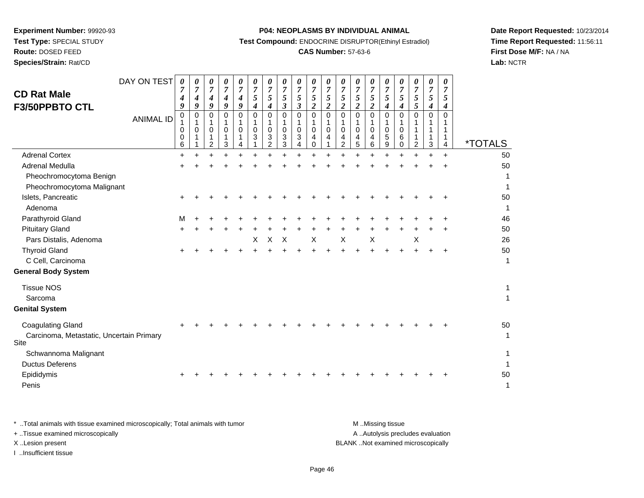**Route:** DOSED FEED

**Species/Strain:** Rat/CD

#### **P04: NEOPLASMS BY INDIVIDUAL ANIMAL**

**Test Compound:** ENDOCRINE DISRUPTOR(Ethinyl Estradiol)

## **CAS Number:** 57-63-6

**Date Report Requested:** 10/23/2014**Time Report Requested:** 11:56:11**First Dose M/F:** NA / NA**Lab:** NCTR

| DAY ON TEST<br><b>CD Rat Male</b><br><b>F3/50PPBTO CTL</b>                   | 0<br>4<br>9<br>$\mathbf 0$ | 0<br>$\overline{7}$<br>4<br>9<br>$\mathbf 0$ | 0<br>$\overline{7}$<br>4<br>$\boldsymbol{q}$<br>0 | 0<br>7<br>4<br>9<br>0 | 0<br>$\overline{7}$<br>$\boldsymbol{4}$<br>9<br>$\Omega$ | 0<br>$\overline{7}$<br>$\sqrt{5}$<br>$\boldsymbol{4}$<br>$\Omega$ | 0<br>$\overline{7}$<br>5<br>4<br>$\Omega$ | 0<br>$\overline{7}$<br>$\sqrt{5}$<br>$\boldsymbol{\beta}$<br>$\mathbf 0$ | 0<br>$\overline{7}$<br>5<br>$\overline{\mathbf{3}}$<br>0 | 0<br>$\overline{7}$<br>5<br>$\overline{2}$<br>0 | 0<br>7<br>$\mathfrak{s}$<br>$\overline{2}$<br>$\Omega$ | 0<br>$\overline{7}$<br>$\sqrt{5}$<br>$\boldsymbol{2}$<br>$\mathbf 0$ | 0<br>$\overline{7}$<br>5<br>$\boldsymbol{2}$<br>$\mathbf 0$ | 0<br>7<br>5<br>$\overline{\mathbf{c}}$<br>0 | 0<br>$\overline{7}$<br>$\mathfrak{s}$<br>$\boldsymbol{4}$<br>0 | 0<br>$\overline{7}$<br>$\mathfrak{s}$<br>$\boldsymbol{4}$<br>$\Omega$ | 0<br>$\overline{7}$<br>$\mathfrak{s}$<br>5<br>$\Omega$ | 0<br>$\overline{7}$<br>5<br>4<br>$\mathbf 0$ | 0<br>7<br>5<br>4<br>$\Omega$ |                       |
|------------------------------------------------------------------------------|----------------------------|----------------------------------------------|---------------------------------------------------|-----------------------|----------------------------------------------------------|-------------------------------------------------------------------|-------------------------------------------|--------------------------------------------------------------------------|----------------------------------------------------------|-------------------------------------------------|--------------------------------------------------------|----------------------------------------------------------------------|-------------------------------------------------------------|---------------------------------------------|----------------------------------------------------------------|-----------------------------------------------------------------------|--------------------------------------------------------|----------------------------------------------|------------------------------|-----------------------|
| <b>ANIMAL ID</b>                                                             | 1<br>0<br>0<br>6           | $\mathbf 1$<br>0                             | 1<br>0<br>1<br>$\overline{2}$                     | 0<br>1<br>3           | $\Omega$                                                 | 0<br>3                                                            | 0<br>3<br>$\overline{2}$                  | $\mathbf{1}$<br>$\mathbf 0$<br>$\ensuremath{\mathsf{3}}$<br>3            | 1<br>0<br>3                                              | 1<br>$\mathbf 0$<br>4<br>$\Omega$               | 1<br>0<br>4                                            | 0<br>4<br>2                                                          | 0<br>4<br>5                                                 | 0<br>4<br>6                                 | 1<br>$\mathbf 0$<br>$\sqrt{5}$<br>9                            | 0<br>6<br>0                                                           | $\overline{c}$                                         | $\mathbf 1$<br>1<br>$\mathbf{3}$             | 1<br>4                       | <i><b>*TOTALS</b></i> |
| <b>Adrenal Cortex</b>                                                        | $\ddot{}$                  |                                              |                                                   | $\ddot{}$             | ÷                                                        |                                                                   |                                           | $\ddot{}$                                                                | $\ddot{}$                                                |                                                 |                                                        |                                                                      |                                                             | $\ddot{}$                                   |                                                                |                                                                       |                                                        | $\ddot{}$                                    | $\ddot{}$                    | 50                    |
| Adrenal Medulla                                                              |                            |                                              |                                                   |                       |                                                          |                                                                   |                                           |                                                                          |                                                          |                                                 |                                                        |                                                                      |                                                             |                                             |                                                                |                                                                       |                                                        |                                              |                              | 50                    |
| Pheochromocytoma Benign<br>Pheochromocytoma Malignant                        |                            |                                              |                                                   |                       |                                                          |                                                                   |                                           |                                                                          |                                                          |                                                 |                                                        |                                                                      |                                                             |                                             |                                                                |                                                                       |                                                        |                                              |                              | 1<br>1                |
| Islets, Pancreatic<br>Adenoma                                                |                            |                                              |                                                   |                       |                                                          |                                                                   |                                           |                                                                          |                                                          |                                                 |                                                        |                                                                      |                                                             |                                             |                                                                |                                                                       |                                                        |                                              |                              | 50<br>1               |
| Parathyroid Gland                                                            | м                          |                                              |                                                   |                       |                                                          |                                                                   |                                           |                                                                          |                                                          |                                                 |                                                        |                                                                      |                                                             |                                             |                                                                |                                                                       |                                                        |                                              |                              | 46                    |
| <b>Pituitary Gland</b>                                                       | $\div$                     |                                              |                                                   |                       |                                                          |                                                                   |                                           |                                                                          |                                                          |                                                 |                                                        |                                                                      |                                                             |                                             |                                                                |                                                                       |                                                        |                                              |                              | 50                    |
| Pars Distalis, Adenoma                                                       |                            |                                              |                                                   |                       |                                                          | X                                                                 | X                                         | $\boldsymbol{\mathsf{X}}$                                                |                                                          | $\sf X$                                         |                                                        | $\mathsf X$                                                          |                                                             | $\boldsymbol{\mathsf{X}}$                   |                                                                |                                                                       | X                                                      |                                              |                              | 26                    |
| <b>Thyroid Gland</b>                                                         |                            |                                              |                                                   |                       |                                                          |                                                                   |                                           |                                                                          |                                                          |                                                 |                                                        |                                                                      |                                                             |                                             |                                                                |                                                                       |                                                        |                                              |                              | 50                    |
| C Cell, Carcinoma                                                            |                            |                                              |                                                   |                       |                                                          |                                                                   |                                           |                                                                          |                                                          |                                                 |                                                        |                                                                      |                                                             |                                             |                                                                |                                                                       |                                                        |                                              |                              | $\mathbf{1}$          |
| <b>General Body System</b>                                                   |                            |                                              |                                                   |                       |                                                          |                                                                   |                                           |                                                                          |                                                          |                                                 |                                                        |                                                                      |                                                             |                                             |                                                                |                                                                       |                                                        |                                              |                              |                       |
| <b>Tissue NOS</b><br>Sarcoma                                                 |                            |                                              |                                                   |                       |                                                          |                                                                   |                                           |                                                                          |                                                          |                                                 |                                                        |                                                                      |                                                             |                                             |                                                                |                                                                       |                                                        |                                              |                              | 1<br>$\mathbf{1}$     |
| <b>Genital System</b>                                                        |                            |                                              |                                                   |                       |                                                          |                                                                   |                                           |                                                                          |                                                          |                                                 |                                                        |                                                                      |                                                             |                                             |                                                                |                                                                       |                                                        |                                              |                              |                       |
| <b>Coagulating Gland</b><br>Carcinoma, Metastatic, Uncertain Primary<br>Site |                            |                                              |                                                   |                       |                                                          |                                                                   |                                           |                                                                          |                                                          |                                                 |                                                        |                                                                      |                                                             |                                             |                                                                |                                                                       |                                                        |                                              |                              | 50<br>$\mathbf 1$     |
| Schwannoma Malignant                                                         |                            |                                              |                                                   |                       |                                                          |                                                                   |                                           |                                                                          |                                                          |                                                 |                                                        |                                                                      |                                                             |                                             |                                                                |                                                                       |                                                        |                                              |                              | $\mathbf{1}$          |
| <b>Ductus Deferens</b>                                                       |                            |                                              |                                                   |                       |                                                          |                                                                   |                                           |                                                                          |                                                          |                                                 |                                                        |                                                                      |                                                             |                                             |                                                                |                                                                       |                                                        |                                              |                              | 1                     |
| Epididymis                                                                   |                            |                                              |                                                   |                       |                                                          |                                                                   |                                           |                                                                          |                                                          |                                                 |                                                        |                                                                      |                                                             |                                             |                                                                |                                                                       |                                                        |                                              |                              | 50                    |
| Penis                                                                        |                            |                                              |                                                   |                       |                                                          |                                                                   |                                           |                                                                          |                                                          |                                                 |                                                        |                                                                      |                                                             |                                             |                                                                |                                                                       |                                                        |                                              |                              | $\mathbf{1}$          |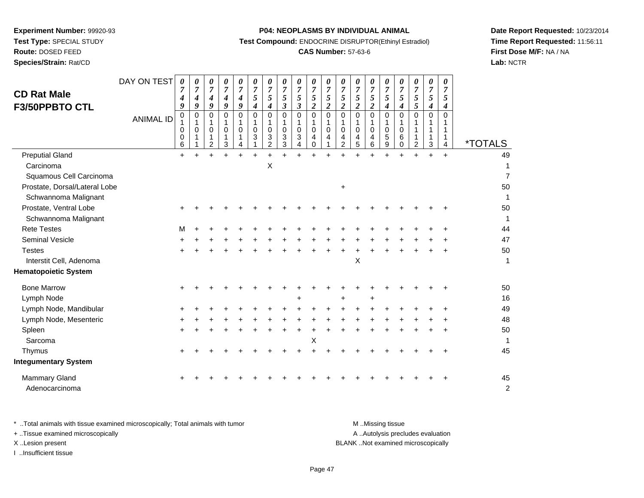**Route:** DOSED FEED

**Species/Strain:** Rat/CD

#### **P04: NEOPLASMS BY INDIVIDUAL ANIMAL**

**Test Compound:** ENDOCRINE DISRUPTOR(Ethinyl Estradiol)

## **CAS Number:** 57-63-6

**Date Report Requested:** 10/23/2014**Time Report Requested:** 11:56:11**First Dose M/F:** NA / NA**Lab:** NCTR

| <b>CD Rat Male</b><br>F3/50PPBTO CTL   | DAY ON TEST<br><b>ANIMAL ID</b> | $\boldsymbol{\theta}$<br>7<br>4<br>9<br>0<br>1<br>0<br>0<br>6 | 0<br>7<br>4<br>9<br>0<br>1<br>$\mathbf 0$ | 0<br>$\overline{7}$<br>4<br>9<br>0<br>$\mathbf 0$<br>1<br>$\overline{2}$ | 0<br>$\boldsymbol{7}$<br>4<br>9<br>0<br>$\mathbf 0$<br>1<br>3 | 0<br>$\boldsymbol{7}$<br>4<br>9<br>$\mathbf 0$<br>1<br>$\mathbf 0$<br>4 | 0<br>$\overline{7}$<br>5<br>$\boldsymbol{4}$<br>$\Omega$<br>1<br>$\mathbf 0$<br>3 | 0<br>$\overline{7}$<br>5<br>4<br>0<br>-1<br>$\mathbf 0$<br>3<br>$\overline{2}$ | 0<br>$\boldsymbol{7}$<br>5<br>$\mathfrak{z}$<br>0<br>1<br>$\mathbf 0$<br>3<br>3 | 0<br>$\overline{7}$<br>$\sqrt{5}$<br>$\mathfrak{z}$<br>$\mathsf 0$<br>1<br>$\mathbf 0$<br>3<br>4 | 0<br>$\overline{7}$<br>$\sqrt{5}$<br>$\overline{2}$<br>$\mathsf 0$<br>$\mathbf{1}$<br>$\mathbf 0$<br>4<br>$\mathbf 0$ | 0<br>7<br>$\sqrt{5}$<br>$\overline{2}$<br>$\Omega$<br>1<br>$\mathbf 0$<br>4 | 0<br>$\overline{7}$<br>$\sqrt{5}$<br>$\overline{2}$<br>$\mathbf 0$<br>0<br>4<br>$\overline{2}$ | 0<br>$\overline{7}$<br>5<br>$\overline{c}$<br>0<br>1<br>$\mathbf 0$<br>4<br>5 | 0<br>$\overline{7}$<br>5<br>$\overline{2}$<br>$\pmb{0}$<br>1<br>$\mathbf 0$<br>4<br>6 | 0<br>$\overline{7}$<br>5<br>$\boldsymbol{4}$<br>$\mathbf 0$<br>1<br>$\mathbf 0$<br>$\sqrt{5}$<br>9 | 0<br>7<br>5<br>$\boldsymbol{4}$<br>$\Omega$<br>1<br>$\mathbf 0$<br>6<br>$\mathbf 0$ | 0<br>7<br>5<br>5<br>$\Omega$<br>$\overline{a}$ | 0<br>$\overline{7}$<br>$\overline{5}$<br>$\boldsymbol{4}$<br>$\mathbf 0$<br>1<br>1<br>1<br>$\mathbf{3}$ | 0<br>7<br>5<br>4<br>$\Omega$<br>1<br>1<br>4 | <i><b>*TOTALS</b></i> |
|----------------------------------------|---------------------------------|---------------------------------------------------------------|-------------------------------------------|--------------------------------------------------------------------------|---------------------------------------------------------------|-------------------------------------------------------------------------|-----------------------------------------------------------------------------------|--------------------------------------------------------------------------------|---------------------------------------------------------------------------------|--------------------------------------------------------------------------------------------------|-----------------------------------------------------------------------------------------------------------------------|-----------------------------------------------------------------------------|------------------------------------------------------------------------------------------------|-------------------------------------------------------------------------------|---------------------------------------------------------------------------------------|----------------------------------------------------------------------------------------------------|-------------------------------------------------------------------------------------|------------------------------------------------|---------------------------------------------------------------------------------------------------------|---------------------------------------------|-----------------------|
| <b>Preputial Gland</b>                 |                                 | $+$                                                           |                                           | ÷                                                                        |                                                               | ÷                                                                       |                                                                                   |                                                                                |                                                                                 |                                                                                                  | $\ddot{}$                                                                                                             |                                                                             |                                                                                                |                                                                               |                                                                                       |                                                                                                    |                                                                                     |                                                | ÷                                                                                                       | $\ddot{}$                                   | 49                    |
| Carcinoma                              |                                 |                                                               |                                           |                                                                          |                                                               |                                                                         |                                                                                   | Χ                                                                              |                                                                                 |                                                                                                  |                                                                                                                       |                                                                             |                                                                                                |                                                                               |                                                                                       |                                                                                                    |                                                                                     |                                                |                                                                                                         |                                             | 1                     |
| Squamous Cell Carcinoma                |                                 |                                                               |                                           |                                                                          |                                                               |                                                                         |                                                                                   |                                                                                |                                                                                 |                                                                                                  |                                                                                                                       |                                                                             |                                                                                                |                                                                               |                                                                                       |                                                                                                    |                                                                                     |                                                |                                                                                                         |                                             | $\overline{7}$        |
| Prostate, Dorsal/Lateral Lobe          |                                 |                                                               |                                           |                                                                          |                                                               |                                                                         |                                                                                   |                                                                                |                                                                                 |                                                                                                  |                                                                                                                       |                                                                             | $\ddot{}$                                                                                      |                                                                               |                                                                                       |                                                                                                    |                                                                                     |                                                |                                                                                                         |                                             | 50                    |
| Schwannoma Malignant                   |                                 |                                                               |                                           |                                                                          |                                                               |                                                                         |                                                                                   |                                                                                |                                                                                 |                                                                                                  |                                                                                                                       |                                                                             |                                                                                                |                                                                               |                                                                                       |                                                                                                    |                                                                                     |                                                |                                                                                                         |                                             | 1                     |
| Prostate, Ventral Lobe                 |                                 |                                                               |                                           |                                                                          |                                                               |                                                                         |                                                                                   |                                                                                |                                                                                 |                                                                                                  |                                                                                                                       |                                                                             |                                                                                                |                                                                               |                                                                                       |                                                                                                    |                                                                                     |                                                |                                                                                                         |                                             | 50                    |
| Schwannoma Malignant                   |                                 |                                                               |                                           |                                                                          |                                                               |                                                                         |                                                                                   |                                                                                |                                                                                 |                                                                                                  |                                                                                                                       |                                                                             |                                                                                                |                                                                               |                                                                                       |                                                                                                    |                                                                                     |                                                |                                                                                                         |                                             | $\mathbf{1}$          |
| <b>Rete Testes</b>                     |                                 | м                                                             |                                           |                                                                          |                                                               |                                                                         |                                                                                   |                                                                                |                                                                                 |                                                                                                  |                                                                                                                       |                                                                             |                                                                                                |                                                                               |                                                                                       |                                                                                                    |                                                                                     |                                                |                                                                                                         |                                             | 44                    |
| <b>Seminal Vesicle</b>                 |                                 |                                                               |                                           |                                                                          |                                                               |                                                                         |                                                                                   |                                                                                |                                                                                 |                                                                                                  |                                                                                                                       |                                                                             |                                                                                                |                                                                               |                                                                                       |                                                                                                    |                                                                                     |                                                |                                                                                                         |                                             | 47                    |
| <b>Testes</b>                          |                                 |                                                               |                                           |                                                                          |                                                               |                                                                         |                                                                                   |                                                                                |                                                                                 |                                                                                                  |                                                                                                                       |                                                                             |                                                                                                |                                                                               |                                                                                       |                                                                                                    |                                                                                     |                                                |                                                                                                         |                                             | 50                    |
| Interstit Cell, Adenoma                |                                 |                                                               |                                           |                                                                          |                                                               |                                                                         |                                                                                   |                                                                                |                                                                                 |                                                                                                  |                                                                                                                       |                                                                             |                                                                                                | X                                                                             |                                                                                       |                                                                                                    |                                                                                     |                                                |                                                                                                         |                                             | $\mathbf{1}$          |
| <b>Hematopoietic System</b>            |                                 |                                                               |                                           |                                                                          |                                                               |                                                                         |                                                                                   |                                                                                |                                                                                 |                                                                                                  |                                                                                                                       |                                                                             |                                                                                                |                                                                               |                                                                                       |                                                                                                    |                                                                                     |                                                |                                                                                                         |                                             |                       |
| <b>Bone Marrow</b>                     |                                 |                                                               |                                           |                                                                          |                                                               |                                                                         |                                                                                   |                                                                                |                                                                                 |                                                                                                  |                                                                                                                       |                                                                             |                                                                                                |                                                                               |                                                                                       |                                                                                                    |                                                                                     |                                                |                                                                                                         |                                             | 50                    |
| Lymph Node                             |                                 |                                                               |                                           |                                                                          |                                                               |                                                                         |                                                                                   |                                                                                |                                                                                 |                                                                                                  |                                                                                                                       |                                                                             | +                                                                                              |                                                                               |                                                                                       |                                                                                                    |                                                                                     |                                                |                                                                                                         |                                             | 16                    |
| Lymph Node, Mandibular                 |                                 |                                                               |                                           |                                                                          |                                                               |                                                                         |                                                                                   |                                                                                |                                                                                 |                                                                                                  |                                                                                                                       |                                                                             |                                                                                                |                                                                               |                                                                                       |                                                                                                    |                                                                                     |                                                |                                                                                                         |                                             | 49                    |
| Lymph Node, Mesenteric                 |                                 |                                                               |                                           |                                                                          |                                                               |                                                                         |                                                                                   |                                                                                |                                                                                 |                                                                                                  |                                                                                                                       |                                                                             |                                                                                                |                                                                               |                                                                                       |                                                                                                    |                                                                                     |                                                |                                                                                                         |                                             | 48                    |
| Spleen                                 |                                 |                                                               |                                           |                                                                          |                                                               |                                                                         |                                                                                   |                                                                                |                                                                                 |                                                                                                  |                                                                                                                       |                                                                             |                                                                                                |                                                                               |                                                                                       |                                                                                                    |                                                                                     |                                                |                                                                                                         |                                             | 50                    |
| Sarcoma                                |                                 |                                                               |                                           |                                                                          |                                                               |                                                                         |                                                                                   |                                                                                |                                                                                 |                                                                                                  | X                                                                                                                     |                                                                             |                                                                                                |                                                                               |                                                                                       |                                                                                                    |                                                                                     |                                                |                                                                                                         |                                             | 1                     |
| Thymus                                 |                                 |                                                               |                                           |                                                                          |                                                               |                                                                         |                                                                                   |                                                                                |                                                                                 |                                                                                                  |                                                                                                                       |                                                                             |                                                                                                |                                                                               |                                                                                       |                                                                                                    |                                                                                     |                                                |                                                                                                         |                                             | 45                    |
| <b>Integumentary System</b>            |                                 |                                                               |                                           |                                                                          |                                                               |                                                                         |                                                                                   |                                                                                |                                                                                 |                                                                                                  |                                                                                                                       |                                                                             |                                                                                                |                                                                               |                                                                                       |                                                                                                    |                                                                                     |                                                |                                                                                                         |                                             |                       |
| <b>Mammary Gland</b><br>Adenocarcinoma |                                 |                                                               |                                           |                                                                          |                                                               |                                                                         |                                                                                   |                                                                                |                                                                                 |                                                                                                  |                                                                                                                       |                                                                             |                                                                                                |                                                                               |                                                                                       |                                                                                                    |                                                                                     |                                                |                                                                                                         |                                             | 45<br>$\overline{c}$  |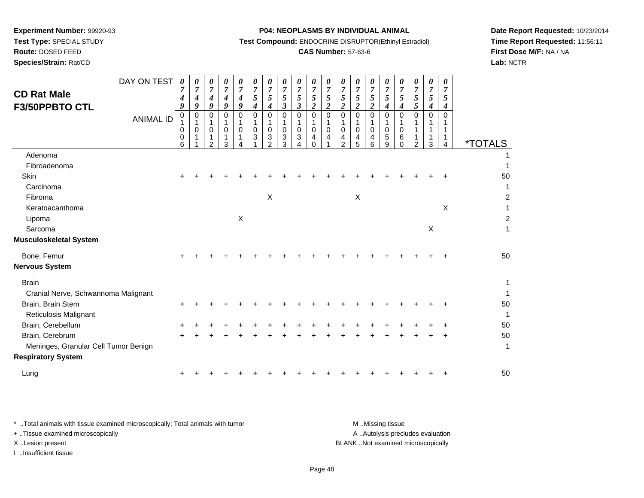**Test Type:** SPECIAL STUDY

**Route:** DOSED FEED

**Species/Strain:** Rat/CD

## **P04: NEOPLASMS BY INDIVIDUAL ANIMAL**

**Test Compound:** ENDOCRINE DISRUPTOR(Ethinyl Estradiol)

## **CAS Number:** 57-63-6

**Date Report Requested:** 10/23/2014**Time Report Requested:** 11:56:11**First Dose M/F:** NA / NA**Lab:** NCTR

| <b>CD Rat Male</b><br>F3/50PPBTO CTL | DAY ON TEST      | 0<br>7<br>4<br>9           | 0<br>$\overline{7}$<br>4<br>9 | 0<br>$\overline{7}$<br>$\boldsymbol{4}$<br>9 | 0<br>$\overline{7}$<br>4<br>9          | 0<br>$\overline{7}$<br>4<br>9 | 0<br>$\boldsymbol{7}$<br>5<br>$\boldsymbol{4}$ | 0<br>$\boldsymbol{7}$<br>$\mathfrak{s}$<br>$\boldsymbol{4}$             | 0<br>$\boldsymbol{7}$<br>5<br>3 | 0<br>$\overline{7}$<br>$\sqrt{5}$<br>$\boldsymbol{\beta}$ | 0<br>$\overline{7}$<br>$\mathfrak{s}$<br>$\boldsymbol{2}$ | 0<br>$\overline{7}$<br>5<br>$\boldsymbol{2}$ | 0<br>$\overline{7}$<br>$\sqrt{5}$<br>$\boldsymbol{2}$             | 0<br>$\overline{7}$<br>5<br>$\boldsymbol{2}$ | 0<br>$\boldsymbol{7}$<br>$\mathfrak{s}$<br>$\boldsymbol{2}$ | 0<br>$\overline{7}$<br>5<br>4       | 0<br>$\overline{7}$<br>5<br>4     | 0<br>$\overline{7}$<br>5<br>5        | $\boldsymbol{\theta}$<br>$\overline{7}$<br>5<br>4 | 0<br>$\overline{7}$<br>5<br>4 |                       |
|--------------------------------------|------------------|----------------------------|-------------------------------|----------------------------------------------|----------------------------------------|-------------------------------|------------------------------------------------|-------------------------------------------------------------------------|---------------------------------|-----------------------------------------------------------|-----------------------------------------------------------|----------------------------------------------|-------------------------------------------------------------------|----------------------------------------------|-------------------------------------------------------------|-------------------------------------|-----------------------------------|--------------------------------------|---------------------------------------------------|-------------------------------|-----------------------|
|                                      | <b>ANIMAL ID</b> | $\mathbf 0$<br>0<br>0<br>6 | 0<br>$\mathbf{1}$<br>0        | 0<br>1<br>0<br>1<br>$\mathfrak{p}$           | $\Omega$<br>1<br>$\mathbf 0$<br>1<br>3 | 0<br>$\mathbf 0$              | $\Omega$<br>$\mathbf 0$<br>3                   | $\Omega$<br>$\mathbf{1}$<br>$\mathbf 0$<br>$\sqrt{3}$<br>$\mathfrak{p}$ | $\Omega$<br>1<br>0<br>3<br>3    | 0<br>$\mathbf{1}$<br>$\mathbf 0$<br>3<br>4                | $\mathbf 0$<br>1<br>0<br>4<br>$\Omega$                    | $\Omega$<br>$\mathbf 0$<br>4                 | $\mathbf 0$<br>$\mathbf{1}$<br>$\mathbf 0$<br>$\overline{4}$<br>2 | $\mathbf 0$<br>1<br>$\mathbf 0$<br>4<br>5    | $\mathbf 0$<br>1<br>0<br>4<br>6                             | $\Omega$<br>1<br>$\Omega$<br>5<br>9 | 0<br>$\mathbf 0$<br>6<br>$\Omega$ | $\Omega$<br>1<br>1<br>$\overline{2}$ | $\Omega$<br>3                                     | $\Omega$<br>1<br>4            | <i><b>*TOTALS</b></i> |
| Adenoma                              |                  |                            |                               |                                              |                                        |                               |                                                |                                                                         |                                 |                                                           |                                                           |                                              |                                                                   |                                              |                                                             |                                     |                                   |                                      |                                                   |                               |                       |
| Fibroadenoma                         |                  |                            |                               |                                              |                                        |                               |                                                |                                                                         |                                 |                                                           |                                                           |                                              |                                                                   |                                              |                                                             |                                     |                                   |                                      |                                                   |                               |                       |
| Skin                                 |                  |                            |                               |                                              |                                        |                               |                                                |                                                                         |                                 |                                                           |                                                           |                                              |                                                                   |                                              |                                                             |                                     |                                   |                                      |                                                   |                               | 50                    |
| Carcinoma                            |                  |                            |                               |                                              |                                        |                               |                                                |                                                                         |                                 |                                                           |                                                           |                                              |                                                                   |                                              |                                                             |                                     |                                   |                                      |                                                   |                               |                       |
| Fibroma                              |                  |                            |                               |                                              |                                        |                               |                                                | $\mathsf X$                                                             |                                 |                                                           |                                                           |                                              |                                                                   | $\mathsf{X}$                                 |                                                             |                                     |                                   |                                      |                                                   |                               | $\overline{2}$        |
| Keratoacanthoma                      |                  |                            |                               |                                              |                                        |                               |                                                |                                                                         |                                 |                                                           |                                                           |                                              |                                                                   |                                              |                                                             |                                     |                                   |                                      |                                                   | Χ                             |                       |
| Lipoma                               |                  |                            |                               |                                              |                                        | $\boldsymbol{\mathsf{X}}$     |                                                |                                                                         |                                 |                                                           |                                                           |                                              |                                                                   |                                              |                                                             |                                     |                                   |                                      |                                                   |                               | $\overline{2}$        |
| Sarcoma                              |                  |                            |                               |                                              |                                        |                               |                                                |                                                                         |                                 |                                                           |                                                           |                                              |                                                                   |                                              |                                                             |                                     |                                   |                                      | X                                                 |                               |                       |
| <b>Musculoskeletal System</b>        |                  |                            |                               |                                              |                                        |                               |                                                |                                                                         |                                 |                                                           |                                                           |                                              |                                                                   |                                              |                                                             |                                     |                                   |                                      |                                                   |                               |                       |
| Bone, Femur                          |                  |                            |                               |                                              |                                        |                               |                                                |                                                                         |                                 |                                                           |                                                           |                                              |                                                                   |                                              |                                                             |                                     |                                   |                                      |                                                   |                               | 50                    |
| <b>Nervous System</b>                |                  |                            |                               |                                              |                                        |                               |                                                |                                                                         |                                 |                                                           |                                                           |                                              |                                                                   |                                              |                                                             |                                     |                                   |                                      |                                                   |                               |                       |
| <b>Brain</b>                         |                  |                            |                               |                                              |                                        |                               |                                                |                                                                         |                                 |                                                           |                                                           |                                              |                                                                   |                                              |                                                             |                                     |                                   |                                      |                                                   |                               |                       |
| Cranial Nerve, Schwannoma Malignant  |                  |                            |                               |                                              |                                        |                               |                                                |                                                                         |                                 |                                                           |                                                           |                                              |                                                                   |                                              |                                                             |                                     |                                   |                                      |                                                   |                               |                       |
| Brain, Brain Stem                    |                  |                            |                               |                                              |                                        |                               |                                                |                                                                         |                                 |                                                           |                                                           |                                              |                                                                   |                                              |                                                             |                                     |                                   |                                      |                                                   |                               | 50                    |
| <b>Reticulosis Malignant</b>         |                  |                            |                               |                                              |                                        |                               |                                                |                                                                         |                                 |                                                           |                                                           |                                              |                                                                   |                                              |                                                             |                                     |                                   |                                      |                                                   |                               |                       |
| Brain, Cerebellum                    |                  |                            |                               |                                              |                                        |                               |                                                |                                                                         |                                 |                                                           |                                                           |                                              |                                                                   |                                              |                                                             |                                     |                                   |                                      |                                                   |                               | 50                    |
| Brain, Cerebrum                      |                  |                            |                               |                                              |                                        |                               |                                                |                                                                         |                                 |                                                           |                                                           |                                              |                                                                   |                                              |                                                             |                                     |                                   |                                      |                                                   |                               | 50                    |
| Meninges, Granular Cell Tumor Benign |                  |                            |                               |                                              |                                        |                               |                                                |                                                                         |                                 |                                                           |                                                           |                                              |                                                                   |                                              |                                                             |                                     |                                   |                                      |                                                   |                               | 1                     |
| <b>Respiratory System</b>            |                  |                            |                               |                                              |                                        |                               |                                                |                                                                         |                                 |                                                           |                                                           |                                              |                                                                   |                                              |                                                             |                                     |                                   |                                      |                                                   |                               |                       |
| Lung                                 |                  |                            |                               |                                              |                                        |                               |                                                |                                                                         |                                 |                                                           |                                                           |                                              |                                                                   |                                              |                                                             |                                     |                                   |                                      |                                                   |                               | 50                    |

| * Total animals with tissue examined microscopically; Total animals with tumor | M Missing tissue                   |
|--------------------------------------------------------------------------------|------------------------------------|
| + Tissue examined microscopically                                              | A Autolysis precludes evaluation   |
| X Lesion present                                                               | BLANK Not examined microscopically |
| …Insufficient tissue                                                           |                                    |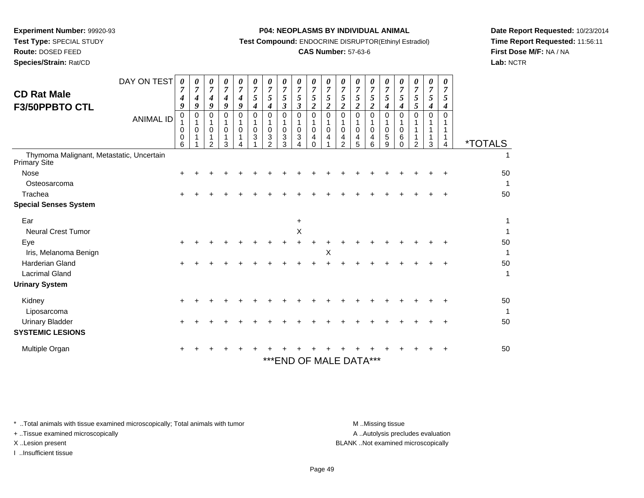**Test Type:** SPECIAL STUDY

# **Route:** DOSED FEED

**Species/Strain:** Rat/CD

#### **P04: NEOPLASMS BY INDIVIDUAL ANIMAL**

**Test Compound:** ENDOCRINE DISRUPTOR(Ethinyl Estradiol)

## **CAS Number:** 57-63-6

**Date Report Requested:** 10/23/2014**Time Report Requested:** 11:56:11**First Dose M/F:** NA / NA**Lab:** NCTR

| <b>CD Rat Male</b><br>F3/50PPBTO CTL                     | DAY ON TEST<br><b>ANIMAL ID</b> | 0<br>7<br>4<br>9<br>0<br>0<br>0<br>6 | 0<br>$\overline{7}$<br>4<br>9<br>0<br>1<br>0 | 0<br>7<br>4<br>9<br>0<br>$\Omega$<br>2 | 0<br>$\overline{7}$<br>$\boldsymbol{4}$<br>9<br>$\Omega$<br>$\Omega$<br>3 | 0<br>7<br>4<br>9<br>0<br>$\Omega$ | 0<br>$\overline{7}$<br>5<br>4<br>$\Omega$<br>$\mathbf 0$<br>3 | 0<br>$\overline{7}$<br>5<br>4<br>0<br>$\mathbf 0$<br>3<br>$\mathcal{P}$ | 0<br>$\overline{7}$<br>5<br>3<br>0<br>$\mathbf 0$<br>3<br>3 | 0<br>$\overline{7}$<br>5<br>$\mathfrak{z}$<br>$\Omega$<br>$\mathbf 0$<br>3<br>4 | 0<br>$\overline{7}$<br>5<br>$\boldsymbol{2}$<br>$\Omega$<br>1<br>$\mathbf 0$<br>4<br>$\Omega$ | 0<br>$\overline{7}$<br>5<br>$\boldsymbol{2}$<br>$\Omega$<br>$\Omega$<br>4 | 0<br>$\overline{7}$<br>5<br>$\boldsymbol{2}$<br>0<br>$\mathbf 0$<br>4<br>$\overline{2}$ | 0<br>7<br>5<br>$\boldsymbol{2}$<br>0<br>$\mathbf 0$<br>4<br>5 | 0<br>7<br>5<br>2<br>$\Omega$<br>$\mathbf 0$<br>4<br>6 | 0<br>7<br>5<br>4<br>$\Omega$<br>$\mathbf 0$<br>5<br>9 | 0<br>7<br>5<br>4<br>0<br>$\Omega$<br>6<br>0 | 0<br>$\overline{7}$<br>5<br>5<br>$\Omega$<br>2 | 0<br>$\overline{7}$<br>5<br>4<br>0<br>3 | 0<br>7<br>5<br>4<br>0<br>4 | <i><b>*TOTALS</b></i> |
|----------------------------------------------------------|---------------------------------|--------------------------------------|----------------------------------------------|----------------------------------------|---------------------------------------------------------------------------|-----------------------------------|---------------------------------------------------------------|-------------------------------------------------------------------------|-------------------------------------------------------------|---------------------------------------------------------------------------------|-----------------------------------------------------------------------------------------------|---------------------------------------------------------------------------|-----------------------------------------------------------------------------------------|---------------------------------------------------------------|-------------------------------------------------------|-------------------------------------------------------|---------------------------------------------|------------------------------------------------|-----------------------------------------|----------------------------|-----------------------|
| Thymoma Malignant, Metastatic, Uncertain<br>Primary Site |                                 |                                      |                                              |                                        |                                                                           |                                   |                                                               |                                                                         |                                                             |                                                                                 |                                                                                               |                                                                           |                                                                                         |                                                               |                                                       |                                                       |                                             |                                                |                                         |                            | 1                     |
| Nose                                                     |                                 | +                                    |                                              |                                        |                                                                           |                                   |                                                               |                                                                         |                                                             |                                                                                 |                                                                                               |                                                                           |                                                                                         |                                                               |                                                       |                                                       |                                             |                                                |                                         | ÷                          | 50                    |
| Osteosarcoma                                             |                                 |                                      |                                              |                                        |                                                                           |                                   |                                                               |                                                                         |                                                             |                                                                                 |                                                                                               |                                                                           |                                                                                         |                                                               |                                                       |                                                       |                                             |                                                |                                         |                            | 1                     |
| Trachea                                                  |                                 |                                      |                                              |                                        |                                                                           |                                   |                                                               |                                                                         |                                                             |                                                                                 |                                                                                               |                                                                           |                                                                                         |                                                               |                                                       |                                                       |                                             |                                                |                                         |                            | 50                    |
| <b>Special Senses System</b>                             |                                 |                                      |                                              |                                        |                                                                           |                                   |                                                               |                                                                         |                                                             |                                                                                 |                                                                                               |                                                                           |                                                                                         |                                                               |                                                       |                                                       |                                             |                                                |                                         |                            |                       |
| Ear                                                      |                                 |                                      |                                              |                                        |                                                                           |                                   |                                                               |                                                                         |                                                             | $\ddot{}$                                                                       |                                                                                               |                                                                           |                                                                                         |                                                               |                                                       |                                                       |                                             |                                                |                                         |                            | 1                     |
| <b>Neural Crest Tumor</b>                                |                                 |                                      |                                              |                                        |                                                                           |                                   |                                                               |                                                                         |                                                             | X                                                                               |                                                                                               |                                                                           |                                                                                         |                                                               |                                                       |                                                       |                                             |                                                |                                         |                            | 1                     |
| Eye                                                      |                                 | ٠                                    |                                              |                                        |                                                                           |                                   |                                                               |                                                                         |                                                             |                                                                                 |                                                                                               |                                                                           |                                                                                         |                                                               |                                                       |                                                       |                                             |                                                |                                         |                            | 50                    |
| Iris, Melanoma Benign                                    |                                 |                                      |                                              |                                        |                                                                           |                                   |                                                               |                                                                         |                                                             |                                                                                 |                                                                                               | X                                                                         |                                                                                         |                                                               |                                                       |                                                       |                                             |                                                |                                         |                            | 1                     |
| <b>Harderian Gland</b>                                   |                                 |                                      |                                              |                                        |                                                                           |                                   |                                                               |                                                                         |                                                             |                                                                                 |                                                                                               |                                                                           |                                                                                         |                                                               |                                                       |                                                       |                                             |                                                |                                         |                            | 50                    |
| <b>Lacrimal Gland</b>                                    |                                 |                                      |                                              |                                        |                                                                           |                                   |                                                               |                                                                         |                                                             |                                                                                 |                                                                                               |                                                                           |                                                                                         |                                                               |                                                       |                                                       |                                             |                                                |                                         |                            | 1                     |
| <b>Urinary System</b>                                    |                                 |                                      |                                              |                                        |                                                                           |                                   |                                                               |                                                                         |                                                             |                                                                                 |                                                                                               |                                                                           |                                                                                         |                                                               |                                                       |                                                       |                                             |                                                |                                         |                            |                       |
| Kidney                                                   |                                 | $\ddot{}$                            |                                              |                                        |                                                                           |                                   |                                                               |                                                                         |                                                             |                                                                                 |                                                                                               |                                                                           |                                                                                         |                                                               |                                                       |                                                       |                                             |                                                |                                         | ÷                          | 50                    |
| Liposarcoma                                              |                                 |                                      |                                              |                                        |                                                                           |                                   |                                                               |                                                                         |                                                             |                                                                                 |                                                                                               |                                                                           |                                                                                         |                                                               |                                                       |                                                       |                                             |                                                |                                         |                            |                       |
| <b>Urinary Bladder</b>                                   |                                 | $\pm$                                |                                              |                                        |                                                                           |                                   |                                                               |                                                                         |                                                             |                                                                                 |                                                                                               |                                                                           |                                                                                         |                                                               |                                                       |                                                       |                                             |                                                |                                         |                            | 50                    |
| <b>SYSTEMIC LESIONS</b>                                  |                                 |                                      |                                              |                                        |                                                                           |                                   |                                                               |                                                                         |                                                             |                                                                                 |                                                                                               |                                                                           |                                                                                         |                                                               |                                                       |                                                       |                                             |                                                |                                         |                            |                       |
| Multiple Organ                                           |                                 |                                      |                                              |                                        |                                                                           |                                   |                                                               |                                                                         |                                                             |                                                                                 |                                                                                               |                                                                           |                                                                                         |                                                               |                                                       |                                                       |                                             |                                                |                                         |                            | 50                    |
|                                                          |                                 |                                      |                                              |                                        |                                                                           |                                   |                                                               |                                                                         |                                                             |                                                                                 |                                                                                               |                                                                           |                                                                                         | *** END OF MALE DATA***                                       |                                                       |                                                       |                                             |                                                |                                         |                            |                       |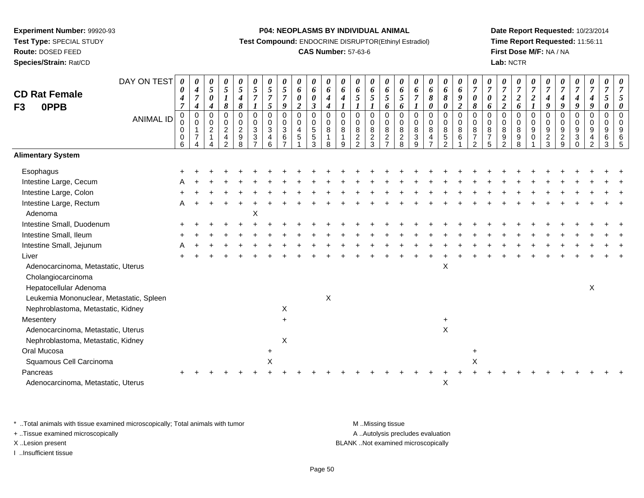**Test Type:** SPECIAL STUDY

**Route:** DOSED FEED**Species/Strain:** Rat/CD **P04: NEOPLASMS BY INDIVIDUAL ANIMAL**

**Test Compound:** ENDOCRINE DISRUPTOR(Ethinyl Estradiol)

## **CAS Number:** 57-63-6

**Date Report Requested:** 10/23/2014**Time Report Requested:** 11:56:11**First Dose M/F:** NA / NA**Lab:** NCTR

| <b>CD Rat Female</b><br>F <sub>3</sub><br>0PPB | DAY ON TEST<br><b>ANIMAL ID</b> | $\boldsymbol{\theta}$<br>$\boldsymbol{\theta}$<br>$\boldsymbol{4}$<br>$\overline{7}$<br>$\pmb{0}$ | 0<br>$\boldsymbol{4}$<br>$\overline{7}$<br>$\boldsymbol{4}$<br>$\mathbf 0$ | 0<br>$\mathfrak{z}$<br>$\pmb{\theta}$<br>4<br>$\mathsf 0$ | 0<br>$\mathfrak{H}$<br>$\boldsymbol{l}$<br>8<br>0      | 0<br>$\mathfrak{s}$<br>$\boldsymbol{4}$<br>8<br>$\mathsf 0$ | 0<br>5<br>$\boldsymbol{7}$<br>0 | $\boldsymbol{\theta}$<br>$\sqrt{5}$<br>$\overline{7}$<br>$\mathfrak{s}$<br>$\overline{0}$ | $\frac{\theta}{5}$<br>$\boldsymbol{7}$<br>$\boldsymbol{g}$<br>0 | 0<br>6<br>$\pmb{\theta}$<br>$\overline{\mathbf{c}}$<br>$\pmb{0}$ | 0<br>6<br>$\boldsymbol{\theta}$<br>$\mathfrak{z}$<br>$\mathbf 0$ | 0<br>6<br>$\boldsymbol{4}$<br>$\boldsymbol{4}$<br>$\mathbf 0$ | 0<br>6<br>4<br>$\mathsf 0$     | $\boldsymbol{\theta}$<br>$\pmb{6}$<br>$5\overline{)}$<br>$\mathbf 0$ | $\pmb{\theta}$<br>6<br>$\mathfrak{s}$<br>1<br>$\mathsf 0$ | 0<br>6<br>5<br>6<br>$\mathbf 0$                          | 0<br>6<br>$\mathfrak{s}$<br>6<br>$\mathbf 0$ | 0<br>6<br>$\overline{7}$<br>$\overline{0}$             | 0<br>6<br>8<br>0<br>$\mathsf 0$ | $\boldsymbol{\theta}$<br>6<br>$\pmb{8}$<br>$\boldsymbol{\theta}$<br>$\pmb{0}$ | $\boldsymbol{\theta}$<br>$\boldsymbol{\theta}$<br>$\boldsymbol{g}$<br>$\boldsymbol{2}$<br>$\mathbf 0$ | 0<br>$\boldsymbol{7}$<br>$\boldsymbol{\theta}$<br>8<br>$\mathbf 0$ | $\frac{\boldsymbol{\theta}}{\boldsymbol{7}}$<br>0<br>6<br>$\mathbf 0$ | $\frac{\theta}{7}$<br>$\boldsymbol{2}$<br>$\boldsymbol{2}$<br>$\mathbf 0$ | 0<br>$\overline{7}$<br>$\boldsymbol{2}$<br>6<br>$\mathbf 0$ | 0<br>$\overline{7}$<br>$\boldsymbol{2}$<br>$\boldsymbol{l}$<br>$\mathbf 0$ | $\overline{7}$<br>$\boldsymbol{4}$<br>$\boldsymbol{9}$<br>$\overline{0}$ | 0<br>$\overline{7}$<br>$\boldsymbol{4}$<br>9<br>$\pmb{0}$ | $\pmb{\theta}$<br>$\boldsymbol{7}$<br>$\boldsymbol{4}$<br>9<br>$\mathbf 0$ | $\boldsymbol{\theta}$<br>$\overline{7}$<br>$\boldsymbol{4}$<br>9<br>$\mathbf 0$ | $\boldsymbol{\theta}$<br>$\overline{7}$<br>$\sqrt{5}$<br>$\boldsymbol{\theta}$<br>$\mathbf 0$ | $\boldsymbol{\theta}$<br>$\overline{7}$<br>5<br>$\boldsymbol{\theta}$<br>$\mathbf 0$ |
|------------------------------------------------|---------------------------------|---------------------------------------------------------------------------------------------------|----------------------------------------------------------------------------|-----------------------------------------------------------|--------------------------------------------------------|-------------------------------------------------------------|---------------------------------|-------------------------------------------------------------------------------------------|-----------------------------------------------------------------|------------------------------------------------------------------|------------------------------------------------------------------|---------------------------------------------------------------|--------------------------------|----------------------------------------------------------------------|-----------------------------------------------------------|----------------------------------------------------------|----------------------------------------------|--------------------------------------------------------|---------------------------------|-------------------------------------------------------------------------------|-------------------------------------------------------------------------------------------------------|--------------------------------------------------------------------|-----------------------------------------------------------------------|---------------------------------------------------------------------------|-------------------------------------------------------------|----------------------------------------------------------------------------|--------------------------------------------------------------------------|-----------------------------------------------------------|----------------------------------------------------------------------------|---------------------------------------------------------------------------------|-----------------------------------------------------------------------------------------------|--------------------------------------------------------------------------------------|
|                                                |                                 | 0<br>$\pmb{0}$<br>$\pmb{0}$<br>6                                                                  | $\pmb{0}$<br>$\mathbf{1}$<br>$\overline{7}$                                | 0<br>$\overline{c}$<br>$\mathbf{1}$                       | $^{\rm 0}_{\rm 2}$<br>$\overline{4}$<br>$\mathfrak{p}$ | $\pmb{0}$<br>$\overline{c}$<br>9<br>8                       | $\pmb{0}$<br>$\mathbf{3}$<br>3  | $\pmb{0}$<br>$\sqrt{3}$<br>$\overline{4}$<br>6                                            | $\pmb{0}$<br>$\sqrt{3}$<br>6<br>$\overline{ }$                  | $\pmb{0}$<br>4<br>5                                              | $\pmb{0}$<br>$\sqrt{5}$<br>5<br>3                                | $\pmb{0}$<br>8<br>$\overline{1}$<br>8                         | $\pmb{0}$<br>$\,8\,$<br>1<br>9 | $\pmb{0}$<br>$\,8\,$<br>$\sqrt{2}$<br>2                              | $\mathbf 0$<br>8<br>$\sqrt{2}$<br>$\mathbf{3}$            | $\pmb{0}$<br>$\,8\,$<br>$\overline{c}$<br>$\overline{7}$ | 0<br>$\bf 8$<br>$\frac{2}{8}$                | $\pmb{0}$<br>$\bf 8$<br>$\ensuremath{\mathsf{3}}$<br>9 | $_{\rm 8}^{\rm 0}$<br>4         | $\boldsymbol{0}$<br>8<br>$\sqrt{5}$<br>2                                      | $\pmb{0}$<br>8<br>6                                                                                   | 0<br>8<br>$\overline{7}$<br>$\mathfrak{p}$                         | 0<br>8<br>$\overline{7}$<br>5                                         | $\pmb{0}$<br>8<br>$\boldsymbol{9}$<br>$\overline{2}$                      | $\pmb{0}$<br>$\,8\,$<br>$9\,$<br>8                          | 0<br>$\boldsymbol{9}$<br>0                                                 | $\pmb{0}$<br>$\boldsymbol{9}$<br>$\overline{c}$<br>3                     | $\pmb{0}$<br>$\boldsymbol{9}$<br>$\boldsymbol{2}$<br>9    | $_{9}^{\rm 0}$<br>$\ensuremath{\mathsf{3}}$<br>$\Omega$                    | $\pmb{0}$<br>$\boldsymbol{9}$<br>$\overline{4}$<br>$\mathfrak{p}$               | 0<br>9<br>$\,6\,$<br>3                                                                        | 0<br>9<br>6<br>.5                                                                    |
| <b>Alimentary System</b>                       |                                 |                                                                                                   |                                                                            |                                                           |                                                        |                                                             |                                 |                                                                                           |                                                                 |                                                                  |                                                                  |                                                               |                                |                                                                      |                                                           |                                                          |                                              |                                                        |                                 |                                                                               |                                                                                                       |                                                                    |                                                                       |                                                                           |                                                             |                                                                            |                                                                          |                                                           |                                                                            |                                                                                 |                                                                                               |                                                                                      |
| Esophagus                                      |                                 |                                                                                                   |                                                                            |                                                           |                                                        |                                                             |                                 |                                                                                           |                                                                 |                                                                  |                                                                  |                                                               |                                |                                                                      |                                                           |                                                          |                                              |                                                        |                                 |                                                                               |                                                                                                       |                                                                    |                                                                       |                                                                           |                                                             |                                                                            |                                                                          |                                                           |                                                                            |                                                                                 |                                                                                               |                                                                                      |
| Intestine Large, Cecum                         |                                 |                                                                                                   |                                                                            |                                                           |                                                        |                                                             |                                 |                                                                                           |                                                                 |                                                                  |                                                                  |                                                               |                                |                                                                      |                                                           |                                                          |                                              |                                                        |                                 |                                                                               |                                                                                                       |                                                                    |                                                                       |                                                                           |                                                             |                                                                            |                                                                          |                                                           |                                                                            |                                                                                 |                                                                                               |                                                                                      |
| Intestine Large, Colon                         |                                 |                                                                                                   |                                                                            |                                                           |                                                        |                                                             |                                 |                                                                                           |                                                                 |                                                                  |                                                                  |                                                               |                                |                                                                      |                                                           |                                                          |                                              |                                                        |                                 |                                                                               |                                                                                                       |                                                                    |                                                                       |                                                                           |                                                             |                                                                            |                                                                          |                                                           |                                                                            |                                                                                 |                                                                                               |                                                                                      |
| Intestine Large, Rectum                        |                                 | A                                                                                                 |                                                                            |                                                           |                                                        |                                                             |                                 |                                                                                           |                                                                 |                                                                  |                                                                  |                                                               |                                |                                                                      |                                                           |                                                          |                                              |                                                        |                                 |                                                                               |                                                                                                       |                                                                    |                                                                       |                                                                           |                                                             |                                                                            |                                                                          |                                                           |                                                                            |                                                                                 |                                                                                               |                                                                                      |
| Adenoma                                        |                                 |                                                                                                   |                                                                            |                                                           |                                                        |                                                             | X                               |                                                                                           |                                                                 |                                                                  |                                                                  |                                                               |                                |                                                                      |                                                           |                                                          |                                              |                                                        |                                 |                                                                               |                                                                                                       |                                                                    |                                                                       |                                                                           |                                                             |                                                                            |                                                                          |                                                           |                                                                            |                                                                                 |                                                                                               |                                                                                      |
| Intestine Small, Duodenum                      |                                 |                                                                                                   |                                                                            |                                                           |                                                        |                                                             |                                 |                                                                                           |                                                                 |                                                                  |                                                                  |                                                               |                                |                                                                      |                                                           |                                                          |                                              |                                                        |                                 |                                                                               |                                                                                                       |                                                                    |                                                                       |                                                                           |                                                             |                                                                            |                                                                          |                                                           |                                                                            |                                                                                 |                                                                                               |                                                                                      |
| Intestine Small, Ileum                         |                                 |                                                                                                   |                                                                            |                                                           |                                                        |                                                             |                                 |                                                                                           |                                                                 |                                                                  |                                                                  |                                                               |                                |                                                                      |                                                           |                                                          |                                              |                                                        |                                 |                                                                               |                                                                                                       |                                                                    |                                                                       |                                                                           |                                                             |                                                                            |                                                                          |                                                           |                                                                            |                                                                                 |                                                                                               |                                                                                      |
| Intestine Small, Jejunum                       |                                 |                                                                                                   |                                                                            |                                                           |                                                        |                                                             |                                 |                                                                                           |                                                                 |                                                                  |                                                                  |                                                               |                                |                                                                      |                                                           |                                                          |                                              |                                                        |                                 |                                                                               |                                                                                                       |                                                                    |                                                                       |                                                                           |                                                             |                                                                            |                                                                          |                                                           |                                                                            |                                                                                 |                                                                                               |                                                                                      |
| Liver                                          |                                 |                                                                                                   |                                                                            |                                                           |                                                        |                                                             |                                 |                                                                                           |                                                                 |                                                                  |                                                                  |                                                               |                                |                                                                      |                                                           |                                                          |                                              |                                                        |                                 |                                                                               |                                                                                                       |                                                                    |                                                                       |                                                                           |                                                             |                                                                            |                                                                          |                                                           |                                                                            |                                                                                 |                                                                                               |                                                                                      |
| Adenocarcinoma, Metastatic, Uterus             |                                 |                                                                                                   |                                                                            |                                                           |                                                        |                                                             |                                 |                                                                                           |                                                                 |                                                                  |                                                                  |                                                               |                                |                                                                      |                                                           |                                                          |                                              |                                                        |                                 | X                                                                             |                                                                                                       |                                                                    |                                                                       |                                                                           |                                                             |                                                                            |                                                                          |                                                           |                                                                            |                                                                                 |                                                                                               |                                                                                      |
| Cholangiocarcinoma                             |                                 |                                                                                                   |                                                                            |                                                           |                                                        |                                                             |                                 |                                                                                           |                                                                 |                                                                  |                                                                  |                                                               |                                |                                                                      |                                                           |                                                          |                                              |                                                        |                                 |                                                                               |                                                                                                       |                                                                    |                                                                       |                                                                           |                                                             |                                                                            |                                                                          |                                                           |                                                                            |                                                                                 |                                                                                               |                                                                                      |
| Hepatocellular Adenoma                         |                                 |                                                                                                   |                                                                            |                                                           |                                                        |                                                             |                                 |                                                                                           |                                                                 |                                                                  |                                                                  |                                                               |                                |                                                                      |                                                           |                                                          |                                              |                                                        |                                 |                                                                               |                                                                                                       |                                                                    |                                                                       |                                                                           |                                                             |                                                                            |                                                                          |                                                           |                                                                            | X                                                                               |                                                                                               |                                                                                      |
| Leukemia Mononuclear, Metastatic, Spleen       |                                 |                                                                                                   |                                                                            |                                                           |                                                        |                                                             |                                 |                                                                                           |                                                                 |                                                                  |                                                                  | $\mathsf X$                                                   |                                |                                                                      |                                                           |                                                          |                                              |                                                        |                                 |                                                                               |                                                                                                       |                                                                    |                                                                       |                                                                           |                                                             |                                                                            |                                                                          |                                                           |                                                                            |                                                                                 |                                                                                               |                                                                                      |
| Nephroblastoma, Metastatic, Kidney             |                                 |                                                                                                   |                                                                            |                                                           |                                                        |                                                             |                                 |                                                                                           | X                                                               |                                                                  |                                                                  |                                                               |                                |                                                                      |                                                           |                                                          |                                              |                                                        |                                 |                                                                               |                                                                                                       |                                                                    |                                                                       |                                                                           |                                                             |                                                                            |                                                                          |                                                           |                                                                            |                                                                                 |                                                                                               |                                                                                      |
| Mesentery                                      |                                 |                                                                                                   |                                                                            |                                                           |                                                        |                                                             |                                 |                                                                                           | $+$                                                             |                                                                  |                                                                  |                                                               |                                |                                                                      |                                                           |                                                          |                                              |                                                        |                                 | $\ddot{}$                                                                     |                                                                                                       |                                                                    |                                                                       |                                                                           |                                                             |                                                                            |                                                                          |                                                           |                                                                            |                                                                                 |                                                                                               |                                                                                      |
| Adenocarcinoma, Metastatic, Uterus             |                                 |                                                                                                   |                                                                            |                                                           |                                                        |                                                             |                                 |                                                                                           |                                                                 |                                                                  |                                                                  |                                                               |                                |                                                                      |                                                           |                                                          |                                              |                                                        |                                 | $\mathsf{X}$                                                                  |                                                                                                       |                                                                    |                                                                       |                                                                           |                                                             |                                                                            |                                                                          |                                                           |                                                                            |                                                                                 |                                                                                               |                                                                                      |
| Nephroblastoma, Metastatic, Kidney             |                                 |                                                                                                   |                                                                            |                                                           |                                                        |                                                             |                                 |                                                                                           | X                                                               |                                                                  |                                                                  |                                                               |                                |                                                                      |                                                           |                                                          |                                              |                                                        |                                 |                                                                               |                                                                                                       |                                                                    |                                                                       |                                                                           |                                                             |                                                                            |                                                                          |                                                           |                                                                            |                                                                                 |                                                                                               |                                                                                      |
| Oral Mucosa                                    |                                 |                                                                                                   |                                                                            |                                                           |                                                        |                                                             |                                 |                                                                                           |                                                                 |                                                                  |                                                                  |                                                               |                                |                                                                      |                                                           |                                                          |                                              |                                                        |                                 |                                                                               |                                                                                                       | $\ddot{}$                                                          |                                                                       |                                                                           |                                                             |                                                                            |                                                                          |                                                           |                                                                            |                                                                                 |                                                                                               |                                                                                      |
| Squamous Cell Carcinoma                        |                                 |                                                                                                   |                                                                            |                                                           |                                                        |                                                             |                                 | X                                                                                         |                                                                 |                                                                  |                                                                  |                                                               |                                |                                                                      |                                                           |                                                          |                                              |                                                        |                                 |                                                                               |                                                                                                       | X                                                                  |                                                                       |                                                                           |                                                             |                                                                            |                                                                          |                                                           |                                                                            |                                                                                 |                                                                                               |                                                                                      |
| Pancreas                                       |                                 |                                                                                                   |                                                                            |                                                           |                                                        |                                                             |                                 |                                                                                           |                                                                 |                                                                  |                                                                  |                                                               |                                |                                                                      |                                                           |                                                          |                                              |                                                        |                                 |                                                                               |                                                                                                       |                                                                    |                                                                       |                                                                           |                                                             |                                                                            |                                                                          |                                                           |                                                                            |                                                                                 |                                                                                               |                                                                                      |
| Adenocarcinoma, Metastatic, Uterus             |                                 |                                                                                                   |                                                                            |                                                           |                                                        |                                                             |                                 |                                                                                           |                                                                 |                                                                  |                                                                  |                                                               |                                |                                                                      |                                                           |                                                          |                                              |                                                        |                                 | X                                                                             |                                                                                                       |                                                                    |                                                                       |                                                                           |                                                             |                                                                            |                                                                          |                                                           |                                                                            |                                                                                 |                                                                                               |                                                                                      |

\* ..Total animals with tissue examined microscopically; Total animals with tumor **M** . Missing tissue M ..Missing tissue

+ ..Tissue examined microscopically

I ..Insufficient tissue

A ..Autolysis precludes evaluation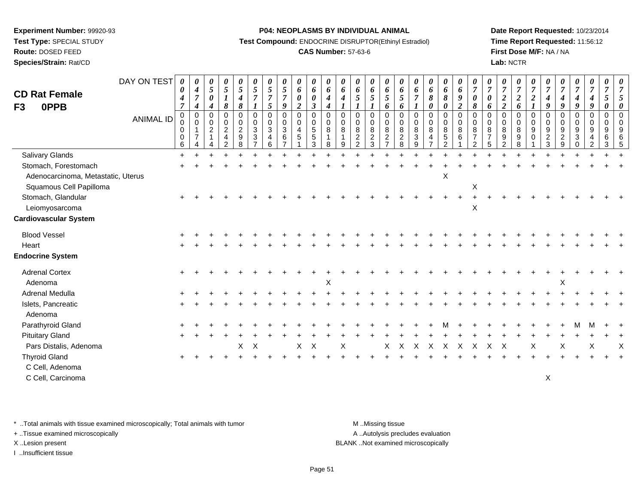**Test Type:** SPECIAL STUDY

**Route:** DOSED FEED

**Species/Strain:** Rat/CD

#### **P04: NEOPLASMS BY INDIVIDUAL ANIMAL**

**Test Compound:** ENDOCRINE DISRUPTOR(Ethinyl Estradiol)

## **CAS Number:** 57-63-6

**Date Report Requested:** 10/23/2014**Time Report Requested:** 11:56:12**First Dose M/F:** NA / NA**Lab:** NCTR

| <b>CD Rat Female</b><br><b>OPPB</b><br>F <sub>3</sub>                                                 | DAY ON TEST<br><b>ANIMAL ID</b> | 0<br>$\boldsymbol{\theta}$<br>$\boldsymbol{4}$<br>$\overline{7}$<br>$\mathbf 0$<br>$\pmb{0}$<br>$\mathbf 0$<br>$\mathbf 0$<br>6 | 0<br>$\boldsymbol{4}$<br>$\overline{7}$<br>$\boldsymbol{4}$<br>$\mathbf 0$<br>$\mathbf 0$<br>$\mathbf{1}$<br>$\overline{7}$<br>Δ | $\boldsymbol{\theta}$<br>$\mathfrak{s}$<br>$\boldsymbol{\theta}$<br>4<br>$\mathbf 0$<br>$\Omega$<br>$\overline{c}$ | 0<br>$5\overline{)}$<br>8<br>$\mathbf 0$<br>0<br>$\overline{a}$<br>4 | 0<br>$\mathfrak{s}$<br>$\boldsymbol{4}$<br>$\pmb{8}$<br>$\mathbf 0$<br>0<br>$\overline{2}$<br>9<br>8 | 0<br>$\mathfrak{s}$<br>$\overline{7}$<br>0<br>$\pmb{0}$<br>$\mathfrak{Z}$<br>$\mathbf{3}$ | 0<br>$5\overline{)}$<br>$\overline{7}$<br>$\mathfrak{s}$<br>$\mathbf 0$<br>$\mathbf 0$<br>3<br>$\overline{4}$<br>6 | $\boldsymbol{\theta}$<br>$\overline{5}$<br>$\overline{7}$<br>$\boldsymbol{9}$<br>$\pmb{0}$<br>$\mathbf 0$<br>$\sqrt{3}$<br>6 | $\boldsymbol{\theta}$<br>$\boldsymbol{6}$<br>$\pmb{\theta}$<br>$\overline{2}$<br>$\pmb{0}$<br>$\boldsymbol{0}$<br>$\overline{4}$<br>$\overline{5}$ | 0<br>6<br>$\pmb{\theta}$<br>$\boldsymbol{\beta}$<br>$\mathsf 0$<br>$\mathsf 0$<br>5<br>$5\phantom{.0}$<br>3 | 0<br>$\boldsymbol{\delta}$<br>$\boldsymbol{4}$<br>$\boldsymbol{4}$<br>$\mathsf{O}$<br>0<br>8<br>$\mathbf{1}$<br>8 | 0<br>6<br>$\boldsymbol{4}$<br>$\mathbf 0$<br>$\mathbf 0$<br>8<br>$\overline{1}$<br>9 | 0<br>6<br>$\mathfrak{s}$<br>$\mathbf 0$<br>$\mathbf 0$<br>$\,8\,$<br>$\overline{2}$<br>$\mathfrak{D}$ | 0<br>6<br>5<br>0<br>$\mathbf 0$<br>8<br>$\overline{c}$<br>3 | $\boldsymbol{\theta}$<br>6<br>$\overline{5}$<br>6<br>$\pmb{0}$<br>$\mathbf 0$<br>8<br>$\sqrt{2}$<br>$\overline{7}$ | $\boldsymbol{\theta}$<br>6<br>5<br>6<br>$\mathbf 0$<br>$\mathbf 0$<br>8<br>$\overline{2}$<br>8 | $\boldsymbol{\theta}$<br>6<br>$\overline{7}$<br>$\boldsymbol{l}$<br>$\pmb{0}$<br>$\mathbf 0$<br>8<br>$\mathbf{3}$<br>9 | 0<br>6<br>8<br>$\boldsymbol{\theta}$<br>$\pmb{0}$<br>$\mathbf 0$<br>8<br>4 | 0<br>6<br>$\pmb{8}$<br>0<br>0<br>$\mathbf 0$<br>8<br>$\overline{5}$<br>$\overline{2}$ | $\boldsymbol{\theta}$<br>$\boldsymbol{6}$<br>$\boldsymbol{9}$<br>$\overline{2}$<br>$\boldsymbol{0}$<br>$\mathbf 0$<br>$\,8\,$<br>6 | 0<br>$\overline{7}$<br>$\pmb{\theta}$<br>8<br>$\mathbf 0$<br>$\mathbf 0$<br>8<br>$\overline{7}$<br>$\overline{2}$ | $\boldsymbol{\theta}$<br>$\overline{7}$<br>6<br>$\Omega$<br>$\Omega$<br>8<br>$\overline{7}$ | 0<br>$\overline{7}$<br>$\overline{c}$<br>$\overline{2}$<br>0<br>$\Omega$<br>8<br>9 | 0<br>$\overline{7}$<br>$\boldsymbol{2}$<br>6<br>$\mathbf 0$<br>0<br>8<br>9<br>8 | $\boldsymbol{\theta}$<br>$\overline{7}$<br>$\boldsymbol{2}$<br>0<br>$\mathbf 0$<br>$\boldsymbol{9}$<br>$\mathbf 0$ | $\theta$<br>$\overline{7}$<br>$\boldsymbol{4}$<br>9<br>$\mathbf 0$<br>0<br>9<br>$\sqrt{2}$<br>3 | $\boldsymbol{\theta}$<br>$\overline{7}$<br>4<br>9<br>$\mathbf 0$<br>$\mathbf 0$<br>$\boldsymbol{9}$<br>$\overline{c}$<br>$\mathsf{Q}$ | 0<br>$\boldsymbol{7}$<br>$\boldsymbol{4}$<br>9<br>0<br>$\mathbf 0$<br>$\boldsymbol{9}$<br>3<br>$\Omega$ | 0<br>$\boldsymbol{7}$<br>$\boldsymbol{4}$<br>9<br>$\mathbf 0$<br>$\mathbf 0$<br>9<br>$\overline{4}$<br>$\mathfrak{p}$ | 0<br>$\overline{7}$<br>$5\overline{)}$<br>0<br>0<br>0<br>9<br>6<br>3 |   |
|-------------------------------------------------------------------------------------------------------|---------------------------------|---------------------------------------------------------------------------------------------------------------------------------|----------------------------------------------------------------------------------------------------------------------------------|--------------------------------------------------------------------------------------------------------------------|----------------------------------------------------------------------|------------------------------------------------------------------------------------------------------|-------------------------------------------------------------------------------------------|--------------------------------------------------------------------------------------------------------------------|------------------------------------------------------------------------------------------------------------------------------|----------------------------------------------------------------------------------------------------------------------------------------------------|-------------------------------------------------------------------------------------------------------------|-------------------------------------------------------------------------------------------------------------------|--------------------------------------------------------------------------------------|-------------------------------------------------------------------------------------------------------|-------------------------------------------------------------|--------------------------------------------------------------------------------------------------------------------|------------------------------------------------------------------------------------------------|------------------------------------------------------------------------------------------------------------------------|----------------------------------------------------------------------------|---------------------------------------------------------------------------------------|------------------------------------------------------------------------------------------------------------------------------------|-------------------------------------------------------------------------------------------------------------------|---------------------------------------------------------------------------------------------|------------------------------------------------------------------------------------|---------------------------------------------------------------------------------|--------------------------------------------------------------------------------------------------------------------|-------------------------------------------------------------------------------------------------|---------------------------------------------------------------------------------------------------------------------------------------|---------------------------------------------------------------------------------------------------------|-----------------------------------------------------------------------------------------------------------------------|----------------------------------------------------------------------|---|
| Salivary Glands                                                                                       |                                 | $\ddot{}$                                                                                                                       |                                                                                                                                  |                                                                                                                    |                                                                      |                                                                                                      |                                                                                           |                                                                                                                    |                                                                                                                              |                                                                                                                                                    |                                                                                                             |                                                                                                                   |                                                                                      |                                                                                                       |                                                             |                                                                                                                    |                                                                                                |                                                                                                                        |                                                                            |                                                                                       |                                                                                                                                    |                                                                                                                   |                                                                                             |                                                                                    |                                                                                 |                                                                                                                    |                                                                                                 |                                                                                                                                       |                                                                                                         |                                                                                                                       |                                                                      |   |
| Stomach, Forestomach                                                                                  |                                 |                                                                                                                                 |                                                                                                                                  |                                                                                                                    |                                                                      |                                                                                                      |                                                                                           |                                                                                                                    |                                                                                                                              |                                                                                                                                                    |                                                                                                             |                                                                                                                   |                                                                                      |                                                                                                       |                                                             |                                                                                                                    |                                                                                                |                                                                                                                        |                                                                            |                                                                                       |                                                                                                                                    |                                                                                                                   |                                                                                             |                                                                                    |                                                                                 |                                                                                                                    |                                                                                                 |                                                                                                                                       |                                                                                                         |                                                                                                                       |                                                                      |   |
| Adenocarcinoma, Metastatic, Uterus<br>Squamous Cell Papilloma<br>Stomach, Glandular<br>Leiomyosarcoma |                                 |                                                                                                                                 |                                                                                                                                  |                                                                                                                    |                                                                      |                                                                                                      |                                                                                           |                                                                                                                    |                                                                                                                              |                                                                                                                                                    |                                                                                                             |                                                                                                                   |                                                                                      |                                                                                                       |                                                             |                                                                                                                    |                                                                                                |                                                                                                                        |                                                                            | X                                                                                     |                                                                                                                                    | X<br>$\pmb{\times}$                                                                                               |                                                                                             |                                                                                    |                                                                                 |                                                                                                                    |                                                                                                 |                                                                                                                                       |                                                                                                         |                                                                                                                       |                                                                      |   |
| <b>Cardiovascular System</b>                                                                          |                                 |                                                                                                                                 |                                                                                                                                  |                                                                                                                    |                                                                      |                                                                                                      |                                                                                           |                                                                                                                    |                                                                                                                              |                                                                                                                                                    |                                                                                                             |                                                                                                                   |                                                                                      |                                                                                                       |                                                             |                                                                                                                    |                                                                                                |                                                                                                                        |                                                                            |                                                                                       |                                                                                                                                    |                                                                                                                   |                                                                                             |                                                                                    |                                                                                 |                                                                                                                    |                                                                                                 |                                                                                                                                       |                                                                                                         |                                                                                                                       |                                                                      |   |
| <b>Blood Vessel</b><br>Heart<br><b>Endocrine System</b>                                               |                                 |                                                                                                                                 |                                                                                                                                  |                                                                                                                    |                                                                      |                                                                                                      |                                                                                           |                                                                                                                    |                                                                                                                              |                                                                                                                                                    |                                                                                                             |                                                                                                                   |                                                                                      |                                                                                                       |                                                             |                                                                                                                    |                                                                                                |                                                                                                                        |                                                                            |                                                                                       |                                                                                                                                    |                                                                                                                   |                                                                                             |                                                                                    |                                                                                 |                                                                                                                    |                                                                                                 |                                                                                                                                       |                                                                                                         |                                                                                                                       |                                                                      |   |
| <b>Adrenal Cortex</b><br>Adenoma                                                                      |                                 |                                                                                                                                 |                                                                                                                                  |                                                                                                                    |                                                                      |                                                                                                      |                                                                                           |                                                                                                                    |                                                                                                                              |                                                                                                                                                    |                                                                                                             | X                                                                                                                 |                                                                                      |                                                                                                       |                                                             |                                                                                                                    |                                                                                                |                                                                                                                        |                                                                            |                                                                                       |                                                                                                                                    |                                                                                                                   |                                                                                             |                                                                                    |                                                                                 |                                                                                                                    |                                                                                                 | X                                                                                                                                     |                                                                                                         |                                                                                                                       |                                                                      |   |
| Adrenal Medulla                                                                                       |                                 |                                                                                                                                 |                                                                                                                                  |                                                                                                                    |                                                                      |                                                                                                      |                                                                                           |                                                                                                                    |                                                                                                                              |                                                                                                                                                    |                                                                                                             |                                                                                                                   |                                                                                      |                                                                                                       |                                                             |                                                                                                                    |                                                                                                |                                                                                                                        |                                                                            |                                                                                       |                                                                                                                                    |                                                                                                                   |                                                                                             |                                                                                    |                                                                                 |                                                                                                                    |                                                                                                 |                                                                                                                                       |                                                                                                         |                                                                                                                       |                                                                      |   |
| Islets, Pancreatic<br>Adenoma                                                                         |                                 |                                                                                                                                 |                                                                                                                                  |                                                                                                                    |                                                                      |                                                                                                      |                                                                                           |                                                                                                                    |                                                                                                                              |                                                                                                                                                    |                                                                                                             |                                                                                                                   |                                                                                      |                                                                                                       |                                                             |                                                                                                                    |                                                                                                |                                                                                                                        |                                                                            |                                                                                       |                                                                                                                                    |                                                                                                                   |                                                                                             |                                                                                    |                                                                                 |                                                                                                                    |                                                                                                 |                                                                                                                                       |                                                                                                         |                                                                                                                       |                                                                      |   |
| Parathyroid Gland                                                                                     |                                 |                                                                                                                                 |                                                                                                                                  |                                                                                                                    |                                                                      |                                                                                                      |                                                                                           |                                                                                                                    |                                                                                                                              |                                                                                                                                                    |                                                                                                             |                                                                                                                   |                                                                                      |                                                                                                       |                                                             |                                                                                                                    |                                                                                                |                                                                                                                        |                                                                            |                                                                                       |                                                                                                                                    |                                                                                                                   |                                                                                             |                                                                                    |                                                                                 |                                                                                                                    |                                                                                                 |                                                                                                                                       |                                                                                                         |                                                                                                                       |                                                                      |   |
| <b>Pituitary Gland</b>                                                                                |                                 |                                                                                                                                 |                                                                                                                                  |                                                                                                                    |                                                                      |                                                                                                      |                                                                                           |                                                                                                                    |                                                                                                                              |                                                                                                                                                    |                                                                                                             |                                                                                                                   |                                                                                      |                                                                                                       |                                                             |                                                                                                                    |                                                                                                |                                                                                                                        |                                                                            |                                                                                       |                                                                                                                                    |                                                                                                                   |                                                                                             |                                                                                    |                                                                                 |                                                                                                                    |                                                                                                 |                                                                                                                                       |                                                                                                         |                                                                                                                       |                                                                      |   |
| Pars Distalis, Adenoma                                                                                |                                 |                                                                                                                                 |                                                                                                                                  |                                                                                                                    |                                                                      | X                                                                                                    | $\mathsf{X}$                                                                              |                                                                                                                    |                                                                                                                              | X                                                                                                                                                  | $\boldsymbol{\mathsf{X}}$                                                                                   |                                                                                                                   | X                                                                                    |                                                                                                       |                                                             | X                                                                                                                  | X                                                                                              | X                                                                                                                      | $\boldsymbol{\mathsf{X}}$                                                  | X                                                                                     | X                                                                                                                                  | Χ                                                                                                                 | X                                                                                           | X                                                                                  |                                                                                 | Χ                                                                                                                  |                                                                                                 | X                                                                                                                                     |                                                                                                         | Χ                                                                                                                     |                                                                      | X |
| <b>Thyroid Gland</b><br>C Cell, Adenoma<br>C Cell, Carcinoma                                          |                                 |                                                                                                                                 |                                                                                                                                  |                                                                                                                    |                                                                      |                                                                                                      |                                                                                           |                                                                                                                    |                                                                                                                              |                                                                                                                                                    |                                                                                                             |                                                                                                                   |                                                                                      |                                                                                                       |                                                             |                                                                                                                    |                                                                                                |                                                                                                                        |                                                                            |                                                                                       |                                                                                                                                    |                                                                                                                   |                                                                                             |                                                                                    |                                                                                 |                                                                                                                    | $\mathsf X$                                                                                     |                                                                                                                                       |                                                                                                         |                                                                                                                       |                                                                      |   |

\* ..Total animals with tissue examined microscopically; Total animals with tumor **M** . Missing tissue M ..Missing tissue

+ ..Tissue examined microscopically

I ..Insufficient tissue

A ..Autolysis precludes evaluation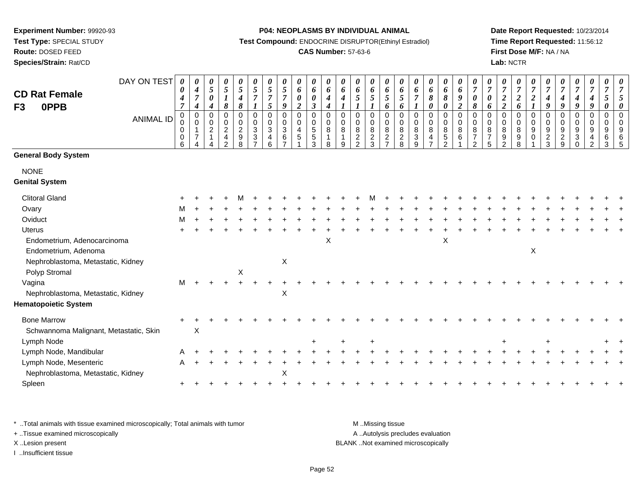**Test Type:** SPECIAL STUDY

**Route:** DOSED FEED

**Species/Strain:** Rat/CD

#### **P04: NEOPLASMS BY INDIVIDUAL ANIMAL**

**Test Compound:** ENDOCRINE DISRUPTOR(Ethinyl Estradiol)

## **CAS Number:** 57-63-6

**Date Report Requested:** 10/23/2014**Time Report Requested:** 11:56:12**First Dose M/F:** NA / NA**Lab:** NCTR

| <b>CD Rat Female</b>                   | DAY ON TEST      | $\boldsymbol{\theta}$<br>0<br>$\boldsymbol{4}$                    | 0<br>$\boldsymbol{4}$<br>$\overline{7}$ | 0<br>$\sqrt{5}$<br>$\pmb{\theta}$                                              | 0<br>$\mathfrak{s}$                                                                  | 0<br>$\sqrt{5}$<br>4                                           | 0<br>$\mathfrak{s}$<br>$\overline{7}$                                    | 0<br>$\mathfrak{s}$<br>$\overline{7}$ | 0<br>$\mathfrak{s}$<br>$\overline{7}$                                    | 0<br>6<br>$\pmb{\theta}$                    | 0<br>6<br>$\pmb{\theta}$                                                 | 0<br>$\pmb{6}$<br>$\boldsymbol{4}$                                            | 0<br>6<br>4                                  | 0<br>6<br>$\mathfrak{s}$                                                      | 0<br>6<br>$\sqrt{5}$                         | 0<br>6<br>5                                                                        | 0<br>6<br>$\mathfrak{H}$                       | 0<br>6<br>$\overline{7}$                                                          | 0<br>6<br>$\pmb{8}$                                                          | 0<br>6<br>$\boldsymbol{\delta}$                                   | 0<br>$\pmb{6}$<br>$\boldsymbol{g}$                               | 0<br>$\overline{7}$<br>$\boldsymbol{\theta}$                             | $\boldsymbol{\theta}$<br>$\overline{7}$<br>0   | 0<br>$\overline{7}$<br>$\boldsymbol{2}$                      | 0<br>$\boldsymbol{7}$<br>$\boldsymbol{2}$                          | 0<br>$\boldsymbol{7}$<br>$\boldsymbol{2}$         | 0<br>$\overline{7}$<br>$\boldsymbol{4}$                    | 0<br>$\overline{7}$<br>$\boldsymbol{4}$                                | $\boldsymbol{\theta}$<br>$\boldsymbol{7}$<br>$\boldsymbol{4}$                           | 0<br>$\boldsymbol{7}$<br>$\boldsymbol{4}$                               | 0<br>$\overline{7}$<br>5   | $\overline{7}$                      |
|----------------------------------------|------------------|-------------------------------------------------------------------|-----------------------------------------|--------------------------------------------------------------------------------|--------------------------------------------------------------------------------------|----------------------------------------------------------------|--------------------------------------------------------------------------|---------------------------------------|--------------------------------------------------------------------------|---------------------------------------------|--------------------------------------------------------------------------|-------------------------------------------------------------------------------|----------------------------------------------|-------------------------------------------------------------------------------|----------------------------------------------|------------------------------------------------------------------------------------|------------------------------------------------|-----------------------------------------------------------------------------------|------------------------------------------------------------------------------|-------------------------------------------------------------------|------------------------------------------------------------------|--------------------------------------------------------------------------|------------------------------------------------|--------------------------------------------------------------|--------------------------------------------------------------------|---------------------------------------------------|------------------------------------------------------------|------------------------------------------------------------------------|-----------------------------------------------------------------------------------------|-------------------------------------------------------------------------|----------------------------|-------------------------------------|
| <b>OPPB</b><br>F <sub>3</sub>          | <b>ANIMAL ID</b> | $\overline{7}$<br>$\mathbf 0$<br>$\pmb{0}$<br>$\pmb{0}$<br>0<br>6 | 4<br>0<br>0<br>1<br>7                   | $\boldsymbol{4}$<br>$\mathbf 0$<br>$\pmb{0}$<br>$\overline{c}$<br>$\mathbf{1}$ | 8<br>$\mathbf 0$<br>$\mathbf 0$<br>$\overline{c}$<br>$\overline{4}$<br>$\mathcal{L}$ | $\pmb{8}$<br>0<br>0<br>$\overline{c}$<br>$\boldsymbol{9}$<br>8 | $\mathbf 0$<br>$\pmb{0}$<br>$\mathbf{3}$<br>$\sqrt{3}$<br>$\overline{7}$ | 5<br>$\mathbf 0$<br>0<br>3<br>4<br>6  | 9<br>$\pmb{0}$<br>$\pmb{0}$<br>$\mathbf{3}$<br>$\,6\,$<br>$\overline{ }$ | $\overline{c}$<br>0<br>0<br>4<br>$\sqrt{5}$ | $\mathfrak{z}$<br>0<br>$\mathbf 0$<br>$\overline{5}$<br>$\,$ 5 $\,$<br>3 | $\boldsymbol{4}$<br>$\mathbf 0$<br>$\boldsymbol{0}$<br>8<br>$\mathbf{1}$<br>8 | $\mathbf 0$<br>0<br>8<br>$\overline{1}$<br>9 | $\mathbf 0$<br>$\boldsymbol{0}$<br>$\bf 8$<br>$\overline{c}$<br>$\mathcal{L}$ | 0<br>$\pmb{0}$<br>$\bf 8$<br>$\sqrt{2}$<br>3 | 6<br>$\mathbf 0$<br>$\overline{0}$<br>$\, 8$<br>$\boldsymbol{2}$<br>$\overline{7}$ | 6<br>$\Omega$<br>0<br>8<br>$\overline{c}$<br>8 | $\boldsymbol{l}$<br>$\mathbf 0$<br>0<br>$\bf 8$<br>$\ensuremath{\mathsf{3}}$<br>9 | $\boldsymbol{\theta}$<br>$\pmb{0}$<br>$\pmb{0}$<br>$\bf 8$<br>$\overline{4}$ | $\boldsymbol{\theta}$<br>0<br>$\mathbf 0$<br>8<br>$\sqrt{5}$<br>2 | $\boldsymbol{2}$<br>$\pmb{0}$<br>$\mathbf 0$<br>$\bf 8$<br>$\,6$ | 8<br>$\mathbf 0$<br>$\mathbf 0$<br>8<br>$\overline{7}$<br>$\overline{2}$ | 6<br>$\Omega$<br>0<br>8<br>$\overline{7}$<br>5 | $\overline{\mathbf{c}}$<br>0<br>0<br>8<br>9<br>$\mathcal{P}$ | 6<br>$\mathbf 0$<br>$\boldsymbol{0}$<br>8<br>$\boldsymbol{9}$<br>8 | $\mathbf 0$<br>$\pmb{0}$<br>$\boldsymbol{9}$<br>0 | 9<br>$\mathbf 0$<br>$\boldsymbol{0}$<br>9<br>$\frac{2}{3}$ | 9<br>$\mathbf 0$<br>$\mathbf 0$<br>9<br>$\overline{c}$<br>$\mathbf{q}$ | 9<br>0<br>$\boldsymbol{0}$<br>$\boldsymbol{9}$<br>$\ensuremath{\mathsf{3}}$<br>$\Omega$ | 9<br>$\pmb{0}$<br>$\mathbf 0$<br>$\boldsymbol{9}$<br>4<br>$\mathcal{P}$ | 0<br>0<br>0<br>9<br>6<br>3 | $\Omega$<br>$\Omega$<br>9<br>6<br>5 |
| <b>General Body System</b>             |                  |                                                                   |                                         |                                                                                |                                                                                      |                                                                |                                                                          |                                       |                                                                          |                                             |                                                                          |                                                                               |                                              |                                                                               |                                              |                                                                                    |                                                |                                                                                   |                                                                              |                                                                   |                                                                  |                                                                          |                                                |                                                              |                                                                    |                                                   |                                                            |                                                                        |                                                                                         |                                                                         |                            |                                     |
| <b>NONE</b>                            |                  |                                                                   |                                         |                                                                                |                                                                                      |                                                                |                                                                          |                                       |                                                                          |                                             |                                                                          |                                                                               |                                              |                                                                               |                                              |                                                                                    |                                                |                                                                                   |                                                                              |                                                                   |                                                                  |                                                                          |                                                |                                                              |                                                                    |                                                   |                                                            |                                                                        |                                                                                         |                                                                         |                            |                                     |
| <b>Genital System</b>                  |                  |                                                                   |                                         |                                                                                |                                                                                      |                                                                |                                                                          |                                       |                                                                          |                                             |                                                                          |                                                                               |                                              |                                                                               |                                              |                                                                                    |                                                |                                                                                   |                                                                              |                                                                   |                                                                  |                                                                          |                                                |                                                              |                                                                    |                                                   |                                                            |                                                                        |                                                                                         |                                                                         |                            |                                     |
| <b>Clitoral Gland</b>                  |                  |                                                                   |                                         |                                                                                |                                                                                      |                                                                |                                                                          |                                       |                                                                          |                                             |                                                                          |                                                                               |                                              |                                                                               |                                              |                                                                                    |                                                |                                                                                   |                                                                              |                                                                   |                                                                  |                                                                          |                                                |                                                              |                                                                    |                                                   |                                                            |                                                                        |                                                                                         |                                                                         |                            |                                     |
| Ovary                                  |                  | M                                                                 |                                         |                                                                                |                                                                                      |                                                                |                                                                          |                                       |                                                                          |                                             |                                                                          |                                                                               |                                              |                                                                               |                                              |                                                                                    |                                                |                                                                                   |                                                                              |                                                                   |                                                                  |                                                                          |                                                |                                                              |                                                                    |                                                   |                                                            |                                                                        |                                                                                         |                                                                         |                            |                                     |
| Oviduct                                |                  | M                                                                 |                                         |                                                                                |                                                                                      |                                                                |                                                                          |                                       |                                                                          |                                             |                                                                          |                                                                               |                                              |                                                                               |                                              |                                                                                    |                                                |                                                                                   |                                                                              |                                                                   |                                                                  |                                                                          |                                                |                                                              |                                                                    |                                                   |                                                            |                                                                        |                                                                                         |                                                                         |                            |                                     |
| Uterus                                 |                  |                                                                   |                                         |                                                                                |                                                                                      |                                                                |                                                                          |                                       |                                                                          |                                             |                                                                          |                                                                               |                                              |                                                                               |                                              |                                                                                    |                                                |                                                                                   |                                                                              |                                                                   |                                                                  |                                                                          |                                                |                                                              |                                                                    |                                                   |                                                            |                                                                        |                                                                                         |                                                                         |                            |                                     |
| Endometrium, Adenocarcinoma            |                  |                                                                   |                                         |                                                                                |                                                                                      |                                                                |                                                                          |                                       |                                                                          |                                             |                                                                          | X                                                                             |                                              |                                                                               |                                              |                                                                                    |                                                |                                                                                   |                                                                              | X                                                                 |                                                                  |                                                                          |                                                |                                                              |                                                                    |                                                   |                                                            |                                                                        |                                                                                         |                                                                         |                            |                                     |
| Endometrium, Adenoma                   |                  |                                                                   |                                         |                                                                                |                                                                                      |                                                                |                                                                          |                                       |                                                                          |                                             |                                                                          |                                                                               |                                              |                                                                               |                                              |                                                                                    |                                                |                                                                                   |                                                                              |                                                                   |                                                                  |                                                                          |                                                |                                                              |                                                                    | X                                                 |                                                            |                                                                        |                                                                                         |                                                                         |                            |                                     |
| Nephroblastoma, Metastatic, Kidney     |                  |                                                                   |                                         |                                                                                |                                                                                      |                                                                |                                                                          |                                       | $\mathsf X$                                                              |                                             |                                                                          |                                                                               |                                              |                                                                               |                                              |                                                                                    |                                                |                                                                                   |                                                                              |                                                                   |                                                                  |                                                                          |                                                |                                                              |                                                                    |                                                   |                                                            |                                                                        |                                                                                         |                                                                         |                            |                                     |
| Polyp Stromal                          |                  |                                                                   |                                         |                                                                                |                                                                                      | X                                                              |                                                                          |                                       |                                                                          |                                             |                                                                          |                                                                               |                                              |                                                                               |                                              |                                                                                    |                                                |                                                                                   |                                                                              |                                                                   |                                                                  |                                                                          |                                                |                                                              |                                                                    |                                                   |                                                            |                                                                        |                                                                                         |                                                                         |                            |                                     |
| Vagina                                 |                  | M                                                                 |                                         |                                                                                |                                                                                      |                                                                |                                                                          |                                       |                                                                          |                                             |                                                                          |                                                                               |                                              |                                                                               |                                              |                                                                                    |                                                |                                                                                   |                                                                              |                                                                   |                                                                  |                                                                          |                                                |                                                              |                                                                    |                                                   |                                                            |                                                                        |                                                                                         |                                                                         |                            |                                     |
| Nephroblastoma, Metastatic, Kidney     |                  |                                                                   |                                         |                                                                                |                                                                                      |                                                                |                                                                          |                                       | $\times$                                                                 |                                             |                                                                          |                                                                               |                                              |                                                                               |                                              |                                                                                    |                                                |                                                                                   |                                                                              |                                                                   |                                                                  |                                                                          |                                                |                                                              |                                                                    |                                                   |                                                            |                                                                        |                                                                                         |                                                                         |                            |                                     |
| <b>Hematopoietic System</b>            |                  |                                                                   |                                         |                                                                                |                                                                                      |                                                                |                                                                          |                                       |                                                                          |                                             |                                                                          |                                                                               |                                              |                                                                               |                                              |                                                                                    |                                                |                                                                                   |                                                                              |                                                                   |                                                                  |                                                                          |                                                |                                                              |                                                                    |                                                   |                                                            |                                                                        |                                                                                         |                                                                         |                            |                                     |
| <b>Bone Marrow</b>                     |                  |                                                                   |                                         |                                                                                |                                                                                      |                                                                |                                                                          |                                       |                                                                          |                                             |                                                                          |                                                                               |                                              |                                                                               |                                              |                                                                                    |                                                |                                                                                   |                                                                              |                                                                   |                                                                  |                                                                          |                                                |                                                              |                                                                    |                                                   |                                                            |                                                                        |                                                                                         |                                                                         |                            |                                     |
| Schwannoma Malignant, Metastatic, Skin |                  |                                                                   | X                                       |                                                                                |                                                                                      |                                                                |                                                                          |                                       |                                                                          |                                             |                                                                          |                                                                               |                                              |                                                                               |                                              |                                                                                    |                                                |                                                                                   |                                                                              |                                                                   |                                                                  |                                                                          |                                                |                                                              |                                                                    |                                                   |                                                            |                                                                        |                                                                                         |                                                                         |                            |                                     |
| Lymph Node                             |                  |                                                                   |                                         |                                                                                |                                                                                      |                                                                |                                                                          |                                       |                                                                          |                                             |                                                                          |                                                                               |                                              |                                                                               |                                              |                                                                                    |                                                |                                                                                   |                                                                              |                                                                   |                                                                  |                                                                          |                                                |                                                              |                                                                    |                                                   |                                                            |                                                                        |                                                                                         |                                                                         |                            |                                     |
| Lymph Node, Mandibular                 |                  |                                                                   |                                         |                                                                                |                                                                                      |                                                                |                                                                          |                                       |                                                                          |                                             |                                                                          |                                                                               |                                              |                                                                               |                                              |                                                                                    |                                                |                                                                                   |                                                                              |                                                                   |                                                                  |                                                                          |                                                |                                                              |                                                                    |                                                   |                                                            |                                                                        |                                                                                         |                                                                         |                            |                                     |
| Lymph Node, Mesenteric                 |                  |                                                                   |                                         |                                                                                |                                                                                      |                                                                |                                                                          |                                       |                                                                          |                                             |                                                                          |                                                                               |                                              |                                                                               |                                              |                                                                                    |                                                |                                                                                   |                                                                              |                                                                   |                                                                  |                                                                          |                                                |                                                              |                                                                    |                                                   |                                                            |                                                                        |                                                                                         |                                                                         |                            |                                     |
| Nephroblastoma, Metastatic, Kidney     |                  |                                                                   |                                         |                                                                                |                                                                                      |                                                                |                                                                          |                                       | X                                                                        |                                             |                                                                          |                                                                               |                                              |                                                                               |                                              |                                                                                    |                                                |                                                                                   |                                                                              |                                                                   |                                                                  |                                                                          |                                                |                                                              |                                                                    |                                                   |                                                            |                                                                        |                                                                                         |                                                                         |                            |                                     |
| Spleen                                 |                  |                                                                   |                                         |                                                                                |                                                                                      |                                                                |                                                                          |                                       |                                                                          |                                             |                                                                          |                                                                               |                                              |                                                                               |                                              |                                                                                    |                                                |                                                                                   |                                                                              |                                                                   |                                                                  |                                                                          |                                                |                                                              |                                                                    |                                                   |                                                            |                                                                        |                                                                                         |                                                                         |                            |                                     |

\* ..Total animals with tissue examined microscopically; Total animals with tumor **M** . Missing tissue M ..Missing tissue + ..Tissue examined microscopically

I ..Insufficient tissue

A ..Autolysis precludes evaluation X ..Lesion present BLANK ..Not examined microscopically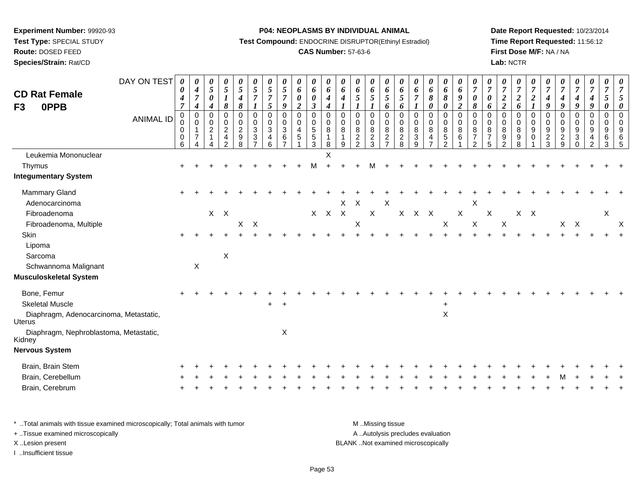**Test Type:** SPECIAL STUDY

# **Route:** DOSED FEED

**Species/Strain:** Rat/CD

## **P04: NEOPLASMS BY INDIVIDUAL ANIMAL**

**Test Compound:** ENDOCRINE DISRUPTOR(Ethinyl Estradiol)

## **CAS Number:** 57-63-6

**Date Report Requested:** 10/23/2014 **Time Report Requested:** 11:56:12**First Dose M/F:** NA / NA**Lab:** NCTR

| <b>CD Rat Female</b><br>0PPB<br>F <sub>3</sub>                                                                                                                         | DAY ON TEST<br><b>ANIMAL ID</b> | 0<br>0<br>$\boldsymbol{4}$<br>$\overline{7}$<br>0<br>0<br>0<br>$\mathbf 0$<br>6 | 0<br>$\boldsymbol{4}$<br>$\overline{7}$<br>4<br>$\mathbf 0$<br>$\mathbf 0$<br>$\mathbf 1$<br>$\overline{7}$<br>4 | 0<br>$5\overline{)}$<br>$\pmb{\theta}$<br>$\boldsymbol{4}$<br>$\mathbf 0$<br>$\mathbf 0$<br>$\overline{2}$<br>$\mathbf{1}$ | $\frac{\theta}{5}$<br>$\boldsymbol{l}$<br>8<br>0<br>0<br>$\overline{2}$<br>$\overline{\mathbf{4}}$<br>$\mathcal{P}$ | $\frac{\theta}{5}$<br>$\boldsymbol{4}$<br>8<br>$\pmb{0}$<br>$\mathbf 0$<br>$\frac{2}{9}$<br>8 | 0<br>$\sqrt{5}$<br>$\overline{7}$<br>$\pmb{0}$<br>$\pmb{0}$<br>$\overline{3}$<br>$\ensuremath{\mathsf{3}}$<br>$\overline{7}$ | $\boldsymbol{\theta}$<br>$\sqrt{5}$<br>$\overline{7}$<br>$\mathfrak{s}$<br>$\pmb{0}$<br>$\mathbf 0$<br>$\ensuremath{\mathsf{3}}$<br>$\overline{\mathbf{r}}$<br>6 | 0<br>$\sqrt{5}$<br>$\overline{7}$<br>$\boldsymbol{9}$<br>$\mathbf 0$<br>$\pmb{0}$<br>$\overline{3}$<br>$\,6$<br>$\overline{z}$ | 0<br>$\boldsymbol{6}$<br>$\pmb{\theta}$<br>$\boldsymbol{2}$<br>0<br>$\pmb{0}$<br>$\overline{\mathbf{4}}$<br>$\,$ 5 $\,$ | 0<br>6<br>$\boldsymbol{\theta}$<br>$\mathfrak{z}$<br>$\mathsf 0$<br>$\mathbf 0$<br>5<br>$\frac{5}{3}$ | 0<br>6<br>$\boldsymbol{4}$<br>$\boldsymbol{4}$<br>0<br>0<br>8<br>$\mathbf 1$<br>8 | 0<br>6<br>$\boldsymbol{4}$<br>$\boldsymbol{l}$<br>$\mathbf 0$<br>0<br>$\bf 8$<br>$\mathbf{1}$<br>9 | 0<br>6<br>5<br>$\mathbf 0$<br>$\mathbf 0$<br>$\bf 8$<br>$\sqrt{2}$<br>$\mathfrak{D}$ | 0<br>6<br>$\mathfrak{H}$<br>$\mathbf 0$<br>$\mathbf 0$<br>$\bf 8$<br>$\frac{2}{3}$ | 0<br>6<br>$\overline{5}$<br>6<br>$\mathbf 0$<br>$\mathbf 0$<br>$\,8\,$<br>$\sqrt{2}$<br>$\overline{7}$ | 0<br>6<br>$\mathfrak{s}$<br>6<br>$\mathbf 0$<br>0<br>$\bf 8$<br>$\frac{2}{8}$ | 0<br>6<br>$\boldsymbol{7}$<br>$\boldsymbol{l}$<br>$\mathbf 0$<br>$\mathbf 0$<br>$\bf 8$<br>$\ensuremath{\mathsf{3}}$<br>$\mathbf{Q}$ | 0<br>6<br>8<br>0<br>0<br>0<br>8<br>4<br>$\overline{ }$ | 0<br>6<br>$\pmb{8}$<br>$\pmb{\theta}$<br>$\pmb{0}$<br>$\mathbf 0$<br>$\overline{8}$<br>$\frac{5}{2}$ | $\boldsymbol{\theta}$<br>6<br>9<br>$\boldsymbol{2}$<br>$\mathsf 0$<br>$\mathsf 0$<br>$\bf 8$<br>$\,6\,$ | $\boldsymbol{\theta}$<br>$\overline{7}$<br>$\boldsymbol{\theta}$<br>$\pmb{8}$<br>$\mathbf 0$<br>$\mathbf 0$<br>$\bf 8$<br>$\overline{7}$<br>2 | 0<br>$\overline{7}$<br>$\boldsymbol{\theta}$<br>6<br>$\mathbf 0$<br>0<br>$\bf 8$<br>$\overline{7}$<br>$\overline{5}$ | $\frac{\theta}{7}$<br>$\boldsymbol{2}$<br>$\overline{\mathbf{c}}$<br>$\mathbf 0$<br>$\pmb{0}$<br>$\bf 8$<br>$\boldsymbol{9}$<br>$\mathcal{P}$ | 0<br>$\overline{7}$<br>$\boldsymbol{2}$<br>6<br>$\mathbf 0$<br>$\pmb{0}$<br>8<br>9<br>8 | 0<br>$\overline{7}$<br>$\boldsymbol{2}$<br>$\boldsymbol{l}$<br>0<br>0<br>9<br>0 | $\boldsymbol{\theta}$<br>$\overline{7}$<br>$\boldsymbol{4}$<br>9<br>$\pmb{0}$<br>0<br>$\boldsymbol{9}$<br>$\frac{2}{3}$ | 0<br>$\overline{7}$<br>$\boldsymbol{4}$<br>9<br>$\pmb{0}$<br>$\mathbf 0$<br>$\boldsymbol{9}$<br>$\boldsymbol{2}$<br>9 | $\boldsymbol{\theta}$<br>$\boldsymbol{7}$<br>$\boldsymbol{4}$<br>9<br>$\mathsf{O}\xspace$<br>$\mathbf 0$<br>$\overline{9}$<br>$\ensuremath{\mathsf{3}}$<br>$\Omega$ | 0<br>$\overline{7}$<br>$\boldsymbol{4}$<br>$\boldsymbol{9}$<br>$\pmb{0}$<br>0<br>$\boldsymbol{9}$<br>$\overline{\mathbf{r}}$<br>$\mathfrak{p}$ | $\boldsymbol{\theta}$<br>$\overline{7}$<br>$\mathfrak{s}$<br>0<br>$\mathbf 0$<br>0<br>$\boldsymbol{9}$<br>6<br>3 | $\overline{7}$<br>5<br>$\mathbf 0$<br>$\mathbf 0$<br>9<br>6<br>.5 |
|------------------------------------------------------------------------------------------------------------------------------------------------------------------------|---------------------------------|---------------------------------------------------------------------------------|------------------------------------------------------------------------------------------------------------------|----------------------------------------------------------------------------------------------------------------------------|---------------------------------------------------------------------------------------------------------------------|-----------------------------------------------------------------------------------------------|------------------------------------------------------------------------------------------------------------------------------|------------------------------------------------------------------------------------------------------------------------------------------------------------------|--------------------------------------------------------------------------------------------------------------------------------|-------------------------------------------------------------------------------------------------------------------------|-------------------------------------------------------------------------------------------------------|-----------------------------------------------------------------------------------|----------------------------------------------------------------------------------------------------|--------------------------------------------------------------------------------------|------------------------------------------------------------------------------------|--------------------------------------------------------------------------------------------------------|-------------------------------------------------------------------------------|--------------------------------------------------------------------------------------------------------------------------------------|--------------------------------------------------------|------------------------------------------------------------------------------------------------------|---------------------------------------------------------------------------------------------------------|-----------------------------------------------------------------------------------------------------------------------------------------------|----------------------------------------------------------------------------------------------------------------------|-----------------------------------------------------------------------------------------------------------------------------------------------|-----------------------------------------------------------------------------------------|---------------------------------------------------------------------------------|-------------------------------------------------------------------------------------------------------------------------|-----------------------------------------------------------------------------------------------------------------------|---------------------------------------------------------------------------------------------------------------------------------------------------------------------|------------------------------------------------------------------------------------------------------------------------------------------------|------------------------------------------------------------------------------------------------------------------|-------------------------------------------------------------------|
| Leukemia Mononuclear<br>Thymus<br><b>Integumentary System</b>                                                                                                          |                                 |                                                                                 |                                                                                                                  |                                                                                                                            |                                                                                                                     |                                                                                               |                                                                                                                              |                                                                                                                                                                  |                                                                                                                                |                                                                                                                         |                                                                                                       | X                                                                                 |                                                                                                    |                                                                                      |                                                                                    |                                                                                                        |                                                                               |                                                                                                                                      |                                                        |                                                                                                      |                                                                                                         |                                                                                                                                               |                                                                                                                      |                                                                                                                                               |                                                                                         |                                                                                 |                                                                                                                         |                                                                                                                       |                                                                                                                                                                     |                                                                                                                                                |                                                                                                                  |                                                                   |
| Mammary Gland<br>Adenocarcinoma<br>Fibroadenoma<br>Fibroadenoma, Multiple                                                                                              |                                 |                                                                                 |                                                                                                                  |                                                                                                                            | $X$ $X$                                                                                                             | X                                                                                             | $\mathsf{X}$                                                                                                                 |                                                                                                                                                                  |                                                                                                                                |                                                                                                                         | X                                                                                                     | X X                                                                               |                                                                                                    | $X$ $X$<br>X                                                                         | $\mathsf X$                                                                        | $\mathsf X$                                                                                            |                                                                               | X X X                                                                                                                                |                                                        | $\mathsf X$                                                                                          | $\mathsf X$                                                                                             | $\boldsymbol{\mathsf{X}}$<br>$\mathsf X$                                                                                                      | X                                                                                                                    | $\mathsf X$                                                                                                                                   |                                                                                         | $X$ $X$                                                                         |                                                                                                                         |                                                                                                                       | $X$ $X$                                                                                                                                                             |                                                                                                                                                | X                                                                                                                | $\times$                                                          |
| Skin<br>Lipoma<br>Sarcoma<br>Schwannoma Malignant<br><b>Musculoskeletal System</b>                                                                                     |                                 |                                                                                 | $\boldsymbol{\mathsf{X}}$                                                                                        |                                                                                                                            | $\mathsf X$                                                                                                         |                                                                                               |                                                                                                                              |                                                                                                                                                                  |                                                                                                                                |                                                                                                                         |                                                                                                       |                                                                                   |                                                                                                    |                                                                                      |                                                                                    |                                                                                                        |                                                                               |                                                                                                                                      |                                                        |                                                                                                      |                                                                                                         |                                                                                                                                               |                                                                                                                      |                                                                                                                                               |                                                                                         |                                                                                 |                                                                                                                         |                                                                                                                       |                                                                                                                                                                     |                                                                                                                                                |                                                                                                                  |                                                                   |
| Bone, Femur<br><b>Skeletal Muscle</b><br>Diaphragm, Adenocarcinoma, Metastatic,<br>Uterus<br>Diaphragm, Nephroblastoma, Metastatic,<br>Kidney<br><b>Nervous System</b> |                                 |                                                                                 |                                                                                                                  |                                                                                                                            |                                                                                                                     |                                                                                               |                                                                                                                              | +                                                                                                                                                                | $\boldsymbol{\mathsf{X}}$                                                                                                      |                                                                                                                         |                                                                                                       |                                                                                   |                                                                                                    |                                                                                      |                                                                                    |                                                                                                        |                                                                               |                                                                                                                                      |                                                        | $\ddot{}$<br>$\pmb{\times}$                                                                          |                                                                                                         |                                                                                                                                               |                                                                                                                      |                                                                                                                                               |                                                                                         |                                                                                 |                                                                                                                         |                                                                                                                       |                                                                                                                                                                     |                                                                                                                                                |                                                                                                                  |                                                                   |
| Brain, Brain Stem<br>Brain, Cerebellum<br>Brain, Cerebrum                                                                                                              |                                 |                                                                                 |                                                                                                                  |                                                                                                                            |                                                                                                                     |                                                                                               |                                                                                                                              |                                                                                                                                                                  |                                                                                                                                |                                                                                                                         |                                                                                                       |                                                                                   |                                                                                                    |                                                                                      |                                                                                    |                                                                                                        |                                                                               |                                                                                                                                      |                                                        |                                                                                                      |                                                                                                         |                                                                                                                                               |                                                                                                                      |                                                                                                                                               |                                                                                         |                                                                                 |                                                                                                                         |                                                                                                                       |                                                                                                                                                                     |                                                                                                                                                |                                                                                                                  |                                                                   |

| * Total animals with tissue examined microscopically; Total animals with tumor | M Missing tissue                   |
|--------------------------------------------------------------------------------|------------------------------------|
| + Tissue examined microscopically                                              | A Autolysis precludes evaluation   |
| X Lesion present                                                               | BLANK Not examined microscopically |
| …Insufficient tissue                                                           |                                    |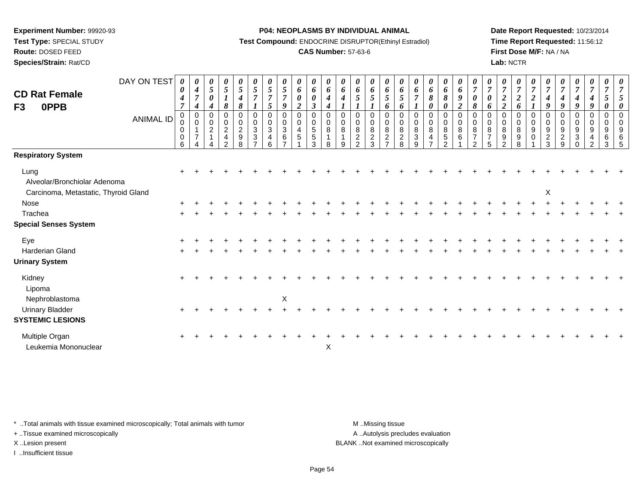**Test Type:** SPECIAL STUDY

# **Route:** DOSED FEED

**Species/Strain:** Rat/CD

#### **P04: NEOPLASMS BY INDIVIDUAL ANIMAL**

**Test Compound:** ENDOCRINE DISRUPTOR(Ethinyl Estradiol)

## **CAS Number:** 57-63-6

**Date Report Requested:** 10/23/2014**Time Report Requested:** 11:56:12**First Dose M/F:** NA / NA**Lab:** NCTR

| <b>CD Rat Female</b><br>0PPB<br>F3     | DAY ON TEST<br><b>ANIMAL ID</b> | 0<br>0<br>4<br>7<br>0<br>$\pmb{0}$<br>$\mathbf 0$<br>0 | 0<br>$\boldsymbol{4}$<br>$\overline{7}$<br>$\boldsymbol{4}$<br>$\pmb{0}$<br>$\Omega$<br>$\overline{7}$ | $\boldsymbol{\theta}$<br>$\mathfrak{s}$<br>0<br>$\boldsymbol{4}$<br>$\mathbf 0$<br>$\mathbf 0$<br>$\overline{c}$<br>-1 | 0<br>$\sqrt{5}$<br>8<br>0<br>$\pmb{0}$<br>$\overline{c}$<br>4 | $\boldsymbol{\theta}$<br>$\overline{5}$<br>$\boldsymbol{4}$<br>8<br>$\pmb{0}$<br>$\pmb{0}$<br>$\overline{c}$<br>$\boldsymbol{9}$ | 0<br>5<br>$\overline{7}$<br>0<br>$\mathbf 0$<br>3<br>3 | 0<br>$\mathfrak{s}$<br>$\overline{7}$<br>5<br>$\mathbf 0$<br>0<br>3<br>4 | 0<br>5<br>$\overline{7}$<br>$\boldsymbol{q}$<br>$\mathbf 0$<br>$\mathsf 0$<br>3<br>6 | $\boldsymbol{\theta}$<br>6<br>0<br>$\overline{\mathbf{c}}$<br>0<br>0<br>4<br>$\sqrt{5}$ | $\boldsymbol{\theta}$<br>$\pmb{6}$<br>$\boldsymbol{\theta}$<br>$\mathfrak{z}$<br>$\pmb{0}$<br>$\pmb{0}$<br>$\frac{5}{3}$ | 0<br>$\pmb{6}$<br>$\boldsymbol{4}$<br>$\boldsymbol{4}$<br>$\mathbf 0$<br>$\pmb{0}$<br>8<br>$\overline{1}$ | $\boldsymbol{\theta}$<br>6<br>4<br>$\mathbf 0$<br>$\mathbf 0$<br>8<br>1 | $\boldsymbol{\theta}$<br>6<br>5<br>$\mathbf 0$<br>$\mathbf 0$<br>8<br>$\boldsymbol{2}$ | 0<br>6<br>5<br>$\pmb{0}$<br>$\pmb{0}$<br>$\bf 8$ | 0<br>6<br>5<br>6<br>$\mathbf 0$<br>$\mathsf{O}\xspace$<br>8<br>$\frac{2}{7}$ | 0<br>6<br>5<br>6<br>$\mathbf 0$<br>$\mathbf 0$<br>8 | $\boldsymbol{\theta}$<br>6<br>$\overline{7}$<br>$\mathbf 0$<br>0<br>8<br>$\ensuremath{\mathsf{3}}$ | $\boldsymbol{\theta}$<br>6<br>8<br>0<br>0<br>$\mathbf 0$<br>8<br>$\overline{a}$ | 0<br>$\boldsymbol{6}$<br>$\pmb{8}$<br>$\boldsymbol{\theta}$<br>$\pmb{0}$<br>$\pmb{0}$<br>$\,8\,$ | $\boldsymbol{\theta}$<br>6<br>$\boldsymbol{g}$<br>$\overline{2}$<br>$\mathbf 0$<br>$\mathbf 0$<br>8<br>6 | $\overline{7}$<br>0<br>8<br>$\mathbf 0$<br>$\mathbf 0$<br>8<br>$\overline{7}$ | 0<br>$\overline{7}$<br>0<br>6<br>0<br>$\Omega$<br>8<br>$\overline{7}$ | $\frac{\theta}{7}$<br>$\boldsymbol{2}$<br>$\boldsymbol{2}$<br>$\mathbf 0$<br>$\pmb{0}$<br>8<br>9 | $\frac{\boldsymbol{0}}{7}$<br>$\boldsymbol{2}$<br>6<br>$\mathbf 0$<br>$\pmb{0}$<br>$\bf 8$<br>9 | $\overline{7}$<br>$\boldsymbol{2}$<br>0<br>9<br>$\mathbf 0$ | 0<br>$\overline{7}$<br>4<br>9<br>$\mathbf 0$<br>$\mathbf 0$<br>$\boldsymbol{9}$ | $\frac{\theta}{7}$<br>$\boldsymbol{4}$<br>9<br>$\pmb{0}$<br>$\mathsf{O}\xspace$<br>$\boldsymbol{9}$ | $\frac{\boldsymbol{0}}{7}$<br>$\boldsymbol{4}$<br>9<br>$\pmb{0}$<br>$\mathbf 0$<br>9<br>$\sqrt{3}$ | $\boldsymbol{\theta}$<br>$\overline{7}$<br>$\boldsymbol{4}$<br>9<br>$\mathbf 0$<br>$\mathbf 0$<br>9<br>4 | 0<br>$\overline{7}$<br>5<br>$\boldsymbol{\theta}$<br>$\mathbf 0$<br>$\Omega$<br>9<br>6 | $\boldsymbol{\theta}$<br>$\overline{7}$<br>5<br>$\boldsymbol{\theta}$<br>$\mathbf 0$<br>$\mathbf 0$<br>9 |
|----------------------------------------|---------------------------------|--------------------------------------------------------|--------------------------------------------------------------------------------------------------------|------------------------------------------------------------------------------------------------------------------------|---------------------------------------------------------------|----------------------------------------------------------------------------------------------------------------------------------|--------------------------------------------------------|--------------------------------------------------------------------------|--------------------------------------------------------------------------------------|-----------------------------------------------------------------------------------------|--------------------------------------------------------------------------------------------------------------------------|-----------------------------------------------------------------------------------------------------------|-------------------------------------------------------------------------|----------------------------------------------------------------------------------------|--------------------------------------------------|------------------------------------------------------------------------------|-----------------------------------------------------|----------------------------------------------------------------------------------------------------|---------------------------------------------------------------------------------|--------------------------------------------------------------------------------------------------|----------------------------------------------------------------------------------------------------------|-------------------------------------------------------------------------------|-----------------------------------------------------------------------|--------------------------------------------------------------------------------------------------|-------------------------------------------------------------------------------------------------|-------------------------------------------------------------|---------------------------------------------------------------------------------|-----------------------------------------------------------------------------------------------------|----------------------------------------------------------------------------------------------------|----------------------------------------------------------------------------------------------------------|----------------------------------------------------------------------------------------|----------------------------------------------------------------------------------------------------------|
|                                        |                                 | 6                                                      |                                                                                                        |                                                                                                                        | $\mathfrak{p}$                                                | 8                                                                                                                                | $\overline{\phantom{0}}$                               | 6                                                                        |                                                                                      |                                                                                         |                                                                                                                          | 8                                                                                                         | 9                                                                       | $\mathcal{P}$                                                                          | $\frac{2}{3}$                                    |                                                                              | $\frac{2}{8}$                                       | 9                                                                                                  | $\overline{ }$                                                                  | $\frac{5}{2}$                                                                                    |                                                                                                          | $\mathcal{P}$                                                                 | 5                                                                     | $\mathcal{P}$                                                                                    | 8                                                                                               |                                                             | $\frac{2}{3}$                                                                   | $\frac{2}{9}$                                                                                       | $\Omega$                                                                                           | $\overline{2}$                                                                                           | 3                                                                                      | $\begin{array}{c} 6 \\ 5 \end{array}$                                                                    |
| <b>Respiratory System</b>              |                                 |                                                        |                                                                                                        |                                                                                                                        |                                                               |                                                                                                                                  |                                                        |                                                                          |                                                                                      |                                                                                         |                                                                                                                          |                                                                                                           |                                                                         |                                                                                        |                                                  |                                                                              |                                                     |                                                                                                    |                                                                                 |                                                                                                  |                                                                                                          |                                                                               |                                                                       |                                                                                                  |                                                                                                 |                                                             |                                                                                 |                                                                                                     |                                                                                                    |                                                                                                          |                                                                                        |                                                                                                          |
| Lung<br>Alveolar/Bronchiolar Adenoma   |                                 |                                                        |                                                                                                        |                                                                                                                        |                                                               |                                                                                                                                  |                                                        |                                                                          |                                                                                      |                                                                                         |                                                                                                                          |                                                                                                           |                                                                         |                                                                                        |                                                  |                                                                              |                                                     |                                                                                                    |                                                                                 |                                                                                                  |                                                                                                          |                                                                               |                                                                       |                                                                                                  |                                                                                                 |                                                             |                                                                                 |                                                                                                     |                                                                                                    |                                                                                                          |                                                                                        |                                                                                                          |
| Carcinoma, Metastatic, Thyroid Gland   |                                 |                                                        |                                                                                                        |                                                                                                                        |                                                               |                                                                                                                                  |                                                        |                                                                          |                                                                                      |                                                                                         |                                                                                                                          |                                                                                                           |                                                                         |                                                                                        |                                                  |                                                                              |                                                     |                                                                                                    |                                                                                 |                                                                                                  |                                                                                                          |                                                                               |                                                                       |                                                                                                  |                                                                                                 |                                                             | X                                                                               |                                                                                                     |                                                                                                    |                                                                                                          |                                                                                        |                                                                                                          |
| Nose                                   |                                 |                                                        |                                                                                                        |                                                                                                                        |                                                               |                                                                                                                                  |                                                        |                                                                          |                                                                                      |                                                                                         |                                                                                                                          |                                                                                                           |                                                                         |                                                                                        |                                                  |                                                                              |                                                     |                                                                                                    |                                                                                 |                                                                                                  |                                                                                                          |                                                                               |                                                                       |                                                                                                  |                                                                                                 |                                                             |                                                                                 |                                                                                                     |                                                                                                    |                                                                                                          |                                                                                        |                                                                                                          |
| Trachea                                |                                 |                                                        |                                                                                                        |                                                                                                                        |                                                               |                                                                                                                                  |                                                        |                                                                          |                                                                                      |                                                                                         |                                                                                                                          |                                                                                                           |                                                                         |                                                                                        |                                                  |                                                                              |                                                     |                                                                                                    |                                                                                 |                                                                                                  |                                                                                                          |                                                                               |                                                                       |                                                                                                  |                                                                                                 |                                                             |                                                                                 |                                                                                                     |                                                                                                    |                                                                                                          |                                                                                        |                                                                                                          |
| <b>Special Senses System</b>           |                                 |                                                        |                                                                                                        |                                                                                                                        |                                                               |                                                                                                                                  |                                                        |                                                                          |                                                                                      |                                                                                         |                                                                                                                          |                                                                                                           |                                                                         |                                                                                        |                                                  |                                                                              |                                                     |                                                                                                    |                                                                                 |                                                                                                  |                                                                                                          |                                                                               |                                                                       |                                                                                                  |                                                                                                 |                                                             |                                                                                 |                                                                                                     |                                                                                                    |                                                                                                          |                                                                                        |                                                                                                          |
| Eye                                    |                                 |                                                        |                                                                                                        |                                                                                                                        |                                                               |                                                                                                                                  |                                                        |                                                                          |                                                                                      |                                                                                         |                                                                                                                          |                                                                                                           |                                                                         |                                                                                        |                                                  |                                                                              |                                                     |                                                                                                    |                                                                                 |                                                                                                  |                                                                                                          |                                                                               |                                                                       |                                                                                                  |                                                                                                 |                                                             |                                                                                 |                                                                                                     |                                                                                                    |                                                                                                          |                                                                                        |                                                                                                          |
| Harderian Gland                        |                                 |                                                        |                                                                                                        |                                                                                                                        |                                                               |                                                                                                                                  |                                                        |                                                                          |                                                                                      |                                                                                         |                                                                                                                          |                                                                                                           |                                                                         |                                                                                        |                                                  |                                                                              |                                                     |                                                                                                    |                                                                                 |                                                                                                  |                                                                                                          |                                                                               |                                                                       |                                                                                                  |                                                                                                 |                                                             |                                                                                 |                                                                                                     |                                                                                                    |                                                                                                          |                                                                                        |                                                                                                          |
| <b>Urinary System</b>                  |                                 |                                                        |                                                                                                        |                                                                                                                        |                                                               |                                                                                                                                  |                                                        |                                                                          |                                                                                      |                                                                                         |                                                                                                                          |                                                                                                           |                                                                         |                                                                                        |                                                  |                                                                              |                                                     |                                                                                                    |                                                                                 |                                                                                                  |                                                                                                          |                                                                               |                                                                       |                                                                                                  |                                                                                                 |                                                             |                                                                                 |                                                                                                     |                                                                                                    |                                                                                                          |                                                                                        |                                                                                                          |
| Kidney<br>Lipoma                       |                                 |                                                        |                                                                                                        |                                                                                                                        |                                                               |                                                                                                                                  |                                                        |                                                                          |                                                                                      |                                                                                         |                                                                                                                          |                                                                                                           |                                                                         |                                                                                        |                                                  |                                                                              |                                                     |                                                                                                    |                                                                                 |                                                                                                  |                                                                                                          |                                                                               |                                                                       |                                                                                                  |                                                                                                 |                                                             |                                                                                 |                                                                                                     |                                                                                                    |                                                                                                          |                                                                                        |                                                                                                          |
| Nephroblastoma                         |                                 |                                                        |                                                                                                        |                                                                                                                        |                                                               |                                                                                                                                  |                                                        |                                                                          | X                                                                                    |                                                                                         |                                                                                                                          |                                                                                                           |                                                                         |                                                                                        |                                                  |                                                                              |                                                     |                                                                                                    |                                                                                 |                                                                                                  |                                                                                                          |                                                                               |                                                                       |                                                                                                  |                                                                                                 |                                                             |                                                                                 |                                                                                                     |                                                                                                    |                                                                                                          |                                                                                        |                                                                                                          |
| <b>Urinary Bladder</b>                 |                                 |                                                        |                                                                                                        |                                                                                                                        |                                                               |                                                                                                                                  |                                                        |                                                                          |                                                                                      |                                                                                         |                                                                                                                          |                                                                                                           |                                                                         |                                                                                        |                                                  |                                                                              |                                                     |                                                                                                    |                                                                                 |                                                                                                  |                                                                                                          |                                                                               |                                                                       |                                                                                                  |                                                                                                 |                                                             |                                                                                 |                                                                                                     |                                                                                                    |                                                                                                          |                                                                                        |                                                                                                          |
| <b>SYSTEMIC LESIONS</b>                |                                 |                                                        |                                                                                                        |                                                                                                                        |                                                               |                                                                                                                                  |                                                        |                                                                          |                                                                                      |                                                                                         |                                                                                                                          |                                                                                                           |                                                                         |                                                                                        |                                                  |                                                                              |                                                     |                                                                                                    |                                                                                 |                                                                                                  |                                                                                                          |                                                                               |                                                                       |                                                                                                  |                                                                                                 |                                                             |                                                                                 |                                                                                                     |                                                                                                    |                                                                                                          |                                                                                        |                                                                                                          |
| Multiple Organ<br>Leukemia Mononuclear |                                 | $\pm$                                                  |                                                                                                        |                                                                                                                        |                                                               |                                                                                                                                  |                                                        |                                                                          |                                                                                      |                                                                                         |                                                                                                                          | X                                                                                                         |                                                                         |                                                                                        |                                                  |                                                                              |                                                     |                                                                                                    |                                                                                 |                                                                                                  |                                                                                                          |                                                                               |                                                                       |                                                                                                  |                                                                                                 |                                                             |                                                                                 |                                                                                                     |                                                                                                    |                                                                                                          |                                                                                        |                                                                                                          |

\* ..Total animals with tissue examined microscopically; Total animals with tumor **M** . Missing tissue M ..Missing tissue

+ ..Tissue examined microscopically

I ..Insufficient tissue

A ..Autolysis precludes evaluation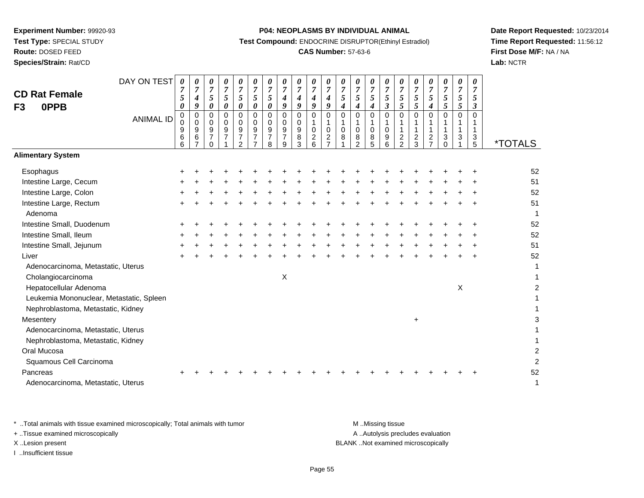**Test Type:** SPECIAL STUDY

**Route:** DOSED FEED

**Species/Strain:** Rat/CD

#### **P04: NEOPLASMS BY INDIVIDUAL ANIMAL**

**Test Compound:** ENDOCRINE DISRUPTOR(Ethinyl Estradiol)

## **CAS Number:** 57-63-6

**Date Report Requested:** 10/23/2014**Time Report Requested:** 11:56:12**First Dose M/F:** NA / NA**Lab:** NCTR

|                                          | DAY ON TEST      | $\boldsymbol{\theta}$<br>$\overline{7}$ | 0<br>$\overline{7}$ | 0<br>$\overline{7}$        | $\pmb{\theta}$<br>$\overline{7}$ | $\pmb{\theta}$<br>$\overline{7}$ | $\boldsymbol{\theta}$<br>$\overline{7}$ | 0<br>$\boldsymbol{7}$   | 0<br>$\boldsymbol{7}$ | $\pmb{\theta}$<br>$\overline{7}$ | 0<br>$\overline{7}$ | 0<br>$\overline{7}$              | 0<br>$\overline{7}$ | 0<br>$\overline{7}$ | 0<br>$\overline{7}$     | 0<br>$\overline{7}$  | $\frac{\boldsymbol{0}}{7}$       | 0<br>$\boldsymbol{7}$ | 0<br>$\boldsymbol{7}$              | 0<br>$\boldsymbol{7}$ | 0<br>$\boldsymbol{7}$     | 0<br>$\overline{7}$            |                       |
|------------------------------------------|------------------|-----------------------------------------|---------------------|----------------------------|----------------------------------|----------------------------------|-----------------------------------------|-------------------------|-----------------------|----------------------------------|---------------------|----------------------------------|---------------------|---------------------|-------------------------|----------------------|----------------------------------|-----------------------|------------------------------------|-----------------------|---------------------------|--------------------------------|-----------------------|
| <b>CD Rat Female</b>                     |                  | 5                                       | $\boldsymbol{4}$    | $\overline{5}$             | $\overline{5}$                   | 5                                | 5                                       | 5                       | 4                     | $\boldsymbol{4}$                 | 4                   | $\boldsymbol{4}$                 | 5                   | 5                   | 5                       | 5                    | $\sqrt{5}$                       | 5                     | 5                                  | $\sqrt{5}$            | $5\overline{)}$           | 5                              |                       |
| 0PPB<br>F <sub>3</sub>                   |                  | 0                                       | 9                   | $\pmb{\theta}$             | $\boldsymbol{\theta}$            | $\pmb{\theta}$                   | $\pmb{\theta}$                          | 0                       | 9                     | 9                                | 9                   | 9                                | 4                   | 4                   | 4                       | $\boldsymbol{\beta}$ | $\overline{5}$                   | $\overline{5}$        | $\boldsymbol{4}$                   | $\mathfrak{s}$        | $\mathfrak{H}$            | 3                              |                       |
|                                          | <b>ANIMAL ID</b> | 0<br>0                                  | 0<br>$\mathbf 0$    | $\Omega$<br>0              | $\mathbf 0$<br>$\mathbf 0$       | $\overline{0}$<br>$\mathbf 0$    | $\mathbf 0$<br>$\mathbf 0$              | $\mathbf 0$<br>$\Omega$ | $\mathbf 0$<br>0      | $\pmb{0}$<br>0                   | $\Omega$<br>1       | $\Omega$                         | $\Omega$            | $\Omega$<br>1       | $\Omega$<br>$\mathbf 1$ | $\Omega$             | $\mathbf 0$<br>1                 | $\overline{0}$        | $\overline{0}$<br>1                | $\overline{0}$<br>1   | $\mathbf 0$               | $\Omega$                       |                       |
|                                          |                  | $\boldsymbol{9}$                        | 9                   | $9\,$                      | $\boldsymbol{9}$                 | $\boldsymbol{9}$                 | $\boldsymbol{9}$                        | 9                       | 9                     | $\boldsymbol{9}$                 | $\mathbf 0$         | $\mathbf 0$                      | $\mathbf 0$         | $\mathbf 0$         | $\pmb{0}$               | $\mathbf 0$          | $\mathbf{1}$                     | $\mathbf{1}$          | $\mathbf{1}$                       | $\mathbf{1}$          | $\mathbf{1}$              |                                |                       |
|                                          |                  | 6<br>6                                  | 6<br>$\overline{7}$ | $\overline{7}$<br>$\Omega$ | $\overline{7}$                   | $\overline{7}$<br>$\mathfrak{p}$ | $\overline{7}$<br>$\overline{ }$        | $\overline{7}$<br>8     | $\overline{7}$<br>9   | 8<br>3                           | $\overline{c}$<br>6 | $\overline{c}$<br>$\overline{7}$ | 8                   | 8<br>$\mathcal{P}$  | 8<br>5                  | 9<br>6               | $\overline{c}$<br>$\overline{2}$ | $\frac{2}{3}$         | $\boldsymbol{2}$<br>$\overline{7}$ | 3<br>$\Omega$         | 3                         | $\ensuremath{\mathsf{3}}$<br>5 | <i><b>*TOTALS</b></i> |
| <b>Alimentary System</b>                 |                  |                                         |                     |                            |                                  |                                  |                                         |                         |                       |                                  |                     |                                  |                     |                     |                         |                      |                                  |                       |                                    |                       |                           |                                |                       |
| Esophagus                                |                  |                                         |                     |                            |                                  |                                  |                                         |                         |                       |                                  |                     |                                  |                     |                     |                         |                      |                                  |                       |                                    |                       |                           |                                | 52                    |
| Intestine Large, Cecum                   |                  |                                         |                     |                            |                                  |                                  |                                         |                         |                       |                                  |                     |                                  |                     |                     |                         |                      |                                  |                       |                                    |                       |                           |                                | 51                    |
| Intestine Large, Colon                   |                  |                                         |                     |                            |                                  |                                  |                                         |                         |                       |                                  |                     |                                  |                     |                     |                         |                      |                                  |                       |                                    |                       |                           |                                | 52                    |
| Intestine Large, Rectum                  |                  |                                         |                     |                            |                                  |                                  |                                         |                         |                       |                                  |                     |                                  |                     |                     |                         |                      |                                  |                       |                                    |                       |                           |                                | 51                    |
| Adenoma                                  |                  |                                         |                     |                            |                                  |                                  |                                         |                         |                       |                                  |                     |                                  |                     |                     |                         |                      |                                  |                       |                                    |                       |                           |                                | $\overline{1}$        |
| Intestine Small, Duodenum                |                  |                                         |                     |                            |                                  |                                  |                                         |                         |                       |                                  |                     |                                  |                     |                     |                         |                      |                                  |                       |                                    |                       |                           |                                | 52                    |
| Intestine Small, Ileum                   |                  |                                         |                     |                            |                                  |                                  |                                         |                         |                       |                                  |                     |                                  |                     |                     |                         |                      |                                  |                       |                                    |                       |                           |                                | 52                    |
| Intestine Small, Jejunum                 |                  |                                         |                     |                            |                                  |                                  |                                         |                         |                       |                                  |                     |                                  |                     |                     |                         |                      |                                  |                       |                                    |                       |                           |                                | 51                    |
| Liver                                    |                  |                                         |                     |                            |                                  |                                  |                                         |                         |                       |                                  |                     |                                  |                     |                     |                         |                      |                                  |                       |                                    |                       |                           |                                | 52                    |
| Adenocarcinoma, Metastatic, Uterus       |                  |                                         |                     |                            |                                  |                                  |                                         |                         |                       |                                  |                     |                                  |                     |                     |                         |                      |                                  |                       |                                    |                       |                           |                                | 1                     |
| Cholangiocarcinoma                       |                  |                                         |                     |                            |                                  |                                  |                                         |                         | X                     |                                  |                     |                                  |                     |                     |                         |                      |                                  |                       |                                    |                       |                           |                                | 1                     |
| Hepatocellular Adenoma                   |                  |                                         |                     |                            |                                  |                                  |                                         |                         |                       |                                  |                     |                                  |                     |                     |                         |                      |                                  |                       |                                    |                       | $\boldsymbol{\mathsf{X}}$ |                                | $\overline{2}$        |
| Leukemia Mononuclear, Metastatic, Spleen |                  |                                         |                     |                            |                                  |                                  |                                         |                         |                       |                                  |                     |                                  |                     |                     |                         |                      |                                  |                       |                                    |                       |                           |                                | 1                     |
| Nephroblastoma, Metastatic, Kidney       |                  |                                         |                     |                            |                                  |                                  |                                         |                         |                       |                                  |                     |                                  |                     |                     |                         |                      |                                  |                       |                                    |                       |                           |                                |                       |
| Mesentery                                |                  |                                         |                     |                            |                                  |                                  |                                         |                         |                       |                                  |                     |                                  |                     |                     |                         |                      |                                  | $\ddot{}$             |                                    |                       |                           |                                | 3                     |
| Adenocarcinoma, Metastatic, Uterus       |                  |                                         |                     |                            |                                  |                                  |                                         |                         |                       |                                  |                     |                                  |                     |                     |                         |                      |                                  |                       |                                    |                       |                           |                                |                       |
| Nephroblastoma, Metastatic, Kidney       |                  |                                         |                     |                            |                                  |                                  |                                         |                         |                       |                                  |                     |                                  |                     |                     |                         |                      |                                  |                       |                                    |                       |                           |                                | 1                     |
| Oral Mucosa                              |                  |                                         |                     |                            |                                  |                                  |                                         |                         |                       |                                  |                     |                                  |                     |                     |                         |                      |                                  |                       |                                    |                       |                           |                                | $\overline{2}$        |
| Squamous Cell Carcinoma                  |                  |                                         |                     |                            |                                  |                                  |                                         |                         |                       |                                  |                     |                                  |                     |                     |                         |                      |                                  |                       |                                    |                       |                           |                                | $\overline{2}$        |
| Pancreas                                 |                  |                                         |                     |                            |                                  |                                  |                                         |                         |                       |                                  |                     |                                  |                     |                     |                         |                      |                                  |                       |                                    |                       |                           |                                | 52                    |
| Adenocarcinoma, Metastatic, Uterus       |                  |                                         |                     |                            |                                  |                                  |                                         |                         |                       |                                  |                     |                                  |                     |                     |                         |                      |                                  |                       |                                    |                       |                           |                                | 1                     |

\* ..Total animals with tissue examined microscopically; Total animals with tumor **M** . Missing tissue M ..Missing tissue + ..Tissue examined microscopically

I ..Insufficient tissue

A ..Autolysis precludes evaluation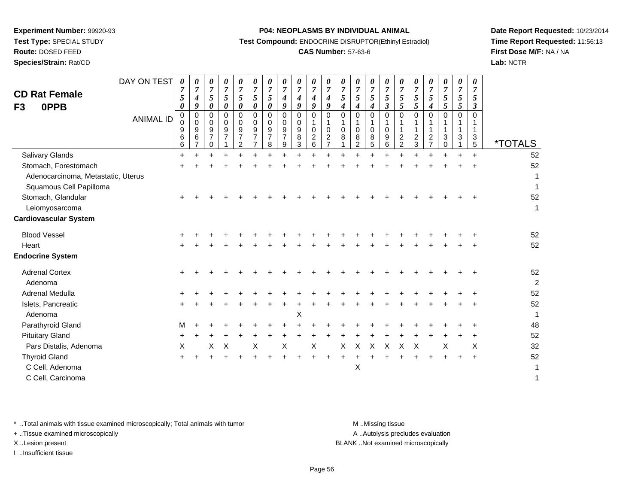**Route:** DOSED FEED**Species/Strain:** Rat/CD

#### **P04: NEOPLASMS BY INDIVIDUAL ANIMAL**

**Test Compound:** ENDOCRINE DISRUPTOR(Ethinyl Estradiol)

## **CAS Number:** 57-63-6

**Date Report Requested:** 10/23/2014**Time Report Requested:** 11:56:13**First Dose M/F:** NA / NA**Lab:** NCTR

| <b>CD Rat Female</b><br>F3<br>0PPB | DAY ON TEST<br><b>ANIMAL ID</b> | 0<br>$\overline{7}$<br>5<br>$\boldsymbol{\theta}$<br>0<br>$\mathbf 0$<br>9<br>$6\phantom{1}6$<br>6 | 0<br>7<br>4<br>9<br>$\mathbf 0$<br>0<br>9<br>6 | 0<br>$\overline{7}$<br>5<br>0<br>0<br>0<br>9<br>$\overline{7}$<br>0 | 0<br>$\boldsymbol{7}$<br>5<br>0<br>0<br>0<br>9<br>$\overline{7}$ | 0<br>$\boldsymbol{7}$<br>5<br>0<br>$\Omega$<br>$\Omega$<br>$\boldsymbol{9}$<br>$\overline{7}$<br>$\overline{2}$ | 0<br>$\overline{7}$<br>5<br>0<br>0<br>$\mathbf 0$<br>9<br>$\overline{7}$<br>$\overline{7}$ | $\boldsymbol{\theta}$<br>$\overline{7}$<br>5<br>0<br>$\Omega$<br>$\Omega$<br>9<br>$\overline{7}$<br>8 | 0<br>4<br>9<br>$\Omega$<br>0<br>9<br>$\overline{7}$<br>9 | 0<br>$\overline{7}$<br>4<br>9<br>$\Omega$<br>0<br>9<br>8<br>3 | 0<br>7<br>4<br>9<br>$\Omega$<br>-1<br>0<br>$\overline{2}$<br>6 | 0<br>$\overline{7}$<br>$\boldsymbol{4}$<br>9<br>$\mathbf 0$<br>$\mathbf{1}$<br>$\mathbf 0$<br>$\frac{2}{7}$ | 0<br>$\overline{7}$<br>5<br>$\boldsymbol{4}$<br>$\mathbf 0$<br>-1<br>$\mathbf 0$<br>8 | 0<br>7<br>5<br>4<br>$\Omega$<br>1<br>$\mathbf 0$<br>8<br>$\overline{2}$ | 0<br>$\overline{7}$<br>5<br>4<br>$\Omega$<br>1<br>$\mathbf 0$<br>$\,8\,$<br>5 | 0<br>$\overline{7}$<br>5<br>$\boldsymbol{\beta}$<br>$\Omega$<br>$\mathbf{1}$<br>$\mathbf 0$<br>9<br>6 | 0<br>$\overline{7}$<br>5<br>$\mathfrak{s}$<br>$\mathbf 0$<br>$\frac{2}{2}$ | 0<br>$\overline{7}$<br>5<br>5<br>0<br>1<br>$\mathbf{1}$<br>$\frac{2}{3}$ | 0<br>$\overline{7}$<br>5<br>4<br>$\Omega$<br>$\boldsymbol{2}$<br>$\overline{7}$ | 0<br>$\overline{7}$<br>5<br>5<br>$\Omega$<br>3<br>$\mathbf 0$ | 0<br>$\overline{7}$<br>5<br>5<br>$\Omega$<br>1<br>3 | 0<br>7<br>5<br>3<br>$\Omega$<br>3<br>5 | <i><b>*TOTALS</b></i> |
|------------------------------------|---------------------------------|----------------------------------------------------------------------------------------------------|------------------------------------------------|---------------------------------------------------------------------|------------------------------------------------------------------|-----------------------------------------------------------------------------------------------------------------|--------------------------------------------------------------------------------------------|-------------------------------------------------------------------------------------------------------|----------------------------------------------------------|---------------------------------------------------------------|----------------------------------------------------------------|-------------------------------------------------------------------------------------------------------------|---------------------------------------------------------------------------------------|-------------------------------------------------------------------------|-------------------------------------------------------------------------------|-------------------------------------------------------------------------------------------------------|----------------------------------------------------------------------------|--------------------------------------------------------------------------|---------------------------------------------------------------------------------|---------------------------------------------------------------|-----------------------------------------------------|----------------------------------------|-----------------------|
| Salivary Glands                    |                                 | $\ddot{}$                                                                                          |                                                | $\ddot{}$                                                           | $\ddot{}$                                                        |                                                                                                                 |                                                                                            |                                                                                                       |                                                          |                                                               | ÷.                                                             | ÷.                                                                                                          |                                                                                       |                                                                         |                                                                               | $\ddot{}$                                                                                             | $\ddot{}$                                                                  | $\ddot{}$                                                                | $\ddot{}$                                                                       |                                                               |                                                     | $\ddot{}$                              | 52                    |
| Stomach, Forestomach               |                                 |                                                                                                    |                                                |                                                                     |                                                                  |                                                                                                                 |                                                                                            |                                                                                                       |                                                          |                                                               |                                                                |                                                                                                             |                                                                                       |                                                                         |                                                                               |                                                                                                       |                                                                            |                                                                          |                                                                                 |                                                               |                                                     |                                        | 52                    |
| Adenocarcinoma, Metastatic, Uterus |                                 |                                                                                                    |                                                |                                                                     |                                                                  |                                                                                                                 |                                                                                            |                                                                                                       |                                                          |                                                               |                                                                |                                                                                                             |                                                                                       |                                                                         |                                                                               |                                                                                                       |                                                                            |                                                                          |                                                                                 |                                                               |                                                     |                                        |                       |
| Squamous Cell Papilloma            |                                 |                                                                                                    |                                                |                                                                     |                                                                  |                                                                                                                 |                                                                                            |                                                                                                       |                                                          |                                                               |                                                                |                                                                                                             |                                                                                       |                                                                         |                                                                               |                                                                                                       |                                                                            |                                                                          |                                                                                 |                                                               |                                                     |                                        |                       |
| Stomach, Glandular                 |                                 |                                                                                                    |                                                |                                                                     |                                                                  |                                                                                                                 |                                                                                            |                                                                                                       |                                                          |                                                               |                                                                |                                                                                                             |                                                                                       |                                                                         |                                                                               |                                                                                                       |                                                                            |                                                                          |                                                                                 |                                                               |                                                     |                                        | 52                    |
| Leiomyosarcoma                     |                                 |                                                                                                    |                                                |                                                                     |                                                                  |                                                                                                                 |                                                                                            |                                                                                                       |                                                          |                                                               |                                                                |                                                                                                             |                                                                                       |                                                                         |                                                                               |                                                                                                       |                                                                            |                                                                          |                                                                                 |                                                               |                                                     |                                        | 1                     |
| <b>Cardiovascular System</b>       |                                 |                                                                                                    |                                                |                                                                     |                                                                  |                                                                                                                 |                                                                                            |                                                                                                       |                                                          |                                                               |                                                                |                                                                                                             |                                                                                       |                                                                         |                                                                               |                                                                                                       |                                                                            |                                                                          |                                                                                 |                                                               |                                                     |                                        |                       |
| <b>Blood Vessel</b>                |                                 |                                                                                                    |                                                |                                                                     |                                                                  |                                                                                                                 |                                                                                            |                                                                                                       |                                                          |                                                               |                                                                |                                                                                                             |                                                                                       |                                                                         |                                                                               |                                                                                                       |                                                                            |                                                                          |                                                                                 |                                                               |                                                     |                                        | 52                    |
| Heart                              |                                 |                                                                                                    |                                                |                                                                     |                                                                  |                                                                                                                 |                                                                                            |                                                                                                       |                                                          |                                                               |                                                                |                                                                                                             |                                                                                       |                                                                         |                                                                               |                                                                                                       |                                                                            |                                                                          |                                                                                 |                                                               |                                                     |                                        | 52                    |
| <b>Endocrine System</b>            |                                 |                                                                                                    |                                                |                                                                     |                                                                  |                                                                                                                 |                                                                                            |                                                                                                       |                                                          |                                                               |                                                                |                                                                                                             |                                                                                       |                                                                         |                                                                               |                                                                                                       |                                                                            |                                                                          |                                                                                 |                                                               |                                                     |                                        |                       |
| <b>Adrenal Cortex</b>              |                                 |                                                                                                    |                                                |                                                                     |                                                                  |                                                                                                                 |                                                                                            |                                                                                                       |                                                          |                                                               |                                                                |                                                                                                             |                                                                                       |                                                                         |                                                                               |                                                                                                       |                                                                            |                                                                          |                                                                                 |                                                               |                                                     |                                        | 52                    |
| Adenoma                            |                                 |                                                                                                    |                                                |                                                                     |                                                                  |                                                                                                                 |                                                                                            |                                                                                                       |                                                          |                                                               |                                                                |                                                                                                             |                                                                                       |                                                                         |                                                                               |                                                                                                       |                                                                            |                                                                          |                                                                                 |                                                               |                                                     |                                        | $\overline{c}$        |
| Adrenal Medulla                    |                                 |                                                                                                    |                                                |                                                                     |                                                                  |                                                                                                                 |                                                                                            |                                                                                                       |                                                          |                                                               |                                                                |                                                                                                             |                                                                                       |                                                                         |                                                                               |                                                                                                       |                                                                            |                                                                          |                                                                                 |                                                               |                                                     |                                        | 52                    |
| Islets, Pancreatic                 |                                 |                                                                                                    |                                                |                                                                     |                                                                  |                                                                                                                 |                                                                                            |                                                                                                       |                                                          |                                                               |                                                                |                                                                                                             |                                                                                       |                                                                         |                                                                               |                                                                                                       |                                                                            |                                                                          |                                                                                 |                                                               |                                                     |                                        | 52                    |
| Adenoma                            |                                 |                                                                                                    |                                                |                                                                     |                                                                  |                                                                                                                 |                                                                                            |                                                                                                       |                                                          | Χ                                                             |                                                                |                                                                                                             |                                                                                       |                                                                         |                                                                               |                                                                                                       |                                                                            |                                                                          |                                                                                 |                                                               |                                                     |                                        | 1                     |
| Parathyroid Gland                  |                                 | M                                                                                                  |                                                |                                                                     |                                                                  |                                                                                                                 |                                                                                            |                                                                                                       |                                                          |                                                               |                                                                |                                                                                                             |                                                                                       |                                                                         |                                                                               |                                                                                                       |                                                                            |                                                                          |                                                                                 |                                                               |                                                     |                                        | 48                    |
| <b>Pituitary Gland</b>             |                                 |                                                                                                    |                                                |                                                                     |                                                                  |                                                                                                                 |                                                                                            |                                                                                                       |                                                          |                                                               |                                                                |                                                                                                             |                                                                                       |                                                                         |                                                                               |                                                                                                       |                                                                            |                                                                          |                                                                                 |                                                               |                                                     |                                        | 52                    |
| Pars Distalis, Adenoma             |                                 | X                                                                                                  |                                                | х                                                                   | X                                                                |                                                                                                                 | X                                                                                          |                                                                                                       | X                                                        |                                                               | $\mathsf X$                                                    |                                                                                                             | X                                                                                     | $\boldsymbol{\mathsf{X}}$                                               | $\sf X$                                                                       | $\boldsymbol{\mathsf{X}}$                                                                             | X                                                                          | X                                                                        |                                                                                 | X                                                             |                                                     | X                                      | 32                    |
| <b>Thyroid Gland</b>               |                                 | ÷                                                                                                  |                                                |                                                                     |                                                                  |                                                                                                                 |                                                                                            |                                                                                                       |                                                          |                                                               |                                                                | ÷                                                                                                           |                                                                                       |                                                                         |                                                                               |                                                                                                       |                                                                            |                                                                          |                                                                                 |                                                               | $\ddot{}$                                           | $\ddot{}$                              | 52                    |
| C Cell, Adenoma                    |                                 |                                                                                                    |                                                |                                                                     |                                                                  |                                                                                                                 |                                                                                            |                                                                                                       |                                                          |                                                               |                                                                |                                                                                                             |                                                                                       | X                                                                       |                                                                               |                                                                                                       |                                                                            |                                                                          |                                                                                 |                                                               |                                                     |                                        |                       |
| C Cell, Carcinoma                  |                                 |                                                                                                    |                                                |                                                                     |                                                                  |                                                                                                                 |                                                                                            |                                                                                                       |                                                          |                                                               |                                                                |                                                                                                             |                                                                                       |                                                                         |                                                                               |                                                                                                       |                                                                            |                                                                          |                                                                                 |                                                               |                                                     |                                        | 1                     |

\* ..Total animals with tissue examined microscopically; Total animals with tumor **M** . Missing tissue M ..Missing tissue

+ ..Tissue examined microscopically

I ..Insufficient tissue

A ..Autolysis precludes evaluation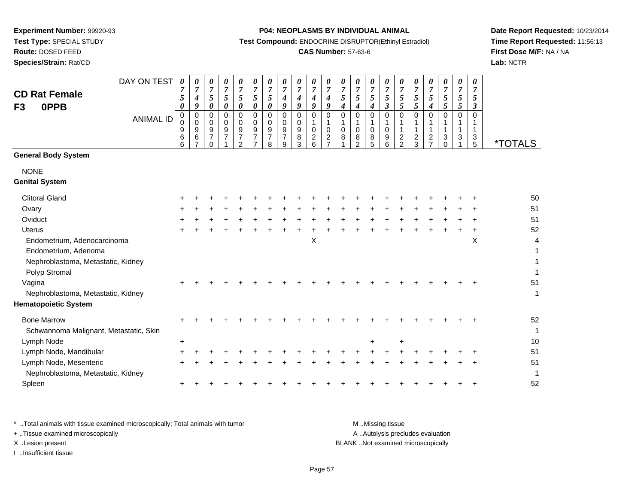**Test Type:** SPECIAL STUDY

**Route:** DOSED FEED

**Species/Strain:** Rat/CD

#### **P04: NEOPLASMS BY INDIVIDUAL ANIMAL**

**Test Compound:** ENDOCRINE DISRUPTOR(Ethinyl Estradiol)

## **CAS Number:** 57-63-6

**Date Report Requested:** 10/23/2014**Time Report Requested:** 11:56:13**First Dose M/F:** NA / NA**Lab:** NCTR

|                                        | DAY ON TEST      | 0<br>$\boldsymbol{7}$ | $\boldsymbol{\theta}$<br>$\overline{7}$ | 0<br>$\boldsymbol{7}$              | $\pmb{\theta}$<br>$\overline{7}$   | 0<br>$\overline{7}$                  | 0<br>$\overline{7}$ | 0<br>$\overline{7}$ | 0<br>$\boldsymbol{7}$              | 0<br>$\overline{7}$ | 0<br>$\overline{7}$           | 0<br>$\overline{7}$           | 0<br>$\overline{7}$ | 0<br>$\overline{7}$ | 0<br>$\overline{7}$ | 0<br>$\overline{7}$                  | 0<br>$\overline{7}$            | 0<br>$\overline{7}$ | 0<br>$\overline{7}$            | 0<br>$\overline{7}$ | 0<br>$\overline{7}$ | 0<br>7            |                       |
|----------------------------------------|------------------|-----------------------|-----------------------------------------|------------------------------------|------------------------------------|--------------------------------------|---------------------|---------------------|------------------------------------|---------------------|-------------------------------|-------------------------------|---------------------|---------------------|---------------------|--------------------------------------|--------------------------------|---------------------|--------------------------------|---------------------|---------------------|-------------------|-----------------------|
| <b>CD Rat Female</b>                   |                  | 5                     | $\boldsymbol{4}$                        | $\sqrt{5}$                         | $\sqrt{5}$                         | 5                                    | 5                   | 5                   | 4                                  | 4                   | 4                             | 4                             | 5                   | $\mathfrak{s}$      | $\mathfrak{s}$      | 5                                    | $\sqrt{5}$                     | $\sqrt{5}$          | 5                              | 5                   | $\mathfrak{s}$      | 5                 |                       |
| 0PPB<br>F <sub>3</sub>                 |                  | 0                     | 9<br>$\mathbf 0$                        | 0<br>0                             | 0<br>$\mathbf 0$                   | $\boldsymbol{\theta}$<br>$\mathbf 0$ | 0<br>$\mathbf 0$    | 0<br>$\mathbf 0$    | 9<br>0                             | 9<br>0              | 9<br>0                        | 9<br>0                        | 4<br>$\mathbf 0$    | 4<br>0              | 4<br>$\mathbf 0$    | $\boldsymbol{\beta}$<br>$\mathsf{O}$ | 5<br>0                         | 5<br>0              | $\boldsymbol{4}$<br>0          | 5<br>$\mathbf 0$    | 5<br>$\mathbf 0$    | 3<br>$\Omega$     |                       |
|                                        | <b>ANIMAL ID</b> | 0<br>$\mathbf 0$      | $\Omega$                                | 0                                  | $\mathbf 0$                        | $\Omega$                             | 0                   | 0                   | 0                                  | 0                   |                               | 1                             |                     | 1                   |                     |                                      |                                | 1                   | 1                              |                     |                     |                   |                       |
|                                        |                  | 9<br>6                | 9<br>6                                  | $\boldsymbol{9}$<br>$\overline{7}$ | $\boldsymbol{9}$<br>$\overline{7}$ | $\boldsymbol{9}$<br>$\overline{7}$   | 9<br>$\overline{7}$ | 9<br>$\overline{7}$ | $\boldsymbol{9}$<br>$\overline{7}$ | 9<br>8              | $\mathbf 0$<br>$\overline{c}$ | $\mathbf 0$<br>$\overline{c}$ | $\mathbf 0$<br>8    | $\mathbf 0$<br>8    | $\mathbf 0$<br>8    | $\mathbf 0$<br>9                     | $\mathbf{1}$<br>$\overline{c}$ | $\mathbf{1}$        | $\mathbf{1}$<br>$\overline{c}$ | $\mathbf{1}$<br>3   | 1<br>3              | $\mathbf{1}$<br>3 |                       |
|                                        |                  | 6                     | $\overline{7}$                          | $\Omega$                           |                                    | 2                                    | 7                   | 8                   | 9                                  | 3                   | 6                             | $\overline{7}$                |                     | $\overline{2}$      | 5                   | 6                                    | $\overline{2}$                 | $\frac{2}{3}$       | $\overline{7}$                 | $\Omega$            |                     | 5                 | <i><b>*TOTALS</b></i> |
| <b>General Body System</b>             |                  |                       |                                         |                                    |                                    |                                      |                     |                     |                                    |                     |                               |                               |                     |                     |                     |                                      |                                |                     |                                |                     |                     |                   |                       |
| <b>NONE</b>                            |                  |                       |                                         |                                    |                                    |                                      |                     |                     |                                    |                     |                               |                               |                     |                     |                     |                                      |                                |                     |                                |                     |                     |                   |                       |
| <b>Genital System</b>                  |                  |                       |                                         |                                    |                                    |                                      |                     |                     |                                    |                     |                               |                               |                     |                     |                     |                                      |                                |                     |                                |                     |                     |                   |                       |
| <b>Clitoral Gland</b>                  |                  |                       |                                         |                                    |                                    |                                      |                     |                     |                                    |                     |                               |                               |                     |                     |                     |                                      |                                |                     |                                |                     |                     |                   | 50                    |
| Ovary                                  |                  |                       |                                         |                                    |                                    |                                      |                     |                     |                                    |                     |                               |                               |                     |                     |                     |                                      |                                |                     |                                |                     |                     |                   | 51                    |
| Oviduct                                |                  |                       |                                         |                                    |                                    |                                      |                     |                     |                                    |                     |                               |                               |                     |                     |                     |                                      |                                |                     |                                |                     |                     |                   | 51                    |
| <b>Uterus</b>                          |                  |                       |                                         |                                    |                                    |                                      |                     |                     |                                    |                     |                               |                               |                     |                     |                     |                                      |                                |                     |                                |                     |                     |                   | 52                    |
| Endometrium, Adenocarcinoma            |                  |                       |                                         |                                    |                                    |                                      |                     |                     |                                    |                     | Χ                             |                               |                     |                     |                     |                                      |                                |                     |                                |                     |                     | X                 | 4                     |
| Endometrium, Adenoma                   |                  |                       |                                         |                                    |                                    |                                      |                     |                     |                                    |                     |                               |                               |                     |                     |                     |                                      |                                |                     |                                |                     |                     |                   |                       |
| Nephroblastoma, Metastatic, Kidney     |                  |                       |                                         |                                    |                                    |                                      |                     |                     |                                    |                     |                               |                               |                     |                     |                     |                                      |                                |                     |                                |                     |                     |                   |                       |
| Polyp Stromal                          |                  |                       |                                         |                                    |                                    |                                      |                     |                     |                                    |                     |                               |                               |                     |                     |                     |                                      |                                |                     |                                |                     |                     |                   |                       |
| Vagina                                 |                  |                       |                                         |                                    |                                    |                                      |                     |                     |                                    |                     |                               |                               |                     |                     |                     |                                      |                                |                     |                                |                     |                     |                   | 51                    |
| Nephroblastoma, Metastatic, Kidney     |                  |                       |                                         |                                    |                                    |                                      |                     |                     |                                    |                     |                               |                               |                     |                     |                     |                                      |                                |                     |                                |                     |                     |                   | $\mathbf{1}$          |
| <b>Hematopoietic System</b>            |                  |                       |                                         |                                    |                                    |                                      |                     |                     |                                    |                     |                               |                               |                     |                     |                     |                                      |                                |                     |                                |                     |                     |                   |                       |
| <b>Bone Marrow</b>                     |                  |                       |                                         |                                    |                                    |                                      |                     |                     |                                    |                     |                               |                               |                     |                     |                     |                                      |                                |                     |                                |                     |                     |                   | 52                    |
| Schwannoma Malignant, Metastatic, Skin |                  |                       |                                         |                                    |                                    |                                      |                     |                     |                                    |                     |                               |                               |                     |                     |                     |                                      |                                |                     |                                |                     |                     |                   | -1                    |
| Lymph Node                             |                  | +                     |                                         |                                    |                                    |                                      |                     |                     |                                    |                     |                               |                               |                     |                     | ÷                   |                                      | ÷                              |                     |                                |                     |                     |                   | 10                    |
| Lymph Node, Mandibular                 |                  |                       |                                         |                                    |                                    |                                      |                     |                     |                                    |                     |                               |                               |                     |                     |                     |                                      |                                |                     |                                |                     |                     |                   | 51                    |
| Lymph Node, Mesenteric                 |                  |                       |                                         |                                    |                                    |                                      |                     |                     |                                    |                     |                               |                               |                     |                     |                     |                                      |                                |                     |                                |                     |                     |                   | 51                    |
| Nephroblastoma, Metastatic, Kidney     |                  |                       |                                         |                                    |                                    |                                      |                     |                     |                                    |                     |                               |                               |                     |                     |                     |                                      |                                |                     |                                |                     |                     |                   | -1                    |
| Spleen                                 |                  |                       |                                         |                                    |                                    |                                      |                     |                     |                                    |                     |                               |                               |                     |                     |                     |                                      |                                |                     |                                |                     |                     |                   | 52                    |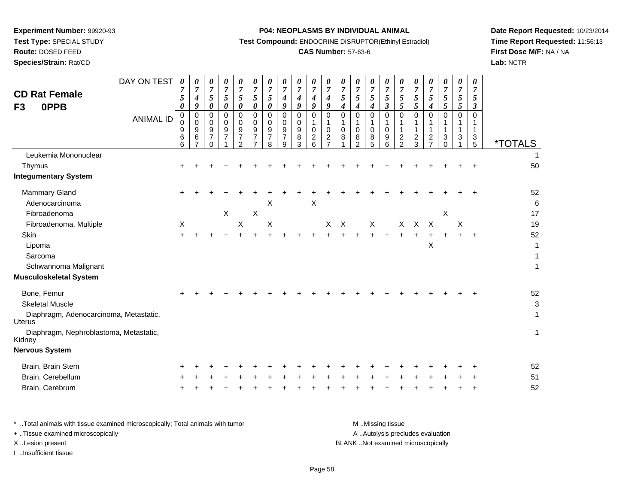**Test Type:** SPECIAL STUDY

**Route:** DOSED FEED

**Species/Strain:** Rat/CD

#### **P04: NEOPLASMS BY INDIVIDUAL ANIMAL**

**Test Compound:** ENDOCRINE DISRUPTOR(Ethinyl Estradiol)

## **CAS Number:** 57-63-6

**Date Report Requested:** 10/23/2014**Time Report Requested:** 11:56:13**First Dose M/F:** NA / NA**Lab:** NCTR

| <b>CD Rat Female</b><br>0PPB<br>F3               | DAY ON TEST      | 0<br>7<br>5<br>0                | 0<br>$\overline{7}$<br>4<br>9          | 0<br>$\overline{7}$<br>5<br>0                | 0<br>$\overline{7}$<br>5<br>0           | 0<br>$\overline{7}$<br>5<br>0                                            | 0<br>$\overline{7}$<br>$\mathfrak{s}$<br>0             | 0<br>$\overline{7}$<br>5<br>0                    | 0<br>$\overline{7}$<br>4<br>9 | 0<br>$\overline{7}$<br>4<br>9                  | 0<br>7<br>4<br>9                     | 0<br>7<br>4<br>9                                               | 0<br>$\overline{7}$<br>$\overline{5}$<br>4 | 0<br>$\overline{7}$<br>5<br>4                  | 0<br>$\overline{7}$<br>5<br>4        | 0<br>$\overline{7}$<br>5<br>3             | 0<br>$\overline{7}$<br>5<br>$\sqrt{5}$              | 0<br>$\overline{7}$<br>5<br>$\mathfrak{s}$ | 0<br>$\overline{7}$<br>5<br>4                              | 0<br>$\overline{7}$<br>5<br>5            | 0<br>$\overline{7}$<br>$\mathfrak{s}$<br>5 | 0<br>7<br>5<br>$\boldsymbol{\beta}$       |                       |
|--------------------------------------------------|------------------|---------------------------------|----------------------------------------|----------------------------------------------|-----------------------------------------|--------------------------------------------------------------------------|--------------------------------------------------------|--------------------------------------------------|-------------------------------|------------------------------------------------|--------------------------------------|----------------------------------------------------------------|--------------------------------------------|------------------------------------------------|--------------------------------------|-------------------------------------------|-----------------------------------------------------|--------------------------------------------|------------------------------------------------------------|------------------------------------------|--------------------------------------------|-------------------------------------------|-----------------------|
|                                                  | <b>ANIMAL ID</b> | 0<br>$\mathbf 0$<br>9<br>6<br>6 | $\mathbf 0$<br>$\Omega$<br>9<br>6<br>7 | $\mathbf 0$<br>0<br>9<br>$\overline{7}$<br>0 | $\mathbf 0$<br>0<br>9<br>$\overline{7}$ | $\mathbf 0$<br>0<br>$\boldsymbol{9}$<br>$\overline{7}$<br>$\mathfrak{p}$ | 0<br>$\mathbf 0$<br>$\boldsymbol{9}$<br>$\overline{7}$ | $\Omega$<br>$\Omega$<br>9<br>$\overline{7}$<br>8 | $\Omega$<br>0<br>9<br>7<br>9  | $\mathbf 0$<br>0<br>$\boldsymbol{9}$<br>8<br>3 | $\Omega$<br>0<br>$\overline{c}$<br>6 | $\mathbf 0$<br>$\mathbf 0$<br>$\overline{c}$<br>$\overline{7}$ | $\mathbf 0$<br>1<br>$\mathbf 0$<br>8       | $\Omega$<br>$\mathbf 0$<br>8<br>$\mathfrak{p}$ | $\mathbf 0$<br>$\mathbf 0$<br>8<br>5 | $\mathbf 0$<br>1<br>$\mathbf 0$<br>9<br>6 | 0<br>$\mathbf 1$<br>$\overline{c}$<br>$\mathcal{P}$ | $\pmb{0}$<br>$\mathbf 1$<br>$\frac{2}{3}$  | 0<br>1<br>$\mathbf{1}$<br>$\overline{c}$<br>$\overline{7}$ | $\Omega$<br>$\mathbf 1$<br>3<br>$\Omega$ | $\mathbf 0$<br>$\mathbf 1$<br>3            | $\Omega$<br>$\mathbf{1}$<br>$\frac{3}{5}$ | <i><b>*TOTALS</b></i> |
| Leukemia Mononuclear                             |                  |                                 |                                        |                                              |                                         |                                                                          |                                                        |                                                  |                               |                                                |                                      |                                                                |                                            |                                                |                                      |                                           |                                                     |                                            |                                                            |                                          |                                            |                                           | 1                     |
| Thymus                                           |                  |                                 |                                        |                                              |                                         |                                                                          |                                                        |                                                  |                               |                                                |                                      |                                                                |                                            |                                                |                                      |                                           |                                                     |                                            |                                                            |                                          |                                            |                                           | 50                    |
| <b>Integumentary System</b>                      |                  |                                 |                                        |                                              |                                         |                                                                          |                                                        |                                                  |                               |                                                |                                      |                                                                |                                            |                                                |                                      |                                           |                                                     |                                            |                                                            |                                          |                                            |                                           |                       |
| <b>Mammary Gland</b>                             |                  |                                 |                                        |                                              |                                         |                                                                          |                                                        |                                                  |                               |                                                |                                      |                                                                |                                            |                                                |                                      |                                           |                                                     |                                            |                                                            |                                          |                                            |                                           | 52                    |
| Adenocarcinoma                                   |                  |                                 |                                        |                                              |                                         |                                                                          |                                                        | X                                                |                               |                                                | X                                    |                                                                |                                            |                                                |                                      |                                           |                                                     |                                            |                                                            |                                          |                                            |                                           | 6                     |
| Fibroadenoma                                     |                  |                                 |                                        |                                              | X                                       |                                                                          | X                                                      |                                                  |                               |                                                |                                      |                                                                |                                            |                                                |                                      |                                           |                                                     |                                            |                                                            | X                                        |                                            |                                           | 17                    |
| Fibroadenoma, Multiple                           |                  | X                               |                                        |                                              |                                         | $\mathsf{X}$                                                             |                                                        | $\mathsf X$                                      |                               |                                                |                                      |                                                                | $X$ $X$                                    |                                                | X                                    |                                           |                                                     | X X X                                      |                                                            |                                          | $\mathsf{X}$                               |                                           | 19                    |
| Skin                                             |                  | $\ddot{}$                       |                                        |                                              |                                         |                                                                          |                                                        |                                                  |                               |                                                |                                      |                                                                |                                            |                                                | $+$                                  | $+$                                       | $+$                                                 | $\ddot{}$                                  | $\ddot{}$                                                  |                                          |                                            | $\ddot{}$                                 | 52                    |
| Lipoma                                           |                  |                                 |                                        |                                              |                                         |                                                                          |                                                        |                                                  |                               |                                                |                                      |                                                                |                                            |                                                |                                      |                                           |                                                     |                                            | Χ                                                          |                                          |                                            |                                           | $\mathbf{1}$          |
| Sarcoma                                          |                  |                                 |                                        |                                              |                                         |                                                                          |                                                        |                                                  |                               |                                                |                                      |                                                                |                                            |                                                |                                      |                                           |                                                     |                                            |                                                            |                                          |                                            |                                           | $\mathbf{1}$          |
| Schwannoma Malignant                             |                  |                                 |                                        |                                              |                                         |                                                                          |                                                        |                                                  |                               |                                                |                                      |                                                                |                                            |                                                |                                      |                                           |                                                     |                                            |                                                            |                                          |                                            |                                           | $\mathbf{1}$          |
| Musculoskeletal System                           |                  |                                 |                                        |                                              |                                         |                                                                          |                                                        |                                                  |                               |                                                |                                      |                                                                |                                            |                                                |                                      |                                           |                                                     |                                            |                                                            |                                          |                                            |                                           |                       |
| Bone, Femur                                      |                  |                                 |                                        |                                              |                                         |                                                                          |                                                        |                                                  |                               |                                                |                                      |                                                                |                                            |                                                |                                      |                                           |                                                     |                                            |                                                            |                                          |                                            |                                           | 52                    |
| <b>Skeletal Muscle</b>                           |                  |                                 |                                        |                                              |                                         |                                                                          |                                                        |                                                  |                               |                                                |                                      |                                                                |                                            |                                                |                                      |                                           |                                                     |                                            |                                                            |                                          |                                            |                                           | $\mathbf{3}$          |
| Diaphragm, Adenocarcinoma, Metastatic,<br>Uterus |                  |                                 |                                        |                                              |                                         |                                                                          |                                                        |                                                  |                               |                                                |                                      |                                                                |                                            |                                                |                                      |                                           |                                                     |                                            |                                                            |                                          |                                            |                                           | $\mathbf{1}$          |
| Diaphragm, Nephroblastoma, Metastatic,<br>Kidney |                  |                                 |                                        |                                              |                                         |                                                                          |                                                        |                                                  |                               |                                                |                                      |                                                                |                                            |                                                |                                      |                                           |                                                     |                                            |                                                            |                                          |                                            |                                           | $\mathbf{1}$          |
| Nervous System                                   |                  |                                 |                                        |                                              |                                         |                                                                          |                                                        |                                                  |                               |                                                |                                      |                                                                |                                            |                                                |                                      |                                           |                                                     |                                            |                                                            |                                          |                                            |                                           |                       |
| Brain, Brain Stem                                |                  |                                 |                                        |                                              |                                         |                                                                          |                                                        |                                                  |                               |                                                |                                      |                                                                |                                            |                                                |                                      |                                           |                                                     |                                            |                                                            |                                          |                                            |                                           | 52                    |
| Brain, Cerebellum                                |                  |                                 |                                        |                                              |                                         |                                                                          |                                                        |                                                  |                               |                                                |                                      |                                                                |                                            |                                                |                                      |                                           |                                                     |                                            |                                                            |                                          |                                            |                                           | 51                    |
| Brain, Cerebrum                                  |                  |                                 |                                        |                                              |                                         |                                                                          |                                                        |                                                  |                               |                                                |                                      |                                                                |                                            |                                                |                                      |                                           |                                                     |                                            |                                                            |                                          |                                            |                                           | 52                    |
|                                                  |                  |                                 |                                        |                                              |                                         |                                                                          |                                                        |                                                  |                               |                                                |                                      |                                                                |                                            |                                                |                                      |                                           |                                                     |                                            |                                                            |                                          |                                            |                                           |                       |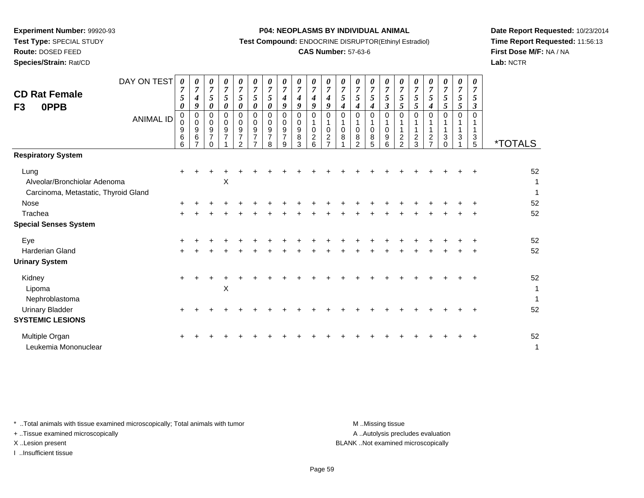**Test Type:** SPECIAL STUDY

## **Route:** DOSED FEED

**Species/Strain:** Rat/CD

#### **P04: NEOPLASMS BY INDIVIDUAL ANIMAL**

**Test Compound:** ENDOCRINE DISRUPTOR(Ethinyl Estradiol)

## **CAS Number:** 57-63-6

**Date Report Requested:** 10/23/2014**Time Report Requested:** 11:56:13**First Dose M/F:** NA / NA**Lab:** NCTR

| <b>CD Rat Female</b><br>0PPB<br>F <sub>3</sub>                               | DAY ON TEST<br><b>ANIMAL ID</b> | $\boldsymbol{\theta}$<br>$\overline{7}$<br>5<br>$\boldsymbol{\theta}$<br>0<br>$\overline{0}$<br>$\begin{array}{c} 9 \\ 6 \end{array}$<br>6 | 0<br>$\overline{7}$<br>$\boldsymbol{4}$<br>9<br>0<br>0<br>$\boldsymbol{9}$<br>$\,6\,$<br>$\overline{7}$ | 0<br>$\overline{7}$<br>5<br>$\boldsymbol{\theta}$<br>0<br>0<br>9<br>$\overline{7}$<br>$\Omega$ | 0<br>$\overline{7}$<br>5<br>0<br>$\Omega$<br>0<br>$\boldsymbol{9}$<br>$\overline{7}$ | 0<br>$\overline{7}$<br>5<br>$\boldsymbol{\theta}$<br>$\Omega$<br>0<br>9<br>$\overline{7}$<br>$\mathcal{P}$ | 0<br>$\overline{7}$<br>5<br>0<br>$\mathbf 0$<br>0<br>9<br>$\overline{7}$ | 0<br>$\overline{7}$<br>5<br>0<br>$\mathbf 0$<br>0<br>9<br>$\overline{7}$<br>8 | $\boldsymbol{\theta}$<br>$\overline{7}$<br>$\boldsymbol{4}$<br>9<br>0<br>0<br>9<br>$\overline{7}$<br>9 | 0<br>$\overline{7}$<br>4<br>9<br>$\mathbf 0$<br>0<br>9<br>8<br>3 | 0<br>$\overline{7}$<br>$\boldsymbol{4}$<br>9<br>$\mathbf 0$<br>1<br>0<br>$\overline{c}$<br>6 | 0<br>$\overline{7}$<br>$\boldsymbol{4}$<br>9<br>$\Omega$<br>0<br>2<br>$\overline{ }$ | 0<br>$\overline{7}$<br>5<br>4<br>$\Omega$<br>$\mathbf 0$<br>8 | $\boldsymbol{\theta}$<br>$\overline{7}$<br>5<br>4<br>$\Omega$<br>$\mathbf 0$<br>8<br>$\mathcal{P}$ | 0<br>$\overline{7}$<br>5<br>$\boldsymbol{4}$<br>$\mathbf 0$<br>1<br>0<br>8<br>5 | $\boldsymbol{\theta}$<br>$\overline{7}$<br>5<br>$\boldsymbol{\beta}$<br>$\mathbf 0$<br>$\mathbf{1}$<br>$\mathbf 0$<br>9<br>6 | 0<br>$\boldsymbol{7}$<br>5<br>5<br>$\Omega$<br>1<br>$\mathbf{1}$<br>$\overline{c}$<br>$\overline{2}$ | 0<br>$\overline{7}$<br>5<br>5<br>$\Omega$<br>$\boldsymbol{2}$<br>3 | $\boldsymbol{\theta}$<br>$\overline{7}$<br>5<br>4<br>$\Omega$<br>$\overline{c}$<br>$\overline{ }$ | 0<br>$\overline{7}$<br>5<br>5<br>$\Omega$<br>3 | 0<br>$\overline{7}$<br>5<br>5<br>$\Omega$<br>3 | 0<br>$\overline{7}$<br>5<br>3<br>$\Omega$<br>3<br>5 | <i><b>*TOTALS</b></i>              |
|------------------------------------------------------------------------------|---------------------------------|--------------------------------------------------------------------------------------------------------------------------------------------|---------------------------------------------------------------------------------------------------------|------------------------------------------------------------------------------------------------|--------------------------------------------------------------------------------------|------------------------------------------------------------------------------------------------------------|--------------------------------------------------------------------------|-------------------------------------------------------------------------------|--------------------------------------------------------------------------------------------------------|------------------------------------------------------------------|----------------------------------------------------------------------------------------------|--------------------------------------------------------------------------------------|---------------------------------------------------------------|----------------------------------------------------------------------------------------------------|---------------------------------------------------------------------------------|------------------------------------------------------------------------------------------------------------------------------|------------------------------------------------------------------------------------------------------|--------------------------------------------------------------------|---------------------------------------------------------------------------------------------------|------------------------------------------------|------------------------------------------------|-----------------------------------------------------|------------------------------------|
| <b>Respiratory System</b>                                                    |                                 |                                                                                                                                            |                                                                                                         |                                                                                                |                                                                                      |                                                                                                            |                                                                          |                                                                               |                                                                                                        |                                                                  |                                                                                              |                                                                                      |                                                               |                                                                                                    |                                                                                 |                                                                                                                              |                                                                                                      |                                                                    |                                                                                                   |                                                |                                                |                                                     |                                    |
| Lung<br>Alveolar/Bronchiolar Adenoma<br>Carcinoma, Metastatic, Thyroid Gland |                                 |                                                                                                                                            |                                                                                                         |                                                                                                | X                                                                                    |                                                                                                            |                                                                          |                                                                               |                                                                                                        |                                                                  |                                                                                              |                                                                                      |                                                               |                                                                                                    |                                                                                 |                                                                                                                              |                                                                                                      |                                                                    |                                                                                                   |                                                |                                                |                                                     | 52<br>1<br>1                       |
| Nose                                                                         |                                 |                                                                                                                                            |                                                                                                         |                                                                                                |                                                                                      |                                                                                                            |                                                                          |                                                                               |                                                                                                        |                                                                  |                                                                                              |                                                                                      |                                                               |                                                                                                    |                                                                                 |                                                                                                                              |                                                                                                      |                                                                    |                                                                                                   |                                                |                                                |                                                     | 52                                 |
| Trachea                                                                      |                                 |                                                                                                                                            |                                                                                                         |                                                                                                |                                                                                      |                                                                                                            |                                                                          |                                                                               |                                                                                                        |                                                                  |                                                                                              |                                                                                      |                                                               |                                                                                                    |                                                                                 |                                                                                                                              |                                                                                                      |                                                                    |                                                                                                   |                                                |                                                |                                                     | 52                                 |
| <b>Special Senses System</b>                                                 |                                 |                                                                                                                                            |                                                                                                         |                                                                                                |                                                                                      |                                                                                                            |                                                                          |                                                                               |                                                                                                        |                                                                  |                                                                                              |                                                                                      |                                                               |                                                                                                    |                                                                                 |                                                                                                                              |                                                                                                      |                                                                    |                                                                                                   |                                                |                                                |                                                     |                                    |
| Eye                                                                          |                                 |                                                                                                                                            |                                                                                                         |                                                                                                |                                                                                      |                                                                                                            |                                                                          |                                                                               |                                                                                                        |                                                                  |                                                                                              |                                                                                      |                                                               |                                                                                                    |                                                                                 |                                                                                                                              |                                                                                                      |                                                                    |                                                                                                   |                                                |                                                |                                                     | 52                                 |
| Harderian Gland                                                              |                                 |                                                                                                                                            |                                                                                                         |                                                                                                |                                                                                      |                                                                                                            |                                                                          |                                                                               |                                                                                                        |                                                                  |                                                                                              |                                                                                      |                                                               |                                                                                                    |                                                                                 |                                                                                                                              |                                                                                                      |                                                                    |                                                                                                   |                                                |                                                |                                                     | 52                                 |
| <b>Urinary System</b>                                                        |                                 |                                                                                                                                            |                                                                                                         |                                                                                                |                                                                                      |                                                                                                            |                                                                          |                                                                               |                                                                                                        |                                                                  |                                                                                              |                                                                                      |                                                               |                                                                                                    |                                                                                 |                                                                                                                              |                                                                                                      |                                                                    |                                                                                                   |                                                |                                                |                                                     |                                    |
| Kidney<br>Lipoma<br>Nephroblastoma                                           |                                 |                                                                                                                                            |                                                                                                         |                                                                                                | $\mathsf X$                                                                          |                                                                                                            |                                                                          |                                                                               |                                                                                                        |                                                                  |                                                                                              |                                                                                      |                                                               |                                                                                                    |                                                                                 |                                                                                                                              |                                                                                                      |                                                                    |                                                                                                   |                                                |                                                |                                                     | 52<br>$\mathbf{1}$<br>$\mathbf{1}$ |
| <b>Urinary Bladder</b>                                                       |                                 |                                                                                                                                            |                                                                                                         |                                                                                                |                                                                                      |                                                                                                            |                                                                          |                                                                               |                                                                                                        |                                                                  |                                                                                              |                                                                                      |                                                               |                                                                                                    |                                                                                 |                                                                                                                              |                                                                                                      |                                                                    |                                                                                                   |                                                |                                                |                                                     | 52                                 |
| <b>SYSTEMIC LESIONS</b>                                                      |                                 |                                                                                                                                            |                                                                                                         |                                                                                                |                                                                                      |                                                                                                            |                                                                          |                                                                               |                                                                                                        |                                                                  |                                                                                              |                                                                                      |                                                               |                                                                                                    |                                                                                 |                                                                                                                              |                                                                                                      |                                                                    |                                                                                                   |                                                |                                                |                                                     |                                    |
| Multiple Organ<br>Leukemia Mononuclear                                       |                                 |                                                                                                                                            |                                                                                                         |                                                                                                |                                                                                      |                                                                                                            |                                                                          |                                                                               |                                                                                                        |                                                                  |                                                                                              |                                                                                      |                                                               |                                                                                                    |                                                                                 |                                                                                                                              |                                                                                                      |                                                                    |                                                                                                   |                                                |                                                |                                                     | 52<br>$\mathbf{1}$                 |

\* ..Total animals with tissue examined microscopically; Total animals with tumor **M** . Missing tissue M ..Missing tissue

+ ..Tissue examined microscopically

I ..Insufficient tissue

A ..Autolysis precludes evaluation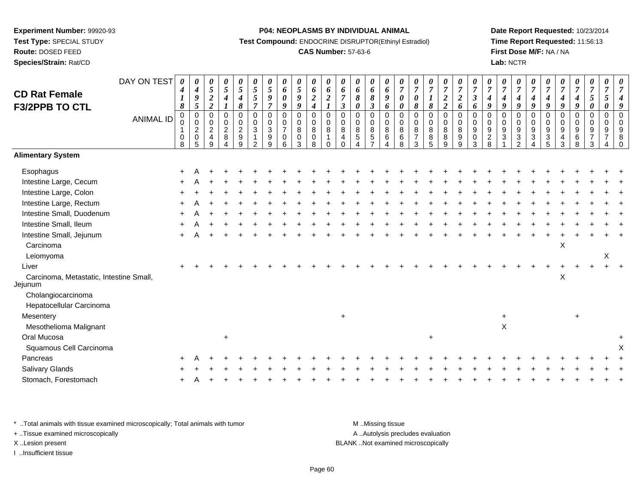# **Route:** DOSED FEED

**Species/Strain:** Rat/CD

#### **P04: NEOPLASMS BY INDIVIDUAL ANIMAL**

**Test Compound:** ENDOCRINE DISRUPTOR(Ethinyl Estradiol)

## **CAS Number:** 57-63-6

**Date Report Requested:** 10/23/2014**Time Report Requested:** 11:56:13**First Dose M/F:** NA / NA**Lab:** NCTR

| <b>CD Rat Female</b><br>F3/2PPB TO CTL             | DAY ON TEST<br><b>ANIMAL ID</b> | 0<br>4<br>$\boldsymbol{l}$<br>$\pmb{8}$<br>0<br>0 | 0<br>$\boldsymbol{4}$<br>9<br>5<br>$\pmb{0}$<br>0 | 0<br>$\sqrt{5}$<br>$\boldsymbol{2}$<br>$\overline{2}$<br>$\mathbf 0$<br>$\mathbf 0$ | 0<br>$\mathfrak{s}$<br>4<br>$\mathbf 0$<br>$\pmb{0}$ | $\boldsymbol{\theta}$<br>$\sqrt{5}$<br>$\boldsymbol{4}$<br>$\pmb{8}$<br>$\mathbf 0$<br>$\pmb{0}$ | 0<br>$\overline{5}$<br>$\sqrt{5}$<br>$\overline{7}$<br>$\pmb{0}$<br>$\mathbf 0$ | 0<br>$\mathfrak{s}$<br>$\boldsymbol{9}$<br>$\overline{7}$<br>$\mathbf 0$<br>$\mathbf 0$ | 0<br>6<br>0<br>9<br>$\mathbf 0$<br>$\mathbf 0$ | 0<br>5<br>9<br>9<br>$\mathsf 0$<br>0 | 0<br>6<br>$\boldsymbol{2}$<br>$\boldsymbol{4}$<br>$\mathsf 0$<br>$\pmb{0}$ | 0<br>6<br>$\boldsymbol{2}$<br>$\pmb{0}$<br>$\pmb{0}$ | 0<br>6<br>$\overline{7}$<br>$\boldsymbol{\beta}$<br>$\mathbf 0$<br>$\mathbf 0$ | 0<br>6<br>8<br>0<br>0<br>$\mathbf 0$ | 0<br>6<br>$\pmb{8}$<br>$\boldsymbol{\mathfrak{z}}$<br>$\mathbf 0$<br>$\pmb{0}$ | $\pmb{\theta}$<br>6<br>9<br>6<br>$\mathbf 0$<br>$\pmb{0}$ | 0<br>$\overline{7}$<br>0<br>0<br>$\mathsf 0$<br>0 | $\boldsymbol{\theta}$<br>$\boldsymbol{7}$<br>$\pmb{\theta}$<br>8<br>$\mathbf 0$<br>$\mathbf 0$ | 0<br>$\overline{7}$<br>$\pmb{8}$<br>$\mathsf 0$<br>$\pmb{0}$ | $\boldsymbol{\theta}$<br>$\boldsymbol{7}$<br>$\boldsymbol{2}$<br>$\boldsymbol{2}$<br>$\pmb{0}$<br>$\pmb{0}$ | 0<br>$\overline{7}$<br>$\sqrt{2}$<br>6<br>$\pmb{0}$<br>$\mathbf 0$ | 0<br>$\overline{7}$<br>$\boldsymbol{\beta}$<br>6<br>$\mathbf 0$<br>$\mathbf 0$ | $\boldsymbol{\theta}$<br>$\boldsymbol{7}$<br>4<br>9<br>$\mathbf 0$<br>$\Omega$ | 0<br>$\overline{7}$<br>9<br>0<br>$\mathbf 0$ | $\frac{\boldsymbol{\theta}}{\boldsymbol{7}}$<br>$\boldsymbol{4}$<br>9<br>0<br>$\pmb{0}$ | 0<br>$\overline{7}$<br>$\boldsymbol{4}$<br>9<br>$\pmb{0}$<br>$\pmb{0}$ | $\boldsymbol{\theta}$<br>$\overline{7}$<br>$\boldsymbol{4}$<br>9<br>$\pmb{0}$<br>$\mathbf 0$ | 0<br>$\overline{7}$<br>$\boldsymbol{4}$<br>9<br>0<br>$\mathbf 0$ | $\boldsymbol{\theta}$<br>$\boldsymbol{7}$<br>$\boldsymbol{4}$<br>9<br>$\mathbf 0$<br>$\pmb{0}$ | $\pmb{\theta}$<br>$\boldsymbol{7}$<br>5<br>$\boldsymbol{\theta}$<br>$\pmb{0}$<br>$\pmb{0}$ | 0<br>$\overline{7}$<br>$5\overline{)}$<br>0<br>0<br>0 | $\overline{7}$ |
|----------------------------------------------------|---------------------------------|---------------------------------------------------|---------------------------------------------------|-------------------------------------------------------------------------------------|------------------------------------------------------|--------------------------------------------------------------------------------------------------|---------------------------------------------------------------------------------|-----------------------------------------------------------------------------------------|------------------------------------------------|--------------------------------------|----------------------------------------------------------------------------|------------------------------------------------------|--------------------------------------------------------------------------------|--------------------------------------|--------------------------------------------------------------------------------|-----------------------------------------------------------|---------------------------------------------------|------------------------------------------------------------------------------------------------|--------------------------------------------------------------|-------------------------------------------------------------------------------------------------------------|--------------------------------------------------------------------|--------------------------------------------------------------------------------|--------------------------------------------------------------------------------|----------------------------------------------|-----------------------------------------------------------------------------------------|------------------------------------------------------------------------|----------------------------------------------------------------------------------------------|------------------------------------------------------------------|------------------------------------------------------------------------------------------------|--------------------------------------------------------------------------------------------|-------------------------------------------------------|----------------|
|                                                    |                                 | $\mathbf{1}$<br>$\mathbf 0$<br>8                  | $\overline{c}$<br>0<br>5                          | $\overline{c}$<br>$\overline{4}$<br>9                                               | $\sqrt{2}$<br>$\,8\,$                                | $\sqrt{2}$<br>$\boldsymbol{9}$<br>9                                                              | $\mathbf{3}$<br>$\mathbf{1}$<br>$\mathcal{P}$                                   | 3<br>$\boldsymbol{9}$<br>9                                                              | $\overline{7}$<br>0<br>6                       | 8<br>0<br>3                          | $\, 8$<br>$\pmb{0}$<br>8                                                   | $\,8\,$<br>$\mathbf{1}$<br>$\Omega$                  | $\bf8$<br>$\overline{a}$<br>$\Omega$                                           | 8<br>$\sqrt{5}$                      | $\,8\,$<br>$\mathbf 5$<br>$\overline{ }$                                       | 8<br>6<br>Δ                                               | 8<br>6<br>8                                       | 8<br>$\boldsymbol{7}$<br>3                                                                     | $\,8\,$<br>$\,8\,$<br>5                                      | $\, 8$<br>$\,8\,$<br>9                                                                                      | 8<br>9<br>9                                                        | 9<br>$\mathbf 0$<br>3                                                          | 9<br>$\boldsymbol{2}$<br>8                                                     | 9<br>3                                       | $\boldsymbol{9}$<br>$\ensuremath{\mathsf{3}}$<br>$\mathcal{P}$                          | $\boldsymbol{9}$<br>$\ensuremath{\mathsf{3}}$<br>4                     | 9<br>$\ensuremath{\mathsf{3}}$<br>5                                                          | 9<br>$\overline{4}$<br>3                                         | $\boldsymbol{9}$<br>$\,6$<br>8                                                                 | $\boldsymbol{9}$<br>$\overline{7}$<br>3                                                    | 9<br>$\overline{7}$                                   | 9<br>8         |
| <b>Alimentary System</b>                           |                                 |                                                   |                                                   |                                                                                     |                                                      |                                                                                                  |                                                                                 |                                                                                         |                                                |                                      |                                                                            |                                                      |                                                                                |                                      |                                                                                |                                                           |                                                   |                                                                                                |                                                              |                                                                                                             |                                                                    |                                                                                |                                                                                |                                              |                                                                                         |                                                                        |                                                                                              |                                                                  |                                                                                                |                                                                                            |                                                       |                |
| Esophagus                                          |                                 |                                                   |                                                   |                                                                                     |                                                      |                                                                                                  |                                                                                 |                                                                                         |                                                |                                      |                                                                            |                                                      |                                                                                |                                      |                                                                                |                                                           |                                                   |                                                                                                |                                                              |                                                                                                             |                                                                    |                                                                                |                                                                                |                                              |                                                                                         |                                                                        |                                                                                              |                                                                  |                                                                                                |                                                                                            |                                                       |                |
| Intestine Large, Cecum                             |                                 |                                                   |                                                   |                                                                                     |                                                      |                                                                                                  |                                                                                 |                                                                                         |                                                |                                      |                                                                            |                                                      |                                                                                |                                      |                                                                                |                                                           |                                                   |                                                                                                |                                                              |                                                                                                             |                                                                    |                                                                                |                                                                                |                                              |                                                                                         |                                                                        |                                                                                              |                                                                  |                                                                                                |                                                                                            |                                                       |                |
| Intestine Large, Colon                             |                                 |                                                   |                                                   |                                                                                     |                                                      |                                                                                                  |                                                                                 |                                                                                         |                                                |                                      |                                                                            |                                                      |                                                                                |                                      |                                                                                |                                                           |                                                   |                                                                                                |                                                              |                                                                                                             |                                                                    |                                                                                |                                                                                |                                              |                                                                                         |                                                                        |                                                                                              |                                                                  |                                                                                                |                                                                                            |                                                       |                |
| Intestine Large, Rectum                            |                                 |                                                   |                                                   |                                                                                     |                                                      |                                                                                                  |                                                                                 |                                                                                         |                                                |                                      |                                                                            |                                                      |                                                                                |                                      |                                                                                |                                                           |                                                   |                                                                                                |                                                              |                                                                                                             |                                                                    |                                                                                |                                                                                |                                              |                                                                                         |                                                                        |                                                                                              |                                                                  |                                                                                                |                                                                                            |                                                       |                |
| Intestine Small, Duodenum                          |                                 |                                                   |                                                   |                                                                                     |                                                      |                                                                                                  |                                                                                 |                                                                                         |                                                |                                      |                                                                            |                                                      |                                                                                |                                      |                                                                                |                                                           |                                                   |                                                                                                |                                                              |                                                                                                             |                                                                    |                                                                                |                                                                                |                                              |                                                                                         |                                                                        |                                                                                              |                                                                  |                                                                                                |                                                                                            |                                                       |                |
| Intestine Small, Ileum                             |                                 |                                                   |                                                   |                                                                                     |                                                      |                                                                                                  |                                                                                 |                                                                                         |                                                |                                      |                                                                            |                                                      |                                                                                |                                      |                                                                                |                                                           |                                                   |                                                                                                |                                                              |                                                                                                             |                                                                    |                                                                                |                                                                                |                                              |                                                                                         |                                                                        |                                                                                              |                                                                  |                                                                                                |                                                                                            |                                                       |                |
| Intestine Small, Jejunum                           |                                 |                                                   |                                                   |                                                                                     |                                                      |                                                                                                  |                                                                                 |                                                                                         |                                                |                                      |                                                                            |                                                      |                                                                                |                                      |                                                                                |                                                           |                                                   |                                                                                                |                                                              |                                                                                                             |                                                                    |                                                                                |                                                                                |                                              |                                                                                         |                                                                        |                                                                                              |                                                                  |                                                                                                |                                                                                            |                                                       |                |
| Carcinoma                                          |                                 |                                                   |                                                   |                                                                                     |                                                      |                                                                                                  |                                                                                 |                                                                                         |                                                |                                      |                                                                            |                                                      |                                                                                |                                      |                                                                                |                                                           |                                                   |                                                                                                |                                                              |                                                                                                             |                                                                    |                                                                                |                                                                                |                                              |                                                                                         |                                                                        |                                                                                              | X                                                                |                                                                                                |                                                                                            |                                                       |                |
| Leiomyoma                                          |                                 |                                                   |                                                   |                                                                                     |                                                      |                                                                                                  |                                                                                 |                                                                                         |                                                |                                      |                                                                            |                                                      |                                                                                |                                      |                                                                                |                                                           |                                                   |                                                                                                |                                                              |                                                                                                             |                                                                    |                                                                                |                                                                                |                                              |                                                                                         |                                                                        |                                                                                              |                                                                  |                                                                                                |                                                                                            | X                                                     |                |
| Liver                                              |                                 |                                                   |                                                   |                                                                                     |                                                      |                                                                                                  |                                                                                 |                                                                                         |                                                |                                      |                                                                            |                                                      |                                                                                |                                      |                                                                                |                                                           |                                                   |                                                                                                |                                                              |                                                                                                             |                                                                    |                                                                                |                                                                                |                                              |                                                                                         |                                                                        |                                                                                              |                                                                  |                                                                                                |                                                                                            |                                                       |                |
| Carcinoma, Metastatic, Intestine Small,<br>Jejunum |                                 |                                                   |                                                   |                                                                                     |                                                      |                                                                                                  |                                                                                 |                                                                                         |                                                |                                      |                                                                            |                                                      |                                                                                |                                      |                                                                                |                                                           |                                                   |                                                                                                |                                                              |                                                                                                             |                                                                    |                                                                                |                                                                                |                                              |                                                                                         |                                                                        |                                                                                              | $\mathsf X$                                                      |                                                                                                |                                                                                            |                                                       |                |
| Cholangiocarcinoma                                 |                                 |                                                   |                                                   |                                                                                     |                                                      |                                                                                                  |                                                                                 |                                                                                         |                                                |                                      |                                                                            |                                                      |                                                                                |                                      |                                                                                |                                                           |                                                   |                                                                                                |                                                              |                                                                                                             |                                                                    |                                                                                |                                                                                |                                              |                                                                                         |                                                                        |                                                                                              |                                                                  |                                                                                                |                                                                                            |                                                       |                |
| Hepatocellular Carcinoma                           |                                 |                                                   |                                                   |                                                                                     |                                                      |                                                                                                  |                                                                                 |                                                                                         |                                                |                                      |                                                                            |                                                      |                                                                                |                                      |                                                                                |                                                           |                                                   |                                                                                                |                                                              |                                                                                                             |                                                                    |                                                                                |                                                                                |                                              |                                                                                         |                                                                        |                                                                                              |                                                                  |                                                                                                |                                                                                            |                                                       |                |
| Mesentery                                          |                                 |                                                   |                                                   |                                                                                     |                                                      |                                                                                                  |                                                                                 |                                                                                         |                                                |                                      |                                                                            |                                                      | $\ddot{}$                                                                      |                                      |                                                                                |                                                           |                                                   |                                                                                                |                                                              |                                                                                                             |                                                                    |                                                                                |                                                                                | +                                            |                                                                                         |                                                                        |                                                                                              |                                                                  | ÷                                                                                              |                                                                                            |                                                       |                |
| Mesothelioma Malignant                             |                                 |                                                   |                                                   |                                                                                     |                                                      |                                                                                                  |                                                                                 |                                                                                         |                                                |                                      |                                                                            |                                                      |                                                                                |                                      |                                                                                |                                                           |                                                   |                                                                                                |                                                              |                                                                                                             |                                                                    |                                                                                |                                                                                | $\mathsf X$                                  |                                                                                         |                                                                        |                                                                                              |                                                                  |                                                                                                |                                                                                            |                                                       |                |
| Oral Mucosa                                        |                                 |                                                   |                                                   |                                                                                     | $\ddot{}$                                            |                                                                                                  |                                                                                 |                                                                                         |                                                |                                      |                                                                            |                                                      |                                                                                |                                      |                                                                                |                                                           |                                                   |                                                                                                | $\ddot{}$                                                    |                                                                                                             |                                                                    |                                                                                |                                                                                |                                              |                                                                                         |                                                                        |                                                                                              |                                                                  |                                                                                                |                                                                                            |                                                       | $\ddot{}$      |
| Squamous Cell Carcinoma                            |                                 |                                                   |                                                   |                                                                                     |                                                      |                                                                                                  |                                                                                 |                                                                                         |                                                |                                      |                                                                            |                                                      |                                                                                |                                      |                                                                                |                                                           |                                                   |                                                                                                |                                                              |                                                                                                             |                                                                    |                                                                                |                                                                                |                                              |                                                                                         |                                                                        |                                                                                              |                                                                  |                                                                                                |                                                                                            |                                                       |                |
| Pancreas                                           |                                 |                                                   |                                                   |                                                                                     |                                                      |                                                                                                  |                                                                                 |                                                                                         |                                                |                                      |                                                                            |                                                      |                                                                                |                                      |                                                                                |                                                           |                                                   |                                                                                                |                                                              |                                                                                                             |                                                                    |                                                                                |                                                                                |                                              |                                                                                         |                                                                        |                                                                                              |                                                                  |                                                                                                |                                                                                            |                                                       |                |
| Salivary Glands                                    |                                 |                                                   |                                                   |                                                                                     |                                                      |                                                                                                  |                                                                                 |                                                                                         |                                                |                                      |                                                                            |                                                      |                                                                                |                                      |                                                                                |                                                           |                                                   |                                                                                                |                                                              |                                                                                                             |                                                                    |                                                                                |                                                                                |                                              |                                                                                         |                                                                        |                                                                                              |                                                                  |                                                                                                |                                                                                            |                                                       |                |
| Stomach, Forestomach                               |                                 |                                                   |                                                   |                                                                                     |                                                      |                                                                                                  |                                                                                 |                                                                                         |                                                |                                      |                                                                            |                                                      |                                                                                |                                      |                                                                                |                                                           |                                                   |                                                                                                |                                                              |                                                                                                             |                                                                    |                                                                                |                                                                                |                                              |                                                                                         |                                                                        |                                                                                              |                                                                  |                                                                                                |                                                                                            |                                                       |                |
|                                                    |                                 |                                                   |                                                   |                                                                                     |                                                      |                                                                                                  |                                                                                 |                                                                                         |                                                |                                      |                                                                            |                                                      |                                                                                |                                      |                                                                                |                                                           |                                                   |                                                                                                |                                                              |                                                                                                             |                                                                    |                                                                                |                                                                                |                                              |                                                                                         |                                                                        |                                                                                              |                                                                  |                                                                                                |                                                                                            |                                                       |                |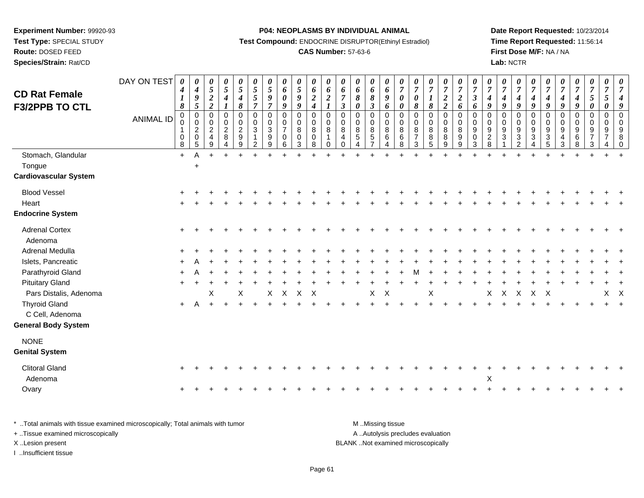**Route:** DOSED FEED

**Species/Strain:** Rat/CD

#### **P04: NEOPLASMS BY INDIVIDUAL ANIMAL**

**Test Compound:** ENDOCRINE DISRUPTOR(Ethinyl Estradiol)

## **CAS Number:** 57-63-6

**Date Report Requested:** 10/23/2014**Time Report Requested:** 11:56:14**First Dose M/F:** NA / NA**Lab:** NCTR

| <b>CD Rat Female</b><br><b>F3/2PPB TO CTL</b> | DAY ON TEST<br><b>ANIMAL ID</b> | 0<br>$\boldsymbol{4}$<br>1<br>$\boldsymbol{s}$<br>$\mathbf 0$<br>0<br>$\mathbf{1}$<br>0 | 0<br>$\boldsymbol{4}$<br>$\boldsymbol{9}$<br>5<br>$\mathbf 0$<br>$\mathbf 0$<br>$\overline{2}$<br>$\pmb{0}$ | 0<br>$\sqrt{5}$<br>$\boldsymbol{2}$<br>$\overline{\mathbf{c}}$<br>$\mathbf 0$<br>$\mathbf 0$<br>$\overline{2}$<br>4 | 0<br>5<br>$\boldsymbol{4}$<br>$\pmb{0}$<br>$\mathbf 0$<br>$\overline{c}$<br>8 | 0<br>$\mathfrak{s}$<br>$\boldsymbol{4}$<br>$\pmb{8}$<br>0<br>0<br>$\overline{c}$<br>$\boldsymbol{9}$ | 0<br>$\mathfrak{s}$<br>$\sqrt{5}$<br>$\overline{7}$<br>$\mathsf 0$<br>$\pmb{0}$<br>$\mathbf{3}$<br>1 | 0<br>5<br>9<br>$\overline{7}$<br>$\mathbf 0$<br>0<br>$\sqrt{3}$<br>9 | 0<br>$\boldsymbol{6}$<br>$\boldsymbol{\theta}$<br>9<br>$\mathbf 0$<br>$\ddot{\mathbf{0}}$<br>$\overline{7}$<br>$\pmb{0}$ | $\frac{\theta}{5}$<br>$\pmb{9}$<br>$\boldsymbol{g}$<br>$\pmb{0}$<br>$\mathsf{O}\xspace$<br>$\bf8$<br>$\pmb{0}$ | 0<br>6<br>$\boldsymbol{2}$<br>$\boldsymbol{4}$<br>$\pmb{0}$<br>$\mathbf 0$<br>$\,8\,$<br>0 | $\boldsymbol{\theta}$<br>6<br>$\boldsymbol{2}$<br>1<br>$\pmb{0}$<br>$\overline{0}$<br>8<br>1 | 0<br>6<br>$\overline{7}$<br>$\mathfrak{z}$<br>$\pmb{0}$<br>$\mathbf 0$<br>8<br>4 | 0<br>6<br>8<br>0<br>$\mathbf 0$<br>$\mathbf 0$<br>8<br>5 | 0<br>6<br>$\pmb{8}$<br>$\boldsymbol{\beta}$<br>$\mathsf 0$<br>$\mathsf 0$<br>8<br>$\sqrt{5}$<br>$\overline{7}$ | 0<br>6<br>9<br>6<br>$\pmb{0}$<br>$\pmb{0}$<br>$\bf8$<br>$\,6\,$ | 0<br>$\overline{7}$<br>0<br>0<br>$\mathbf 0$<br>$\mathbf 0$<br>8<br>$\,6$ | 0<br>$\overline{7}$<br>$\boldsymbol{\theta}$<br>$\pmb{8}$<br>$\pmb{0}$<br>$\pmb{0}$<br>$\bf 8$<br>$\overline{7}$ | 0<br>$\overline{7}$<br>$\boldsymbol{\mathit{1}}$<br>$\pmb{8}$<br>0<br>$\mathbf 0$<br>8<br>$\begin{array}{c} 8 \\ 5 \end{array}$ | 0<br>$\overline{7}$<br>$\boldsymbol{2}$<br>$\boldsymbol{2}$<br>$\pmb{0}$<br>$\mathsf{O}\xspace$<br>8<br>$\bf 8$ | 0<br>$\overline{7}$<br>$\boldsymbol{2}$<br>6<br>$\pmb{0}$<br>$\mathbf 0$<br>8<br>$9\,$ | 0<br>$\overline{7}$<br>$\boldsymbol{\beta}$<br>6<br>$\mathbf 0$<br>$\mathbf 0$<br>9<br>0 | 0<br>$\overline{7}$<br>4<br>9<br>$\mathbf 0$<br>0<br>9<br>$\overline{c}$ | 0<br>$\overline{7}$<br>$\boldsymbol{4}$<br>9<br>$\mathsf 0$<br>0<br>$9\,$<br>$\mathfrak{S}$ | $\boldsymbol{\theta}$<br>$\overline{7}$<br>$\boldsymbol{4}$<br>9<br>$\pmb{0}$<br>$\pmb{0}$<br>$\frac{9}{3}$ | 0<br>$\overline{7}$<br>4<br>9<br>$\pmb{0}$<br>$\mathbf 0$<br>$9\,$<br>$\ensuremath{\mathsf{3}}$ | 0<br>$\overline{7}$<br>$\boldsymbol{4}$<br>9<br>$\mathsf{O}\xspace$<br>$\pmb{0}$<br>$\boldsymbol{9}$<br>$\overline{3}$ | 0<br>$\overline{7}$<br>4<br>9<br>0<br>0<br>9<br>$\overline{4}$ | 0<br>$\overline{7}$<br>$\boldsymbol{4}$<br>$\boldsymbol{9}$<br>$\mathbf 0$<br>$\mathbf 0$<br>9<br>$\,6\,$ | 0<br>$\overline{7}$<br>5<br>0<br>$\mathbf 0$<br>$\mathbf 0$<br>9<br>$\overline{7}$ | 0<br>$\overline{7}$<br>5<br>0<br>$\mathsf 0$<br>$\mathbf 0$<br>9<br>$\overline{7}$ | 0<br>$\overline{7}$<br>4<br>9<br>$\mathbf 0$<br>$\mathbf 0$<br>9<br>8 |
|-----------------------------------------------|---------------------------------|-----------------------------------------------------------------------------------------|-------------------------------------------------------------------------------------------------------------|---------------------------------------------------------------------------------------------------------------------|-------------------------------------------------------------------------------|------------------------------------------------------------------------------------------------------|------------------------------------------------------------------------------------------------------|----------------------------------------------------------------------|--------------------------------------------------------------------------------------------------------------------------|----------------------------------------------------------------------------------------------------------------|--------------------------------------------------------------------------------------------|----------------------------------------------------------------------------------------------|----------------------------------------------------------------------------------|----------------------------------------------------------|----------------------------------------------------------------------------------------------------------------|-----------------------------------------------------------------|---------------------------------------------------------------------------|------------------------------------------------------------------------------------------------------------------|---------------------------------------------------------------------------------------------------------------------------------|-----------------------------------------------------------------------------------------------------------------|----------------------------------------------------------------------------------------|------------------------------------------------------------------------------------------|--------------------------------------------------------------------------|---------------------------------------------------------------------------------------------|-------------------------------------------------------------------------------------------------------------|-------------------------------------------------------------------------------------------------|------------------------------------------------------------------------------------------------------------------------|----------------------------------------------------------------|-----------------------------------------------------------------------------------------------------------|------------------------------------------------------------------------------------|------------------------------------------------------------------------------------|-----------------------------------------------------------------------|
| Stomach, Glandular                            |                                 | 8<br>$\ddot{+}$                                                                         | $\sqrt{5}$<br>A                                                                                             | 9                                                                                                                   | $\boldsymbol{\Lambda}$<br>$\div$                                              | $9\,$<br>$+$                                                                                         | $\overline{2}$<br>$\ddot{}$                                                                          | 9<br>÷                                                               | $6\phantom{1}$<br>$\overline{ }$                                                                                         | $\mathbf{3}$<br>$\ddot{}$                                                                                      | 8<br>$+$                                                                                   | $\mathbf 0$<br>$\ddot{}$                                                                     | $\Omega$                                                                         | $\boldsymbol{\Lambda}$<br>÷                              | $+$                                                                                                            | 4<br>$\ddot{}$                                                  | 8<br>÷.                                                                   | 3                                                                                                                | $+$                                                                                                                             | 9<br>$+$                                                                                                        | $9\,$<br>$\ddot{}$                                                                     | 3                                                                                        | 8<br>÷                                                                   | $+$                                                                                         | $\overline{2}$<br>$\ddot{}$                                                                                 | $\overline{4}$<br>÷                                                                             | 5                                                                                                                      | 3<br>$+$                                                       | 8<br>$+$                                                                                                  | 3<br>$+$                                                                           | 4                                                                                  | $\mathbf 0$<br>$\ddot{}$                                              |
| Tongue                                        |                                 |                                                                                         | $\ddot{}$                                                                                                   |                                                                                                                     |                                                                               |                                                                                                      |                                                                                                      |                                                                      |                                                                                                                          |                                                                                                                |                                                                                            |                                                                                              |                                                                                  |                                                          |                                                                                                                |                                                                 |                                                                           |                                                                                                                  |                                                                                                                                 |                                                                                                                 |                                                                                        |                                                                                          |                                                                          |                                                                                             |                                                                                                             |                                                                                                 |                                                                                                                        |                                                                |                                                                                                           |                                                                                    |                                                                                    |                                                                       |
| <b>Cardiovascular System</b>                  |                                 |                                                                                         |                                                                                                             |                                                                                                                     |                                                                               |                                                                                                      |                                                                                                      |                                                                      |                                                                                                                          |                                                                                                                |                                                                                            |                                                                                              |                                                                                  |                                                          |                                                                                                                |                                                                 |                                                                           |                                                                                                                  |                                                                                                                                 |                                                                                                                 |                                                                                        |                                                                                          |                                                                          |                                                                                             |                                                                                                             |                                                                                                 |                                                                                                                        |                                                                |                                                                                                           |                                                                                    |                                                                                    |                                                                       |
| <b>Blood Vessel</b>                           |                                 |                                                                                         |                                                                                                             |                                                                                                                     |                                                                               |                                                                                                      |                                                                                                      |                                                                      |                                                                                                                          |                                                                                                                |                                                                                            |                                                                                              |                                                                                  |                                                          |                                                                                                                |                                                                 |                                                                           |                                                                                                                  |                                                                                                                                 |                                                                                                                 |                                                                                        |                                                                                          |                                                                          |                                                                                             |                                                                                                             |                                                                                                 |                                                                                                                        |                                                                |                                                                                                           |                                                                                    |                                                                                    |                                                                       |
| Heart                                         |                                 |                                                                                         |                                                                                                             |                                                                                                                     |                                                                               |                                                                                                      |                                                                                                      |                                                                      |                                                                                                                          |                                                                                                                |                                                                                            |                                                                                              |                                                                                  |                                                          |                                                                                                                |                                                                 |                                                                           |                                                                                                                  |                                                                                                                                 |                                                                                                                 |                                                                                        |                                                                                          |                                                                          |                                                                                             |                                                                                                             |                                                                                                 |                                                                                                                        |                                                                |                                                                                                           |                                                                                    |                                                                                    |                                                                       |
| <b>Endocrine System</b>                       |                                 |                                                                                         |                                                                                                             |                                                                                                                     |                                                                               |                                                                                                      |                                                                                                      |                                                                      |                                                                                                                          |                                                                                                                |                                                                                            |                                                                                              |                                                                                  |                                                          |                                                                                                                |                                                                 |                                                                           |                                                                                                                  |                                                                                                                                 |                                                                                                                 |                                                                                        |                                                                                          |                                                                          |                                                                                             |                                                                                                             |                                                                                                 |                                                                                                                        |                                                                |                                                                                                           |                                                                                    |                                                                                    |                                                                       |
| <b>Adrenal Cortex</b><br>Adenoma              |                                 |                                                                                         |                                                                                                             |                                                                                                                     |                                                                               |                                                                                                      |                                                                                                      |                                                                      |                                                                                                                          |                                                                                                                |                                                                                            |                                                                                              |                                                                                  |                                                          |                                                                                                                |                                                                 |                                                                           |                                                                                                                  |                                                                                                                                 |                                                                                                                 |                                                                                        |                                                                                          |                                                                          |                                                                                             |                                                                                                             |                                                                                                 |                                                                                                                        |                                                                |                                                                                                           |                                                                                    |                                                                                    |                                                                       |
| <b>Adrenal Medulla</b>                        |                                 |                                                                                         |                                                                                                             |                                                                                                                     |                                                                               |                                                                                                      |                                                                                                      |                                                                      |                                                                                                                          |                                                                                                                |                                                                                            |                                                                                              |                                                                                  |                                                          |                                                                                                                |                                                                 |                                                                           |                                                                                                                  |                                                                                                                                 |                                                                                                                 |                                                                                        |                                                                                          |                                                                          |                                                                                             |                                                                                                             |                                                                                                 |                                                                                                                        |                                                                |                                                                                                           |                                                                                    |                                                                                    |                                                                       |
| Islets, Pancreatic                            |                                 |                                                                                         |                                                                                                             |                                                                                                                     |                                                                               |                                                                                                      |                                                                                                      |                                                                      |                                                                                                                          |                                                                                                                |                                                                                            |                                                                                              |                                                                                  |                                                          |                                                                                                                |                                                                 |                                                                           |                                                                                                                  |                                                                                                                                 |                                                                                                                 |                                                                                        |                                                                                          |                                                                          |                                                                                             |                                                                                                             |                                                                                                 |                                                                                                                        |                                                                |                                                                                                           |                                                                                    |                                                                                    |                                                                       |
| Parathyroid Gland                             |                                 |                                                                                         |                                                                                                             |                                                                                                                     |                                                                               |                                                                                                      |                                                                                                      |                                                                      |                                                                                                                          |                                                                                                                |                                                                                            |                                                                                              |                                                                                  |                                                          |                                                                                                                |                                                                 |                                                                           |                                                                                                                  |                                                                                                                                 |                                                                                                                 |                                                                                        |                                                                                          |                                                                          |                                                                                             |                                                                                                             |                                                                                                 |                                                                                                                        |                                                                |                                                                                                           |                                                                                    |                                                                                    |                                                                       |
| <b>Pituitary Gland</b>                        |                                 |                                                                                         |                                                                                                             |                                                                                                                     |                                                                               |                                                                                                      |                                                                                                      |                                                                      |                                                                                                                          |                                                                                                                |                                                                                            |                                                                                              |                                                                                  |                                                          |                                                                                                                |                                                                 |                                                                           |                                                                                                                  |                                                                                                                                 |                                                                                                                 |                                                                                        |                                                                                          |                                                                          |                                                                                             |                                                                                                             |                                                                                                 |                                                                                                                        |                                                                |                                                                                                           |                                                                                    |                                                                                    |                                                                       |
| Pars Distalis, Adenoma                        |                                 |                                                                                         |                                                                                                             | X                                                                                                                   |                                                                               | X                                                                                                    |                                                                                                      | X                                                                    | $\pmb{\times}$                                                                                                           | $\mathsf X$                                                                                                    | $\boldsymbol{\mathsf{X}}$                                                                  |                                                                                              |                                                                                  |                                                          | X                                                                                                              | $\boldsymbol{\mathsf{X}}$                                       |                                                                           |                                                                                                                  | $\mathsf X$                                                                                                                     |                                                                                                                 |                                                                                        |                                                                                          | $\mathsf X$                                                              | $\mathsf{X}$                                                                                | $\mathsf X$                                                                                                 | X                                                                                               | X                                                                                                                      |                                                                |                                                                                                           |                                                                                    | X.                                                                                 | $\mathsf{X}$                                                          |
| <b>Thyroid Gland</b>                          |                                 | $+$                                                                                     | А                                                                                                           |                                                                                                                     |                                                                               |                                                                                                      |                                                                                                      |                                                                      |                                                                                                                          |                                                                                                                |                                                                                            |                                                                                              |                                                                                  |                                                          |                                                                                                                |                                                                 |                                                                           |                                                                                                                  |                                                                                                                                 |                                                                                                                 |                                                                                        |                                                                                          |                                                                          |                                                                                             |                                                                                                             |                                                                                                 |                                                                                                                        |                                                                |                                                                                                           |                                                                                    |                                                                                    | $\ddot{}$                                                             |
| C Cell, Adenoma                               |                                 |                                                                                         |                                                                                                             |                                                                                                                     |                                                                               |                                                                                                      |                                                                                                      |                                                                      |                                                                                                                          |                                                                                                                |                                                                                            |                                                                                              |                                                                                  |                                                          |                                                                                                                |                                                                 |                                                                           |                                                                                                                  |                                                                                                                                 |                                                                                                                 |                                                                                        |                                                                                          |                                                                          |                                                                                             |                                                                                                             |                                                                                                 |                                                                                                                        |                                                                |                                                                                                           |                                                                                    |                                                                                    |                                                                       |
| <b>General Body System</b>                    |                                 |                                                                                         |                                                                                                             |                                                                                                                     |                                                                               |                                                                                                      |                                                                                                      |                                                                      |                                                                                                                          |                                                                                                                |                                                                                            |                                                                                              |                                                                                  |                                                          |                                                                                                                |                                                                 |                                                                           |                                                                                                                  |                                                                                                                                 |                                                                                                                 |                                                                                        |                                                                                          |                                                                          |                                                                                             |                                                                                                             |                                                                                                 |                                                                                                                        |                                                                |                                                                                                           |                                                                                    |                                                                                    |                                                                       |
| <b>NONE</b><br><b>Genital System</b>          |                                 |                                                                                         |                                                                                                             |                                                                                                                     |                                                                               |                                                                                                      |                                                                                                      |                                                                      |                                                                                                                          |                                                                                                                |                                                                                            |                                                                                              |                                                                                  |                                                          |                                                                                                                |                                                                 |                                                                           |                                                                                                                  |                                                                                                                                 |                                                                                                                 |                                                                                        |                                                                                          |                                                                          |                                                                                             |                                                                                                             |                                                                                                 |                                                                                                                        |                                                                |                                                                                                           |                                                                                    |                                                                                    |                                                                       |
| <b>Clitoral Gland</b><br>Adenoma              |                                 |                                                                                         |                                                                                                             |                                                                                                                     |                                                                               |                                                                                                      |                                                                                                      |                                                                      |                                                                                                                          |                                                                                                                |                                                                                            |                                                                                              |                                                                                  |                                                          |                                                                                                                |                                                                 |                                                                           |                                                                                                                  |                                                                                                                                 |                                                                                                                 |                                                                                        |                                                                                          | X                                                                        |                                                                                             |                                                                                                             |                                                                                                 |                                                                                                                        |                                                                |                                                                                                           |                                                                                    |                                                                                    |                                                                       |
| Ovary                                         |                                 |                                                                                         |                                                                                                             |                                                                                                                     |                                                                               |                                                                                                      |                                                                                                      |                                                                      |                                                                                                                          |                                                                                                                |                                                                                            |                                                                                              |                                                                                  |                                                          |                                                                                                                |                                                                 |                                                                           |                                                                                                                  |                                                                                                                                 |                                                                                                                 |                                                                                        |                                                                                          |                                                                          |                                                                                             |                                                                                                             |                                                                                                 |                                                                                                                        |                                                                |                                                                                                           |                                                                                    |                                                                                    |                                                                       |
|                                               |                                 |                                                                                         |                                                                                                             |                                                                                                                     |                                                                               |                                                                                                      |                                                                                                      |                                                                      |                                                                                                                          |                                                                                                                |                                                                                            |                                                                                              |                                                                                  |                                                          |                                                                                                                |                                                                 |                                                                           |                                                                                                                  |                                                                                                                                 |                                                                                                                 |                                                                                        |                                                                                          |                                                                          |                                                                                             |                                                                                                             |                                                                                                 |                                                                                                                        |                                                                |                                                                                                           |                                                                                    |                                                                                    |                                                                       |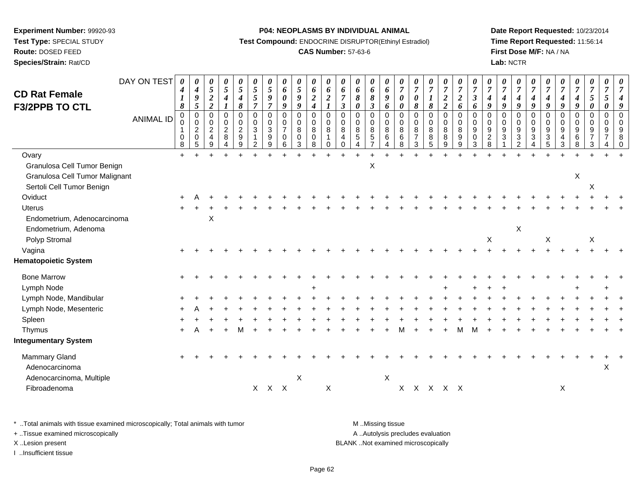**Route:** DOSED FEED

**Species/Strain:** Rat/CD

#### **P04: NEOPLASMS BY INDIVIDUAL ANIMAL**

**Test Compound:** ENDOCRINE DISRUPTOR(Ethinyl Estradiol)

## **CAS Number:** 57-63-6

**Date Report Requested:** 10/23/2014**Time Report Requested:** 11:56:14**First Dose M/F:** NA / NA**Lab:** NCTR

| <b>CD Rat Female</b><br><b>F3/2PPB TO CTL</b> | DAY ON TEST<br><b>ANIMAL ID</b> | 0<br>$\boldsymbol{4}$<br>$\boldsymbol{l}$<br>8<br>$\mathbf 0$<br>0<br>1<br>$\mathbf 0$<br>8 | 0<br>$\boldsymbol{4}$<br>$\boldsymbol{9}$<br>$\mathfrak{s}$<br>$\overline{0}$<br>$\mathbf 0$<br>$\overline{c}$<br>$\mathbf 0$<br>5 | 0<br>$\sqrt{5}$<br>$\overline{\mathbf{c}}$<br>$\overline{2}$<br>$\Omega$<br>0<br>$\overline{2}$<br>4<br>9 | 0<br>5<br>$\boldsymbol{4}$<br>$\boldsymbol{I}$<br>$\Omega$<br>0<br>$\overline{c}$<br>8<br>4 | 0<br>$\sqrt{5}$<br>$\boldsymbol{4}$<br>8<br>$\mathbf 0$<br>$\pmb{0}$<br>$\sqrt{2}$<br>$\boldsymbol{9}$<br>$\boldsymbol{9}$ | 0<br>5<br>$\sqrt{5}$<br>$\overline{7}$<br>$\Omega$<br>$\pmb{0}$<br>$\sqrt{3}$<br>2 | 0<br>$\mathfrak{s}$<br>$\boldsymbol{g}$<br>$\overline{7}$<br>$\mathbf 0$<br>0<br>$\ensuremath{\mathsf{3}}$<br>9<br>9 | 0<br>6<br>$\boldsymbol{\theta}$<br>$\boldsymbol{g}$<br>$\mathbf 0$<br>$\mathbf 0$<br>$\overline{7}$<br>$\mathbf 0$<br>6 | 0<br>5<br>9<br>9<br>$\mathbf 0$<br>$\mathbf 0$<br>8<br>$\mathbf 0$<br>3 | 0<br>6<br>$\boldsymbol{2}$<br>$\boldsymbol{4}$<br>$\mathbf 0$<br>$\mathbf 0$<br>8<br>0<br>8 | 0<br>6<br>$\overline{2}$<br>$\mathbf{I}$<br>$\mathbf 0$<br>0<br>8<br>$\mathbf{1}$<br>$\Omega$ | $\boldsymbol{\theta}$<br>6<br>$\overline{7}$<br>$\boldsymbol{\beta}$<br>$\Omega$<br>0<br>8<br>$\overline{4}$<br>0 | 0<br>6<br>8<br>$\boldsymbol{\theta}$<br>$\Omega$<br>$\mathbf 0$<br>8<br>$\sqrt{5}$<br>$\boldsymbol{\Lambda}$ | 0<br>6<br>$\pmb{8}$<br>$\boldsymbol{\beta}$<br>$\Omega$<br>0<br>8<br>$\,$ 5 $\,$<br>$\overline{7}$ | 0<br>6<br>9<br>6<br>$\Omega$<br>$\mathbf 0$<br>8<br>6<br>4 | 0<br>$\overline{7}$<br>0<br>0<br>$\Omega$<br>0<br>8<br>6<br>8 | $\boldsymbol{\theta}$<br>$\overline{7}$<br>$\boldsymbol{\theta}$<br>$\pmb{8}$<br>$\Omega$<br>0<br>8<br>$\overline{7}$<br>3 | $\overline{7}$<br>8<br>$\mathbf 0$<br>0<br>8<br>8<br>$\overline{5}$ | 0<br>$\overline{7}$<br>$\overline{2}$<br>$\overline{2}$<br>$\Omega$<br>$\mathbf 0$<br>8<br>8<br>$9\,$ | 0<br>$\boldsymbol{7}$<br>$\boldsymbol{2}$<br>6<br>$\Omega$<br>$\mathbf 0$<br>$\bf8$<br>9<br>$\overline{9}$ | $\boldsymbol{\theta}$<br>$\overline{7}$<br>$\boldsymbol{\beta}$<br>6<br>$\Omega$<br>0<br>9<br>$\mathbf 0$<br>$\mathbf{3}$ | $\overline{7}$<br>4<br>9<br>$\Omega$<br>0<br>9<br>$\overline{c}$<br>8 | 0<br>$\overline{7}$<br>4<br>9<br>$\Omega$<br>$\Omega$<br>9<br>3 | 0<br>$\overline{7}$<br>$\boldsymbol{4}$<br>$\boldsymbol{q}$<br>$\Omega$<br>0<br>$9\,$<br>3<br>$\overline{2}$ | $\boldsymbol{\theta}$<br>$\overline{7}$<br>$\boldsymbol{4}$<br>$\boldsymbol{q}$<br>$\Omega$<br>$\mathbf 0$<br>$\boldsymbol{9}$<br>$\mathbf{3}$<br>4 | 0<br>$\overline{7}$<br>$\boldsymbol{4}$<br>9<br>$\Omega$<br>0<br>9<br>$\sqrt{3}$<br>$\overline{5}$ | $\overline{7}$<br>$\boldsymbol{4}$<br>9<br>$\Omega$<br>$\mathbf 0$<br>9<br>$\overline{4}$<br>$\mathbf{3}$ | $\boldsymbol{\theta}$<br>$\overline{7}$<br>$\boldsymbol{4}$<br>$\boldsymbol{g}$<br>$\mathbf 0$<br>$\mathbf 0$<br>$9\,$<br>$\,6$<br>8 | 0<br>$\boldsymbol{7}$<br>5<br>$\boldsymbol{\theta}$<br>$\mathbf 0$<br>0<br>9<br>$\overline{7}$<br>3 | 0<br>$\overline{7}$<br>5<br>0<br>$\mathbf 0$<br>$\mathbf 0$<br>9<br>$\overline{7}$ | $\Omega$ |
|-----------------------------------------------|---------------------------------|---------------------------------------------------------------------------------------------|------------------------------------------------------------------------------------------------------------------------------------|-----------------------------------------------------------------------------------------------------------|---------------------------------------------------------------------------------------------|----------------------------------------------------------------------------------------------------------------------------|------------------------------------------------------------------------------------|----------------------------------------------------------------------------------------------------------------------|-------------------------------------------------------------------------------------------------------------------------|-------------------------------------------------------------------------|---------------------------------------------------------------------------------------------|-----------------------------------------------------------------------------------------------|-------------------------------------------------------------------------------------------------------------------|--------------------------------------------------------------------------------------------------------------|----------------------------------------------------------------------------------------------------|------------------------------------------------------------|---------------------------------------------------------------|----------------------------------------------------------------------------------------------------------------------------|---------------------------------------------------------------------|-------------------------------------------------------------------------------------------------------|------------------------------------------------------------------------------------------------------------|---------------------------------------------------------------------------------------------------------------------------|-----------------------------------------------------------------------|-----------------------------------------------------------------|--------------------------------------------------------------------------------------------------------------|-----------------------------------------------------------------------------------------------------------------------------------------------------|----------------------------------------------------------------------------------------------------|-----------------------------------------------------------------------------------------------------------|--------------------------------------------------------------------------------------------------------------------------------------|-----------------------------------------------------------------------------------------------------|------------------------------------------------------------------------------------|----------|
| Ovary                                         |                                 | $+$                                                                                         | ÷                                                                                                                                  |                                                                                                           |                                                                                             |                                                                                                                            |                                                                                    |                                                                                                                      |                                                                                                                         | ÷                                                                       |                                                                                             | $\ddot{}$                                                                                     | $+$                                                                                                               |                                                                                                              | $+$                                                                                                |                                                            | $\overline{1}$                                                |                                                                                                                            |                                                                     | ÷                                                                                                     |                                                                                                            |                                                                                                                           |                                                                       |                                                                 |                                                                                                              |                                                                                                                                                     |                                                                                                    |                                                                                                           |                                                                                                                                      |                                                                                                     |                                                                                    |          |
| Granulosa Cell Tumor Benign                   |                                 |                                                                                             |                                                                                                                                    |                                                                                                           |                                                                                             |                                                                                                                            |                                                                                    |                                                                                                                      |                                                                                                                         |                                                                         |                                                                                             |                                                                                               |                                                                                                                   |                                                                                                              | X                                                                                                  |                                                            |                                                               |                                                                                                                            |                                                                     |                                                                                                       |                                                                                                            |                                                                                                                           |                                                                       |                                                                 |                                                                                                              |                                                                                                                                                     |                                                                                                    |                                                                                                           |                                                                                                                                      |                                                                                                     |                                                                                    |          |
| Granulosa Cell Tumor Malignant                |                                 |                                                                                             |                                                                                                                                    |                                                                                                           |                                                                                             |                                                                                                                            |                                                                                    |                                                                                                                      |                                                                                                                         |                                                                         |                                                                                             |                                                                                               |                                                                                                                   |                                                                                                              |                                                                                                    |                                                            |                                                               |                                                                                                                            |                                                                     |                                                                                                       |                                                                                                            |                                                                                                                           |                                                                       |                                                                 |                                                                                                              |                                                                                                                                                     |                                                                                                    |                                                                                                           | X                                                                                                                                    |                                                                                                     |                                                                                    |          |
| Sertoli Cell Tumor Benign                     |                                 |                                                                                             |                                                                                                                                    |                                                                                                           |                                                                                             |                                                                                                                            |                                                                                    |                                                                                                                      |                                                                                                                         |                                                                         |                                                                                             |                                                                                               |                                                                                                                   |                                                                                                              |                                                                                                    |                                                            |                                                               |                                                                                                                            |                                                                     |                                                                                                       |                                                                                                            |                                                                                                                           |                                                                       |                                                                 |                                                                                                              |                                                                                                                                                     |                                                                                                    |                                                                                                           |                                                                                                                                      | X                                                                                                   |                                                                                    |          |
| Oviduct                                       |                                 |                                                                                             |                                                                                                                                    |                                                                                                           |                                                                                             |                                                                                                                            |                                                                                    |                                                                                                                      |                                                                                                                         |                                                                         |                                                                                             |                                                                                               |                                                                                                                   |                                                                                                              |                                                                                                    |                                                            |                                                               |                                                                                                                            |                                                                     |                                                                                                       |                                                                                                            |                                                                                                                           |                                                                       |                                                                 |                                                                                                              |                                                                                                                                                     |                                                                                                    |                                                                                                           |                                                                                                                                      |                                                                                                     |                                                                                    |          |
| <b>Uterus</b>                                 |                                 |                                                                                             |                                                                                                                                    |                                                                                                           |                                                                                             |                                                                                                                            |                                                                                    |                                                                                                                      |                                                                                                                         |                                                                         |                                                                                             |                                                                                               |                                                                                                                   |                                                                                                              |                                                                                                    |                                                            |                                                               |                                                                                                                            |                                                                     |                                                                                                       |                                                                                                            |                                                                                                                           |                                                                       |                                                                 |                                                                                                              |                                                                                                                                                     |                                                                                                    |                                                                                                           |                                                                                                                                      |                                                                                                     |                                                                                    |          |
| Endometrium, Adenocarcinoma                   |                                 |                                                                                             |                                                                                                                                    | X                                                                                                         |                                                                                             |                                                                                                                            |                                                                                    |                                                                                                                      |                                                                                                                         |                                                                         |                                                                                             |                                                                                               |                                                                                                                   |                                                                                                              |                                                                                                    |                                                            |                                                               |                                                                                                                            |                                                                     |                                                                                                       |                                                                                                            |                                                                                                                           |                                                                       |                                                                 |                                                                                                              |                                                                                                                                                     |                                                                                                    |                                                                                                           |                                                                                                                                      |                                                                                                     |                                                                                    |          |
| Endometrium, Adenoma                          |                                 |                                                                                             |                                                                                                                                    |                                                                                                           |                                                                                             |                                                                                                                            |                                                                                    |                                                                                                                      |                                                                                                                         |                                                                         |                                                                                             |                                                                                               |                                                                                                                   |                                                                                                              |                                                                                                    |                                                            |                                                               |                                                                                                                            |                                                                     |                                                                                                       |                                                                                                            |                                                                                                                           |                                                                       |                                                                 | X                                                                                                            |                                                                                                                                                     |                                                                                                    |                                                                                                           |                                                                                                                                      |                                                                                                     |                                                                                    |          |
| Polyp Stromal                                 |                                 |                                                                                             |                                                                                                                                    |                                                                                                           |                                                                                             |                                                                                                                            |                                                                                    |                                                                                                                      |                                                                                                                         |                                                                         |                                                                                             |                                                                                               |                                                                                                                   |                                                                                                              |                                                                                                    |                                                            |                                                               |                                                                                                                            |                                                                     |                                                                                                       |                                                                                                            |                                                                                                                           | X                                                                     |                                                                 |                                                                                                              |                                                                                                                                                     | X                                                                                                  |                                                                                                           |                                                                                                                                      | $\boldsymbol{X}$                                                                                    |                                                                                    |          |
| Vagina                                        |                                 |                                                                                             |                                                                                                                                    |                                                                                                           |                                                                                             |                                                                                                                            |                                                                                    |                                                                                                                      |                                                                                                                         |                                                                         |                                                                                             |                                                                                               |                                                                                                                   |                                                                                                              |                                                                                                    |                                                            |                                                               |                                                                                                                            |                                                                     |                                                                                                       |                                                                                                            |                                                                                                                           |                                                                       |                                                                 |                                                                                                              |                                                                                                                                                     |                                                                                                    |                                                                                                           |                                                                                                                                      |                                                                                                     |                                                                                    |          |
| <b>Hematopoietic System</b>                   |                                 |                                                                                             |                                                                                                                                    |                                                                                                           |                                                                                             |                                                                                                                            |                                                                                    |                                                                                                                      |                                                                                                                         |                                                                         |                                                                                             |                                                                                               |                                                                                                                   |                                                                                                              |                                                                                                    |                                                            |                                                               |                                                                                                                            |                                                                     |                                                                                                       |                                                                                                            |                                                                                                                           |                                                                       |                                                                 |                                                                                                              |                                                                                                                                                     |                                                                                                    |                                                                                                           |                                                                                                                                      |                                                                                                     |                                                                                    |          |
| <b>Bone Marrow</b>                            |                                 |                                                                                             |                                                                                                                                    |                                                                                                           |                                                                                             |                                                                                                                            |                                                                                    |                                                                                                                      |                                                                                                                         |                                                                         |                                                                                             |                                                                                               |                                                                                                                   |                                                                                                              |                                                                                                    |                                                            |                                                               |                                                                                                                            |                                                                     |                                                                                                       |                                                                                                            |                                                                                                                           |                                                                       |                                                                 |                                                                                                              |                                                                                                                                                     |                                                                                                    |                                                                                                           |                                                                                                                                      |                                                                                                     |                                                                                    |          |
| Lymph Node                                    |                                 |                                                                                             |                                                                                                                                    |                                                                                                           |                                                                                             |                                                                                                                            |                                                                                    |                                                                                                                      |                                                                                                                         |                                                                         |                                                                                             |                                                                                               |                                                                                                                   |                                                                                                              |                                                                                                    |                                                            |                                                               |                                                                                                                            |                                                                     |                                                                                                       |                                                                                                            |                                                                                                                           |                                                                       |                                                                 |                                                                                                              |                                                                                                                                                     |                                                                                                    |                                                                                                           |                                                                                                                                      |                                                                                                     |                                                                                    |          |
| Lymph Node, Mandibular                        |                                 |                                                                                             |                                                                                                                                    |                                                                                                           |                                                                                             |                                                                                                                            |                                                                                    |                                                                                                                      |                                                                                                                         |                                                                         |                                                                                             |                                                                                               |                                                                                                                   |                                                                                                              |                                                                                                    |                                                            |                                                               |                                                                                                                            |                                                                     |                                                                                                       |                                                                                                            |                                                                                                                           |                                                                       |                                                                 |                                                                                                              |                                                                                                                                                     |                                                                                                    |                                                                                                           |                                                                                                                                      |                                                                                                     |                                                                                    |          |
| Lymph Node, Mesenteric                        |                                 |                                                                                             |                                                                                                                                    |                                                                                                           |                                                                                             |                                                                                                                            |                                                                                    |                                                                                                                      |                                                                                                                         |                                                                         |                                                                                             |                                                                                               |                                                                                                                   |                                                                                                              |                                                                                                    |                                                            |                                                               |                                                                                                                            |                                                                     |                                                                                                       |                                                                                                            |                                                                                                                           |                                                                       |                                                                 |                                                                                                              |                                                                                                                                                     |                                                                                                    |                                                                                                           |                                                                                                                                      |                                                                                                     |                                                                                    |          |
| Spleen                                        |                                 |                                                                                             |                                                                                                                                    |                                                                                                           |                                                                                             |                                                                                                                            |                                                                                    |                                                                                                                      |                                                                                                                         |                                                                         |                                                                                             |                                                                                               |                                                                                                                   |                                                                                                              |                                                                                                    |                                                            |                                                               |                                                                                                                            |                                                                     |                                                                                                       |                                                                                                            |                                                                                                                           |                                                                       |                                                                 |                                                                                                              |                                                                                                                                                     |                                                                                                    |                                                                                                           |                                                                                                                                      |                                                                                                     |                                                                                    |          |
| Thymus                                        |                                 |                                                                                             |                                                                                                                                    |                                                                                                           |                                                                                             |                                                                                                                            |                                                                                    |                                                                                                                      |                                                                                                                         |                                                                         |                                                                                             |                                                                                               |                                                                                                                   |                                                                                                              |                                                                                                    |                                                            |                                                               |                                                                                                                            |                                                                     |                                                                                                       |                                                                                                            |                                                                                                                           |                                                                       |                                                                 |                                                                                                              |                                                                                                                                                     |                                                                                                    |                                                                                                           |                                                                                                                                      |                                                                                                     |                                                                                    |          |
| <b>Integumentary System</b>                   |                                 |                                                                                             |                                                                                                                                    |                                                                                                           |                                                                                             |                                                                                                                            |                                                                                    |                                                                                                                      |                                                                                                                         |                                                                         |                                                                                             |                                                                                               |                                                                                                                   |                                                                                                              |                                                                                                    |                                                            |                                                               |                                                                                                                            |                                                                     |                                                                                                       |                                                                                                            |                                                                                                                           |                                                                       |                                                                 |                                                                                                              |                                                                                                                                                     |                                                                                                    |                                                                                                           |                                                                                                                                      |                                                                                                     |                                                                                    |          |
| Mammary Gland                                 |                                 |                                                                                             |                                                                                                                                    |                                                                                                           |                                                                                             |                                                                                                                            |                                                                                    |                                                                                                                      |                                                                                                                         |                                                                         |                                                                                             |                                                                                               |                                                                                                                   |                                                                                                              |                                                                                                    |                                                            |                                                               |                                                                                                                            |                                                                     |                                                                                                       |                                                                                                            |                                                                                                                           |                                                                       |                                                                 |                                                                                                              |                                                                                                                                                     |                                                                                                    |                                                                                                           |                                                                                                                                      |                                                                                                     |                                                                                    |          |
| Adenocarcinoma                                |                                 |                                                                                             |                                                                                                                                    |                                                                                                           |                                                                                             |                                                                                                                            |                                                                                    |                                                                                                                      |                                                                                                                         |                                                                         |                                                                                             |                                                                                               |                                                                                                                   |                                                                                                              |                                                                                                    |                                                            |                                                               |                                                                                                                            |                                                                     |                                                                                                       |                                                                                                            |                                                                                                                           |                                                                       |                                                                 |                                                                                                              |                                                                                                                                                     |                                                                                                    |                                                                                                           |                                                                                                                                      |                                                                                                     | X                                                                                  |          |
| Adenocarcinoma, Multiple                      |                                 |                                                                                             |                                                                                                                                    |                                                                                                           |                                                                                             |                                                                                                                            |                                                                                    |                                                                                                                      |                                                                                                                         | $\sf X$                                                                 |                                                                                             |                                                                                               |                                                                                                                   |                                                                                                              |                                                                                                    | X                                                          |                                                               |                                                                                                                            |                                                                     |                                                                                                       |                                                                                                            |                                                                                                                           |                                                                       |                                                                 |                                                                                                              |                                                                                                                                                     |                                                                                                    |                                                                                                           |                                                                                                                                      |                                                                                                     |                                                                                    |          |
| Fibroadenoma                                  |                                 |                                                                                             |                                                                                                                                    |                                                                                                           |                                                                                             |                                                                                                                            |                                                                                    | $X$ $X$ $X$                                                                                                          |                                                                                                                         |                                                                         |                                                                                             | X                                                                                             |                                                                                                                   |                                                                                                              |                                                                                                    |                                                            |                                                               | x x x x x                                                                                                                  |                                                                     |                                                                                                       |                                                                                                            |                                                                                                                           |                                                                       |                                                                 |                                                                                                              |                                                                                                                                                     |                                                                                                    | X                                                                                                         |                                                                                                                                      |                                                                                                     |                                                                                    |          |
|                                               |                                 |                                                                                             |                                                                                                                                    |                                                                                                           |                                                                                             |                                                                                                                            |                                                                                    |                                                                                                                      |                                                                                                                         |                                                                         |                                                                                             |                                                                                               |                                                                                                                   |                                                                                                              |                                                                                                    |                                                            |                                                               |                                                                                                                            |                                                                     |                                                                                                       |                                                                                                            |                                                                                                                           |                                                                       |                                                                 |                                                                                                              |                                                                                                                                                     |                                                                                                    |                                                                                                           |                                                                                                                                      |                                                                                                     |                                                                                    |          |

\* ..Total animals with tissue examined microscopically; Total animals with tumor **M** . Missing tissue M ..Missing tissue A ..Autolysis precludes evaluation + ..Tissue examined microscopically X ..Lesion present BLANK ..Not examined microscopically

I ..Insufficient tissue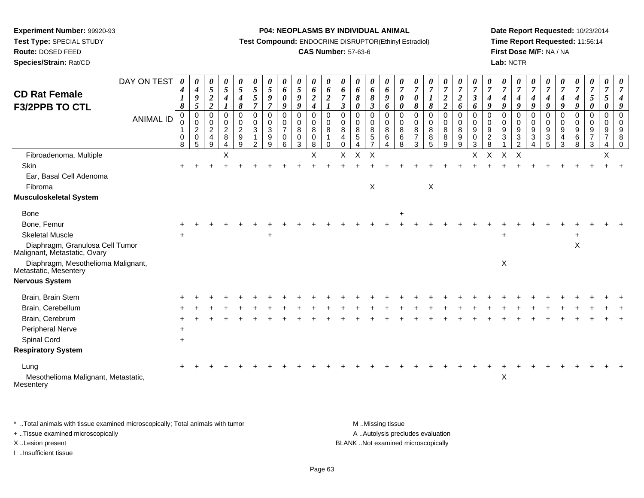**Test Type:** SPECIAL STUDY**Route:** DOSED FEED

**Species/Strain:** Rat/CD

#### **P04: NEOPLASMS BY INDIVIDUAL ANIMAL**

**Test Compound:** ENDOCRINE DISRUPTOR(Ethinyl Estradiol)

## **CAS Number:** 57-63-6

**Date Report Requested:** 10/23/2014**Time Report Requested:** 11:56:14**First Dose M/F:** NA / NA**Lab:** NCTR

| <b>CD Rat Female</b><br><b>F3/2PPB TO CTL</b>                   | DAY ON TEST<br><b>ANIMAL ID</b> | 0<br>$\boldsymbol{4}$<br>8<br>0<br>0<br>$\mathbf{1}$<br>$\mathbf 0$<br>8 | $\boldsymbol{\theta}$<br>4<br>9<br>$\sqrt{5}$<br>$\mathbf 0$<br>0<br>$\overline{2}$<br>0<br>5 | $\boldsymbol{\theta}$<br>5<br>$\boldsymbol{2}$<br>$\boldsymbol{2}$<br>$\mathbf 0$<br>$\mathbf 0$<br>$\overline{c}$<br>$\overline{4}$<br>9 | 0<br>$\mathfrak{s}$<br>$\boldsymbol{4}$<br>1<br>$\mathbf 0$<br>$\mathbf 0$<br>$\sqrt{2}$<br>8<br>4 | 0<br>5<br>$\boldsymbol{4}$<br>8<br>$\mathbf 0$<br>$\mathbf 0$<br>$\overline{c}$<br>9<br>9 | 0<br>5<br>5<br>$\overline{7}$<br>$\mathbf 0$<br>0<br>$\mathbf{3}$<br>$\mathbf{1}$<br>2 | $\boldsymbol{\theta}$<br>5<br>9<br>$\overline{7}$<br>$\Omega$<br>0<br>$\mathbf{3}$<br>9<br>9 | 0<br>6<br>$\boldsymbol{\theta}$<br>9<br>$\mathbf 0$<br>$\mathbf 0$<br>$\overline{7}$<br>$\mathbf 0$<br>6 | 0<br>$5\overline{)}$<br>9<br>9<br>0<br>$\pmb{0}$<br>8<br>$\mathbf 0$<br>3 | 0<br>6<br>$\boldsymbol{2}$<br>$\boldsymbol{4}$<br>$\mathbf 0$<br>$\mathbf 0$<br>$\,8\,$<br>$\mathbf 0$<br>8 | 0<br>6<br>$\overline{2}$<br>$\mathbf 0$<br>$\mathbf 0$<br>8<br>$\mathbf{1}$<br>$\Omega$ | $\boldsymbol{\theta}$<br>6<br>$\overline{7}$<br>$\boldsymbol{\beta}$<br>$\mathbf 0$<br>$\mathbf 0$<br>8<br>$\overline{a}$<br>$\mathbf 0$ | 0<br>6<br>8<br>0<br>$\mathbf 0$<br>$\mathbf 0$<br>8<br>5<br>4 | 0<br>6<br>$\boldsymbol{\delta}$<br>$\boldsymbol{\beta}$<br>$\mathbf 0$<br>0<br>$\bf 8$<br>$\sqrt{5}$<br>$\overline{7}$ | $\boldsymbol{\theta}$<br>6<br>9<br>6<br>$\mathbf 0$<br>$\mathbf 0$<br>8<br>6<br>4 | 0<br>$\overline{7}$<br>0<br>$\pmb{\theta}$<br>$\Omega$<br>$\mathbf 0$<br>8<br>6<br>8 | $\boldsymbol{\theta}$<br>$\overline{7}$<br>$\boldsymbol{\theta}$<br>$\pmb{8}$<br>$\mathbf 0$<br>$\mathbf 0$<br>8<br>$\overline{7}$<br>3 | $\boldsymbol{\theta}$<br>$\overline{7}$<br>$\pmb{8}$<br>$\mathbf 0$<br>$\mathbf 0$<br>8<br>8<br>5 | 0<br>$\overline{7}$<br>$\boldsymbol{2}$<br>$\boldsymbol{2}$<br>$\mathbf 0$<br>$\mathbf 0$<br>8<br>8<br>9 | 0<br>$\overline{7}$<br>$\boldsymbol{2}$<br>6<br>$\mathbf 0$<br>$\mathbf 0$<br>$\bf8$<br>9<br>9 | $\boldsymbol{\theta}$<br>$\overline{7}$<br>$\mathbf{3}$<br>6<br>$\mathbf 0$<br>0<br>9<br>$\mathbf 0$<br>3 | U<br>$\overline{7}$<br>$\boldsymbol{4}$<br>9<br>$\Omega$<br>$\Omega$<br>$\boldsymbol{9}$<br>$\overline{c}$<br>8 | 0<br>$\overline{7}$<br>4<br>9<br>$\Omega$<br>$\Omega$<br>9<br>3 | 0<br>$\overline{7}$<br>$\boldsymbol{4}$<br>9<br>0<br>0<br>9<br>3<br>2 | 0<br>$\overline{7}$<br>$\boldsymbol{4}$<br>9<br>$\mathbf 0$<br>$\mathbf 0$<br>9<br>3 | $\boldsymbol{\theta}$<br>$\overline{7}$<br>$\boldsymbol{4}$<br>9<br>$\mathbf 0$<br>0<br>9<br>$\mathbf{3}$<br>5 | $\overline{7}$<br>4<br>9<br>$\mathbf{0}$<br>0<br>9<br>4<br>3 | $\boldsymbol{\theta}$<br>$\overline{7}$<br>$\boldsymbol{4}$<br>$\boldsymbol{q}$<br>0<br>$\mathbf 0$<br>9<br>6<br>8 | 0<br>$\overline{7}$<br>5<br>0<br>0<br>$\mathbf 0$<br>9<br>$\overline{7}$<br>3 | $\overline{7}$<br>5<br>$\mathbf 0$<br>$\mathbf 0$<br>9<br>$\overline{7}$<br>4 | 8<br>∩ |
|-----------------------------------------------------------------|---------------------------------|--------------------------------------------------------------------------|-----------------------------------------------------------------------------------------------|-------------------------------------------------------------------------------------------------------------------------------------------|----------------------------------------------------------------------------------------------------|-------------------------------------------------------------------------------------------|----------------------------------------------------------------------------------------|----------------------------------------------------------------------------------------------|----------------------------------------------------------------------------------------------------------|---------------------------------------------------------------------------|-------------------------------------------------------------------------------------------------------------|-----------------------------------------------------------------------------------------|------------------------------------------------------------------------------------------------------------------------------------------|---------------------------------------------------------------|------------------------------------------------------------------------------------------------------------------------|-----------------------------------------------------------------------------------|--------------------------------------------------------------------------------------|-----------------------------------------------------------------------------------------------------------------------------------------|---------------------------------------------------------------------------------------------------|----------------------------------------------------------------------------------------------------------|------------------------------------------------------------------------------------------------|-----------------------------------------------------------------------------------------------------------|-----------------------------------------------------------------------------------------------------------------|-----------------------------------------------------------------|-----------------------------------------------------------------------|--------------------------------------------------------------------------------------|----------------------------------------------------------------------------------------------------------------|--------------------------------------------------------------|--------------------------------------------------------------------------------------------------------------------|-------------------------------------------------------------------------------|-------------------------------------------------------------------------------|--------|
| Fibroadenoma, Multiple                                          |                                 |                                                                          |                                                                                               |                                                                                                                                           | Χ                                                                                                  |                                                                                           |                                                                                        |                                                                                              |                                                                                                          |                                                                           | $\sf X$                                                                                                     |                                                                                         | X                                                                                                                                        | $\sf X$                                                       | $\sf X$                                                                                                                |                                                                                   |                                                                                      |                                                                                                                                         |                                                                                                   |                                                                                                          |                                                                                                | X                                                                                                         | $\mathsf X$                                                                                                     | X                                                               | $\sf X$                                                               |                                                                                      |                                                                                                                |                                                              |                                                                                                                    |                                                                               | $\mathsf X$                                                                   |        |
| Skin                                                            |                                 |                                                                          |                                                                                               |                                                                                                                                           |                                                                                                    |                                                                                           |                                                                                        |                                                                                              |                                                                                                          |                                                                           |                                                                                                             |                                                                                         |                                                                                                                                          |                                                               |                                                                                                                        |                                                                                   |                                                                                      |                                                                                                                                         |                                                                                                   |                                                                                                          |                                                                                                |                                                                                                           |                                                                                                                 |                                                                 |                                                                       |                                                                                      |                                                                                                                |                                                              |                                                                                                                    |                                                                               |                                                                               |        |
| Ear, Basal Cell Adenoma                                         |                                 |                                                                          |                                                                                               |                                                                                                                                           |                                                                                                    |                                                                                           |                                                                                        |                                                                                              |                                                                                                          |                                                                           |                                                                                                             |                                                                                         |                                                                                                                                          |                                                               |                                                                                                                        |                                                                                   |                                                                                      |                                                                                                                                         |                                                                                                   |                                                                                                          |                                                                                                |                                                                                                           |                                                                                                                 |                                                                 |                                                                       |                                                                                      |                                                                                                                |                                                              |                                                                                                                    |                                                                               |                                                                               |        |
| Fibroma                                                         |                                 |                                                                          |                                                                                               |                                                                                                                                           |                                                                                                    |                                                                                           |                                                                                        |                                                                                              |                                                                                                          |                                                                           |                                                                                                             |                                                                                         |                                                                                                                                          |                                                               | $\boldsymbol{\mathsf{X}}$                                                                                              |                                                                                   |                                                                                      |                                                                                                                                         | X                                                                                                 |                                                                                                          |                                                                                                |                                                                                                           |                                                                                                                 |                                                                 |                                                                       |                                                                                      |                                                                                                                |                                                              |                                                                                                                    |                                                                               |                                                                               |        |
| <b>Musculoskeletal System</b>                                   |                                 |                                                                          |                                                                                               |                                                                                                                                           |                                                                                                    |                                                                                           |                                                                                        |                                                                                              |                                                                                                          |                                                                           |                                                                                                             |                                                                                         |                                                                                                                                          |                                                               |                                                                                                                        |                                                                                   |                                                                                      |                                                                                                                                         |                                                                                                   |                                                                                                          |                                                                                                |                                                                                                           |                                                                                                                 |                                                                 |                                                                       |                                                                                      |                                                                                                                |                                                              |                                                                                                                    |                                                                               |                                                                               |        |
| <b>Bone</b>                                                     |                                 |                                                                          |                                                                                               |                                                                                                                                           |                                                                                                    |                                                                                           |                                                                                        |                                                                                              |                                                                                                          |                                                                           |                                                                                                             |                                                                                         |                                                                                                                                          |                                                               |                                                                                                                        |                                                                                   |                                                                                      |                                                                                                                                         |                                                                                                   |                                                                                                          |                                                                                                |                                                                                                           |                                                                                                                 |                                                                 |                                                                       |                                                                                      |                                                                                                                |                                                              |                                                                                                                    |                                                                               |                                                                               |        |
| Bone, Femur                                                     |                                 |                                                                          |                                                                                               |                                                                                                                                           |                                                                                                    |                                                                                           |                                                                                        |                                                                                              |                                                                                                          |                                                                           |                                                                                                             |                                                                                         |                                                                                                                                          |                                                               |                                                                                                                        |                                                                                   |                                                                                      |                                                                                                                                         |                                                                                                   |                                                                                                          |                                                                                                |                                                                                                           |                                                                                                                 |                                                                 |                                                                       |                                                                                      |                                                                                                                |                                                              |                                                                                                                    |                                                                               |                                                                               |        |
| <b>Skeletal Muscle</b>                                          |                                 |                                                                          |                                                                                               |                                                                                                                                           |                                                                                                    |                                                                                           |                                                                                        | ÷                                                                                            |                                                                                                          |                                                                           |                                                                                                             |                                                                                         |                                                                                                                                          |                                                               |                                                                                                                        |                                                                                   |                                                                                      |                                                                                                                                         |                                                                                                   |                                                                                                          |                                                                                                |                                                                                                           |                                                                                                                 | $\div$                                                          |                                                                       |                                                                                      |                                                                                                                |                                                              |                                                                                                                    |                                                                               |                                                                               |        |
| Diaphragm, Granulosa Cell Tumor<br>Malignant, Metastatic, Ovary |                                 |                                                                          |                                                                                               |                                                                                                                                           |                                                                                                    |                                                                                           |                                                                                        |                                                                                              |                                                                                                          |                                                                           |                                                                                                             |                                                                                         |                                                                                                                                          |                                                               |                                                                                                                        |                                                                                   |                                                                                      |                                                                                                                                         |                                                                                                   |                                                                                                          |                                                                                                |                                                                                                           |                                                                                                                 |                                                                 |                                                                       |                                                                                      |                                                                                                                |                                                              | $\mathsf X$                                                                                                        |                                                                               |                                                                               |        |
| Diaphragm, Mesothelioma Malignant,<br>Metastatic, Mesentery     |                                 |                                                                          |                                                                                               |                                                                                                                                           |                                                                                                    |                                                                                           |                                                                                        |                                                                                              |                                                                                                          |                                                                           |                                                                                                             |                                                                                         |                                                                                                                                          |                                                               |                                                                                                                        |                                                                                   |                                                                                      |                                                                                                                                         |                                                                                                   |                                                                                                          |                                                                                                |                                                                                                           |                                                                                                                 | $\boldsymbol{\mathsf{X}}$                                       |                                                                       |                                                                                      |                                                                                                                |                                                              |                                                                                                                    |                                                                               |                                                                               |        |
| <b>Nervous System</b>                                           |                                 |                                                                          |                                                                                               |                                                                                                                                           |                                                                                                    |                                                                                           |                                                                                        |                                                                                              |                                                                                                          |                                                                           |                                                                                                             |                                                                                         |                                                                                                                                          |                                                               |                                                                                                                        |                                                                                   |                                                                                      |                                                                                                                                         |                                                                                                   |                                                                                                          |                                                                                                |                                                                                                           |                                                                                                                 |                                                                 |                                                                       |                                                                                      |                                                                                                                |                                                              |                                                                                                                    |                                                                               |                                                                               |        |
| Brain, Brain Stem                                               |                                 |                                                                          |                                                                                               |                                                                                                                                           |                                                                                                    |                                                                                           |                                                                                        |                                                                                              |                                                                                                          |                                                                           |                                                                                                             |                                                                                         |                                                                                                                                          |                                                               |                                                                                                                        |                                                                                   |                                                                                      |                                                                                                                                         |                                                                                                   |                                                                                                          |                                                                                                |                                                                                                           |                                                                                                                 |                                                                 |                                                                       |                                                                                      |                                                                                                                |                                                              |                                                                                                                    |                                                                               |                                                                               |        |
| Brain, Cerebellum                                               |                                 |                                                                          |                                                                                               |                                                                                                                                           |                                                                                                    |                                                                                           |                                                                                        |                                                                                              |                                                                                                          |                                                                           |                                                                                                             |                                                                                         |                                                                                                                                          |                                                               |                                                                                                                        |                                                                                   |                                                                                      |                                                                                                                                         |                                                                                                   |                                                                                                          |                                                                                                |                                                                                                           |                                                                                                                 |                                                                 |                                                                       |                                                                                      |                                                                                                                |                                                              |                                                                                                                    |                                                                               |                                                                               |        |
| Brain, Cerebrum                                                 |                                 |                                                                          |                                                                                               |                                                                                                                                           |                                                                                                    |                                                                                           |                                                                                        |                                                                                              |                                                                                                          |                                                                           |                                                                                                             |                                                                                         |                                                                                                                                          |                                                               |                                                                                                                        |                                                                                   |                                                                                      |                                                                                                                                         |                                                                                                   |                                                                                                          |                                                                                                |                                                                                                           |                                                                                                                 |                                                                 |                                                                       |                                                                                      |                                                                                                                |                                                              |                                                                                                                    |                                                                               |                                                                               |        |
| Peripheral Nerve                                                |                                 | $\ddot{}$                                                                |                                                                                               |                                                                                                                                           |                                                                                                    |                                                                                           |                                                                                        |                                                                                              |                                                                                                          |                                                                           |                                                                                                             |                                                                                         |                                                                                                                                          |                                                               |                                                                                                                        |                                                                                   |                                                                                      |                                                                                                                                         |                                                                                                   |                                                                                                          |                                                                                                |                                                                                                           |                                                                                                                 |                                                                 |                                                                       |                                                                                      |                                                                                                                |                                                              |                                                                                                                    |                                                                               |                                                                               |        |
| Spinal Cord                                                     |                                 | $\ddot{}$                                                                |                                                                                               |                                                                                                                                           |                                                                                                    |                                                                                           |                                                                                        |                                                                                              |                                                                                                          |                                                                           |                                                                                                             |                                                                                         |                                                                                                                                          |                                                               |                                                                                                                        |                                                                                   |                                                                                      |                                                                                                                                         |                                                                                                   |                                                                                                          |                                                                                                |                                                                                                           |                                                                                                                 |                                                                 |                                                                       |                                                                                      |                                                                                                                |                                                              |                                                                                                                    |                                                                               |                                                                               |        |
| <b>Respiratory System</b>                                       |                                 |                                                                          |                                                                                               |                                                                                                                                           |                                                                                                    |                                                                                           |                                                                                        |                                                                                              |                                                                                                          |                                                                           |                                                                                                             |                                                                                         |                                                                                                                                          |                                                               |                                                                                                                        |                                                                                   |                                                                                      |                                                                                                                                         |                                                                                                   |                                                                                                          |                                                                                                |                                                                                                           |                                                                                                                 |                                                                 |                                                                       |                                                                                      |                                                                                                                |                                                              |                                                                                                                    |                                                                               |                                                                               |        |
| Lung<br>Mesothelioma Malignant, Metastatic,<br>Mesentery        |                                 |                                                                          |                                                                                               |                                                                                                                                           |                                                                                                    |                                                                                           |                                                                                        |                                                                                              |                                                                                                          |                                                                           |                                                                                                             |                                                                                         |                                                                                                                                          |                                                               |                                                                                                                        |                                                                                   |                                                                                      |                                                                                                                                         |                                                                                                   |                                                                                                          |                                                                                                |                                                                                                           |                                                                                                                 | X                                                               |                                                                       |                                                                                      |                                                                                                                |                                                              |                                                                                                                    |                                                                               |                                                                               |        |

\* ..Total animals with tissue examined microscopically; Total animals with tumor **M** . Missing tissue M ..Missing tissue + ..Tissue examined microscopically

I ..Insufficient tissue

A ..Autolysis precludes evaluation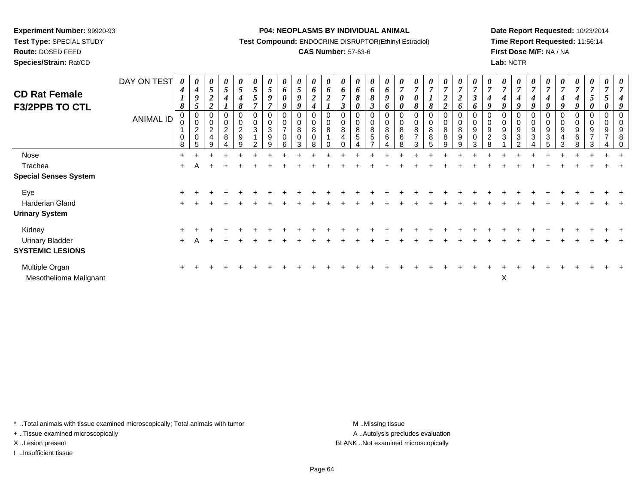**Test Type:** SPECIAL STUDY

**Route:** DOSED FEED**Species/Strain:** Rat/CD **P04: NEOPLASMS BY INDIVIDUAL ANIMAL**

**Test Compound:** ENDOCRINE DISRUPTOR(Ethinyl Estradiol)

## **CAS Number:** 57-63-6

**Date Report Requested:** 10/23/2014**Time Report Requested:** 11:56:14**First Dose M/F:** NA / NA**Lab:** NCTR

| <b>CD Rat Female</b><br><b>F3/2PPB TO CTL</b> | DAY ON TEST<br>ANIMAL ID | 0<br>$\boldsymbol{4}$<br>$\boldsymbol{l}$<br>8<br>0<br>$\mathbf 0$<br>$\mathbf 0$<br>8 | $\boldsymbol{\theta}$<br>4<br>Q<br>5<br>0<br>$\Omega$<br>$\overline{c}$<br>$\mathbf 0$<br>5 | $5\overline{)}$<br>$\overline{\mathbf{c}}$<br>$\overline{2}$<br>$\mathbf 0$<br>$\overline{c}$<br>$\overline{4}$ | 0<br>5<br>0<br>0<br>$\overline{2}$<br>8 | 0<br>$5\overline{)}$<br>4<br>8<br>0<br>$\overline{c}$<br>$\boldsymbol{9}$<br>9 | 0<br>$5\overline{)}$<br>5<br>$\overline{ }$<br>0<br>$\pmb{0}$<br>$\mathbf{3}$<br>າ | 0<br>$5\overline{)}$<br>9<br>$\overline{7}$<br>$\mathbf 0$<br>$\pmb{0}$<br>$\mathbf{3}$<br>$\boldsymbol{9}$<br>g | 6<br>$\boldsymbol{\theta}$<br>9<br>$\mathbf 0$<br>$\mathbf 0$<br>$\overline{z}$<br>0<br>ี | 0<br>$5\overline{)}$<br>9<br>9<br>0<br>$\mathbf 0$<br>8<br>0<br>З | 0<br>6<br>$\boldsymbol{2}$<br>$\boldsymbol{4}$<br>0<br>$\pmb{0}$<br>8<br>$\mathbf 0$<br>8 | 0<br>6<br>$\boldsymbol{2}$<br>0<br>0<br>8 | 6<br>$\overline{ }$<br>$\boldsymbol{\beta}$<br>$\pmb{0}$<br>8<br>$\overline{4}$ | 0<br>6<br>8<br>0<br>$\Omega$<br>0<br>8<br>5 | $\boldsymbol{\theta}$<br>6<br>8<br>$\boldsymbol{\beta}$<br>$\mathbf 0$<br>$\pmb{0}$<br>8<br>$\,$ 5 $\,$ | 0<br>6<br>9<br>6<br>0<br>$\pmb{0}$<br>$\, 8$<br>6 | 0<br>$\overline{ }$<br>$\boldsymbol{\theta}$<br>$\boldsymbol{\theta}$<br>0<br>$\pmb{0}$<br>$\bf 8$<br>$\,6$<br>8 | 7<br>0<br>8<br>0<br>8<br>$\overline{7}$ | 0<br>$\overline{7}$<br>8<br>0<br>0<br>8<br>8 | 0<br>$\overline{7}$<br>$\boldsymbol{2}$<br>$\overline{2}$<br>0<br>0<br>8<br>8 | 0<br>$\overline{7}$<br>$\boldsymbol{2}$<br>6<br>$\boldsymbol{0}$<br>$\pmb{0}$<br>$\bf 8$<br>$\boldsymbol{9}$<br>9 | 6<br>0<br>9<br>0<br>3 | 0<br>$\overline{7}$<br>4<br>9<br>0<br>0<br>9<br>$\sqrt{2}$<br>8 | $\boldsymbol{\theta}$<br>4<br>9<br>0<br>0<br>9<br>3 | 0<br>$\overline{7}$<br>$\boldsymbol{4}$<br>9<br>$\mathbf 0$<br>$\pmb{0}$<br>$\boldsymbol{9}$<br>$\mathbf{3}$<br>ົ | $\overline{7}$<br>9<br>$\mathbf 0$<br>9<br>3 | 4<br>9<br>9<br>3 | 0<br>$\overline{7}$<br>4<br>$\boldsymbol{Q}$<br>0<br>0<br>9<br>4 | $\boldsymbol{\theta}$<br>$\overline{7}$<br>4<br>9<br>0<br>9<br>6<br>8 | 0<br>$\overline{7}$<br>5<br>0<br>0<br>$\pmb{0}$<br>9<br>$\overline{ }$<br>3 | 0<br>$\overline{7}$<br>0<br>0<br>$\boldsymbol{0}$<br>9<br>$\overline{ }$ | 0<br>$\overline{7}$<br>$\overline{4}$<br>9<br>$\mathbf 0$<br>9<br>8 |
|-----------------------------------------------|--------------------------|----------------------------------------------------------------------------------------|---------------------------------------------------------------------------------------------|-----------------------------------------------------------------------------------------------------------------|-----------------------------------------|--------------------------------------------------------------------------------|------------------------------------------------------------------------------------|------------------------------------------------------------------------------------------------------------------|-------------------------------------------------------------------------------------------|-------------------------------------------------------------------|-------------------------------------------------------------------------------------------|-------------------------------------------|---------------------------------------------------------------------------------|---------------------------------------------|---------------------------------------------------------------------------------------------------------|---------------------------------------------------|------------------------------------------------------------------------------------------------------------------|-----------------------------------------|----------------------------------------------|-------------------------------------------------------------------------------|-------------------------------------------------------------------------------------------------------------------|-----------------------|-----------------------------------------------------------------|-----------------------------------------------------|-------------------------------------------------------------------------------------------------------------------|----------------------------------------------|------------------|------------------------------------------------------------------|-----------------------------------------------------------------------|-----------------------------------------------------------------------------|--------------------------------------------------------------------------|---------------------------------------------------------------------|
| Nose                                          |                          | $+$                                                                                    |                                                                                             |                                                                                                                 |                                         |                                                                                |                                                                                    |                                                                                                                  |                                                                                           |                                                                   |                                                                                           |                                           |                                                                                 |                                             |                                                                                                         |                                                   |                                                                                                                  |                                         |                                              |                                                                               |                                                                                                                   |                       |                                                                 |                                                     |                                                                                                                   |                                              |                  |                                                                  |                                                                       |                                                                             |                                                                          |                                                                     |
| Trachea                                       |                          | $+$                                                                                    |                                                                                             |                                                                                                                 |                                         |                                                                                |                                                                                    |                                                                                                                  |                                                                                           |                                                                   |                                                                                           |                                           |                                                                                 |                                             |                                                                                                         |                                                   |                                                                                                                  |                                         |                                              |                                                                               |                                                                                                                   |                       |                                                                 |                                                     |                                                                                                                   |                                              |                  |                                                                  |                                                                       |                                                                             |                                                                          |                                                                     |
| <b>Special Senses System</b>                  |                          |                                                                                        |                                                                                             |                                                                                                                 |                                         |                                                                                |                                                                                    |                                                                                                                  |                                                                                           |                                                                   |                                                                                           |                                           |                                                                                 |                                             |                                                                                                         |                                                   |                                                                                                                  |                                         |                                              |                                                                               |                                                                                                                   |                       |                                                                 |                                                     |                                                                                                                   |                                              |                  |                                                                  |                                                                       |                                                                             |                                                                          |                                                                     |
| Eye                                           |                          |                                                                                        |                                                                                             |                                                                                                                 |                                         |                                                                                |                                                                                    |                                                                                                                  |                                                                                           |                                                                   |                                                                                           |                                           |                                                                                 |                                             |                                                                                                         |                                                   |                                                                                                                  |                                         |                                              |                                                                               |                                                                                                                   |                       |                                                                 |                                                     |                                                                                                                   |                                              |                  |                                                                  |                                                                       |                                                                             |                                                                          |                                                                     |
| Harderian Gland                               |                          |                                                                                        |                                                                                             |                                                                                                                 |                                         |                                                                                |                                                                                    |                                                                                                                  |                                                                                           |                                                                   |                                                                                           |                                           |                                                                                 |                                             |                                                                                                         |                                                   |                                                                                                                  |                                         |                                              |                                                                               |                                                                                                                   |                       |                                                                 |                                                     |                                                                                                                   |                                              |                  |                                                                  |                                                                       |                                                                             |                                                                          |                                                                     |
| <b>Urinary System</b>                         |                          |                                                                                        |                                                                                             |                                                                                                                 |                                         |                                                                                |                                                                                    |                                                                                                                  |                                                                                           |                                                                   |                                                                                           |                                           |                                                                                 |                                             |                                                                                                         |                                                   |                                                                                                                  |                                         |                                              |                                                                               |                                                                                                                   |                       |                                                                 |                                                     |                                                                                                                   |                                              |                  |                                                                  |                                                                       |                                                                             |                                                                          |                                                                     |
| Kidney                                        |                          |                                                                                        |                                                                                             |                                                                                                                 |                                         |                                                                                |                                                                                    |                                                                                                                  |                                                                                           |                                                                   |                                                                                           |                                           |                                                                                 |                                             |                                                                                                         |                                                   |                                                                                                                  |                                         |                                              |                                                                               |                                                                                                                   |                       |                                                                 |                                                     |                                                                                                                   |                                              |                  |                                                                  |                                                                       |                                                                             |                                                                          |                                                                     |
| <b>Urinary Bladder</b>                        |                          | $+$                                                                                    |                                                                                             |                                                                                                                 |                                         |                                                                                |                                                                                    |                                                                                                                  |                                                                                           |                                                                   |                                                                                           |                                           |                                                                                 |                                             |                                                                                                         |                                                   |                                                                                                                  |                                         |                                              |                                                                               |                                                                                                                   |                       |                                                                 |                                                     |                                                                                                                   |                                              |                  |                                                                  |                                                                       |                                                                             |                                                                          |                                                                     |
| <b>SYSTEMIC LESIONS</b>                       |                          |                                                                                        |                                                                                             |                                                                                                                 |                                         |                                                                                |                                                                                    |                                                                                                                  |                                                                                           |                                                                   |                                                                                           |                                           |                                                                                 |                                             |                                                                                                         |                                                   |                                                                                                                  |                                         |                                              |                                                                               |                                                                                                                   |                       |                                                                 |                                                     |                                                                                                                   |                                              |                  |                                                                  |                                                                       |                                                                             |                                                                          |                                                                     |
| Multiple Organ<br>Mesothelioma Malignant      |                          |                                                                                        |                                                                                             |                                                                                                                 |                                         |                                                                                |                                                                                    |                                                                                                                  |                                                                                           |                                                                   |                                                                                           |                                           |                                                                                 |                                             |                                                                                                         |                                                   |                                                                                                                  |                                         |                                              |                                                                               |                                                                                                                   |                       |                                                                 | X                                                   |                                                                                                                   |                                              |                  |                                                                  |                                                                       |                                                                             |                                                                          |                                                                     |

\* ..Total animals with tissue examined microscopically; Total animals with tumor **M** . Missing tissue M ..Missing tissue

+ ..Tissue examined microscopically

I ..Insufficient tissue

A ..Autolysis precludes evaluation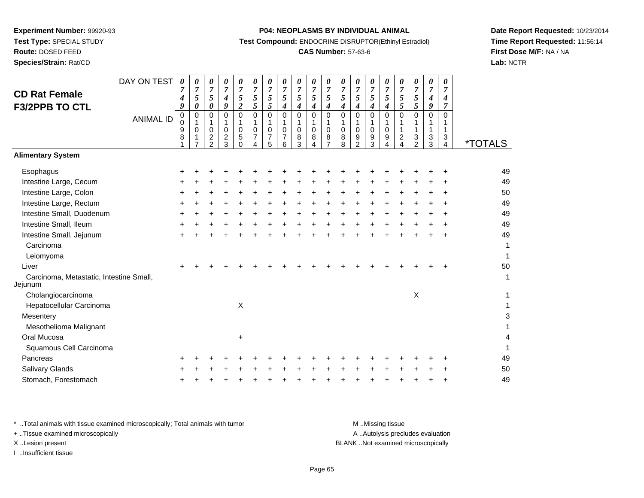# **Route:** DOSED FEED

**Species/Strain:** Rat/CD

#### **P04: NEOPLASMS BY INDIVIDUAL ANIMAL**

**Test Compound:** ENDOCRINE DISRUPTOR(Ethinyl Estradiol)

## **CAS Number:** 57-63-6

**Date Report Requested:** 10/23/2014**Time Report Requested:** 11:56:14**First Dose M/F:** NA / NA**Lab:** NCTR

| <b>CD Rat Female</b><br><b>F3/2PPB TO CTL</b>                                                                                                                                                                                                             | DAY ON TEST<br><b>ANIMAL ID</b> | 0<br>$\overline{7}$<br>4<br>9<br>0<br>0<br>9<br>8 | 0<br>$\boldsymbol{7}$<br>$\sqrt{5}$<br>$\pmb{\theta}$<br>0<br>1<br>0<br>1 | 0<br>$\overline{7}$<br>5<br>0<br>$\Omega$<br>1<br>$\mathbf 0$<br>$\overline{c}$<br>$\mathfrak{p}$ | 0<br>$\overline{7}$<br>$\boldsymbol{4}$<br>9<br>$\Omega$<br>$\mathbf 1$<br>0<br>$\overline{c}$<br>3 | 0<br>$\overline{7}$<br>5<br>$\overline{c}$<br>$\Omega$<br>1<br>$\mathbf 0$<br>5<br>$\Omega$ | 0<br>$\overline{7}$<br>5<br>5<br>0<br>1<br>0<br>$\overline{7}$ | 0<br>$\overline{7}$<br>$\sqrt{5}$<br>5<br>$\mathbf 0$<br>$\mathbf{1}$<br>0<br>7<br>5 | 0<br>$\overline{7}$<br>5<br>4<br>$\mathbf 0$<br>$\mathbf{1}$<br>$\mathbf 0$<br>7<br>6 | 0<br>$\overline{7}$<br>5<br>$\boldsymbol{4}$<br>0<br>$\mathbf{1}$<br>$\mathbf 0$<br>8<br>3 | 0<br>$\overline{7}$<br>5<br>4<br>0<br>1<br>0<br>8<br>$\overline{A}$ | 0<br>$\boldsymbol{7}$<br>$\sqrt{5}$<br>$\boldsymbol{4}$<br>$\mathbf 0$<br>1<br>$\mathbf 0$<br>8<br>$\overline{ }$ | 0<br>$\overline{7}$<br>$\sqrt{5}$<br>$\boldsymbol{4}$<br>$\mathbf 0$<br>$\mathbf{1}$<br>0<br>8<br>8 | 0<br>$\overline{7}$<br>$\sqrt{5}$<br>4<br>$\Omega$<br>1<br>0<br>9<br>$\mathfrak{p}$ | 0<br>$\overline{7}$<br>5<br>$\boldsymbol{4}$<br>$\Omega$<br>0<br>9<br>3 | 0<br>$\boldsymbol{7}$<br>5<br>$\boldsymbol{4}$<br>$\mathbf 0$<br>$\mathbf{1}$<br>$\mathbf 0$<br>9<br>4 | 0<br>$\boldsymbol{7}$<br>5<br>5<br>$\mathbf 0$<br>1<br>1<br>$\overline{c}$<br>$\boldsymbol{\Lambda}$ | 0<br>$\overline{7}$<br>5<br>5<br>$\mathbf 0$<br>1<br>1<br>3<br>2 | 0<br>$\overline{7}$<br>4<br>9<br>0<br>1<br>$\mathbf{1}$<br>$\frac{3}{3}$ | 0<br>$\overline{7}$<br>4<br>$\overline{7}$<br>$\Omega$<br>1<br>1<br>3<br>4 | <i><b>*TOTALS</b></i>                                                             |
|-----------------------------------------------------------------------------------------------------------------------------------------------------------------------------------------------------------------------------------------------------------|---------------------------------|---------------------------------------------------|---------------------------------------------------------------------------|---------------------------------------------------------------------------------------------------|-----------------------------------------------------------------------------------------------------|---------------------------------------------------------------------------------------------|----------------------------------------------------------------|--------------------------------------------------------------------------------------|---------------------------------------------------------------------------------------|--------------------------------------------------------------------------------------------|---------------------------------------------------------------------|-------------------------------------------------------------------------------------------------------------------|-----------------------------------------------------------------------------------------------------|-------------------------------------------------------------------------------------|-------------------------------------------------------------------------|--------------------------------------------------------------------------------------------------------|------------------------------------------------------------------------------------------------------|------------------------------------------------------------------|--------------------------------------------------------------------------|----------------------------------------------------------------------------|-----------------------------------------------------------------------------------|
| <b>Alimentary System</b>                                                                                                                                                                                                                                  |                                 |                                                   |                                                                           |                                                                                                   |                                                                                                     |                                                                                             |                                                                |                                                                                      |                                                                                       |                                                                                            |                                                                     |                                                                                                                   |                                                                                                     |                                                                                     |                                                                         |                                                                                                        |                                                                                                      |                                                                  |                                                                          |                                                                            |                                                                                   |
| Esophagus<br>Intestine Large, Cecum<br>Intestine Large, Colon<br>Intestine Large, Rectum<br>Intestine Small, Duodenum<br>Intestine Small, Ileum<br>Intestine Small, Jejunum<br>Carcinoma<br>Leiomyoma<br>Liver<br>Carcinoma, Metastatic, Intestine Small, |                                 |                                                   |                                                                           |                                                                                                   |                                                                                                     |                                                                                             |                                                                |                                                                                      |                                                                                       |                                                                                            |                                                                     |                                                                                                                   |                                                                                                     |                                                                                     |                                                                         |                                                                                                        |                                                                                                      |                                                                  |                                                                          |                                                                            | 49<br>49<br>50<br>49<br>49<br>49<br>49<br>1<br>$\mathbf{1}$<br>50<br>$\mathbf{1}$ |
| Jejunum<br>Cholangiocarcinoma<br>Hepatocellular Carcinoma<br>Mesentery<br>Mesothelioma Malignant<br>Oral Mucosa<br>Squamous Cell Carcinoma<br>Pancreas<br>Salivary Glands<br>Stomach, Forestomach                                                         |                                 |                                                   |                                                                           |                                                                                                   |                                                                                                     | X<br>+                                                                                      |                                                                |                                                                                      |                                                                                       |                                                                                            |                                                                     |                                                                                                                   |                                                                                                     |                                                                                     |                                                                         |                                                                                                        |                                                                                                      | $\times$                                                         |                                                                          |                                                                            | 1<br>1<br>3<br>$\mathbf{1}$<br>4<br>1<br>49<br>50<br>49                           |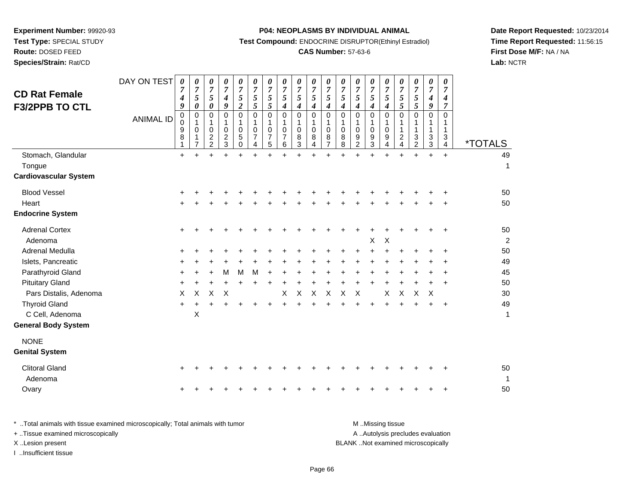**Route:** DOSED FEED

**Species/Strain:** Rat/CD

#### **P04: NEOPLASMS BY INDIVIDUAL ANIMAL**

**Test Compound:** ENDOCRINE DISRUPTOR(Ethinyl Estradiol)

### **CAS Number:** 57-63-6

**Date Report Requested:** 10/23/2014**Time Report Requested:** 11:56:15**First Dose M/F:** NA / NA**Lab:** NCTR

| <b>CD Rat Female</b><br><b>F3/2PPB TO CTL</b> | DAY ON TEST<br><b>ANIMAL ID</b> | 0<br>7<br>$\boldsymbol{4}$<br>9<br>0<br>0<br>9<br>8 | 0<br>$\overline{7}$<br>5<br>$\pmb{\theta}$<br>0<br>1<br>$\pmb{0}$<br>1<br>$\overline{7}$ | 0<br>$\overline{7}$<br>5<br>0<br>0<br>1<br>0<br>$\overline{c}$<br>$\overline{a}$ | 0<br>7<br>$\boldsymbol{4}$<br>9<br>$\Omega$<br>1<br>$\mathbf 0$<br>$\overline{c}$<br>$\mathbf{3}$ | 0<br>$\overline{7}$<br>$\mathfrak{s}$<br>$\overline{2}$<br>$\Omega$<br>1<br>$\mathbf 0$<br>5<br>$\Omega$ | 0<br>$\overline{7}$<br>5<br>5<br>$\Omega$<br>1<br>$\mathbf 0$<br>7<br>4 | 0<br>$\overline{7}$<br>5<br>5<br>$\mathbf 0$<br>$\mathbf 1$<br>$\mathbf 0$<br>$\overline{7}$<br>5 | 0<br>$\overline{7}$<br>5<br>$\boldsymbol{4}$<br>$\Omega$<br>1<br>$\mathbf 0$<br>$\overline{7}$<br>6 | 0<br>$\overline{7}$<br>5<br>$\boldsymbol{4}$<br>$\mathbf 0$<br>1<br>0<br>8<br>3 | 0<br>$\overline{7}$<br>5<br>4<br>$\Omega$<br>1<br>$\pmb{0}$<br>8<br>$\overline{4}$ | 0<br>$\overline{7}$<br>5<br>$\boldsymbol{4}$<br>$\Omega$<br>1<br>$\Omega$<br>8<br>$\overline{7}$ | 0<br>$\overline{7}$<br>5<br>$\boldsymbol{4}$<br>$\Omega$<br>1<br>$\mathbf 0$<br>8<br>8 | 0<br>$\overline{7}$<br>5<br>$\boldsymbol{4}$<br>$\Omega$<br>1<br>$\mathbf 0$<br>9<br>$\overline{2}$ | 0<br>7<br>5<br>4<br>$\overline{0}$<br>1<br>0<br>9<br>3 | 0<br>7<br>5<br>4<br>$\Omega$<br>1<br>$\pmb{0}$<br>9<br>4 | 0<br>$\overline{7}$<br>$\sqrt{5}$<br>$\mathfrak{s}$<br>$\Omega$<br>1<br>$\mathbf{1}$<br>$\overline{c}$<br>$\overline{4}$ | 0<br>$\overline{7}$<br>5<br>5<br>$\Omega$<br>1<br>$\mathbf{1}$<br>$\mathbf{3}$<br>$\overline{2}$ | 0<br>$\overline{7}$<br>$\boldsymbol{4}$<br>9<br>$\Omega$<br>1<br>$\mathbf 1$<br>3<br>$\mathbf{3}$ | 0<br>$\overline{7}$<br>$\boldsymbol{4}$<br>$\overline{7}$<br>$\Omega$<br>1<br>1<br>3<br>4 | <i><b>*TOTALS</b></i> |
|-----------------------------------------------|---------------------------------|-----------------------------------------------------|------------------------------------------------------------------------------------------|----------------------------------------------------------------------------------|---------------------------------------------------------------------------------------------------|----------------------------------------------------------------------------------------------------------|-------------------------------------------------------------------------|---------------------------------------------------------------------------------------------------|-----------------------------------------------------------------------------------------------------|---------------------------------------------------------------------------------|------------------------------------------------------------------------------------|--------------------------------------------------------------------------------------------------|----------------------------------------------------------------------------------------|-----------------------------------------------------------------------------------------------------|--------------------------------------------------------|----------------------------------------------------------|--------------------------------------------------------------------------------------------------------------------------|--------------------------------------------------------------------------------------------------|---------------------------------------------------------------------------------------------------|-------------------------------------------------------------------------------------------|-----------------------|
| Stomach, Glandular                            |                                 | $\ddot{}$                                           | $\ddot{}$                                                                                |                                                                                  |                                                                                                   |                                                                                                          | ÷                                                                       | $\ddot{}$                                                                                         | $+$                                                                                                 | $\ddot{}$                                                                       |                                                                                    |                                                                                                  |                                                                                        |                                                                                                     |                                                        |                                                          | $\ddot{}$                                                                                                                | $+$                                                                                              | $\ddot{}$                                                                                         | $\ddot{}$                                                                                 | 49                    |
| Tongue<br><b>Cardiovascular System</b>        |                                 |                                                     |                                                                                          |                                                                                  |                                                                                                   |                                                                                                          |                                                                         |                                                                                                   |                                                                                                     |                                                                                 |                                                                                    |                                                                                                  |                                                                                        |                                                                                                     |                                                        |                                                          |                                                                                                                          |                                                                                                  |                                                                                                   |                                                                                           | 1                     |
|                                               |                                 |                                                     |                                                                                          |                                                                                  |                                                                                                   |                                                                                                          |                                                                         |                                                                                                   |                                                                                                     |                                                                                 |                                                                                    |                                                                                                  |                                                                                        |                                                                                                     |                                                        |                                                          |                                                                                                                          |                                                                                                  |                                                                                                   |                                                                                           |                       |
| <b>Blood Vessel</b>                           |                                 |                                                     |                                                                                          |                                                                                  |                                                                                                   |                                                                                                          |                                                                         |                                                                                                   |                                                                                                     |                                                                                 |                                                                                    |                                                                                                  |                                                                                        |                                                                                                     |                                                        |                                                          |                                                                                                                          |                                                                                                  |                                                                                                   | ÷                                                                                         | 50                    |
| Heart                                         |                                 |                                                     |                                                                                          |                                                                                  |                                                                                                   |                                                                                                          |                                                                         |                                                                                                   |                                                                                                     |                                                                                 |                                                                                    |                                                                                                  |                                                                                        |                                                                                                     |                                                        |                                                          |                                                                                                                          |                                                                                                  |                                                                                                   |                                                                                           | 50                    |
| <b>Endocrine System</b>                       |                                 |                                                     |                                                                                          |                                                                                  |                                                                                                   |                                                                                                          |                                                                         |                                                                                                   |                                                                                                     |                                                                                 |                                                                                    |                                                                                                  |                                                                                        |                                                                                                     |                                                        |                                                          |                                                                                                                          |                                                                                                  |                                                                                                   |                                                                                           |                       |
| <b>Adrenal Cortex</b>                         |                                 | $\ddot{}$                                           |                                                                                          |                                                                                  |                                                                                                   |                                                                                                          |                                                                         |                                                                                                   |                                                                                                     |                                                                                 |                                                                                    |                                                                                                  |                                                                                        |                                                                                                     |                                                        |                                                          |                                                                                                                          |                                                                                                  |                                                                                                   | ÷                                                                                         | 50                    |
| Adenoma                                       |                                 |                                                     |                                                                                          |                                                                                  |                                                                                                   |                                                                                                          |                                                                         |                                                                                                   |                                                                                                     |                                                                                 |                                                                                    |                                                                                                  |                                                                                        |                                                                                                     | X                                                      | $\boldsymbol{\mathsf{X}}$                                |                                                                                                                          |                                                                                                  |                                                                                                   |                                                                                           | 2                     |
| Adrenal Medulla                               |                                 |                                                     |                                                                                          |                                                                                  |                                                                                                   |                                                                                                          |                                                                         |                                                                                                   |                                                                                                     |                                                                                 |                                                                                    |                                                                                                  |                                                                                        |                                                                                                     | +                                                      |                                                          |                                                                                                                          |                                                                                                  | +                                                                                                 | $\ddot{}$                                                                                 | 50                    |
| Islets, Pancreatic                            |                                 |                                                     |                                                                                          |                                                                                  |                                                                                                   |                                                                                                          |                                                                         |                                                                                                   |                                                                                                     |                                                                                 |                                                                                    |                                                                                                  |                                                                                        |                                                                                                     |                                                        |                                                          |                                                                                                                          |                                                                                                  |                                                                                                   | +                                                                                         | 49                    |
| Parathyroid Gland                             |                                 | +                                                   |                                                                                          |                                                                                  | M                                                                                                 | M                                                                                                        | M                                                                       |                                                                                                   |                                                                                                     |                                                                                 |                                                                                    |                                                                                                  |                                                                                        |                                                                                                     |                                                        |                                                          |                                                                                                                          |                                                                                                  |                                                                                                   | $\ddot{}$                                                                                 | 45                    |
| <b>Pituitary Gland</b>                        |                                 | $\ddot{}$                                           |                                                                                          | $\ddot{}$                                                                        | $\ddot{}$                                                                                         | $\ddot{}$                                                                                                | Ŧ.                                                                      | $\ddot{}$                                                                                         | +                                                                                                   | $\ddot{}$                                                                       |                                                                                    | +                                                                                                |                                                                                        | $\ddot{}$                                                                                           | $\ddot{}$                                              |                                                          |                                                                                                                          | $\ddot{}$                                                                                        | $\ddot{}$                                                                                         | $\ddot{}$                                                                                 | 50                    |
| Pars Distalis, Adenoma                        |                                 | X                                                   | X                                                                                        | X                                                                                | X                                                                                                 |                                                                                                          |                                                                         |                                                                                                   | X                                                                                                   | Χ                                                                               | $\sf X$                                                                            | $\pmb{\times}$                                                                                   | X                                                                                      | $\boldsymbol{\mathsf{X}}$                                                                           |                                                        | X                                                        | $\times$                                                                                                                 | $\pmb{\times}$                                                                                   | X                                                                                                 |                                                                                           | 30                    |
| <b>Thyroid Gland</b>                          |                                 | $\ddot{}$                                           |                                                                                          |                                                                                  |                                                                                                   |                                                                                                          |                                                                         | +                                                                                                 |                                                                                                     |                                                                                 |                                                                                    |                                                                                                  |                                                                                        |                                                                                                     | $\ddot{}$                                              |                                                          |                                                                                                                          |                                                                                                  | $\ddot{}$                                                                                         | $\ddot{}$                                                                                 | 49                    |
| C Cell, Adenoma                               |                                 |                                                     | X                                                                                        |                                                                                  |                                                                                                   |                                                                                                          |                                                                         |                                                                                                   |                                                                                                     |                                                                                 |                                                                                    |                                                                                                  |                                                                                        |                                                                                                     |                                                        |                                                          |                                                                                                                          |                                                                                                  |                                                                                                   |                                                                                           | 1                     |
| <b>General Body System</b>                    |                                 |                                                     |                                                                                          |                                                                                  |                                                                                                   |                                                                                                          |                                                                         |                                                                                                   |                                                                                                     |                                                                                 |                                                                                    |                                                                                                  |                                                                                        |                                                                                                     |                                                        |                                                          |                                                                                                                          |                                                                                                  |                                                                                                   |                                                                                           |                       |
| <b>NONE</b>                                   |                                 |                                                     |                                                                                          |                                                                                  |                                                                                                   |                                                                                                          |                                                                         |                                                                                                   |                                                                                                     |                                                                                 |                                                                                    |                                                                                                  |                                                                                        |                                                                                                     |                                                        |                                                          |                                                                                                                          |                                                                                                  |                                                                                                   |                                                                                           |                       |
| <b>Genital System</b>                         |                                 |                                                     |                                                                                          |                                                                                  |                                                                                                   |                                                                                                          |                                                                         |                                                                                                   |                                                                                                     |                                                                                 |                                                                                    |                                                                                                  |                                                                                        |                                                                                                     |                                                        |                                                          |                                                                                                                          |                                                                                                  |                                                                                                   |                                                                                           |                       |
| <b>Clitoral Gland</b><br>Adenoma              |                                 | ÷                                                   |                                                                                          |                                                                                  |                                                                                                   |                                                                                                          |                                                                         |                                                                                                   |                                                                                                     |                                                                                 |                                                                                    |                                                                                                  |                                                                                        |                                                                                                     |                                                        |                                                          |                                                                                                                          |                                                                                                  |                                                                                                   | ÷                                                                                         | 50<br>1               |
| Ovary                                         |                                 |                                                     |                                                                                          |                                                                                  |                                                                                                   |                                                                                                          |                                                                         |                                                                                                   |                                                                                                     |                                                                                 |                                                                                    |                                                                                                  |                                                                                        |                                                                                                     |                                                        |                                                          |                                                                                                                          |                                                                                                  |                                                                                                   |                                                                                           | 50                    |
|                                               |                                 |                                                     |                                                                                          |                                                                                  |                                                                                                   |                                                                                                          |                                                                         |                                                                                                   |                                                                                                     |                                                                                 |                                                                                    |                                                                                                  |                                                                                        |                                                                                                     |                                                        |                                                          |                                                                                                                          |                                                                                                  |                                                                                                   |                                                                                           |                       |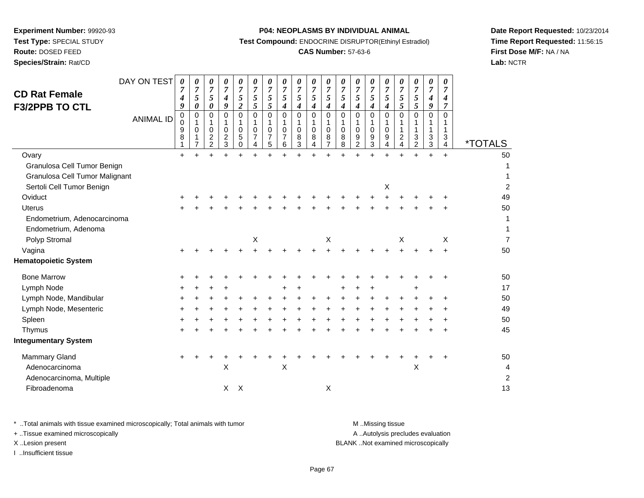# **Route:** DOSED FEED

**Species/Strain:** Rat/CD

#### **P04: NEOPLASMS BY INDIVIDUAL ANIMAL**

**Test Compound:** ENDOCRINE DISRUPTOR(Ethinyl Estradiol)

## **CAS Number:** 57-63-6

**Date Report Requested:** 10/23/2014**Time Report Requested:** 11:56:15**First Dose M/F:** NA / NA**Lab:** NCTR

| <b>CD Rat Female</b><br><b>F3/2PPB TO CTL</b> | DAY ON TEST<br><b>ANIMAL ID</b> | 0<br>7<br>4<br>9<br>0<br>0<br>9<br>8 | 0<br>$\overline{7}$<br>5<br>$\pmb{\theta}$<br>0<br>1<br>0<br>1<br>$\overline{7}$ | 0<br>7<br>5<br>0<br>0<br>1<br>0<br>$\overline{c}$<br>$\overline{2}$ | 0<br>7<br>$\boldsymbol{4}$<br>9<br>0<br>1<br>0<br>$\boldsymbol{2}$<br>$\mathbf{3}$ | 0<br>$\overline{7}$<br>5<br>$\overline{2}$<br>$\mathbf 0$<br>1<br>0<br>5<br>$\Omega$ | 0<br>$\overline{7}$<br>5<br>$5\overline{)}$<br>$\mathbf 0$<br>1<br>$\Omega$<br>7<br>4 | 0<br>$\overline{7}$<br>$\sqrt{5}$<br>5<br>$\mathbf 0$<br>1<br>0<br>7<br>5 | 0<br>$\overline{7}$<br>5<br>$\boldsymbol{4}$<br>$\mathbf 0$<br>$\mathbf 0$<br>6 | 0<br>$\overline{7}$<br>5<br>4<br>0<br>1<br>0<br>8<br>3 | 0<br>$\overline{7}$<br>5<br>$\boldsymbol{4}$<br>$\mathbf 0$<br>1<br>$\mathbf 0$<br>8<br>4 | 0<br>7<br>5<br>$\boldsymbol{4}$<br>$\Omega$<br>$\Omega$<br>8<br>$\overline{7}$ | 0<br>$\overline{7}$<br>5<br>4<br>$\Omega$<br>-1<br>$\mathbf 0$<br>8<br>8 | 0<br>$\overline{7}$<br>5<br>4<br>$\Omega$<br>1<br>0<br>9<br>$\overline{a}$ | 0<br>5<br>4<br>0<br>1<br>0<br>9<br>3 | 0<br>7<br>5<br>4<br>$\Omega$<br>0<br>9<br>4 | 0<br>$\overline{7}$<br>$\overline{5}$<br>5<br>$\mathbf 0$<br>$\mathbf{1}$<br>$\mathbf{1}$<br>$\overline{c}$<br>$\overline{4}$ | 0<br>$\overline{7}$<br>5<br>5<br>$\Omega$<br>1<br>1<br>3<br>$\overline{2}$ | 0<br>$\overline{7}$<br>$\boldsymbol{4}$<br>9<br>$\Omega$<br>$\mathbf{1}$<br>3<br>3 | 0<br>4<br>$\overline{7}$<br>$\Omega$<br>1<br>3<br>4 | <i><b>*TOTALS</b></i>    |
|-----------------------------------------------|---------------------------------|--------------------------------------|----------------------------------------------------------------------------------|---------------------------------------------------------------------|------------------------------------------------------------------------------------|--------------------------------------------------------------------------------------|---------------------------------------------------------------------------------------|---------------------------------------------------------------------------|---------------------------------------------------------------------------------|--------------------------------------------------------|-------------------------------------------------------------------------------------------|--------------------------------------------------------------------------------|--------------------------------------------------------------------------|----------------------------------------------------------------------------|--------------------------------------|---------------------------------------------|-------------------------------------------------------------------------------------------------------------------------------|----------------------------------------------------------------------------|------------------------------------------------------------------------------------|-----------------------------------------------------|--------------------------|
| Ovary                                         |                                 | $\ddot{}$                            | $\ddot{}$                                                                        | $+$                                                                 | $\ddot{}$                                                                          |                                                                                      | $\ddot{}$                                                                             | $\ddot{}$                                                                 | $\ddot{}$                                                                       | $\ddot{}$                                              |                                                                                           | ÷.                                                                             | $\ddot{}$                                                                | $\ddot{}$                                                                  | $\ddot{}$                            | $\ddot{}$                                   | $\ddot{}$                                                                                                                     | $\ddot{}$                                                                  | $\ddot{}$                                                                          | $\ddot{}$                                           | 50                       |
| Granulosa Cell Tumor Benign                   |                                 |                                      |                                                                                  |                                                                     |                                                                                    |                                                                                      |                                                                                       |                                                                           |                                                                                 |                                                        |                                                                                           |                                                                                |                                                                          |                                                                            |                                      |                                             |                                                                                                                               |                                                                            |                                                                                    |                                                     |                          |
| Granulosa Cell Tumor Malignant                |                                 |                                      |                                                                                  |                                                                     |                                                                                    |                                                                                      |                                                                                       |                                                                           |                                                                                 |                                                        |                                                                                           |                                                                                |                                                                          |                                                                            |                                      |                                             |                                                                                                                               |                                                                            |                                                                                    |                                                     |                          |
| Sertoli Cell Tumor Benign                     |                                 |                                      |                                                                                  |                                                                     |                                                                                    |                                                                                      |                                                                                       |                                                                           |                                                                                 |                                                        |                                                                                           |                                                                                |                                                                          |                                                                            |                                      | $\boldsymbol{\mathsf{X}}$                   |                                                                                                                               |                                                                            |                                                                                    |                                                     | $\overline{c}$           |
| Oviduct                                       |                                 |                                      |                                                                                  |                                                                     |                                                                                    |                                                                                      |                                                                                       |                                                                           |                                                                                 |                                                        |                                                                                           |                                                                                |                                                                          |                                                                            |                                      |                                             |                                                                                                                               |                                                                            |                                                                                    |                                                     | 49                       |
| <b>Uterus</b>                                 |                                 |                                      |                                                                                  |                                                                     |                                                                                    |                                                                                      |                                                                                       |                                                                           |                                                                                 |                                                        |                                                                                           |                                                                                |                                                                          |                                                                            |                                      |                                             |                                                                                                                               |                                                                            |                                                                                    |                                                     | 50                       |
| Endometrium, Adenocarcinoma                   |                                 |                                      |                                                                                  |                                                                     |                                                                                    |                                                                                      |                                                                                       |                                                                           |                                                                                 |                                                        |                                                                                           |                                                                                |                                                                          |                                                                            |                                      |                                             |                                                                                                                               |                                                                            |                                                                                    |                                                     | 1                        |
| Endometrium, Adenoma                          |                                 |                                      |                                                                                  |                                                                     |                                                                                    |                                                                                      |                                                                                       |                                                                           |                                                                                 |                                                        |                                                                                           |                                                                                |                                                                          |                                                                            |                                      |                                             |                                                                                                                               |                                                                            |                                                                                    |                                                     | 1                        |
| Polyp Stromal                                 |                                 |                                      |                                                                                  |                                                                     |                                                                                    |                                                                                      | Χ                                                                                     |                                                                           |                                                                                 |                                                        |                                                                                           | X                                                                              |                                                                          |                                                                            |                                      |                                             | X                                                                                                                             |                                                                            |                                                                                    | X                                                   | $\overline{7}$           |
| Vagina                                        |                                 |                                      |                                                                                  |                                                                     |                                                                                    |                                                                                      |                                                                                       |                                                                           |                                                                                 |                                                        |                                                                                           |                                                                                |                                                                          |                                                                            |                                      |                                             |                                                                                                                               |                                                                            |                                                                                    | $\ddot{}$                                           | 50                       |
| <b>Hematopoietic System</b>                   |                                 |                                      |                                                                                  |                                                                     |                                                                                    |                                                                                      |                                                                                       |                                                                           |                                                                                 |                                                        |                                                                                           |                                                                                |                                                                          |                                                                            |                                      |                                             |                                                                                                                               |                                                                            |                                                                                    |                                                     |                          |
| <b>Bone Marrow</b>                            |                                 |                                      |                                                                                  |                                                                     |                                                                                    |                                                                                      |                                                                                       |                                                                           |                                                                                 |                                                        |                                                                                           |                                                                                |                                                                          |                                                                            |                                      |                                             |                                                                                                                               |                                                                            |                                                                                    | ÷                                                   | 50                       |
| Lymph Node                                    |                                 | ٠                                    |                                                                                  |                                                                     |                                                                                    |                                                                                      |                                                                                       |                                                                           | +                                                                               | +                                                      |                                                                                           |                                                                                |                                                                          |                                                                            | +                                    |                                             |                                                                                                                               |                                                                            |                                                                                    |                                                     | 17                       |
| Lymph Node, Mandibular                        |                                 |                                      |                                                                                  |                                                                     |                                                                                    |                                                                                      |                                                                                       |                                                                           |                                                                                 |                                                        |                                                                                           |                                                                                |                                                                          |                                                                            |                                      |                                             |                                                                                                                               |                                                                            |                                                                                    | ÷                                                   | 50                       |
| Lymph Node, Mesenteric                        |                                 |                                      |                                                                                  |                                                                     |                                                                                    |                                                                                      |                                                                                       |                                                                           |                                                                                 |                                                        |                                                                                           |                                                                                |                                                                          |                                                                            |                                      |                                             |                                                                                                                               |                                                                            |                                                                                    | $\ddot{}$                                           | 49                       |
| Spleen                                        |                                 |                                      |                                                                                  |                                                                     |                                                                                    |                                                                                      |                                                                                       |                                                                           |                                                                                 |                                                        |                                                                                           |                                                                                |                                                                          |                                                                            |                                      |                                             |                                                                                                                               |                                                                            |                                                                                    |                                                     | 50                       |
| Thymus                                        |                                 | +                                    |                                                                                  |                                                                     |                                                                                    |                                                                                      |                                                                                       |                                                                           |                                                                                 |                                                        |                                                                                           |                                                                                |                                                                          |                                                                            |                                      |                                             |                                                                                                                               |                                                                            |                                                                                    |                                                     | 45                       |
| <b>Integumentary System</b>                   |                                 |                                      |                                                                                  |                                                                     |                                                                                    |                                                                                      |                                                                                       |                                                                           |                                                                                 |                                                        |                                                                                           |                                                                                |                                                                          |                                                                            |                                      |                                             |                                                                                                                               |                                                                            |                                                                                    |                                                     |                          |
| Mammary Gland                                 |                                 | +                                    |                                                                                  |                                                                     |                                                                                    |                                                                                      |                                                                                       |                                                                           |                                                                                 |                                                        |                                                                                           |                                                                                |                                                                          |                                                                            |                                      |                                             |                                                                                                                               |                                                                            |                                                                                    | $\ddot{}$                                           | 50                       |
| Adenocarcinoma                                |                                 |                                      |                                                                                  |                                                                     | X                                                                                  |                                                                                      |                                                                                       |                                                                           | X                                                                               |                                                        |                                                                                           |                                                                                |                                                                          |                                                                            |                                      |                                             |                                                                                                                               | $\pmb{\times}$                                                             |                                                                                    |                                                     | $\overline{\mathcal{A}}$ |
| Adenocarcinoma, Multiple                      |                                 |                                      |                                                                                  |                                                                     |                                                                                    |                                                                                      |                                                                                       |                                                                           |                                                                                 |                                                        |                                                                                           |                                                                                |                                                                          |                                                                            |                                      |                                             |                                                                                                                               |                                                                            |                                                                                    |                                                     | $\overline{c}$           |
| Fibroadenoma                                  |                                 |                                      |                                                                                  |                                                                     | X                                                                                  | $\mathsf{X}$                                                                         |                                                                                       |                                                                           |                                                                                 |                                                        |                                                                                           | $\pmb{\times}$                                                                 |                                                                          |                                                                            |                                      |                                             |                                                                                                                               |                                                                            |                                                                                    |                                                     | 13                       |
|                                               |                                 |                                      |                                                                                  |                                                                     |                                                                                    |                                                                                      |                                                                                       |                                                                           |                                                                                 |                                                        |                                                                                           |                                                                                |                                                                          |                                                                            |                                      |                                             |                                                                                                                               |                                                                            |                                                                                    |                                                     |                          |

\* ..Total animals with tissue examined microscopically; Total animals with tumor **M** . Missing tissue M ..Missing tissue A ..Autolysis precludes evaluation + ..Tissue examined microscopically X ..Lesion present BLANK ..Not examined microscopicallyI ..Insufficient tissue

Page 67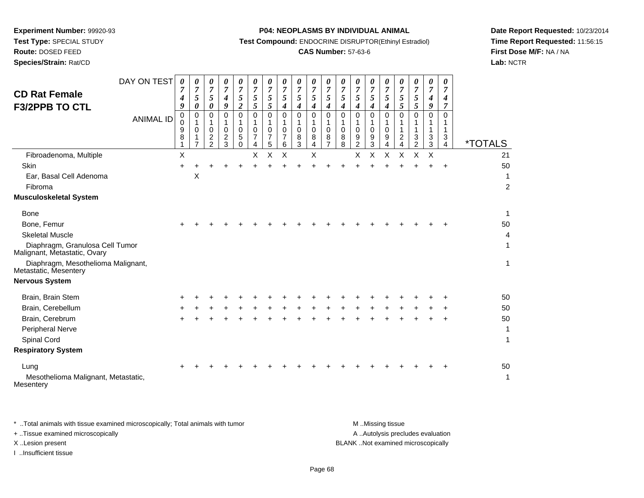**Route:** DOSED FEED

**Species/Strain:** Rat/CD

#### **P04: NEOPLASMS BY INDIVIDUAL ANIMAL**

**Test Compound:** ENDOCRINE DISRUPTOR(Ethinyl Estradiol)

## **CAS Number:** 57-63-6

**Date Report Requested:** 10/23/2014**Time Report Requested:** 11:56:15**First Dose M/F:** NA / NA**Lab:** NCTR

| <b>CD Rat Female</b><br><b>F3/2PPB TO CTL</b>                   | DAY ON TEST      | 0<br>$\overline{7}$<br>$\boldsymbol{4}$<br>9 | 0<br>$\overline{7}$<br>5<br>0 | 0<br>$\boldsymbol{7}$<br>5<br>0        | 0<br>$\overline{7}$<br>$\boldsymbol{4}$<br>9        | 0<br>$\overline{7}$<br>5<br>$\overline{2}$    | 0<br>$\overline{7}$<br>5<br>5       | 0<br>$\boldsymbol{7}$<br>5<br>5 | 0<br>$\boldsymbol{7}$<br>5<br>4 | 0<br>$\boldsymbol{7}$<br>5<br>4           | 0<br>$\overline{7}$<br>5<br>$\boldsymbol{4}$        | 0<br>$\overline{7}$<br>5<br>$\boldsymbol{4}$        | 0<br>$\boldsymbol{7}$<br>5<br>$\boldsymbol{4}$ | 0<br>$\overline{7}$<br>5<br>4                | 0<br>$\overline{7}$<br>5<br>4          | 0<br>$\boldsymbol{7}$<br>5<br>$\boldsymbol{4}$ | 0<br>$\overline{7}$<br>5<br>5             | 0<br>$\boldsymbol{7}$<br>5<br>5   | 0<br>$\overline{7}$<br>$\boldsymbol{4}$<br>9 | 0<br>7<br>4<br>7 |                       |
|-----------------------------------------------------------------|------------------|----------------------------------------------|-------------------------------|----------------------------------------|-----------------------------------------------------|-----------------------------------------------|-------------------------------------|---------------------------------|---------------------------------|-------------------------------------------|-----------------------------------------------------|-----------------------------------------------------|------------------------------------------------|----------------------------------------------|----------------------------------------|------------------------------------------------|-------------------------------------------|-----------------------------------|----------------------------------------------|------------------|-----------------------|
|                                                                 | <b>ANIMAL ID</b> | 0<br>0<br>9<br>8                             | 0<br>1<br>0<br>$\overline{7}$ | $\mathbf 0$<br>1<br>0<br>$\frac{2}{2}$ | $\Omega$<br>1<br>$\mathbf 0$<br>$\overline{c}$<br>3 | $\Omega$<br>1<br>$\mathbf 0$<br>5<br>$\Omega$ | $\Omega$<br>1<br>$\Omega$<br>7<br>4 | $\Omega$<br>1<br>0<br>7<br>5    | 0<br>1<br>0<br>7<br>6           | $\mathbf 0$<br>1<br>$\mathbf 0$<br>8<br>3 | $\Omega$<br>1<br>$\mathbf 0$<br>8<br>$\overline{4}$ | $\Omega$<br>1<br>$\mathbf 0$<br>8<br>$\overline{7}$ | $\Omega$<br>$\mathbf{1}$<br>0<br>8<br>8        | 0<br>1<br>$\mathbf 0$<br>9<br>$\overline{2}$ | $\Omega$<br>1<br>$\mathbf 0$<br>9<br>3 | $\Omega$<br>1<br>$\mathbf 0$<br>9<br>4         | $\Omega$<br>1<br>1<br>$\overline{c}$<br>4 | $\Omega$<br>$\mathbf 1$<br>3<br>2 | 0<br>1<br>1<br>3<br>3                        | 0<br>1<br>3<br>4 | <i><b>*TOTALS</b></i> |
| Fibroadenoma, Multiple                                          |                  | X                                            |                               |                                        |                                                     |                                               | X                                   | Χ                               | Χ                               |                                           | X                                                   |                                                     |                                                | Χ                                            | X                                      | X                                              | Χ                                         | Χ                                 | X                                            |                  | 21                    |
| Skin                                                            |                  |                                              |                               |                                        |                                                     |                                               |                                     |                                 |                                 |                                           |                                                     |                                                     |                                                |                                              |                                        |                                                |                                           |                                   |                                              |                  | 50                    |
| Ear, Basal Cell Adenoma<br>Fibroma                              |                  |                                              | X                             |                                        |                                                     |                                               |                                     |                                 |                                 |                                           |                                                     |                                                     |                                                |                                              |                                        |                                                |                                           |                                   |                                              |                  | -1<br>$\overline{c}$  |
| <b>Musculoskeletal System</b>                                   |                  |                                              |                               |                                        |                                                     |                                               |                                     |                                 |                                 |                                           |                                                     |                                                     |                                                |                                              |                                        |                                                |                                           |                                   |                                              |                  |                       |
| Bone                                                            |                  |                                              |                               |                                        |                                                     |                                               |                                     |                                 |                                 |                                           |                                                     |                                                     |                                                |                                              |                                        |                                                |                                           |                                   |                                              |                  | $\mathbf{1}$          |
| Bone, Femur                                                     |                  |                                              |                               |                                        |                                                     |                                               |                                     |                                 |                                 |                                           |                                                     |                                                     |                                                |                                              |                                        |                                                |                                           |                                   |                                              |                  | 50                    |
| <b>Skeletal Muscle</b>                                          |                  |                                              |                               |                                        |                                                     |                                               |                                     |                                 |                                 |                                           |                                                     |                                                     |                                                |                                              |                                        |                                                |                                           |                                   |                                              |                  | 4                     |
| Diaphragm, Granulosa Cell Tumor<br>Malignant, Metastatic, Ovary |                  |                                              |                               |                                        |                                                     |                                               |                                     |                                 |                                 |                                           |                                                     |                                                     |                                                |                                              |                                        |                                                |                                           |                                   |                                              |                  | 1                     |
| Diaphragm, Mesothelioma Malignant,<br>Metastatic, Mesentery     |                  |                                              |                               |                                        |                                                     |                                               |                                     |                                 |                                 |                                           |                                                     |                                                     |                                                |                                              |                                        |                                                |                                           |                                   |                                              |                  | 1                     |
| <b>Nervous System</b>                                           |                  |                                              |                               |                                        |                                                     |                                               |                                     |                                 |                                 |                                           |                                                     |                                                     |                                                |                                              |                                        |                                                |                                           |                                   |                                              |                  |                       |
| Brain, Brain Stem                                               |                  |                                              |                               |                                        |                                                     |                                               |                                     |                                 |                                 |                                           |                                                     |                                                     |                                                |                                              |                                        |                                                |                                           |                                   |                                              |                  | 50                    |
| Brain, Cerebellum                                               |                  |                                              |                               |                                        |                                                     |                                               |                                     |                                 |                                 |                                           |                                                     |                                                     |                                                |                                              |                                        |                                                |                                           |                                   |                                              |                  | 50                    |
| Brain, Cerebrum                                                 |                  |                                              |                               |                                        |                                                     |                                               |                                     |                                 |                                 |                                           |                                                     |                                                     |                                                |                                              |                                        |                                                |                                           |                                   |                                              | +                | 50                    |
| Peripheral Nerve                                                |                  |                                              |                               |                                        |                                                     |                                               |                                     |                                 |                                 |                                           |                                                     |                                                     |                                                |                                              |                                        |                                                |                                           |                                   |                                              |                  | 1                     |
| Spinal Cord                                                     |                  |                                              |                               |                                        |                                                     |                                               |                                     |                                 |                                 |                                           |                                                     |                                                     |                                                |                                              |                                        |                                                |                                           |                                   |                                              |                  | 1                     |
| <b>Respiratory System</b>                                       |                  |                                              |                               |                                        |                                                     |                                               |                                     |                                 |                                 |                                           |                                                     |                                                     |                                                |                                              |                                        |                                                |                                           |                                   |                                              |                  |                       |
| Lung<br>Mesothelioma Malignant, Metastatic,<br>Mesentery        |                  |                                              |                               |                                        |                                                     |                                               |                                     |                                 |                                 |                                           |                                                     |                                                     |                                                |                                              |                                        |                                                |                                           |                                   |                                              |                  | 50<br>-1              |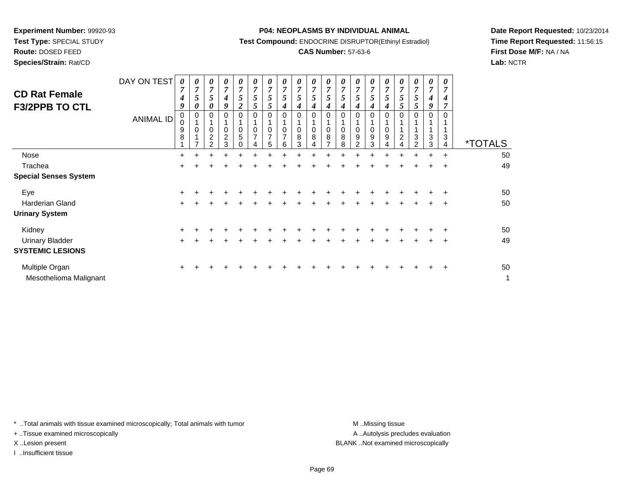**Test Type:** SPECIAL STUDY

**Route:** DOSED FEED**Species/Strain:** Rat/CD

#### **P04: NEOPLASMS BY INDIVIDUAL ANIMAL**

**Test Compound:** ENDOCRINE DISRUPTOR(Ethinyl Estradiol)

## **CAS Number:** 57-63-6

**Date Report Requested:** 10/23/2014**Time Report Requested:** 11:56:15**First Dose M/F:** NA / NA**Lab:** NCTR

| <b>CD Rat Female</b><br><b>F3/2PPB TO CTL</b> | DAY ON TEST<br><b>ANIMAL ID</b> | 0<br>$\overline{7}$<br>4<br>9<br>0<br>0<br>9<br>8 | 0<br>$\overline{7}$<br>5<br>0<br>0<br>$\mathbf 0$ | 0<br>$\overline{7}$<br>5<br>0<br>$\overline{\mathbf{c}}$<br>$\mathcal{P}$ | 0<br>$\overline{7}$<br>4<br>9<br>0<br>0<br>$\overline{\mathbf{c}}$<br>3 | $\boldsymbol{\theta}$<br>$\overline{7}$<br>5<br>$\boldsymbol{2}$<br>0<br>$\mathbf 0$<br>5<br>$\Omega$ | 0<br>$\overline{7}$<br>5<br>5<br>$\Omega$<br>$\Omega$<br>7 | 0<br>$\overline{7}$<br>5<br>C<br>0<br>0<br>$\overline{7}$<br>5 | 0<br>$\overline{7}$<br>5<br>0<br>0<br>$\rightarrow$<br>6 | 0<br>$\overline{7}$<br>5<br>4<br>0<br>0<br>8<br>3 | 0<br>$\overline{7}$<br>5<br>4<br>0<br>$\mathbf 0$<br>8 | 0<br>7<br>5<br>0<br>$\Omega$<br>8 | 0<br>$\overline{7}$<br>5<br>$\mathbf 0$<br>8<br>8 | 0<br>$\overline{7}$<br>$\mathfrak{I}$<br>$\mathbf 0$<br>9<br>$\overline{2}$ | 0<br>$\overline{7}$<br>4<br>0<br>0<br>9<br>3 | 0<br>$\overline{7}$<br>Ć<br>4<br>0<br>0<br>9 | $\boldsymbol{\theta}$<br>$\overline{7}$<br>5<br>$\mathfrak{p}$<br>$\Omega$<br>$\overline{c}$ | 0<br>$\overline{7}$<br>5<br>5<br>3<br>ົ | 0<br>$\overline{7}$<br>4<br>9<br>3<br>3 | 0<br>7<br>4<br>3<br>$\overline{4}$ | <i><b>*TOTALS</b></i> |
|-----------------------------------------------|---------------------------------|---------------------------------------------------|---------------------------------------------------|---------------------------------------------------------------------------|-------------------------------------------------------------------------|-------------------------------------------------------------------------------------------------------|------------------------------------------------------------|----------------------------------------------------------------|----------------------------------------------------------|---------------------------------------------------|--------------------------------------------------------|-----------------------------------|---------------------------------------------------|-----------------------------------------------------------------------------|----------------------------------------------|----------------------------------------------|----------------------------------------------------------------------------------------------|-----------------------------------------|-----------------------------------------|------------------------------------|-----------------------|
| Nose                                          |                                 | $\ddot{}$                                         |                                                   |                                                                           |                                                                         |                                                                                                       |                                                            |                                                                |                                                          |                                                   |                                                        |                                   |                                                   |                                                                             |                                              |                                              |                                                                                              |                                         | $\ddot{}$                               | $\ddot{}$                          | 50                    |
| Trachea                                       |                                 | +                                                 |                                                   |                                                                           |                                                                         |                                                                                                       |                                                            |                                                                |                                                          |                                                   |                                                        |                                   |                                                   |                                                                             |                                              |                                              |                                                                                              |                                         |                                         | ÷                                  | 49                    |
| <b>Special Senses System</b>                  |                                 |                                                   |                                                   |                                                                           |                                                                         |                                                                                                       |                                                            |                                                                |                                                          |                                                   |                                                        |                                   |                                                   |                                                                             |                                              |                                              |                                                                                              |                                         |                                         |                                    |                       |
| Eye                                           |                                 | $\ddot{}$                                         |                                                   |                                                                           |                                                                         |                                                                                                       |                                                            |                                                                |                                                          |                                                   |                                                        |                                   |                                                   |                                                                             |                                              |                                              |                                                                                              |                                         |                                         |                                    | 50                    |
| <b>Harderian Gland</b>                        |                                 | ÷                                                 |                                                   |                                                                           |                                                                         |                                                                                                       |                                                            |                                                                |                                                          |                                                   |                                                        |                                   |                                                   |                                                                             |                                              |                                              |                                                                                              |                                         | +                                       | ÷                                  | 50                    |
| <b>Urinary System</b>                         |                                 |                                                   |                                                   |                                                                           |                                                                         |                                                                                                       |                                                            |                                                                |                                                          |                                                   |                                                        |                                   |                                                   |                                                                             |                                              |                                              |                                                                                              |                                         |                                         |                                    |                       |
| Kidney                                        |                                 | $\ddot{}$                                         |                                                   |                                                                           |                                                                         |                                                                                                       |                                                            |                                                                |                                                          |                                                   |                                                        |                                   |                                                   |                                                                             |                                              |                                              |                                                                                              |                                         |                                         | ÷                                  | 50                    |
| <b>Urinary Bladder</b>                        |                                 | $\ddot{}$                                         |                                                   |                                                                           |                                                                         |                                                                                                       |                                                            |                                                                |                                                          |                                                   |                                                        |                                   |                                                   |                                                                             |                                              |                                              |                                                                                              |                                         |                                         | $\ddot{}$                          | 49                    |
| <b>SYSTEMIC LESIONS</b>                       |                                 |                                                   |                                                   |                                                                           |                                                                         |                                                                                                       |                                                            |                                                                |                                                          |                                                   |                                                        |                                   |                                                   |                                                                             |                                              |                                              |                                                                                              |                                         |                                         |                                    |                       |
| Multiple Organ<br>Mesothelioma Malignant      |                                 | $\pm$                                             |                                                   |                                                                           |                                                                         |                                                                                                       |                                                            |                                                                |                                                          |                                                   |                                                        |                                   |                                                   |                                                                             |                                              |                                              |                                                                                              |                                         |                                         | $\pm$                              | 50<br>1               |

\* ..Total animals with tissue examined microscopically; Total animals with tumor **M** . Missing tissue M ..Missing tissue

+ ..Tissue examined microscopically

I ..Insufficient tissue

A ..Autolysis precludes evaluation X ..Lesion present BLANK ..Not examined microscopically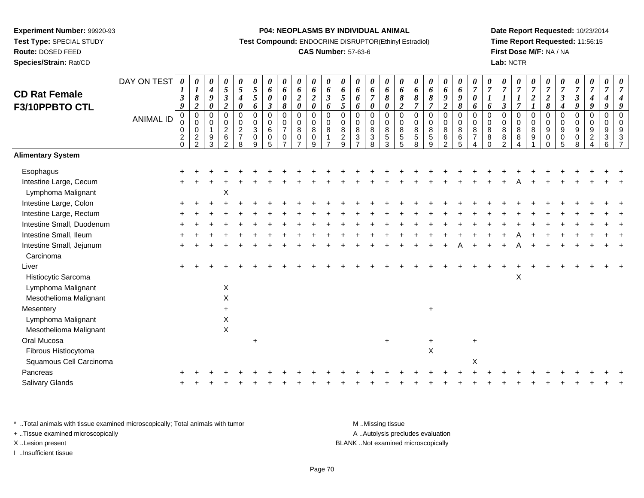# **Route:** DOSED FEED

**Species/Strain:** Rat/CD

#### **P04: NEOPLASMS BY INDIVIDUAL ANIMAL**

**Test Compound:** ENDOCRINE DISRUPTOR(Ethinyl Estradiol)

## **CAS Number:** 57-63-6

**Date Report Requested:** 10/23/2014**Time Report Requested:** 11:56:15**First Dose M/F:** NA / NA**Lab:** NCTR

| <b>CD Rat Female</b>                                                         | DAY ON TEST      | 0<br>1<br>$\boldsymbol{\beta}$                                     | 0<br>$\boldsymbol{l}$<br>8                                       | 0<br>$\boldsymbol{4}$<br>9                                                 | 0<br>$\sqrt{5}$<br>$\mathfrak{z}$                                                   | 0<br>$\sqrt{5}$<br>$\boldsymbol{4}$                                 | $\boldsymbol{\theta}$<br>$\mathfrak{s}$<br>$\mathfrak{s}$                   | 0<br>6<br>$\boldsymbol{\theta}$                                       | 0<br>6<br>$\boldsymbol{\theta}$                                             | 0<br>6<br>$\boldsymbol{2}$                                            | 0<br>6<br>$\sqrt{2}$                                          | $\pmb{\theta}$<br>$\pmb{6}$<br>$\boldsymbol{\mathfrak{z}}$   | 0<br>6<br>$5\overline{)}$                                  | $\boldsymbol{\theta}$<br>6<br>6                                                      | 0<br>6<br>$\overline{7}$                                                     | $\boldsymbol{\theta}$<br>6<br>$\pmb{8}$                                                    | 0<br>6<br>8                                                             | 0<br>6<br>$\pmb{8}$                                                    | 0<br>6<br>8                                                        | 0<br>6<br>$\pmb{9}$                                           | $\boldsymbol{\theta}$<br>$\pmb{6}$<br>9                       | $\boldsymbol{\theta}$<br>$\overline{7}$<br>$\pmb{\theta}$ | 0<br>$\overline{7}$<br>$\boldsymbol{l}$                         | 0<br>$\overline{7}$                                                    | 0<br>$\boldsymbol{7}$<br>$\boldsymbol{l}$                      | $\frac{\boldsymbol{0}}{7}$<br>$\boldsymbol{2}$           | 0<br>$\overline{7}$                                                          | $\boldsymbol{\theta}$<br>$\overline{7}$<br>$\mathfrak{z}$                                    | $\boldsymbol{\theta}$<br>$\boldsymbol{7}$<br>$\boldsymbol{\beta}$                | $\pmb{\theta}$<br>$\overline{7}$<br>$\boldsymbol{4}$                                | 0<br>$\overline{7}$<br>4                     | 7                   |
|------------------------------------------------------------------------------|------------------|--------------------------------------------------------------------|------------------------------------------------------------------|----------------------------------------------------------------------------|-------------------------------------------------------------------------------------|---------------------------------------------------------------------|-----------------------------------------------------------------------------|-----------------------------------------------------------------------|-----------------------------------------------------------------------------|-----------------------------------------------------------------------|---------------------------------------------------------------|--------------------------------------------------------------|------------------------------------------------------------|--------------------------------------------------------------------------------------|------------------------------------------------------------------------------|--------------------------------------------------------------------------------------------|-------------------------------------------------------------------------|------------------------------------------------------------------------|--------------------------------------------------------------------|---------------------------------------------------------------|---------------------------------------------------------------|-----------------------------------------------------------|-----------------------------------------------------------------|------------------------------------------------------------------------|----------------------------------------------------------------|----------------------------------------------------------|------------------------------------------------------------------------------|----------------------------------------------------------------------------------------------|----------------------------------------------------------------------------------|-------------------------------------------------------------------------------------|----------------------------------------------|---------------------|
| F3/10PPBTO CTL                                                               | <b>ANIMAL ID</b> | 9<br>$\mathbf 0$<br>0<br>$\mathbf 0$<br>$\overline{c}$<br>$\Omega$ | $\boldsymbol{2}$<br>$\pmb{0}$<br>$\pmb{0}$<br>0<br>$\frac{2}{2}$ | $\boldsymbol{\theta}$<br>$\mathbf 0$<br>$\Omega$<br>$\mathbf{1}$<br>9<br>3 | $\overline{2}$<br>$\mathbf 0$<br>0<br>$\boldsymbol{2}$<br>$\,6\,$<br>$\mathfrak{D}$ | 0<br>$\mathbf 0$<br>$\mathbf 0$<br>$\overline{c}$<br>$\overline{7}$ | $\boldsymbol{6}$<br>$\boldsymbol{0}$<br>$\pmb{0}$<br>$\mathbf{3}$<br>0<br>9 | $\boldsymbol{\beta}$<br>$\pmb{0}$<br>$\mathbf 0$<br>$\,6\,$<br>0<br>5 | 8<br>$\overline{0}$<br>$\mathbf 0$<br>$\overline{7}$<br>0<br>$\overline{ }$ | $\boldsymbol{\theta}$<br>0<br>$\mathbf 0$<br>8<br>0<br>$\overline{ }$ | $\boldsymbol{\theta}$<br>0<br>$\boldsymbol{0}$<br>8<br>0<br>9 | 6<br>$\overline{0}$<br>$\pmb{0}$<br>8<br>1<br>$\overline{7}$ | $\mathfrak{s}$<br>$\mathbf 0$<br>0<br>8<br>$\sqrt{2}$<br>9 | 6<br>$\mathbf 0$<br>$\mathsf{O}\xspace$<br>$\bf 8$<br>$\mathbf{3}$<br>$\overline{ }$ | $\boldsymbol{\theta}$<br>0<br>0<br>$\bf 8$<br>$\ensuremath{\mathsf{3}}$<br>8 | $\boldsymbol{\theta}$<br>$\boldsymbol{0}$<br>$\mathbf 0$<br>$\bf 8$<br>$\overline{5}$<br>3 | $\boldsymbol{2}$<br>$\mathbf 0$<br>$\mathbf 0$<br>8<br>$\mathbf 5$<br>5 | $\overline{7}$<br>$\pmb{0}$<br>$\pmb{0}$<br>$\bf 8$<br>$\sqrt{5}$<br>8 | $\overline{7}$<br>$\pmb{0}$<br>$\mathbf 0$<br>8<br>$\sqrt{5}$<br>9 | $\overline{2}$<br>0<br>$\mathsf 0$<br>$\bf 8$<br>$\,6\,$<br>2 | $\pmb{8}$<br>$\pmb{0}$<br>$\pmb{0}$<br>$\, 8$<br>$\,6\,$<br>5 | 6<br>$\pmb{0}$<br>0<br>$\bf 8$<br>$\overline{7}$          | 6<br>$\pmb{0}$<br>$\mathbf 0$<br>$\bf 8$<br>$\bf 8$<br>$\Omega$ | $\boldsymbol{\beta}$<br>$\pmb{0}$<br>0<br>8<br>$\, 8$<br>$\mathcal{P}$ | $\overline{7}$<br>$\pmb{0}$<br>$\pmb{0}$<br>8<br>8<br>$\Delta$ | $\boldsymbol{l}$<br>$\mathsf 0$<br>$\mathbf 0$<br>8<br>9 | $\frac{2}{8}$<br>$\pmb{0}$<br>0<br>$\boldsymbol{9}$<br>$\pmb{0}$<br>$\Omega$ | $\boldsymbol{4}$<br>$\mathsf 0$<br>$\mathsf{O}\xspace$<br>$\boldsymbol{9}$<br>$\pmb{0}$<br>5 | $\boldsymbol{g}$<br>$\pmb{0}$<br>$\pmb{0}$<br>$\boldsymbol{9}$<br>$\pmb{0}$<br>8 | $\boldsymbol{g}$<br>$\pmb{0}$<br>$\mathbf 0$<br>$9\,$<br>$\overline{c}$<br>$\Delta$ | 9<br>$\pmb{0}$<br>$\mathbf 0$<br>9<br>3<br>6 | $\Omega$<br>$\circ$ |
| <b>Alimentary System</b>                                                     |                  |                                                                    |                                                                  |                                                                            |                                                                                     | 8                                                                   |                                                                             |                                                                       |                                                                             |                                                                       |                                                               |                                                              |                                                            |                                                                                      |                                                                              |                                                                                            |                                                                         |                                                                        |                                                                    |                                                               |                                                               |                                                           |                                                                 |                                                                        |                                                                |                                                          |                                                                              |                                                                                              |                                                                                  |                                                                                     |                                              |                     |
| Esophagus                                                                    |                  |                                                                    |                                                                  |                                                                            |                                                                                     |                                                                     |                                                                             |                                                                       |                                                                             |                                                                       |                                                               |                                                              |                                                            |                                                                                      |                                                                              |                                                                                            |                                                                         |                                                                        |                                                                    |                                                               |                                                               |                                                           |                                                                 |                                                                        |                                                                |                                                          |                                                                              |                                                                                              |                                                                                  |                                                                                     |                                              |                     |
| Intestine Large, Cecum<br>Lymphoma Malignant                                 |                  |                                                                    |                                                                  |                                                                            | X                                                                                   |                                                                     |                                                                             |                                                                       |                                                                             |                                                                       |                                                               |                                                              |                                                            |                                                                                      |                                                                              |                                                                                            |                                                                         |                                                                        |                                                                    |                                                               |                                                               |                                                           |                                                                 |                                                                        |                                                                |                                                          |                                                                              |                                                                                              |                                                                                  |                                                                                     |                                              |                     |
| Intestine Large, Colon                                                       |                  |                                                                    |                                                                  |                                                                            |                                                                                     |                                                                     |                                                                             |                                                                       |                                                                             |                                                                       |                                                               |                                                              |                                                            |                                                                                      |                                                                              |                                                                                            |                                                                         |                                                                        |                                                                    |                                                               |                                                               |                                                           |                                                                 |                                                                        |                                                                |                                                          |                                                                              |                                                                                              |                                                                                  |                                                                                     |                                              |                     |
| Intestine Large, Rectum                                                      |                  |                                                                    |                                                                  |                                                                            |                                                                                     |                                                                     |                                                                             |                                                                       |                                                                             |                                                                       |                                                               |                                                              |                                                            |                                                                                      |                                                                              |                                                                                            |                                                                         |                                                                        |                                                                    |                                                               |                                                               |                                                           |                                                                 |                                                                        |                                                                |                                                          |                                                                              |                                                                                              |                                                                                  |                                                                                     |                                              |                     |
| Intestine Small, Duodenum                                                    |                  |                                                                    |                                                                  |                                                                            |                                                                                     |                                                                     |                                                                             |                                                                       |                                                                             |                                                                       |                                                               |                                                              |                                                            |                                                                                      |                                                                              |                                                                                            |                                                                         |                                                                        |                                                                    |                                                               |                                                               |                                                           |                                                                 |                                                                        |                                                                |                                                          |                                                                              |                                                                                              |                                                                                  |                                                                                     |                                              |                     |
| Intestine Small, Ileum                                                       |                  |                                                                    |                                                                  |                                                                            |                                                                                     |                                                                     |                                                                             |                                                                       |                                                                             |                                                                       |                                                               |                                                              |                                                            |                                                                                      |                                                                              |                                                                                            |                                                                         |                                                                        |                                                                    |                                                               |                                                               |                                                           |                                                                 |                                                                        |                                                                |                                                          |                                                                              |                                                                                              |                                                                                  |                                                                                     |                                              |                     |
| Intestine Small, Jejunum<br>Carcinoma                                        |                  |                                                                    |                                                                  |                                                                            |                                                                                     |                                                                     |                                                                             |                                                                       |                                                                             |                                                                       |                                                               |                                                              |                                                            |                                                                                      |                                                                              |                                                                                            |                                                                         |                                                                        |                                                                    |                                                               |                                                               |                                                           |                                                                 |                                                                        |                                                                |                                                          |                                                                              |                                                                                              |                                                                                  |                                                                                     |                                              |                     |
| Liver<br>Histiocytic Sarcoma<br>Lymphoma Malignant<br>Mesothelioma Malignant |                  |                                                                    |                                                                  |                                                                            | $\pmb{\times}$<br>X                                                                 |                                                                     |                                                                             |                                                                       |                                                                             |                                                                       |                                                               |                                                              |                                                            |                                                                                      |                                                                              |                                                                                            |                                                                         |                                                                        |                                                                    |                                                               |                                                               |                                                           |                                                                 |                                                                        | $\mathsf{X}$                                                   |                                                          |                                                                              |                                                                                              |                                                                                  |                                                                                     |                                              |                     |
| Mesentery                                                                    |                  |                                                                    |                                                                  |                                                                            | $+$                                                                                 |                                                                     |                                                                             |                                                                       |                                                                             |                                                                       |                                                               |                                                              |                                                            |                                                                                      |                                                                              |                                                                                            |                                                                         |                                                                        | $+$                                                                |                                                               |                                                               |                                                           |                                                                 |                                                                        |                                                                |                                                          |                                                                              |                                                                                              |                                                                                  |                                                                                     |                                              |                     |
| Lymphoma Malignant<br>Mesothelioma Malignant                                 |                  |                                                                    |                                                                  |                                                                            | X<br>$\mathsf X$                                                                    |                                                                     |                                                                             |                                                                       |                                                                             |                                                                       |                                                               |                                                              |                                                            |                                                                                      |                                                                              |                                                                                            |                                                                         |                                                                        |                                                                    |                                                               |                                                               |                                                           |                                                                 |                                                                        |                                                                |                                                          |                                                                              |                                                                                              |                                                                                  |                                                                                     |                                              |                     |
| Oral Mucosa                                                                  |                  |                                                                    |                                                                  |                                                                            |                                                                                     |                                                                     |                                                                             |                                                                       |                                                                             |                                                                       |                                                               |                                                              |                                                            |                                                                                      |                                                                              |                                                                                            |                                                                         |                                                                        | $\ddot{}$                                                          |                                                               |                                                               | $\ddot{}$                                                 |                                                                 |                                                                        |                                                                |                                                          |                                                                              |                                                                                              |                                                                                  |                                                                                     |                                              |                     |
| Fibrous Histiocytoma                                                         |                  |                                                                    |                                                                  |                                                                            |                                                                                     |                                                                     |                                                                             |                                                                       |                                                                             |                                                                       |                                                               |                                                              |                                                            |                                                                                      |                                                                              |                                                                                            |                                                                         |                                                                        | $\mathsf X$                                                        |                                                               |                                                               |                                                           |                                                                 |                                                                        |                                                                |                                                          |                                                                              |                                                                                              |                                                                                  |                                                                                     |                                              |                     |
| Squamous Cell Carcinoma                                                      |                  |                                                                    |                                                                  |                                                                            |                                                                                     |                                                                     |                                                                             |                                                                       |                                                                             |                                                                       |                                                               |                                                              |                                                            |                                                                                      |                                                                              |                                                                                            |                                                                         |                                                                        |                                                                    |                                                               |                                                               | X                                                         |                                                                 |                                                                        |                                                                |                                                          |                                                                              |                                                                                              |                                                                                  |                                                                                     |                                              |                     |
| Pancreas                                                                     |                  |                                                                    |                                                                  |                                                                            |                                                                                     |                                                                     |                                                                             |                                                                       |                                                                             |                                                                       |                                                               |                                                              |                                                            |                                                                                      |                                                                              |                                                                                            |                                                                         |                                                                        |                                                                    |                                                               |                                                               |                                                           |                                                                 |                                                                        |                                                                |                                                          |                                                                              |                                                                                              |                                                                                  |                                                                                     |                                              |                     |
| Salivary Glands                                                              |                  |                                                                    |                                                                  |                                                                            |                                                                                     |                                                                     |                                                                             |                                                                       |                                                                             |                                                                       |                                                               |                                                              |                                                            |                                                                                      |                                                                              |                                                                                            |                                                                         |                                                                        |                                                                    |                                                               |                                                               |                                                           |                                                                 |                                                                        |                                                                |                                                          |                                                                              |                                                                                              |                                                                                  |                                                                                     |                                              |                     |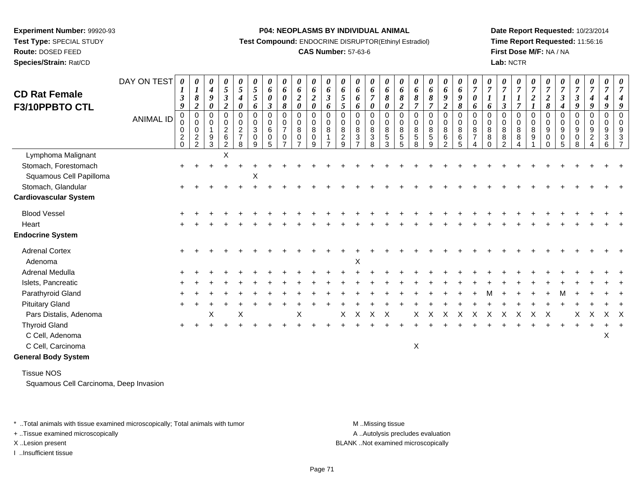**Route:** DOSED FEED

**Species/Strain:** Rat/CD

#### **P04: NEOPLASMS BY INDIVIDUAL ANIMAL**

**Test Compound:** ENDOCRINE DISRUPTOR(Ethinyl Estradiol)

## **CAS Number:** 57-63-6

**Date Report Requested:** 10/23/2014**Time Report Requested:** 11:56:16**First Dose M/F:** NA / NA**Lab:** NCTR

|                              | DAY ON TEST      | 0                                                                | 0                                      | 0                                                  | 0                                                       | 0                                                           | 0                                          | 0                               | 0                                                 | $\boldsymbol{\theta}$                        | $\pmb{\theta}$                                          | 0                               | 0                                         | 0                       | $\boldsymbol{\theta}$                                 | $\boldsymbol{\theta}$                                 | $\boldsymbol{\theta}$                    | 0                                                        | 0                               | 0                                                                  | 0                                         | 0                                       | 0                                                | 0                                  | $\boldsymbol{\theta}$                | 0                                  |                                    | 0                                         | 0                                | $\pmb{\theta}$                                            | 0                               |                      |
|------------------------------|------------------|------------------------------------------------------------------|----------------------------------------|----------------------------------------------------|---------------------------------------------------------|-------------------------------------------------------------|--------------------------------------------|---------------------------------|---------------------------------------------------|----------------------------------------------|---------------------------------------------------------|---------------------------------|-------------------------------------------|-------------------------|-------------------------------------------------------|-------------------------------------------------------|------------------------------------------|----------------------------------------------------------|---------------------------------|--------------------------------------------------------------------|-------------------------------------------|-----------------------------------------|--------------------------------------------------|------------------------------------|--------------------------------------|------------------------------------|------------------------------------|-------------------------------------------|----------------------------------|-----------------------------------------------------------|---------------------------------|----------------------|
| <b>CD Rat Female</b>         |                  | $\boldsymbol{\beta}$                                             | $\boldsymbol{l}$<br>$\pmb{8}$          | $\boldsymbol{4}$<br>9                              | 5<br>$\boldsymbol{\beta}$                               | 5<br>$\boldsymbol{4}$                                       | 5<br>5                                     | 6<br>$\boldsymbol{\theta}$      | 6<br>$\boldsymbol{\theta}$                        | 6<br>$\boldsymbol{2}$                        | 6<br>$\boldsymbol{2}$                                   | 6<br>$\mathfrak{z}$             | 6<br>$\mathfrak{H}$                       | 6<br>6                  | 6<br>$\overline{7}$                                   | 6<br>$\pmb{8}$                                        | 6<br>$\pmb{8}$                           | 6<br>$\boldsymbol{\delta}$                               | 6<br>8                          | 6<br>$\boldsymbol{g}$                                              | 6<br>9                                    | $\overline{7}$<br>0                     | $\overline{7}$                                   | $\overline{7}$                     | $\boldsymbol{7}$                     | $\overline{7}$<br>$\boldsymbol{2}$ | $\overline{7}$<br>$\boldsymbol{2}$ | $\overline{7}$<br>$\boldsymbol{\beta}$    | $\overline{7}$<br>$\mathfrak{z}$ | $\overline{7}$<br>$\boldsymbol{4}$                        | $\overline{7}$                  |                      |
| F3/10PPBTO CTL               |                  | 9                                                                | $\boldsymbol{2}$                       | $\boldsymbol{\theta}$                              | $\overline{\mathbf{c}}$                                 | $\boldsymbol{\theta}$                                       | 6                                          | $\mathfrak{z}$                  | 8                                                 | $\boldsymbol{\theta}$                        | $\boldsymbol{\theta}$                                   | 6                               | $5\overline{)}$                           | 6                       | 0                                                     | $\boldsymbol{\theta}$                                 | $\boldsymbol{2}$                         | $\overline{7}$                                           | $\overline{7}$                  | $\boldsymbol{2}$                                                   | 8                                         | 6                                       | 6                                                | $\mathfrak{z}$                     | $\overline{7}$                       |                                    | $\pmb{8}$                          | 4                                         | 9                                | 9                                                         | 9                               |                      |
|                              | <b>ANIMAL ID</b> | 0<br>$\pmb{0}$<br>$\mathbf 0$<br>$\boldsymbol{2}$<br>$\mathbf 0$ | 0<br>$\mathbf 0$<br>0<br>$\frac{2}{2}$ | $\mathbf 0$<br>$\Omega$<br>$9\,$<br>$\overline{3}$ | 0<br>0<br>$\boldsymbol{2}$<br>$\,6\,$<br>$\overline{2}$ | 0<br>$\mathbf 0$<br>$\boldsymbol{2}$<br>$\overline{7}$<br>8 | 0<br>$\mathbf 0$<br>$\mathbf{3}$<br>0<br>9 | $\mathbf 0$<br>0<br>6<br>0<br>5 | $\mathbf 0$<br>$\mathbf 0$<br>$\overline{7}$<br>0 | $\pmb{0}$<br>$\mathbf 0$<br>8<br>$\mathbf 0$ | $\pmb{0}$<br>$\mathbf 0$<br>$\,8\,$<br>$\mathbf 0$<br>9 | $\mathbf 0$<br>$\mathbf 0$<br>8 | 0<br>$\Omega$<br>8<br>$\overline{c}$<br>9 | $\Omega$<br>0<br>8<br>3 | 0<br>$\pmb{0}$<br>8<br>$\ensuremath{\mathsf{3}}$<br>8 | $\mathbf 0$<br>$\mathbf 0$<br>$\bf8$<br>$\frac{5}{3}$ | 0<br>$\mathbf 0$<br>8<br>$\sqrt{5}$<br>5 | $\mathbf 0$<br>$\mathbf 0$<br>$\,8\,$<br>$\sqrt{5}$<br>8 | 0<br>$\mathbf 0$<br>8<br>5<br>9 | $\pmb{0}$<br>$\mathsf{O}\xspace$<br>8<br>$\,6\,$<br>$\overline{2}$ | $\pmb{0}$<br>$\pmb{0}$<br>8<br>$\,6$<br>5 | 0<br>$\mathbf 0$<br>8<br>$\overline{7}$ | $\mathbf 0$<br>$\mathbf 0$<br>8<br>8<br>$\Omega$ | 0<br>0<br>8<br>8<br>$\overline{2}$ | $\mathbf 0$<br>$\mathbf 0$<br>8<br>8 | 0<br>$\mathbf 0$<br>8<br>9         | $\mathbf 0$<br>0<br>9<br>0         | $\mathbf 0$<br>$\mathbf 0$<br>9<br>0<br>5 | 0<br>$\mathbf 0$<br>9<br>0<br>8  | 0<br>$\mathbf 0$<br>9<br>$\overline{c}$<br>$\overline{4}$ | 0<br>$\mathbf 0$<br>9<br>3<br>6 | $\Omega$<br>$\Omega$ |
| Lymphoma Malignant           |                  |                                                                  |                                        |                                                    | Χ                                                       |                                                             |                                            |                                 |                                                   |                                              |                                                         |                                 |                                           |                         |                                                       |                                                       |                                          |                                                          |                                 |                                                                    |                                           |                                         |                                                  |                                    |                                      |                                    |                                    |                                           |                                  |                                                           |                                 |                      |
| Stomach, Forestomach         |                  |                                                                  |                                        |                                                    |                                                         |                                                             |                                            |                                 |                                                   |                                              |                                                         |                                 |                                           |                         |                                                       |                                                       |                                          |                                                          |                                 |                                                                    |                                           |                                         |                                                  |                                    |                                      |                                    |                                    |                                           |                                  |                                                           |                                 |                      |
| Squamous Cell Papilloma      |                  |                                                                  |                                        |                                                    |                                                         |                                                             | Χ                                          |                                 |                                                   |                                              |                                                         |                                 |                                           |                         |                                                       |                                                       |                                          |                                                          |                                 |                                                                    |                                           |                                         |                                                  |                                    |                                      |                                    |                                    |                                           |                                  |                                                           |                                 |                      |
| Stomach, Glandular           |                  |                                                                  |                                        |                                                    |                                                         |                                                             |                                            |                                 |                                                   |                                              |                                                         |                                 |                                           |                         |                                                       |                                                       |                                          |                                                          |                                 |                                                                    |                                           |                                         |                                                  |                                    |                                      |                                    |                                    |                                           |                                  |                                                           |                                 |                      |
| <b>Cardiovascular System</b> |                  |                                                                  |                                        |                                                    |                                                         |                                                             |                                            |                                 |                                                   |                                              |                                                         |                                 |                                           |                         |                                                       |                                                       |                                          |                                                          |                                 |                                                                    |                                           |                                         |                                                  |                                    |                                      |                                    |                                    |                                           |                                  |                                                           |                                 |                      |
| <b>Blood Vessel</b>          |                  |                                                                  |                                        |                                                    |                                                         |                                                             |                                            |                                 |                                                   |                                              |                                                         |                                 |                                           |                         |                                                       |                                                       |                                          |                                                          |                                 |                                                                    |                                           |                                         |                                                  |                                    |                                      |                                    |                                    |                                           |                                  |                                                           |                                 |                      |
| Heart                        |                  |                                                                  |                                        |                                                    |                                                         |                                                             |                                            |                                 |                                                   |                                              |                                                         |                                 |                                           |                         |                                                       |                                                       |                                          |                                                          |                                 |                                                                    |                                           |                                         |                                                  |                                    |                                      |                                    |                                    |                                           |                                  |                                                           |                                 |                      |
| <b>Endocrine System</b>      |                  |                                                                  |                                        |                                                    |                                                         |                                                             |                                            |                                 |                                                   |                                              |                                                         |                                 |                                           |                         |                                                       |                                                       |                                          |                                                          |                                 |                                                                    |                                           |                                         |                                                  |                                    |                                      |                                    |                                    |                                           |                                  |                                                           |                                 |                      |
| <b>Adrenal Cortex</b>        |                  |                                                                  |                                        |                                                    |                                                         |                                                             |                                            |                                 |                                                   |                                              |                                                         |                                 |                                           |                         |                                                       |                                                       |                                          |                                                          |                                 |                                                                    |                                           |                                         |                                                  |                                    |                                      |                                    |                                    |                                           |                                  |                                                           |                                 |                      |
| Adenoma                      |                  |                                                                  |                                        |                                                    |                                                         |                                                             |                                            |                                 |                                                   |                                              |                                                         |                                 |                                           | X                       |                                                       |                                                       |                                          |                                                          |                                 |                                                                    |                                           |                                         |                                                  |                                    |                                      |                                    |                                    |                                           |                                  |                                                           |                                 |                      |
| Adrenal Medulla              |                  |                                                                  |                                        |                                                    |                                                         |                                                             |                                            |                                 |                                                   |                                              |                                                         |                                 |                                           |                         |                                                       |                                                       |                                          |                                                          |                                 |                                                                    |                                           |                                         |                                                  |                                    |                                      |                                    |                                    |                                           |                                  |                                                           |                                 |                      |
| Islets, Pancreatic           |                  |                                                                  |                                        |                                                    |                                                         |                                                             |                                            |                                 |                                                   |                                              |                                                         |                                 |                                           |                         |                                                       |                                                       |                                          |                                                          |                                 |                                                                    |                                           |                                         |                                                  |                                    |                                      |                                    |                                    |                                           |                                  |                                                           |                                 |                      |
| Parathyroid Gland            |                  |                                                                  |                                        |                                                    |                                                         |                                                             |                                            |                                 |                                                   |                                              |                                                         |                                 |                                           |                         |                                                       |                                                       |                                          |                                                          |                                 |                                                                    |                                           |                                         |                                                  |                                    |                                      |                                    |                                    |                                           |                                  |                                                           |                                 |                      |
| <b>Pituitary Gland</b>       |                  |                                                                  |                                        |                                                    |                                                         |                                                             |                                            |                                 |                                                   |                                              |                                                         |                                 |                                           |                         |                                                       |                                                       |                                          |                                                          |                                 |                                                                    |                                           |                                         |                                                  |                                    |                                      |                                    |                                    |                                           |                                  |                                                           |                                 |                      |
| Pars Distalis, Adenoma       |                  |                                                                  |                                        | X                                                  |                                                         | X                                                           |                                            |                                 |                                                   | X                                            |                                                         |                                 | X                                         | X                       | X                                                     | $\mathsf{X}$                                          |                                          | X                                                        | X                               | X                                                                  | X                                         | х                                       | X                                                | X                                  | X                                    | X                                  | X                                  |                                           | X                                | X                                                         | X                               | $\mathsf{X}$         |
| <b>Thyroid Gland</b>         |                  |                                                                  |                                        |                                                    |                                                         |                                                             |                                            |                                 |                                                   |                                              |                                                         |                                 |                                           |                         |                                                       |                                                       |                                          |                                                          |                                 |                                                                    |                                           |                                         |                                                  |                                    |                                      |                                    |                                    |                                           |                                  |                                                           |                                 |                      |
| C Cell, Adenoma              |                  |                                                                  |                                        |                                                    |                                                         |                                                             |                                            |                                 |                                                   |                                              |                                                         |                                 |                                           |                         |                                                       |                                                       |                                          |                                                          |                                 |                                                                    |                                           |                                         |                                                  |                                    |                                      |                                    |                                    |                                           |                                  |                                                           | Χ                               |                      |
| C Cell, Carcinoma            |                  |                                                                  |                                        |                                                    |                                                         |                                                             |                                            |                                 |                                                   |                                              |                                                         |                                 |                                           |                         |                                                       |                                                       |                                          | X                                                        |                                 |                                                                    |                                           |                                         |                                                  |                                    |                                      |                                    |                                    |                                           |                                  |                                                           |                                 |                      |
| <b>General Body System</b>   |                  |                                                                  |                                        |                                                    |                                                         |                                                             |                                            |                                 |                                                   |                                              |                                                         |                                 |                                           |                         |                                                       |                                                       |                                          |                                                          |                                 |                                                                    |                                           |                                         |                                                  |                                    |                                      |                                    |                                    |                                           |                                  |                                                           |                                 |                      |
|                              |                  |                                                                  |                                        |                                                    |                                                         |                                                             |                                            |                                 |                                                   |                                              |                                                         |                                 |                                           |                         |                                                       |                                                       |                                          |                                                          |                                 |                                                                    |                                           |                                         |                                                  |                                    |                                      |                                    |                                    |                                           |                                  |                                                           |                                 |                      |

Tissue NOSSquamous Cell Carcinoma, Deep Invasion

\* ..Total animals with tissue examined microscopically; Total animals with tumor **M** . Missing tissue M ..Missing tissue

+ ..Tissue examined microscopically

I ..Insufficient tissue

A ..Autolysis precludes evaluation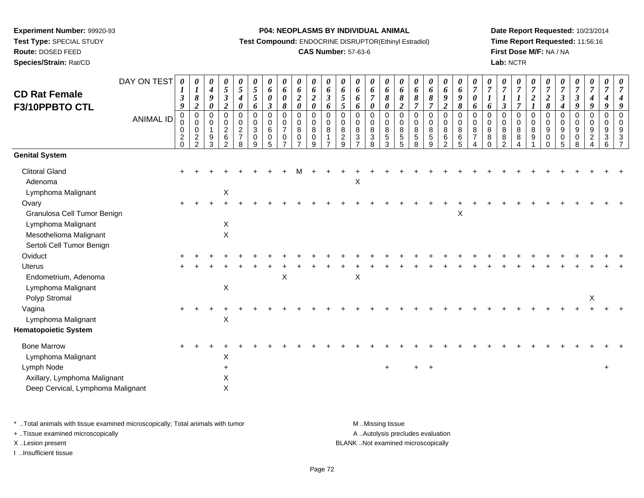**Route:** DOSED FEED

**Species/Strain:** Rat/CD

#### **P04: NEOPLASMS BY INDIVIDUAL ANIMAL**

**Test Compound:** ENDOCRINE DISRUPTOR(Ethinyl Estradiol)

## **CAS Number:** 57-63-6

**Date Report Requested:** 10/23/2014**Time Report Requested:** 11:56:16**First Dose M/F:** NA / NA**Lab:** NCTR

| <b>CD Rat Female</b><br>F3/10PPBTO CTL                                               | DAY ON TEST      | 0<br>1<br>$\boldsymbol{\beta}$<br>9                 | 0<br>$\boldsymbol{l}$<br>8<br>$\boldsymbol{2}$             | $\boldsymbol{\theta}$<br>4<br>9<br>0       | 0<br>$\mathfrak{s}$<br>$\mathfrak{z}$<br>$\boldsymbol{2}$ | 0<br>$\sqrt{5}$<br>$\boldsymbol{4}$<br>0                  | $\boldsymbol{\theta}$<br>$\mathfrak{s}$<br>5<br>6      | 0<br>6<br>0<br>$\boldsymbol{\beta}$ | 0<br>6<br>$\boldsymbol{\theta}$<br>$\pmb{8}$      | 0<br>6<br>$\boldsymbol{2}$<br>$\boldsymbol{\theta}$ | 0<br>$\pmb{6}$<br>$\boldsymbol{2}$<br>$\pmb{\theta}$          | 0<br>6<br>$\boldsymbol{\beta}$<br>6 | 0<br>6<br>$\mathfrak{H}$<br>$\mathfrak{H}$ | 0<br>6<br>6<br>6 | 0<br>6<br>$\overline{7}$<br>0                          | 0<br>6<br>8<br>$\boldsymbol{\theta}$                     | 0<br>6<br>8<br>$\boldsymbol{2}$          | 0<br>6<br>8<br>$\overline{7}$                      | 0<br>6<br>$\boldsymbol{\delta}$<br>$\overline{7}$ | 0<br>6<br>$\boldsymbol{9}$<br>$\boldsymbol{2}$                     | 0<br>6<br>9<br>8      | 0<br>$\boldsymbol{7}$<br>$\boldsymbol{\theta}$<br>6 | 0<br>$\overline{7}$<br>6   | 0<br>$\overline{7}$<br>$\boldsymbol{\beta}$ | 0<br>$\overline{7}$<br>$\overline{7}$    | 0<br>$\overline{7}$<br>$\boldsymbol{2}$<br>$\boldsymbol{l}$ | $\boldsymbol{\theta}$<br>$\overline{7}$<br>$\boldsymbol{2}$<br>$\pmb{8}$ | $\boldsymbol{\theta}$<br>$\boldsymbol{7}$<br>$\boldsymbol{\beta}$<br>$\boldsymbol{4}$ | 0<br>$\boldsymbol{7}$<br>$\boldsymbol{\beta}$<br>9                 | 0<br>$\overline{7}$<br>4<br>9 | 0<br>$\boldsymbol{7}$<br>4<br>9 | 7<br>4<br>9                          |
|--------------------------------------------------------------------------------------|------------------|-----------------------------------------------------|------------------------------------------------------------|--------------------------------------------|-----------------------------------------------------------|-----------------------------------------------------------|--------------------------------------------------------|-------------------------------------|---------------------------------------------------|-----------------------------------------------------|---------------------------------------------------------------|-------------------------------------|--------------------------------------------|------------------|--------------------------------------------------------|----------------------------------------------------------|------------------------------------------|----------------------------------------------------|---------------------------------------------------|--------------------------------------------------------------------|-----------------------|-----------------------------------------------------|----------------------------|---------------------------------------------|------------------------------------------|-------------------------------------------------------------|--------------------------------------------------------------------------|---------------------------------------------------------------------------------------|--------------------------------------------------------------------|-------------------------------|---------------------------------|--------------------------------------|
|                                                                                      | <b>ANIMAL ID</b> | 0<br>$\mathbf 0$<br>0<br>$\overline{2}$<br>$\Omega$ | $\mathbf 0$<br>$\mathbf 0$<br>$\mathbf 0$<br>$\frac{2}{2}$ | $\mathbf 0$<br>0<br>$\mathbf{1}$<br>9<br>3 | 0<br>0<br>$\overline{c}$<br>6<br>$\mathcal{P}$            | 0<br>$\mathbf 0$<br>$\overline{c}$<br>$\overline{7}$<br>8 | $\mathbf 0$<br>$\,0\,$<br>$\sqrt{3}$<br>$\pmb{0}$<br>9 | 0<br>0<br>6<br>0<br>5               | $\mathbf 0$<br>$\mathbf 0$<br>$\overline{7}$<br>0 | 0<br>0<br>8<br>$\mathbf 0$                          | $\boldsymbol{0}$<br>$\mathbf 0$<br>$\bf8$<br>$\mathbf 0$<br>9 | 0<br>0<br>8<br>1                    | 0<br>$\mathbf 0$<br>8<br>$\frac{2}{9}$     | 0<br>0<br>8<br>3 | $\mathbf 0$<br>$\pmb{0}$<br>$\bf 8$<br>$\sqrt{3}$<br>8 | $\mathbf 0$<br>$_{\rm 8}^{\rm 0}$<br>$\overline{5}$<br>3 | $\mathbf 0$<br>0<br>8<br>$\sqrt{5}$<br>5 | $\mathbf 0$<br>$\mathbf 0$<br>8<br>$\sqrt{5}$<br>8 | 0<br>0<br>8<br>$\sqrt{5}$<br>9                    | $\boldsymbol{0}$<br>$\pmb{0}$<br>$\, 8$<br>$\,6$<br>$\overline{2}$ | 0<br>0<br>8<br>6<br>5 | 0<br>$\mathbf 0$<br>8<br>$\overline{7}$             | 0<br>$\mathbf 0$<br>8<br>8 | 0<br>$\pmb{0}$<br>$_{8}^8$<br>$\mathcal{P}$ | $\mathbf 0$<br>$\pmb{0}$<br>$\,8\,$<br>8 | $\mathbf 0$<br>$\mathbf 0$<br>$\bf 8$<br>9                  | $\mathbf 0$<br>$\mathbf 0$<br>9<br>$\mathbf 0$                           | $\mathbf 0$<br>$\mathbf 0$<br>$\boldsymbol{9}$<br>$\pmb{0}$<br>5                      | $\mathbf 0$<br>$\mathbf 0$<br>$\boldsymbol{9}$<br>$\mathbf 0$<br>8 | 0<br>0<br>9<br>$\overline{c}$ | 0<br>0<br>9<br>3<br>6           | $\mathbf 0$<br>$\mathbf 0$<br>9<br>3 |
| <b>Genital System</b>                                                                |                  |                                                     |                                                            |                                            |                                                           |                                                           |                                                        |                                     |                                                   |                                                     |                                                               |                                     |                                            |                  |                                                        |                                                          |                                          |                                                    |                                                   |                                                                    |                       |                                                     |                            |                                             |                                          |                                                             |                                                                          |                                                                                       |                                                                    |                               |                                 |                                      |
| <b>Clitoral Gland</b><br>Adenoma<br>Lymphoma Malignant                               |                  |                                                     |                                                            |                                            | $\mathsf X$                                               |                                                           |                                                        |                                     |                                                   |                                                     |                                                               |                                     |                                            | X                |                                                        |                                                          |                                          |                                                    |                                                   |                                                                    |                       |                                                     |                            |                                             |                                          |                                                             |                                                                          |                                                                                       |                                                                    |                               |                                 |                                      |
| Ovary<br>Granulosa Cell Tumor Benign<br>Lymphoma Malignant<br>Mesothelioma Malignant |                  | $+$                                                 |                                                            |                                            | X<br>$\sf X$                                              |                                                           |                                                        |                                     |                                                   |                                                     |                                                               |                                     |                                            |                  |                                                        |                                                          |                                          |                                                    |                                                   |                                                                    | $\mathsf X$           |                                                     |                            |                                             |                                          |                                                             |                                                                          |                                                                                       |                                                                    |                               |                                 |                                      |
| Sertoli Cell Tumor Benign                                                            |                  |                                                     |                                                            |                                            |                                                           |                                                           |                                                        |                                     |                                                   |                                                     |                                                               |                                     |                                            |                  |                                                        |                                                          |                                          |                                                    |                                                   |                                                                    |                       |                                                     |                            |                                             |                                          |                                                             |                                                                          |                                                                                       |                                                                    |                               |                                 |                                      |
| Oviduct                                                                              |                  |                                                     |                                                            |                                            |                                                           |                                                           |                                                        |                                     |                                                   |                                                     |                                                               |                                     |                                            |                  |                                                        |                                                          |                                          |                                                    |                                                   |                                                                    |                       |                                                     |                            |                                             |                                          |                                                             |                                                                          |                                                                                       |                                                                    |                               |                                 |                                      |
| <b>Uterus</b>                                                                        |                  |                                                     |                                                            |                                            |                                                           |                                                           |                                                        |                                     |                                                   |                                                     |                                                               |                                     |                                            |                  |                                                        |                                                          |                                          |                                                    |                                                   |                                                                    |                       |                                                     |                            |                                             |                                          |                                                             |                                                                          |                                                                                       |                                                                    |                               |                                 |                                      |
| Endometrium, Adenoma<br>Lymphoma Malignant<br>Polyp Stromal                          |                  |                                                     |                                                            |                                            | X                                                         |                                                           |                                                        |                                     | $\pmb{\times}$                                    |                                                     |                                                               |                                     |                                            | $\mathsf X$      |                                                        |                                                          |                                          |                                                    |                                                   |                                                                    |                       |                                                     |                            |                                             |                                          |                                                             |                                                                          |                                                                                       |                                                                    | X                             |                                 |                                      |
| Vagina<br>Lymphoma Malignant                                                         |                  |                                                     |                                                            |                                            | X                                                         |                                                           |                                                        |                                     |                                                   |                                                     |                                                               |                                     |                                            |                  |                                                        |                                                          |                                          |                                                    |                                                   |                                                                    |                       |                                                     |                            |                                             |                                          |                                                             |                                                                          |                                                                                       |                                                                    |                               |                                 |                                      |
| <b>Hematopoietic System</b>                                                          |                  |                                                     |                                                            |                                            |                                                           |                                                           |                                                        |                                     |                                                   |                                                     |                                                               |                                     |                                            |                  |                                                        |                                                          |                                          |                                                    |                                                   |                                                                    |                       |                                                     |                            |                                             |                                          |                                                             |                                                                          |                                                                                       |                                                                    |                               |                                 |                                      |
| <b>Bone Marrow</b><br>Lymphoma Malignant                                             |                  |                                                     |                                                            |                                            | X                                                         |                                                           |                                                        |                                     |                                                   |                                                     |                                                               |                                     |                                            |                  |                                                        |                                                          |                                          |                                                    |                                                   |                                                                    |                       |                                                     |                            |                                             |                                          |                                                             |                                                                          |                                                                                       |                                                                    |                               |                                 |                                      |
| Lymph Node<br>Axillary, Lymphoma Malignant<br>Deep Cervical, Lymphoma Malignant      |                  |                                                     |                                                            |                                            | X<br>X                                                    |                                                           |                                                        |                                     |                                                   |                                                     |                                                               |                                     |                                            |                  |                                                        | $\pm$                                                    |                                          |                                                    | $+$                                               |                                                                    |                       |                                                     |                            |                                             |                                          |                                                             |                                                                          |                                                                                       |                                                                    |                               | $+$                             |                                      |
|                                                                                      |                  |                                                     |                                                            |                                            |                                                           |                                                           |                                                        |                                     |                                                   |                                                     |                                                               |                                     |                                            |                  |                                                        |                                                          |                                          |                                                    |                                                   |                                                                    |                       |                                                     |                            |                                             |                                          |                                                             |                                                                          |                                                                                       |                                                                    |                               |                                 |                                      |

\* ..Total animals with tissue examined microscopically; Total animals with tumor **M** . Missing tissue M ..Missing tissue

+ ..Tissue examined microscopically

I ..Insufficient tissue

A ..Autolysis precludes evaluation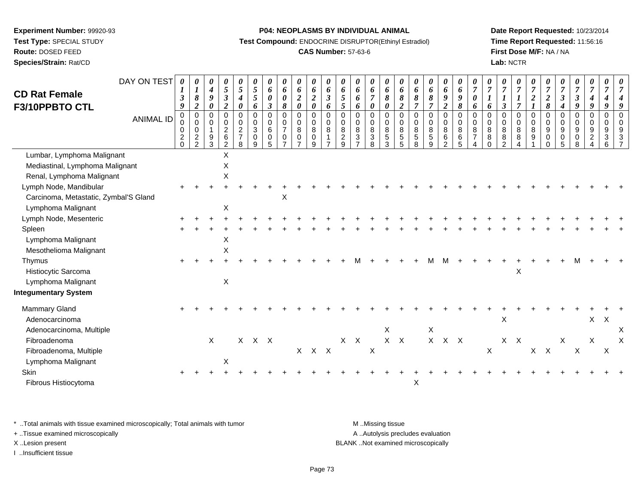**Route:** DOSED FEED

**Species/Strain:** Rat/CD

#### **P04: NEOPLASMS BY INDIVIDUAL ANIMAL**

**Test Compound:** ENDOCRINE DISRUPTOR(Ethinyl Estradiol)

## **CAS Number:** 57-63-6

**Date Report Requested:** 10/23/2014**Time Report Requested:** 11:56:16**First Dose M/F:** NA / NA**Lab:** NCTR

| <b>CD Rat Female</b><br>F3/10PPBTO CTL                                                     | DAY ON TEST<br><b>ANIMAL ID</b> | $\boldsymbol{\theta}$<br>3<br>9<br>$\mathbf 0$<br>0<br>0<br>$\overline{c}$<br>$\Omega$ | 0<br>$\boldsymbol{I}$<br>8<br>$\boldsymbol{2}$<br>$\mathbf 0$<br>$\mathbf 0$<br>$\mathbf 0$<br>$\frac{2}{2}$ | 0<br>$\boldsymbol{4}$<br>$\boldsymbol{9}$<br>$\pmb{\theta}$<br>$\mathbf 0$<br>$\mathbf 0$<br>$\mathbf{1}$<br>$9\,$<br>3 | 0<br>5<br>$\boldsymbol{\beta}$<br>$\boldsymbol{2}$<br>0<br>0<br>$\overline{c}$<br>6<br>$\overline{2}$ | 0<br>$\mathfrak{S}$<br>$\boldsymbol{4}$<br>0<br>$\mathbf 0$<br>0<br>$\overline{2}$<br>$\overline{7}$<br>8 | 0<br>$\sqrt{5}$<br>5<br>6<br>$\mathsf 0$<br>$\pmb{0}$<br>$\mathbf{3}$<br>0<br>9 | 0<br>6<br>0<br>$\boldsymbol{\beta}$<br>$\mathbf 0$<br>0<br>6<br>0<br>5 | 0<br>6<br>$\boldsymbol{\theta}$<br>$\pmb{8}$<br>$\mathbf 0$<br>$\mathbf 0$<br>$\overline{7}$<br>$\mathbf 0$<br>$\overline{7}$ | 0<br>6<br>$\boldsymbol{2}$<br>0<br>0<br>$\mathbf 0$<br>8<br>$\mathbf 0$<br>$\overline{7}$ | 0<br>6<br>$\boldsymbol{2}$<br>$\pmb{\theta}$<br>$\mathbf 0$<br>$\mathbf 0$<br>8<br>$\mathbf 0$<br>9 | 0<br>6<br>$\boldsymbol{\beta}$<br>6<br>$\mathbf 0$<br>$\mathbf 0$<br>8 | 0<br>6<br>$\mathfrak{s}$<br>$\mathfrak{s}$<br>$\mathbf 0$<br>0<br>8<br>$\overline{c}$<br>9 | 0<br>6<br>6<br>6<br>$\Omega$<br>$\Omega$<br>8<br>3 | $\boldsymbol{\theta}$<br>6<br>$\overline{7}$<br>0<br>$\mathbf 0$<br>0<br>8<br>3<br>8 | 0<br>6<br>8<br>$\boldsymbol{\theta}$<br>$\mathbf 0$<br>$\mathbf 0$<br>8<br>5<br>3 | 0<br>6<br>8<br>$\boldsymbol{2}$<br>$\mathbf 0$<br>$\mathbf 0$<br>8<br>5<br>5 | 0<br>6<br>8<br>$\overline{7}$<br>$\mathbf 0$<br>0<br>8<br>5<br>8 | 0<br>6<br>8<br>$\overline{\tau}$<br>$\mathbf 0$<br>0<br>8<br>5<br>9 | $\boldsymbol{\theta}$<br>6<br>9<br>$\overline{2}$<br>0<br>0<br>8<br>6<br>$\overline{2}$ | 0<br>6<br>9<br>$\pmb{8}$<br>$\mathbf 0$<br>$\pmb{0}$<br>$\,8\,$<br>6<br>5 | 0<br>$\overline{7}$<br>$\boldsymbol{\theta}$<br>6<br>$\mathbf 0$<br>$\mathbf 0$<br>8<br>$\overline{7}$ | $\overline{7}$<br>6<br>$\overline{0}$<br>$\mathbf 0$<br>8<br>8<br>$\Omega$ | 0<br>$\overline{7}$<br>3<br>$\Omega$<br>$\Omega$<br>8<br>8<br>າ | 0<br>$\overline{7}$<br>$\boldsymbol{l}$<br>$\overline{7}$<br>$\mathbf 0$<br>0<br>8<br>8 | 0<br>$\overline{7}$<br>$\boldsymbol{2}$<br>$\mathbf 0$<br>$\mathbf 0$<br>8<br>9 | 0<br>$\overline{7}$<br>$\boldsymbol{2}$<br>$\pmb{8}$<br>$\mathbf 0$<br>$\mathbf 0$<br>9<br>0<br>0 | $\theta$<br>$\overline{7}$<br>$\boldsymbol{\beta}$<br>$\boldsymbol{4}$<br>$\mathbf 0$<br>$\mathbf 0$<br>9<br>0<br>$\overline{5}$ | $\boldsymbol{\theta}$<br>$\overline{7}$<br>$\boldsymbol{\beta}$<br>9<br>$\mathbf 0$<br>0<br>$9\,$<br>0<br>8 | 0<br>$\overline{7}$<br>$\boldsymbol{4}$<br>$\boldsymbol{q}$<br>$\mathbf 0$<br>$\mathbf 0$<br>9<br>$\overline{2}$ | 0<br>$\overline{7}$<br>4<br>9<br>0<br>0<br>9<br>3<br>6 |   |
|--------------------------------------------------------------------------------------------|---------------------------------|----------------------------------------------------------------------------------------|--------------------------------------------------------------------------------------------------------------|-------------------------------------------------------------------------------------------------------------------------|-------------------------------------------------------------------------------------------------------|-----------------------------------------------------------------------------------------------------------|---------------------------------------------------------------------------------|------------------------------------------------------------------------|-------------------------------------------------------------------------------------------------------------------------------|-------------------------------------------------------------------------------------------|-----------------------------------------------------------------------------------------------------|------------------------------------------------------------------------|--------------------------------------------------------------------------------------------|----------------------------------------------------|--------------------------------------------------------------------------------------|-----------------------------------------------------------------------------------|------------------------------------------------------------------------------|------------------------------------------------------------------|---------------------------------------------------------------------|-----------------------------------------------------------------------------------------|---------------------------------------------------------------------------|--------------------------------------------------------------------------------------------------------|----------------------------------------------------------------------------|-----------------------------------------------------------------|-----------------------------------------------------------------------------------------|---------------------------------------------------------------------------------|---------------------------------------------------------------------------------------------------|----------------------------------------------------------------------------------------------------------------------------------|-------------------------------------------------------------------------------------------------------------|------------------------------------------------------------------------------------------------------------------|--------------------------------------------------------|---|
| Lumbar, Lymphoma Malignant<br>Mediastinal, Lymphoma Malignant<br>Renal, Lymphoma Malignant |                                 |                                                                                        |                                                                                                              |                                                                                                                         | Χ<br>X<br>X                                                                                           |                                                                                                           |                                                                                 |                                                                        |                                                                                                                               |                                                                                           |                                                                                                     |                                                                        |                                                                                            |                                                    |                                                                                      |                                                                                   |                                                                              |                                                                  |                                                                     |                                                                                         |                                                                           |                                                                                                        |                                                                            |                                                                 |                                                                                         |                                                                                 |                                                                                                   |                                                                                                                                  |                                                                                                             |                                                                                                                  |                                                        |   |
| Lymph Node, Mandibular<br>Carcinoma, Metastatic, Zymbal'S Gland<br>Lymphoma Malignant      |                                 |                                                                                        |                                                                                                              |                                                                                                                         | X                                                                                                     |                                                                                                           |                                                                                 |                                                                        | X                                                                                                                             |                                                                                           |                                                                                                     |                                                                        |                                                                                            |                                                    |                                                                                      |                                                                                   |                                                                              |                                                                  |                                                                     |                                                                                         |                                                                           |                                                                                                        |                                                                            |                                                                 |                                                                                         |                                                                                 |                                                                                                   |                                                                                                                                  |                                                                                                             |                                                                                                                  |                                                        |   |
| Lymph Node, Mesenteric<br>Spleen<br>Lymphoma Malignant<br>Mesothelioma Malignant           |                                 |                                                                                        |                                                                                                              |                                                                                                                         | X<br>X                                                                                                |                                                                                                           |                                                                                 |                                                                        |                                                                                                                               |                                                                                           |                                                                                                     |                                                                        |                                                                                            |                                                    |                                                                                      |                                                                                   |                                                                              |                                                                  |                                                                     |                                                                                         |                                                                           |                                                                                                        |                                                                            |                                                                 |                                                                                         |                                                                                 |                                                                                                   |                                                                                                                                  |                                                                                                             |                                                                                                                  |                                                        |   |
| Thymus<br>Histiocytic Sarcoma<br>Lymphoma Malignant<br><b>Integumentary System</b>         |                                 |                                                                                        |                                                                                                              |                                                                                                                         | $\mathsf X$                                                                                           |                                                                                                           |                                                                                 |                                                                        |                                                                                                                               |                                                                                           |                                                                                                     |                                                                        |                                                                                            |                                                    |                                                                                      |                                                                                   |                                                                              |                                                                  |                                                                     |                                                                                         |                                                                           |                                                                                                        |                                                                            |                                                                 | X                                                                                       |                                                                                 |                                                                                                   |                                                                                                                                  |                                                                                                             |                                                                                                                  |                                                        |   |
| Mammary Gland<br>Adenocarcinoma<br>Adenocarcinoma, Multiple                                |                                 |                                                                                        |                                                                                                              |                                                                                                                         |                                                                                                       |                                                                                                           |                                                                                 |                                                                        |                                                                                                                               |                                                                                           |                                                                                                     |                                                                        |                                                                                            |                                                    |                                                                                      | X                                                                                 |                                                                              |                                                                  | $\mathsf X$                                                         |                                                                                         |                                                                           |                                                                                                        |                                                                            | $\times$                                                        |                                                                                         |                                                                                 |                                                                                                   |                                                                                                                                  |                                                                                                             | $\mathsf{X}$                                                                                                     | $\boldsymbol{\mathsf{X}}$                              | X |
| Fibroadenoma<br>Fibroadenoma, Multiple<br>Lymphoma Malignant                               |                                 |                                                                                        |                                                                                                              | $\sf X$                                                                                                                 | X                                                                                                     |                                                                                                           | $X$ $X$ $X$                                                                     |                                                                        |                                                                                                                               |                                                                                           | $X$ $X$ $X$                                                                                         |                                                                        |                                                                                            | $X$ $X$                                            | X                                                                                    |                                                                                   | $X$ $X$                                                                      |                                                                  |                                                                     | $X$ $X$ $X$                                                                             |                                                                           |                                                                                                        | $\sf X$                                                                    |                                                                 | $X$ $X$                                                                                 |                                                                                 | $X$ $X$                                                                                           | Χ                                                                                                                                | $\boldsymbol{\mathsf{X}}$                                                                                   | X                                                                                                                | $\boldsymbol{\mathsf{X}}$                              | X |
| Skin<br>Fibrous Histiocytoma                                                               |                                 |                                                                                        |                                                                                                              |                                                                                                                         |                                                                                                       |                                                                                                           |                                                                                 |                                                                        |                                                                                                                               |                                                                                           |                                                                                                     |                                                                        |                                                                                            |                                                    |                                                                                      |                                                                                   |                                                                              | X                                                                |                                                                     |                                                                                         |                                                                           |                                                                                                        |                                                                            |                                                                 |                                                                                         |                                                                                 |                                                                                                   |                                                                                                                                  |                                                                                                             |                                                                                                                  |                                                        |   |

\* ..Total animals with tissue examined microscopically; Total animals with tumor **M** . Missing tissue M ..Missing tissue + ..Tissue examined microscopically

I ..Insufficient tissue

A ..Autolysis precludes evaluation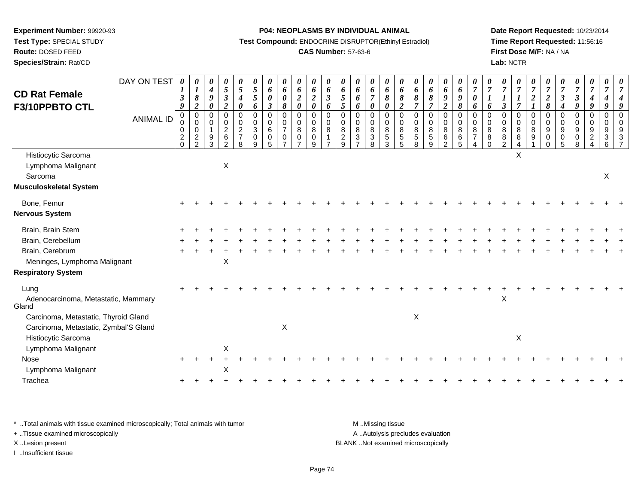**Route:** DOSED FEED

**Species/Strain:** Rat/CD

#### **P04: NEOPLASMS BY INDIVIDUAL ANIMAL**

**Test Compound:** ENDOCRINE DISRUPTOR(Ethinyl Estradiol)

## **CAS Number:** 57-63-6

**Date Report Requested:** 10/23/2014**Time Report Requested:** 11:56:16**First Dose M/F:** NA / NA**Lab:** NCTR

| <b>CD Rat Female</b><br>F3/10PPBTO CTL               | DAY ON TEST      | 0<br>1<br>$\boldsymbol{\beta}$<br>9                 | 0<br>$\boldsymbol{l}$<br>8<br>$\boldsymbol{2}$               | 0<br>$\boldsymbol{4}$<br>9<br>0 | 0<br>$\sqrt{5}$<br>$\boldsymbol{\beta}$<br>$\overline{2}$                       | 0<br>$\mathfrak{s}$<br>4<br>$\pmb{\theta}$  | 0<br>5<br>5<br>6                                                 | 0<br>6<br>0<br>$\boldsymbol{\beta}$ | 0<br>6<br>$\pmb{\theta}$<br>$\pmb{8}$             | 0<br>6<br>$\boldsymbol{2}$<br>$\pmb{\theta}$        | 0<br>6<br>$\boldsymbol{2}$<br>$\pmb{\theta}$ | 0<br>6<br>$\mathfrak{z}$<br>6                       | $\boldsymbol{\theta}$<br>6<br>$\mathfrak{s}$<br>$\sqrt{5}$ | 0<br>6<br>6<br>6                                          | 0<br>6<br>$\overline{7}$<br>$\boldsymbol{\theta}$ | 0<br>6<br>8<br>$\boldsymbol{\theta}$              | 0<br>6<br>$\pmb{8}$<br>$\boldsymbol{2}$ | $\boldsymbol{\theta}$<br>6<br>8<br>$\overline{7}$  | 0<br>6<br>$\pmb{8}$<br>$\overline{7}$                  | $\boldsymbol{\theta}$<br>6<br>$\pmb{9}$<br>$\boldsymbol{2}$ | $\boldsymbol{\theta}$<br>6<br>$\pmb{9}$<br>$\pmb{8}$               | $\boldsymbol{\theta}$<br>$\overline{7}$<br>$\boldsymbol{\theta}$<br>6 | $\boldsymbol{7}$<br>$\boldsymbol{l}$<br>6 | 0<br>$\overline{7}$<br>$\boldsymbol{\beta}$  | 0<br>$\boldsymbol{7}$<br>$\boldsymbol{l}$<br>$\overline{7}$ | 0<br>$\boldsymbol{7}$<br>$\boldsymbol{2}$                      | $\boldsymbol{\theta}$<br>$\overline{7}$<br>$\frac{2}{8}$        | $\overline{7}$<br>$\boldsymbol{\beta}$<br>$\boldsymbol{4}$ | 0<br>$\boldsymbol{7}$<br>$\mathbf{3}$<br>9     | 0<br>$\overline{7}$<br>$\boldsymbol{4}$<br>9                  | 0<br>$\overline{7}$<br>4<br>9 |          |
|------------------------------------------------------|------------------|-----------------------------------------------------|--------------------------------------------------------------|---------------------------------|---------------------------------------------------------------------------------|---------------------------------------------|------------------------------------------------------------------|-------------------------------------|---------------------------------------------------|-----------------------------------------------------|----------------------------------------------|-----------------------------------------------------|------------------------------------------------------------|-----------------------------------------------------------|---------------------------------------------------|---------------------------------------------------|-----------------------------------------|----------------------------------------------------|--------------------------------------------------------|-------------------------------------------------------------|--------------------------------------------------------------------|-----------------------------------------------------------------------|-------------------------------------------|----------------------------------------------|-------------------------------------------------------------|----------------------------------------------------------------|-----------------------------------------------------------------|------------------------------------------------------------|------------------------------------------------|---------------------------------------------------------------|-------------------------------|----------|
|                                                      | <b>ANIMAL ID</b> | 0<br>0<br>$\mathbf 0$<br>$\overline{2}$<br>$\Omega$ | $\pmb{0}$<br>$\pmb{0}$<br>$\mathbf 0$<br>$\overline{c}$<br>2 | 0<br>0<br>9<br>3                | $\mathbf 0$<br>$\boldsymbol{0}$<br>$\boldsymbol{2}$<br>$\,6\,$<br>$\mathcal{P}$ | 0<br>0<br>$\sqrt{2}$<br>$\overline{7}$<br>8 | $\mathbf 0$<br>$\mathbf 0$<br>$\overline{3}$<br>$\mathbf 0$<br>9 | $\mathbf 0$<br>0<br>6<br>0<br>5     | $\mathbf 0$<br>0<br>$\overline{7}$<br>$\mathbf 0$ | $\mathsf 0$<br>$\boldsymbol{0}$<br>8<br>$\mathbf 0$ | 0<br>$\overline{0}$<br>8<br>0<br>9           | $\mathbf 0$<br>$_{\rm 8}^{\rm 0}$<br>$\overline{1}$ | $\mathbf 0$<br>0<br>8<br>$\overline{2}$<br>9               | $\Omega$<br>0<br>$\bf8$<br>$\mathbf{3}$<br>$\overline{ }$ | 0<br>0<br>$\,8\,$<br>$\mathbf{3}$<br>8            | 0<br>$\boldsymbol{0}$<br>$\overline{8}$<br>5<br>3 | $\pmb{0}$<br>$\mathbf 0$<br>8<br>5<br>5 | $\mathbf 0$<br>0<br>$\bf 8$<br>$\overline{5}$<br>8 | $\pmb{0}$<br>$_{\rm 8}^{\rm 0}$<br>$\overline{5}$<br>9 | 0<br>$\mathbf 0$<br>$\overline{8}$<br>$6\phantom{a}$<br>2   | $\pmb{0}$<br>$\mathbf 0$<br>$\overline{8}$<br>$6\phantom{1}6$<br>5 | $\mathbf 0$<br>$\mathbf 0$<br>8<br>$\overline{7}$                     | $\Omega$<br>0<br>8<br>8                   | $\mathbf 0$<br>0<br>8<br>8<br>$\mathfrak{D}$ | 0<br>0<br>$\bf 8$<br>$\bf 8$<br>$\overline{4}$              | $\mathbf 0$<br>$\pmb{0}$<br>$\overline{8}$<br>$\boldsymbol{9}$ | $\mathbf 0$<br>$\boldsymbol{0}$<br>9<br>$\mathbf 0$<br>$\Omega$ | $\mathbf 0$<br>0<br>9<br>$\mathbf 0$<br>5                  | $\mathbf 0$<br>0<br>$\boldsymbol{9}$<br>0<br>8 | $\mathbf 0$<br>$\overline{0}$<br>$\overline{9}$<br>$\sqrt{2}$ | 0<br>0<br>9<br>3<br>6         | $\Omega$ |
| Histiocytic Sarcoma<br>Lymphoma Malignant<br>Sarcoma |                  |                                                     |                                                              |                                 | $\mathsf X$                                                                     |                                             |                                                                  |                                     |                                                   |                                                     |                                              |                                                     |                                                            |                                                           |                                                   |                                                   |                                         |                                                    |                                                        |                                                             |                                                                    |                                                                       |                                           |                                              | $\pmb{\times}$                                              |                                                                |                                                                 |                                                            |                                                |                                                               | X                             |          |
| <b>Musculoskeletal System</b>                        |                  |                                                     |                                                              |                                 |                                                                                 |                                             |                                                                  |                                     |                                                   |                                                     |                                              |                                                     |                                                            |                                                           |                                                   |                                                   |                                         |                                                    |                                                        |                                                             |                                                                    |                                                                       |                                           |                                              |                                                             |                                                                |                                                                 |                                                            |                                                |                                                               |                               |          |
| Bone, Femur<br><b>Nervous System</b>                 |                  |                                                     |                                                              |                                 |                                                                                 |                                             |                                                                  |                                     |                                                   |                                                     |                                              |                                                     |                                                            |                                                           |                                                   |                                                   |                                         |                                                    |                                                        |                                                             |                                                                    |                                                                       |                                           |                                              |                                                             |                                                                |                                                                 |                                                            |                                                |                                                               |                               |          |
| Brain, Brain Stem                                    |                  |                                                     |                                                              |                                 |                                                                                 |                                             |                                                                  |                                     |                                                   |                                                     |                                              |                                                     |                                                            |                                                           |                                                   |                                                   |                                         |                                                    |                                                        |                                                             |                                                                    |                                                                       |                                           |                                              |                                                             |                                                                |                                                                 |                                                            |                                                |                                                               |                               |          |
| Brain, Cerebellum                                    |                  |                                                     |                                                              |                                 |                                                                                 |                                             |                                                                  |                                     |                                                   |                                                     |                                              |                                                     |                                                            |                                                           |                                                   |                                                   |                                         |                                                    |                                                        |                                                             |                                                                    |                                                                       |                                           |                                              |                                                             |                                                                |                                                                 |                                                            |                                                |                                                               |                               |          |
| Brain, Cerebrum                                      |                  |                                                     |                                                              |                                 |                                                                                 |                                             |                                                                  |                                     |                                                   |                                                     |                                              |                                                     |                                                            |                                                           |                                                   |                                                   |                                         |                                                    |                                                        |                                                             |                                                                    |                                                                       |                                           |                                              |                                                             |                                                                |                                                                 |                                                            |                                                |                                                               |                               |          |
| Meninges, Lymphoma Malignant                         |                  |                                                     |                                                              |                                 | X                                                                               |                                             |                                                                  |                                     |                                                   |                                                     |                                              |                                                     |                                                            |                                                           |                                                   |                                                   |                                         |                                                    |                                                        |                                                             |                                                                    |                                                                       |                                           |                                              |                                                             |                                                                |                                                                 |                                                            |                                                |                                                               |                               |          |
| <b>Respiratory System</b>                            |                  |                                                     |                                                              |                                 |                                                                                 |                                             |                                                                  |                                     |                                                   |                                                     |                                              |                                                     |                                                            |                                                           |                                                   |                                                   |                                         |                                                    |                                                        |                                                             |                                                                    |                                                                       |                                           |                                              |                                                             |                                                                |                                                                 |                                                            |                                                |                                                               |                               |          |
| Lung<br>Adenocarcinoma, Metastatic, Mammary<br>Gland |                  |                                                     |                                                              |                                 |                                                                                 |                                             |                                                                  |                                     |                                                   |                                                     |                                              |                                                     |                                                            |                                                           |                                                   |                                                   |                                         |                                                    |                                                        |                                                             |                                                                    |                                                                       |                                           | X                                            |                                                             |                                                                |                                                                 |                                                            |                                                |                                                               |                               |          |
| Carcinoma, Metastatic, Thyroid Gland                 |                  |                                                     |                                                              |                                 |                                                                                 |                                             |                                                                  |                                     |                                                   |                                                     |                                              |                                                     |                                                            |                                                           |                                                   |                                                   |                                         | X                                                  |                                                        |                                                             |                                                                    |                                                                       |                                           |                                              |                                                             |                                                                |                                                                 |                                                            |                                                |                                                               |                               |          |
| Carcinoma, Metastatic, Zymbal'S Gland                |                  |                                                     |                                                              |                                 |                                                                                 |                                             |                                                                  |                                     | X                                                 |                                                     |                                              |                                                     |                                                            |                                                           |                                                   |                                                   |                                         |                                                    |                                                        |                                                             |                                                                    |                                                                       |                                           |                                              |                                                             |                                                                |                                                                 |                                                            |                                                |                                                               |                               |          |
| Histiocytic Sarcoma                                  |                  |                                                     |                                                              |                                 |                                                                                 |                                             |                                                                  |                                     |                                                   |                                                     |                                              |                                                     |                                                            |                                                           |                                                   |                                                   |                                         |                                                    |                                                        |                                                             |                                                                    |                                                                       |                                           |                                              | X                                                           |                                                                |                                                                 |                                                            |                                                |                                                               |                               |          |
| Lymphoma Malignant                                   |                  |                                                     |                                                              |                                 | $\mathsf X$                                                                     |                                             |                                                                  |                                     |                                                   |                                                     |                                              |                                                     |                                                            |                                                           |                                                   |                                                   |                                         |                                                    |                                                        |                                                             |                                                                    |                                                                       |                                           |                                              |                                                             |                                                                |                                                                 |                                                            |                                                |                                                               |                               |          |
| Nose                                                 |                  |                                                     |                                                              |                                 |                                                                                 |                                             |                                                                  |                                     |                                                   |                                                     |                                              |                                                     |                                                            |                                                           |                                                   |                                                   |                                         |                                                    |                                                        |                                                             |                                                                    |                                                                       |                                           |                                              |                                                             |                                                                |                                                                 |                                                            |                                                |                                                               |                               |          |
| Lymphoma Malignant                                   |                  |                                                     |                                                              |                                 | X                                                                               |                                             |                                                                  |                                     |                                                   |                                                     |                                              |                                                     |                                                            |                                                           |                                                   |                                                   |                                         |                                                    |                                                        |                                                             |                                                                    |                                                                       |                                           |                                              |                                                             |                                                                |                                                                 |                                                            |                                                |                                                               |                               |          |
| Trachea                                              |                  |                                                     |                                                              |                                 |                                                                                 |                                             |                                                                  |                                     |                                                   |                                                     |                                              |                                                     |                                                            |                                                           |                                                   |                                                   |                                         |                                                    |                                                        |                                                             |                                                                    |                                                                       |                                           |                                              |                                                             |                                                                |                                                                 |                                                            |                                                |                                                               |                               |          |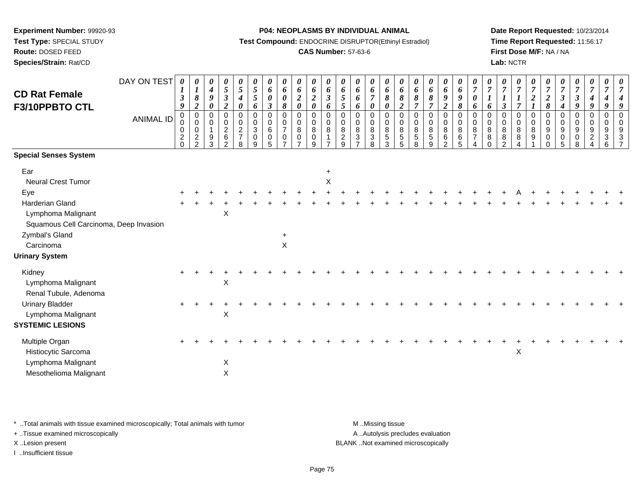**Route:** DOSED FEED

**Species/Strain:** Rat/CD

#### **P04: NEOPLASMS BY INDIVIDUAL ANIMAL**

**Test Compound:** ENDOCRINE DISRUPTOR(Ethinyl Estradiol)

## **CAS Number:** 57-63-6

**Date Report Requested:** 10/23/2014**Time Report Requested:** 11:56:17**First Dose M/F:** NA / NA**Lab:** NCTR

| <b>CD Rat Female</b><br>F3/10PPBTO CTL                                                | DAY ON TEST<br><b>ANIMAL ID</b> | $\boldsymbol{\theta}$<br>$\bm{l}$<br>$\boldsymbol{\beta}$<br>9<br>0<br>$\pmb{0}$ | 0<br>$\boldsymbol{l}$<br>$\pmb{8}$<br>$\boldsymbol{2}$<br>$\mathbf 0$<br>$\mathbf 0$ | $\boldsymbol{\theta}$<br>$\boldsymbol{4}$<br>$\boldsymbol{9}$<br>$\boldsymbol{\theta}$<br>$\mathbf 0$<br>$\mathbf 0$ | 0<br>5<br>$\boldsymbol{\beta}$<br>$\overline{a}$<br>0<br>0 | 0<br>$\mathfrak{H}$<br>$\boldsymbol{4}$<br>$\pmb{\theta}$<br>0<br>$\mathbf 0$ | 0<br>5<br>5<br>6<br>$\mathbf 0$<br>$\mathbf 0$ | $\theta$<br>6<br>$\boldsymbol{\theta}$<br>$\boldsymbol{\beta}$<br>$\mathbf 0$<br>$\pmb{0}$ | 0<br>6<br>$\pmb{\theta}$<br>$\pmb{8}$<br>$\mathbf 0$<br>$\pmb{0}$ | 0<br>$\pmb{6}$<br>$\frac{2}{\theta}$<br>$\mathbf 0$<br>$\pmb{0}$ | 0<br>6<br>$\boldsymbol{2}$<br>$\pmb{\theta}$<br>$\mathbf 0$<br>$\mathbf 0$ | $\boldsymbol{\theta}$<br>6<br>$\mathfrak{z}$<br>6<br>$\mathbf 0$<br>$\mathbf 0$ | 0<br>6<br>$5\overline{)}$<br>5<br>$\mathbf 0$<br>$\mathbf 0$ | 0<br>6<br>6<br>6<br>0<br>$\mathbf 0$ | 0<br>6<br>$\overline{7}$<br>0<br>$\mathbf 0$<br>$\mathbf 0$ | 0<br>6<br>8<br>$\pmb{\theta}$<br>$\mathbf 0$<br>$\pmb{0}$ | $\boldsymbol{\theta}$<br>6<br>8<br>$\boldsymbol{2}$<br>$\mathbf 0$<br>$\mathbf 0$ | 0<br>6<br>$\pmb{8}$<br>$\overline{7}$<br>$\mathbf 0$<br>$\mathbf 0$ | 0<br>6<br>$\pmb{8}$<br>$\overline{7}$<br>0<br>0 | 0<br>6<br>$\boldsymbol{9}$<br>$\boldsymbol{2}$<br>$\mathbf 0$<br>$\pmb{0}$ | $\boldsymbol{\theta}$<br>6<br>9<br>8<br>$\mathbf 0$<br>$\mathbf 0$ | $\boldsymbol{\theta}$<br>$\overline{7}$<br>$\pmb{\theta}$<br>6<br>0<br>$\mathbf 0$ | 0<br>$\overline{7}$<br>6<br>$\mathbf 0$<br>0 | 0<br>$\overline{7}$<br>$\boldsymbol{\beta}$<br>0<br>0 | 0<br>$\overline{7}$<br>$\overline{7}$<br>$\mathbf 0$<br>$\mathbf 0$ | 0<br>$\overline{7}$<br>$\boldsymbol{2}$<br>$\boldsymbol{l}$<br>$\mathbf 0$<br>$\pmb{0}$ | $\overline{7}$<br>$\frac{2}{8}$<br>$\mathbf 0$<br>$\pmb{0}$ | 0<br>$\overline{7}$<br>$\mathbf{3}$<br>$\boldsymbol{4}$<br>$\mathbf 0$<br>$\mathbf 0$ | 0<br>$\boldsymbol{7}$<br>$\mathfrak{z}$<br>$\boldsymbol{g}$<br>$\mathbf 0$<br>$\mathbf 0$ | 0<br>$\overline{7}$<br>$\boldsymbol{4}$<br>9<br>0<br>0 | 0<br>$\overline{7}$<br>$\boldsymbol{4}$<br>9<br>$\mathbf 0$<br>0 | 0<br>$\overline{7}$<br>$\overline{4}$<br>9<br>$\mathbf 0$<br>$\mathbf 0$ |
|---------------------------------------------------------------------------------------|---------------------------------|----------------------------------------------------------------------------------|--------------------------------------------------------------------------------------|----------------------------------------------------------------------------------------------------------------------|------------------------------------------------------------|-------------------------------------------------------------------------------|------------------------------------------------|--------------------------------------------------------------------------------------------|-------------------------------------------------------------------|------------------------------------------------------------------|----------------------------------------------------------------------------|---------------------------------------------------------------------------------|--------------------------------------------------------------|--------------------------------------|-------------------------------------------------------------|-----------------------------------------------------------|-----------------------------------------------------------------------------------|---------------------------------------------------------------------|-------------------------------------------------|----------------------------------------------------------------------------|--------------------------------------------------------------------|------------------------------------------------------------------------------------|----------------------------------------------|-------------------------------------------------------|---------------------------------------------------------------------|-----------------------------------------------------------------------------------------|-------------------------------------------------------------|---------------------------------------------------------------------------------------|-------------------------------------------------------------------------------------------|--------------------------------------------------------|------------------------------------------------------------------|--------------------------------------------------------------------------|
|                                                                                       |                                 | 0<br>$\sqrt{2}$<br>$\Omega$                                                      | 0<br>$\overline{2}$<br>$\overline{2}$                                                | $\overline{1}$<br>$9\,$<br>3                                                                                         | $\boldsymbol{2}$<br>$\,6$<br>$\mathfrak{p}$                | $\overline{c}$<br>$\overline{7}$<br>8                                         | $\mathbf{3}$<br>$\mathbf 0$<br>9               | $\,6\,$<br>$\pmb{0}$<br>5                                                                  | $\overline{7}$<br>$\pmb{0}$                                       | $\bf8$<br>$\pmb{0}$<br>$\overline{z}$                            | $\,8\,$<br>0<br>9                                                          | $\,8\,$<br>$\overline{ }$                                                       | 8<br>$\overline{c}$<br>$\mathsf{o}$                          | 8<br>3                               | 8<br>$\ensuremath{\mathsf{3}}$<br>8                         | $\,8\,$<br>$\sqrt{5}$<br>3                                | 8<br>$\sqrt{5}$<br>$\overline{5}$                                                 | $\,8\,$<br>$\overline{5}$<br>8                                      | $\, 8$<br>$\sqrt{5}$<br>9                       | 8<br>$\,6\,$<br>$\mathcal{P}$                                              | 8<br>6<br>5                                                        | 8<br>$\overline{7}$                                                                | 8<br>8<br>$\Omega$                           | 8<br>$\bf 8$<br>$\mathfrak{p}$                        | $\bf8$<br>8                                                         | 8<br>$\boldsymbol{9}$                                                                   | $\boldsymbol{9}$<br>$\pmb{0}$<br>$\Omega$                   | $\boldsymbol{9}$<br>$\pmb{0}$<br>5                                                    | $\boldsymbol{9}$<br>$\pmb{0}$<br>8                                                        | 9<br>$\overline{a}$                                    | 9<br>$\ensuremath{\mathsf{3}}$<br>6                              | 9<br>3<br>$\overline{7}$                                                 |
| <b>Special Senses System</b>                                                          |                                 |                                                                                  |                                                                                      |                                                                                                                      |                                                            |                                                                               |                                                |                                                                                            |                                                                   |                                                                  |                                                                            |                                                                                 |                                                              |                                      |                                                             |                                                           |                                                                                   |                                                                     |                                                 |                                                                            |                                                                    |                                                                                    |                                              |                                                       |                                                                     |                                                                                         |                                                             |                                                                                       |                                                                                           |                                                        |                                                                  |                                                                          |
| Ear                                                                                   |                                 |                                                                                  |                                                                                      |                                                                                                                      |                                                            |                                                                               |                                                |                                                                                            |                                                                   |                                                                  |                                                                            | $\ddot{}$                                                                       |                                                              |                                      |                                                             |                                                           |                                                                                   |                                                                     |                                                 |                                                                            |                                                                    |                                                                                    |                                              |                                                       |                                                                     |                                                                                         |                                                             |                                                                                       |                                                                                           |                                                        |                                                                  |                                                                          |
| <b>Neural Crest Tumor</b><br>Eye                                                      |                                 |                                                                                  |                                                                                      |                                                                                                                      |                                                            |                                                                               |                                                |                                                                                            |                                                                   |                                                                  |                                                                            | $\pmb{\times}$                                                                  |                                                              |                                      |                                                             |                                                           |                                                                                   |                                                                     |                                                 |                                                                            |                                                                    |                                                                                    |                                              |                                                       |                                                                     |                                                                                         |                                                             |                                                                                       |                                                                                           |                                                        |                                                                  |                                                                          |
| Harderian Gland<br>Lymphoma Malignant<br>Squamous Cell Carcinoma, Deep Invasion       |                                 |                                                                                  |                                                                                      |                                                                                                                      | $\sf X$                                                    |                                                                               |                                                |                                                                                            |                                                                   |                                                                  |                                                                            |                                                                                 |                                                              |                                      |                                                             |                                                           |                                                                                   |                                                                     |                                                 |                                                                            |                                                                    |                                                                                    |                                              |                                                       |                                                                     |                                                                                         |                                                             |                                                                                       |                                                                                           |                                                        |                                                                  |                                                                          |
| Zymbal's Gland<br>Carcinoma                                                           |                                 |                                                                                  |                                                                                      |                                                                                                                      |                                                            |                                                                               |                                                |                                                                                            | X                                                                 |                                                                  |                                                                            |                                                                                 |                                                              |                                      |                                                             |                                                           |                                                                                   |                                                                     |                                                 |                                                                            |                                                                    |                                                                                    |                                              |                                                       |                                                                     |                                                                                         |                                                             |                                                                                       |                                                                                           |                                                        |                                                                  |                                                                          |
| <b>Urinary System</b>                                                                 |                                 |                                                                                  |                                                                                      |                                                                                                                      |                                                            |                                                                               |                                                |                                                                                            |                                                                   |                                                                  |                                                                            |                                                                                 |                                                              |                                      |                                                             |                                                           |                                                                                   |                                                                     |                                                 |                                                                            |                                                                    |                                                                                    |                                              |                                                       |                                                                     |                                                                                         |                                                             |                                                                                       |                                                                                           |                                                        |                                                                  |                                                                          |
| Kidney<br>Lymphoma Malignant<br>Renal Tubule, Adenoma                                 |                                 |                                                                                  |                                                                                      |                                                                                                                      | Χ                                                          |                                                                               |                                                |                                                                                            |                                                                   |                                                                  |                                                                            |                                                                                 |                                                              |                                      |                                                             |                                                           |                                                                                   |                                                                     |                                                 |                                                                            |                                                                    |                                                                                    |                                              |                                                       |                                                                     |                                                                                         |                                                             |                                                                                       |                                                                                           |                                                        |                                                                  |                                                                          |
| <b>Urinary Bladder</b><br>Lymphoma Malignant<br><b>SYSTEMIC LESIONS</b>               |                                 |                                                                                  |                                                                                      |                                                                                                                      | Χ                                                          |                                                                               |                                                |                                                                                            |                                                                   |                                                                  |                                                                            |                                                                                 |                                                              |                                      |                                                             |                                                           |                                                                                   |                                                                     |                                                 |                                                                            |                                                                    |                                                                                    |                                              |                                                       |                                                                     |                                                                                         |                                                             |                                                                                       |                                                                                           |                                                        |                                                                  |                                                                          |
| Multiple Organ<br>Histiocytic Sarcoma<br>Lymphoma Malignant<br>Mesothelioma Malignant |                                 |                                                                                  |                                                                                      |                                                                                                                      | X<br>X                                                     |                                                                               |                                                |                                                                                            |                                                                   |                                                                  |                                                                            |                                                                                 |                                                              |                                      |                                                             |                                                           |                                                                                   |                                                                     |                                                 |                                                                            |                                                                    |                                                                                    |                                              |                                                       | $\mathsf X$                                                         |                                                                                         |                                                             |                                                                                       |                                                                                           |                                                        |                                                                  |                                                                          |

\* ..Total animals with tissue examined microscopically; Total animals with tumor **M** . Missing tissue M ..Missing tissue

+ ..Tissue examined microscopically

I ..Insufficient tissue

A ..Autolysis precludes evaluation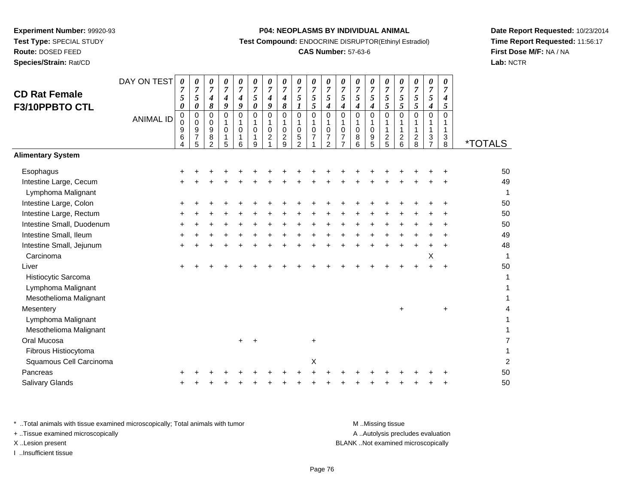**Route:** DOSED FEED

**Species/Strain:** Rat/CD

#### **P04: NEOPLASMS BY INDIVIDUAL ANIMAL**

**Test Compound:** ENDOCRINE DISRUPTOR(Ethinyl Estradiol)

## **CAS Number:** 57-63-6

**Date Report Requested:** 10/23/2014**Time Report Requested:** 11:56:17**First Dose M/F:** NA / NA**Lab:** NCTR

| <b>CD Rat Female</b><br>F3/10PPBTO CTL       | DAY ON TEST<br><b>ANIMAL ID</b> | $\pmb{\theta}$<br>7<br>5<br>0<br>$\pmb{0}$ | $\boldsymbol{\theta}$<br>7<br>5<br>0<br>$\mathbf 0$ | 0<br>$\overline{7}$<br>4<br>8<br>$\mathbf 0$ | 0<br>$\overline{7}$<br>4<br>9<br>0 | 0<br>7<br>$\boldsymbol{4}$<br>9<br>$\mathbf 0$ | 0<br>$\overline{7}$<br>5<br>$\boldsymbol{\theta}$<br>$\mathbf 0$ | $\pmb{\theta}$<br>$\overline{7}$<br>$\boldsymbol{4}$<br>9<br>$\mathbf 0$ | $\boldsymbol{\theta}$<br>$\overline{7}$<br>4<br>8<br>$\mathbf 0$ | 0<br>$\overline{7}$<br>5<br>$\boldsymbol{l}$<br>0 | $\pmb{\theta}$<br>$\overline{7}$<br>5<br>5<br>$\pmb{0}$ | $\boldsymbol{\theta}$<br>$\overline{7}$<br>5<br>$\boldsymbol{4}$<br>$\mathbf 0$ | 0<br>$\overline{7}$<br>5<br>4<br>$\mathbf 0$                    | 0<br>7<br>5<br>4<br>$\mathbf 0$ | 0<br>$\overline{7}$<br>5<br>4<br>$\mathbf 0$ | $\pmb{\theta}$<br>$\overline{7}$<br>5<br>5<br>$\mathbf 0$ | 0<br>$\overline{7}$<br>5<br>5<br>$\Omega$  | 0<br>$\overline{7}$<br>5<br>5<br>0 | $\pmb{\theta}$<br>$\overline{7}$<br>5<br>4<br>$\mathbf 0$ | 0<br>7<br>$\boldsymbol{4}$<br>5<br>$\mathbf 0$ |                       |
|----------------------------------------------|---------------------------------|--------------------------------------------|-----------------------------------------------------|----------------------------------------------|------------------------------------|------------------------------------------------|------------------------------------------------------------------|--------------------------------------------------------------------------|------------------------------------------------------------------|---------------------------------------------------|---------------------------------------------------------|---------------------------------------------------------------------------------|-----------------------------------------------------------------|---------------------------------|----------------------------------------------|-----------------------------------------------------------|--------------------------------------------|------------------------------------|-----------------------------------------------------------|------------------------------------------------|-----------------------|
|                                              |                                 | $\mathbf 0$<br>9<br>6<br>4                 | $\mathbf 0$<br>9<br>$\overline{7}$<br>5             | 0<br>9<br>8<br>$\overline{2}$                | 1<br>0<br>1<br>5                   | 1<br>$\mathbf 0$<br>1<br>6                     | 1<br>$\Omega$<br>1<br>9                                          | $\mathbf{1}$<br>$\mathbf 0$<br>$\overline{c}$                            | $\mathbf{1}$<br>$\pmb{0}$<br>$\overline{\mathbf{c}}$<br>9        | 1<br>0<br>5<br>$\overline{2}$                     | $\mathbf{1}$<br>$\mathbf 0$<br>$\overline{7}$           | 1<br>$\mathbf 0$<br>$\overline{7}$<br>$\overline{2}$                            | $\mathbf{1}$<br>$\mathbf 0$<br>$\overline{7}$<br>$\overline{7}$ | 1<br>0<br>8<br>6                | 1<br>$\mathbf 0$<br>9<br>5                   | $\mathbf{1}$<br>1<br>$\frac{2}{5}$                        | 1<br>$\mathbf{1}$<br>$\boldsymbol{2}$<br>6 | $\overline{\mathbf{c}}$<br>8       | 1<br>1<br>3<br>$\overline{7}$                             | 1<br>$\mathbf{1}$<br>$\mathbf{3}$<br>8         | <i><b>*TOTALS</b></i> |
| <b>Alimentary System</b>                     |                                 |                                            |                                                     |                                              |                                    |                                                |                                                                  |                                                                          |                                                                  |                                                   |                                                         |                                                                                 |                                                                 |                                 |                                              |                                                           |                                            |                                    |                                                           |                                                |                       |
| Esophagus                                    |                                 |                                            |                                                     |                                              |                                    |                                                |                                                                  |                                                                          |                                                                  |                                                   |                                                         |                                                                                 |                                                                 |                                 |                                              |                                                           |                                            |                                    |                                                           |                                                | 50                    |
| Intestine Large, Cecum<br>Lymphoma Malignant |                                 |                                            |                                                     |                                              |                                    |                                                |                                                                  |                                                                          |                                                                  |                                                   |                                                         |                                                                                 |                                                                 |                                 |                                              |                                                           |                                            |                                    |                                                           |                                                | 49<br>1               |
| Intestine Large, Colon                       |                                 |                                            |                                                     |                                              |                                    |                                                |                                                                  |                                                                          |                                                                  |                                                   |                                                         |                                                                                 |                                                                 |                                 |                                              |                                                           |                                            |                                    |                                                           |                                                | 50                    |
| Intestine Large, Rectum                      |                                 |                                            |                                                     |                                              |                                    |                                                |                                                                  |                                                                          |                                                                  |                                                   |                                                         |                                                                                 |                                                                 |                                 |                                              |                                                           |                                            |                                    |                                                           |                                                | 50                    |
| Intestine Small, Duodenum                    |                                 |                                            |                                                     |                                              |                                    |                                                |                                                                  |                                                                          |                                                                  |                                                   |                                                         |                                                                                 |                                                                 |                                 |                                              |                                                           |                                            |                                    |                                                           |                                                | 50                    |
| Intestine Small, Ileum                       |                                 |                                            |                                                     |                                              |                                    |                                                |                                                                  |                                                                          |                                                                  |                                                   |                                                         |                                                                                 |                                                                 |                                 |                                              |                                                           |                                            |                                    |                                                           |                                                | 49                    |
| Intestine Small, Jejunum                     |                                 |                                            |                                                     |                                              |                                    |                                                |                                                                  |                                                                          |                                                                  |                                                   |                                                         |                                                                                 |                                                                 |                                 |                                              |                                                           |                                            |                                    |                                                           |                                                | 48                    |
| Carcinoma                                    |                                 |                                            |                                                     |                                              |                                    |                                                |                                                                  |                                                                          |                                                                  |                                                   |                                                         |                                                                                 |                                                                 |                                 |                                              |                                                           |                                            |                                    | X                                                         |                                                | 1                     |
| Liver                                        |                                 |                                            |                                                     |                                              |                                    |                                                |                                                                  |                                                                          |                                                                  |                                                   |                                                         |                                                                                 |                                                                 |                                 |                                              |                                                           |                                            |                                    |                                                           |                                                | 50                    |
| Histiocytic Sarcoma                          |                                 |                                            |                                                     |                                              |                                    |                                                |                                                                  |                                                                          |                                                                  |                                                   |                                                         |                                                                                 |                                                                 |                                 |                                              |                                                           |                                            |                                    |                                                           |                                                | 1                     |
| Lymphoma Malignant                           |                                 |                                            |                                                     |                                              |                                    |                                                |                                                                  |                                                                          |                                                                  |                                                   |                                                         |                                                                                 |                                                                 |                                 |                                              |                                                           |                                            |                                    |                                                           |                                                |                       |
| Mesothelioma Malignant                       |                                 |                                            |                                                     |                                              |                                    |                                                |                                                                  |                                                                          |                                                                  |                                                   |                                                         |                                                                                 |                                                                 |                                 |                                              |                                                           |                                            |                                    |                                                           |                                                |                       |
| Mesentery                                    |                                 |                                            |                                                     |                                              |                                    |                                                |                                                                  |                                                                          |                                                                  |                                                   |                                                         |                                                                                 |                                                                 |                                 |                                              |                                                           | $\ddot{}$                                  |                                    |                                                           | $\ddot{}$                                      | 4                     |
| Lymphoma Malignant                           |                                 |                                            |                                                     |                                              |                                    |                                                |                                                                  |                                                                          |                                                                  |                                                   |                                                         |                                                                                 |                                                                 |                                 |                                              |                                                           |                                            |                                    |                                                           |                                                |                       |
| Mesothelioma Malignant                       |                                 |                                            |                                                     |                                              |                                    |                                                |                                                                  |                                                                          |                                                                  |                                                   |                                                         |                                                                                 |                                                                 |                                 |                                              |                                                           |                                            |                                    |                                                           |                                                |                       |
| Oral Mucosa                                  |                                 |                                            |                                                     |                                              |                                    |                                                |                                                                  |                                                                          |                                                                  |                                                   | $\ddot{}$                                               |                                                                                 |                                                                 |                                 |                                              |                                                           |                                            |                                    |                                                           |                                                | 7                     |
| Fibrous Histiocytoma                         |                                 |                                            |                                                     |                                              |                                    |                                                |                                                                  |                                                                          |                                                                  |                                                   |                                                         |                                                                                 |                                                                 |                                 |                                              |                                                           |                                            |                                    |                                                           |                                                | $\mathbf{1}$          |
| Squamous Cell Carcinoma                      |                                 |                                            |                                                     |                                              |                                    |                                                |                                                                  |                                                                          |                                                                  |                                                   | X                                                       |                                                                                 |                                                                 |                                 |                                              |                                                           |                                            |                                    |                                                           |                                                | $\overline{2}$        |
| Pancreas                                     |                                 |                                            |                                                     |                                              |                                    |                                                |                                                                  |                                                                          |                                                                  |                                                   |                                                         |                                                                                 |                                                                 |                                 |                                              |                                                           |                                            |                                    |                                                           |                                                | 50                    |
| <b>Salivary Glands</b>                       |                                 |                                            |                                                     |                                              |                                    |                                                |                                                                  |                                                                          |                                                                  |                                                   |                                                         |                                                                                 |                                                                 |                                 |                                              |                                                           |                                            |                                    |                                                           |                                                | 50                    |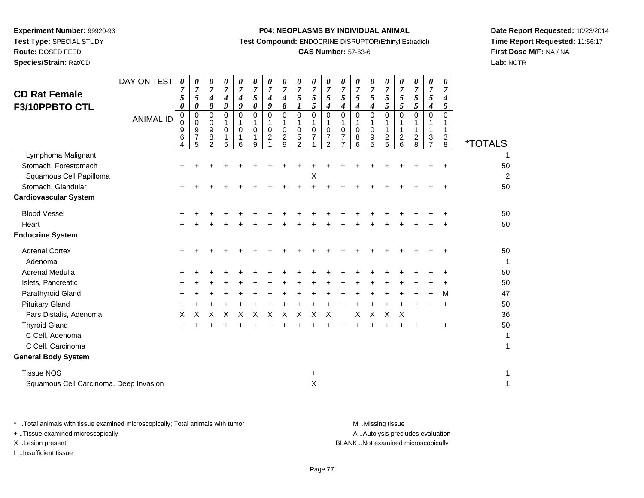**Route:** DOSED FEED

**Species/Strain:** Rat/CD

#### **P04: NEOPLASMS BY INDIVIDUAL ANIMAL**

**Test Compound:** ENDOCRINE DISRUPTOR(Ethinyl Estradiol)

## **CAS Number:** 57-63-6

**Date Report Requested:** 10/23/2014**Time Report Requested:** 11:56:17**First Dose M/F:** NA / NA**Lab:** NCTR

| <b>CD Rat Female</b><br>F3/10PPBTO CTL                                                                                                                                                                                                           | DAY ON TEST<br><b>ANIMAL ID</b> | $\pmb{\theta}$<br>7<br>5<br>0<br>0<br>0<br>9<br>6<br>4 | 0<br>$\overline{7}$<br>5<br>0<br>0<br>0<br>9<br>$\overline{7}$<br>5 | 0<br>$\overline{7}$<br>4<br>8<br>0<br>0<br>9<br>8<br>$\overline{2}$ | $\boldsymbol{\theta}$<br>$\overline{7}$<br>$\boldsymbol{4}$<br>$\boldsymbol{g}$<br>$\Omega$<br>$\mathbf 0$<br>1<br>5 | 0<br>$\overline{7}$<br>4<br>9<br>$\Omega$<br>$\Omega$<br>1<br>6 | $\boldsymbol{\theta}$<br>$\overline{7}$<br>5<br>0<br>$\Omega$<br>$\mathbf 0$<br>$\mathbf{1}$<br>9 | 0<br>$\overline{7}$<br>4<br>9<br>$\mathbf 0$<br>1<br>$\pmb{0}$<br>$\boldsymbol{2}$ | 0<br>$\overline{7}$<br>4<br>8<br>$\Omega$<br>$\mathbf 0$<br>$\overline{c}$<br>9 | 0<br>$\overline{7}$<br>5<br>1<br>$\mathbf 0$<br>$\pmb{0}$<br>$\mathbf 5$<br>$\overline{2}$ | 0<br>$\overline{7}$<br>$\mathfrak{s}$<br>5<br>$\mathbf 0$<br>1<br>$\pmb{0}$<br>$\overline{7}$ | 0<br>$\overline{7}$<br>5<br>4<br>$\Omega$<br>$\mathbf 0$<br>$\overline{7}$<br>2 | 0<br>$\overline{7}$<br>5<br>4<br>$\Omega$<br>$\mathbf 0$<br>7 | 0<br>$\overline{7}$<br>5<br>4<br>$\Omega$<br>$\mathbf 0$<br>8<br>6 | 0<br>$\overline{7}$<br>5<br>4<br>$\Omega$<br>0<br>9<br>5 | 0<br>$\overline{7}$<br>5<br>5<br>$\Omega$<br>$\mathbf{1}$<br>$\boldsymbol{2}$<br>5 | 0<br>$\overline{7}$<br>5<br>5<br>$\Omega$<br>$\mathbf{1}$<br>$\overline{c}$<br>6 | 0<br>$\overline{7}$<br>5<br>5<br>$\Omega$<br>1<br>$\boldsymbol{2}$<br>8 | 0<br>$\overline{7}$<br>5<br>4<br>$\Omega$<br>1<br>3<br>$\overline{7}$ | 0<br>7<br>4<br>5<br>$\Omega$<br>1<br>3<br>8 | <i><b>*TOTALS</b></i>                                 |
|--------------------------------------------------------------------------------------------------------------------------------------------------------------------------------------------------------------------------------------------------|---------------------------------|--------------------------------------------------------|---------------------------------------------------------------------|---------------------------------------------------------------------|----------------------------------------------------------------------------------------------------------------------|-----------------------------------------------------------------|---------------------------------------------------------------------------------------------------|------------------------------------------------------------------------------------|---------------------------------------------------------------------------------|--------------------------------------------------------------------------------------------|-----------------------------------------------------------------------------------------------|---------------------------------------------------------------------------------|---------------------------------------------------------------|--------------------------------------------------------------------|----------------------------------------------------------|------------------------------------------------------------------------------------|----------------------------------------------------------------------------------|-------------------------------------------------------------------------|-----------------------------------------------------------------------|---------------------------------------------|-------------------------------------------------------|
| Lymphoma Malignant<br>Stomach, Forestomach<br>Squamous Cell Papilloma<br>Stomach, Glandular<br><b>Cardiovascular System</b>                                                                                                                      |                                 | +                                                      |                                                                     |                                                                     |                                                                                                                      |                                                                 |                                                                                                   |                                                                                    |                                                                                 |                                                                                            | X                                                                                             |                                                                                 |                                                               |                                                                    |                                                          |                                                                                    |                                                                                  |                                                                         |                                                                       |                                             | 50<br>2<br>50                                         |
| <b>Blood Vessel</b><br>Heart<br><b>Endocrine System</b>                                                                                                                                                                                          |                                 | $\ddot{}$                                              |                                                                     |                                                                     |                                                                                                                      |                                                                 |                                                                                                   |                                                                                    |                                                                                 |                                                                                            |                                                                                               |                                                                                 |                                                               |                                                                    |                                                          |                                                                                    |                                                                                  |                                                                         |                                                                       |                                             | 50<br>50                                              |
| <b>Adrenal Cortex</b><br>Adenoma<br>Adrenal Medulla<br>Islets, Pancreatic<br>Parathyroid Gland<br><b>Pituitary Gland</b><br>Pars Distalis, Adenoma<br><b>Thyroid Gland</b><br>C Cell, Adenoma<br>C Cell, Carcinoma<br><b>General Body System</b> |                                 | ÷<br>÷<br>Χ<br>÷                                       | х                                                                   | X                                                                   | X                                                                                                                    | X                                                               | X                                                                                                 | X                                                                                  | X                                                                               | X                                                                                          | X                                                                                             | X                                                                               |                                                               | X                                                                  | X                                                        | X                                                                                  | X                                                                                |                                                                         |                                                                       | M<br>$\div$                                 | 50<br>1<br>50<br>50<br>47<br>50<br>36<br>50<br>1<br>1 |
| <b>Tissue NOS</b><br>Squamous Cell Carcinoma, Deep Invasion                                                                                                                                                                                      |                                 |                                                        |                                                                     |                                                                     |                                                                                                                      |                                                                 |                                                                                                   |                                                                                    |                                                                                 |                                                                                            | +<br>$\times$                                                                                 |                                                                                 |                                                               |                                                                    |                                                          |                                                                                    |                                                                                  |                                                                         |                                                                       |                                             | 1                                                     |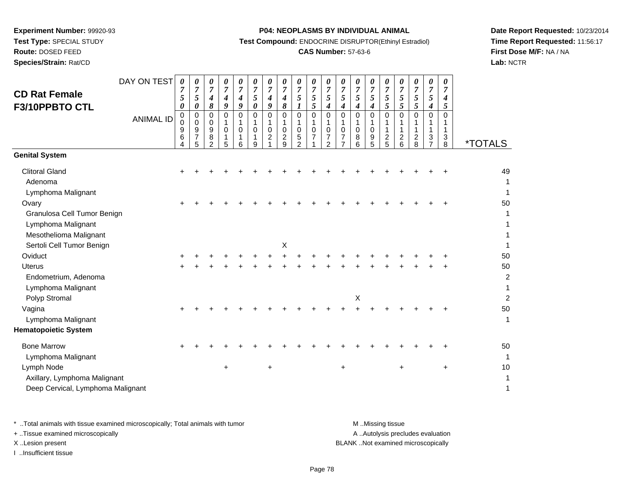**Route:** DOSED FEED

**Species/Strain:** Rat/CD

#### **P04: NEOPLASMS BY INDIVIDUAL ANIMAL**

**Test Compound:** ENDOCRINE DISRUPTOR(Ethinyl Estradiol)

## **CAS Number:** 57-63-6

**Date Report Requested:** 10/23/2014**Time Report Requested:** 11:56:17**First Dose M/F:** NA / NA**Lab:** NCTR

| <b>CD Rat Female</b><br>F3/10PPBTO CTL                                                                            | DAY ON TEST<br><b>ANIMAL ID</b> | 0<br>7<br>5<br>0<br>$\pmb{0}$<br>$\mathbf 0$<br>9<br>6<br>4 | 0<br>$\overline{7}$<br>5<br>0<br>$\pmb{0}$<br>0<br>9<br>$\boldsymbol{7}$<br>5 | 0<br>$\overline{7}$<br>$\boldsymbol{4}$<br>8<br>$\mathbf 0$<br>$\mathbf 0$<br>$\boldsymbol{9}$<br>$\bf 8$<br>$\overline{2}$ | 0<br>$\overline{7}$<br>$\boldsymbol{4}$<br>9<br>$\Omega$<br>1<br>$\mathbf 0$<br>5 | 0<br>$\overline{7}$<br>$\boldsymbol{4}$<br>9<br>0<br>1<br>$\mathbf 0$<br>1<br>6 | 0<br>$\boldsymbol{7}$<br>5<br>$\boldsymbol{\theta}$<br>$\Omega$<br>1<br>$\Omega$<br>1<br>9 | 0<br>$\overline{7}$<br>4<br>9<br>$\Omega$<br>$\mathbf 1$<br>0<br>$\overline{c}$ | 0<br>$\overline{7}$<br>4<br>$\pmb{8}$<br>$\mathbf 0$<br>1<br>$\pmb{0}$<br>$\overline{c}$<br>9 | 0<br>$\overline{7}$<br>5<br>$\boldsymbol{l}$<br>0<br>1<br>$\mathbf 0$<br>5<br>$\overline{2}$ | $\boldsymbol{\theta}$<br>$\boldsymbol{7}$<br>$\sqrt{5}$<br>5<br>$\mathbf 0$<br>$\mathbf{1}$<br>$\pmb{0}$<br>$\overline{7}$ | 0<br>$\overline{7}$<br>5<br>$\boldsymbol{4}$<br>$\Omega$<br>1<br>$\mathbf 0$<br>$\overline{\mathbf{7}}$<br>$\overline{2}$ | 0<br>$\overline{7}$<br>5<br>$\boldsymbol{4}$<br>$\mathbf 0$<br>$\mathbf 0$<br>$\overline{7}$ | 0<br>$\boldsymbol{7}$<br>5<br>4<br>$\mathbf 0$<br>1<br>0<br>8<br>6 | 0<br>$\boldsymbol{7}$<br>5<br>$\boldsymbol{4}$<br>$\mathbf 0$<br>1<br>$\mathbf 0$<br>9<br>5 | 0<br>$\boldsymbol{7}$<br>5<br>5<br>$\Omega$<br>1<br>$\mathbf{1}$<br>$\frac{2}{5}$ | 0<br>$\overline{7}$<br>$\sqrt{5}$<br>5<br>$\Omega$<br>1<br>$\boldsymbol{2}$<br>$6\phantom{1}$ | 0<br>$\overline{7}$<br>5<br>5<br>$\Omega$<br>$\overline{c}$<br>8 | 0<br>$\overline{7}$<br>$\mathfrak{s}$<br>4<br>$\mathbf 0$<br>1<br>1<br>3<br>$\overline{7}$ | 0<br>7<br>$\boldsymbol{4}$<br>5<br>$\Omega$<br>1<br>$\mathbf{1}$<br>3<br>8 | <i><b>*TOTALS</b></i>                |
|-------------------------------------------------------------------------------------------------------------------|---------------------------------|-------------------------------------------------------------|-------------------------------------------------------------------------------|-----------------------------------------------------------------------------------------------------------------------------|-----------------------------------------------------------------------------------|---------------------------------------------------------------------------------|--------------------------------------------------------------------------------------------|---------------------------------------------------------------------------------|-----------------------------------------------------------------------------------------------|----------------------------------------------------------------------------------------------|----------------------------------------------------------------------------------------------------------------------------|---------------------------------------------------------------------------------------------------------------------------|----------------------------------------------------------------------------------------------|--------------------------------------------------------------------|---------------------------------------------------------------------------------------------|-----------------------------------------------------------------------------------|-----------------------------------------------------------------------------------------------|------------------------------------------------------------------|--------------------------------------------------------------------------------------------|----------------------------------------------------------------------------|--------------------------------------|
| <b>Genital System</b>                                                                                             |                                 |                                                             |                                                                               |                                                                                                                             |                                                                                   |                                                                                 |                                                                                            |                                                                                 |                                                                                               |                                                                                              |                                                                                                                            |                                                                                                                           |                                                                                              |                                                                    |                                                                                             |                                                                                   |                                                                                               |                                                                  |                                                                                            |                                                                            |                                      |
| <b>Clitoral Gland</b><br>Adenoma<br>Lymphoma Malignant                                                            |                                 |                                                             |                                                                               |                                                                                                                             |                                                                                   |                                                                                 |                                                                                            |                                                                                 |                                                                                               |                                                                                              |                                                                                                                            |                                                                                                                           |                                                                                              |                                                                    |                                                                                             |                                                                                   |                                                                                               |                                                                  |                                                                                            |                                                                            | 49<br>1                              |
| Ovary<br>Granulosa Cell Tumor Benign<br>Lymphoma Malignant<br>Mesothelioma Malignant<br>Sertoli Cell Tumor Benign |                                 |                                                             |                                                                               |                                                                                                                             |                                                                                   |                                                                                 |                                                                                            |                                                                                 | Χ                                                                                             |                                                                                              |                                                                                                                            |                                                                                                                           |                                                                                              |                                                                    |                                                                                             |                                                                                   |                                                                                               |                                                                  |                                                                                            |                                                                            | 50<br>1<br>1<br>1<br>$\mathbf{1}$    |
| Oviduct                                                                                                           |                                 |                                                             |                                                                               |                                                                                                                             |                                                                                   |                                                                                 |                                                                                            |                                                                                 |                                                                                               |                                                                                              |                                                                                                                            |                                                                                                                           |                                                                                              |                                                                    |                                                                                             |                                                                                   |                                                                                               |                                                                  |                                                                                            |                                                                            | 50                                   |
| <b>Uterus</b><br>Endometrium, Adenoma<br>Lymphoma Malignant                                                       |                                 |                                                             |                                                                               |                                                                                                                             |                                                                                   |                                                                                 |                                                                                            |                                                                                 |                                                                                               |                                                                                              |                                                                                                                            |                                                                                                                           |                                                                                              |                                                                    |                                                                                             |                                                                                   |                                                                                               |                                                                  |                                                                                            |                                                                            | 50<br>$\overline{c}$<br>$\mathbf{1}$ |
| Polyp Stromal                                                                                                     |                                 |                                                             |                                                                               |                                                                                                                             |                                                                                   |                                                                                 |                                                                                            |                                                                                 |                                                                                               |                                                                                              |                                                                                                                            |                                                                                                                           |                                                                                              | X                                                                  |                                                                                             |                                                                                   |                                                                                               |                                                                  |                                                                                            |                                                                            | $\overline{2}$                       |
| Vagina<br>Lymphoma Malignant<br><b>Hematopoietic System</b>                                                       |                                 |                                                             |                                                                               |                                                                                                                             |                                                                                   |                                                                                 |                                                                                            |                                                                                 |                                                                                               |                                                                                              |                                                                                                                            |                                                                                                                           |                                                                                              |                                                                    |                                                                                             |                                                                                   |                                                                                               |                                                                  |                                                                                            |                                                                            | 50<br>1                              |
|                                                                                                                   |                                 |                                                             |                                                                               |                                                                                                                             |                                                                                   |                                                                                 |                                                                                            |                                                                                 |                                                                                               |                                                                                              |                                                                                                                            |                                                                                                                           |                                                                                              |                                                                    |                                                                                             |                                                                                   |                                                                                               |                                                                  |                                                                                            |                                                                            |                                      |
| <b>Bone Marrow</b><br>Lymphoma Malignant                                                                          |                                 |                                                             |                                                                               |                                                                                                                             |                                                                                   |                                                                                 |                                                                                            |                                                                                 |                                                                                               |                                                                                              |                                                                                                                            |                                                                                                                           |                                                                                              |                                                                    |                                                                                             |                                                                                   |                                                                                               |                                                                  |                                                                                            |                                                                            | 50<br>$\mathbf{1}$<br>10             |
| Lymph Node<br>Axillary, Lymphoma Malignant<br>Deep Cervical, Lymphoma Malignant                                   |                                 |                                                             |                                                                               |                                                                                                                             |                                                                                   |                                                                                 |                                                                                            | $\ddot{}$                                                                       |                                                                                               |                                                                                              |                                                                                                                            |                                                                                                                           | $\ddot{}$                                                                                    |                                                                    |                                                                                             |                                                                                   | +                                                                                             |                                                                  |                                                                                            | +                                                                          | $\mathbf{1}$<br>1                    |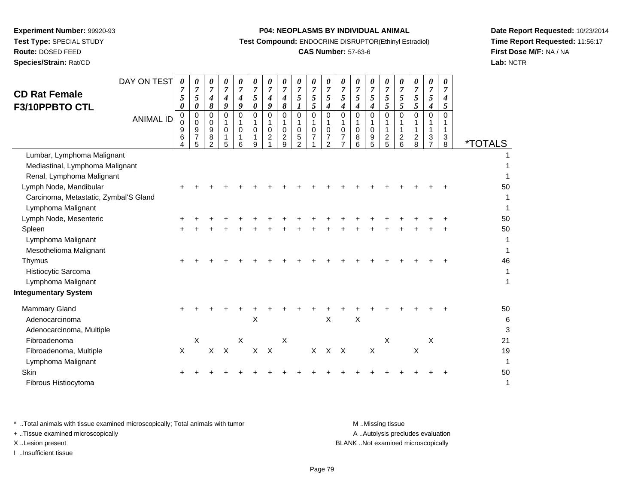**Experiment Number:** 99920-93**Test Type:** SPECIAL STUDY**Route:** DOSED FEED

# **Species/Strain:** Rat/CD

#### **P04: NEOPLASMS BY INDIVIDUAL ANIMAL**

**Test Compound:** ENDOCRINE DISRUPTOR(Ethinyl Estradiol)

## **CAS Number:** 57-63-6

**Date Report Requested:** 10/23/2014**Time Report Requested:** 11:56:17**First Dose M/F:** NA / NA**Lab:** NCTR

| <b>CD Rat Female</b><br>F3/10PPBTO CTL       | DAY ON TEST<br><b>ANIMAL ID</b> | 0<br>7<br>5<br>0<br>$\pmb{0}$<br>$\mathbf 0$<br>9<br>6 | 0<br>7<br>5<br>0<br>$\pmb{0}$<br>0<br>$\boldsymbol{9}$<br>$\overline{7}$ | 0<br>7<br>4<br>8<br>$\mathbf 0$<br>0<br>9<br>8 | 0<br>$\overline{7}$<br>4<br>9<br>$\Omega$<br>$\mathbf 0$<br>1 | 0<br>$\overline{7}$<br>$\boldsymbol{4}$<br>9<br>$\Omega$<br>$\mathbf 0$<br>1 | 0<br>$\overline{7}$<br>5<br>$\boldsymbol{\theta}$<br>$\Omega$<br>$\mathbf 0$<br>1 | 0<br>7<br>$\boldsymbol{4}$<br>9<br>$\Omega$<br>0<br>$\overline{2}$ | 0<br>$\overline{7}$<br>$\boldsymbol{4}$<br>8<br>$\Omega$<br>$\mathbf 0$<br>$\overline{2}$ | 0<br>$\overline{7}$<br>5<br>1<br>$\Omega$<br>$\mathbf 0$<br>5 | 0<br>$\overline{7}$<br>5<br>5<br>$\Omega$<br>$\mathbf 0$<br>$\overline{7}$ | 0<br>7<br>5<br>4<br>$\Omega$<br>$\mathbf 0$<br>7 | 0<br>$\overline{7}$<br>5<br>4<br>$\Omega$<br>0<br>7 | 0<br>$\overline{7}$<br>5<br>4<br>$\Omega$<br>$\mathbf 0$<br>8 | 0<br>$\overline{7}$<br>5<br>4<br>$\Omega$<br>$\mathbf 0$<br>9 | 0<br>7<br>5<br>5<br>$\overline{0}$<br>1<br>$\boldsymbol{2}$ | 0<br>$\overline{7}$<br>5<br>5<br>$\Omega$<br>$\mathbf{1}$<br>$\overline{c}$ | 0<br>7<br>5<br>$\mathfrak{F}$<br>$\Omega$<br>$\mathbf{1}$<br>$\overline{2}$ | 0<br>$\overline{7}$<br>5<br>$\boldsymbol{4}$<br>$\Omega$<br>1<br>3 | 0<br>$\overline{7}$<br>$\boldsymbol{4}$<br>5<br>$\Omega$<br>$\mathbf{1}$<br>3 |                       |
|----------------------------------------------|---------------------------------|--------------------------------------------------------|--------------------------------------------------------------------------|------------------------------------------------|---------------------------------------------------------------|------------------------------------------------------------------------------|-----------------------------------------------------------------------------------|--------------------------------------------------------------------|-------------------------------------------------------------------------------------------|---------------------------------------------------------------|----------------------------------------------------------------------------|--------------------------------------------------|-----------------------------------------------------|---------------------------------------------------------------|---------------------------------------------------------------|-------------------------------------------------------------|-----------------------------------------------------------------------------|-----------------------------------------------------------------------------|--------------------------------------------------------------------|-------------------------------------------------------------------------------|-----------------------|
|                                              |                                 | Δ                                                      | 5                                                                        | $\overline{2}$                                 | 5                                                             | 6                                                                            | 9                                                                                 |                                                                    | 9                                                                                         | $\overline{a}$                                                |                                                                            | 2                                                |                                                     | 6                                                             | 5                                                             | 5                                                           | 6                                                                           | 8                                                                           | $\overline{7}$                                                     | 8                                                                             | <i><b>*TOTALS</b></i> |
| Lumbar, Lymphoma Malignant                   |                                 |                                                        |                                                                          |                                                |                                                               |                                                                              |                                                                                   |                                                                    |                                                                                           |                                                               |                                                                            |                                                  |                                                     |                                                               |                                                               |                                                             |                                                                             |                                                                             |                                                                    |                                                                               |                       |
| Mediastinal, Lymphoma Malignant              |                                 |                                                        |                                                                          |                                                |                                                               |                                                                              |                                                                                   |                                                                    |                                                                                           |                                                               |                                                                            |                                                  |                                                     |                                                               |                                                               |                                                             |                                                                             |                                                                             |                                                                    |                                                                               |                       |
| Renal, Lymphoma Malignant                    |                                 |                                                        |                                                                          |                                                |                                                               |                                                                              |                                                                                   |                                                                    |                                                                                           |                                                               |                                                                            |                                                  |                                                     |                                                               |                                                               |                                                             |                                                                             |                                                                             |                                                                    |                                                                               |                       |
| Lymph Node, Mandibular                       |                                 |                                                        |                                                                          |                                                |                                                               |                                                                              |                                                                                   |                                                                    |                                                                                           |                                                               |                                                                            |                                                  |                                                     |                                                               |                                                               |                                                             |                                                                             |                                                                             |                                                                    |                                                                               | 50                    |
| Carcinoma, Metastatic, Zymbal'S Gland        |                                 |                                                        |                                                                          |                                                |                                                               |                                                                              |                                                                                   |                                                                    |                                                                                           |                                                               |                                                                            |                                                  |                                                     |                                                               |                                                               |                                                             |                                                                             |                                                                             |                                                                    |                                                                               |                       |
| Lymphoma Malignant<br>Lymph Node, Mesenteric |                                 |                                                        |                                                                          |                                                |                                                               |                                                                              |                                                                                   |                                                                    |                                                                                           |                                                               |                                                                            |                                                  |                                                     |                                                               |                                                               |                                                             |                                                                             |                                                                             |                                                                    |                                                                               | 50                    |
| Spleen                                       |                                 |                                                        |                                                                          |                                                |                                                               |                                                                              |                                                                                   |                                                                    |                                                                                           |                                                               |                                                                            |                                                  |                                                     |                                                               |                                                               |                                                             |                                                                             |                                                                             |                                                                    |                                                                               | 50                    |
| Lymphoma Malignant                           |                                 |                                                        |                                                                          |                                                |                                                               |                                                                              |                                                                                   |                                                                    |                                                                                           |                                                               |                                                                            |                                                  |                                                     |                                                               |                                                               |                                                             |                                                                             |                                                                             |                                                                    |                                                                               |                       |
| Mesothelioma Malignant                       |                                 |                                                        |                                                                          |                                                |                                                               |                                                                              |                                                                                   |                                                                    |                                                                                           |                                                               |                                                                            |                                                  |                                                     |                                                               |                                                               |                                                             |                                                                             |                                                                             |                                                                    |                                                                               |                       |
| Thymus                                       |                                 |                                                        |                                                                          |                                                |                                                               |                                                                              |                                                                                   |                                                                    |                                                                                           |                                                               |                                                                            |                                                  |                                                     |                                                               |                                                               |                                                             |                                                                             |                                                                             |                                                                    |                                                                               | 46                    |
| Histiocytic Sarcoma                          |                                 |                                                        |                                                                          |                                                |                                                               |                                                                              |                                                                                   |                                                                    |                                                                                           |                                                               |                                                                            |                                                  |                                                     |                                                               |                                                               |                                                             |                                                                             |                                                                             |                                                                    |                                                                               |                       |
| Lymphoma Malignant                           |                                 |                                                        |                                                                          |                                                |                                                               |                                                                              |                                                                                   |                                                                    |                                                                                           |                                                               |                                                                            |                                                  |                                                     |                                                               |                                                               |                                                             |                                                                             |                                                                             |                                                                    |                                                                               | 1                     |
| <b>Integumentary System</b>                  |                                 |                                                        |                                                                          |                                                |                                                               |                                                                              |                                                                                   |                                                                    |                                                                                           |                                                               |                                                                            |                                                  |                                                     |                                                               |                                                               |                                                             |                                                                             |                                                                             |                                                                    |                                                                               |                       |
| <b>Mammary Gland</b>                         |                                 |                                                        |                                                                          |                                                |                                                               |                                                                              |                                                                                   |                                                                    |                                                                                           |                                                               |                                                                            |                                                  |                                                     |                                                               |                                                               |                                                             |                                                                             |                                                                             |                                                                    |                                                                               | 50                    |
| Adenocarcinoma                               |                                 |                                                        |                                                                          |                                                |                                                               |                                                                              | X                                                                                 |                                                                    |                                                                                           |                                                               |                                                                            | $\times$                                         |                                                     | $\boldsymbol{\mathsf{X}}$                                     |                                                               |                                                             |                                                                             |                                                                             |                                                                    |                                                                               | 6                     |
| Adenocarcinoma, Multiple                     |                                 |                                                        |                                                                          |                                                |                                                               |                                                                              |                                                                                   |                                                                    |                                                                                           |                                                               |                                                                            |                                                  |                                                     |                                                               |                                                               |                                                             |                                                                             |                                                                             |                                                                    |                                                                               | 3                     |
| Fibroadenoma                                 |                                 |                                                        | X                                                                        |                                                |                                                               | $\times$                                                                     |                                                                                   |                                                                    | $\sf X$                                                                                   |                                                               |                                                                            |                                                  |                                                     |                                                               |                                                               | X                                                           |                                                                             |                                                                             | X                                                                  |                                                                               | 21                    |
| Fibroadenoma, Multiple                       |                                 | $\mathsf{X}$                                           |                                                                          | X                                              | $\mathsf{X}$                                                  |                                                                              | X                                                                                 | $\mathsf{X}$                                                       |                                                                                           |                                                               | $\times$                                                                   | $\mathsf{X}$                                     | $\mathsf{X}$                                        |                                                               | X                                                             |                                                             |                                                                             | $\boldsymbol{\mathsf{X}}$                                                   |                                                                    |                                                                               | 19                    |
| Lymphoma Malignant                           |                                 |                                                        |                                                                          |                                                |                                                               |                                                                              |                                                                                   |                                                                    |                                                                                           |                                                               |                                                                            |                                                  |                                                     |                                                               |                                                               |                                                             |                                                                             |                                                                             |                                                                    |                                                                               | 1                     |
| Skin                                         |                                 |                                                        |                                                                          |                                                |                                                               |                                                                              |                                                                                   |                                                                    |                                                                                           |                                                               |                                                                            |                                                  |                                                     |                                                               |                                                               |                                                             |                                                                             |                                                                             |                                                                    |                                                                               | 50                    |
| Fibrous Histiocytoma                         |                                 |                                                        |                                                                          |                                                |                                                               |                                                                              |                                                                                   |                                                                    |                                                                                           |                                                               |                                                                            |                                                  |                                                     |                                                               |                                                               |                                                             |                                                                             |                                                                             |                                                                    |                                                                               | 1                     |
|                                              |                                 |                                                        |                                                                          |                                                |                                                               |                                                                              |                                                                                   |                                                                    |                                                                                           |                                                               |                                                                            |                                                  |                                                     |                                                               |                                                               |                                                             |                                                                             |                                                                             |                                                                    |                                                                               |                       |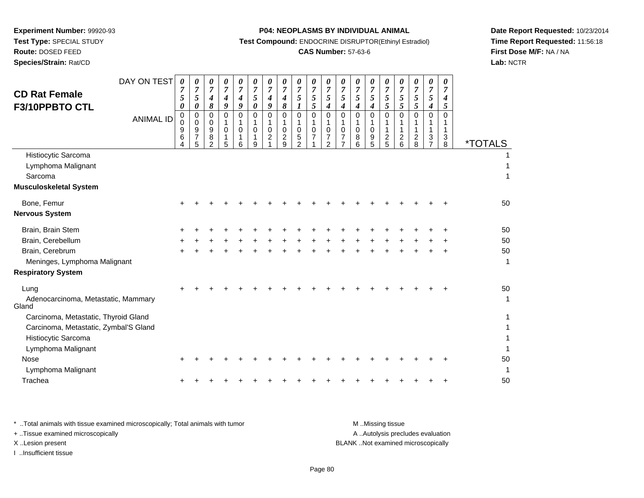# **Route:** DOSED FEED

**Species/Strain:** Rat/CD

#### **P04: NEOPLASMS BY INDIVIDUAL ANIMAL**

**Test Compound:** ENDOCRINE DISRUPTOR(Ethinyl Estradiol)

## **CAS Number:** 57-63-6

**Date Report Requested:** 10/23/2014**Time Report Requested:** 11:56:18**First Dose M/F:** NA / NA**Lab:** NCTR

| <b>CD Rat Female</b><br>F3/10PPBTO CTL                                                                                                                                             | DAY ON TEST<br><b>ANIMAL ID</b> | 0<br>7<br>5<br>0<br>$\mathbf 0$<br>0<br>9<br>6 | $\boldsymbol{\theta}$<br>$\overline{7}$<br>5<br>0<br>$\mathbf 0$<br>$\mathbf 0$<br>9<br>$\overline{7}$<br>5 | $\theta$<br>$\overline{7}$<br>4<br>8<br>$\Omega$<br>0<br>9<br>8<br>$\overline{2}$ | 0<br>$\overline{7}$<br>$\boldsymbol{4}$<br>9<br>$\Omega$<br>$\Omega$<br>5 | $\theta$<br>$\boldsymbol{7}$<br>4<br>9<br>$\Omega$<br>$\Omega$<br>6 | 0<br>$\boldsymbol{7}$<br>5<br>$\pmb{\theta}$<br>$\Omega$<br>$\Omega$<br>9 | $\boldsymbol{\theta}$<br>$\overline{7}$<br>$\boldsymbol{4}$<br>9<br>$\mathbf 0$<br>$\mathbf{1}$<br>$\mathbf 0$<br>$\overline{c}$ | 0<br>$\overline{7}$<br>$\boldsymbol{4}$<br>8<br>$\mathbf 0$<br>1<br>$\mathbf 0$<br>$\overline{\mathbf{c}}$<br>9 | 0<br>$\boldsymbol{7}$<br>5<br>$\boldsymbol{l}$<br>$\mathbf 0$<br>$\mathbf{1}$<br>$\mathbf 0$<br>5<br>$\overline{2}$ | 0<br>$\overline{7}$<br>5<br>5<br>0<br>1<br>$\mathbf 0$ | 0<br>$\overline{7}$<br>$\overline{5}$<br>$\boldsymbol{4}$<br>$\mathbf 0$<br>1<br>$\mathbf 0$<br>7<br>$\mathcal{P}$ | $\theta$<br>$\overline{7}$<br>5<br>4<br>$\Omega$<br>-1<br>0<br>$\overline{7}$<br>$\overline{7}$ | 0<br>$\overline{7}$<br>5<br>4<br>$\Omega$<br>0<br>8<br>6 | 0<br>$\overline{7}$<br>5<br>4<br>$\Omega$<br>$\mathbf 0$<br>$\frac{9}{5}$ | $\boldsymbol{\theta}$<br>$\overline{7}$<br>5<br>5<br>$\Omega$<br>1<br>$\frac{2}{5}$ | 0<br>$\overline{7}$<br>$\mathfrak{s}$<br>$\mathfrak{s}$<br>$\Omega$<br>1<br>$\boldsymbol{2}$<br>$6\phantom{a}$ | 0<br>$\overline{7}$<br>5<br>$\sqrt{5}$<br>$\Omega$<br>$\mathbf{1}$<br>$\overline{\mathbf{c}}$<br>8 | 0<br>$\overline{7}$<br>5<br>4<br>$\mathbf 0$<br>1<br>1<br>$\boldsymbol{3}$<br>$\overline{7}$ | $\theta$<br>$\overline{\mathcal{I}}$<br>4<br>5<br>$\Omega$<br>1<br>3<br>8 | <i><b>*TOTALS</b></i>          |
|------------------------------------------------------------------------------------------------------------------------------------------------------------------------------------|---------------------------------|------------------------------------------------|-------------------------------------------------------------------------------------------------------------|-----------------------------------------------------------------------------------|---------------------------------------------------------------------------|---------------------------------------------------------------------|---------------------------------------------------------------------------|----------------------------------------------------------------------------------------------------------------------------------|-----------------------------------------------------------------------------------------------------------------|---------------------------------------------------------------------------------------------------------------------|--------------------------------------------------------|--------------------------------------------------------------------------------------------------------------------|-------------------------------------------------------------------------------------------------|----------------------------------------------------------|---------------------------------------------------------------------------|-------------------------------------------------------------------------------------|----------------------------------------------------------------------------------------------------------------|----------------------------------------------------------------------------------------------------|----------------------------------------------------------------------------------------------|---------------------------------------------------------------------------|--------------------------------|
| Histiocytic Sarcoma<br>Lymphoma Malignant<br>Sarcoma<br><b>Musculoskeletal System</b>                                                                                              |                                 |                                                |                                                                                                             |                                                                                   |                                                                           |                                                                     |                                                                           |                                                                                                                                  |                                                                                                                 |                                                                                                                     |                                                        |                                                                                                                    |                                                                                                 |                                                          |                                                                           |                                                                                     |                                                                                                                |                                                                                                    |                                                                                              |                                                                           | 1<br>1                         |
| Bone, Femur<br><b>Nervous System</b>                                                                                                                                               |                                 |                                                |                                                                                                             |                                                                                   |                                                                           |                                                                     |                                                                           |                                                                                                                                  |                                                                                                                 |                                                                                                                     |                                                        |                                                                                                                    |                                                                                                 |                                                          |                                                                           |                                                                                     |                                                                                                                |                                                                                                    |                                                                                              |                                                                           | 50                             |
| Brain, Brain Stem<br>Brain, Cerebellum<br>Brain, Cerebrum<br>Meninges, Lymphoma Malignant<br><b>Respiratory System</b>                                                             |                                 |                                                |                                                                                                             |                                                                                   |                                                                           |                                                                     |                                                                           |                                                                                                                                  |                                                                                                                 |                                                                                                                     |                                                        |                                                                                                                    |                                                                                                 |                                                          |                                                                           |                                                                                     |                                                                                                                |                                                                                                    |                                                                                              |                                                                           | 50<br>50<br>50<br>$\mathbf{1}$ |
| Lung<br>Adenocarcinoma, Metastatic, Mammary<br>Gland<br>Carcinoma, Metastatic, Thyroid Gland<br>Carcinoma, Metastatic, Zymbal'S Gland<br>Histiocytic Sarcoma<br>Lymphoma Malignant |                                 |                                                |                                                                                                             |                                                                                   |                                                                           |                                                                     |                                                                           |                                                                                                                                  |                                                                                                                 |                                                                                                                     |                                                        |                                                                                                                    |                                                                                                 |                                                          |                                                                           |                                                                                     |                                                                                                                |                                                                                                    |                                                                                              |                                                                           | 50<br>$\mathbf{1}$             |
| <b>Nose</b><br>Lymphoma Malignant<br>Trachea                                                                                                                                       |                                 |                                                |                                                                                                             |                                                                                   |                                                                           |                                                                     |                                                                           |                                                                                                                                  |                                                                                                                 |                                                                                                                     |                                                        |                                                                                                                    |                                                                                                 |                                                          |                                                                           |                                                                                     |                                                                                                                |                                                                                                    |                                                                                              |                                                                           | 50<br>$\mathbf 1$<br>50        |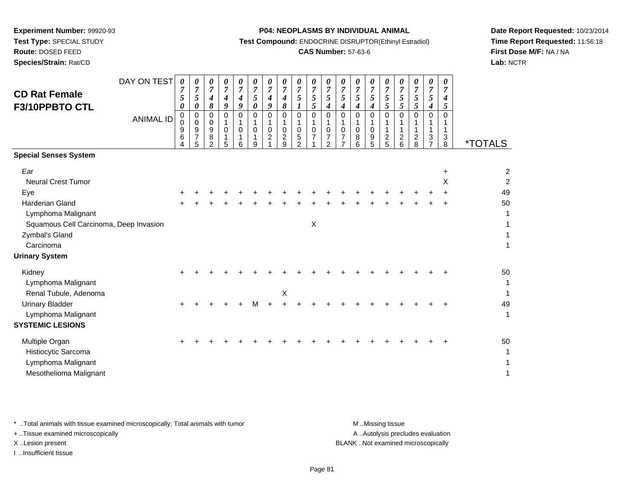**Route:** DOSED FEED

**Species/Strain:** Rat/CD

#### **P04: NEOPLASMS BY INDIVIDUAL ANIMAL**

**Test Compound:** ENDOCRINE DISRUPTOR(Ethinyl Estradiol)

## **CAS Number:** 57-63-6

**Date Report Requested:** 10/23/2014**Time Report Requested:** 11:56:18**First Dose M/F:** NA / NA**Lab:** NCTR

| <b>CD Rat Female</b><br>F3/10PPBTO CTL                                                                                                                                                    | DAY ON TEST<br><b>ANIMAL ID</b> | 0<br>7<br>5<br>0<br>$\pmb{0}$<br>0<br>9<br>6<br>Δ | 0<br>$\overline{7}$<br>5<br>0<br>0<br>0<br>9<br>$\overline{7}$<br>5 | 0<br>$\boldsymbol{7}$<br>4<br>8<br>$\Omega$<br>0<br>9<br>8<br>$\mathcal{P}$ | 0<br>$\overline{7}$<br>$\boldsymbol{4}$<br>9<br>$\Omega$<br>1<br>$\mathbf 0$<br>1<br>5 | 0<br>$\overline{7}$<br>4<br>9<br>$\Omega$<br>1<br>$\Omega$<br>1<br>6 | 0<br>$\boldsymbol{7}$<br>$\mathfrak{s}$<br>$\boldsymbol{\theta}$<br>$\Omega$<br>$\mathbf 0$<br>9 | 0<br>$\overline{7}$<br>4<br>9<br>0<br>1<br>0<br>$\overline{c}$ | 0<br>$\overline{7}$<br>4<br>$\pmb{8}$<br>$\mathbf 0$<br>1<br>$\mathbf 0$<br>$\overline{c}$<br>9 | 0<br>$\overline{7}$<br>5<br>$\boldsymbol{l}$<br>$\mathbf 0$<br>$\mathbf{1}$<br>$\mathbf 0$<br>5<br>$\mathcal{P}$ | 0<br>$\boldsymbol{7}$<br>5<br>5<br>$\mathbf 0$<br>1<br>$\mathbf 0$<br>$\overline{7}$ | 0<br>$\overline{7}$<br>5<br>4<br>$\Omega$<br>1<br>0<br>7<br>$\mathcal{P}$ | 0<br>$\overline{7}$<br>$\mathfrak{s}$<br>4<br>0<br>1<br>0<br>7<br>$\overline{7}$ | 0<br>$\overline{7}$<br>5<br>4<br>$\Omega$<br>0<br>8<br>6 | 0<br>$\overline{7}$<br>5<br>4<br>$\Omega$<br>1<br>0<br>9<br>5 | 0<br>$\overline{7}$<br>5<br>5<br>$\Omega$<br>1<br>1<br>$\boldsymbol{2}$<br>5 | 0<br>$\overline{7}$<br>5<br>$5\overline{)}$<br>$\Omega$<br>1<br>$\overline{c}$<br>6 | 0<br>$\overline{7}$<br>$\mathfrak{s}$<br>$\mathfrak{s}$<br>$\Omega$<br>1<br>$\overline{c}$<br>8 | 0<br>$\overline{7}$<br>5<br>$\boldsymbol{4}$<br>$\Omega$<br>1<br>3<br>$\overline{7}$ | 0<br>$\overline{7}$<br>$\boldsymbol{4}$<br>5<br>$\Omega$<br>1<br>3<br>8 | <i><b>*TOTALS</b></i>                                       |
|-------------------------------------------------------------------------------------------------------------------------------------------------------------------------------------------|---------------------------------|---------------------------------------------------|---------------------------------------------------------------------|-----------------------------------------------------------------------------|----------------------------------------------------------------------------------------|----------------------------------------------------------------------|--------------------------------------------------------------------------------------------------|----------------------------------------------------------------|-------------------------------------------------------------------------------------------------|------------------------------------------------------------------------------------------------------------------|--------------------------------------------------------------------------------------|---------------------------------------------------------------------------|----------------------------------------------------------------------------------|----------------------------------------------------------|---------------------------------------------------------------|------------------------------------------------------------------------------|-------------------------------------------------------------------------------------|-------------------------------------------------------------------------------------------------|--------------------------------------------------------------------------------------|-------------------------------------------------------------------------|-------------------------------------------------------------|
| <b>Special Senses System</b>                                                                                                                                                              |                                 |                                                   |                                                                     |                                                                             |                                                                                        |                                                                      |                                                                                                  |                                                                |                                                                                                 |                                                                                                                  |                                                                                      |                                                                           |                                                                                  |                                                          |                                                               |                                                                              |                                                                                     |                                                                                                 |                                                                                      |                                                                         |                                                             |
| Ear<br><b>Neural Crest Tumor</b><br>Eye<br><b>Harderian Gland</b><br>Lymphoma Malignant<br>Squamous Cell Carcinoma, Deep Invasion<br>Zymbal's Gland<br>Carcinoma<br><b>Urinary System</b> |                                 |                                                   |                                                                     |                                                                             |                                                                                        |                                                                      |                                                                                                  |                                                                |                                                                                                 |                                                                                                                  | $\mathsf X$                                                                          |                                                                           |                                                                                  |                                                          |                                                               |                                                                              |                                                                                     |                                                                                                 |                                                                                      | $\ddot{}$<br>X                                                          | $\overline{c}$<br>$\overline{2}$<br>49<br>50<br>1<br>1<br>1 |
| Kidney<br>Lymphoma Malignant<br>Renal Tubule, Adenoma<br><b>Urinary Bladder</b><br>Lymphoma Malignant<br><b>SYSTEMIC LESIONS</b>                                                          |                                 |                                                   |                                                                     |                                                                             |                                                                                        |                                                                      | м                                                                                                |                                                                | X                                                                                               |                                                                                                                  |                                                                                      |                                                                           |                                                                                  |                                                          |                                                               |                                                                              |                                                                                     |                                                                                                 |                                                                                      |                                                                         | 50<br>1<br>$\mathbf{1}$<br>49<br>$\mathbf{1}$               |
| Multiple Organ<br>Histiocytic Sarcoma<br>Lymphoma Malignant<br>Mesothelioma Malignant                                                                                                     |                                 |                                                   |                                                                     |                                                                             |                                                                                        |                                                                      |                                                                                                  |                                                                |                                                                                                 |                                                                                                                  |                                                                                      |                                                                           |                                                                                  |                                                          |                                                               |                                                                              |                                                                                     |                                                                                                 |                                                                                      |                                                                         | 50<br>1<br>1<br>1                                           |

\* ..Total animals with tissue examined microscopically; Total animals with tumor **M** . Missing tissue M ..Missing tissue

+ ..Tissue examined microscopically

I ..Insufficient tissue

A ..Autolysis precludes evaluation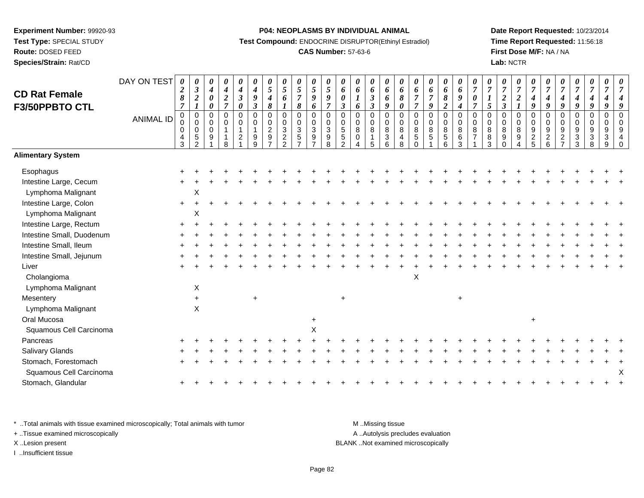**Route:** DOSED FEED

**Species/Strain:** Rat/CD

#### **P04: NEOPLASMS BY INDIVIDUAL ANIMAL**

**Test Compound:** ENDOCRINE DISRUPTOR(Ethinyl Estradiol)

## **CAS Number:** 57-63-6

**Date Report Requested:** 10/23/2014**Time Report Requested:** 11:56:18**First Dose M/F:** NA / NA**Lab:** NCTR

| <b>CD Rat Female</b>      | DAY ON TEST      | $\boldsymbol{\theta}$<br>$\boldsymbol{2}$ | 0<br>$\boldsymbol{\beta}$                                   | 0<br>4                       | 0<br>$\boldsymbol{4}$                 | 0<br>$\boldsymbol{4}$                           | 0<br>$\boldsymbol{4}$         | 0<br>$\mathfrak{s}$                             | 0<br>$\overline{5}$                                      | 0<br>$5\overline{)}$  | $\pmb{\theta}$<br>$\mathfrak{I}$         | 0<br>$\mathfrak{H}$                           | 0<br>6                                                          | 0<br>6                               | 0<br>6                            | 0<br>6                                             | 0<br>6                        | 0<br>6                                           | 0<br>6                               | $\boldsymbol{\theta}$<br>6               | $\boldsymbol{\theta}$<br>$\boldsymbol{6}$ | 0<br>$\boldsymbol{7}$            | 0<br>$\overline{7}$                           | 0<br>$\overline{7}$                              | 0<br>$\boldsymbol{7}$      | 0<br>$\overline{7}$        | 0<br>$\overline{7}$               | $\boldsymbol{\theta}$<br>$\overline{7}$                    | 0<br>$\overline{7}$   | 0<br>$\boldsymbol{7}$                    | 0<br>$\overline{7}$                                                       |  |
|---------------------------|------------------|-------------------------------------------|-------------------------------------------------------------|------------------------------|---------------------------------------|-------------------------------------------------|-------------------------------|-------------------------------------------------|----------------------------------------------------------|-----------------------|------------------------------------------|-----------------------------------------------|-----------------------------------------------------------------|--------------------------------------|-----------------------------------|----------------------------------------------------|-------------------------------|--------------------------------------------------|--------------------------------------|------------------------------------------|-------------------------------------------|----------------------------------|-----------------------------------------------|--------------------------------------------------|----------------------------|----------------------------|-----------------------------------|------------------------------------------------------------|-----------------------|------------------------------------------|---------------------------------------------------------------------------|--|
|                           |                  | 8<br>$\overline{7}$                       | $\sqrt{2}$                                                  | $\boldsymbol{\theta}$        | $\boldsymbol{2}$<br>$\overline{\tau}$ | $\boldsymbol{\beta}$                            | 9                             | $\boldsymbol{4}$                                | 6                                                        | $\boldsymbol{7}$      | $\boldsymbol{g}$                         | $\boldsymbol{g}$<br>$\overline{7}$            | 0                                                               |                                      | $\mathfrak{z}$                    | 6                                                  | 8                             | $\overline{7}$                                   | $\overline{7}$                       | $\pmb{8}$                                | $\boldsymbol{9}$                          | $\pmb{\theta}$<br>$\overline{7}$ | 1                                             | $\boldsymbol{2}$                                 | $\boldsymbol{2}$           | $\boldsymbol{4}$           | 4                                 | 4                                                          | 4<br>$\boldsymbol{q}$ | $\boldsymbol{4}$<br>$\boldsymbol{q}$     | 4                                                                         |  |
| F3/50PPBTO CTL            |                  | $\mathbf 0$                               | $\boldsymbol{l}$<br>$\pmb{0}$                               | 0<br>$\Omega$                | $\Omega$                              | 0<br>$\mathbf 0$                                | $\mathfrak{z}$<br>$\mathbf 0$ | $\boldsymbol{\delta}$<br>$\pmb{0}$              | $\boldsymbol{l}$<br>$\mathsf 0$                          | 8<br>$\pmb{0}$        | 6<br>$\mbox{O}$                          | $\mathsf 0$                                   | 3<br>$\Omega$                                                   | 6<br>$\Omega$                        | $\overline{\mathbf{3}}$<br>0      | 9<br>$\mathbf 0$                                   | $\pmb{\theta}$<br>$\mathbf 0$ | $\overline{7}$<br>$\mathsf 0$                    | 9<br>$\pmb{0}$                       | $\overline{2}$<br>$\pmb{0}$              | $\boldsymbol{4}$<br>$\pmb{0}$             | $\mathbf 0$                      | 5<br>$\Omega$                                 | $\overline{\mathbf{3}}$<br>$\mathbf 0$           | $\boldsymbol{l}$<br>0      | 9<br>$\mathbf 0$           | 9<br>$\mathbf 0$                  | $\boldsymbol{g}$<br>$\Omega$                               | $\mathbf 0$           | $\pmb{0}$                                | 9<br>$\pmb{0}$                                                            |  |
|                           | <b>ANIMAL ID</b> | 0<br>$\pmb{0}$<br>4<br>3                  | $\mathbf 0$<br>$\mathbf 0$<br>$\mathbf 5$<br>$\mathfrak{p}$ | $\Omega$<br>$\mathbf 0$<br>9 | $\Omega$<br>R                         | $\mathbf 0$<br>$\mathbf{1}$<br>$\boldsymbol{2}$ | $\mathbf 0$<br>9<br>9         | $\pmb{0}$<br>$\overline{c}$<br>$\boldsymbol{9}$ | $\mathbf 0$<br>$\sqrt{3}$<br>$\sqrt{2}$<br>$\mathcal{L}$ | $\mathbf 0$<br>3<br>5 | $\bar{0}$<br>$\sqrt{3}$<br>$\frac{9}{7}$ | $\mathsf{O}\xspace$<br>$\mathbf{3}$<br>9<br>8 | $\mathbf 0$<br>$5\phantom{.0}$<br>$\,$ 5 $\,$<br>$\mathfrak{p}$ | $\mathbf 0$<br>$\, 8$<br>$\mathbf 0$ | 0<br>$\,8\,$<br>$\mathbf{1}$<br>5 | $\mathbf 0$<br>8<br>$\ensuremath{\mathsf{3}}$<br>6 | 0<br>8<br>4<br>8              | $\mathbf 0$<br>$\bf 8$<br>$\sqrt{5}$<br>$\Omega$ | $\mathbf 0$<br>$\bf 8$<br>$\sqrt{5}$ | $\pmb{0}$<br>$\,8\,$<br>$\,$ 5 $\,$<br>6 | $\pmb{0}$<br>8<br>$\,6\,$<br>3            | $\mathbf 0$<br>$\,8\,$<br>7      | $\Omega$<br>8<br>$\,$ 8 $\,$<br>$\mathcal{R}$ | $\mathbf 0$<br>8<br>$\boldsymbol{9}$<br>$\Omega$ | 0<br>8<br>$\boldsymbol{9}$ | $\pmb{0}$<br>$\frac{9}{2}$ | $\mathbf 0$<br>9<br>$\frac{2}{6}$ | $\Omega$<br>9<br>$\overline{\mathbf{c}}$<br>$\overline{ }$ | 0<br>9<br>3<br>3      | 0<br>$\boldsymbol{9}$<br>$\sqrt{3}$<br>8 | $\mathsf{O}\xspace$<br>$\boldsymbol{9}$<br>$\ensuremath{\mathsf{3}}$<br>9 |  |
| <b>Alimentary System</b>  |                  |                                           |                                                             |                              |                                       |                                                 |                               |                                                 |                                                          |                       |                                          |                                               |                                                                 |                                      |                                   |                                                    |                               |                                                  |                                      |                                          |                                           |                                  |                                               |                                                  |                            |                            |                                   |                                                            |                       |                                          |                                                                           |  |
| Esophagus                 |                  |                                           |                                                             |                              |                                       |                                                 |                               |                                                 |                                                          |                       |                                          |                                               |                                                                 |                                      |                                   |                                                    |                               |                                                  |                                      |                                          |                                           |                                  |                                               |                                                  |                            |                            |                                   |                                                            |                       |                                          |                                                                           |  |
| Intestine Large, Cecum    |                  |                                           |                                                             |                              |                                       |                                                 |                               |                                                 |                                                          |                       |                                          |                                               |                                                                 |                                      |                                   |                                                    |                               |                                                  |                                      |                                          |                                           |                                  |                                               |                                                  |                            |                            |                                   |                                                            |                       |                                          |                                                                           |  |
| Lymphoma Malignant        |                  |                                           | X                                                           |                              |                                       |                                                 |                               |                                                 |                                                          |                       |                                          |                                               |                                                                 |                                      |                                   |                                                    |                               |                                                  |                                      |                                          |                                           |                                  |                                               |                                                  |                            |                            |                                   |                                                            |                       |                                          |                                                                           |  |
| Intestine Large, Colon    |                  |                                           |                                                             |                              |                                       |                                                 |                               |                                                 |                                                          |                       |                                          |                                               |                                                                 |                                      |                                   |                                                    |                               |                                                  |                                      |                                          |                                           |                                  |                                               |                                                  |                            |                            |                                   |                                                            |                       |                                          |                                                                           |  |
| Lymphoma Malignant        |                  |                                           | X                                                           |                              |                                       |                                                 |                               |                                                 |                                                          |                       |                                          |                                               |                                                                 |                                      |                                   |                                                    |                               |                                                  |                                      |                                          |                                           |                                  |                                               |                                                  |                            |                            |                                   |                                                            |                       |                                          |                                                                           |  |
| Intestine Large, Rectum   |                  |                                           |                                                             |                              |                                       |                                                 |                               |                                                 |                                                          |                       |                                          |                                               |                                                                 |                                      |                                   |                                                    |                               |                                                  |                                      |                                          |                                           |                                  |                                               |                                                  |                            |                            |                                   |                                                            |                       |                                          |                                                                           |  |
| Intestine Small, Duodenum |                  |                                           |                                                             |                              |                                       |                                                 |                               |                                                 |                                                          |                       |                                          |                                               |                                                                 |                                      |                                   |                                                    |                               |                                                  |                                      |                                          |                                           |                                  |                                               |                                                  |                            |                            |                                   |                                                            |                       |                                          |                                                                           |  |
| Intestine Small, Ileum    |                  |                                           |                                                             |                              |                                       |                                                 |                               |                                                 |                                                          |                       |                                          |                                               |                                                                 |                                      |                                   |                                                    |                               |                                                  |                                      |                                          |                                           |                                  |                                               |                                                  |                            |                            |                                   |                                                            |                       |                                          |                                                                           |  |
| Intestine Small, Jejunum  |                  |                                           |                                                             |                              |                                       |                                                 |                               |                                                 |                                                          |                       |                                          |                                               |                                                                 |                                      |                                   |                                                    |                               |                                                  |                                      |                                          |                                           |                                  |                                               |                                                  |                            |                            |                                   |                                                            |                       |                                          |                                                                           |  |
| Liver                     |                  |                                           |                                                             |                              |                                       |                                                 |                               |                                                 |                                                          |                       |                                          |                                               |                                                                 |                                      |                                   |                                                    |                               |                                                  |                                      |                                          |                                           |                                  |                                               |                                                  |                            |                            |                                   |                                                            |                       |                                          |                                                                           |  |
| Cholangioma               |                  |                                           |                                                             |                              |                                       |                                                 |                               |                                                 |                                                          |                       |                                          |                                               |                                                                 |                                      |                                   |                                                    |                               | X                                                |                                      |                                          |                                           |                                  |                                               |                                                  |                            |                            |                                   |                                                            |                       |                                          |                                                                           |  |
| Lymphoma Malignant        |                  |                                           | X                                                           |                              |                                       |                                                 |                               |                                                 |                                                          |                       |                                          |                                               |                                                                 |                                      |                                   |                                                    |                               |                                                  |                                      |                                          |                                           |                                  |                                               |                                                  |                            |                            |                                   |                                                            |                       |                                          |                                                                           |  |
| Mesentery                 |                  |                                           | $\ddot{}$                                                   |                              |                                       |                                                 | $\pm$                         |                                                 |                                                          |                       |                                          |                                               | $\ddot{}$                                                       |                                      |                                   |                                                    |                               |                                                  |                                      |                                          | $\ddot{}$                                 |                                  |                                               |                                                  |                            |                            |                                   |                                                            |                       |                                          |                                                                           |  |
| Lymphoma Malignant        |                  |                                           | X                                                           |                              |                                       |                                                 |                               |                                                 |                                                          |                       |                                          |                                               |                                                                 |                                      |                                   |                                                    |                               |                                                  |                                      |                                          |                                           |                                  |                                               |                                                  |                            |                            |                                   |                                                            |                       |                                          |                                                                           |  |
| Oral Mucosa               |                  |                                           |                                                             |                              |                                       |                                                 |                               |                                                 |                                                          |                       |                                          |                                               |                                                                 |                                      |                                   |                                                    |                               |                                                  |                                      |                                          |                                           |                                  |                                               |                                                  |                            | $\pm$                      |                                   |                                                            |                       |                                          |                                                                           |  |
| Squamous Cell Carcinoma   |                  |                                           |                                                             |                              |                                       |                                                 |                               |                                                 |                                                          |                       | X                                        |                                               |                                                                 |                                      |                                   |                                                    |                               |                                                  |                                      |                                          |                                           |                                  |                                               |                                                  |                            |                            |                                   |                                                            |                       |                                          |                                                                           |  |
| Pancreas                  |                  |                                           |                                                             |                              |                                       |                                                 |                               |                                                 |                                                          |                       |                                          |                                               |                                                                 |                                      |                                   |                                                    |                               |                                                  |                                      |                                          |                                           |                                  |                                               |                                                  |                            |                            |                                   |                                                            |                       |                                          |                                                                           |  |
| Salivary Glands           |                  |                                           |                                                             |                              |                                       |                                                 |                               |                                                 |                                                          |                       |                                          |                                               |                                                                 |                                      |                                   |                                                    |                               |                                                  |                                      |                                          |                                           |                                  |                                               |                                                  |                            |                            |                                   |                                                            |                       |                                          |                                                                           |  |
| Stomach, Forestomach      |                  |                                           |                                                             |                              |                                       |                                                 |                               |                                                 |                                                          |                       |                                          |                                               |                                                                 |                                      |                                   |                                                    |                               |                                                  |                                      |                                          |                                           |                                  |                                               |                                                  |                            |                            |                                   |                                                            |                       |                                          |                                                                           |  |
| Squamous Cell Carcinoma   |                  |                                           |                                                             |                              |                                       |                                                 |                               |                                                 |                                                          |                       |                                          |                                               |                                                                 |                                      |                                   |                                                    |                               |                                                  |                                      |                                          |                                           |                                  |                                               |                                                  |                            |                            |                                   |                                                            |                       |                                          |                                                                           |  |
| Stomach, Glandular        |                  |                                           |                                                             |                              |                                       |                                                 |                               |                                                 |                                                          |                       |                                          |                                               |                                                                 |                                      |                                   |                                                    |                               |                                                  |                                      |                                          |                                           |                                  |                                               |                                                  |                            |                            |                                   |                                                            |                       |                                          |                                                                           |  |

\* ..Total animals with tissue examined microscopically; Total animals with tumor **M** . Missing tissue M ..Missing tissue

+ ..Tissue examined microscopically

I ..Insufficient tissue

A ..Autolysis precludes evaluation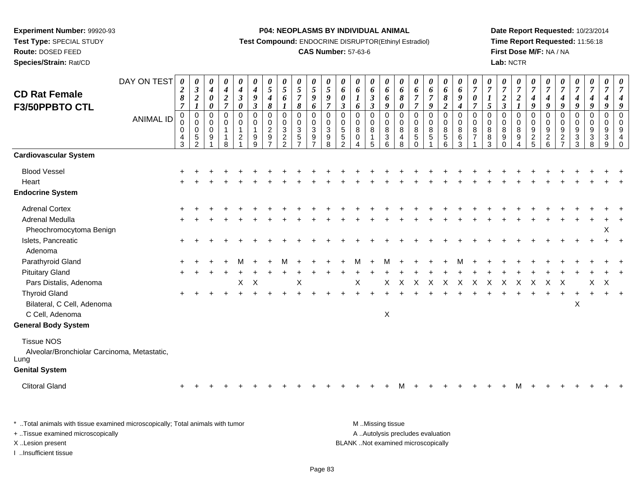**Test Type:** SPECIAL STUDY

**Route:** DOSED FEED**Species/Strain:** Rat/CD

#### **P04: NEOPLASMS BY INDIVIDUAL ANIMAL**

**Test Compound:** ENDOCRINE DISRUPTOR(Ethinyl Estradiol)

## **CAS Number:** 57-63-6

**Date Report Requested:** 10/23/2014**Time Report Requested:** 11:56:18**First Dose M/F:** NA / NA**Lab:** NCTR

| <b>CD Rat Female</b>                                                                              | DAY ON TEST      | $\boldsymbol{\theta}$<br>$\boldsymbol{2}$<br>8<br>$\overline{7}$ | 0<br>$\boldsymbol{\beta}$<br>$\boldsymbol{2}$<br>$\boldsymbol{l}$ | 0<br>$\boldsymbol{4}$<br>$\boldsymbol{\theta}$<br>$\boldsymbol{\theta}$ | 0<br>$\boldsymbol{4}$<br>$\boldsymbol{2}$<br>$\overline{7}$ | 0<br>$\boldsymbol{4}$<br>$\mathfrak{z}$<br>$\pmb{\theta}$ | 0<br>$\boldsymbol{4}$<br>$\boldsymbol{g}$<br>$\mathfrak{z}$                           | $\boldsymbol{\theta}$<br>$\sqrt{5}$<br>$\boldsymbol{4}$<br>$\pmb{8}$   | 0<br>$\sqrt{5}$<br>$\boldsymbol{6}$<br>$\boldsymbol{l}$             | 0<br>$\mathfrak{s}$<br>$\overline{7}$<br>8                             | $\pmb{\theta}$<br>$\mathfrak{H}$<br>$\boldsymbol{g}$<br>6 | $\frac{\theta}{5}$<br>$\boldsymbol{g}$<br>$\overline{7}$ | 0<br>6<br>$\boldsymbol{\theta}$<br>$\mathbf{3}$           | 0<br>6<br>6                                          | $\boldsymbol{\theta}$<br>6<br>$\mathbf{3}$<br>$\mathbf{3}$ | 0<br>6<br>6<br>$\boldsymbol{g}$                  | 0<br>6<br>$\boldsymbol{\delta}$<br>$\pmb{\theta}$ | 0<br>6<br>$\overline{7}$<br>$\overline{7}$                    | 0<br>6<br>$\overline{7}$<br>9        | 0<br>6<br>$\pmb{8}$<br>$\overline{2}$                       | 0<br>$\boldsymbol{\delta}$<br>$\boldsymbol{g}$<br>$\boldsymbol{4}$ | 0<br>$\boldsymbol{7}$<br>$\boldsymbol{\theta}$<br>$\overline{7}$ | 0<br>$\overline{7}$<br>$\sqrt{5}$                      | 0<br>$\overline{7}$<br>$\sqrt{2}$<br>$\mathfrak{z}$   | 0<br>$\boldsymbol{7}$<br>$\boldsymbol{2}$<br>$\boldsymbol{l}$  | 0<br>$\overline{7}$<br>$\boldsymbol{4}$<br>$\boldsymbol{g}$     | 0<br>$\overline{7}$<br>$\boldsymbol{4}$<br>9                 | 0<br>$\overline{7}$<br>4<br>9                                   | 0<br>$\boldsymbol{7}$<br>$\boldsymbol{4}$<br>9                      | $\boldsymbol{\theta}$<br>$\boldsymbol{7}$<br>$\boldsymbol{4}$<br>9 | 0<br>$\overline{7}$<br>$\boldsymbol{4}$<br>9 | 0<br>$\overline{7}$<br>$\boldsymbol{4}$<br>9                            |
|---------------------------------------------------------------------------------------------------|------------------|------------------------------------------------------------------|-------------------------------------------------------------------|-------------------------------------------------------------------------|-------------------------------------------------------------|-----------------------------------------------------------|---------------------------------------------------------------------------------------|------------------------------------------------------------------------|---------------------------------------------------------------------|------------------------------------------------------------------------|-----------------------------------------------------------|----------------------------------------------------------|-----------------------------------------------------------|------------------------------------------------------|------------------------------------------------------------|--------------------------------------------------|---------------------------------------------------|---------------------------------------------------------------|--------------------------------------|-------------------------------------------------------------|--------------------------------------------------------------------|------------------------------------------------------------------|--------------------------------------------------------|-------------------------------------------------------|----------------------------------------------------------------|-----------------------------------------------------------------|--------------------------------------------------------------|-----------------------------------------------------------------|---------------------------------------------------------------------|--------------------------------------------------------------------|----------------------------------------------|-------------------------------------------------------------------------|
| F3/50PPBTO CTL                                                                                    | <b>ANIMAL ID</b> | 0<br>$\Omega$<br>$\mathbf 0$<br>4<br>3                           | 0<br>$\mathbf 0$<br>$\mathbf 0$<br>$\,$ 5 $\,$<br>$\overline{2}$  | 0<br>$\Omega$<br>$\mathbf 0$<br>9                                       | $\mathbf 0$<br>$\mathbf 0$<br>$\mathbf{1}$<br>8             | 0<br>$\mathbf 0$<br>$\mathbf{1}$<br>$\overline{2}$        | $\mathbf 0$<br>$\mathbf 0$<br>$\overline{1}$<br>$\begin{array}{c} 9 \\ 9 \end{array}$ | 0<br>$\begin{smallmatrix} 0\\2\\9 \end{smallmatrix}$<br>$\overline{7}$ | $\mathbf 0$<br>$\mathsf{O}\xspace$<br>$\mathbf{3}$<br>$\frac{2}{2}$ | $\pmb{0}$<br>$\mathbf 0$<br>$\ensuremath{\mathsf{3}}$<br>$\frac{5}{7}$ | 0<br>$_{3}^{\rm 0}$<br>$\frac{9}{7}$                      | 0<br>0<br>3<br>9<br>$\overline{8}$                       | $\mathbf 0$<br>$\mathbf 0$<br>$\sqrt{5}$<br>$\frac{5}{2}$ | $\mathbf 0$<br>$\Omega$<br>$\bf 8$<br>0<br>$\Lambda$ | $\mathbf 0$<br>$\mathbf 0$<br>8<br>-1<br>5                 | $\mathbf 0$<br>$\mathbf 0$<br>8<br>$\frac{3}{6}$ | $\mathbf 0$<br>$\mathbf 0$<br>8<br>4<br>8         | $\mathbf 0$<br>$\Omega$<br>$\bf 8$<br>$\mathbf 5$<br>$\Omega$ | $\mathbf 0$<br>$\mathbf 0$<br>8<br>5 | $\pmb{0}$<br>$\mathbf 0$<br>$\overline{8}$<br>$\frac{5}{6}$ | $\pmb{0}$<br>$\mathbf 0$<br>8<br>6<br>$\overline{3}$               | $\mathbf 0$<br>$\Omega$<br>$\bf 8$<br>$\overline{7}$             | $\mathbf 0$<br>$\mathbf 0$<br>$\bf 8$<br>$\frac{8}{3}$ | $\pmb{0}$<br>$\mathbf 0$<br>$\,8\,$<br>$\overline{9}$ | $\mathbf 0$<br>$\mathbf 0$<br>$\,8\,$<br>$\boldsymbol{9}$<br>4 | $\mathbf 0$<br>$\mathbf 0$<br>$\boldsymbol{9}$<br>$\frac{2}{5}$ | $\mathbf 0$<br>$\Omega$<br>$\boldsymbol{9}$<br>$\frac{2}{6}$ | $\mathbf 0$<br>$\mathbf 0$<br>$\boldsymbol{9}$<br>$\frac{2}{7}$ | $\mathbf 0$<br>$\mathbf 0$<br>$9\,$<br>$\sqrt{3}$<br>$\overline{3}$ | $\pmb{0}$<br>$\mathbf 0$<br>$\boldsymbol{9}$<br>$\frac{3}{8}$      | 0<br>$\mathbf 0$<br>$9\,$<br>$\frac{3}{9}$   | $\mathbf 0$<br>$\mathbf 0$<br>$9\,$<br>$\overline{4}$<br>$\overline{0}$ |
| <b>Cardiovascular System</b>                                                                      |                  |                                                                  |                                                                   |                                                                         |                                                             |                                                           |                                                                                       |                                                                        |                                                                     |                                                                        |                                                           |                                                          |                                                           |                                                      |                                                            |                                                  |                                                   |                                                               |                                      |                                                             |                                                                    |                                                                  |                                                        |                                                       |                                                                |                                                                 |                                                              |                                                                 |                                                                     |                                                                    |                                              |                                                                         |
| <b>Blood Vessel</b><br>Heart<br><b>Endocrine System</b>                                           |                  |                                                                  |                                                                   |                                                                         |                                                             |                                                           |                                                                                       |                                                                        |                                                                     |                                                                        |                                                           |                                                          |                                                           |                                                      |                                                            |                                                  |                                                   |                                                               |                                      |                                                             |                                                                    |                                                                  |                                                        |                                                       |                                                                |                                                                 |                                                              |                                                                 |                                                                     |                                                                    |                                              |                                                                         |
| <b>Adrenal Cortex</b><br><b>Adrenal Medulla</b><br>Pheochromocytoma Benign                        |                  |                                                                  |                                                                   |                                                                         |                                                             |                                                           |                                                                                       |                                                                        |                                                                     |                                                                        |                                                           |                                                          |                                                           |                                                      |                                                            |                                                  |                                                   |                                                               |                                      |                                                             |                                                                    |                                                                  |                                                        |                                                       |                                                                |                                                                 |                                                              |                                                                 |                                                                     |                                                                    | X                                            |                                                                         |
| Islets, Pancreatic<br>Adenoma                                                                     |                  |                                                                  |                                                                   |                                                                         |                                                             |                                                           |                                                                                       |                                                                        |                                                                     |                                                                        |                                                           |                                                          |                                                           |                                                      |                                                            |                                                  |                                                   |                                                               |                                      |                                                             |                                                                    |                                                                  |                                                        |                                                       |                                                                |                                                                 |                                                              |                                                                 |                                                                     |                                                                    |                                              |                                                                         |
| Parathyroid Gland<br><b>Pituitary Gland</b><br>Pars Distalis, Adenoma                             |                  |                                                                  |                                                                   |                                                                         |                                                             | X                                                         | $\times$                                                                              |                                                                        |                                                                     | X                                                                      |                                                           |                                                          |                                                           | X                                                    |                                                            | X                                                | X                                                 | X                                                             | X                                    | X                                                           | Χ                                                                  | Χ                                                                | X                                                      | X                                                     | Χ                                                              | Х                                                               | X                                                            | Х                                                               |                                                                     | Χ                                                                  | Х                                            |                                                                         |
| <b>Thyroid Gland</b><br>Bilateral, C Cell, Adenoma<br>C Cell, Adenoma                             |                  |                                                                  |                                                                   |                                                                         |                                                             |                                                           |                                                                                       |                                                                        |                                                                     |                                                                        |                                                           |                                                          |                                                           |                                                      |                                                            | X                                                |                                                   |                                                               |                                      |                                                             |                                                                    |                                                                  |                                                        |                                                       |                                                                |                                                                 |                                                              |                                                                 | $\mathsf X$                                                         |                                                                    |                                              |                                                                         |
| <b>General Body System</b>                                                                        |                  |                                                                  |                                                                   |                                                                         |                                                             |                                                           |                                                                                       |                                                                        |                                                                     |                                                                        |                                                           |                                                          |                                                           |                                                      |                                                            |                                                  |                                                   |                                                               |                                      |                                                             |                                                                    |                                                                  |                                                        |                                                       |                                                                |                                                                 |                                                              |                                                                 |                                                                     |                                                                    |                                              |                                                                         |
| <b>Tissue NOS</b><br>Alveolar/Bronchiolar Carcinoma, Metastatic,<br>Lung<br><b>Genital System</b> |                  |                                                                  |                                                                   |                                                                         |                                                             |                                                           |                                                                                       |                                                                        |                                                                     |                                                                        |                                                           |                                                          |                                                           |                                                      |                                                            |                                                  |                                                   |                                                               |                                      |                                                             |                                                                    |                                                                  |                                                        |                                                       |                                                                |                                                                 |                                                              |                                                                 |                                                                     |                                                                    |                                              |                                                                         |
| <b>Clitoral Gland</b>                                                                             |                  |                                                                  |                                                                   |                                                                         |                                                             |                                                           |                                                                                       |                                                                        |                                                                     |                                                                        |                                                           |                                                          |                                                           |                                                      |                                                            |                                                  |                                                   |                                                               |                                      |                                                             |                                                                    |                                                                  |                                                        |                                                       |                                                                |                                                                 |                                                              |                                                                 |                                                                     |                                                                    |                                              |                                                                         |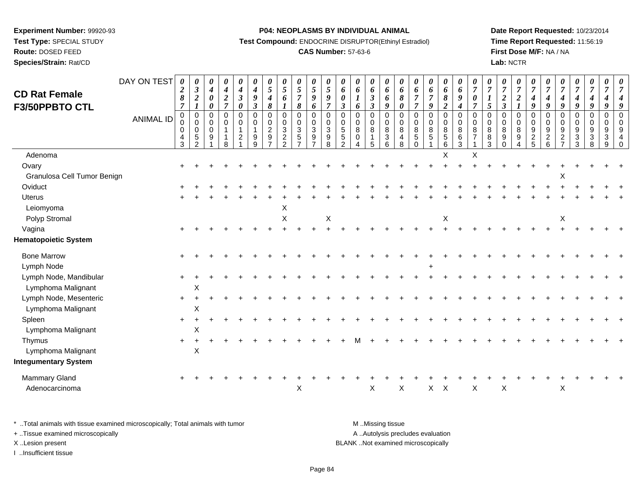**Test Type:** SPECIAL STUDY

**Route:** DOSED FEED

**Species/Strain:** Rat/CD

## **P04: NEOPLASMS BY INDIVIDUAL ANIMAL**

**Test Compound:** ENDOCRINE DISRUPTOR(Ethinyl Estradiol)

# **CAS Number:** 57-63-6

**Date Report Requested:** 10/23/2014**Time Report Requested:** 11:56:19**First Dose M/F:** NA / NA**Lab:** NCTR

| <b>CD Rat Female</b>                         | DAY ON TEST      | 0<br>$\boldsymbol{2}$<br>8                                            | $\boldsymbol{\theta}$<br>$\boldsymbol{\beta}$<br>$\boldsymbol{2}$            | 0<br>$\boldsymbol{4}$<br>$\boldsymbol{\theta}$                       | 0<br>$\boldsymbol{4}$<br>$\boldsymbol{2}$                      | 0<br>$\boldsymbol{4}$<br>$\mathfrak{z}$                                                                          | 0<br>$\boldsymbol{4}$<br>9                                | 0<br>$\sqrt{5}$<br>$\boldsymbol{4}$                   | $\boldsymbol{\theta}$<br>$\mathfrak{s}$<br>6                             | $\frac{\theta}{5}$<br>$\overline{7}$                                                | $\frac{\theta}{5}$<br>$\boldsymbol{g}$                                | 0<br>$\mathfrak{z}$<br>9                                 | 0<br>6<br>$\boldsymbol{\theta}$                                                | 0<br>6                                                | 0<br>6<br>$\boldsymbol{\beta}$                      | 0<br>6<br>6                                               | 0<br>6<br>8                                                     | 0<br>6<br>$\overline{7}$                                                 | 0<br>6<br>$\overline{7}$     | 0<br>6<br>$\boldsymbol{\delta}$                                                    | 0<br>6<br>$\boldsymbol{g}$                                | 0<br>$\overline{7}$<br>0                                         | $\boldsymbol{\theta}$<br>$\overline{7}$          | $\boldsymbol{\theta}$<br>$\boldsymbol{7}$<br>$\boldsymbol{2}$       | 0<br>$\boldsymbol{7}$<br>$\boldsymbol{2}$                        | 0<br>$\overline{7}$<br>$\boldsymbol{4}$  | 0<br>$\overline{7}$<br>$\boldsymbol{4}$            | $\boldsymbol{\theta}$<br>$\overline{7}$<br>4                                                 | $\boldsymbol{\theta}$<br>$\overline{7}$<br>$\boldsymbol{4}$            | $\boldsymbol{\theta}$<br>$\boldsymbol{7}$<br>$\boldsymbol{4}$ | 0<br>7                            |                      |
|----------------------------------------------|------------------|-----------------------------------------------------------------------|------------------------------------------------------------------------------|----------------------------------------------------------------------|----------------------------------------------------------------|------------------------------------------------------------------------------------------------------------------|-----------------------------------------------------------|-------------------------------------------------------|--------------------------------------------------------------------------|-------------------------------------------------------------------------------------|-----------------------------------------------------------------------|----------------------------------------------------------|--------------------------------------------------------------------------------|-------------------------------------------------------|-----------------------------------------------------|-----------------------------------------------------------|-----------------------------------------------------------------|--------------------------------------------------------------------------|------------------------------|------------------------------------------------------------------------------------|-----------------------------------------------------------|------------------------------------------------------------------|--------------------------------------------------|---------------------------------------------------------------------|------------------------------------------------------------------|------------------------------------------|----------------------------------------------------|----------------------------------------------------------------------------------------------|------------------------------------------------------------------------|---------------------------------------------------------------|-----------------------------------|----------------------|
| F3/50PPBTO CTL                               | <b>ANIMAL ID</b> | $\overline{7}$<br>$\Omega$<br>$\mathbf 0$<br>0<br>$\overline{4}$<br>3 | $\boldsymbol{l}$<br>$\mathbf 0$<br>$\pmb{0}$<br>$\mathbf 0$<br>$\frac{5}{2}$ | $\boldsymbol{\theta}$<br>$\Omega$<br>$\mathbf 0$<br>$\mathbf 0$<br>9 | $\overline{7}$<br>$\Omega$<br>$\mathbf 0$<br>$\mathbf{1}$<br>8 | $\boldsymbol{\theta}$<br>$\mathbf 0$<br>$\mathbf 0$<br>$\mathbf{1}$<br>$\overline{\mathbf{c}}$<br>$\overline{1}$ | $\mathfrak{z}$<br>$\Omega$<br>0<br>$\mathbf{1}$<br>9<br>9 | 8<br>$\Omega$<br>0<br>$\overline{c}$<br>$\frac{9}{7}$ | $\mathbf 0$<br>$\mathbf 0$<br>$\ensuremath{\mathsf{3}}$<br>$\frac{2}{2}$ | $\pmb{8}$<br>0<br>$\mathsf{O}\xspace$<br>$\ensuremath{\mathsf{3}}$<br>$\frac{5}{7}$ | 6<br>$\mathbf 0$<br>$\boldsymbol{0}$<br>$\mathbf{3}$<br>$\frac{9}{7}$ | $\overline{7}$<br>$\Omega$<br>$\mathbf 0$<br>3<br>9<br>8 | $\boldsymbol{\beta}$<br>$\Omega$<br>$\mathbf 0$<br>$\sqrt{5}$<br>$\frac{5}{2}$ | 6<br>$\Omega$<br>$\mathbf 0$<br>8<br>$\mathbf 0$<br>4 | $\mathfrak{z}$<br>$\Omega$<br>$\mathbf 0$<br>8<br>5 | 9<br>$\Omega$<br>$\mathbf 0$<br>$\bf8$<br>$\sqrt{3}$<br>6 | $\boldsymbol{\theta}$<br>$\Omega$<br>$\mathbf 0$<br>8<br>4<br>8 | $\overline{7}$<br>$\Omega$<br>$\mathbf 0$<br>8<br>$\sqrt{5}$<br>$\Omega$ | 9<br>$\Omega$<br>0<br>8<br>5 | $\boldsymbol{2}$<br>$\mathbf 0$<br>$\mathsf{O}\xspace$<br>$\bf 8$<br>$\frac{5}{6}$ | $\boldsymbol{4}$<br>$\mathbf 0$<br>$\,0\,$<br>8<br>$^6_3$ | $\overline{7}$<br>$\Omega$<br>$\mathbf 0$<br>8<br>$\overline{7}$ | 5<br>$\Omega$<br>$\mathbf 0$<br>$\, 8$<br>8<br>3 | $\mathfrak{z}$<br>$\Omega$<br>$\mathbf 0$<br>8<br>$9\,$<br>$\Omega$ | $\boldsymbol{l}$<br>$\Omega$<br>$\mathbf 0$<br>$\bf 8$<br>9<br>4 | 9<br>$\Omega$<br>0<br>9<br>$\frac{2}{5}$ | 9<br>$\Omega$<br>$\mathbf 0$<br>9<br>$\frac{2}{6}$ | $\boldsymbol{q}$<br>$\mathbf 0$<br>0<br>$\boldsymbol{9}$<br>$\overline{c}$<br>$\overline{ }$ | 9<br>$\mathbf 0$<br>$\mathbf 0$<br>$\boldsymbol{9}$<br>$\sqrt{3}$<br>3 | 9<br>$\Omega$<br>0<br>9<br>3<br>8                             | 9<br>$\Omega$<br>0<br>9<br>3<br>9 | $\Omega$<br>$\Omega$ |
| Adenoma                                      |                  |                                                                       |                                                                              |                                                                      |                                                                |                                                                                                                  |                                                           |                                                       |                                                                          |                                                                                     |                                                                       |                                                          |                                                                                |                                                       |                                                     |                                                           |                                                                 |                                                                          |                              | X                                                                                  |                                                           | X                                                                |                                                  |                                                                     |                                                                  |                                          |                                                    |                                                                                              |                                                                        |                                                               |                                   |                      |
| Ovary<br>Granulosa Cell Tumor Benign         |                  |                                                                       |                                                                              |                                                                      |                                                                |                                                                                                                  |                                                           |                                                       |                                                                          |                                                                                     |                                                                       |                                                          |                                                                                |                                                       |                                                     |                                                           |                                                                 |                                                                          |                              |                                                                                    |                                                           |                                                                  |                                                  |                                                                     |                                                                  |                                          |                                                    | X                                                                                            |                                                                        |                                                               |                                   |                      |
| Oviduct                                      |                  |                                                                       |                                                                              |                                                                      |                                                                |                                                                                                                  |                                                           |                                                       |                                                                          |                                                                                     |                                                                       |                                                          |                                                                                |                                                       |                                                     |                                                           |                                                                 |                                                                          |                              |                                                                                    |                                                           |                                                                  |                                                  |                                                                     |                                                                  |                                          |                                                    |                                                                                              |                                                                        |                                                               |                                   |                      |
| <b>Uterus</b>                                |                  |                                                                       |                                                                              |                                                                      |                                                                |                                                                                                                  |                                                           |                                                       |                                                                          |                                                                                     |                                                                       |                                                          |                                                                                |                                                       |                                                     |                                                           |                                                                 |                                                                          |                              |                                                                                    |                                                           |                                                                  |                                                  |                                                                     |                                                                  |                                          |                                                    |                                                                                              |                                                                        |                                                               |                                   |                      |
| Leiomyoma                                    |                  |                                                                       |                                                                              |                                                                      |                                                                |                                                                                                                  |                                                           |                                                       | Х                                                                        |                                                                                     |                                                                       |                                                          |                                                                                |                                                       |                                                     |                                                           |                                                                 |                                                                          |                              |                                                                                    |                                                           |                                                                  |                                                  |                                                                     |                                                                  |                                          |                                                    |                                                                                              |                                                                        |                                                               |                                   |                      |
| Polyp Stromal                                |                  |                                                                       |                                                                              |                                                                      |                                                                |                                                                                                                  |                                                           |                                                       | $\sf X$                                                                  |                                                                                     |                                                                       | X                                                        |                                                                                |                                                       |                                                     |                                                           |                                                                 |                                                                          |                              | X                                                                                  |                                                           |                                                                  |                                                  |                                                                     |                                                                  |                                          |                                                    | X                                                                                            |                                                                        |                                                               |                                   |                      |
| Vagina                                       |                  |                                                                       |                                                                              |                                                                      |                                                                |                                                                                                                  |                                                           |                                                       |                                                                          |                                                                                     |                                                                       |                                                          |                                                                                |                                                       |                                                     |                                                           |                                                                 |                                                                          |                              |                                                                                    |                                                           |                                                                  |                                                  |                                                                     |                                                                  |                                          |                                                    |                                                                                              |                                                                        |                                                               |                                   |                      |
| <b>Hematopoietic System</b>                  |                  |                                                                       |                                                                              |                                                                      |                                                                |                                                                                                                  |                                                           |                                                       |                                                                          |                                                                                     |                                                                       |                                                          |                                                                                |                                                       |                                                     |                                                           |                                                                 |                                                                          |                              |                                                                                    |                                                           |                                                                  |                                                  |                                                                     |                                                                  |                                          |                                                    |                                                                                              |                                                                        |                                                               |                                   |                      |
| <b>Bone Marrow</b><br>Lymph Node             |                  | $\pm$                                                                 |                                                                              |                                                                      |                                                                |                                                                                                                  |                                                           |                                                       |                                                                          |                                                                                     |                                                                       |                                                          |                                                                                |                                                       |                                                     |                                                           |                                                                 |                                                                          |                              |                                                                                    |                                                           |                                                                  |                                                  |                                                                     |                                                                  |                                          |                                                    |                                                                                              |                                                                        |                                                               |                                   |                      |
| Lymph Node, Mandibular                       |                  |                                                                       |                                                                              |                                                                      |                                                                |                                                                                                                  |                                                           |                                                       |                                                                          |                                                                                     |                                                                       |                                                          |                                                                                |                                                       |                                                     |                                                           |                                                                 |                                                                          |                              |                                                                                    |                                                           |                                                                  |                                                  |                                                                     |                                                                  |                                          |                                                    |                                                                                              |                                                                        |                                                               |                                   |                      |
| Lymphoma Malignant                           |                  |                                                                       | Χ                                                                            |                                                                      |                                                                |                                                                                                                  |                                                           |                                                       |                                                                          |                                                                                     |                                                                       |                                                          |                                                                                |                                                       |                                                     |                                                           |                                                                 |                                                                          |                              |                                                                                    |                                                           |                                                                  |                                                  |                                                                     |                                                                  |                                          |                                                    |                                                                                              |                                                                        |                                                               |                                   |                      |
| Lymph Node, Mesenteric<br>Lymphoma Malignant |                  |                                                                       | $\pmb{\times}$                                                               |                                                                      |                                                                |                                                                                                                  |                                                           |                                                       |                                                                          |                                                                                     |                                                                       |                                                          |                                                                                |                                                       |                                                     |                                                           |                                                                 |                                                                          |                              |                                                                                    |                                                           |                                                                  |                                                  |                                                                     |                                                                  |                                          |                                                    |                                                                                              |                                                                        |                                                               |                                   |                      |
| Spleen                                       |                  | $\ddot{}$                                                             |                                                                              |                                                                      |                                                                |                                                                                                                  |                                                           |                                                       |                                                                          |                                                                                     |                                                                       |                                                          |                                                                                |                                                       |                                                     |                                                           |                                                                 |                                                                          |                              |                                                                                    |                                                           |                                                                  |                                                  |                                                                     |                                                                  |                                          |                                                    |                                                                                              |                                                                        |                                                               |                                   |                      |
| Lymphoma Malignant                           |                  |                                                                       | X                                                                            |                                                                      |                                                                |                                                                                                                  |                                                           |                                                       |                                                                          |                                                                                     |                                                                       |                                                          |                                                                                |                                                       |                                                     |                                                           |                                                                 |                                                                          |                              |                                                                                    |                                                           |                                                                  |                                                  |                                                                     |                                                                  |                                          |                                                    |                                                                                              |                                                                        |                                                               |                                   |                      |
| Thymus                                       |                  |                                                                       |                                                                              |                                                                      |                                                                |                                                                                                                  |                                                           |                                                       |                                                                          |                                                                                     |                                                                       |                                                          |                                                                                |                                                       |                                                     |                                                           |                                                                 |                                                                          |                              |                                                                                    |                                                           |                                                                  |                                                  |                                                                     |                                                                  |                                          |                                                    |                                                                                              |                                                                        |                                                               |                                   |                      |
| Lymphoma Malignant                           |                  |                                                                       | $\pmb{\times}$                                                               |                                                                      |                                                                |                                                                                                                  |                                                           |                                                       |                                                                          |                                                                                     |                                                                       |                                                          |                                                                                |                                                       |                                                     |                                                           |                                                                 |                                                                          |                              |                                                                                    |                                                           |                                                                  |                                                  |                                                                     |                                                                  |                                          |                                                    |                                                                                              |                                                                        |                                                               |                                   |                      |
| <b>Integumentary System</b>                  |                  |                                                                       |                                                                              |                                                                      |                                                                |                                                                                                                  |                                                           |                                                       |                                                                          |                                                                                     |                                                                       |                                                          |                                                                                |                                                       |                                                     |                                                           |                                                                 |                                                                          |                              |                                                                                    |                                                           |                                                                  |                                                  |                                                                     |                                                                  |                                          |                                                    |                                                                                              |                                                                        |                                                               |                                   |                      |
| Mammary Gland<br>Adenocarcinoma              |                  |                                                                       |                                                                              |                                                                      |                                                                |                                                                                                                  |                                                           |                                                       |                                                                          | X                                                                                   |                                                                       |                                                          |                                                                                |                                                       | X                                                   |                                                           | X                                                               |                                                                          | $X$ $X$                      |                                                                                    |                                                           | X                                                                |                                                  | X                                                                   |                                                                  |                                          |                                                    | Χ                                                                                            |                                                                        |                                                               |                                   |                      |

| * Total animals with tissue examined microscopically; Total animals with tumor | M Missing tissue                   |
|--------------------------------------------------------------------------------|------------------------------------|
| + Tissue examined microscopically                                              | A Autolysis precludes evaluation   |
| X Lesion present                                                               | BLANK Not examined microscopically |
| Insufficient tissue                                                            |                                    |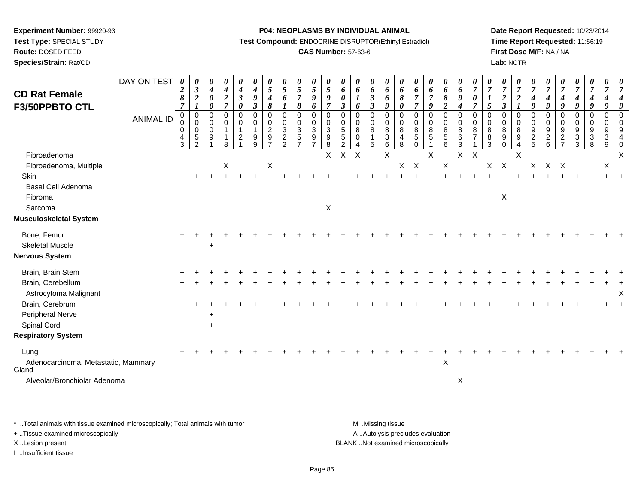**Test Type:** SPECIAL STUDY

**Route:** DOSED FEED

**Species/Strain:** Rat/CD

#### **P04: NEOPLASMS BY INDIVIDUAL ANIMAL**

**Test Compound:** ENDOCRINE DISRUPTOR(Ethinyl Estradiol)

## **CAS Number:** 57-63-6

**Date Report Requested:** 10/23/2014**Time Report Requested:** 11:56:19**First Dose M/F:** NA / NA**Lab:** NCTR

| <b>CD Rat Female</b><br>F3/50PPBTO CTL               | DAY ON TEST<br><b>ANIMAL ID</b> | 0<br>$\boldsymbol{2}$<br>$\pmb{8}$<br>$\overline{7}$<br>0 | 0<br>$\mathfrak{z}$<br>$\boldsymbol{2}$<br>$\boldsymbol{l}$<br>$\mathsf 0$ | $\boldsymbol{\theta}$<br>$\boldsymbol{4}$<br>0<br>0<br>$\pmb{0}$ | 0<br>$\boldsymbol{4}$<br>$\boldsymbol{2}$<br>$\overline{7}$<br>$\mathbf 0$ | $\boldsymbol{\theta}$<br>$\boldsymbol{4}$<br>$\boldsymbol{\beta}$<br>$\boldsymbol{\theta}$<br>$\mathbf 0$ | 0<br>$\boldsymbol{4}$<br>$\boldsymbol{9}$<br>$\boldsymbol{\beta}$<br>$\pmb{0}$ | $\boldsymbol{\theta}$<br>$\mathfrak{s}$<br>$\boldsymbol{4}$<br>8<br>$\mathbf 0$ | $\boldsymbol{\theta}$<br>$\sqrt{5}$<br>6<br>$\boldsymbol{l}$<br>$\mathbf 0$ | 0<br>5<br>$\overline{7}$<br>8<br>$\pmb{0}$ | 0<br>$\overline{5}$<br>$\boldsymbol{g}$<br>6<br>$\pmb{0}$ | $\boldsymbol{\theta}$<br>$\sqrt{5}$<br>9<br>$\overline{7}$<br>$\pmb{0}$ | $\boldsymbol{\theta}$<br>6<br>$\boldsymbol{\theta}$<br>$\mathfrak{z}$<br>$\mathbf 0$ | $\boldsymbol{\theta}$<br>6<br>6<br>$\mathbf 0$ | 0<br>6<br>$\boldsymbol{\beta}$<br>$\boldsymbol{\beta}$<br>$\mathbf 0$ | 0<br>6<br>6<br>9<br>$\mathbf 0$                    | $\boldsymbol{\theta}$<br>6<br>8<br>0<br>$\pmb{0}$ | $\boldsymbol{\theta}$<br>6<br>$\boldsymbol{7}$<br>$\overline{7}$<br>$\pmb{0}$ | 0<br>$\boldsymbol{6}$<br>$\overline{7}$<br>9<br>$\mathsf 0$ | $\boldsymbol{\theta}$<br>6<br>$\pmb{8}$<br>$\boldsymbol{2}$<br>$\pmb{0}$ | 0<br>6<br>$\boldsymbol{9}$<br>$\boldsymbol{4}$<br>$\pmb{0}$ | $\boldsymbol{\theta}$<br>$\overline{7}$<br>0<br>$\overline{7}$<br>$\mathbf 0$ | $\boldsymbol{\theta}$<br>$\boldsymbol{7}$<br>$\boldsymbol{l}$<br>5<br>$\mathbf 0$ | 0<br>$\overline{7}$<br>$\overline{2}$<br>$\overline{\mathbf{3}}$<br>0 | $\pmb{\theta}$<br>$\boldsymbol{7}$<br>$\boldsymbol{2}$<br>$\boldsymbol{I}$<br>0 | $\boldsymbol{\theta}$<br>$\overline{7}$<br>$\boldsymbol{4}$<br>9<br>$\mathbf 0$ | $\boldsymbol{\theta}$<br>$\overline{7}$<br>$\boldsymbol{4}$<br>9<br>$\mathbf 0$ | $\overline{7}$<br>$\boldsymbol{4}$<br>9<br>$\mathbf 0$ | $\boldsymbol{\theta}$<br>$\overline{7}$<br>$\boldsymbol{4}$<br>9<br>$\mathbf 0$ | 0<br>$\overline{7}$<br>$\boldsymbol{4}$<br>9<br>$\pmb{0}$                        | $\boldsymbol{\theta}$<br>$\overline{7}$<br>4<br>9<br>0 | $\overline{7}$                |
|------------------------------------------------------|---------------------------------|-----------------------------------------------------------|----------------------------------------------------------------------------|------------------------------------------------------------------|----------------------------------------------------------------------------|-----------------------------------------------------------------------------------------------------------|--------------------------------------------------------------------------------|---------------------------------------------------------------------------------|-----------------------------------------------------------------------------|--------------------------------------------|-----------------------------------------------------------|-------------------------------------------------------------------------|--------------------------------------------------------------------------------------|------------------------------------------------|-----------------------------------------------------------------------|----------------------------------------------------|---------------------------------------------------|-------------------------------------------------------------------------------|-------------------------------------------------------------|--------------------------------------------------------------------------|-------------------------------------------------------------|-------------------------------------------------------------------------------|-----------------------------------------------------------------------------------|-----------------------------------------------------------------------|---------------------------------------------------------------------------------|---------------------------------------------------------------------------------|---------------------------------------------------------------------------------|--------------------------------------------------------|---------------------------------------------------------------------------------|----------------------------------------------------------------------------------|--------------------------------------------------------|-------------------------------|
|                                                      |                                 | 0<br>$\pmb{0}$<br>$\frac{4}{3}$                           | 0<br>0<br>$\frac{5}{2}$                                                    | $\mathbf 0$<br>$\mathbf 0$<br>9                                  | $\mathbf 0$<br>$\mathbf{1}$<br>8                                           | $\mathbf 0$<br>$\overline{1}$<br>$\overline{2}$                                                           | $\mathbf 0$<br>$\mathbf{1}$<br>9<br>9                                          | $\mathbf 0$<br>$\boldsymbol{2}$<br>$\frac{9}{7}$                                | $\mathbf 0$<br>$\ensuremath{\mathsf{3}}$<br>$\frac{2}{2}$                   | $\mathbf 0$<br>3<br>$\frac{5}{7}$          | 0<br>$\ensuremath{\mathsf{3}}$<br>$\frac{9}{7}$           | $\mathbf 0$<br>$\sqrt{3}$<br>$_{8}^9$                                   | $\mathbf 0$<br>$\sqrt{5}$<br>$\frac{5}{2}$                                           | $\mathbf 0$<br>8<br>0<br>4                     | $\mathbf 0$<br>$\bf8$<br>1<br>5                                       | $\mathbf 0$<br>8<br>$\ensuremath{\mathsf{3}}$<br>6 | $\mathbf 0$<br>8<br>4<br>8                        | 0<br>8<br>$\,$ 5 $\,$<br>$\Omega$                                             | $\mathbf 0$<br>$\bf 8$<br>$\sqrt{5}$                        | $\mathbf 0$<br>$\bf 8$<br>$\,$ 5 $\,$<br>6                               | $\mathbf 0$<br>$\, 8$<br>6<br>$\overline{3}$                | $\mathbf 0$<br>8<br>$\overline{7}$                                            | $\mathbf 0$<br>8<br>8<br>3                                                        | $\mathbf 0$<br>8<br>9<br>$\Omega$                                     | 0<br>$\bf 8$<br>$\boldsymbol{9}$<br>$\overline{4}$                              | $\mathbf 0$<br>$\boldsymbol{9}$<br>$\frac{2}{5}$                                | $\mathbf 0$<br>9<br>$\begin{array}{c} 2 \\ 6 \end{array}$                       | $\mathbf 0$<br>9<br>$\frac{2}{7}$                      | $\mathbf 0$<br>$\boldsymbol{9}$<br>$\frac{3}{3}$                                | $\mathsf{O}\xspace$<br>$\boldsymbol{9}$<br>$\begin{array}{c} 3 \\ 8 \end{array}$ | $\mathbf 0$<br>9<br>$\frac{3}{9}$                      | $\mathbf{Q}$<br>4<br>$\Omega$ |
| Fibroadenoma                                         |                                 |                                                           |                                                                            |                                                                  |                                                                            |                                                                                                           |                                                                                |                                                                                 |                                                                             |                                            |                                                           | $X -$                                                                   | $\mathsf{X}$                                                                         | $\times$                                       |                                                                       | X                                                  |                                                   |                                                                               | X                                                           |                                                                          | $X -$                                                       | $\times$                                                                      |                                                                                   |                                                                       | X                                                                               |                                                                                 |                                                                                 |                                                        |                                                                                 |                                                                                  |                                                        | X                             |
| Fibroadenoma, Multiple                               |                                 |                                                           |                                                                            |                                                                  | X                                                                          |                                                                                                           |                                                                                | $\mathsf X$                                                                     |                                                                             |                                            |                                                           |                                                                         |                                                                                      |                                                |                                                                       |                                                    | $\mathsf X$                                       | $\pmb{\times}$                                                                |                                                             | $\mathsf X$                                                              |                                                             |                                                                               |                                                                                   | $X$ $X$                                                               |                                                                                 | $\mathsf{X}$                                                                    | X                                                                               | $\times$                                               |                                                                                 |                                                                                  | $\boldsymbol{\mathsf{X}}$                              |                               |
| Skin<br><b>Basal Cell Adenoma</b>                    |                                 |                                                           |                                                                            |                                                                  |                                                                            |                                                                                                           |                                                                                |                                                                                 |                                                                             |                                            |                                                           |                                                                         |                                                                                      |                                                |                                                                       |                                                    |                                                   |                                                                               |                                                             |                                                                          |                                                             |                                                                               |                                                                                   |                                                                       |                                                                                 |                                                                                 |                                                                                 |                                                        |                                                                                 |                                                                                  |                                                        |                               |
| Fibroma                                              |                                 |                                                           |                                                                            |                                                                  |                                                                            |                                                                                                           |                                                                                |                                                                                 |                                                                             |                                            |                                                           |                                                                         |                                                                                      |                                                |                                                                       |                                                    |                                                   |                                                                               |                                                             |                                                                          |                                                             |                                                                               |                                                                                   | $\boldsymbol{\mathsf{X}}$                                             |                                                                                 |                                                                                 |                                                                                 |                                                        |                                                                                 |                                                                                  |                                                        |                               |
| Sarcoma                                              |                                 |                                                           |                                                                            |                                                                  |                                                                            |                                                                                                           |                                                                                |                                                                                 |                                                                             |                                            |                                                           | X                                                                       |                                                                                      |                                                |                                                                       |                                                    |                                                   |                                                                               |                                                             |                                                                          |                                                             |                                                                               |                                                                                   |                                                                       |                                                                                 |                                                                                 |                                                                                 |                                                        |                                                                                 |                                                                                  |                                                        |                               |
| <b>Musculoskeletal System</b>                        |                                 |                                                           |                                                                            |                                                                  |                                                                            |                                                                                                           |                                                                                |                                                                                 |                                                                             |                                            |                                                           |                                                                         |                                                                                      |                                                |                                                                       |                                                    |                                                   |                                                                               |                                                             |                                                                          |                                                             |                                                                               |                                                                                   |                                                                       |                                                                                 |                                                                                 |                                                                                 |                                                        |                                                                                 |                                                                                  |                                                        |                               |
| Bone, Femur                                          |                                 |                                                           |                                                                            |                                                                  |                                                                            |                                                                                                           |                                                                                |                                                                                 |                                                                             |                                            |                                                           |                                                                         |                                                                                      |                                                |                                                                       |                                                    |                                                   |                                                                               |                                                             |                                                                          |                                                             |                                                                               |                                                                                   |                                                                       |                                                                                 |                                                                                 |                                                                                 |                                                        |                                                                                 |                                                                                  |                                                        |                               |
| <b>Skeletal Muscle</b>                               |                                 |                                                           |                                                                            | $\ddot{}$                                                        |                                                                            |                                                                                                           |                                                                                |                                                                                 |                                                                             |                                            |                                                           |                                                                         |                                                                                      |                                                |                                                                       |                                                    |                                                   |                                                                               |                                                             |                                                                          |                                                             |                                                                               |                                                                                   |                                                                       |                                                                                 |                                                                                 |                                                                                 |                                                        |                                                                                 |                                                                                  |                                                        |                               |
| <b>Nervous System</b>                                |                                 |                                                           |                                                                            |                                                                  |                                                                            |                                                                                                           |                                                                                |                                                                                 |                                                                             |                                            |                                                           |                                                                         |                                                                                      |                                                |                                                                       |                                                    |                                                   |                                                                               |                                                             |                                                                          |                                                             |                                                                               |                                                                                   |                                                                       |                                                                                 |                                                                                 |                                                                                 |                                                        |                                                                                 |                                                                                  |                                                        |                               |
| Brain, Brain Stem                                    |                                 |                                                           |                                                                            |                                                                  |                                                                            |                                                                                                           |                                                                                |                                                                                 |                                                                             |                                            |                                                           |                                                                         |                                                                                      |                                                |                                                                       |                                                    |                                                   |                                                                               |                                                             |                                                                          |                                                             |                                                                               |                                                                                   |                                                                       |                                                                                 |                                                                                 |                                                                                 |                                                        |                                                                                 |                                                                                  |                                                        |                               |
| Brain, Cerebellum<br>Astrocytoma Malignant           |                                 |                                                           |                                                                            |                                                                  |                                                                            |                                                                                                           |                                                                                |                                                                                 |                                                                             |                                            |                                                           |                                                                         |                                                                                      |                                                |                                                                       |                                                    |                                                   |                                                                               |                                                             |                                                                          |                                                             |                                                                               |                                                                                   |                                                                       |                                                                                 |                                                                                 |                                                                                 |                                                        |                                                                                 |                                                                                  |                                                        |                               |
| Brain, Cerebrum                                      |                                 |                                                           |                                                                            |                                                                  |                                                                            |                                                                                                           |                                                                                |                                                                                 |                                                                             |                                            |                                                           |                                                                         |                                                                                      |                                                |                                                                       |                                                    |                                                   |                                                                               |                                                             |                                                                          |                                                             |                                                                               |                                                                                   |                                                                       |                                                                                 |                                                                                 |                                                                                 |                                                        |                                                                                 |                                                                                  |                                                        |                               |
| Peripheral Nerve                                     |                                 |                                                           |                                                                            |                                                                  |                                                                            |                                                                                                           |                                                                                |                                                                                 |                                                                             |                                            |                                                           |                                                                         |                                                                                      |                                                |                                                                       |                                                    |                                                   |                                                                               |                                                             |                                                                          |                                                             |                                                                               |                                                                                   |                                                                       |                                                                                 |                                                                                 |                                                                                 |                                                        |                                                                                 |                                                                                  |                                                        |                               |
| Spinal Cord                                          |                                 |                                                           |                                                                            |                                                                  |                                                                            |                                                                                                           |                                                                                |                                                                                 |                                                                             |                                            |                                                           |                                                                         |                                                                                      |                                                |                                                                       |                                                    |                                                   |                                                                               |                                                             |                                                                          |                                                             |                                                                               |                                                                                   |                                                                       |                                                                                 |                                                                                 |                                                                                 |                                                        |                                                                                 |                                                                                  |                                                        |                               |
| <b>Respiratory System</b>                            |                                 |                                                           |                                                                            |                                                                  |                                                                            |                                                                                                           |                                                                                |                                                                                 |                                                                             |                                            |                                                           |                                                                         |                                                                                      |                                                |                                                                       |                                                    |                                                   |                                                                               |                                                             |                                                                          |                                                             |                                                                               |                                                                                   |                                                                       |                                                                                 |                                                                                 |                                                                                 |                                                        |                                                                                 |                                                                                  |                                                        |                               |
| Lung<br>Adenocarcinoma, Metastatic, Mammary<br>Gland |                                 |                                                           |                                                                            |                                                                  |                                                                            |                                                                                                           |                                                                                |                                                                                 |                                                                             |                                            |                                                           |                                                                         |                                                                                      |                                                |                                                                       |                                                    |                                                   |                                                                               |                                                             | $\sf X$                                                                  |                                                             |                                                                               |                                                                                   |                                                                       |                                                                                 |                                                                                 |                                                                                 |                                                        |                                                                                 |                                                                                  |                                                        |                               |
| Alveolar/Bronchiolar Adenoma                         |                                 |                                                           |                                                                            |                                                                  |                                                                            |                                                                                                           |                                                                                |                                                                                 |                                                                             |                                            |                                                           |                                                                         |                                                                                      |                                                |                                                                       |                                                    |                                                   |                                                                               |                                                             |                                                                          | X                                                           |                                                                               |                                                                                   |                                                                       |                                                                                 |                                                                                 |                                                                                 |                                                        |                                                                                 |                                                                                  |                                                        |                               |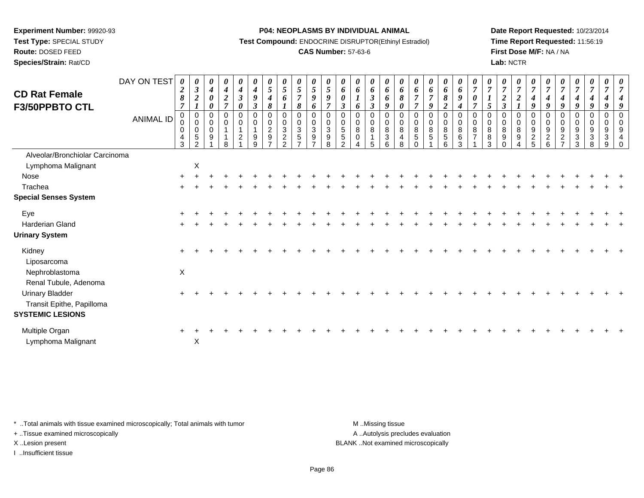**Test Type:** SPECIAL STUDY

# **Route:** DOSED FEED

**Species/Strain:** Rat/CD

#### **P04: NEOPLASMS BY INDIVIDUAL ANIMAL**

**Test Compound:** ENDOCRINE DISRUPTOR(Ethinyl Estradiol)

## **CAS Number:** 57-63-6

**Date Report Requested:** 10/23/2014**Time Report Requested:** 11:56:19**First Dose M/F:** NA / NA**Lab:** NCTR

| <b>CD Rat Female</b><br>F3/50PPBTO CTL                                         | DAY ON TEST<br>ANIMAL ID | $\boldsymbol{\theta}$<br>$\boldsymbol{2}$<br>$\boldsymbol{\delta}$<br>$\overline{7}$<br>$\pmb{0}$<br>$\pmb{0}$<br>$\pmb{0}$<br>$\overline{4}$<br>3 | 0<br>$\mathbf{3}$<br>$\boldsymbol{2}$<br>$\boldsymbol{l}$<br>$\mathbf 0$<br>$\pmb{0}$<br>$\pmb{0}$<br>5 | $\boldsymbol{\theta}$<br>$\boldsymbol{4}$<br>$\boldsymbol{\theta}$<br>0<br>$\mathbf 0$<br>$\mathbf 0$<br>$\mathbf 0$<br>9 | 0<br>$\boldsymbol{4}$<br>$\boldsymbol{2}$<br>$\overline{7}$<br>0<br>$\mathbf 0$ | 0<br>$\boldsymbol{4}$<br>$\boldsymbol{\beta}$<br>0<br>0<br>$\mathbf 0$<br>$\overline{c}$ | $\boldsymbol{\theta}$<br>$\boldsymbol{4}$<br>9<br>$\boldsymbol{\beta}$<br>0<br>$\mathbf 0$<br>9<br>q | $\boldsymbol{\theta}$<br>$\overline{5}$<br>4<br>8<br>0<br>$\pmb{0}$<br>$\overline{c}$<br>$9\,$ | $\boldsymbol{\theta}$<br>$\sqrt{5}$<br>6<br>$\mathbf 0$<br>$\mathbf 0$<br>$\mathbf{3}$<br>$\overline{c}$<br>$\Omega$ | $\boldsymbol{\theta}$<br>$5\overline{)}$<br>7<br>8<br>0<br>0<br>$\mathbf{3}$<br>$\sqrt{5}$<br>$\rightarrow$ | $\boldsymbol{\theta}$<br>$\mathfrak{s}$<br>9<br>6<br>$\overline{0}$<br>$\boldsymbol{0}$<br>$\sqrt{3}$<br>$\boldsymbol{9}$<br>$\overline{ }$ | 0<br>5<br>9<br>$\overline{7}$<br>$\mathbf 0$<br>$\mathbf 0$<br>3<br>$\boldsymbol{9}$<br>8 | $\boldsymbol{\theta}$<br>6<br>$\boldsymbol{\beta}$<br>$\mathbf 0$<br>0<br>5<br>5<br>$\mathcal{P}$ | $\theta$<br>6<br>6<br>$\mathbf 0$<br>0<br>8<br>0 | $\theta$<br>6<br>$\boldsymbol{\beta}$<br>$\boldsymbol{\beta}$<br>0<br>0<br>$\bf 8$<br>5 | $\boldsymbol{\theta}$<br>6<br>6<br>9<br>$\mathbf 0$<br>$\pmb{0}$<br>$\bf 8$<br>$\sqrt{3}$<br>6 | $\boldsymbol{\theta}$<br>6<br>8<br>$\boldsymbol{\theta}$<br>0<br>$\mathbf 0$<br>$\bf8$<br>$\overline{\mathbf{4}}$<br>8 | 6<br>7<br>$\overline{7}$<br>0<br>$\mathbf 0$<br>$\,8\,$<br>5 | $\boldsymbol{\theta}$<br>6<br>$\overline{7}$<br>9<br>0<br>$\mathbf 0$<br>$\, 8$<br>$\sqrt{5}$ | 0<br>6<br>8<br>$\boldsymbol{2}$<br>0<br>$\mathbf 0$<br>8<br>$\sqrt{5}$<br>6 | $\boldsymbol{\theta}$<br>$\boldsymbol{6}$<br>9<br>$\boldsymbol{4}$<br>$\mathbf 0$<br>$\pmb{0}$<br>$\bf 8$<br>$\,6\,$<br>3 | 0<br>$\pmb{0}$<br>8<br>$\overline{7}$ | $\overline{7}$<br>5<br>0<br>$\pmb{0}$<br>$\bf 8$<br>$\bf 8$<br>$\mathcal{R}$ | 0<br>$\overline{7}$<br>$\overline{\mathbf{c}}$<br>$\boldsymbol{\beta}$<br>0<br>$\pmb{0}$<br>8<br>$\boldsymbol{9}$ | $\boldsymbol{\theta}$<br>$\overline{7}$<br>$\boldsymbol{2}$<br>$\mathbf 0$<br>$\mathbf 0$<br>$\,8\,$<br>$\boldsymbol{9}$ | $\overline{7}$<br>9<br>0<br>$\mathbf 0$<br>9<br>$\sqrt{2}$<br>5 | $\overline{7}$<br>9<br>$\mathbf 0$<br>$\mathbf 0$<br>9<br>$\overline{c}$<br>6 | $\boldsymbol{\theta}$<br>$\overline{7}$<br>9<br>0<br>$\mathbf 0$<br>9<br>$\overline{c}$ | $\frac{\boldsymbol{\theta}}{\boldsymbol{7}}$<br>$\boldsymbol{4}$<br>9<br>$\pmb{0}$<br>$\pmb{0}$<br>9<br>$\ensuremath{\mathsf{3}}$<br>3 | $\frac{\boldsymbol{0}}{7}$<br>4<br>9<br>0<br>$\pmb{0}$<br>9<br>$\mathbf{3}$<br>8 | 0<br>$\overline{7}$<br>9<br>0<br>$\pmb{0}$<br>9<br>$\ensuremath{\mathsf{3}}$<br>9 | 0<br>g<br>$\mathbf 0$<br>$\mathbf 0$<br>9<br>4<br>$\Omega$ |
|--------------------------------------------------------------------------------|--------------------------|----------------------------------------------------------------------------------------------------------------------------------------------------|---------------------------------------------------------------------------------------------------------|---------------------------------------------------------------------------------------------------------------------------|---------------------------------------------------------------------------------|------------------------------------------------------------------------------------------|------------------------------------------------------------------------------------------------------|------------------------------------------------------------------------------------------------|----------------------------------------------------------------------------------------------------------------------|-------------------------------------------------------------------------------------------------------------|---------------------------------------------------------------------------------------------------------------------------------------------|-------------------------------------------------------------------------------------------|---------------------------------------------------------------------------------------------------|--------------------------------------------------|-----------------------------------------------------------------------------------------|------------------------------------------------------------------------------------------------|------------------------------------------------------------------------------------------------------------------------|--------------------------------------------------------------|-----------------------------------------------------------------------------------------------|-----------------------------------------------------------------------------|---------------------------------------------------------------------------------------------------------------------------|---------------------------------------|------------------------------------------------------------------------------|-------------------------------------------------------------------------------------------------------------------|--------------------------------------------------------------------------------------------------------------------------|-----------------------------------------------------------------|-------------------------------------------------------------------------------|-----------------------------------------------------------------------------------------|----------------------------------------------------------------------------------------------------------------------------------------|----------------------------------------------------------------------------------|-----------------------------------------------------------------------------------|------------------------------------------------------------|
| Alveolar/Bronchiolar Carcinoma                                                 |                          |                                                                                                                                                    |                                                                                                         |                                                                                                                           |                                                                                 |                                                                                          |                                                                                                      |                                                                                                |                                                                                                                      |                                                                                                             |                                                                                                                                             |                                                                                           |                                                                                                   |                                                  |                                                                                         |                                                                                                |                                                                                                                        |                                                              |                                                                                               |                                                                             |                                                                                                                           |                                       |                                                                              |                                                                                                                   |                                                                                                                          |                                                                 |                                                                               |                                                                                         |                                                                                                                                        |                                                                                  |                                                                                   |                                                            |
| Lymphoma Malignant                                                             |                          |                                                                                                                                                    | $\mathsf X$                                                                                             |                                                                                                                           |                                                                                 |                                                                                          |                                                                                                      |                                                                                                |                                                                                                                      |                                                                                                             |                                                                                                                                             |                                                                                           |                                                                                                   |                                                  |                                                                                         |                                                                                                |                                                                                                                        |                                                              |                                                                                               |                                                                             |                                                                                                                           |                                       |                                                                              |                                                                                                                   |                                                                                                                          |                                                                 |                                                                               |                                                                                         |                                                                                                                                        |                                                                                  |                                                                                   |                                                            |
| Nose                                                                           |                          |                                                                                                                                                    |                                                                                                         |                                                                                                                           |                                                                                 |                                                                                          |                                                                                                      |                                                                                                |                                                                                                                      |                                                                                                             |                                                                                                                                             |                                                                                           |                                                                                                   |                                                  |                                                                                         |                                                                                                |                                                                                                                        |                                                              |                                                                                               |                                                                             |                                                                                                                           |                                       |                                                                              |                                                                                                                   |                                                                                                                          |                                                                 |                                                                               |                                                                                         |                                                                                                                                        |                                                                                  |                                                                                   |                                                            |
| Trachea                                                                        |                          |                                                                                                                                                    |                                                                                                         |                                                                                                                           |                                                                                 |                                                                                          |                                                                                                      |                                                                                                |                                                                                                                      |                                                                                                             |                                                                                                                                             |                                                                                           |                                                                                                   |                                                  |                                                                                         |                                                                                                |                                                                                                                        |                                                              |                                                                                               |                                                                             |                                                                                                                           |                                       |                                                                              |                                                                                                                   |                                                                                                                          |                                                                 |                                                                               |                                                                                         |                                                                                                                                        |                                                                                  |                                                                                   |                                                            |
| <b>Special Senses System</b>                                                   |                          |                                                                                                                                                    |                                                                                                         |                                                                                                                           |                                                                                 |                                                                                          |                                                                                                      |                                                                                                |                                                                                                                      |                                                                                                             |                                                                                                                                             |                                                                                           |                                                                                                   |                                                  |                                                                                         |                                                                                                |                                                                                                                        |                                                              |                                                                                               |                                                                             |                                                                                                                           |                                       |                                                                              |                                                                                                                   |                                                                                                                          |                                                                 |                                                                               |                                                                                         |                                                                                                                                        |                                                                                  |                                                                                   |                                                            |
| Eye                                                                            |                          |                                                                                                                                                    |                                                                                                         |                                                                                                                           |                                                                                 |                                                                                          |                                                                                                      |                                                                                                |                                                                                                                      |                                                                                                             |                                                                                                                                             |                                                                                           |                                                                                                   |                                                  |                                                                                         |                                                                                                |                                                                                                                        |                                                              |                                                                                               |                                                                             |                                                                                                                           |                                       |                                                                              |                                                                                                                   |                                                                                                                          |                                                                 |                                                                               |                                                                                         |                                                                                                                                        |                                                                                  |                                                                                   |                                                            |
| <b>Harderian Gland</b>                                                         |                          |                                                                                                                                                    |                                                                                                         |                                                                                                                           |                                                                                 |                                                                                          |                                                                                                      |                                                                                                |                                                                                                                      |                                                                                                             |                                                                                                                                             |                                                                                           |                                                                                                   |                                                  |                                                                                         |                                                                                                |                                                                                                                        |                                                              |                                                                                               |                                                                             |                                                                                                                           |                                       |                                                                              |                                                                                                                   |                                                                                                                          |                                                                 |                                                                               |                                                                                         |                                                                                                                                        |                                                                                  |                                                                                   |                                                            |
| <b>Urinary System</b>                                                          |                          |                                                                                                                                                    |                                                                                                         |                                                                                                                           |                                                                                 |                                                                                          |                                                                                                      |                                                                                                |                                                                                                                      |                                                                                                             |                                                                                                                                             |                                                                                           |                                                                                                   |                                                  |                                                                                         |                                                                                                |                                                                                                                        |                                                              |                                                                                               |                                                                             |                                                                                                                           |                                       |                                                                              |                                                                                                                   |                                                                                                                          |                                                                 |                                                                               |                                                                                         |                                                                                                                                        |                                                                                  |                                                                                   |                                                            |
| Kidney<br>Liposarcoma                                                          |                          |                                                                                                                                                    |                                                                                                         |                                                                                                                           |                                                                                 |                                                                                          |                                                                                                      |                                                                                                |                                                                                                                      |                                                                                                             |                                                                                                                                             |                                                                                           |                                                                                                   |                                                  |                                                                                         |                                                                                                |                                                                                                                        |                                                              |                                                                                               |                                                                             |                                                                                                                           |                                       |                                                                              |                                                                                                                   |                                                                                                                          |                                                                 |                                                                               |                                                                                         |                                                                                                                                        |                                                                                  |                                                                                   |                                                            |
| Nephroblastoma<br>Renal Tubule, Adenoma                                        |                          | $\mathsf{X}$                                                                                                                                       |                                                                                                         |                                                                                                                           |                                                                                 |                                                                                          |                                                                                                      |                                                                                                |                                                                                                                      |                                                                                                             |                                                                                                                                             |                                                                                           |                                                                                                   |                                                  |                                                                                         |                                                                                                |                                                                                                                        |                                                              |                                                                                               |                                                                             |                                                                                                                           |                                       |                                                                              |                                                                                                                   |                                                                                                                          |                                                                 |                                                                               |                                                                                         |                                                                                                                                        |                                                                                  |                                                                                   |                                                            |
| <b>Urinary Bladder</b><br>Transit Epithe, Papilloma<br><b>SYSTEMIC LESIONS</b> |                          |                                                                                                                                                    |                                                                                                         |                                                                                                                           |                                                                                 |                                                                                          |                                                                                                      |                                                                                                |                                                                                                                      |                                                                                                             |                                                                                                                                             |                                                                                           |                                                                                                   |                                                  |                                                                                         |                                                                                                |                                                                                                                        |                                                              |                                                                                               |                                                                             |                                                                                                                           |                                       |                                                                              |                                                                                                                   |                                                                                                                          |                                                                 |                                                                               |                                                                                         |                                                                                                                                        |                                                                                  |                                                                                   |                                                            |
|                                                                                |                          |                                                                                                                                                    |                                                                                                         |                                                                                                                           |                                                                                 |                                                                                          |                                                                                                      |                                                                                                |                                                                                                                      |                                                                                                             |                                                                                                                                             |                                                                                           |                                                                                                   |                                                  |                                                                                         |                                                                                                |                                                                                                                        |                                                              |                                                                                               |                                                                             |                                                                                                                           |                                       |                                                                              |                                                                                                                   |                                                                                                                          |                                                                 |                                                                               |                                                                                         |                                                                                                                                        |                                                                                  |                                                                                   |                                                            |
| Multiple Organ<br>Lymphoma Malignant                                           |                          |                                                                                                                                                    | X                                                                                                       |                                                                                                                           |                                                                                 |                                                                                          |                                                                                                      |                                                                                                |                                                                                                                      |                                                                                                             |                                                                                                                                             |                                                                                           |                                                                                                   |                                                  |                                                                                         |                                                                                                |                                                                                                                        |                                                              |                                                                                               |                                                                             |                                                                                                                           |                                       |                                                                              |                                                                                                                   |                                                                                                                          |                                                                 |                                                                               |                                                                                         |                                                                                                                                        |                                                                                  |                                                                                   |                                                            |

\* ..Total animals with tissue examined microscopically; Total animals with tumor **M** . Missing tissue M ..Missing tissue

+ ..Tissue examined microscopically

X ..Lesion present BLANK ..Not examined microscopically

I ..Insufficient tissue

A ..Autolysis precludes evaluation

Page 86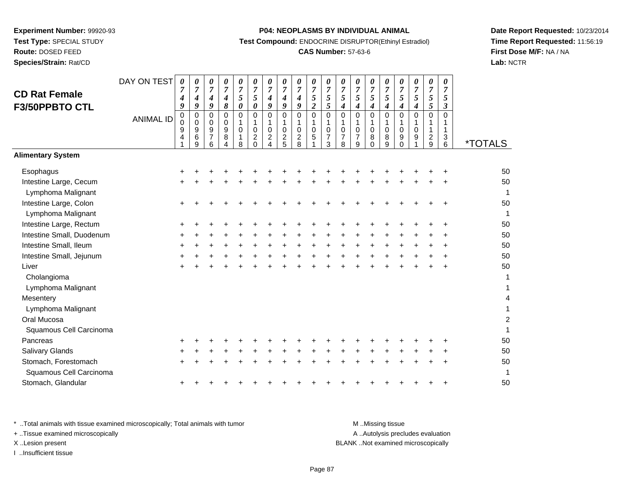**Route:** DOSED FEED

**Species/Strain:** Rat/CD

#### **P04: NEOPLASMS BY INDIVIDUAL ANIMAL**

**Test Compound:** ENDOCRINE DISRUPTOR(Ethinyl Estradiol)

## **CAS Number:** 57-63-6

**Date Report Requested:** 10/23/2014**Time Report Requested:** 11:56:19**First Dose M/F:** NA / NA**Lab:** NCTR

| <b>CD Rat Female</b><br>F3/50PPBTO CTL          | DAY ON TEST      | $\boldsymbol{\theta}$<br>7<br>4<br>9 | 0<br>$\overline{7}$<br>4<br>9 | 0<br>7<br>4<br>9                                  | 0<br>7<br>4<br>8      | 0<br>$\boldsymbol{7}$<br>5<br>$\pmb{\theta}$                  | 0<br>$\overline{7}$<br>5<br>$\boldsymbol{\theta}$             | 0<br>$\overline{7}$<br>$\boldsymbol{4}$<br>9                                   | 0<br>$\boldsymbol{7}$<br>4<br>9        | 0<br>$\boldsymbol{7}$<br>$\boldsymbol{4}$<br>9   | 0<br>$\overline{7}$<br>5<br>$\overline{2}$                  | 0<br>$\overline{7}$<br>$\sqrt{5}$<br>5                            | 0<br>$\overline{7}$<br>5<br>4                | 0<br>$\overline{7}$<br>5<br>4      | 0<br>$\overline{7}$<br>5<br>$\boldsymbol{4}$                | 0<br>$\overline{7}$<br>5<br>$\boldsymbol{4}$       | 0<br>$\boldsymbol{7}$<br>5<br>$\boldsymbol{4}$                  | 0<br>$\overline{7}$<br>5<br>4 | 0<br>$\overline{7}$<br>$\mathfrak{s}$<br>5 | 0<br>$\overline{7}$<br>5<br>$\mathfrak{z}$ |                       |
|-------------------------------------------------|------------------|--------------------------------------|-------------------------------|---------------------------------------------------|-----------------------|---------------------------------------------------------------|---------------------------------------------------------------|--------------------------------------------------------------------------------|----------------------------------------|--------------------------------------------------|-------------------------------------------------------------|-------------------------------------------------------------------|----------------------------------------------|------------------------------------|-------------------------------------------------------------|----------------------------------------------------|-----------------------------------------------------------------|-------------------------------|--------------------------------------------|--------------------------------------------|-----------------------|
|                                                 | <b>ANIMAL ID</b> | $\mathbf 0$<br>0<br>9<br>4           | 0<br>0<br>9<br>6<br>9         | 0<br>0<br>$\boldsymbol{9}$<br>$\overline{7}$<br>6 | 0<br>0<br>9<br>8<br>4 | $\mathbf 0$<br>$\mathbf{1}$<br>$\pmb{0}$<br>$\mathbf{1}$<br>8 | $\mathbf 0$<br>1<br>$\mathbf 0$<br>$\overline{c}$<br>$\Omega$ | $\mathbf 0$<br>$\mathbf{1}$<br>$\mathbf 0$<br>$\overline{c}$<br>$\overline{A}$ | 0<br>1<br>$\mathbf 0$<br>$\frac{2}{5}$ | $\mathbf 0$<br>1<br>$\pmb{0}$<br>$\sqrt{2}$<br>8 | $\mathbf 0$<br>$\mathbf{1}$<br>$\pmb{0}$<br>$\sqrt{5}$<br>1 | $\mathbf 0$<br>$\mathbf{1}$<br>$\mathbf 0$<br>$\overline{7}$<br>3 | $\mathbf 0$<br>1<br>0<br>$\overline{7}$<br>8 | 0<br>1<br>0<br>$\overline{7}$<br>9 | $\mathbf 0$<br>$\mathbf{1}$<br>$\mathbf 0$<br>8<br>$\Omega$ | $\mathbf 0$<br>$\mathbf{1}$<br>$\pmb{0}$<br>8<br>9 | $\mathbf 0$<br>1<br>$\mathbf 0$<br>$\boldsymbol{9}$<br>$\Omega$ | 0<br>1<br>0<br>9              | $\mathbf 0$<br>1<br>1<br>$\frac{2}{9}$     | $\mathbf 0$<br>1<br>1<br>3<br>6            | <i><b>*TOTALS</b></i> |
| <b>Alimentary System</b>                        |                  |                                      |                               |                                                   |                       |                                                               |                                                               |                                                                                |                                        |                                                  |                                                             |                                                                   |                                              |                                    |                                                             |                                                    |                                                                 |                               |                                            |                                            |                       |
| Esophagus                                       |                  |                                      |                               |                                                   |                       |                                                               |                                                               |                                                                                |                                        |                                                  |                                                             |                                                                   |                                              |                                    |                                                             |                                                    |                                                                 |                               |                                            |                                            | 50                    |
| Intestine Large, Cecum<br>Lymphoma Malignant    |                  |                                      |                               |                                                   |                       |                                                               |                                                               |                                                                                |                                        |                                                  |                                                             |                                                                   |                                              |                                    |                                                             |                                                    |                                                                 |                               |                                            |                                            | 50<br>1               |
| Intestine Large, Colon<br>Lymphoma Malignant    |                  |                                      |                               |                                                   |                       |                                                               |                                                               |                                                                                |                                        |                                                  |                                                             |                                                                   |                                              |                                    |                                                             |                                                    |                                                                 |                               |                                            |                                            | 50<br>1               |
| Intestine Large, Rectum                         |                  |                                      |                               |                                                   |                       |                                                               |                                                               |                                                                                |                                        |                                                  |                                                             |                                                                   |                                              |                                    |                                                             |                                                    |                                                                 |                               |                                            |                                            | 50                    |
| Intestine Small, Duodenum                       |                  |                                      |                               |                                                   |                       |                                                               |                                                               |                                                                                |                                        |                                                  |                                                             |                                                                   |                                              |                                    |                                                             |                                                    |                                                                 |                               |                                            |                                            | 50                    |
| Intestine Small, Ileum                          |                  |                                      |                               |                                                   |                       |                                                               |                                                               |                                                                                |                                        |                                                  |                                                             |                                                                   |                                              |                                    |                                                             |                                                    |                                                                 |                               |                                            |                                            | 50                    |
| Intestine Small, Jejunum                        |                  |                                      |                               |                                                   |                       |                                                               |                                                               |                                                                                |                                        |                                                  |                                                             |                                                                   |                                              |                                    |                                                             |                                                    |                                                                 |                               |                                            |                                            | 50                    |
| Liver                                           |                  |                                      |                               |                                                   |                       |                                                               |                                                               |                                                                                |                                        |                                                  |                                                             |                                                                   |                                              |                                    |                                                             |                                                    |                                                                 |                               |                                            |                                            | 50                    |
| Cholangioma                                     |                  |                                      |                               |                                                   |                       |                                                               |                                                               |                                                                                |                                        |                                                  |                                                             |                                                                   |                                              |                                    |                                                             |                                                    |                                                                 |                               |                                            |                                            | 1                     |
| Lymphoma Malignant                              |                  |                                      |                               |                                                   |                       |                                                               |                                                               |                                                                                |                                        |                                                  |                                                             |                                                                   |                                              |                                    |                                                             |                                                    |                                                                 |                               |                                            |                                            | 1                     |
| Mesentery                                       |                  |                                      |                               |                                                   |                       |                                                               |                                                               |                                                                                |                                        |                                                  |                                                             |                                                                   |                                              |                                    |                                                             |                                                    |                                                                 |                               |                                            |                                            | 4                     |
| Lymphoma Malignant                              |                  |                                      |                               |                                                   |                       |                                                               |                                                               |                                                                                |                                        |                                                  |                                                             |                                                                   |                                              |                                    |                                                             |                                                    |                                                                 |                               |                                            |                                            | $\mathbf{1}$          |
| Oral Mucosa                                     |                  |                                      |                               |                                                   |                       |                                                               |                                                               |                                                                                |                                        |                                                  |                                                             |                                                                   |                                              |                                    |                                                             |                                                    |                                                                 |                               |                                            |                                            | $\overline{c}$        |
| Squamous Cell Carcinoma                         |                  |                                      |                               |                                                   |                       |                                                               |                                                               |                                                                                |                                        |                                                  |                                                             |                                                                   |                                              |                                    |                                                             |                                                    |                                                                 |                               |                                            |                                            | $\mathbf{1}$          |
| Pancreas                                        |                  |                                      |                               |                                                   |                       |                                                               |                                                               |                                                                                |                                        |                                                  |                                                             |                                                                   |                                              |                                    |                                                             |                                                    |                                                                 |                               |                                            |                                            | 50                    |
| <b>Salivary Glands</b>                          |                  |                                      |                               |                                                   |                       |                                                               |                                                               |                                                                                |                                        |                                                  |                                                             |                                                                   |                                              |                                    |                                                             |                                                    |                                                                 |                               |                                            |                                            | 50                    |
| Stomach, Forestomach<br>Squamous Cell Carcinoma |                  |                                      |                               |                                                   |                       |                                                               |                                                               |                                                                                |                                        |                                                  |                                                             |                                                                   |                                              |                                    |                                                             |                                                    |                                                                 |                               |                                            |                                            | 50<br>1               |
| Stomach, Glandular                              |                  |                                      |                               |                                                   |                       |                                                               |                                                               |                                                                                |                                        |                                                  |                                                             |                                                                   |                                              |                                    |                                                             |                                                    |                                                                 |                               |                                            |                                            | 50                    |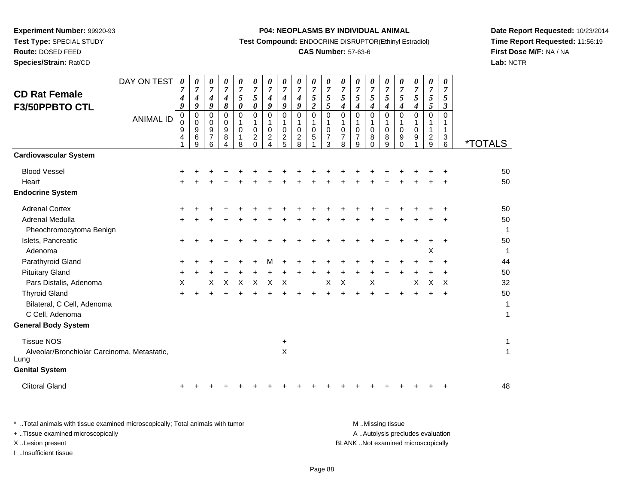**Route:** DOSED FEED

**Species/Strain:** Rat/CD

#### **P04: NEOPLASMS BY INDIVIDUAL ANIMAL**

**Test Compound:** ENDOCRINE DISRUPTOR(Ethinyl Estradiol)

## **CAS Number:** 57-63-6

**Date Report Requested:** 10/23/2014**Time Report Requested:** 11:56:19**First Dose M/F:** NA / NA**Lab:** NCTR

| <b>CD Rat Female</b>                                | DAY ON TEST      | $\pmb{\theta}$<br>7<br>4 | 0<br>$\overline{7}$<br>4 | 0<br>$\overline{7}$<br>4                            | 0<br>$\boldsymbol{7}$<br>4                     | 0<br>$\boldsymbol{7}$<br>5      | 0<br>$\boldsymbol{7}$<br>5                         | 0<br>$\overline{7}$<br>4                                                       | 0<br>$\overline{7}$<br>4                                | 0<br>$\overline{7}$<br>$\boldsymbol{4}$                           | 0<br>$\overline{7}$<br>$\sqrt{5}$   | 0<br>$\overline{7}$<br>$\sqrt{5}$                                   | 0<br>$\overline{7}$<br>5           | 0<br>$\overline{7}$<br>5                     | 0<br>$\overline{7}$<br>5         | 0<br>$\boldsymbol{7}$<br>5         | 0<br>$\overline{7}$<br>$\mathfrak{s}$         | 0<br>$\overline{7}$<br>5   | 0<br>$\boldsymbol{7}$<br>5                  | 0<br>$\overline{7}$<br>5        |                       |
|-----------------------------------------------------|------------------|--------------------------|--------------------------|-----------------------------------------------------|------------------------------------------------|---------------------------------|----------------------------------------------------|--------------------------------------------------------------------------------|---------------------------------------------------------|-------------------------------------------------------------------|-------------------------------------|---------------------------------------------------------------------|------------------------------------|----------------------------------------------|----------------------------------|------------------------------------|-----------------------------------------------|----------------------------|---------------------------------------------|---------------------------------|-----------------------|
| F3/50PPBTO CTL                                      |                  | 9                        | 9                        | 9                                                   | 8                                              | $\boldsymbol{\theta}$           | 0                                                  | 9                                                                              | 9                                                       | 9                                                                 | $\overline{c}$                      | 5                                                                   | $\boldsymbol{4}$                   | $\boldsymbol{4}$                             | 4                                | $\boldsymbol{4}$                   | $\boldsymbol{4}$                              | 4                          | 5                                           | $\boldsymbol{\beta}$            |                       |
|                                                     | <b>ANIMAL ID</b> | $\pmb{0}$<br>0<br>9<br>4 | 0<br>0<br>9<br>6<br>9    | $\Omega$<br>$\mathbf 0$<br>9<br>$\overline{7}$<br>6 | $\mathbf 0$<br>0<br>$\boldsymbol{9}$<br>8<br>4 | 0<br>1<br>$\mathbf 0$<br>1<br>8 | 0<br>1<br>0<br>$\overline{\mathbf{c}}$<br>$\Omega$ | $\mathbf 0$<br>$\mathbf{1}$<br>$\mathbf 0$<br>$\overline{c}$<br>$\overline{4}$ | 0<br>$\mathbf{1}$<br>$\mathbf 0$<br>$\overline{c}$<br>5 | $\mathbf 0$<br>$\mathbf{1}$<br>$\pmb{0}$<br>$\boldsymbol{2}$<br>8 | 0<br>$\mathbf{1}$<br>$\pmb{0}$<br>5 | $\mathbf 0$<br>$\mathbf{1}$<br>$\mathbf 0$<br>$\boldsymbol{7}$<br>3 | 0<br>1<br>0<br>$\overline{7}$<br>8 | 0<br>1<br>$\mathbf 0$<br>$\overline{7}$<br>9 | 0<br>$\mathbf{1}$<br>0<br>8<br>0 | 0<br>1<br>$\pmb{0}$<br>$\bf8$<br>9 | $\Omega$<br>1<br>$\mathbf 0$<br>9<br>$\Omega$ | $\mathbf 0$<br>1<br>0<br>9 | 0<br>1<br>1<br>$\overline{\mathbf{c}}$<br>9 | $\mathbf 0$<br>1<br>1<br>3<br>6 | <i><b>*TOTALS</b></i> |
| <b>Cardiovascular System</b>                        |                  |                          |                          |                                                     |                                                |                                 |                                                    |                                                                                |                                                         |                                                                   |                                     |                                                                     |                                    |                                              |                                  |                                    |                                               |                            |                                             |                                 |                       |
| <b>Blood Vessel</b>                                 |                  | +                        |                          |                                                     |                                                |                                 |                                                    |                                                                                |                                                         |                                                                   |                                     |                                                                     |                                    |                                              |                                  |                                    |                                               |                            |                                             |                                 | 50                    |
| Heart                                               |                  |                          |                          |                                                     |                                                |                                 |                                                    |                                                                                |                                                         |                                                                   |                                     |                                                                     |                                    |                                              |                                  |                                    |                                               |                            |                                             |                                 | 50                    |
| <b>Endocrine System</b>                             |                  |                          |                          |                                                     |                                                |                                 |                                                    |                                                                                |                                                         |                                                                   |                                     |                                                                     |                                    |                                              |                                  |                                    |                                               |                            |                                             |                                 |                       |
| <b>Adrenal Cortex</b>                               |                  |                          |                          |                                                     |                                                |                                 |                                                    |                                                                                |                                                         |                                                                   |                                     |                                                                     |                                    |                                              |                                  |                                    |                                               |                            |                                             |                                 | 50                    |
| Adrenal Medulla                                     |                  | ÷                        |                          |                                                     |                                                |                                 |                                                    |                                                                                |                                                         |                                                                   |                                     |                                                                     |                                    |                                              |                                  |                                    |                                               |                            |                                             |                                 | 50                    |
| Pheochromocytoma Benign                             |                  |                          |                          |                                                     |                                                |                                 |                                                    |                                                                                |                                                         |                                                                   |                                     |                                                                     |                                    |                                              |                                  |                                    |                                               |                            |                                             |                                 | $\mathbf{1}$          |
| Islets, Pancreatic                                  |                  | +                        |                          |                                                     |                                                |                                 |                                                    |                                                                                |                                                         |                                                                   |                                     |                                                                     |                                    |                                              |                                  |                                    |                                               |                            |                                             |                                 | 50                    |
| Adenoma                                             |                  |                          |                          |                                                     |                                                |                                 |                                                    |                                                                                |                                                         |                                                                   |                                     |                                                                     |                                    |                                              |                                  |                                    |                                               |                            | Χ                                           |                                 | $\mathbf{1}$          |
| Parathyroid Gland                                   |                  | +                        |                          |                                                     |                                                |                                 |                                                    |                                                                                |                                                         |                                                                   |                                     |                                                                     |                                    |                                              |                                  |                                    |                                               |                            |                                             |                                 | 44                    |
| <b>Pituitary Gland</b>                              |                  | ٠                        |                          |                                                     |                                                |                                 |                                                    |                                                                                |                                                         |                                                                   |                                     |                                                                     |                                    |                                              |                                  |                                    |                                               |                            |                                             |                                 | 50                    |
| Pars Distalis, Adenoma                              |                  | X                        |                          | X                                                   | X                                              | X                               | $\times$                                           | X                                                                              | X                                                       |                                                                   |                                     | X                                                                   | X                                  |                                              | X                                |                                    |                                               | X                          | X                                           | X                               | 32                    |
| <b>Thyroid Gland</b>                                |                  | $\ddot{}$                |                          |                                                     |                                                |                                 |                                                    |                                                                                |                                                         |                                                                   |                                     |                                                                     |                                    |                                              |                                  |                                    |                                               |                            |                                             |                                 | 50                    |
| Bilateral, C Cell, Adenoma                          |                  |                          |                          |                                                     |                                                |                                 |                                                    |                                                                                |                                                         |                                                                   |                                     |                                                                     |                                    |                                              |                                  |                                    |                                               |                            |                                             |                                 | 1                     |
| C Cell, Adenoma                                     |                  |                          |                          |                                                     |                                                |                                 |                                                    |                                                                                |                                                         |                                                                   |                                     |                                                                     |                                    |                                              |                                  |                                    |                                               |                            |                                             |                                 | $\mathbf{1}$          |
| <b>General Body System</b>                          |                  |                          |                          |                                                     |                                                |                                 |                                                    |                                                                                |                                                         |                                                                   |                                     |                                                                     |                                    |                                              |                                  |                                    |                                               |                            |                                             |                                 |                       |
| <b>Tissue NOS</b>                                   |                  |                          |                          |                                                     |                                                |                                 |                                                    |                                                                                | $\ddot{}$                                               |                                                                   |                                     |                                                                     |                                    |                                              |                                  |                                    |                                               |                            |                                             |                                 | 1                     |
| Alveolar/Bronchiolar Carcinoma, Metastatic,<br>Lung |                  |                          |                          |                                                     |                                                |                                 |                                                    |                                                                                | X                                                       |                                                                   |                                     |                                                                     |                                    |                                              |                                  |                                    |                                               |                            |                                             |                                 | $\mathbf{1}$          |
| <b>Genital System</b>                               |                  |                          |                          |                                                     |                                                |                                 |                                                    |                                                                                |                                                         |                                                                   |                                     |                                                                     |                                    |                                              |                                  |                                    |                                               |                            |                                             |                                 |                       |
| <b>Clitoral Gland</b>                               |                  | ÷                        |                          |                                                     |                                                |                                 |                                                    |                                                                                |                                                         |                                                                   |                                     |                                                                     |                                    |                                              |                                  |                                    |                                               |                            |                                             |                                 | 48                    |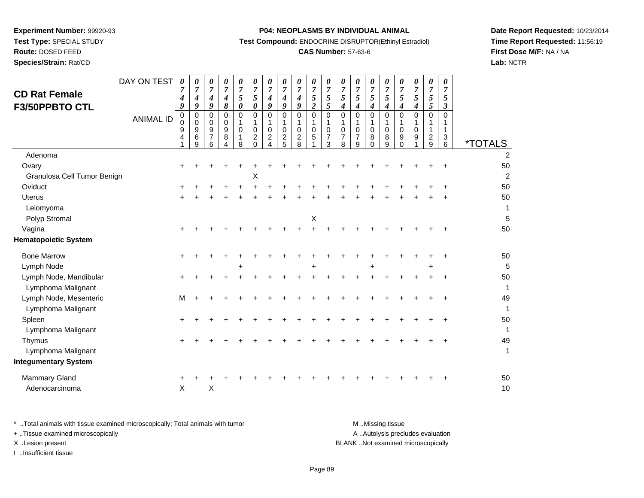**Test Type:** SPECIAL STUDY

**Route:** DOSED FEED

**Species/Strain:** Rat/CD

## **P04: NEOPLASMS BY INDIVIDUAL ANIMAL**

**Test Compound:** ENDOCRINE DISRUPTOR(Ethinyl Estradiol)

# **CAS Number:** 57-63-6

**Date Report Requested:** 10/23/2014**Time Report Requested:** 11:56:19**First Dose M/F:** NA / NA**Lab:** NCTR

| <b>CD Rat Female</b><br>F3/50PPBTO CTL | DAY ON TEST<br><b>ANIMAL ID</b> | 0<br>7<br>4<br>9<br>0<br>0<br>9<br>4 | 0<br>$\overline{7}$<br>4<br>9<br>0<br>0<br>9<br>6<br>9 | $\pmb{\theta}$<br>$\overline{7}$<br>4<br>9<br>$\mathbf 0$<br>0<br>9<br>$\overline{7}$<br>6 | 0<br>$\overline{7}$<br>$\boldsymbol{4}$<br>8<br>0<br>$\mathbf 0$<br>9<br>8<br>Δ | 0<br>$\overline{7}$<br>5<br>0<br>$\Omega$<br>$\Omega$<br>8 | 0<br>$\overline{7}$<br>5<br>0<br>0<br>0<br>$\overline{c}$<br>$\Omega$ | 0<br>$\overline{7}$<br>4<br>9<br>0<br>1<br>0<br>$\overline{c}$<br>Δ | 0<br>$\overline{7}$<br>$\boldsymbol{4}$<br>9<br>$\pmb{0}$<br>1<br>$\mathbf 0$<br>$\overline{c}$<br>5 | $\pmb{\theta}$<br>$\overline{7}$<br>$\boldsymbol{4}$<br>9<br>$\pmb{0}$<br>$\mathbf{1}$<br>$\mathbf 0$<br>$\overline{c}$<br>8 | 0<br>$\overline{7}$<br>5<br>$\overline{2}$<br>$\mathbf 0$<br>1<br>$\mathbf 0$<br>5 | 0<br>$\overline{7}$<br>5<br>5<br>0<br>1<br>0<br>$\overline{7}$<br>3 | 0<br>$\overline{7}$<br>5<br>4<br>0<br>0<br>7<br>8 | 0<br>$\overline{7}$<br>5<br>4<br>0<br>0<br>7<br>9 | 0<br>$\overline{7}$<br>$\mathfrak{s}$<br>$\boldsymbol{4}$<br>$\pmb{0}$<br>$\mathbf{1}$<br>$\mathbf 0$<br>8<br>$\Omega$ | $\boldsymbol{\theta}$<br>$\overline{7}$<br>5<br>$\boldsymbol{4}$<br>$\mathbf 0$<br>1<br>$\mathbf 0$<br>8<br>9 | 0<br>7<br>5<br>4<br>$\mathbf 0$<br>0<br>9<br>$\Omega$ | $\boldsymbol{\theta}$<br>$\overline{7}$<br>5<br>4<br>$\mathbf 0$<br>$\mathbf 0$<br>9 | 0<br>7<br>5<br>5<br>0<br>1<br>$\overline{c}$<br>9 | 0<br>7<br>5<br>3<br>$\Omega$<br>1<br>1<br>$\sqrt{3}$<br>6 | <i><b>*TOTALS</b></i> |
|----------------------------------------|---------------------------------|--------------------------------------|--------------------------------------------------------|--------------------------------------------------------------------------------------------|---------------------------------------------------------------------------------|------------------------------------------------------------|-----------------------------------------------------------------------|---------------------------------------------------------------------|------------------------------------------------------------------------------------------------------|------------------------------------------------------------------------------------------------------------------------------|------------------------------------------------------------------------------------|---------------------------------------------------------------------|---------------------------------------------------|---------------------------------------------------|------------------------------------------------------------------------------------------------------------------------|---------------------------------------------------------------------------------------------------------------|-------------------------------------------------------|--------------------------------------------------------------------------------------|---------------------------------------------------|-----------------------------------------------------------|-----------------------|
| Adenoma                                |                                 |                                      |                                                        |                                                                                            |                                                                                 |                                                            |                                                                       |                                                                     |                                                                                                      |                                                                                                                              |                                                                                    |                                                                     |                                                   |                                                   |                                                                                                                        |                                                                                                               |                                                       |                                                                                      |                                                   |                                                           | $\overline{2}$        |
| Ovary                                  |                                 | ÷                                    |                                                        |                                                                                            |                                                                                 |                                                            |                                                                       |                                                                     |                                                                                                      |                                                                                                                              |                                                                                    |                                                                     |                                                   |                                                   |                                                                                                                        |                                                                                                               |                                                       |                                                                                      |                                                   |                                                           | 50                    |
| Granulosa Cell Tumor Benign            |                                 |                                      |                                                        |                                                                                            |                                                                                 |                                                            | Χ                                                                     |                                                                     |                                                                                                      |                                                                                                                              |                                                                                    |                                                                     |                                                   |                                                   |                                                                                                                        |                                                                                                               |                                                       |                                                                                      |                                                   |                                                           | $\overline{2}$        |
| Oviduct                                |                                 |                                      |                                                        |                                                                                            |                                                                                 |                                                            |                                                                       |                                                                     |                                                                                                      |                                                                                                                              |                                                                                    |                                                                     |                                                   |                                                   |                                                                                                                        |                                                                                                               |                                                       |                                                                                      |                                                   |                                                           | 50                    |
| <b>Uterus</b>                          |                                 | +                                    |                                                        |                                                                                            |                                                                                 |                                                            |                                                                       |                                                                     |                                                                                                      |                                                                                                                              |                                                                                    |                                                                     |                                                   |                                                   |                                                                                                                        |                                                                                                               |                                                       |                                                                                      |                                                   |                                                           | 50                    |
| Leiomyoma                              |                                 |                                      |                                                        |                                                                                            |                                                                                 |                                                            |                                                                       |                                                                     |                                                                                                      |                                                                                                                              |                                                                                    |                                                                     |                                                   |                                                   |                                                                                                                        |                                                                                                               |                                                       |                                                                                      |                                                   |                                                           | 1                     |
| Polyp Stromal                          |                                 |                                      |                                                        |                                                                                            |                                                                                 |                                                            |                                                                       |                                                                     |                                                                                                      |                                                                                                                              | х                                                                                  |                                                                     |                                                   |                                                   |                                                                                                                        |                                                                                                               |                                                       |                                                                                      |                                                   |                                                           | 5                     |
| Vagina                                 |                                 |                                      |                                                        |                                                                                            |                                                                                 |                                                            |                                                                       |                                                                     |                                                                                                      |                                                                                                                              |                                                                                    |                                                                     |                                                   |                                                   |                                                                                                                        |                                                                                                               |                                                       |                                                                                      |                                                   |                                                           | 50                    |
| <b>Hematopoietic System</b>            |                                 |                                      |                                                        |                                                                                            |                                                                                 |                                                            |                                                                       |                                                                     |                                                                                                      |                                                                                                                              |                                                                                    |                                                                     |                                                   |                                                   |                                                                                                                        |                                                                                                               |                                                       |                                                                                      |                                                   |                                                           |                       |
| <b>Bone Marrow</b>                     |                                 | $\ddot{}$                            |                                                        |                                                                                            |                                                                                 |                                                            |                                                                       |                                                                     |                                                                                                      |                                                                                                                              |                                                                                    |                                                                     |                                                   |                                                   |                                                                                                                        |                                                                                                               |                                                       |                                                                                      |                                                   |                                                           | 50                    |
| Lymph Node                             |                                 |                                      |                                                        |                                                                                            |                                                                                 | $\ddot{}$                                                  |                                                                       |                                                                     |                                                                                                      |                                                                                                                              |                                                                                    |                                                                     |                                                   |                                                   | +                                                                                                                      |                                                                                                               |                                                       |                                                                                      | ÷                                                 |                                                           | 5                     |
| Lymph Node, Mandibular                 |                                 | ÷                                    |                                                        |                                                                                            |                                                                                 |                                                            |                                                                       |                                                                     |                                                                                                      |                                                                                                                              |                                                                                    |                                                                     |                                                   |                                                   |                                                                                                                        |                                                                                                               |                                                       |                                                                                      |                                                   |                                                           | 50                    |
| Lymphoma Malignant                     |                                 |                                      |                                                        |                                                                                            |                                                                                 |                                                            |                                                                       |                                                                     |                                                                                                      |                                                                                                                              |                                                                                    |                                                                     |                                                   |                                                   |                                                                                                                        |                                                                                                               |                                                       |                                                                                      |                                                   |                                                           | 1                     |
| Lymph Node, Mesenteric                 |                                 | M                                    |                                                        |                                                                                            |                                                                                 |                                                            |                                                                       |                                                                     |                                                                                                      |                                                                                                                              |                                                                                    |                                                                     |                                                   |                                                   |                                                                                                                        |                                                                                                               |                                                       |                                                                                      |                                                   |                                                           | 49                    |
| Lymphoma Malignant                     |                                 |                                      |                                                        |                                                                                            |                                                                                 |                                                            |                                                                       |                                                                     |                                                                                                      |                                                                                                                              |                                                                                    |                                                                     |                                                   |                                                   |                                                                                                                        |                                                                                                               |                                                       |                                                                                      |                                                   |                                                           | 1                     |
| Spleen                                 |                                 | +                                    |                                                        |                                                                                            |                                                                                 |                                                            |                                                                       |                                                                     |                                                                                                      |                                                                                                                              |                                                                                    |                                                                     |                                                   |                                                   |                                                                                                                        |                                                                                                               |                                                       |                                                                                      |                                                   |                                                           | 50                    |
| Lymphoma Malignant                     |                                 |                                      |                                                        |                                                                                            |                                                                                 |                                                            |                                                                       |                                                                     |                                                                                                      |                                                                                                                              |                                                                                    |                                                                     |                                                   |                                                   |                                                                                                                        |                                                                                                               |                                                       |                                                                                      |                                                   |                                                           | 1                     |
| Thymus                                 |                                 |                                      |                                                        |                                                                                            |                                                                                 |                                                            |                                                                       |                                                                     |                                                                                                      |                                                                                                                              |                                                                                    |                                                                     |                                                   |                                                   |                                                                                                                        |                                                                                                               |                                                       |                                                                                      |                                                   |                                                           | 49                    |
| Lymphoma Malignant                     |                                 |                                      |                                                        |                                                                                            |                                                                                 |                                                            |                                                                       |                                                                     |                                                                                                      |                                                                                                                              |                                                                                    |                                                                     |                                                   |                                                   |                                                                                                                        |                                                                                                               |                                                       |                                                                                      |                                                   |                                                           | $\mathbf{1}$          |
| <b>Integumentary System</b>            |                                 |                                      |                                                        |                                                                                            |                                                                                 |                                                            |                                                                       |                                                                     |                                                                                                      |                                                                                                                              |                                                                                    |                                                                     |                                                   |                                                   |                                                                                                                        |                                                                                                               |                                                       |                                                                                      |                                                   |                                                           |                       |
| Mammary Gland                          |                                 |                                      |                                                        |                                                                                            |                                                                                 |                                                            |                                                                       |                                                                     |                                                                                                      |                                                                                                                              |                                                                                    |                                                                     |                                                   |                                                   |                                                                                                                        |                                                                                                               |                                                       |                                                                                      |                                                   |                                                           | 50                    |
| Adenocarcinoma                         |                                 | X                                    |                                                        | $\boldsymbol{\mathsf{X}}$                                                                  |                                                                                 |                                                            |                                                                       |                                                                     |                                                                                                      |                                                                                                                              |                                                                                    |                                                                     |                                                   |                                                   |                                                                                                                        |                                                                                                               |                                                       |                                                                                      |                                                   |                                                           | 10                    |
|                                        |                                 |                                      |                                                        |                                                                                            |                                                                                 |                                                            |                                                                       |                                                                     |                                                                                                      |                                                                                                                              |                                                                                    |                                                                     |                                                   |                                                   |                                                                                                                        |                                                                                                               |                                                       |                                                                                      |                                                   |                                                           |                       |

| * Total animals with tissue examined microscopically; Total animals with tumor | M Missing tissue                   |
|--------------------------------------------------------------------------------|------------------------------------|
| + Tissue examined microscopically                                              | A Autolysis precludes evaluation   |
| X Lesion present                                                               | BLANK Not examined microscopically |
| …Insufficient tissue                                                           |                                    |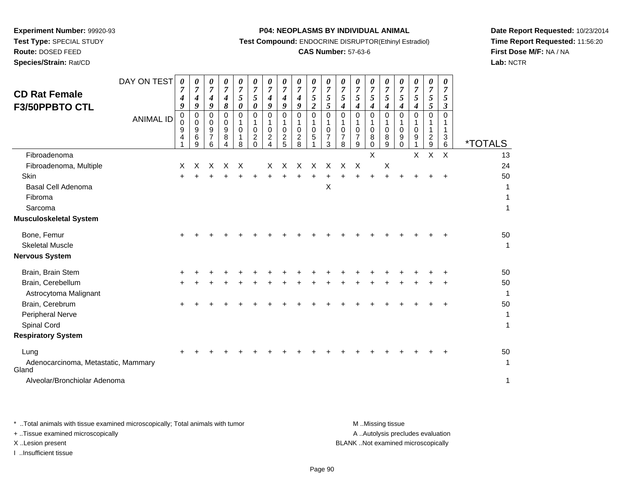**Test Type:** SPECIAL STUDY

**Route:** DOSED FEED**Species/Strain:** Rat/CD

#### **P04: NEOPLASMS BY INDIVIDUAL ANIMAL**

**Test Compound:** ENDOCRINE DISRUPTOR(Ethinyl Estradiol)

## **CAS Number:** 57-63-6

**Date Report Requested:** 10/23/2014**Time Report Requested:** 11:56:20**First Dose M/F:** NA / NA**Lab:** NCTR

| <b>CD Rat Female</b>                                                              | DAY ON TEST      | 0<br>$\overline{7}$        | 0<br>$\overline{7}$   | 0<br>$\overline{7}$   | $\theta$<br>7         | 0<br>$\overline{7}$ | 0<br>$\overline{7}$                    | 0<br>$\boldsymbol{7}$ | $\boldsymbol{\theta}$<br>$\overline{7}$          | $\theta$<br>$\overline{7}$                   | 0<br>$\overline{7}$                             | $\boldsymbol{\theta}$<br>$\overline{7}$      | 0<br>$\overline{7}$        | $\boldsymbol{\theta}$<br>$\overline{7}$ | 0<br>$\overline{7}$     | 0<br>$\overline{7}$       | $\boldsymbol{\theta}$<br>$\overline{7}$ | 0<br>$\overline{7}$ | 0<br>$\overline{7}$                | 0<br>7                    |                              |
|-----------------------------------------------------------------------------------|------------------|----------------------------|-----------------------|-----------------------|-----------------------|---------------------|----------------------------------------|-----------------------|--------------------------------------------------|----------------------------------------------|-------------------------------------------------|----------------------------------------------|----------------------------|-----------------------------------------|-------------------------|---------------------------|-----------------------------------------|---------------------|------------------------------------|---------------------------|------------------------------|
| F3/50PPBTO CTL                                                                    |                  | 4<br>9                     | 4<br>9                | 4<br>9                | 4<br>8                | $\mathfrak{s}$<br>0 | 5<br>0                                 | 4<br>9                | $\boldsymbol{4}$<br>9                            | 4<br>9                                       | $\mathfrak{s}$<br>$\boldsymbol{2}$              | 5<br>5                                       | 5<br>4                     | 5<br>4                                  | 5<br>4                  | $\mathfrak{s}$<br>4       | 5<br>$\boldsymbol{4}$                   | 5<br>4              | $\mathfrak{s}$<br>5                | 5<br>$\boldsymbol{\beta}$ |                              |
|                                                                                   | <b>ANIMAL ID</b> | $\mathbf 0$<br>0<br>9<br>4 | 0<br>0<br>9<br>6<br>9 | 0<br>0<br>9<br>7<br>6 | 0<br>0<br>9<br>8<br>4 | 0<br>1<br>0<br>8    | $\mathbf 0$<br>1<br>0<br>$\frac{2}{0}$ | 0<br>0<br>2<br>4      | $\mathbf 0$<br>1<br>$\mathbf 0$<br>$\frac{2}{5}$ | 0<br>1<br>$\mathbf 0$<br>$\overline{c}$<br>8 | $\mathbf 0$<br>$\mathbf{1}$<br>$\mathbf 0$<br>5 | $\mathbf 0$<br>1<br>0<br>$\overline{7}$<br>3 | $\mathbf 0$<br>0<br>7<br>8 | 0<br>0<br>7<br>9                        | $\Omega$<br>0<br>8<br>0 | 0<br>0<br>8<br>9          | 0<br>0<br>9<br>$\mathbf 0$              | 0<br>0<br>9         | 0<br>1<br>1<br>$\overline{c}$<br>9 | $\Omega$<br>1<br>3<br>6   | <i><b>*TOTALS</b></i>        |
| Fibroadenoma                                                                      |                  |                            |                       |                       |                       |                     |                                        |                       |                                                  |                                              |                                                 |                                              |                            |                                         | X                       |                           |                                         | X                   | $\pmb{\times}$                     | $\pmb{\times}$            | 13                           |
| Fibroadenoma, Multiple                                                            |                  | Χ                          | X                     | X                     | X                     | X                   |                                        | X                     | X                                                | $\times$                                     | X                                               | X                                            | X                          | $\times$                                |                         | $\boldsymbol{\mathsf{X}}$ |                                         |                     |                                    |                           | 24                           |
| Skin<br>Basal Cell Adenoma<br>Fibroma<br>Sarcoma<br><b>Musculoskeletal System</b> |                  | $\ddot{}$                  |                       |                       |                       |                     |                                        |                       |                                                  |                                              |                                                 | Χ                                            |                            |                                         |                         |                           |                                         |                     |                                    |                           | 50<br>1<br>1<br>$\mathbf{1}$ |
|                                                                                   |                  |                            |                       |                       |                       |                     |                                        |                       |                                                  |                                              |                                                 |                                              |                            |                                         |                         |                           |                                         |                     |                                    |                           |                              |
| Bone, Femur<br><b>Skeletal Muscle</b><br><b>Nervous System</b>                    |                  |                            |                       |                       |                       |                     |                                        |                       |                                                  |                                              |                                                 |                                              |                            |                                         |                         |                           |                                         |                     |                                    |                           | 50<br>1                      |
| Brain, Brain Stem                                                                 |                  |                            |                       |                       |                       |                     |                                        |                       |                                                  |                                              |                                                 |                                              |                            |                                         |                         |                           |                                         |                     |                                    |                           | 50                           |
| Brain, Cerebellum<br>Astrocytoma Malignant                                        |                  |                            |                       |                       |                       |                     |                                        |                       |                                                  |                                              |                                                 |                                              |                            |                                         |                         |                           |                                         |                     |                                    |                           | 50<br>$\mathbf{1}$           |
| Brain, Cerebrum<br>Peripheral Nerve<br>Spinal Cord<br><b>Respiratory System</b>   |                  |                            |                       |                       |                       |                     |                                        |                       |                                                  |                                              |                                                 |                                              |                            |                                         |                         |                           |                                         |                     |                                    |                           | 50<br>1<br>$\mathbf{1}$      |
|                                                                                   |                  |                            |                       |                       |                       |                     |                                        |                       |                                                  |                                              |                                                 |                                              |                            |                                         |                         |                           |                                         |                     |                                    |                           |                              |
| Lung<br>Adenocarcinoma, Metastatic, Mammary<br>Gland                              |                  |                            |                       |                       |                       |                     |                                        |                       |                                                  |                                              |                                                 |                                              |                            |                                         |                         |                           |                                         |                     |                                    |                           | 50<br>1                      |
| Alveolar/Bronchiolar Adenoma                                                      |                  |                            |                       |                       |                       |                     |                                        |                       |                                                  |                                              |                                                 |                                              |                            |                                         |                         |                           |                                         |                     |                                    |                           | 1                            |